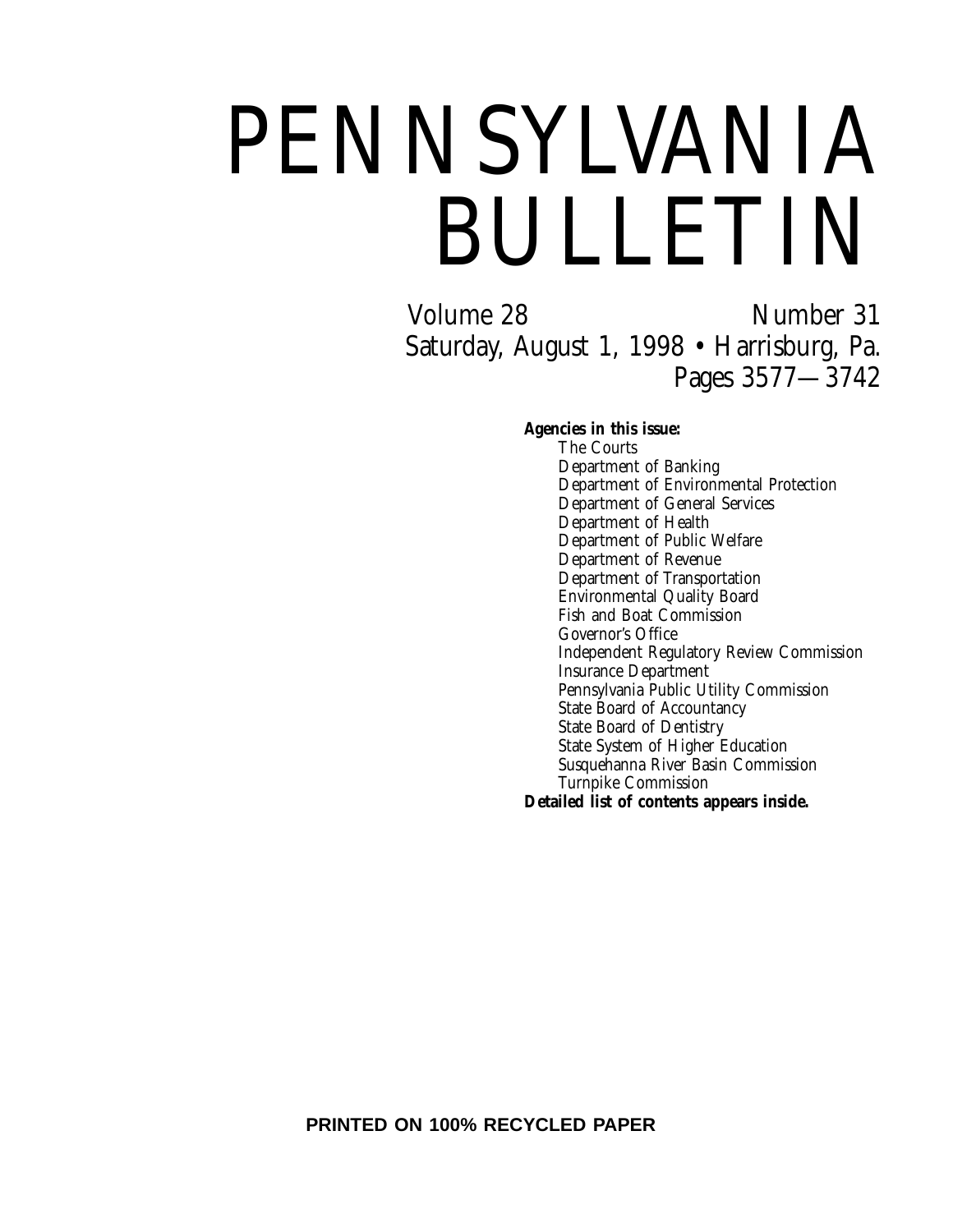# PENNSYLVANIA BULLETIN

Volume 28 Number 31 Saturday, August 1, 1998 • Harrisburg, Pa. Pages 3577—3742

# **Agencies in this issue:**

The Courts Department of Banking Department of Environmental Protection Department of General Services Department of Health Department of Public Welfare Department of Revenue Department of Transportation Environmental Quality Board Fish and Boat Commission Governor's Office Independent Regulatory Review Commission Insurance Department Pennsylvania Public Utility Commission State Board of Accountancy State Board of Dentistry State System of Higher Education Susquehanna River Basin Commission Turnpike Commission **Detailed list of contents appears inside.**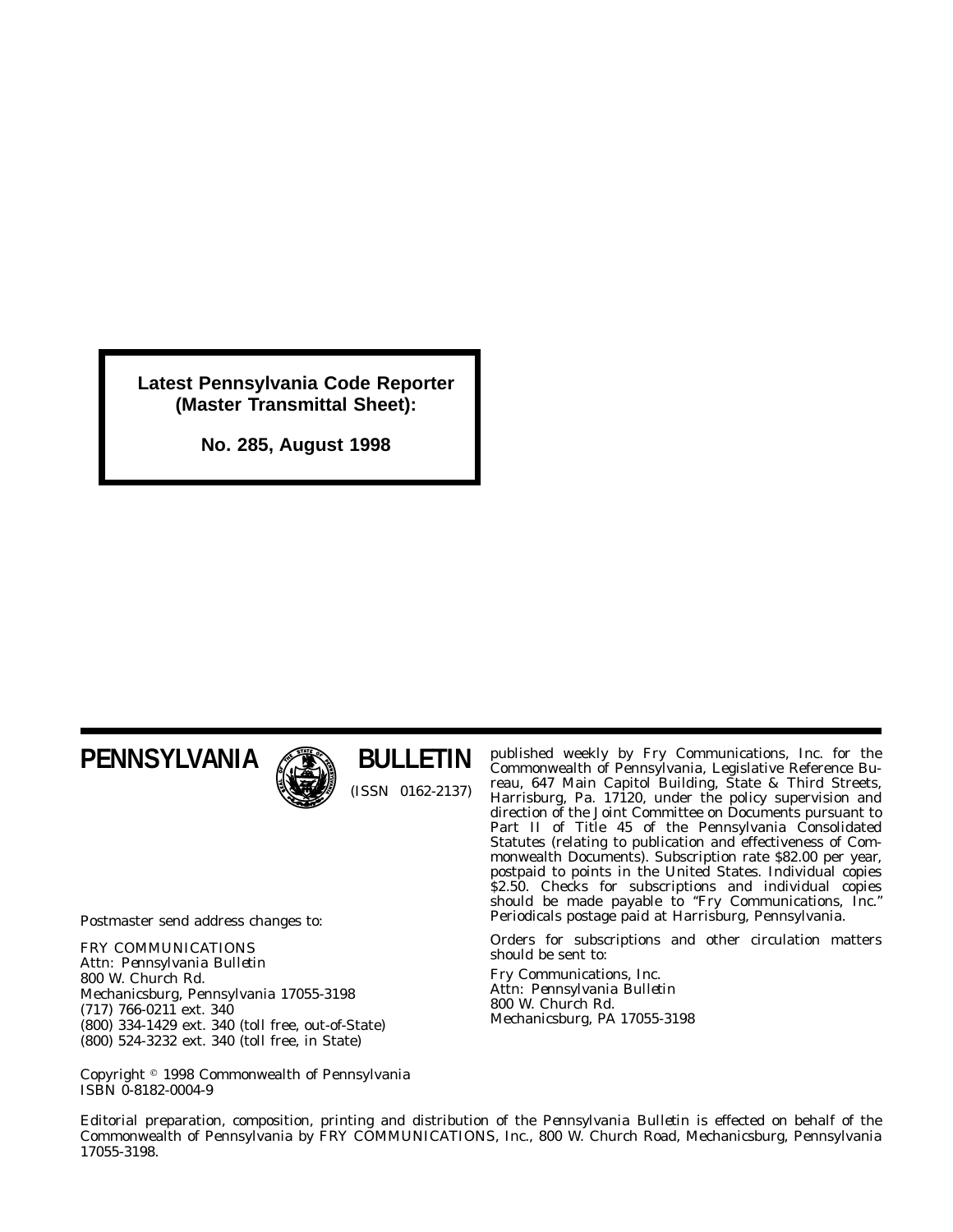**Latest Pennsylvania Code Reporter (Master Transmittal Sheet):**

**No. 285, August 1998**

# **PENNSYLVANIA**



**BULLETIN** (ISSN 0162-2137)

Postmaster send address changes to:

FRY COMMUNICATIONS Attn: *Pennsylvania Bulletin* 800 W. Church Rd. Mechanicsburg, Pennsylvania 17055-3198 (717) 766-0211 ext. 340 (800) 334-1429 ext. 340 (toll free, out-of-State) (800) 524-3232 ext. 340 (toll free, in State)

published weekly by Fry Communications, Inc. for the Commonwealth of Pennsylvania, Legislative Reference Bureau, 647 Main Capitol Building, State & Third Streets, Harrisburg, Pa. 17120, under the policy supervision and direction of the Joint Committee on Documents pursuant to Part II of Title 45 of the Pennsylvania Consolidated Statutes (relating to publication and effectiveness of Commonwealth Documents). Subscription rate \$82.00 per year, postpaid to points in the United States. Individual copies \$2.50. Checks for subscriptions and individual copies should be made payable to ''*Fry Communications, Inc.*'' Periodicals postage paid at Harrisburg, Pennsylvania.

Orders for subscriptions and other circulation matters should be sent to:

Fry Communications, Inc. Attn: *Pennsylvania Bulletin* 800 W. Church Rd. Mechanicsburg, PA 17055-3198

Copyright 1998 Commonwealth of Pennsylvania ISBN 0-8182-0004-9

Editorial preparation, composition, printing and distribution of the *Pennsylvania Bulletin* is effected on behalf of the Commonwealth of Pennsylvania by FRY COMMUNICATIONS, Inc., 800 W. Church Road, Mechanicsburg, Pennsylvania 17055-3198.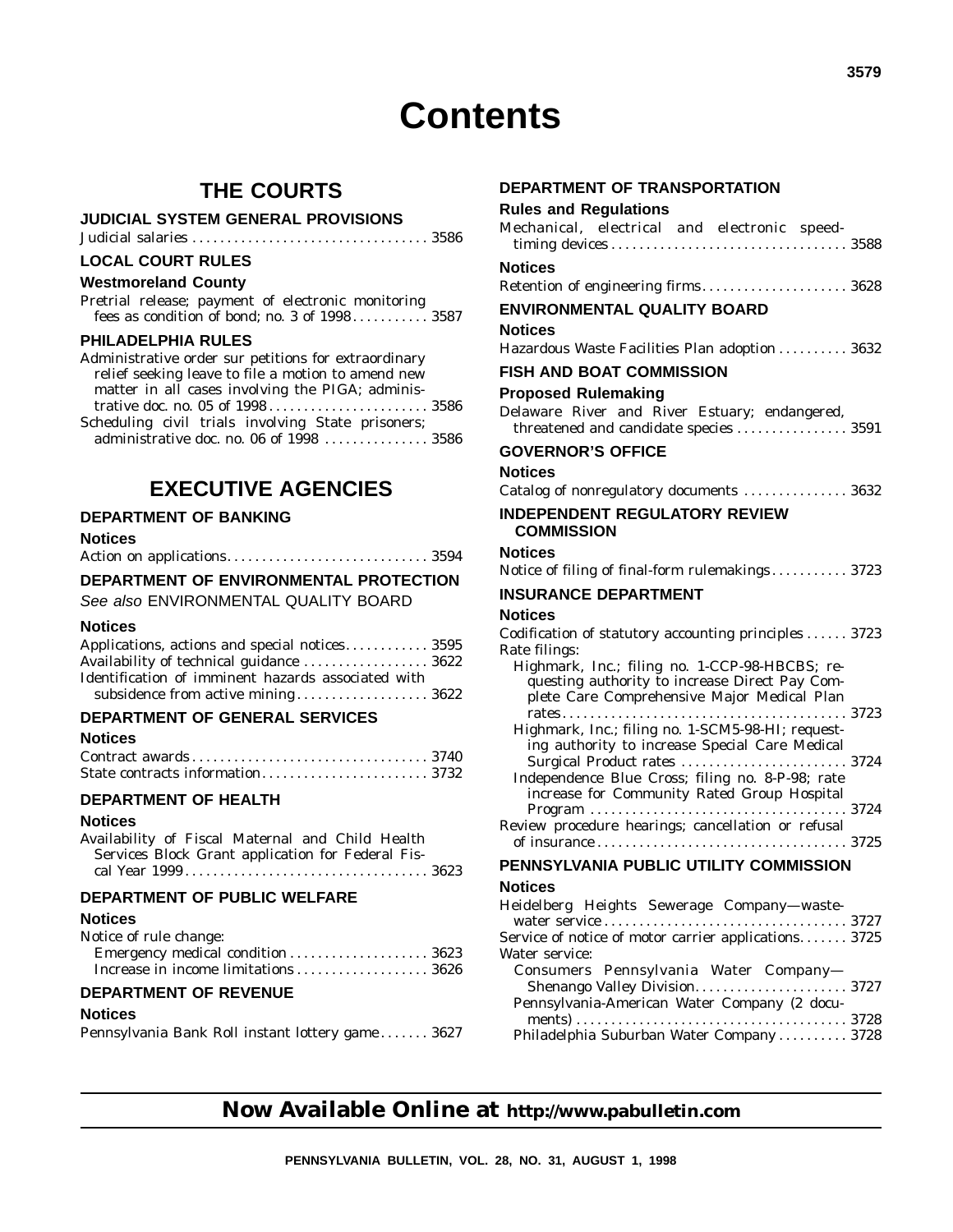# **Contents**

# **THE COURTS**

#### **JUDICIAL SYSTEM GENERAL PROVISIONS**

Judicial salaries .................................. 3586

# **LOCAL COURT RULES**

### **Westmoreland County**

Pretrial release; payment of electronic monitoring fees as condition of bond; no. 3 of 1998 ........... 3587

#### **PHILADELPHIA RULES**

| Administrative order sur petitions for extraordinary |  |
|------------------------------------------------------|--|
| relief seeking leave to file a motion to amend new   |  |
| matter in all cases involving the PIGA; adminis-     |  |
|                                                      |  |
| Scheduling civil trials involving State prisoners;   |  |
| administrative doc. no. 06 of 1998  3586             |  |

# **EXECUTIVE AGENCIES**

# **DEPARTMENT OF BANKING**

### **Notices**

|--|--|--|

#### **DEPARTMENT OF ENVIRONMENTAL PROTECTION**

See also ENVIRONMENTAL QUALITY BOARD

#### **Notices**

| Applications, actions and special notices 3595     |  |
|----------------------------------------------------|--|
| Availability of technical guidance  3622           |  |
| Identification of imminent hazards associated with |  |
|                                                    |  |

# **DEPARTMENT OF GENERAL SERVICES**

#### **Notices**

# **DEPARTMENT OF HEALTH**

# **Notices**

Availability of Fiscal Maternal and Child Health Services Block Grant application for Federal Fiscal Year 1999 ................................... 3623

# **DEPARTMENT OF PUBLIC WELFARE**

# **Notices**

| Notice of rule change: |  |
|------------------------|--|
|                        |  |
|                        |  |

# **DEPARTMENT OF REVENUE**

#### **Notices**

Pennsylvania Bank Roll instant lottery game ....... 3627

# **DEPARTMENT OF TRANSPORTATION**

# **Rules and Regulations**

| Mechanical, electrical and electronic speed-                                                                                                    |
|-------------------------------------------------------------------------------------------------------------------------------------------------|
| <b>Notices</b>                                                                                                                                  |
| Retention of engineering firms 3628                                                                                                             |
| <b>ENVIRONMENTAL QUALITY BOARD</b>                                                                                                              |
| <b>Notices</b>                                                                                                                                  |
| Hazardous Waste Facilities Plan adoption  3632                                                                                                  |
| <b>FISH AND BOAT COMMISSION</b>                                                                                                                 |
| <b>Proposed Rulemaking</b>                                                                                                                      |
| Delaware River and River Estuary; endangered,<br>threatened and candidate species  3591                                                         |
| <b>GOVERNOR'S OFFICE</b>                                                                                                                        |
| <b>Notices</b>                                                                                                                                  |
| Catalog of nonregulatory documents  3632                                                                                                        |
| <b>INDEPENDENT REGULATORY REVIEW</b>                                                                                                            |
| <b>COMMISSION</b>                                                                                                                               |
| <b>Notices</b>                                                                                                                                  |
| Notice of filing of final-form rulemakings 3723                                                                                                 |
| <b>INSURANCE DEPARTMENT</b>                                                                                                                     |
| Notices                                                                                                                                         |
| Codification of statutory accounting principles  3723<br>Rate filings:                                                                          |
| Highmark, Inc.; filing no. 1-CCP-98-HBCBS; re-<br>questing authority to increase Direct Pay Com-<br>plete Care Comprehensive Major Medical Plan |
| Highmark, Inc.; filing no. 1-SCM5-98-HI; request-                                                                                               |
| ing authority to increase Special Care Medical                                                                                                  |
| Independence Blue Cross; filing no. 8-P-98; rate<br>increase for Community Rated Group Hospital                                                 |
|                                                                                                                                                 |
| Review procedure hearings; cancellation or refusal<br>PENNSYLVANIA PUBLIC UTILITY COMMISSION                                                    |

#### **Notices**

| Heidelberg Heights Sewerage Company-waste-           |  |
|------------------------------------------------------|--|
|                                                      |  |
| Service of notice of motor carrier applications 3725 |  |
| Water service:                                       |  |
| Consumers Pennsylvania Water Company-                |  |
| Shenango Valley Division 3727                        |  |
| Pennsylvania-American Water Company (2 docu-         |  |
|                                                      |  |
| Philadelphia Suburban Water Company 3728             |  |
|                                                      |  |

# **Now Available Online at http://www.pabulletin.com**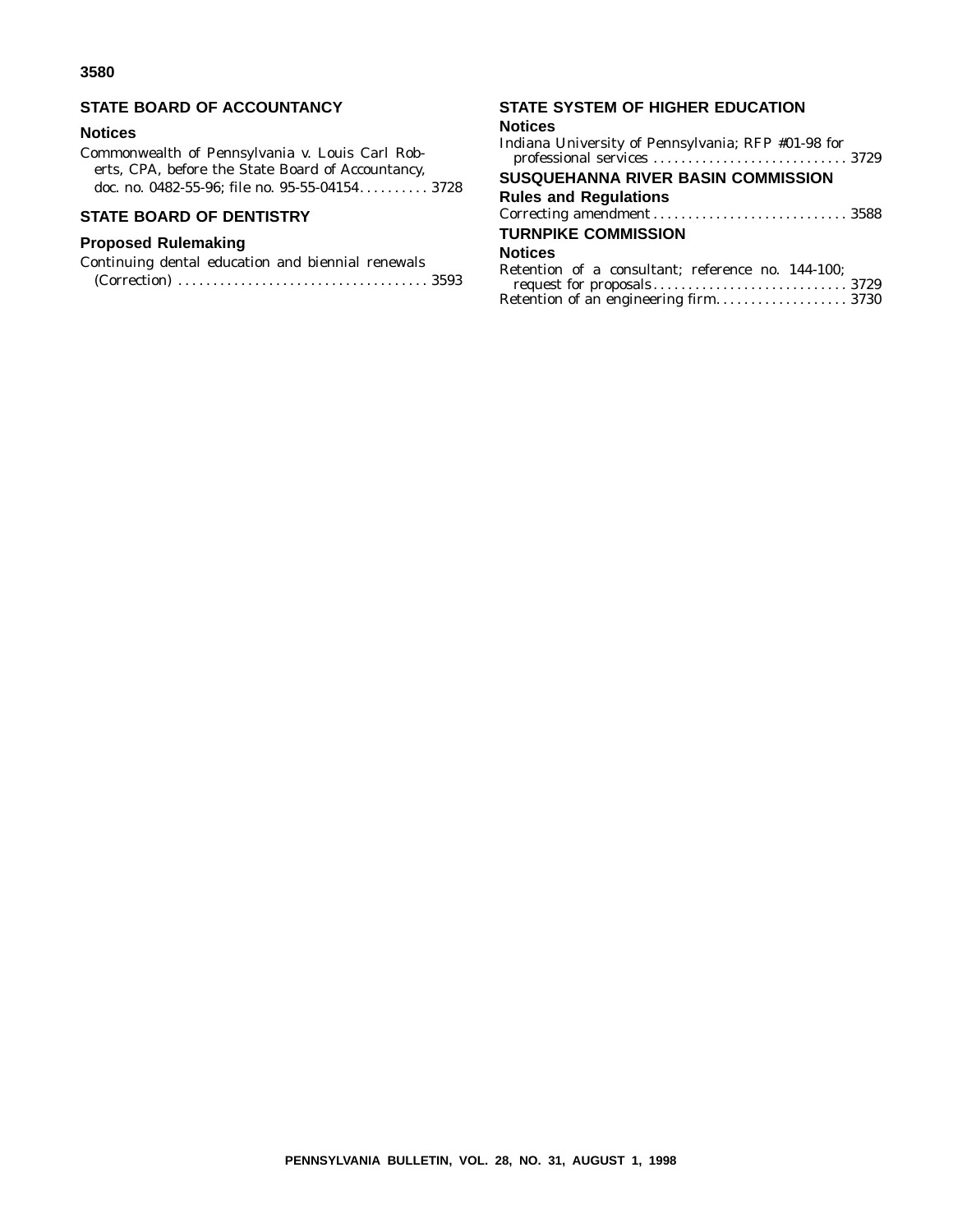# **STATE BOARD OF ACCOUNTANCY**

#### **Notices**

Commonwealth of Pennsylvania v. Louis Carl Roberts, CPA, before the State Board of Accountancy, doc. no. 0482-55-96; file no. 95-55-04154.......... 3728

# **STATE BOARD OF DENTISTRY**

# **Proposed Rulemaking**

| Continuing dental education and biennial renewals |  |  |  |
|---------------------------------------------------|--|--|--|
|                                                   |  |  |  |

# **STATE SYSTEM OF HIGHER EDUCATION**

#### **Notices**

| SUSQUEHANNA RIVER BASIN COMMISSION                |
|---------------------------------------------------|
| <b>Rules and Regulations</b>                      |
|                                                   |
| <b>TURNPIKE COMMISSION</b>                        |
| <b>Notices</b>                                    |
| Retention of a consultant; reference no. 144-100; |
| Retention of an engineering firm 3730             |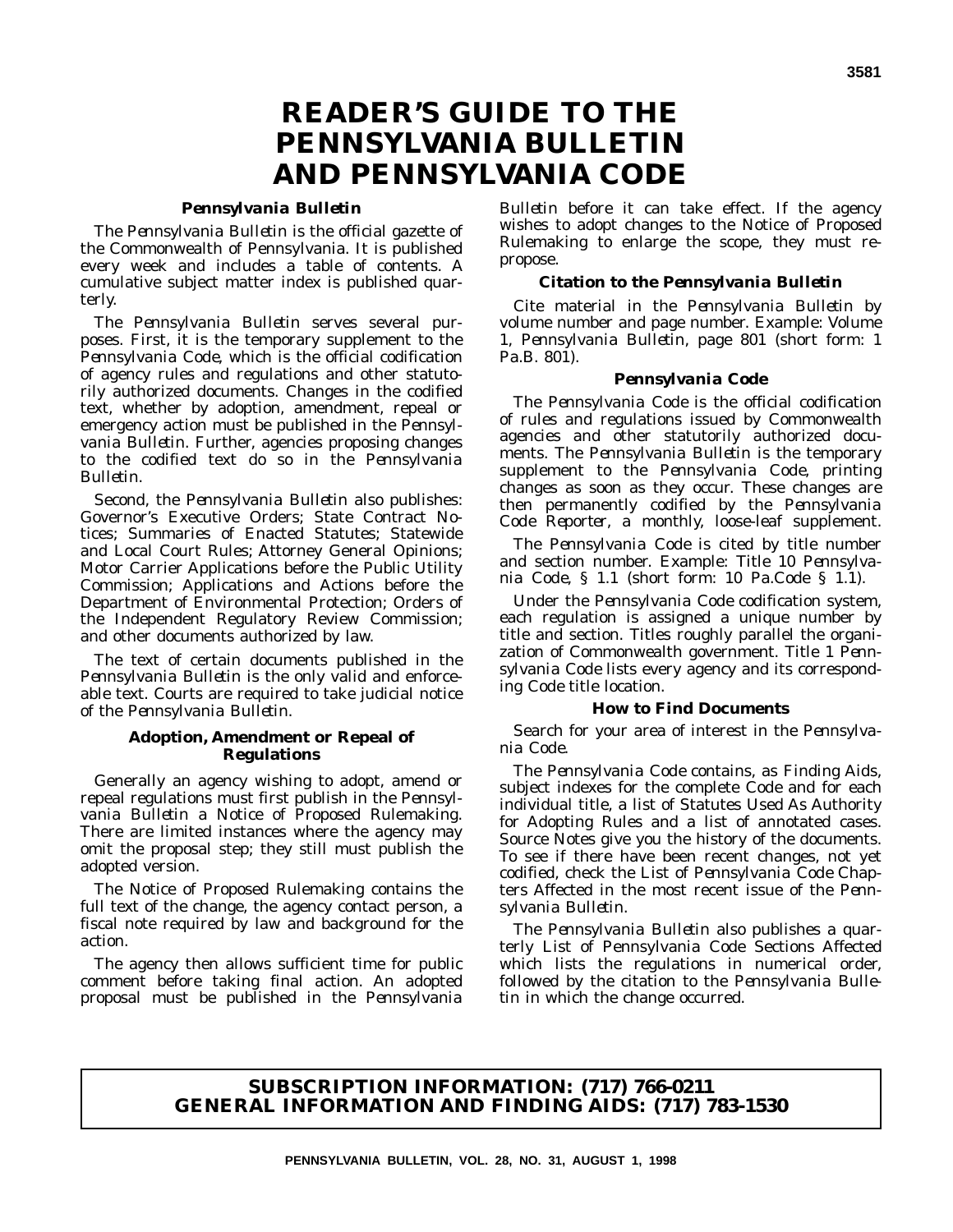# **READER'S GUIDE TO THE** *PENNSYLVANIA BULLETIN* **AND** *PENNSYLVANIA CODE*

#### *Pennsylvania Bulletin*

The *Pennsylvania Bulletin* is the official gazette of the Commonwealth of Pennsylvania. It is published every week and includes a table of contents. A cumulative subject matter index is published quarterly.

The *Pennsylvania Bulletin* serves several purposes. First, it is the temporary supplement to the *Pennsylvania Code*, which is the official codification of agency rules and regulations and other statutorily authorized documents. Changes in the codified text, whether by adoption, amendment, repeal or emergency action must be published in the *Pennsylvania Bulletin*. Further, agencies proposing changes to the codified text do so in the *Pennsylvania Bulletin*.

Second, the *Pennsylvania Bulletin* also publishes: Governor's Executive Orders; State Contract Notices; Summaries of Enacted Statutes; Statewide and Local Court Rules; Attorney General Opinions; Motor Carrier Applications before the Public Utility Commission; Applications and Actions before the Department of Environmental Protection; Orders of the Independent Regulatory Review Commission; and other documents authorized by law.

The text of certain documents published in the *Pennsylvania Bulletin* is the only valid and enforceable text. Courts are required to take judicial notice of the *Pennsylvania Bulletin*.

#### **Adoption, Amendment or Repeal of Regulations**

Generally an agency wishing to adopt, amend or repeal regulations must first publish in the *Pennsylvania Bulletin* a Notice of Proposed Rulemaking. There are limited instances where the agency may omit the proposal step; they still must publish the adopted version.

The Notice of Proposed Rulemaking contains the full text of the change, the agency contact person, a fiscal note required by law and background for the action.

The agency then allows sufficient time for public comment before taking final action. An adopted proposal must be published in the *Pennsylvania*

*Bulletin* before it can take effect. If the agency wishes to adopt changes to the Notice of Proposed Rulemaking to enlarge the scope, they must repropose.

#### **Citation to the** *Pennsylvania Bulletin*

Cite material in the *Pennsylvania Bulletin* by volume number and page number. Example: Volume 1, *Pennsylvania Bulletin*, page 801 (short form: 1 Pa.B. 801).

#### *Pennsylvania Code*

The *Pennsylvania Code* is the official codification of rules and regulations issued by Commonwealth agencies and other statutorily authorized documents. The *Pennsylvania Bulletin* is the temporary supplement to the *Pennsylvania Code*, printing changes as soon as they occur. These changes are then permanently codified by the *Pennsylvania Code Reporter*, a monthly, loose-leaf supplement.

The *Pennsylvania Code* is cited by title number and section number. Example: Title 10 *Pennsylvania Code*, § 1.1 (short form: 10 Pa.Code § 1.1).

Under the *Pennsylvania Code* codification system, each regulation is assigned a unique number by title and section. Titles roughly parallel the organization of Commonwealth government. Title 1 *Pennsylvania Code* lists every agency and its corresponding *Code* title location.

#### **How to Find Documents**

Search for your area of interest in the *Pennsylvania Code*.

The *Pennsylvania Code* contains, as Finding Aids, subject indexes for the complete *Code* and for each individual title, a list of Statutes Used As Authority for Adopting Rules and a list of annotated cases. Source Notes give you the history of the documents. To see if there have been recent changes, not yet codified, check the List of *Pennsylvania Code* Chapters Affected in the most recent issue of the *Pennsylvania Bulletin*.

The *Pennsylvania Bulletin* also publishes a quarterly List of Pennsylvania Code Sections Affected which lists the regulations in numerical order, followed by the citation to the *Pennsylvania Bulletin* in which the change occurred.

# **SUBSCRIPTION INFORMATION: (717) 766-0211 GENERAL INFORMATION AND FINDING AIDS: (717) 783-1530**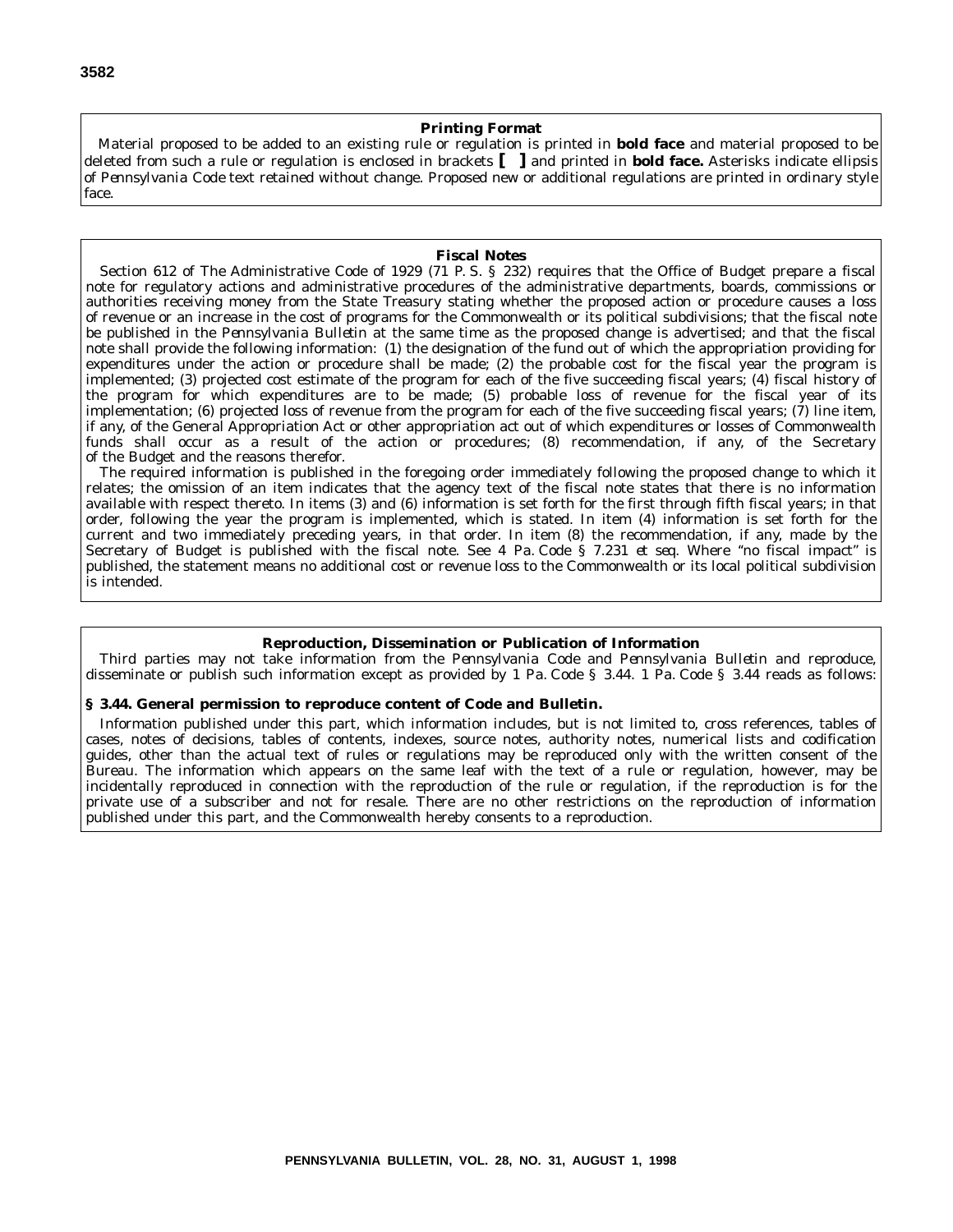#### **Printing Format**

Material proposed to be added to an existing rule or regulation is printed in **bold face** and material proposed to be deleted from such a rule or regulation is enclosed in brackets **[ ]** and printed in **bold face.** Asterisks indicate ellipsis of *Pennsylvania Code* text retained without change. Proposed new or additional regulations are printed in ordinary style face.

#### **Fiscal Notes**

Section 612 of The Administrative Code of 1929 (71 P. S. § 232) requires that the Office of Budget prepare a fiscal note for regulatory actions and administrative procedures of the administrative departments, boards, commissions or authorities receiving money from the State Treasury stating whether the proposed action or procedure causes a loss of revenue or an increase in the cost of programs for the Commonwealth or its political subdivisions; that the fiscal note be published in the *Pennsylvania Bulletin* at the same time as the proposed change is advertised; and that the fiscal note shall provide the following information: (1) the designation of the fund out of which the appropriation providing for expenditures under the action or procedure shall be made; (2) the probable cost for the fiscal year the program is implemented; (3) projected cost estimate of the program for each of the five succeeding fiscal years; (4) fiscal history of the program for which expenditures are to be made; (5) probable loss of revenue for the fiscal year of its implementation; (6) projected loss of revenue from the program for each of the five succeeding fiscal years; (7) line item, if any, of the General Appropriation Act or other appropriation act out of which expenditures or losses of Commonwealth funds shall occur as a result of the action or procedures; (8) recommendation, if any, of the Secretary of the Budget and the reasons therefor.

The required information is published in the foregoing order immediately following the proposed change to which it relates; the omission of an item indicates that the agency text of the fiscal note states that there is no information available with respect thereto. In items (3) and (6) information is set forth for the first through fifth fiscal years; in that order, following the year the program is implemented, which is stated. In item (4) information is set forth for the current and two immediately preceding years, in that order. In item (8) the recommendation, if any, made by the Secretary of Budget is published with the fiscal note. See 4 Pa. Code § 7.231 *et seq.* Where ''no fiscal impact'' is published, the statement means no additional cost or revenue loss to the Commonwealth or its local political subdivision is intended.

#### **Reproduction, Dissemination or Publication of Information**

Third parties may not take information from the *Pennsylvania Code* and *Pennsylvania Bulletin* and reproduce, disseminate or publish such information except as provided by 1 Pa. Code § 3.44. 1 Pa. Code § 3.44 reads as follows:

#### **§ 3.44. General permission to reproduce content of Code and Bulletin.**

Information published under this part, which information includes, but is not limited to, cross references, tables of cases, notes of decisions, tables of contents, indexes, source notes, authority notes, numerical lists and codification guides, other than the actual text of rules or regulations may be reproduced only with the written consent of the Bureau. The information which appears on the same leaf with the text of a rule or regulation, however, may be incidentally reproduced in connection with the reproduction of the rule or regulation, if the reproduction is for the private use of a subscriber and not for resale. There are no other restrictions on the reproduction of information published under this part, and the Commonwealth hereby consents to a reproduction.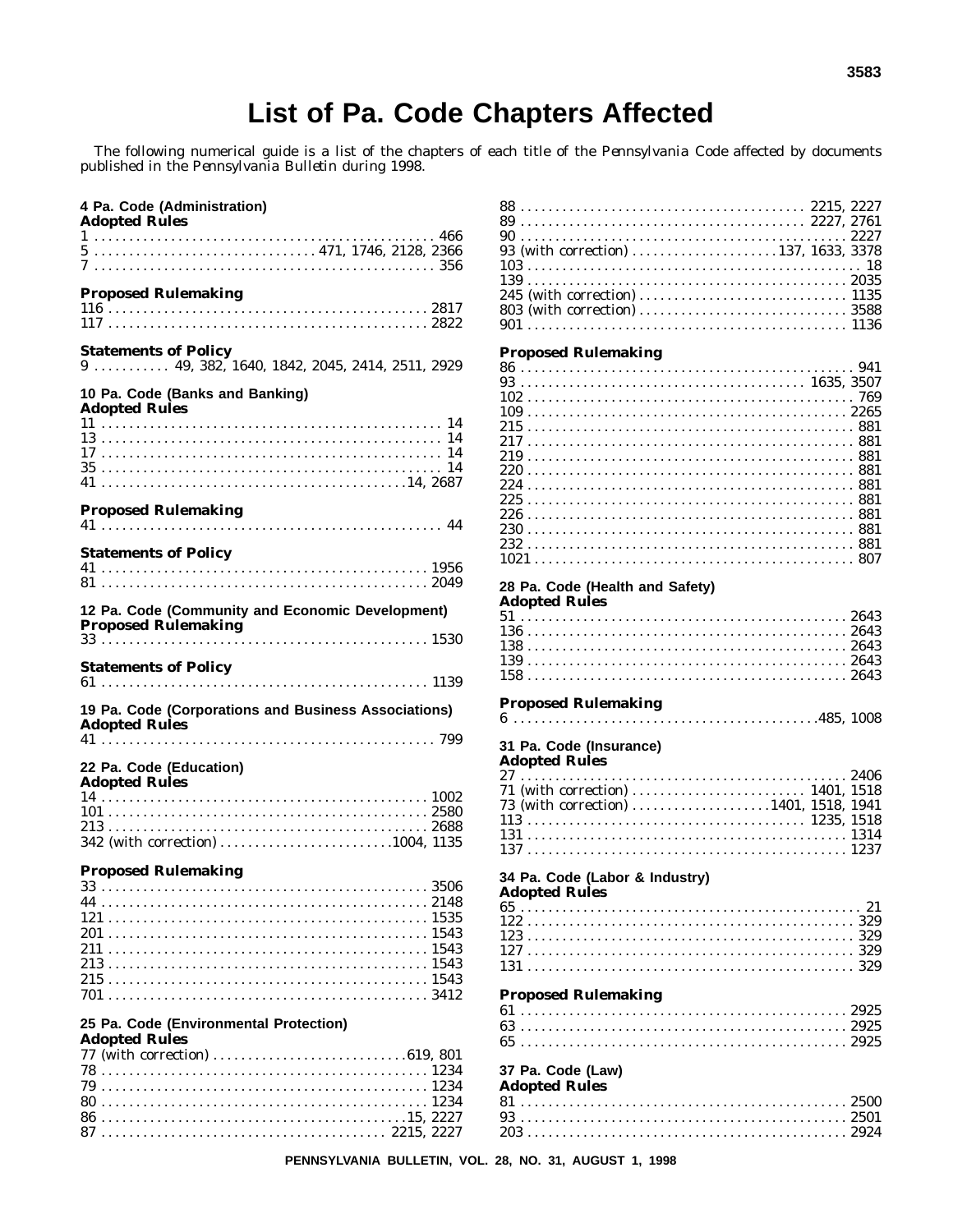# List of Pa. Code Chapters Affected

The following numerical guide is a list of the chapters of each title of the *Pennsylvania Code* affected by documents published in the *Pennsylvania Bulletin* during 1998.

| 4 Pa. Code (Administration)<br><b>Adopted Rules</b>                                   |
|---------------------------------------------------------------------------------------|
|                                                                                       |
| <b>Proposed Rulemaking</b>                                                            |
|                                                                                       |
| <b>Statements of Policy</b><br>$9 \ldots$ 49, 382, 1640, 1842, 2045, 2414, 2511, 2929 |
| 10 Pa. Code (Banks and Banking)<br><b>Adopted Rules</b>                               |
|                                                                                       |
|                                                                                       |
|                                                                                       |
|                                                                                       |
| <b>Proposed Rulemaking</b>                                                            |
|                                                                                       |
| <b>Statements of Policy</b>                                                           |
|                                                                                       |
| 12 Pa. Code (Community and Economic Development)                                      |
| <b>Statements of Policy</b>                                                           |
| 19 Pa. Code (Corporations and Business Associations)<br><b>Adopted Rules</b>          |
| 22 Pa. Code (Education)<br><b>Adopted Rules</b>                                       |
|                                                                                       |
|                                                                                       |
|                                                                                       |
| <b>Proposed Rulemaking</b>                                                            |
| 33                                                                                    |
|                                                                                       |
|                                                                                       |
|                                                                                       |
|                                                                                       |
|                                                                                       |
| 25 Pa. Code (Environmental Protection)                                                |
| <b>Adopted Rules</b>                                                                  |
|                                                                                       |
|                                                                                       |
|                                                                                       |
|                                                                                       |

| 93 (with correction) 137, 1633, 3378  |    |
|---------------------------------------|----|
|                                       | 18 |
|                                       |    |
|                                       |    |
|                                       |    |
|                                       |    |
|                                       |    |
|                                       |    |
|                                       |    |
| <b>Proposed Rulemaking</b>            |    |
|                                       |    |
|                                       |    |
|                                       |    |
|                                       |    |
|                                       |    |
|                                       |    |
|                                       |    |
|                                       |    |
|                                       |    |
|                                       |    |
|                                       |    |
|                                       |    |
|                                       |    |
|                                       |    |
|                                       |    |
|                                       |    |
|                                       |    |
|                                       |    |
|                                       |    |
|                                       |    |
|                                       |    |
| 28 Pa. Code (Health and Safety)       |    |
| <b>Adopted Rules</b>                  |    |
|                                       |    |
|                                       |    |
|                                       |    |
|                                       |    |
|                                       |    |
|                                       |    |
|                                       |    |
|                                       |    |
|                                       |    |
|                                       |    |
| <b>Proposed Rulemaking</b>            |    |
|                                       |    |
|                                       |    |
|                                       |    |
| 31 Pa. Code (Insurance)               |    |
|                                       |    |
| <b>Adopted Rules</b>                  |    |
|                                       |    |
| 71 (with correction)  1401, 1518      |    |
|                                       |    |
| 73 (with correction) 1401, 1518, 1941 |    |
|                                       |    |
|                                       |    |
|                                       |    |
|                                       |    |
|                                       |    |
| 34 Pa. Code (Labor & Industry)        |    |
| <b>Adopted Rules</b>                  |    |
|                                       |    |
|                                       |    |
|                                       |    |
|                                       |    |
|                                       |    |
|                                       |    |
|                                       |    |
|                                       |    |
|                                       |    |
| <b>Proposed Rulemaking</b>            |    |
|                                       |    |
|                                       |    |
|                                       |    |
|                                       |    |
|                                       |    |
|                                       |    |
| 37 Pa. Code (Law)                     |    |
| <b>Adopted Rules</b>                  |    |
|                                       |    |
|                                       |    |
|                                       |    |

PENNSYLVANIA BULLETIN, VOL. 28, NO. 31, AUGUST 1, 1998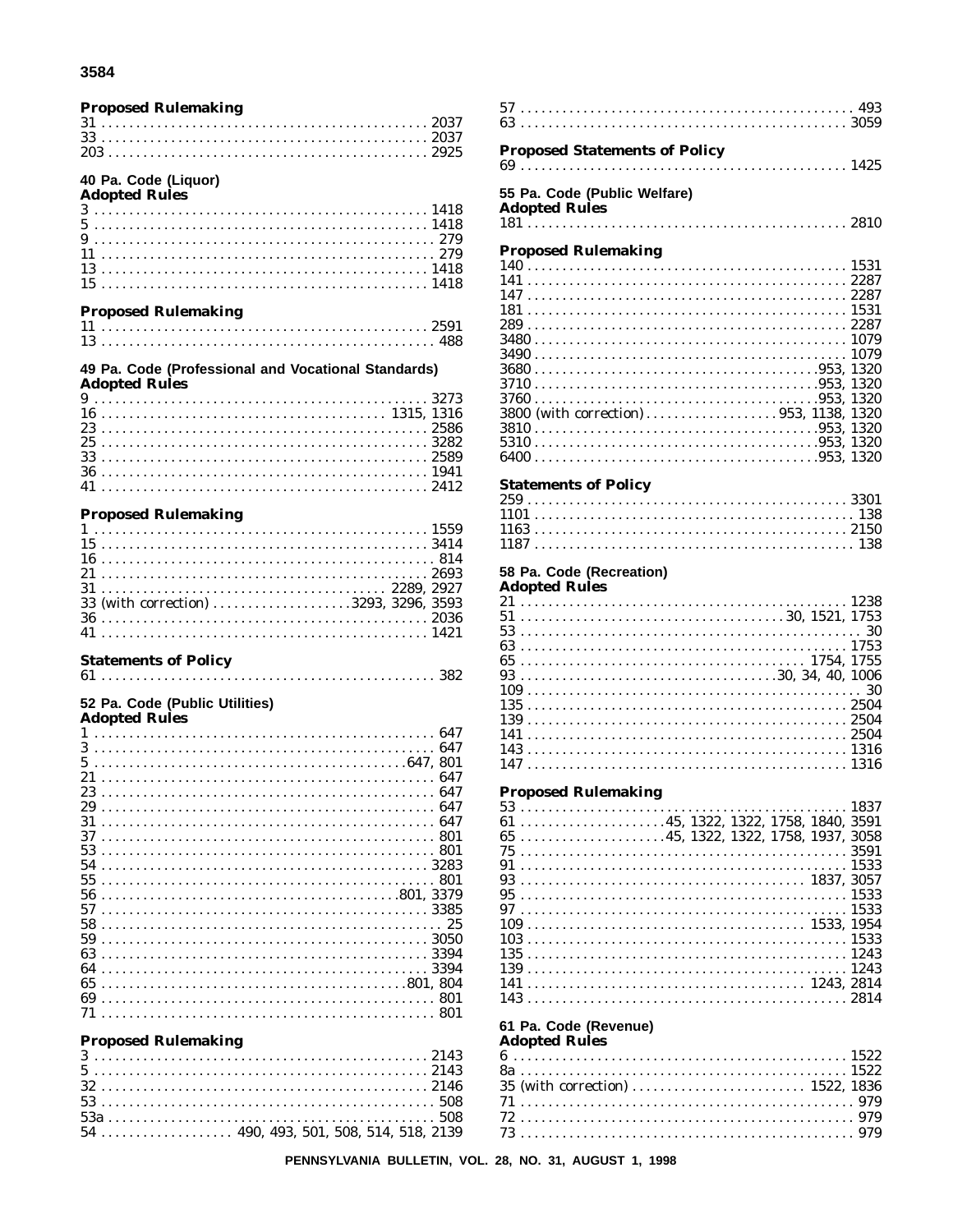#### 3584

# **Proposed Rulemaking** 40 Pa. Code (Liquor)<br>Adopted Rules

| Auvpteu ivules |  |  |  |  |  |  |  |  |  |  |  |  |  |  |  |  |  |  |  |  |  |  |  |  |  |
|----------------|--|--|--|--|--|--|--|--|--|--|--|--|--|--|--|--|--|--|--|--|--|--|--|--|--|
|                |  |  |  |  |  |  |  |  |  |  |  |  |  |  |  |  |  |  |  |  |  |  |  |  |  |
|                |  |  |  |  |  |  |  |  |  |  |  |  |  |  |  |  |  |  |  |  |  |  |  |  |  |
|                |  |  |  |  |  |  |  |  |  |  |  |  |  |  |  |  |  |  |  |  |  |  |  |  |  |
|                |  |  |  |  |  |  |  |  |  |  |  |  |  |  |  |  |  |  |  |  |  |  |  |  |  |
|                |  |  |  |  |  |  |  |  |  |  |  |  |  |  |  |  |  |  |  |  |  |  |  |  |  |
|                |  |  |  |  |  |  |  |  |  |  |  |  |  |  |  |  |  |  |  |  |  |  |  |  |  |
|                |  |  |  |  |  |  |  |  |  |  |  |  |  |  |  |  |  |  |  |  |  |  |  |  |  |

### **Proposed Rulemaking**

#### 49 Pa. Code (Professional and Vocational Standards) **Adopted Rules**

### **Proposed Rulemaking**

|  |  |  |  |  |  |  |  |  |  |  |  |  |  |  |  |  |  |  |  |  |  |  |  | 33 (with correction) 3293, 3296, 3593 |  |
|--|--|--|--|--|--|--|--|--|--|--|--|--|--|--|--|--|--|--|--|--|--|--|--|---------------------------------------|--|
|  |  |  |  |  |  |  |  |  |  |  |  |  |  |  |  |  |  |  |  |  |  |  |  |                                       |  |
|  |  |  |  |  |  |  |  |  |  |  |  |  |  |  |  |  |  |  |  |  |  |  |  |                                       |  |

### **Statements of Policy**

 $61$  . . . . . . . . . . . . 

## 52 Pa. Code (Public Utilities)

| Adopted Rules |  |  |  |  |  |  |  |  |  |  |  |  |  |  |  |  |  |  |  |  |  |  |  |      |
|---------------|--|--|--|--|--|--|--|--|--|--|--|--|--|--|--|--|--|--|--|--|--|--|--|------|
|               |  |  |  |  |  |  |  |  |  |  |  |  |  |  |  |  |  |  |  |  |  |  |  | 647  |
| 3             |  |  |  |  |  |  |  |  |  |  |  |  |  |  |  |  |  |  |  |  |  |  |  | 647  |
| 5             |  |  |  |  |  |  |  |  |  |  |  |  |  |  |  |  |  |  |  |  |  |  |  |      |
| 21            |  |  |  |  |  |  |  |  |  |  |  |  |  |  |  |  |  |  |  |  |  |  |  | 647  |
| 23            |  |  |  |  |  |  |  |  |  |  |  |  |  |  |  |  |  |  |  |  |  |  |  | 647  |
| 29            |  |  |  |  |  |  |  |  |  |  |  |  |  |  |  |  |  |  |  |  |  |  |  | 647  |
| 31            |  |  |  |  |  |  |  |  |  |  |  |  |  |  |  |  |  |  |  |  |  |  |  | 647  |
| 37            |  |  |  |  |  |  |  |  |  |  |  |  |  |  |  |  |  |  |  |  |  |  |  | 801  |
| 53            |  |  |  |  |  |  |  |  |  |  |  |  |  |  |  |  |  |  |  |  |  |  |  | -801 |
| 54            |  |  |  |  |  |  |  |  |  |  |  |  |  |  |  |  |  |  |  |  |  |  |  |      |
| 55            |  |  |  |  |  |  |  |  |  |  |  |  |  |  |  |  |  |  |  |  |  |  |  | 801  |
| 56            |  |  |  |  |  |  |  |  |  |  |  |  |  |  |  |  |  |  |  |  |  |  |  |      |
| 57            |  |  |  |  |  |  |  |  |  |  |  |  |  |  |  |  |  |  |  |  |  |  |  |      |
| 58            |  |  |  |  |  |  |  |  |  |  |  |  |  |  |  |  |  |  |  |  |  |  |  |      |
| 59            |  |  |  |  |  |  |  |  |  |  |  |  |  |  |  |  |  |  |  |  |  |  |  |      |
| 63            |  |  |  |  |  |  |  |  |  |  |  |  |  |  |  |  |  |  |  |  |  |  |  | 3394 |
| 64            |  |  |  |  |  |  |  |  |  |  |  |  |  |  |  |  |  |  |  |  |  |  |  |      |
| 65            |  |  |  |  |  |  |  |  |  |  |  |  |  |  |  |  |  |  |  |  |  |  |  |      |
| 69            |  |  |  |  |  |  |  |  |  |  |  |  |  |  |  |  |  |  |  |  |  |  |  | 801  |
|               |  |  |  |  |  |  |  |  |  |  |  |  |  |  |  |  |  |  |  |  |  |  |  | 801  |
|               |  |  |  |  |  |  |  |  |  |  |  |  |  |  |  |  |  |  |  |  |  |  |  |      |

### **Proposed Rulemaking**

#### **Proposed Statements of Policy** 55 Pa. Code (Public Welfare) **Adopted Rules Proposed Rulemaking**  $2700$

| 3800 (with correction)953, 1138, 1320 |  |
|---------------------------------------|--|
|                                       |  |
|                                       |  |
|                                       |  |

#### **Statements of Policy**

# 58 Pa. Code (Recreation)

### **Adopted Rules**

a caracter

#### **Proposed Rulemaking**

| $61$ 45, 1322, 1322, 1758, 1840, 3591 |  |  |  |  |  |  |  |  |  |  |  |  |  |  |  |  |  |  |  |  |  |
|---------------------------------------|--|--|--|--|--|--|--|--|--|--|--|--|--|--|--|--|--|--|--|--|--|
| $65$ 45, 1322, 1322, 1758, 1937, 3058 |  |  |  |  |  |  |  |  |  |  |  |  |  |  |  |  |  |  |  |  |  |
|                                       |  |  |  |  |  |  |  |  |  |  |  |  |  |  |  |  |  |  |  |  |  |
|                                       |  |  |  |  |  |  |  |  |  |  |  |  |  |  |  |  |  |  |  |  |  |
|                                       |  |  |  |  |  |  |  |  |  |  |  |  |  |  |  |  |  |  |  |  |  |
|                                       |  |  |  |  |  |  |  |  |  |  |  |  |  |  |  |  |  |  |  |  |  |
|                                       |  |  |  |  |  |  |  |  |  |  |  |  |  |  |  |  |  |  |  |  |  |
|                                       |  |  |  |  |  |  |  |  |  |  |  |  |  |  |  |  |  |  |  |  |  |
|                                       |  |  |  |  |  |  |  |  |  |  |  |  |  |  |  |  |  |  |  |  |  |
|                                       |  |  |  |  |  |  |  |  |  |  |  |  |  |  |  |  |  |  |  |  |  |
|                                       |  |  |  |  |  |  |  |  |  |  |  |  |  |  |  |  |  |  |  |  |  |
|                                       |  |  |  |  |  |  |  |  |  |  |  |  |  |  |  |  |  |  |  |  |  |
|                                       |  |  |  |  |  |  |  |  |  |  |  |  |  |  |  |  |  |  |  |  |  |

# 61 Pa. Code (Revenue)

| Auopteu Kules |  |
|---------------|--|
|               |  |
|               |  |
|               |  |
|               |  |
|               |  |
|               |  |
|               |  |

 $\overline{1}$  .  $\overline{1}$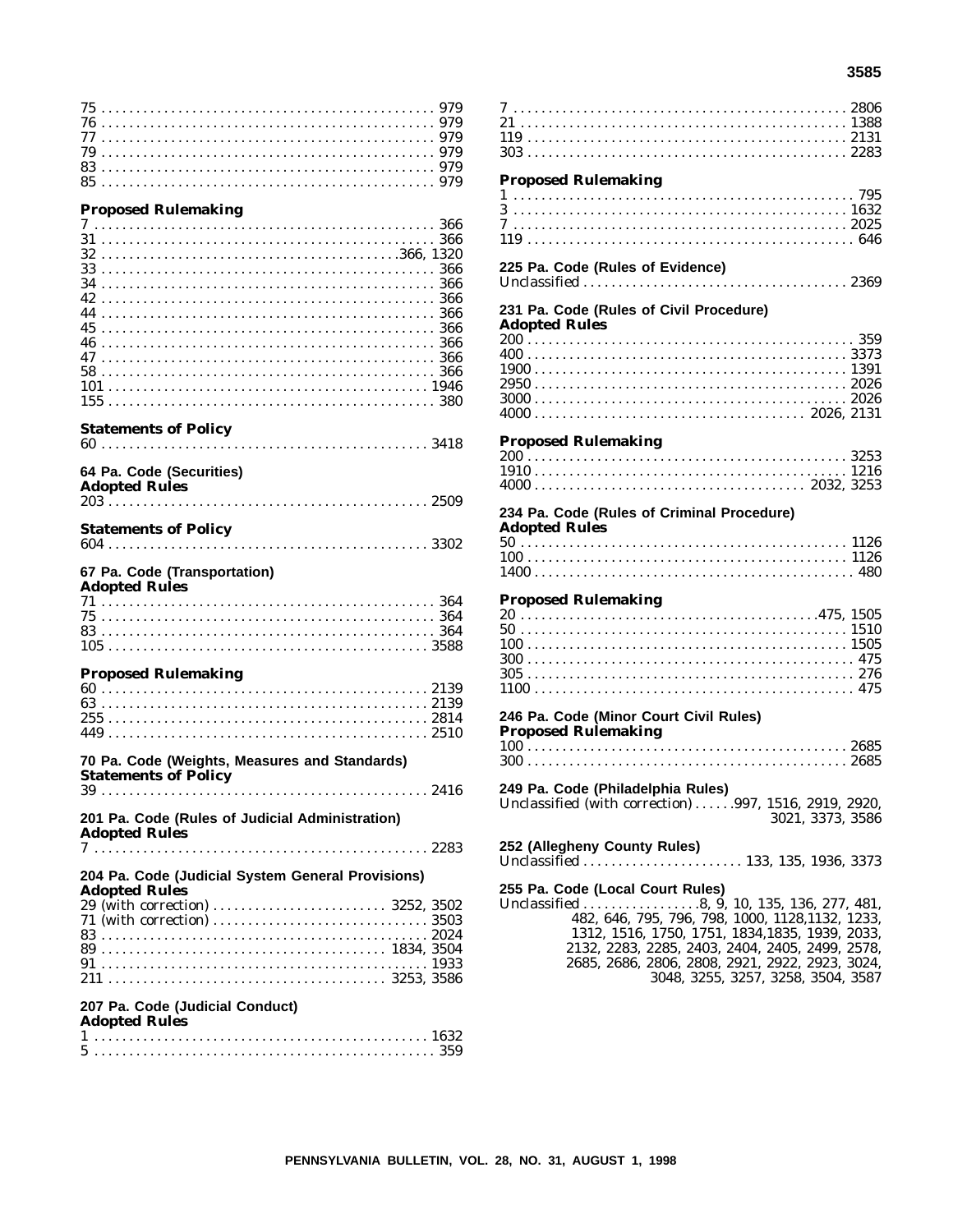$0.00$ 

### **Proposed Rulemaking**

#### **Statements of Policy**

|  | Adamtad Dulas | 64 Pa. Code (Securities) |  |  |
|--|---------------|--------------------------|--|--|

| Auopteu Kuies |  |  |  |  |  |  |  |  |  |  |  |  |  |  |  |  |  |  |  |  |  |  |  |  |  |  |
|---------------|--|--|--|--|--|--|--|--|--|--|--|--|--|--|--|--|--|--|--|--|--|--|--|--|--|--|
|               |  |  |  |  |  |  |  |  |  |  |  |  |  |  |  |  |  |  |  |  |  |  |  |  |  |  |

| <b>Statements of Policy</b> |  |
|-----------------------------|--|
|                             |  |

# 67 Pa. Code (Transportation)<br>Adopted Rules

| Auopteu Ruies |  |  |  |  |  |  |  |  |  |  |  |  |  |  |  |  |  |  |  |  |
|---------------|--|--|--|--|--|--|--|--|--|--|--|--|--|--|--|--|--|--|--|--|
|               |  |  |  |  |  |  |  |  |  |  |  |  |  |  |  |  |  |  |  |  |
|               |  |  |  |  |  |  |  |  |  |  |  |  |  |  |  |  |  |  |  |  |
|               |  |  |  |  |  |  |  |  |  |  |  |  |  |  |  |  |  |  |  |  |
|               |  |  |  |  |  |  |  |  |  |  |  |  |  |  |  |  |  |  |  |  |

### **Proposed Rulemaking**

#### 70 Pa. Code (Weights, Measures and Standards) **Statements of Policy**

#### 201 Pa. Code (Rules of Judicial Administration) **Adopted Rules**

# 204 Pa. Code (Judicial System General Provisions) **Adopted Rules**

207 Pa. Code (Judicial Conduct)

#### **Adopted Rules**

| <b>Proposed Rulemaking</b>                                                                                     |
|----------------------------------------------------------------------------------------------------------------|
| 225 Pa. Code (Rules of Evidence)<br>231 Pa. Code (Rules of Civil Procedure)                                    |
| <b>Adopted Rules</b>                                                                                           |
| <b>Proposed Rulemaking</b>                                                                                     |
| 234 Pa. Code (Rules of Criminal Procedure)<br><b>Adopted Rules</b>                                             |
| <b>Proposed Rulemaking</b>                                                                                     |
| 246 Pa. Code (Minor Court Civil Rules)                                                                         |
| 249 Pa. Code (Philadelphia Rules)<br>Unclassified (with correction) 997, 1516, 2919, 2920,<br>3021, 3373, 3586 |
| 252 (Allegheny County Rules)<br>Unclassified 133, 135, 1936, 3373                                              |
| 255 Pa. Code (Local Court Rules)                                                                               |

1312, 1516, 1750, 1751, 1834, 1835, 1939, 2033, 2132, 2283, 2285, 2403, 2404, 2405, 2499, 2578, 2685, 2686, 2806, 2808, 2921, 2922, 2923, 3024, 3048, 3255, 3257, 3258, 3504, 3587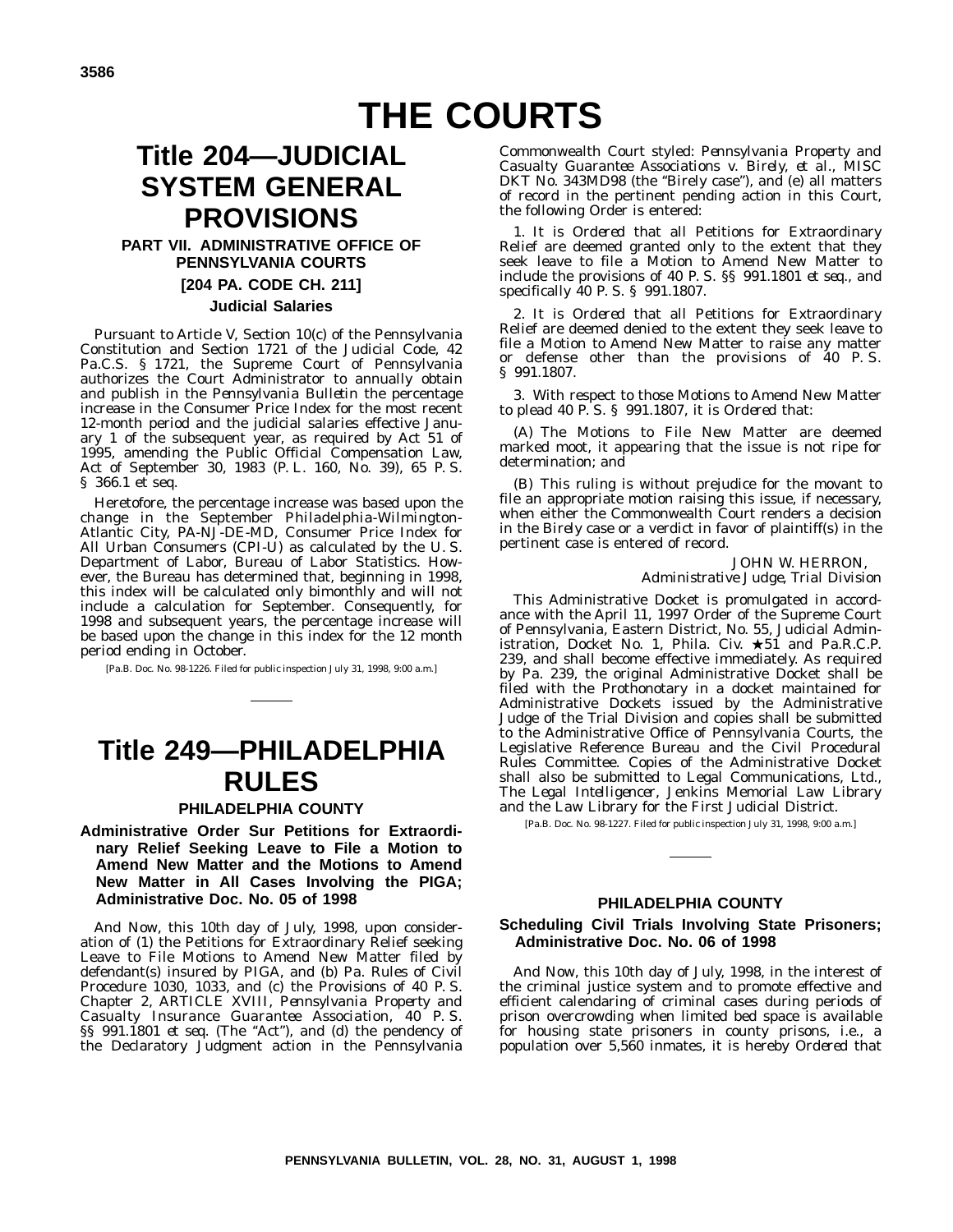# **THE COURTS**

# **Title 204—JUDICIAL SYSTEM GENERAL PROVISIONS**

# **PART VII. ADMINISTRATIVE OFFICE OF PENNSYLVANIA COURTS [204 PA. CODE CH. 211]**

# **Judicial Salaries**

Pursuant to Article V, Section 10(c) of the Pennsylvania Constitution and Section 1721 of the Judicial Code, 42 Pa.C.S. § 1721, the Supreme Court of Pennsylvania authorizes the Court Administrator to annually obtain and publish in the *Pennsylvania Bulletin* the percentage increase in the Consumer Price Index for the most recent 12-month period and the judicial salaries effective January 1 of the subsequent year, as required by Act 51 of 1995, amending the Public Official Compensation Law, Act of September 30, 1983 (P. L. 160, No. 39), 65 P. S. § 366.1 et seq.

Heretofore, the percentage increase was based upon the change in the September Philadelphia-Wilmington-Atlantic City, PA-NJ-DE-MD, Consumer Price Index for All Urban Consumers (CPI-U) as calculated by the U. S. Department of Labor, Bureau of Labor Statistics. However, the Bureau has determined that, beginning in 1998, this index will be calculated only bimonthly and will not include a calculation for September. Consequently, for 1998 and subsequent years, the percentage increase will be based upon the change in this index for the 12 month period ending in October.

[Pa.B. Doc. No. 98-1226. Filed for public inspection July 31, 1998, 9:00 a.m.]

# **Title 249—PHILADELPHIA RULES**

#### **PHILADELPHIA COUNTY**

#### **Administrative Order Sur Petitions for Extraordinary Relief Seeking Leave to File a Motion to Amend New Matter and the Motions to Amend New Matter in All Cases Involving the PIGA; Administrative Doc. No. 05 of 1998**

*And Now*, this 10th day of July, 1998, upon consideration of (1) the Petitions for Extraordinary Relief seeking Leave to File Motions to Amend New Matter filed by defendant(s) insured by PIGA, and (b) Pa. Rules of Civil Procedure 1030, 1033, and (c) the Provisions of 40 P. S. Chapter 2, ARTICLE XVIII, *Pennsylvania Property and Casualty Insurance Guarantee Association*, 40 P. S. §§ 991.1801 *et seq.* (The "Act"), and (d) the pendency of the Declaratory Judgment action in the Pennsylvania

Commonwealth Court styled: *Pennsylvania Property and Casualty Guarantee Associations v. Birely, et al*., MISC DKT No. 343MD98 (the "Birely case"), and (e) all matters of record in the pertinent pending action in this Court, the following Order is entered:

1. It is *Ordered* that all Petitions for Extraordinary Relief are deemed granted only to the extent that they seek leave to file a Motion to Amend New Matter to include the provisions of 40 P. S. §§ 991.1801 *et seq*., and specifically 40 P. S. § 991.1807.

2. It is *Ordered* that all Petitions for Extraordinary Relief are deemed denied to the extent they seek leave to file a Motion to Amend New Matter to raise any matter or defense other than the provisions of 40 P. S. § 991.1807.

3. With respect to those Motions to Amend New Matter to plead 40 P. S. § 991.1807, it is *Ordered* that:

(A) The Motions to File New Matter are deemed marked moot, it appearing that the issue is not ripe for determination; and

(B) This ruling is without prejudice for the movant to file an appropriate motion raising this issue, if necessary, when either the Commonwealth Court renders a decision in the *Birely* case or a verdict in favor of plaintiff(s) in the pertinent case is entered of record.

> JOHN W. HERRON, *Administrative Judge, Trial Division*

This Administrative Docket is promulgated in accordance with the April 11, 1997 Order of the Supreme Court of Pennsylvania, Eastern District, No. 55, Judicial Administration, Docket No. 1, Phila. Civ.  $\star 51$  and Pa.R.C.P. 239, and shall become effective immediately. As required by Pa. 239, the original Administrative Docket shall be filed with the Prothonotary in a docket maintained for Administrative Dockets issued by the Administrative Judge of the Trial Division and copies shall be submitted to the Administrative Office of Pennsylvania Courts, the Legislative Reference Bureau and the Civil Procedural Rules Committee. Copies of the Administrative Docket shall also be submitted to Legal Communications, Ltd., *The Legal Intelligencer*, Jenkins Memorial Law Library and the Law Library for the First Judicial District.

[Pa.B. Doc. No. 98-1227. Filed for public inspection July 31, 1998, 9:00 a.m.]

#### **PHILADELPHIA COUNTY**

#### **Scheduling Civil Trials Involving State Prisoners; Administrative Doc. No. 06 of 1998**

*And Now*, this 10th day of July, 1998, in the interest of the criminal justice system and to promote effective and efficient calendaring of criminal cases during periods of prison overcrowding when limited bed space is available for housing state prisoners in county prisons, i.e., a population over 5,560 inmates, it is hereby *Ordered* that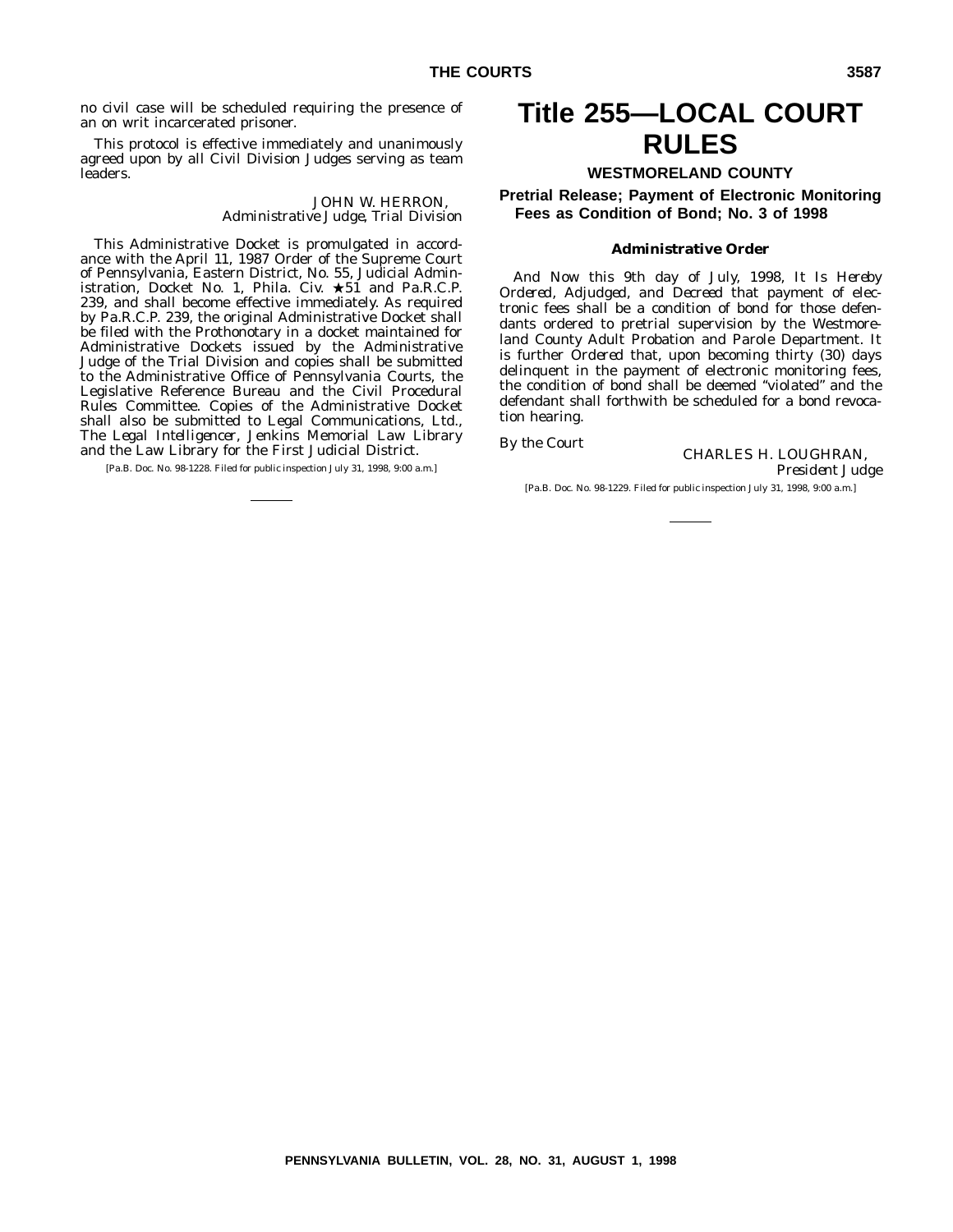no civil case will be scheduled requiring the presence of an on writ incarcerated prisoner.

This protocol is effective immediately and unanimously agreed upon by all Civil Division Judges serving as team leaders.

> JOHN W. HERRON, *Administrative Judge, Trial Division*

This Administrative Docket is promulgated in accordance with the April 11, 1987 Order of the Supreme Court of Pennsylvania, Eastern District, No. 55, Judicial Administration, Docket No. 1, Phila. Civ.  $\star 51$  and Pa.R.C.P. 239, and shall become effective immediately. As required by Pa.R.C.P. 239, the original Administrative Docket shall be filed with the Prothonotary in a docket maintained for Administrative Dockets issued by the Administrative Judge of the Trial Division and copies shall be submitted to the Administrative Office of Pennsylvania Courts, the Legislative Reference Bureau and the Civil Procedural Rules Committee. Copies of the Administrative Docket shall also be submitted to Legal Communications, Ltd., *The Legal Intelligencer*, Jenkins Memorial Law Library and the Law Library for the First Judicial District.

[Pa.B. Doc. No. 98-1228. Filed for public inspection July 31, 1998, 9:00 a.m.]

# **Title 255—LOCAL COURT RULES**

#### **WESTMORELAND COUNTY**

**Pretrial Release; Payment of Electronic Monitoring Fees as Condition of Bond; No. 3 of 1998**

#### **Administrative Order**

*And Now* this 9th day of July, 1998, *It Is Hereby Ordered, Adjudged, and Decreed* that payment of electronic fees shall be a condition of bond for those defendants ordered to pretrial supervision by the Westmoreland County Adult Probation and Parole Department. It is further *Ordered* that, upon becoming thirty (30) days delinquent in the payment of electronic monitoring fees, the condition of bond shall be deemed ''violated'' and the defendant shall forthwith be scheduled for a bond revocation hearing.

*By the Court* **CHARLES H. LOUGHRAN,** *President Judge*

[Pa.B. Doc. No. 98-1229. Filed for public inspection July 31, 1998, 9:00 a.m.]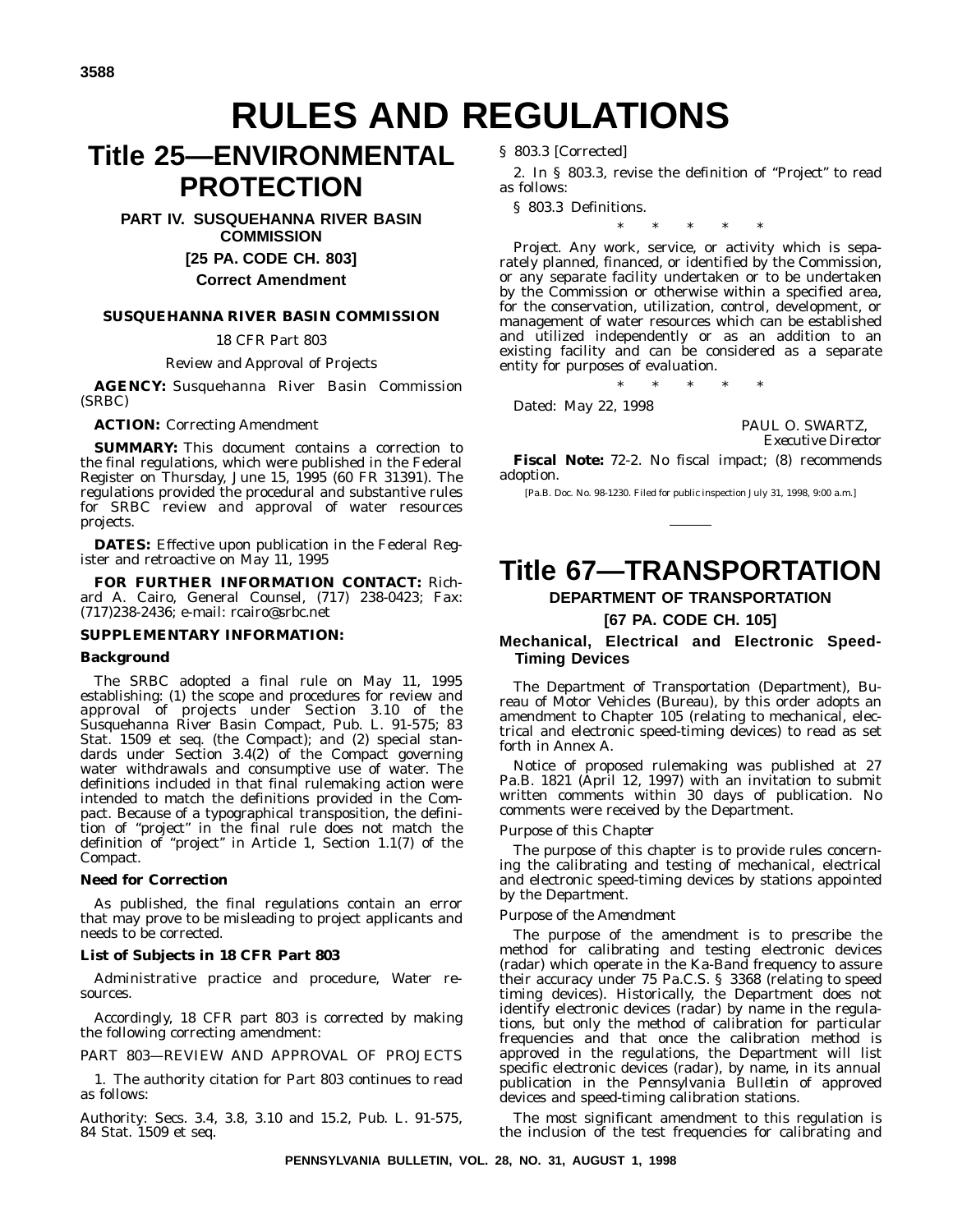# **RULES AND REGULATIONS**

# **Title 25—ENVIRONMENTAL PROTECTION**

**PART IV. SUSQUEHANNA RIVER BASIN COMMISSION**

**[25 PA. CODE CH. 803]**

# **Correct Amendment**

### **SUSQUEHANNA RIVER BASIN COMMISSION**

18 CFR Part 803

Review and Approval of Projects

**AGENCY:** Susquehanna River Basin Commission (SRBC)

**ACTION:** Correcting Amendment

**SUMMARY:** This document contains a correction to the final regulations, which were published in the Federal Register on Thursday, June 15, 1995 (60 FR 31391). The regulations provided the procedural and substantive rules for SRBC review and approval of water resources projects.

**DATES:** Effective upon publication in the Federal Register and retroactive on May 11, 1995

**FOR FURTHER INFORMATION CONTACT:** Richard A. Cairo, General Counsel, (717) 238-0423; Fax: (717)238-2436; e-mail: rcairo@srbc.net

#### **SUPPLEMENTARY INFORMATION:**

#### **Background**

The SRBC adopted a final rule on May 11, 1995 establishing: (1) the scope and procedures for review and approval of projects under Section 3.10 of the Susquehanna River Basin Compact, Pub. L. 91-575; 83 Stat. 1509 et seq. (the Compact); and (2) special standards under Section 3.4(2) of the Compact governing water withdrawals and consumptive use of water. The definitions included in that final rulemaking action were intended to match the definitions provided in the Compact. Because of a typographical transposition, the definition of ''project'' in the final rule does not match the definition of ''project'' in Article 1, Section 1.1(7) of the Compact.

#### **Need for Correction**

As published, the final regulations contain an error that may prove to be misleading to project applicants and needs to be corrected.

#### **List of Subjects in 18 CFR Part 803**

Administrative practice and procedure, Water resources.

Accordingly, 18 CFR part 803 is corrected by making the following correcting amendment:

PART 803—REVIEW AND APPROVAL OF PROJECTS

1. The authority citation for Part 803 continues to read as follows:

Authority: Secs. 3.4, 3.8, 3.10 and 15.2, Pub. L. 91-575, 84 Stat. 1509 et seq.

§ 803.3 [Corrected]

2. In § 803.3, revise the definition of ''Project'' to read as follows:

§ 803.3 Definitions.

\*\*\*\*\*

*Project.* Any work, service, or activity which is separately planned, financed, or identified by the Commission, or any separate facility undertaken or to be undertaken by the Commission or otherwise within a specified area, for the conservation, utilization, control, development, or management of water resources which can be established and utilized independently or as an addition to an existing facility and can be considered as a separate entity for purposes of evaluation.

\*\*\*\*\*

Dated: May 22, 1998

PAUL O. SWARTZ, *Executive Director*

**Fiscal Note:** 72-2. No fiscal impact; (8) recommends adoption.

[Pa.B. Doc. No. 98-1230. Filed for public inspection July 31, 1998, 9:00 a.m.]

# **Title 67—TRANSPORTATION**

# **DEPARTMENT OF TRANSPORTATION**

#### **[67 PA. CODE CH. 105]**

#### **Mechanical, Electrical and Electronic Speed-Timing Devices**

The Department of Transportation (Department), Bureau of Motor Vehicles (Bureau), by this order adopts an amendment to Chapter 105 (relating to mechanical, electrical and electronic speed-timing devices) to read as set forth in Annex A.

Notice of proposed rulemaking was published at 27 Pa.B. 1821 (April 12, 1997) with an invitation to submit written comments within 30 days of publication. No comments were received by the Department.

#### *Purpose of this Chapter*

The purpose of this chapter is to provide rules concerning the calibrating and testing of mechanical, electrical and electronic speed-timing devices by stations appointed by the Department.

#### *Purpose of the Amendment*

The purpose of the amendment is to prescribe the method for calibrating and testing electronic devices (radar) which operate in the Ka-Band frequency to assure their accuracy under 75 Pa.C.S. § 3368 (relating to speed timing devices). Historically, the Department does not identify electronic devices (radar) by name in the regulations, but only the method of calibration for particular frequencies and that once the calibration method is approved in the regulations, the Department will list specific electronic devices (radar), by name, in its annual publication in the *Pennsylvania Bulletin* of approved devices and speed-timing calibration stations.

The most significant amendment to this regulation is the inclusion of the test frequencies for calibrating and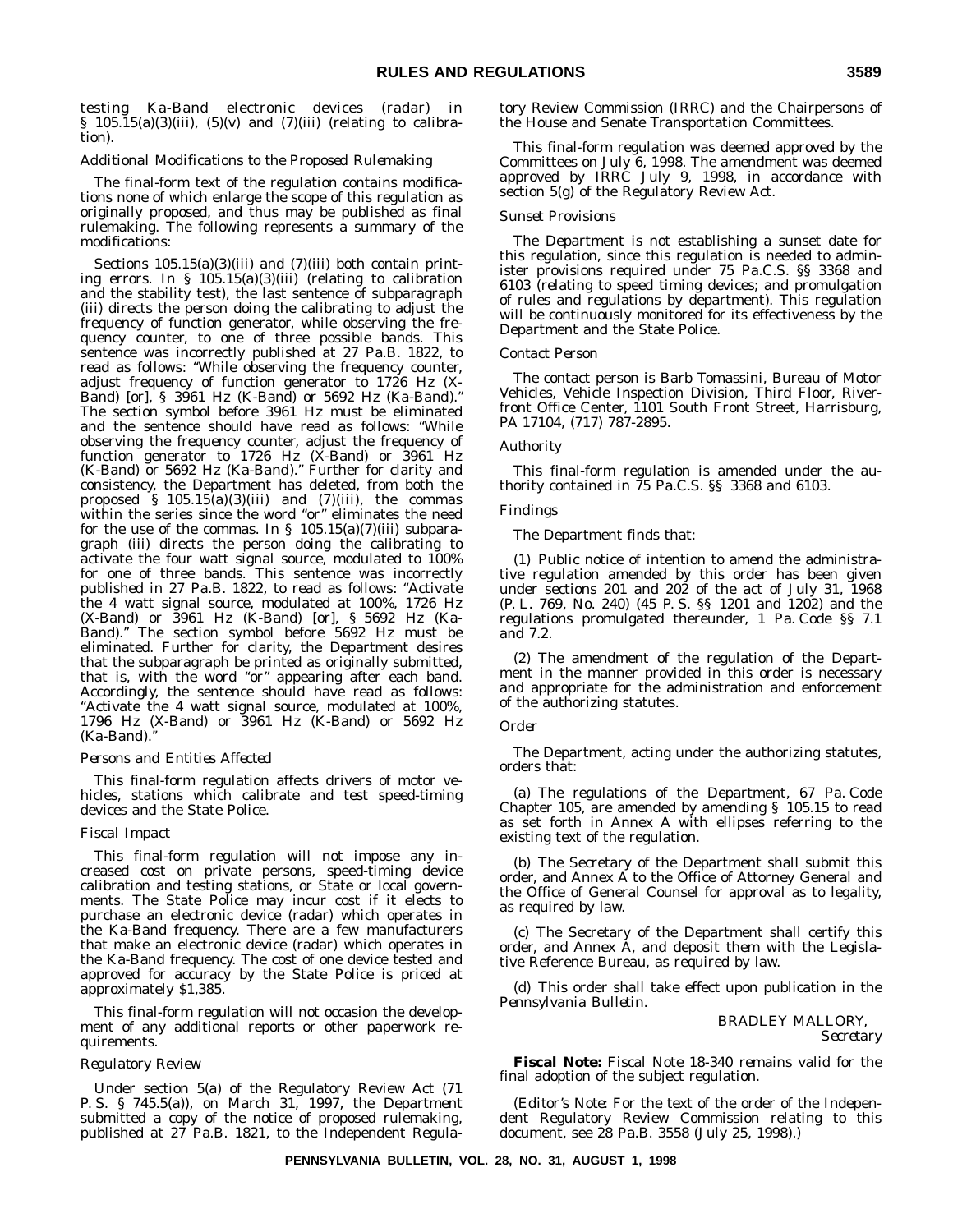testing Ka-Band electronic devices (radar) in § 105.15(a)(3)(iii), (5)(v) and (7)(iii) (relating to calibration).

#### *Additional Modifications to the Proposed Rulemaking*

The final-form text of the regulation contains modifications none of which enlarge the scope of this regulation as originally proposed, and thus may be published as final rulemaking. The following represents a summary of the modifications:

Sections  $105.15(a)(3)(iii)$  and  $(7)(iii)$  both contain printing errors. In § 105.15(a)(3)(iii) (relating to calibration and the stability test), the last sentence of subparagraph (iii) directs the person doing the calibrating to adjust the frequency of function generator, while observing the frequency counter, to one of three possible bands. This sentence was incorrectly published at 27 Pa.B. 1822, to read as follows: "While observing the frequency counter, adjust frequency of function generator to 1726 Hz (X-Band) [or]*,* § 3961 Hz (K-Band) *or 5692 Hz (Ka-Band).*'' The section symbol before 3961 Hz must be eliminated and the sentence should have read as follows: ''While observing the frequency counter, adjust the frequency of function generator to  $1726$  Hz (X-Band) or  $3961$  Hz (K-Band) *or 5692 Hz (Ka-Band).*'' Further for clarity and consistency, the Department has deleted, from both the proposed § 105.15(a)(3)(iii) and (7)(iii), the commas within the series since the word "or" eliminates the need for the use of the commas. In §  $105.15(a)(7)(iii)$  subparagraph (iii) directs the person doing the calibrating to activate the four watt signal source, modulated to 100% for one of three bands. This sentence was incorrectly published in 27 Pa.B. 1822, to read as follows: ''Activate the 4 watt signal source, modulated at 100%, 1726 Hz (X-Band) or 3961 Hz (K-Band) [or]*,* § 5692 Hz (Ka-Band).'' The section symbol before 5692 Hz must be eliminated. Further for clarity, the Department desires that the subparagraph be printed as originally submitted, that is, with the word "or" appearing after each band. Accordingly, the sentence should have read as follows: ''Activate the 4 watt signal source, modulated at 100%, 1796 Hz (X-Band) or 3961 Hz (K-Band) *or 5692 Hz (Ka-Band).*''

#### *Persons and Entities Affected*

This final-form regulation affects drivers of motor vehicles, stations which calibrate and test speed-timing devices and the State Police.

#### *Fiscal Impact*

This final-form regulation will not impose any increased cost on private persons, speed-timing device calibration and testing stations, or State or local governments. The State Police may incur cost if it elects to purchase an electronic device (radar) which operates in the Ka-Band frequency. There are a few manufacturers that make an electronic device (radar) which operates in the Ka-Band frequency. The cost of one device tested and approved for accuracy by the State Police is priced at approximately \$1,385.

This final-form regulation will not occasion the development of any additional reports or other paperwork requirements.

#### *Regulatory Review*

Under section 5(a) of the Regulatory Review Act (71 P. S. § 745.5(a)), on March 31, 1997, the Department submitted a copy of the notice of proposed rulemaking, published at 27 Pa.B. 1821, to the Independent Regulatory Review Commission (IRRC) and the Chairpersons of the House and Senate Transportation Committees.

This final-form regulation was deemed approved by the Committees on July 6, 1998. The amendment was deemed approved by IRRC July 9, 1998, in accordance with section 5(g) of the Regulatory Review Act.

#### *Sunset Provisions*

The Department is not establishing a sunset date for this regulation, since this regulation is needed to administer provisions required under 75 Pa.C.S. §§ 3368 and 6103 (relating to speed timing devices; and promulgation of rules and regulations by department). This regulation will be continuously monitored for its effectiveness by the Department and the State Police.

#### *Contact Person*

The contact person is Barb Tomassini, Bureau of Motor Vehicles, Vehicle Inspection Division, Third Floor, Riverfront Office Center, 1101 South Front Street, Harrisburg, PA 17104, (717) 787-2895.

#### *Authority*

This final-form regulation is amended under the authority contained in 75 Pa.C.S. §§ 3368 and 6103.

#### *Findings*

The Department finds that:

(1) Public notice of intention to amend the administrative regulation amended by this order has been given under sections 201 and 202 of the act of July 31, 1968 (P. L. 769, No. 240) (45 P. S. §§ 1201 and 1202) and the regulations promulgated thereunder, 1 Pa. Code §§ 7.1 and 7.2.

(2) The amendment of the regulation of the Department in the manner provided in this order is necessary and appropriate for the administration and enforcement of the authorizing statutes.

#### *Order*

The Department, acting under the authorizing statutes, orders that:

(a) The regulations of the Department, 67 Pa. Code Chapter 105, are amended by amending § 105.15 to read as set forth in Annex A with ellipses referring to the existing text of the regulation.

(b) The Secretary of the Department shall submit this order, and Annex A to the Office of Attorney General and the Office of General Counsel for approval as to legality, as required by law.

(c) The Secretary of the Department shall certify this order, and Annex A, and deposit them with the Legislative Reference Bureau, as required by law.

(d) This order shall take effect upon publication in the *Pennsylvania Bulletin.*

#### BRADLEY MALLORY,

*Secretary*

**Fiscal Note:** Fiscal Note 18-340 remains valid for the final adoption of the subject regulation.

(*Editor's Note*: For the text of the order of the Independent Regulatory Review Commission relating to this document, see 28 Pa.B. 3558 (July 25, 1998).)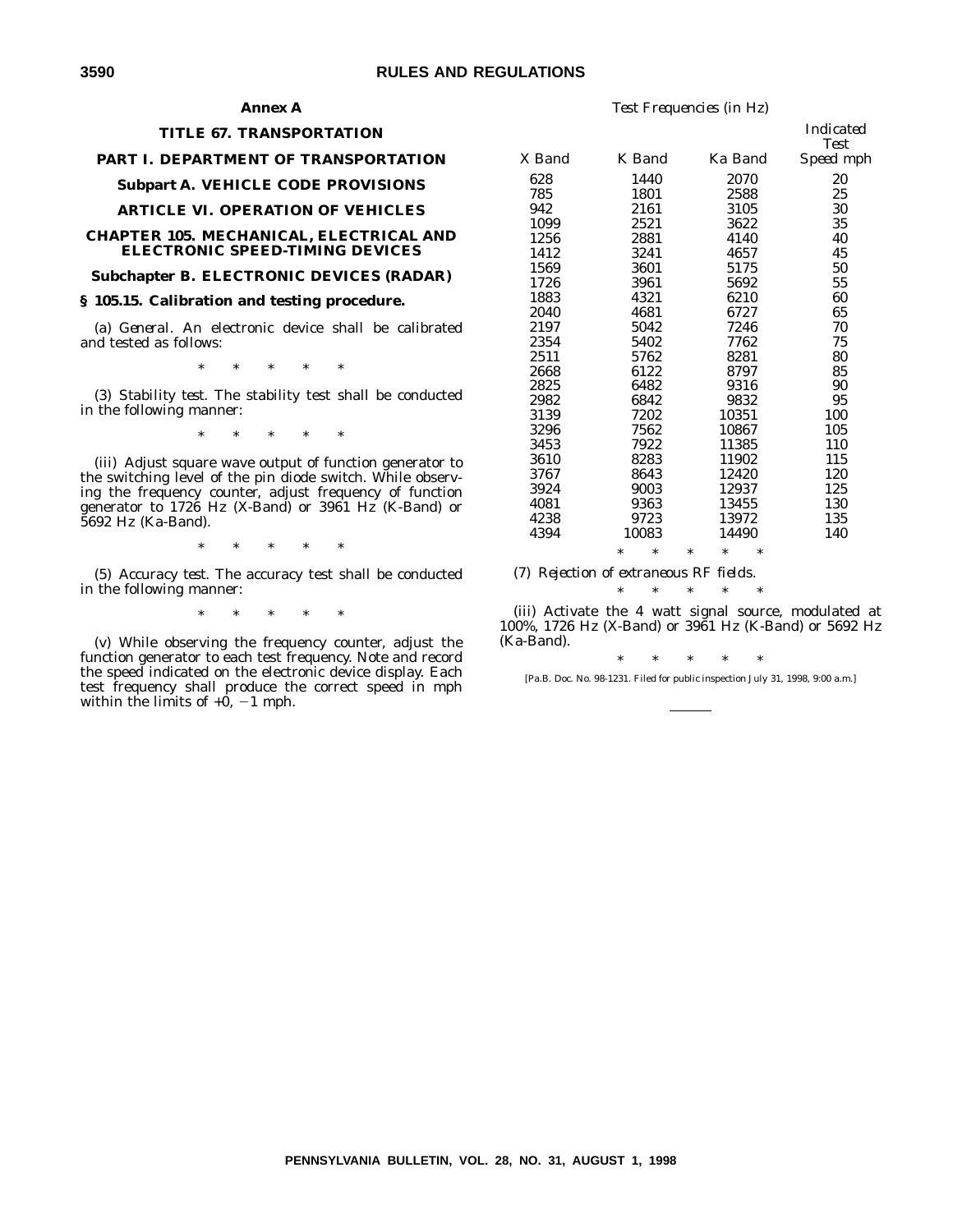#### **Annex A**

#### **TITLE 67. TRANSPORTATION**

#### **PART I. DEPARTMENT OF TRANSPORTATION**

#### **Subpart A. VEHICLE CODE PROVISIONS**

#### **ARTICLE VI. OPERATION OF VEHICLES**

#### **CHAPTER 105. MECHANICAL, ELECTRICAL AND ELECTRONIC SPEED-TIMING DEVICES**

#### **Subchapter B. ELECTRONIC DEVICES (RADAR)**

#### **§ 105.15. Calibration and testing procedure.**

(a) *General.* An electronic device shall be calibrated and tested as follows:

\*\*\*\*\*

(3) *Stability test.* The stability test shall be conducted in the following manner:

\*\*\*\*\*

(iii) Adjust square wave output of function generator to the switching level of the pin diode switch. While observing the frequency counter, adjust frequency of function generator to 1726 Hz (X-Band) or 3961 Hz (K-Band) or 5692 Hz (Ka-Band).

\*\*\*\*\*

(5) *Accuracy test.* The accuracy test shall be conducted in the following manner:

\*\*\*\*\*

(v) While observing the frequency counter, adjust the function generator to each test frequency. Note and record the speed indicated on the electronic device display. Each test frequency shall produce the correct speed in mph within the limits of  $+0$ ,  $-1$  mph.

|        |                  |                            | нниканеи<br><b>Test</b> |
|--------|------------------|----------------------------|-------------------------|
| X Band | K Band           | Ka Band                    | Speed mph               |
| 628    | 1440             | 2070                       | 20                      |
| 785    | 1801             | 2588                       | 25                      |
| 942    | 2161             | 3105                       | 30                      |
| 1099   | 2521             | 3622                       | 35                      |
| 1256   | 2881             | 4140                       | 40                      |
| 1412   | 3241             | 4657                       | 45                      |
| 1569   | 3601             | 5175                       | 50                      |
| 1726   | 3961             | 5692                       | 55                      |
| 1883   | 4321             | 6210                       | 60                      |
| 2040   | 4681             | 6727                       | 65                      |
| 2197   | 5042             | 7246                       | 70                      |
| 2354   | 5402             | 7762                       | 75                      |
| 2511   | 5762             | 8281                       | 80                      |
| 2668   | 6122             | 8797                       | 85                      |
| 2825   | 6482             | 9316                       | 90                      |
| 2982   | 6842             | 9832                       | 95                      |
| 3139   | 7202             | 10351                      | 100                     |
| 3296   | 7562             | 10867                      | 105                     |
| 3453   | 7922             | 11385                      | 110                     |
| 3610   | 8283             | 11902                      | 115                     |
| 3767   | 8643             | 12420                      | 120                     |
| 3924   | 9003             | 12937                      | 125                     |
| 4081   | 9363             | 13455                      | 130                     |
| 4238   | 9723             | 13972                      | 135                     |
| 4394   | 10083            | 14490                      | 140                     |
|        | $\ast$<br>$\ast$ | $\ast$<br>$\ast$<br>$\ast$ |                         |
|        |                  |                            |                         |

*Test Frequencies (in Hz)*

*Indicated*

(7) *Rejection of extraneous RF fields.*

\*\*\*\*\*

(iii) Activate the 4 watt signal source, modulated at 100%, 1726 Hz (X-Band) or 3961 Hz (K-Band) or 5692 Hz (Ka-Band).

\*\*\*\*\*

[Pa.B. Doc. No. 98-1231. Filed for public inspection July 31, 1998, 9:00 a.m.]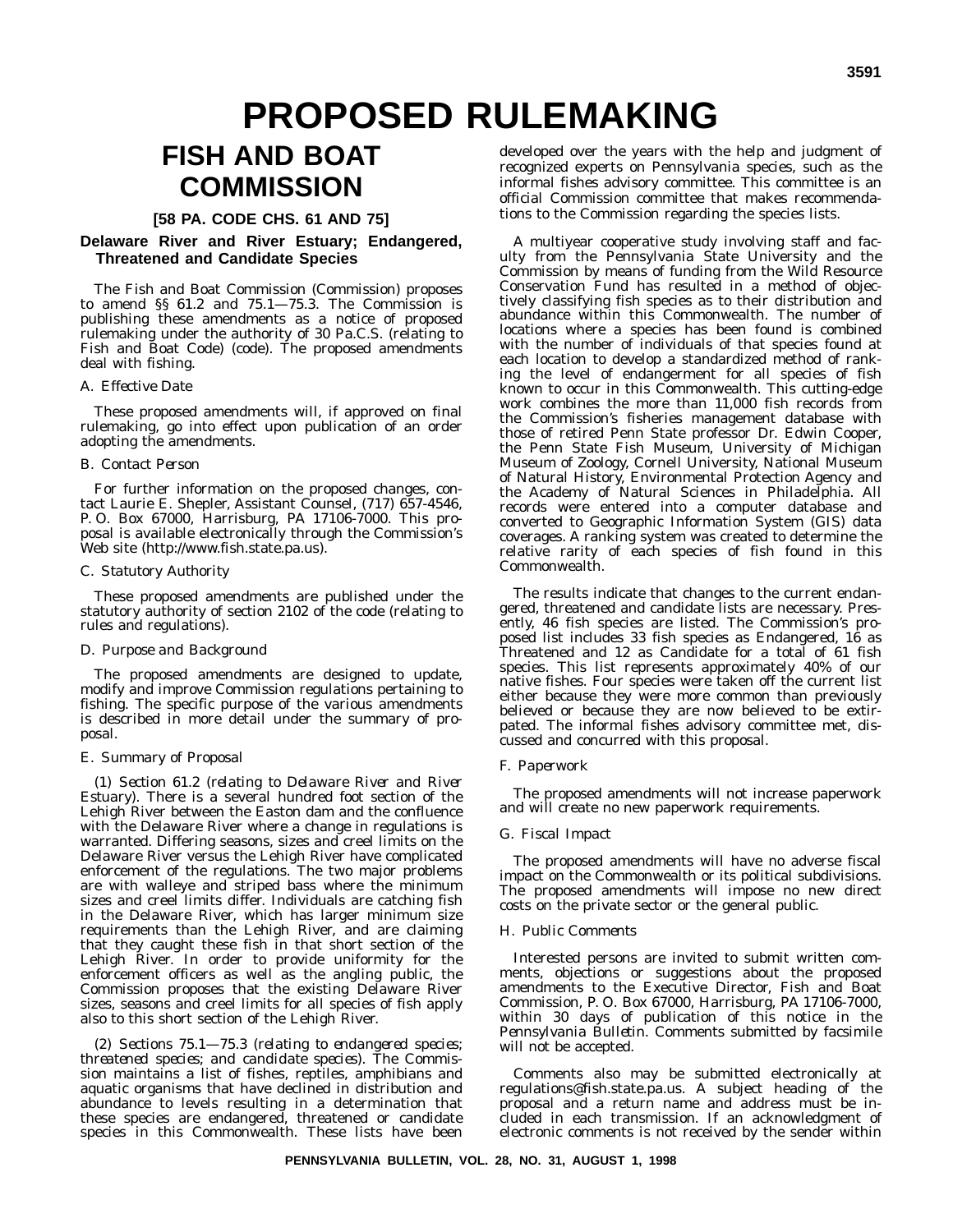# **PROPOSED RULEMAKING**

# **FISH AND BOAT COMMISSION**

#### **[58 PA. CODE CHS. 61 AND 75]**

#### **Delaware River and River Estuary; Endangered, Threatened and Candidate Species**

The Fish and Boat Commission (Commission) proposes to amend §§ 61.2 and 75.1—75.3. The Commission is publishing these amendments as a notice of proposed rulemaking under the authority of 30 Pa.C.S. (relating to Fish and Boat Code) (code). The proposed amendments deal with fishing.

#### *A. Effective Date*

These proposed amendments will, if approved on final rulemaking, go into effect upon publication of an order adopting the amendments.

#### *B. Contact Person*

For further information on the proposed changes, contact Laurie E. Shepler, Assistant Counsel, (717) 657-4546, P. O. Box 67000, Harrisburg, PA 17106-7000. This proposal is available electronically through the Commission's Web site (http://www.fish.state.pa.us).

#### *C. Statutory Authority*

These proposed amendments are published under the statutory authority of section 2102 of the code (relating to rules and regulations).

#### *D. Purpose and Background*

The proposed amendments are designed to update, modify and improve Commission regulations pertaining to fishing. The specific purpose of the various amendments is described in more detail under the summary of proposal.

#### *E. Summary of Proposal*

(1) *Section 61.2 (relating to Delaware River and River Estuary)*. There is a several hundred foot section of the Lehigh River between the Easton dam and the confluence with the Delaware River where a change in regulations is warranted. Differing seasons, sizes and creel limits on the Delaware River versus the Lehigh River have complicated enforcement of the regulations. The two major problems are with walleye and striped bass where the minimum sizes and creel limits differ. Individuals are catching fish in the Delaware River, which has larger minimum size requirements than the Lehigh River, and are claiming that they caught these fish in that short section of the Lehigh River. In order to provide uniformity for the enforcement officers as well as the angling public, the Commission proposes that the existing Delaware River sizes, seasons and creel limits for all species of fish apply also to this short section of the Lehigh River.

(2) *Sections 75.1—75.3 (relating to endangered species; threatened species; and candidate species)*. The Commission maintains a list of fishes, reptiles, amphibians and aquatic organisms that have declined in distribution and abundance to levels resulting in a determination that these species are endangered, threatened or candidate species in this Commonwealth. These lists have been

developed over the years with the help and judgment of recognized experts on Pennsylvania species, such as the informal fishes advisory committee. This committee is an official Commission committee that makes recommendations to the Commission regarding the species lists.

A multiyear cooperative study involving staff and faculty from the Pennsylvania State University and the Commission by means of funding from the Wild Resource Conservation Fund has resulted in a method of objectively classifying fish species as to their distribution and abundance within this Commonwealth. The number of locations where a species has been found is combined with the number of individuals of that species found at each location to develop a standardized method of ranking the level of endangerment for all species of fish known to occur in this Commonwealth. This cutting-edge work combines the more than 11,000 fish records from the Commission's fisheries management database with those of retired Penn State professor Dr. Edwin Cooper, the Penn State Fish Museum, University of Michigan Museum of Zoology, Cornell University, National Museum of Natural History, Environmental Protection Agency and the Academy of Natural Sciences in Philadelphia. All records were entered into a computer database and converted to Geographic Information System (GIS) data coverages. A ranking system was created to determine the relative rarity of each species of fish found in this Commonwealth.

The results indicate that changes to the current endangered, threatened and candidate lists are necessary. Presently, 46 fish species are listed. The Commission's proposed list includes 33 fish species as Endangered, 16 as Threatened and 12 as Candidate for a total of 61 fish species. This list represents approximately 40% of our native fishes. Four species were taken off the current list either because they were more common than previously believed or because they are now believed to be extirpated. The informal fishes advisory committee met, discussed and concurred with this proposal.

#### *F. Paperwork*

The proposed amendments will not increase paperwork and will create no new paperwork requirements.

#### *G. Fiscal Impact*

The proposed amendments will have no adverse fiscal impact on the Commonwealth or its political subdivisions. The proposed amendments will impose no new direct costs on the private sector or the general public.

#### *H. Public Comments*

Interested persons are invited to submit written comments, objections or suggestions about the proposed amendments to the Executive Director, Fish and Boat Commission, P. O. Box 67000, Harrisburg, PA 17106-7000, within 30 days of publication of this notice in the *Pennsylvania Bulletin*. Comments submitted by facsimile will not be accepted.

Comments also may be submitted electronically at regulations@fish.state.pa.us. A subject heading of the proposal and a return name and address must be included in each transmission. If an acknowledgment of electronic comments is not received by the sender within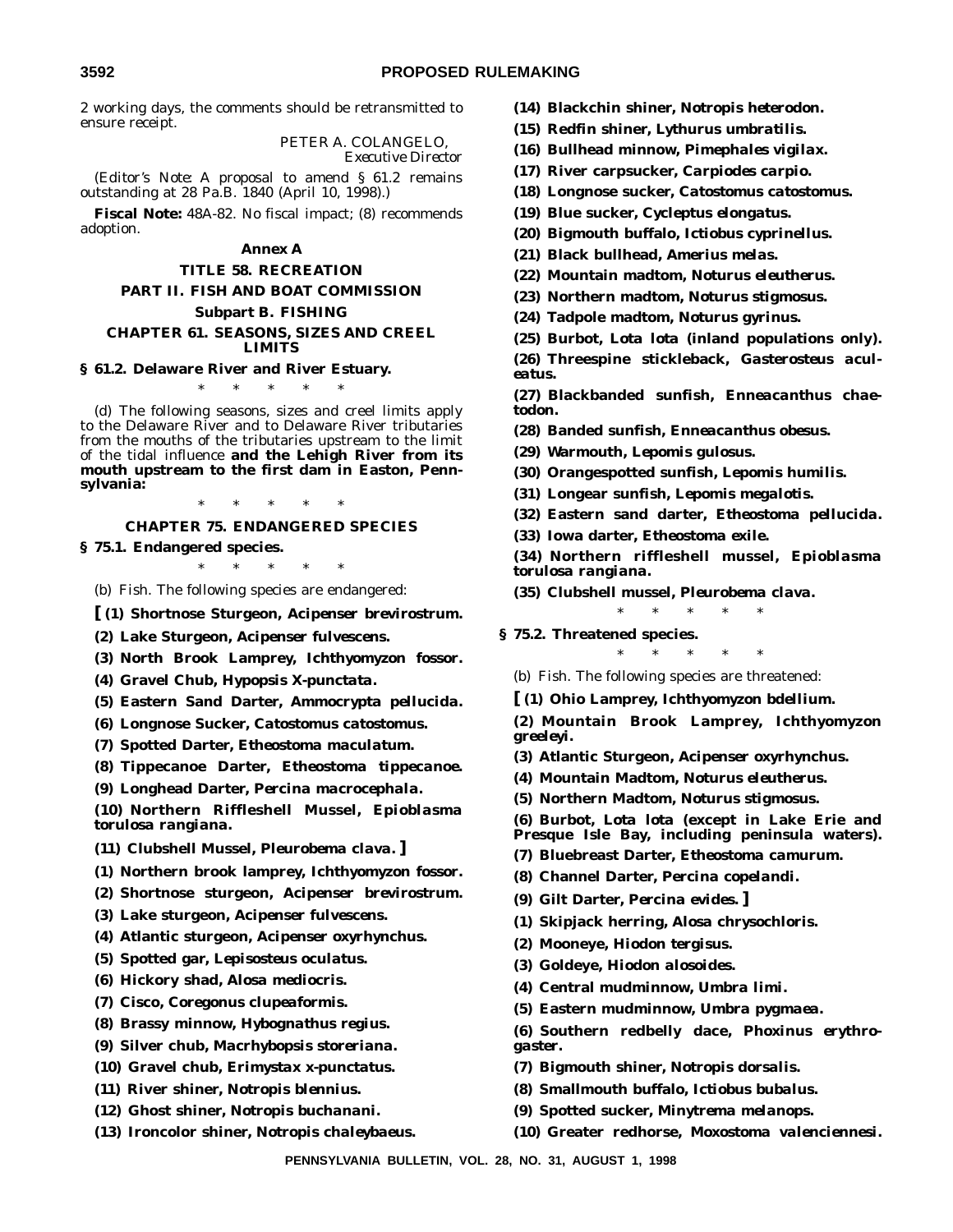2 working days, the comments should be retransmitted to ensure receipt.

> PETER A. COLANGELO, *Executive Director*

(*Editor's Note:* A proposal to amend § 61.2 remains outstanding at 28 Pa.B. 1840 (April 10, 1998).)

**Fiscal Note:** 48A-82. No fiscal impact; (8) recommends adoption.

#### **Annex A**

#### **TITLE 58. RECREATION**

# **PART II. FISH AND BOAT COMMISSION Subpart B. FISHING**

#### **CHAPTER 61. SEASONS, SIZES AND CREEL LIMITS**

#### **§ 61.2. Delaware River and River Estuary.**

\*\*\*\*\*

(d) The following seasons, sizes and creel limits apply to the Delaware River and to Delaware River tributaries from the mouths of the tributaries upstream to the limit of the tidal influence **and the Lehigh River from its mouth upstream to the first dam in Easton, Pennsylvania:**

\*\*\*\*\*

#### **CHAPTER 75. ENDANGERED SPECIES**

**§ 75.1. Endangered species.**

\*\*\*\*\*

(b) *Fish.* The following species are endangered:

**[ (1) Shortnose Sturgeon,** *Acipenser brevirostrum***.**

**(2) Lake Sturgeon,** *Acipenser fulvescens***.**

**(3) North Brook Lamprey,** *Ichthyomyzon fossor***.**

**(4) Gravel Chub,** *Hypopsis X-punctata***.**

- **(5) Eastern Sand Darter,** *Ammocrypta pellucida***.**
- **(6) Longnose Sucker,** *Catostomus catostomus***.**
- **(7) Spotted Darter,** *Etheostoma maculatum***.**
- **(8) Tippecanoe Darter,** *Etheostoma tippecanoe***.**
- **(9) Longhead Darter,** *Percina macrocephala***.**

**(10) Northern Riffleshell Mussel,** *Epioblasma torulosa rangiana***.**

**(11) Clubshell Mussel,** *Pleurobema clava.* **]**

- **(1) Northern brook lamprey,** *Ichthyomyzon fossor***.**
- **(2) Shortnose sturgeon,** *Acipenser brevirostrum***.**
- **(3) Lake sturgeon,** *Acipenser fulvescens***.**
- **(4) Atlantic sturgeon,** *Acipenser oxyrhynchus***.**
- **(5) Spotted gar,** *Lepisosteus oculatus***.**
- **(6) Hickory shad,** *Alosa mediocris***.**
- **(7) Cisco,** *Coregonus clupeaformis***.**
- **(8) Brassy minnow,** *Hybognathus regius***.**
- **(9) Silver chub,** *Macrhybopsis storeriana***.**
- **(10) Gravel chub,** *Erimystax x-punctatus***.**
- **(11) River shiner,** *Notropis blennius***.**
- **(12) Ghost shiner,** *Notropis buchanani***.**
- **(13) Ironcolor shiner,** *Notropis chaleybaeus***.**
- **(14) Blackchin shiner,** *Notropis heterodon***.**
- **(15) Redfin shiner,** *Lythurus umbratilis***.**
- **(16) Bullhead minnow,** *Pimephales vigilax***.**
- **(17) River carpsucker,** *Carpiodes carpio***.**
- **(18) Longnose sucker,** *Catostomus catostomus***.**
- **(19) Blue sucker,** *Cycleptus elongatus***.**
- **(20) Bigmouth buffalo,** *Ictiobus cyprinellus***.**
- **(21) Black bullhead,** *Amerius melas***.**
- **(22) Mountain madtom,** *Noturus eleutherus***.**
- **(23) Northern madtom,** *Noturus stigmosus***.**
- **(24) Tadpole madtom,** *Noturus gyrinus***.**
- **(25) Burbot,** *Lota lota* **(inland populations only).**

**(26) Threespine stickleback,** *Gasterosteus aculeatus***.**

- **(27) Blackbanded sunfish,** *Enneacanthus chaetodon***.**
- **(28) Banded sunfish,** *Enneacanthus obesus***.**
- **(29) Warmouth,** *Lepomis gulosus***.**
- **(30) Orangespotted sunfish,** *Lepomis humilis***.**
- **(31) Longear sunfish,** *Lepomis megalotis***.**
- **(32) Eastern sand darter,** *Etheostoma pellucida***.**
- **(33) Iowa darter,** *Etheostoma exile***.**

**(34) Northern riffleshell mussel,** *Epioblasma torulosa rangiana***.**

\*\*\*\*\*

**(35) Clubshell mussel,** *Pleurobema clava***.**

- **§ 75.2. Threatened species.**
	- \*\*\*\*\*
	- (b) *Fish*. The following species are threatened:
	- **[ (1) Ohio Lamprey,** *Ichthyomyzon bdellium***.**

**(2) Mountain Brook Lamprey,** *Ichthyomyzon greeleyi***.**

- **(3) Atlantic Sturgeon,** *Acipenser oxyrhynchus***.**
- **(4) Mountain Madtom,** *Noturus eleutherus***.**
- **(5) Northern Madtom,** *Noturus stigmosus***.**

**(6) Burbot,** *Lota lota* **(except in Lake Erie and Presque Isle Bay, including peninsula waters).**

- **(7) Bluebreast Darter,** *Etheostoma camurum***.**
- **(8) Channel Darter,** *Percina copelandi***.**
- **(9) Gilt Darter,** *Percina evides***. ]**
- **(1) Skipjack herring,** *Alosa chrysochloris***.**
- **(2) Mooneye,** *Hiodon tergisus***.**
- **(3) Goldeye,** *Hiodon alosoides***.**
- **(4) Central mudminnow,** *Umbra limi***.**
- **(5) Eastern mudminnow,** *Umbra pygmaea***.**
- **(6) Southern redbelly dace,** *Phoxinus erythrogaster***.**
- **(7) Bigmouth shiner,** *Notropis dorsalis***.**
- **(8) Smallmouth buffalo,** *Ictiobus bubalus***.**
- **(9) Spotted sucker,** *Minytrema melanops***.**
- **(10) Greater redhorse,** *Moxostoma valenciennesi***.**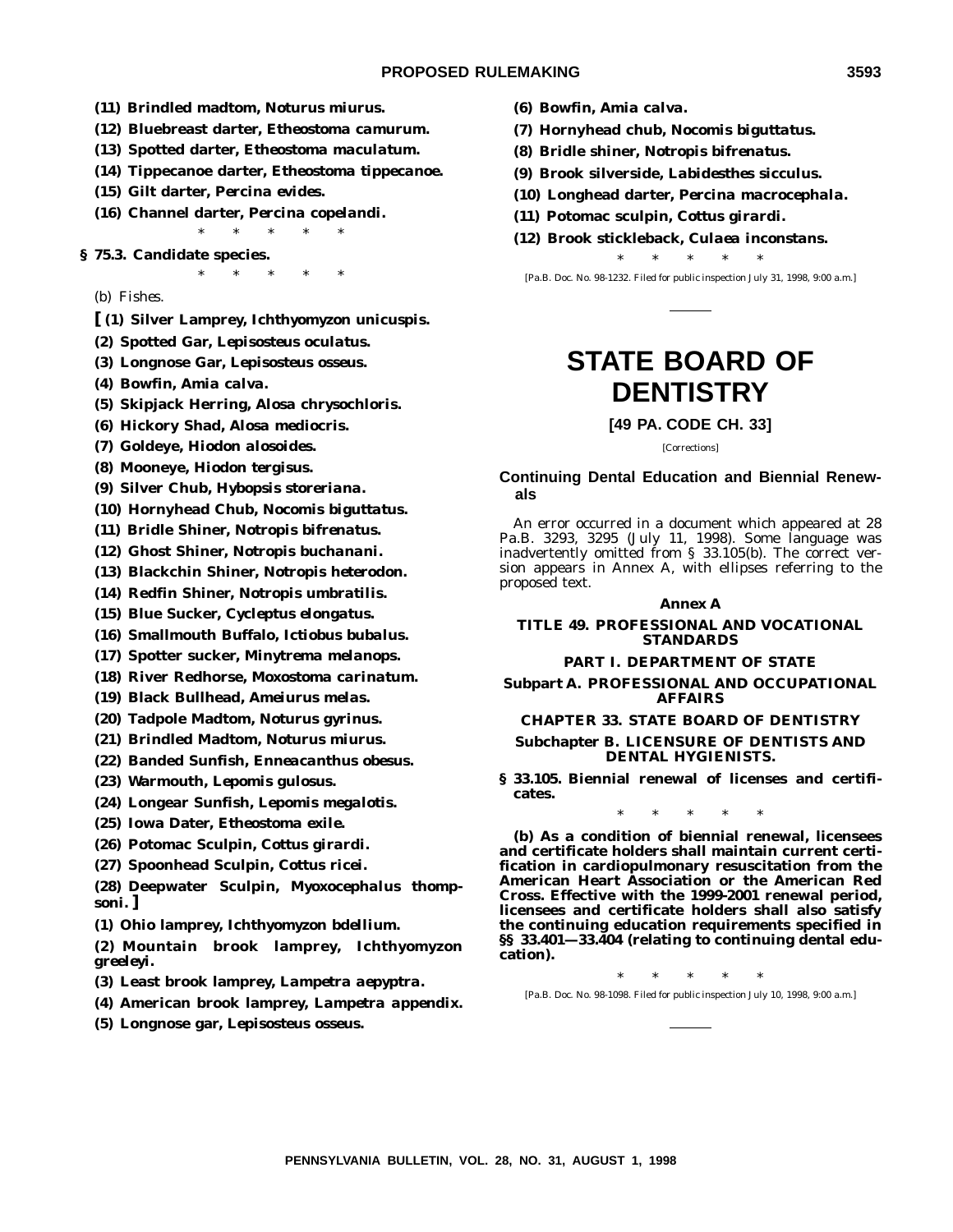- **(11) Brindled madtom,** *Noturus miurus***.**
- **(12) Bluebreast darter,** *Etheostoma camurum***.**
- **(13) Spotted darter,** *Etheostoma maculatum***.**
- **(14) Tippecanoe darter,** *Etheostoma tippecanoe***.**
- **(15) Gilt darter,** *Percina evides***.**
- **(16) Channel darter,** *Percina copelandi***.**
	- \*\*\*\*\*

 $*$  \* \* \*

- **§ 75.3. Candidate species.**
	- (b) *Fishes*.
	- **[ (1) Silver Lamprey,** *Ichthyomyzon unicuspis***.**
	- **(2) Spotted Gar,** *Lepisosteus oculatus***.**
	- **(3) Longnose Gar,** *Lepisosteus osseus***.**
	- **(4) Bowfin,** *Amia calva***.**
	- **(5) Skipjack Herring,** *Alosa chrysochloris***.**
	- **(6) Hickory Shad,** *Alosa mediocris***.**
	- **(7) Goldeye,** *Hiodon alosoides***.**
	- **(8) Mooneye,** *Hiodon tergisus***.**
	- **(9) Silver Chub,** *Hybopsis storeriana***.**
	- **(10) Hornyhead Chub,** *Nocomis biguttatus***.**
	- **(11) Bridle Shiner,** *Notropis bifrenatus***.**
	- **(12) Ghost Shiner,** *Notropis buchanani***.**
	- **(13) Blackchin Shiner,** *Notropis heterodon***.**
	- **(14) Redfin Shiner,** *Notropis umbratilis***.**
	- **(15) Blue Sucker,** *Cycleptus elongatus***.**
	- **(16) Smallmouth Buffalo,** *Ictiobus bubalus***.**
	- **(17) Spotter sucker,** *Minytrema melanops***.**
	- **(18) River Redhorse,** *Moxostoma carinatum***.**
	- **(19) Black Bullhead,** *Ameiurus melas***.**
	- **(20) Tadpole Madtom,** *Noturus gyrinus***.**
	- **(21) Brindled Madtom,** *Noturus miurus***.**
	- **(22) Banded Sunfish,** *Enneacanthus obesus***.**
	- **(23) Warmouth,** *Lepomis gulosus***.**
	- **(24) Longear Sunfish,** *Lepomis megalotis***.**
	- **(25) Iowa Dater,** *Etheostoma exile***.**
	- **(26) Potomac Sculpin,** *Cottus girardi***.**
	- **(27) Spoonhead Sculpin,** *Cottus ricei***.**

**(28) Deepwater Sculpin,** *Myoxocephalus thompsoni***. ]**

- **(1) Ohio lamprey,** *Ichthyomyzon bdellium***.**
- **(2) Mountain brook lamprey,** *Ichthyomyzon greeleyi***.**
- **(3) Least brook lamprey,** *Lampetra aepyptra***.**
- **(4) American brook lamprey,** *Lampetra appendix***.**
- **(5) Longnose gar,** *Lepisosteus osseus***.**
- **(6) Bowfin,** *Amia calva***.**
- **(7) Hornyhead chub,** *Nocomis biguttatus***.**
- **(8) Bridle shiner,** *Notropis bifrenatus***.**
- **(9) Brook silverside,** *Labidesthes sicculus***.**
- **(10) Longhead darter,** *Percina macrocephala***.**
- **(11) Potomac sculpin,** *Cottus girardi***.**
- **(12) Brook stickleback,** *Culaea inconstans***.**

\*\*\*\*\* [Pa.B. Doc. No. 98-1232. Filed for public inspection July 31, 1998, 9:00 a.m.]

# **STATE BOARD OF DENTISTRY**

#### **[49 PA. CODE CH. 33]**

[Corrections]

#### **Continuing Dental Education and Biennial Renewals**

An error occurred in a document which appeared at 28 Pa.B. 3293, 3295 (July 11, 1998). Some language was inadvertently omitted from § 33.105(b). The correct version appears in Annex A, with ellipses referring to the proposed text.

#### **Annex A**

#### **TITLE 49. PROFESSIONAL AND VOCATIONAL STANDARDS**

#### **PART I. DEPARTMENT OF STATE**

#### **Subpart A. PROFESSIONAL AND OCCUPATIONAL AFFAIRS**

#### **CHAPTER 33. STATE BOARD OF DENTISTRY**

#### **Subchapter B. LICENSURE OF DENTISTS AND DENTAL HYGIENISTS.**

**§ 33.105. Biennial renewal of licenses and certificates.**

\*\*\*\*\*

**(b) As a condition of biennial renewal, licensees and certificate holders shall maintain current certification in cardiopulmonary resuscitation from the American Heart Association or the American Red Cross. Effective with the 1999-2001 renewal period, licensees and certificate holders shall also satisfy the continuing education requirements specified in §§ 33.401—33.404 (relating to continuing dental education).**

\*\*\*\*\*

[Pa.B. Doc. No. 98-1098. Filed for public inspection July 10, 1998, 9:00 a.m.]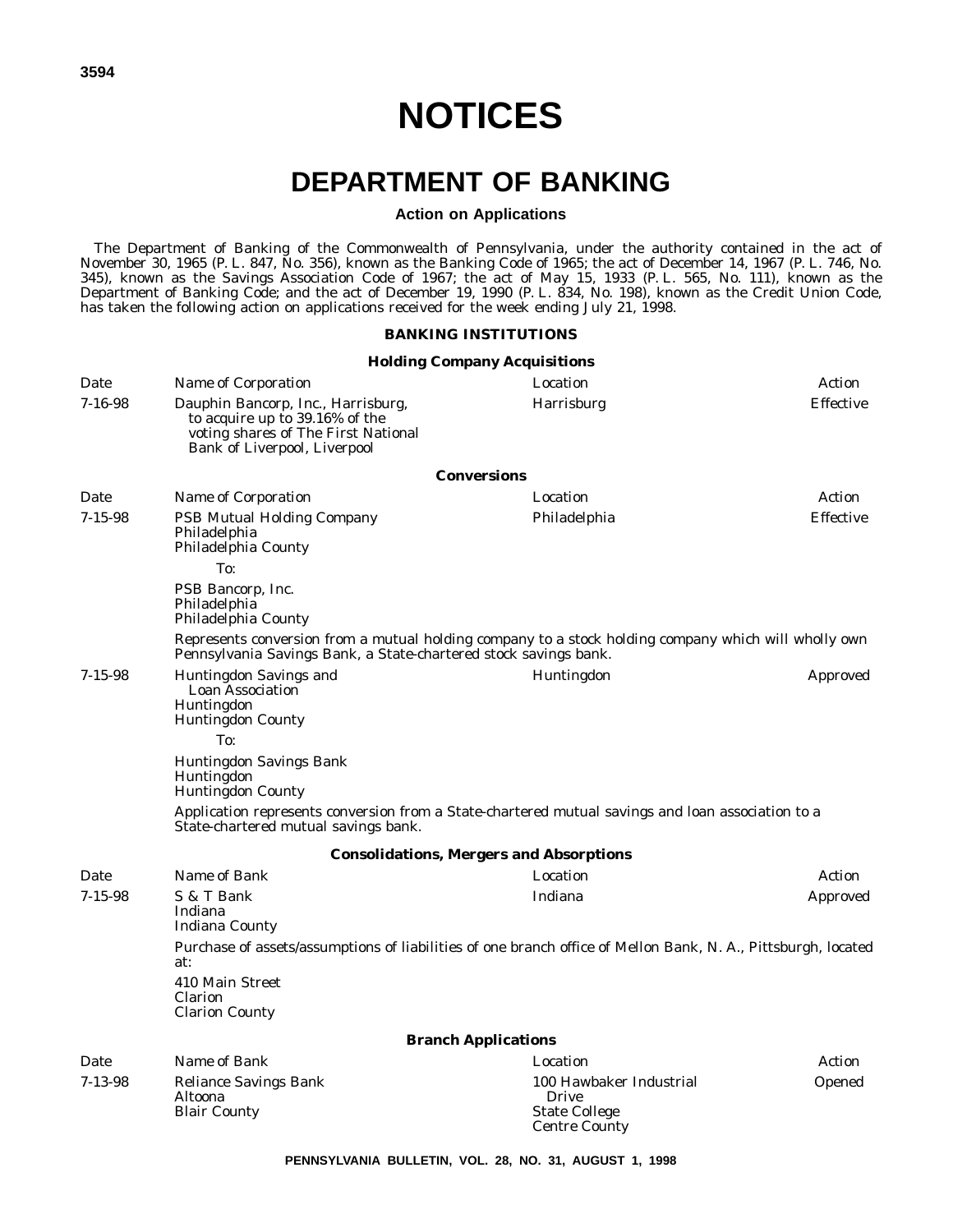# **DEPARTMENT OF BANKING**

#### **Action on Applications**

The Department of Banking of the Commonwealth of Pennsylvania, under the authority contained in the act of November 30, 1965 (P. L. 847, No. 356), known as the Banking Code of 1965; the act of December 14, 1967 (P. L. 746, No. 345), known as the Savings Association Code of 1967; the act of May 15, 1933 (P. L. 565, No. 111), known as the Department of Banking Code; and the act of December 19, 1990 (P. L. 834, No. 198), known as the Credit Union Code, has taken the following action on applications received for the week ending July 21, 1998.

### **BANKING INSTITUTIONS**

|               |                                                                                                                                                                          | <b>Holding Company Acquisitions</b>                                              |                  |
|---------------|--------------------------------------------------------------------------------------------------------------------------------------------------------------------------|----------------------------------------------------------------------------------|------------------|
| Date          | Name of Corporation                                                                                                                                                      | Location                                                                         | Action           |
| $7 - 16 - 98$ | Dauphin Bancorp, Inc., Harrisburg,<br>to acquire up to 39.16% of the<br>voting shares of The First National<br>Bank of Liverpool, Liverpool                              | Harrisburg                                                                       | <b>Effective</b> |
|               |                                                                                                                                                                          | <b>Conversions</b>                                                               |                  |
| Date          | Name of Corporation                                                                                                                                                      | Location                                                                         | Action           |
| $7 - 15 - 98$ | <b>PSB Mutual Holding Company</b><br>Philadelphia<br>Philadelphia County                                                                                                 | Philadelphia                                                                     | <b>Effective</b> |
|               | To:                                                                                                                                                                      |                                                                                  |                  |
|               | PSB Bancorp, Inc.<br>Philadelphia<br>Philadelphia County                                                                                                                 |                                                                                  |                  |
|               | Represents conversion from a mutual holding company to a stock holding company which will wholly own<br>Pennsylvania Savings Bank, a State-chartered stock savings bank. |                                                                                  |                  |
| $7 - 15 - 98$ | <b>Huntingdon Savings and</b><br><b>Loan Association</b><br>Huntingdon<br><b>Huntingdon County</b>                                                                       | Huntingdon                                                                       | Approved         |
|               | To:                                                                                                                                                                      |                                                                                  |                  |
|               | Huntingdon Savings Bank<br><b>Huntingdon</b><br><b>Huntingdon County</b>                                                                                                 |                                                                                  |                  |
|               | Application represents conversion from a State-chartered mutual savings and loan association to a<br>State-chartered mutual savings bank.                                |                                                                                  |                  |
|               |                                                                                                                                                                          | <b>Consolidations, Mergers and Absorptions</b>                                   |                  |
| Date          | Name of Bank                                                                                                                                                             | Location                                                                         | Action           |
| $7 - 15 - 98$ | S & T Bank<br>Indiana<br>Indiana County                                                                                                                                  | Indiana                                                                          | Approved         |
|               | Purchase of assets/assumptions of liabilities of one branch office of Mellon Bank, N. A., Pittsburgh, located<br>at:                                                     |                                                                                  |                  |
|               | 410 Main Street<br><b>Clarion</b><br><b>Clarion County</b>                                                                                                               |                                                                                  |                  |
|               |                                                                                                                                                                          | <b>Branch Applications</b>                                                       |                  |
| Date          | Name of Bank                                                                                                                                                             | Location                                                                         | Action           |
| $7 - 13 - 98$ | Reliance Savings Bank<br>Altoona<br><b>Blair County</b>                                                                                                                  | 100 Hawbaker Industrial<br>Drive<br><b>State College</b><br><b>Centre County</b> | Opened           |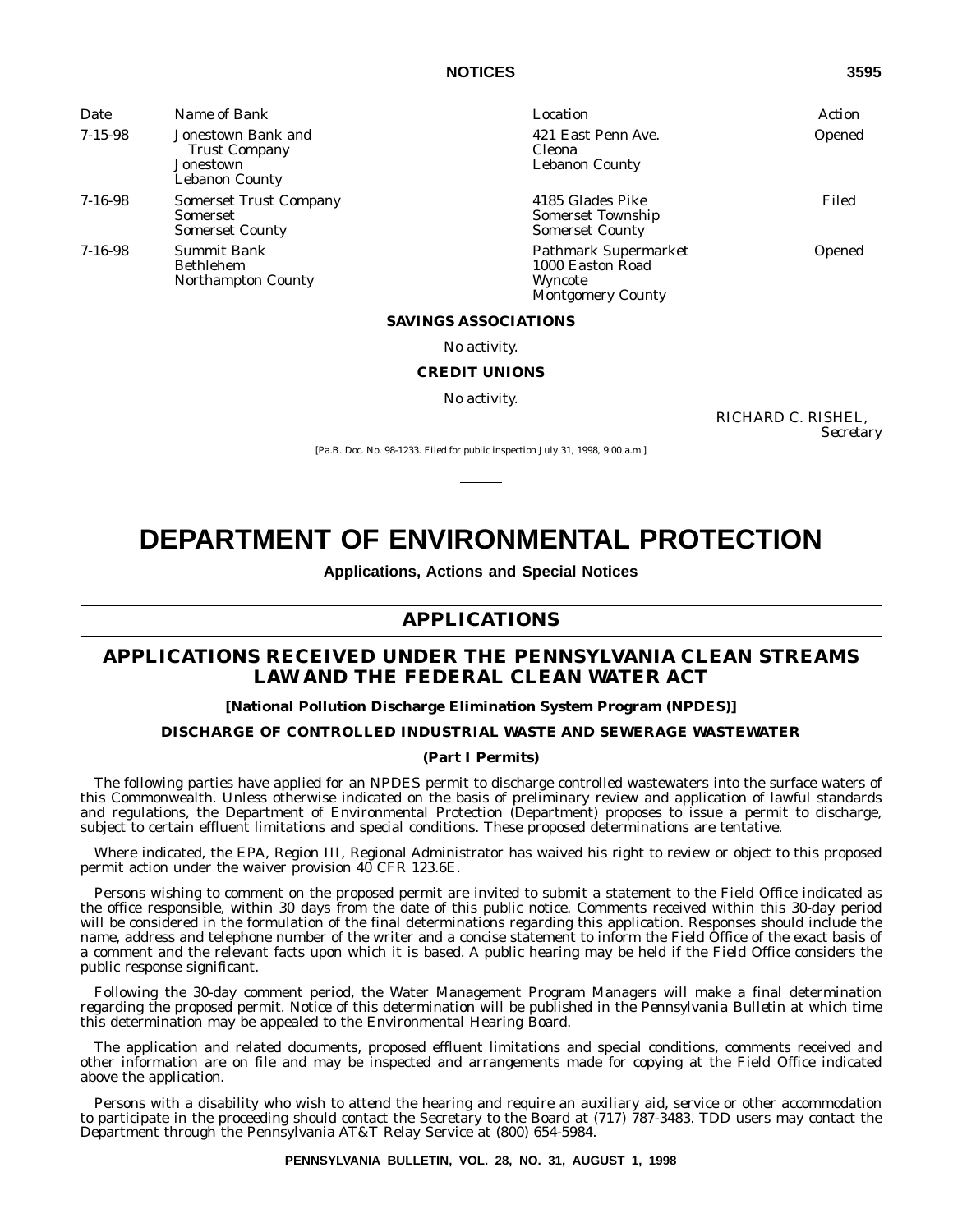| Date          | Name of Bank                                                                     | Location                                                                               | Action |
|---------------|----------------------------------------------------------------------------------|----------------------------------------------------------------------------------------|--------|
| $7 - 15 - 98$ | Jonestown Bank and<br><b>Trust Company</b><br>Jonestown<br><b>Lebanon County</b> | 421 East Penn Ave.<br><b>Cleona</b><br><b>Lebanon County</b>                           | Opened |
| $7 - 16 - 98$ | <b>Somerset Trust Company</b><br><b>Somerset</b><br><b>Somerset County</b>       | 4185 Glades Pike<br>Somerset Township<br><b>Somerset County</b>                        | Filed  |
| $7 - 16 - 98$ | <b>Summit Bank</b><br><b>Bethlehem</b><br><b>Northampton County</b>              | <b>Pathmark Supermarket</b><br>1000 Easton Road<br>Wyncote<br><b>Montgomery County</b> | Opened |

#### **SAVINGS ASSOCIATIONS**

No activity.

#### **CREDIT UNIONS**

No activity.

RICHARD C. RISHEL, *Secretary*

[Pa.B. Doc. No. 98-1233. Filed for public inspection July 31, 1998, 9:00 a.m.]

# **DEPARTMENT OF ENVIRONMENTAL PROTECTION**

**Applications, Actions and Special Notices**

# **APPLICATIONS**

# **APPLICATIONS RECEIVED UNDER THE PENNSYLVANIA CLEAN STREAMS LAW AND THE FEDERAL CLEAN WATER ACT**

#### **[National Pollution Discharge Elimination System Program (NPDES)]**

#### **DISCHARGE OF CONTROLLED INDUSTRIAL WASTE AND SEWERAGE WASTEWATER**

#### **(Part I Permits)**

The following parties have applied for an NPDES permit to discharge controlled wastewaters into the surface waters of this Commonwealth. Unless otherwise indicated on the basis of preliminary review and application of lawful standards and regulations, the Department of Environmental Protection (Department) proposes to issue a permit to discharge, subject to certain effluent limitations and special conditions. These proposed determinations are tentative.

Where indicated, the EPA, Region III, Regional Administrator has waived his right to review or object to this proposed permit action under the waiver provision 40 CFR 123.6E.

Persons wishing to comment on the proposed permit are invited to submit a statement to the Field Office indicated as the office responsible, within 30 days from the date of this public notice. Comments received within this 30-day period will be considered in the formulation of the final determinations regarding this application. Responses should include the name, address and telephone number of the writer and a concise statement to inform the Field Office of the exact basis of a comment and the relevant facts upon which it is based. A public hearing may be held if the Field Office considers the public response significant.

Following the 30-day comment period, the Water Management Program Managers will make a final determination regarding the proposed permit. Notice of this determination will be published in the *Pennsylvania Bulletin* at which time this determination may be appealed to the Environmental Hearing Board.

The application and related documents, proposed effluent limitations and special conditions, comments received and other information are on file and may be inspected and arrangements made for copying at the Field Office indicated above the application.

Persons with a disability who wish to attend the hearing and require an auxiliary aid, service or other accommodation to participate in the proceeding should contact the Secretary to the Board at (717) 787-3483. TDD users may contact the Department through the Pennsylvania AT&T Relay Service at (800) 654-5984.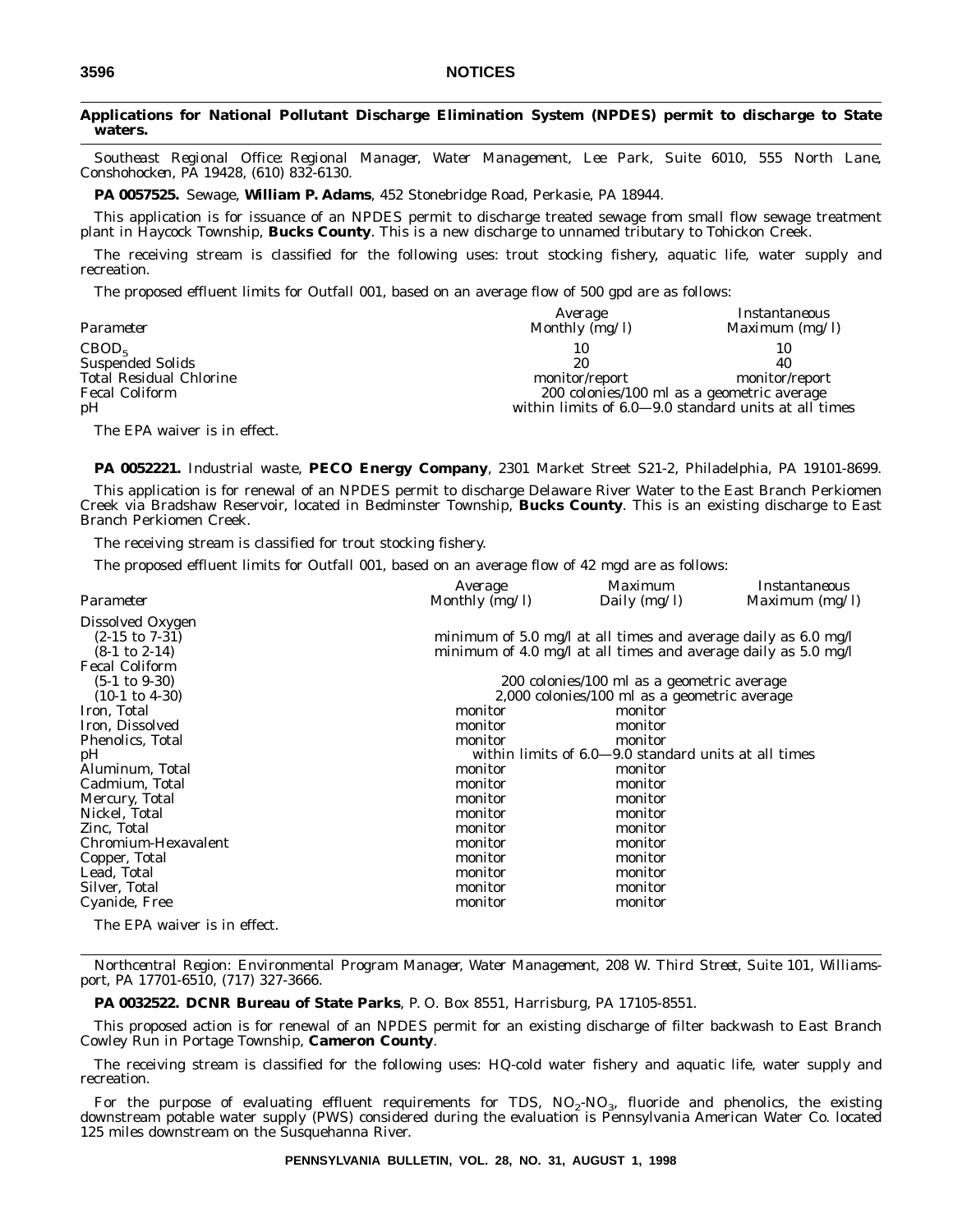#### **Applications for National Pollutant Discharge Elimination System (NPDES) permit to discharge to State waters.**

*Southeast Regional Office: Regional Manager, Water Management, Lee Park, Suite 6010, 555 North Lane, Conshohocken, PA 19428, (610) 832-6130.*

**PA 0057525.** Sewage, **William P. Adams**, 452 Stonebridge Road, Perkasie, PA 18944.

This application is for issuance of an NPDES permit to discharge treated sewage from small flow sewage treatment plant in Haycock Township, **Bucks County**. This is a new discharge to unnamed tributary to Tohickon Creek.

The receiving stream is classified for the following uses: trout stocking fishery, aquatic life, water supply and recreation.

The proposed effluent limits for Outfall 001, based on an average flow of 500 gpd are as follows:

| Parameter                      | Average<br>Monthly $(mg/l)$ | <i>Instantaneous</i><br>Maximum $(mg/l)$             |
|--------------------------------|-----------------------------|------------------------------------------------------|
| CBOD <sub>5</sub>              | 10                          | 10                                                   |
| <b>Suspended Solids</b>        | 20                          | 40                                                   |
| <b>Total Residual Chlorine</b> | monitor/report              | monitor/report                                       |
| <b>Fecal Coliform</b>          |                             | 200 colonies/100 ml as a geometric average           |
| pH                             |                             | within limits of 6.0–9.0 standard units at all times |
| The EPA waiver is in effect.   |                             |                                                      |

**PA 0052221.** Industrial waste, **PECO Energy Company**, 2301 Market Street S21-2, Philadelphia, PA 19101-8699.

This application is for renewal of an NPDES permit to discharge Delaware River Water to the East Branch Perkiomen Creek via Bradshaw Reservoir, located in Bedminster Township, **Bucks County**. This is an existing discharge to East Branch Perkiomen Creek.

The receiving stream is classified for trout stocking fishery.

The proposed effluent limits for Outfall 001, based on an average flow of 42 mgd are as follows:

|                              | Average          | <i>Maximum</i>                                                 | Instantaneous    |
|------------------------------|------------------|----------------------------------------------------------------|------------------|
| Parameter                    | Monthly $(mg/l)$ | Daily $(mg/l)$                                                 | Maximum $(mg/l)$ |
| Dissolved Oxygen             |                  |                                                                |                  |
| $(2-15 \text{ to } 7-31)$    |                  | minimum of 5.0 mg/l at all times and average daily as 6.0 mg/l |                  |
| $(8-1 \text{ to } 2-14)$     |                  | minimum of 4.0 mg/l at all times and average daily as 5.0 mg/l |                  |
| <b>Fecal Coliform</b>        |                  |                                                                |                  |
| $(5-1 \text{ to } 9-30)$     |                  | 200 colonies/100 ml as a geometric average                     |                  |
| $(10-1 \text{ to } 4-30)$    |                  | 2,000 colonies/100 ml as a geometric average                   |                  |
| Iron, Total                  | monitor          | monitor                                                        |                  |
| Iron, Dissolved              | monitor          | monitor                                                        |                  |
| Phenolics, Total             | monitor          | monitor                                                        |                  |
| pН                           |                  | within limits of 6.0–9.0 standard units at all times           |                  |
| Aluminum, Total              | monitor          | monitor                                                        |                  |
| Cadmium, Total               | monitor          | monitor                                                        |                  |
| Mercury, Total               | monitor          | monitor                                                        |                  |
| Nickel, Total                | monitor          | monitor                                                        |                  |
| Zinc, Total                  | monitor          | monitor                                                        |                  |
| Chromium-Hexavalent          | monitor          | monitor                                                        |                  |
| Copper, Total                | monitor          | monitor                                                        |                  |
| Lead, Total                  | monitor          | monitor                                                        |                  |
| Silver, Total                | monitor          | monitor                                                        |                  |
| Cyanide, Free                | monitor          | monitor                                                        |                  |
| The EPA waiver is in effect. |                  |                                                                |                  |

*Northcentral Region: Environmental Program Manager, Water Management, 208 W. Third Street, Suite 101, Williamsport, PA 17701-6510, (717) 327-3666.*

**PA 0032522. DCNR Bureau of State Parks**, P. O. Box 8551, Harrisburg, PA 17105-8551.

This proposed action is for renewal of an NPDES permit for an existing discharge of filter backwash to East Branch Cowley Run in Portage Township, **Cameron County**.

The receiving stream is classified for the following uses: HQ-cold water fishery and aquatic life, water supply and recreation.

For the purpose of evaluating effluent requirements for TDS,  $NO_2$ - $NO_3$ , fluoride and phenolics, the existing downstream potable water supply (PWS) considered during the evaluation is Pennsylvania American Water Co. located 125 miles downstream on the Susquehanna River.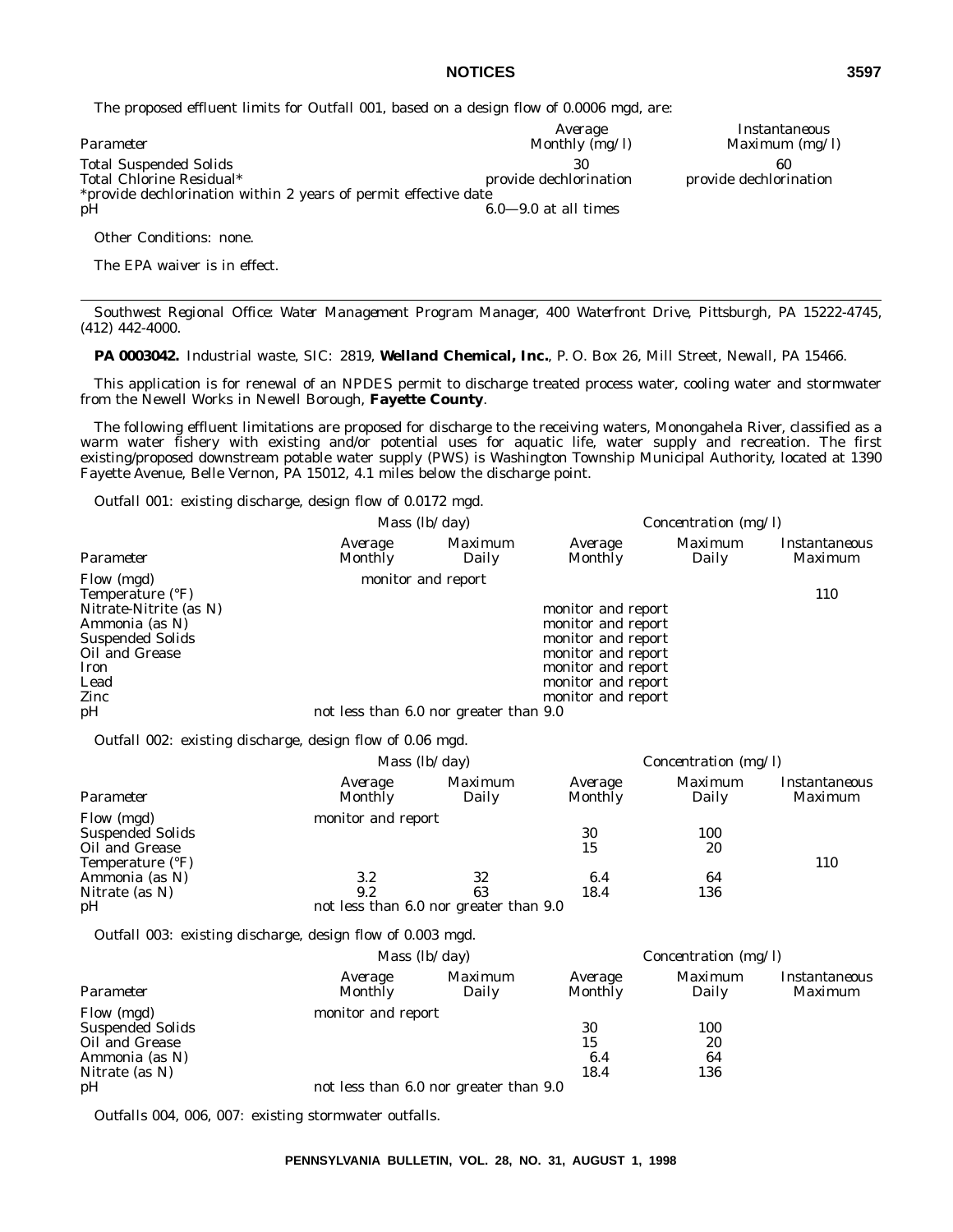The proposed effluent limits for Outfall 001, based on a design flow of 0.0006 mgd, are:

|                                                                 | Average                | Instantaneous          |
|-----------------------------------------------------------------|------------------------|------------------------|
| Parameter                                                       | Monthly (mg/l)         | Maximum $(mg/l)$       |
| <b>Total Suspended Solids</b>                                   | 30                     | 60                     |
| Total Chlorine Residual*                                        | provide dechlorination | provide dechlorination |
| *provide dechlorination within 2 years of permit effective date |                        |                        |
| pH                                                              | $6.0-9.0$ at all times |                        |

Other Conditions: none.

The EPA waiver is in effect.

*Southwest Regional Office: Water Management Program Manager, 400 Waterfront Drive, Pittsburgh, PA 15222-4745, (412) 442-4000.*

**PA 0003042.** Industrial waste, SIC: 2819, **Welland Chemical, Inc.**, P. O. Box 26, Mill Street, Newall, PA 15466.

This application is for renewal of an NPDES permit to discharge treated process water, cooling water and stormwater from the Newell Works in Newell Borough, **Fayette County**.

The following effluent limitations are proposed for discharge to the receiving waters, Monongahela River, classified as a warm water fishery with existing and/or potential uses for aquatic life, water supply and recreation. The first existing/proposed downstream potable water supply (PWS) is Washington Township Municipal Authority, located at 1390 Fayette Avenue, Belle Vernon, PA 15012, 4.1 miles below the discharge point.

*Outfall 001*: existing discharge, design flow of 0.0172 mgd.

|                         |                                        | Mass $(lb/day)$    | <i>Concentration (mg/l)</i> |                         |                          |
|-------------------------|----------------------------------------|--------------------|-----------------------------|-------------------------|--------------------------|
| Parameter               | Average<br>Monthly                     | Maximum<br>Daily   | Average<br>Monthly          | <i>Maximum</i><br>Daily | Instantaneous<br>Maximum |
| Flow (mgd)              |                                        | monitor and report |                             |                         |                          |
| Temperature (°F)        |                                        |                    |                             |                         | 110                      |
| Nitrate-Nitrite (as N)  |                                        |                    | monitor and report          |                         |                          |
| Ammonia (as N)          |                                        |                    | monitor and report          |                         |                          |
| <b>Suspended Solids</b> |                                        |                    | monitor and report          |                         |                          |
| Oil and Grease          |                                        |                    | monitor and report          |                         |                          |
| Iron                    |                                        |                    | monitor and report          |                         |                          |
| Lead                    |                                        |                    | monitor and report          |                         |                          |
| Zinc                    |                                        |                    | monitor and report          |                         |                          |
| pH                      | not less than 6.0 nor greater than 9.0 |                    |                             |                         |                          |

*Outfall 002*: existing discharge, design flow of 0.06 mgd.

|                                                         | Mass $(lb/day)$    |                                        | Concentration $(mg/l)$    |                         |                          |
|---------------------------------------------------------|--------------------|----------------------------------------|---------------------------|-------------------------|--------------------------|
| Parameter                                               | Average<br>Monthly | <i>Maximum</i><br>Daily                | Average<br><b>Monthly</b> | <i>Maximum</i><br>Daily | Instantaneous<br>Maximum |
| Flow (mgd)<br><b>Suspended Solids</b><br>Oil and Grease | monitor and report |                                        | 30<br>15                  | 100<br>20               |                          |
| Temperature (°F)<br>Ammonia (as N)<br>Nitrate (as N)    | 3.2<br>9.2         | 32<br>63                               | 6.4<br>18.4               | 64<br>136               | 110                      |
| pH                                                      |                    | not less than 6.0 nor greater than 9.0 |                           |                         |                          |

*Outfall 003*: existing discharge, design flow of 0.003 mgd.

|                                                         |                    | <i>Mass</i> $(lb/day)$                 |                           | Concentration $(mg/l)$  |                          |
|---------------------------------------------------------|--------------------|----------------------------------------|---------------------------|-------------------------|--------------------------|
| Parameter                                               | Average<br>Monthly | Maximum<br>Daily                       | Average<br><b>Monthly</b> | <i>Maximum</i><br>Daily | Instantaneous<br>Maximum |
| Flow (mgd)<br><b>Suspended Solids</b><br>Oil and Grease | monitor and report |                                        | 30<br>15                  | 100<br>20               |                          |
| Ammonia (as N)<br>Nitrate (as N)                        |                    |                                        | 6.4<br>18.4               | 64<br>136               |                          |
| pH                                                      |                    | not less than 6.0 nor greater than 9.0 |                           |                         |                          |

*Outfalls 004, 006, 007*: existing stormwater outfalls.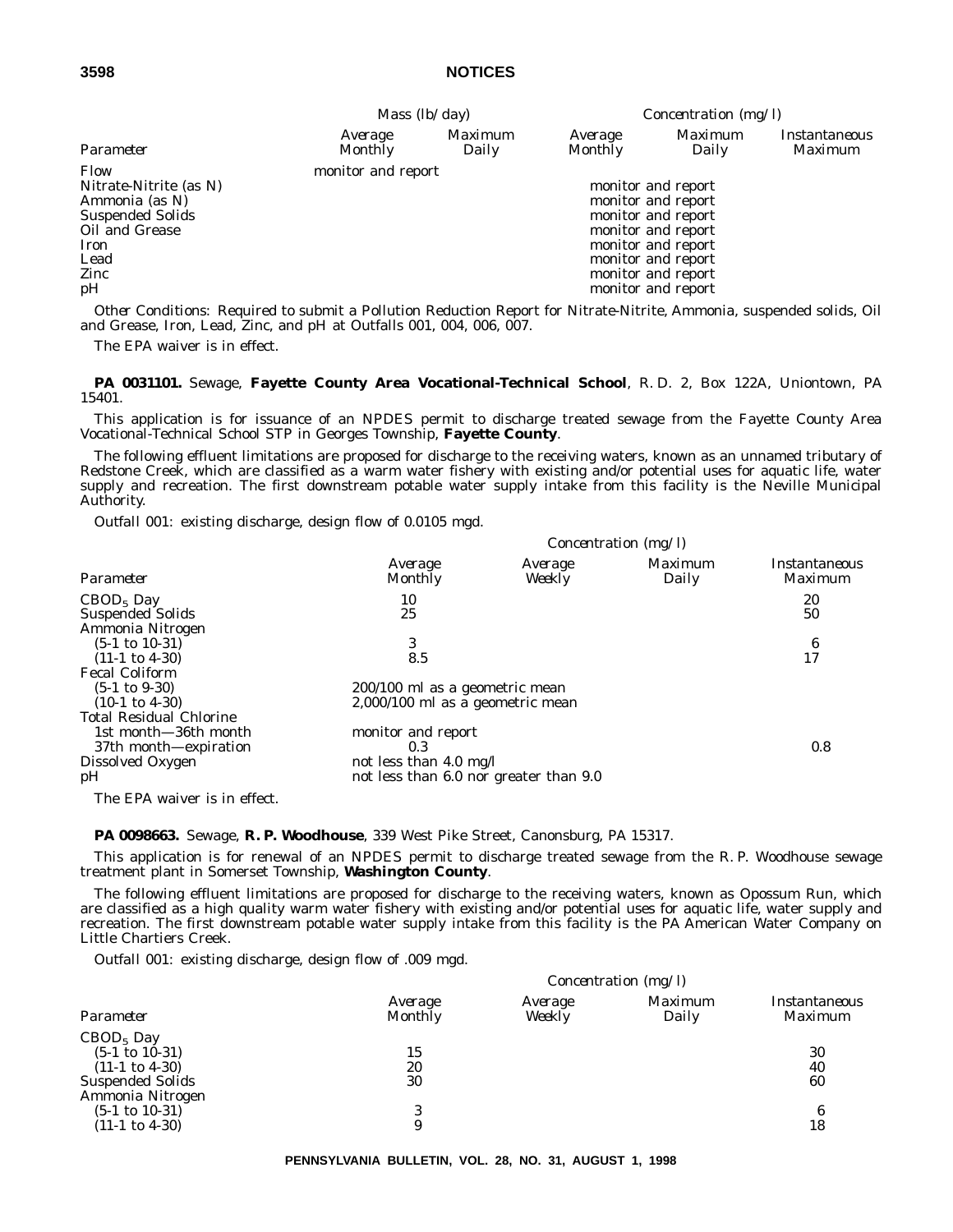|                         | Mass $(lb/day)$    |                  | Concentration $(mg/l)$ |                         |                          |
|-------------------------|--------------------|------------------|------------------------|-------------------------|--------------------------|
| Parameter               | Average<br>Monthly | Maximum<br>Daily | Average<br>Monthly     | <i>Maximum</i><br>Daily | Instantaneous<br>Maximum |
| Flow                    | monitor and report |                  |                        |                         |                          |
| Nitrate-Nitrite (as N)  |                    |                  |                        | monitor and report      |                          |
| Ammonia (as N)          |                    |                  |                        | monitor and report      |                          |
| <b>Suspended Solids</b> |                    |                  |                        | monitor and report      |                          |
| Oil and Grease          |                    |                  |                        | monitor and report      |                          |
| Iron                    |                    |                  |                        | monitor and report      |                          |
| Lead                    |                    |                  |                        | monitor and report      |                          |
| Zinc                    |                    |                  |                        | monitor and report      |                          |
| pH                      |                    |                  |                        | monitor and report      |                          |

*Other Conditions*: Required to submit a Pollution Reduction Report for Nitrate-Nitrite, Ammonia, suspended solids, Oil and Grease, Iron, Lead, Zinc, and pH at Outfalls 001, 004, 006, 007.

The EPA waiver is in effect.

**PA 0031101.** Sewage, **Fayette County Area Vocational-Technical School**, R. D. 2, Box 122A, Uniontown, PA 15401.

This application is for issuance of an NPDES permit to discharge treated sewage from the Fayette County Area Vocational-Technical School STP in Georges Township, **Fayette County**.

The following effluent limitations are proposed for discharge to the receiving waters, known as an unnamed tributary of Redstone Creek, which are classified as a warm water fishery with existing and/or potential uses for aquatic life, water supply and recreation. The first downstream potable water supply intake from this facility is the Neville Municipal Authority.

*Outfall 001*: existing discharge, design flow of 0.0105 mgd.

|                                | Concentration (mg/l)                   |                   |                  |                                 |  |
|--------------------------------|----------------------------------------|-------------------|------------------|---------------------------------|--|
| Parameter                      | Average<br>Monthly                     | Average<br>Weekly | Maximum<br>Daily | Instantaneous<br><i>Maximum</i> |  |
| $CBOD5$ Day                    | 10                                     |                   |                  | 20                              |  |
| <b>Suspended Solids</b>        | 25                                     |                   |                  | 50                              |  |
| Ammonia Nitrogen               |                                        |                   |                  |                                 |  |
| $(5-1 \text{ to } 10-31)$      | 3                                      |                   |                  | 6                               |  |
| $(11-1 \text{ to } 4-30)$      | 8.5                                    |                   |                  | 17                              |  |
| <b>Fecal Coliform</b>          |                                        |                   |                  |                                 |  |
| $(5-1 \text{ to } 9-30)$       | 200/100 ml as a geometric mean         |                   |                  |                                 |  |
| $(10-1 \text{ to } 4-30)$      | 2,000/100 ml as a geometric mean       |                   |                  |                                 |  |
| <b>Total Residual Chlorine</b> |                                        |                   |                  |                                 |  |
| 1st month-36th month           | monitor and report                     |                   |                  |                                 |  |
| 37th month—expiration          | 0.3                                    |                   |                  | 0.8                             |  |
| Dissolved Oxygen               | not less than $4.0 \text{ mg/l}$       |                   |                  |                                 |  |
| pН                             | not less than 6.0 nor greater than 9.0 |                   |                  |                                 |  |
| The EPA waiver is in effect.   |                                        |                   |                  |                                 |  |

**PA 0098663.** Sewage, **R. P. Woodhouse**, 339 West Pike Street, Canonsburg, PA 15317.

This application is for renewal of an NPDES permit to discharge treated sewage from the R. P. Woodhouse sewage treatment plant in Somerset Township, **Washington County**.

The following effluent limitations are proposed for discharge to the receiving waters, known as Opossum Run, which are classified as a high quality warm water fishery with existing and/or potential uses for aquatic life, water supply and recreation. The first downstream potable water supply intake from this facility is the PA American Water Company on Little Chartiers Creek.

*Outfall 001*: existing discharge, design flow of .009 mgd.

|                                                                       | Concentration $(mg/l)$    |                   |                  |                          |
|-----------------------------------------------------------------------|---------------------------|-------------------|------------------|--------------------------|
| Parameter                                                             | Average<br><b>Monthly</b> | Average<br>Weekly | Maximum<br>Daily | Instantaneous<br>Maximum |
| $CBOD5$ Day<br>$(5-1 \text{ to } 10-31)$<br>$(11-1 \text{ to } 4-30)$ | 15<br>20                  |                   |                  | 30<br>40                 |
| <b>Suspended Solids</b><br>Ammonia Nitrogen                           | 30                        |                   |                  | 60                       |
| $(5-1 \text{ to } 10-31)$                                             | 3                         |                   |                  | 6                        |
| $(11-1 \text{ to } 4-30)$                                             | 9                         |                   |                  | 18                       |

**PENNSYLVANIA BULLETIN, VOL. 28, NO. 31, AUGUST 1, 1998**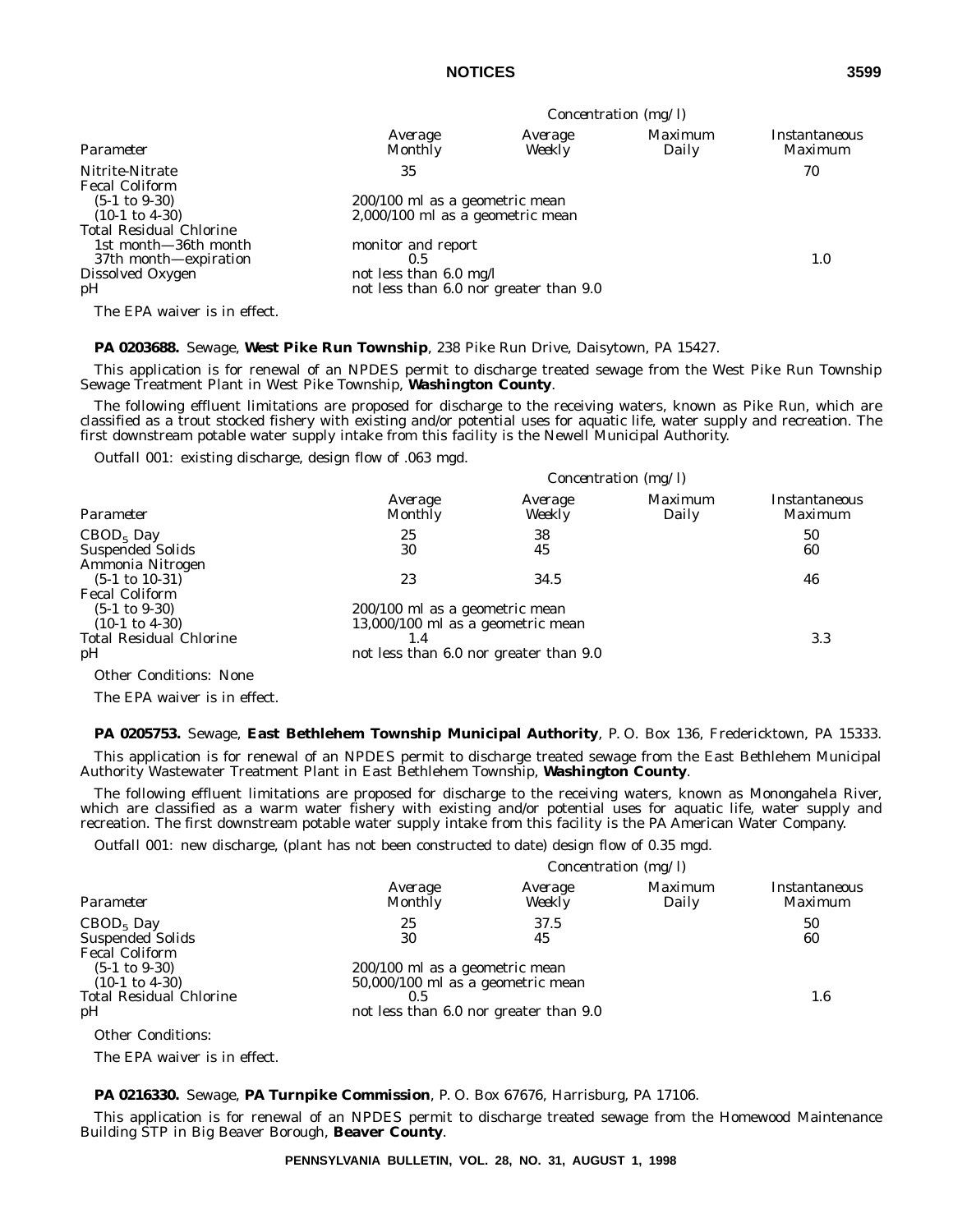| Parameter                                              | Concentration $(mg/l)$                                                     |                   |                         |                          |  |
|--------------------------------------------------------|----------------------------------------------------------------------------|-------------------|-------------------------|--------------------------|--|
|                                                        | Average<br>Monthly                                                         | Average<br>Weekly | <i>Maximum</i><br>Daily | Instantaneous<br>Maximum |  |
| Nitrite-Nitrate<br><b>Fecal Coliform</b>               | 35                                                                         |                   |                         | 70                       |  |
| $(5-1 \text{ to } 9-30)$<br>$(10-1 \text{ to } 4-30)$  | 200/100 ml as a geometric mean<br>$2,000/100$ ml as a geometric mean       |                   |                         |                          |  |
| <b>Total Residual Chlorine</b><br>1st month—36th month | monitor and report                                                         |                   |                         |                          |  |
| 37th month—expiration                                  | 0.5                                                                        |                   |                         | 1.0                      |  |
| Dissolved Oxygen<br>pH                                 | not less than $6.0 \text{ mg/l}$<br>not less than 6.0 nor greater than 9.0 |                   |                         |                          |  |
| The EPA waiver is in effect.                           |                                                                            |                   |                         |                          |  |

#### **PA 0203688.** Sewage, **West Pike Run Township**, 238 Pike Run Drive, Daisytown, PA 15427.

This application is for renewal of an NPDES permit to discharge treated sewage from the West Pike Run Township Sewage Treatment Plant in West Pike Township, **Washington County**.

The following effluent limitations are proposed for discharge to the receiving waters, known as Pike Run, which are classified as a trout stocked fishery with existing and/or potential uses for aquatic life, water supply and recreation. The first downstream potable water supply intake from this facility is the Newell Municipal Authority.

*Outfall 001*: existing discharge, design flow of .063 mgd.

|                                | Concentration $(mg/l)$                 |                   |                         |                                        |
|--------------------------------|----------------------------------------|-------------------|-------------------------|----------------------------------------|
| Parameter                      | Average<br><b>Monthly</b>              | Average<br>Weekly | <i>Maximum</i><br>Daily | <i>Instantaneous</i><br><i>Maximum</i> |
| $CBOD5$ Day                    | 25                                     | 38                |                         | 50                                     |
| <b>Suspended Solids</b>        | 30                                     | 45                |                         | 60                                     |
| Ammonia Nitrogen               |                                        |                   |                         |                                        |
| $(5-1 \text{ to } 10-31)$      | 23                                     | 34.5              |                         | 46                                     |
| <b>Fecal Coliform</b>          |                                        |                   |                         |                                        |
| $(5-1 \text{ to } 9-30)$       | 200/100 ml as a geometric mean         |                   |                         |                                        |
| $(10-1 \text{ to } 4-30)$      | $13,000/100$ ml as a geometric mean    |                   |                         |                                        |
| <b>Total Residual Chlorine</b> | 1.4                                    |                   |                         | 3.3                                    |
| pH                             | not less than 6.0 nor greater than 9.0 |                   |                         |                                        |
| <b>Other Conditions: None</b>  |                                        |                   |                         |                                        |

The EPA waiver is in effect.

#### **PA 0205753.** Sewage, **East Bethlehem Township Municipal Authority**, P. O. Box 136, Fredericktown, PA 15333.

This application is for renewal of an NPDES permit to discharge treated sewage from the East Bethlehem Municipal Authority Wastewater Treatment Plant in East Bethlehem Township, **Washington County**.

The following effluent limitations are proposed for discharge to the receiving waters, known as Monongahela River, which are classified as a warm water fishery with existing and/or potential uses for aquatic life, water supply and recreation. The first downstream potable water supply intake from this facility is the PA American Water Company.

*Outfall 001*: new discharge, (plant has not been constructed to date) design flow of 0.35 mgd.

| Concentration (mg/l) |  |
|----------------------|--|
|----------------------|--|

| Parameter                      | Average<br><b>Monthly</b>              | Average<br>Weekly | <i>Maximum</i><br>Daily | Instantaneous<br>Maximum |
|--------------------------------|----------------------------------------|-------------------|-------------------------|--------------------------|
| $CBOD5$ Day                    | 25                                     | 37.5              |                         | 50                       |
| <b>Suspended Solids</b>        | 30                                     | 45                |                         | 60                       |
| <b>Fecal Coliform</b>          |                                        |                   |                         |                          |
| $(5-1 \text{ to } 9-30)$       | 200/100 ml as a geometric mean         |                   |                         |                          |
| $(10-1 \text{ to } 4-30)$      | $50,000/100$ ml as a geometric mean    |                   |                         |                          |
| <b>Total Residual Chlorine</b> | 0.5                                    |                   |                         | 1.6                      |
| pH                             | not less than 6.0 nor greater than 9.0 |                   |                         |                          |
| <b>Other Conditions:</b>       |                                        |                   |                         |                          |
|                                |                                        |                   |                         |                          |

The EPA waiver is in effect.

#### **PA 0216330.** Sewage, **PA Turnpike Commission**, P. O. Box 67676, Harrisburg, PA 17106.

This application is for renewal of an NPDES permit to discharge treated sewage from the Homewood Maintenance Building STP in Big Beaver Borough, **Beaver County**.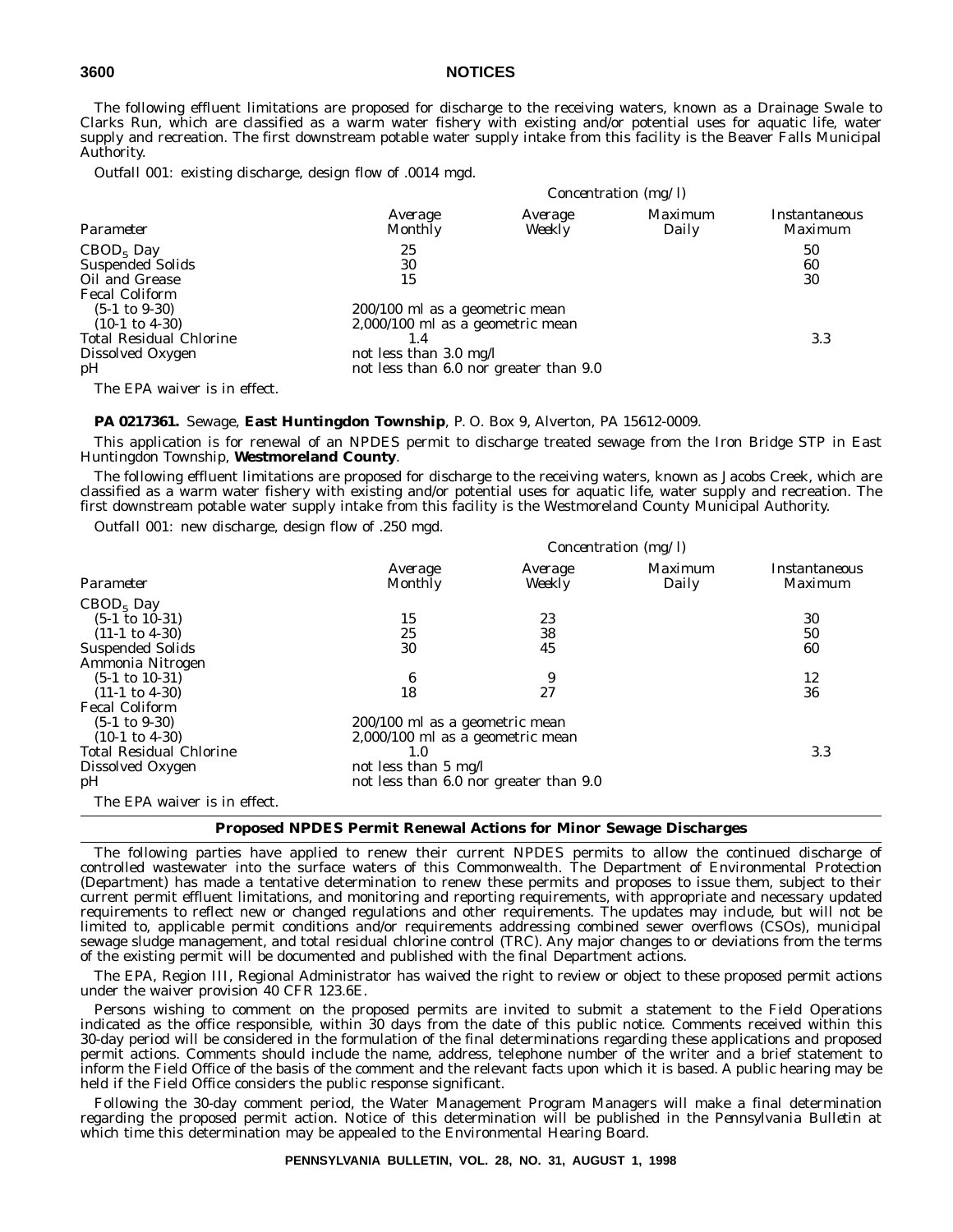The following effluent limitations are proposed for discharge to the receiving waters, known as a Drainage Swale to Clarks Run, which are classified as a warm water fishery with existing and/or potential uses for aquatic life, water supply and recreation. The first downstream potable water supply intake from this facility is the Beaver Falls Municipal Authority.

*Outfall 001*: existing discharge, design flow of .0014 mgd.

|                                                                                                                   |                                                                                                                                                         | Concentration $(mg/l)$ |                  |                                 |
|-------------------------------------------------------------------------------------------------------------------|---------------------------------------------------------------------------------------------------------------------------------------------------------|------------------------|------------------|---------------------------------|
| Parameter                                                                                                         | Average<br><b>Monthly</b>                                                                                                                               | Average<br>Weekly      | Maximum<br>Daily | <i>Instantaneous</i><br>Maximum |
| $CBOD5$ Day<br><b>Suspended Solids</b><br>Oil and Grease<br><b>Fecal Coliform</b>                                 | 25<br>30<br>15                                                                                                                                          |                        |                  | 50<br>60<br>30                  |
| $(5-1 \text{ to } 9-30)$<br>$(10-1 \text{ to } 4-30)$<br><b>Total Residual Chlorine</b><br>Dissolved Oxygen<br>pH | 200/100 ml as a geometric mean<br>2,000/100 ml as a geometric mean<br>1.4<br>not less than $3.0 \text{ mg/l}$<br>not less than 6.0 nor greater than 9.0 |                        |                  | 3.3                             |
| The EPA waiver is in effect.                                                                                      |                                                                                                                                                         |                        |                  |                                 |

**PA 0217361.** Sewage, **East Huntingdon Township**, P. O. Box 9, Alverton, PA 15612-0009.

This application is for renewal of an NPDES permit to discharge treated sewage from the Iron Bridge STP in East Huntingdon Township, **Westmoreland County**.

The following effluent limitations are proposed for discharge to the receiving waters, known as Jacobs Creek, which are classified as a warm water fishery with existing and/or potential uses for aquatic life, water supply and recreation. The first downstream potable water supply intake from this facility is the Westmoreland County Municipal Authority.

*Outfall 001*: new discharge, design flow of .250 mgd.

|                                | Concentration $(mg/l)$                 |                   |                  |                                 |
|--------------------------------|----------------------------------------|-------------------|------------------|---------------------------------|
| Parameter                      | Average<br>Monthly                     | Average<br>Weekly | Maximum<br>Daily | Instantaneous<br><i>Maximum</i> |
| $CBOD5$ Day                    |                                        |                   |                  |                                 |
| $(5-1 \text{ to } 10-31)$      | 15                                     | 23                |                  | 30                              |
| $(11-1 \text{ to } 4-30)$      | 25                                     | 38                |                  | 50                              |
| <b>Suspended Solids</b>        | 30                                     | 45                |                  | 60                              |
| Ammonia Nitrogen               |                                        |                   |                  |                                 |
| $(5-1 \text{ to } 10-31)$      | 6                                      | 9                 |                  | 12                              |
| $(11-1 \text{ to } 4-30)$      | 18                                     | 27                |                  | 36                              |
| <b>Fecal Coliform</b>          |                                        |                   |                  |                                 |
| $(5-1 \text{ to } 9-30)$       | 200/100 ml as a geometric mean         |                   |                  |                                 |
| $(10-1 \text{ to } 4-30)$      | $2,000/100$ ml as a geometric mean     |                   |                  |                                 |
| <b>Total Residual Chlorine</b> | 1.0                                    |                   |                  | 3.3                             |
| Dissolved Oxygen               | not less than 5 mg/l                   |                   |                  |                                 |
| pH                             | not less than 6.0 nor greater than 9.0 |                   |                  |                                 |
| The EPA waiver is in effect.   |                                        |                   |                  |                                 |

#### **Proposed NPDES Permit Renewal Actions for Minor Sewage Discharges**

The following parties have applied to renew their current NPDES permits to allow the continued discharge of controlled wastewater into the surface waters of this Commonwealth. The Department of Environmental Protection (Department) has made a tentative determination to renew these permits and proposes to issue them, subject to their current permit effluent limitations, and monitoring and reporting requirements, with appropriate and necessary updated requirements to reflect new or changed regulations and other requirements. The updates may include, but will not be limited to, applicable permit conditions and/or requirements addressing combined sewer overflows (CSOs), municipal sewage sludge management, and total residual chlorine control (TRC). Any major changes to or deviations from the terms of the existing permit will be documented and published with the final Department actions.

The EPA, Region III, Regional Administrator has waived the right to review or object to these proposed permit actions under the waiver provision 40 CFR 123.6E.

Persons wishing to comment on the proposed permits are invited to submit a statement to the Field Operations indicated as the office responsible, within 30 days from the date of this public notice. Comments received within this 30-day period will be considered in the formulation of the final determinations regarding these applications and proposed permit actions. Comments should include the name, address, telephone number of the writer and a brief statement to inform the Field Office of the basis of the comment and the relevant facts upon which it is based. A public hearing may be held if the Field Office considers the public response significant.

Following the 30-day comment period, the Water Management Program Managers will make a final determination regarding the proposed permit action. Notice of this determination will be published in the *Pennsylvania Bulletin* at which time this determination may be appealed to the Environmental Hearing Board.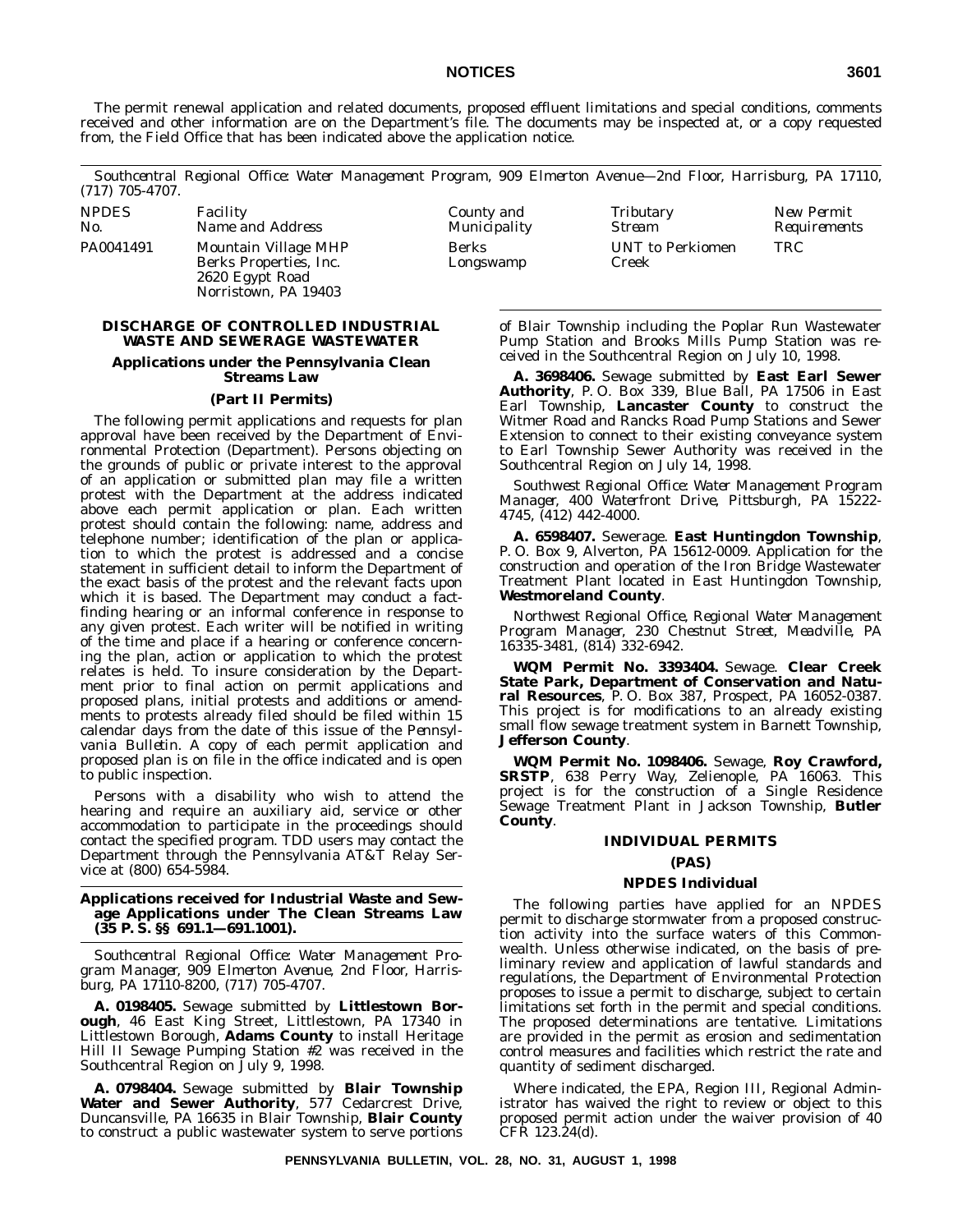The permit renewal application and related documents, proposed effluent limitations and special conditions, comments received and other information are on the Department's file. The documents may be inspected at, or a copy requested from, the Field Office that has been indicated above the application notice.

*Southcentral Regional Office: Water Management Program, 909 Elmerton Avenue—2nd Floor, Harrisburg, PA 17110, (717) 705-4707.*

| <b>NPDES</b> | <i>Facility</i>                                                                           | County and         | Tributary                        | <i>New Permit</i> |
|--------------|-------------------------------------------------------------------------------------------|--------------------|----------------------------------|-------------------|
| No.          | Name and Address                                                                          | Municipality       | Stream                           | Requirements      |
| PA0041491    | Mountain Village MHP<br>Berks Properties, Inc.<br>2620 Egypt Road<br>Norristown, PA 19403 | Berks<br>Longswamp | <b>UNT</b> to Perkiomen<br>Creek | TRC               |

#### **DISCHARGE OF CONTROLLED INDUSTRIAL WASTE AND SEWERAGE WASTEWATER**

#### **Applications under the Pennsylvania Clean Streams Law**

#### **(Part II Permits)**

The following permit applications and requests for plan approval have been received by the Department of Environmental Protection (Department). Persons objecting on the grounds of public or private interest to the approval of an application or submitted plan may file a written protest with the Department at the address indicated above each permit application or plan. Each written protest should contain the following: name, address and telephone number; identification of the plan or application to which the protest is addressed and a concise statement in sufficient detail to inform the Department of the exact basis of the protest and the relevant facts upon which it is based. The Department may conduct a factfinding hearing or an informal conference in response to any given protest. Each writer will be notified in writing of the time and place if a hearing or conference concerning the plan, action or application to which the protest relates is held. To insure consideration by the Department prior to final action on permit applications and proposed plans, initial protests and additions or amendments to protests already filed should be filed within 15 calendar days from the date of this issue of the *Pennsylvania Bulletin*. A copy of each permit application and proposed plan is on file in the office indicated and is open to public inspection.

Persons with a disability who wish to attend the hearing and require an auxiliary aid, service or other accommodation to participate in the proceedings should contact the specified program. TDD users may contact the Department through the Pennsylvania AT&T Relay Service at (800) 654-5984.

#### **Applications received for Industrial Waste and Sewage Applications under The Clean Streams Law (35 P. S. §§ 691.1—691.1001).**

*Southcentral Regional Office: Water Management Program Manager, 909 Elmerton Avenue, 2nd Floor, Harrisburg, PA 17110-8200, (717) 705-4707.*

**A. 0198405.** Sewage submitted by **Littlestown Borough**, 46 East King Street, Littlestown, PA 17340 in Littlestown Borough, **Adams County** to install Heritage Hill II Sewage Pumping Station #2 was received in the Southcentral Region on July 9, 1998.

**A. 0798404.** Sewage submitted by **Blair Township Water and Sewer Authority**, 577 Cedarcrest Drive, Duncansville, PA 16635 in Blair Township, **Blair County** to construct a public wastewater system to serve portions

of Blair Township including the Poplar Run Wastewater Pump Station and Brooks Mills Pump Station was received in the Southcentral Region on July 10, 1998.

**A. 3698406.** Sewage submitted by **East Earl Sewer Authority**, P. O. Box 339, Blue Ball, PA 17506 in East Earl Township, **Lancaster County** to construct the Witmer Road and Rancks Road Pump Stations and Sewer Extension to connect to their existing conveyance system to Earl Township Sewer Authority was received in the Southcentral Region on July 14, 1998.

*Southwest Regional Office: Water Management Program Manager, 400 Waterfront Drive, Pittsburgh, PA 15222- 4745, (412) 442-4000.*

**A. 6598407.** Sewerage. **East Huntingdon Township**, P. O. Box 9, Alverton, PA 15612-0009. Application for the construction and operation of the Iron Bridge Wastewater Treatment Plant located in East Huntingdon Township, **Westmoreland County**.

*Northwest Regional Office, Regional Water Management Program Manager, 230 Chestnut Street, Meadville, PA 16335-3481, (814) 332-6942.*

**WQM Permit No. 3393404.** Sewage. **Clear Creek State Park, Department of Conservation and Natural Resources**, P. O. Box 387, Prospect, PA 16052-0387. This project is for modifications to an already existing small flow sewage treatment system in Barnett Township, **Jefferson County**.

**WQM Permit No. 1098406.** Sewage, **Roy Crawford, SRSTP**, 638 Perry Way, Zelienople, PA 16063. This project is for the construction of a Single Residence Sewage Treatment Plant in Jackson Township, **Butler County**.

#### **INDIVIDUAL PERMITS**

#### **(PAS)**

#### **NPDES Individual**

The following parties have applied for an NPDES permit to discharge stormwater from a proposed construction activity into the surface waters of this Commonwealth. Unless otherwise indicated, on the basis of preliminary review and application of lawful standards and regulations, the Department of Environmental Protection proposes to issue a permit to discharge, subject to certain limitations set forth in the permit and special conditions. The proposed determinations are tentative. Limitations are provided in the permit as erosion and sedimentation control measures and facilities which restrict the rate and quantity of sediment discharged.

Where indicated, the EPA, Region III, Regional Administrator has waived the right to review or object to this proposed permit action under the waiver provision of 40 CFR 123.24(d).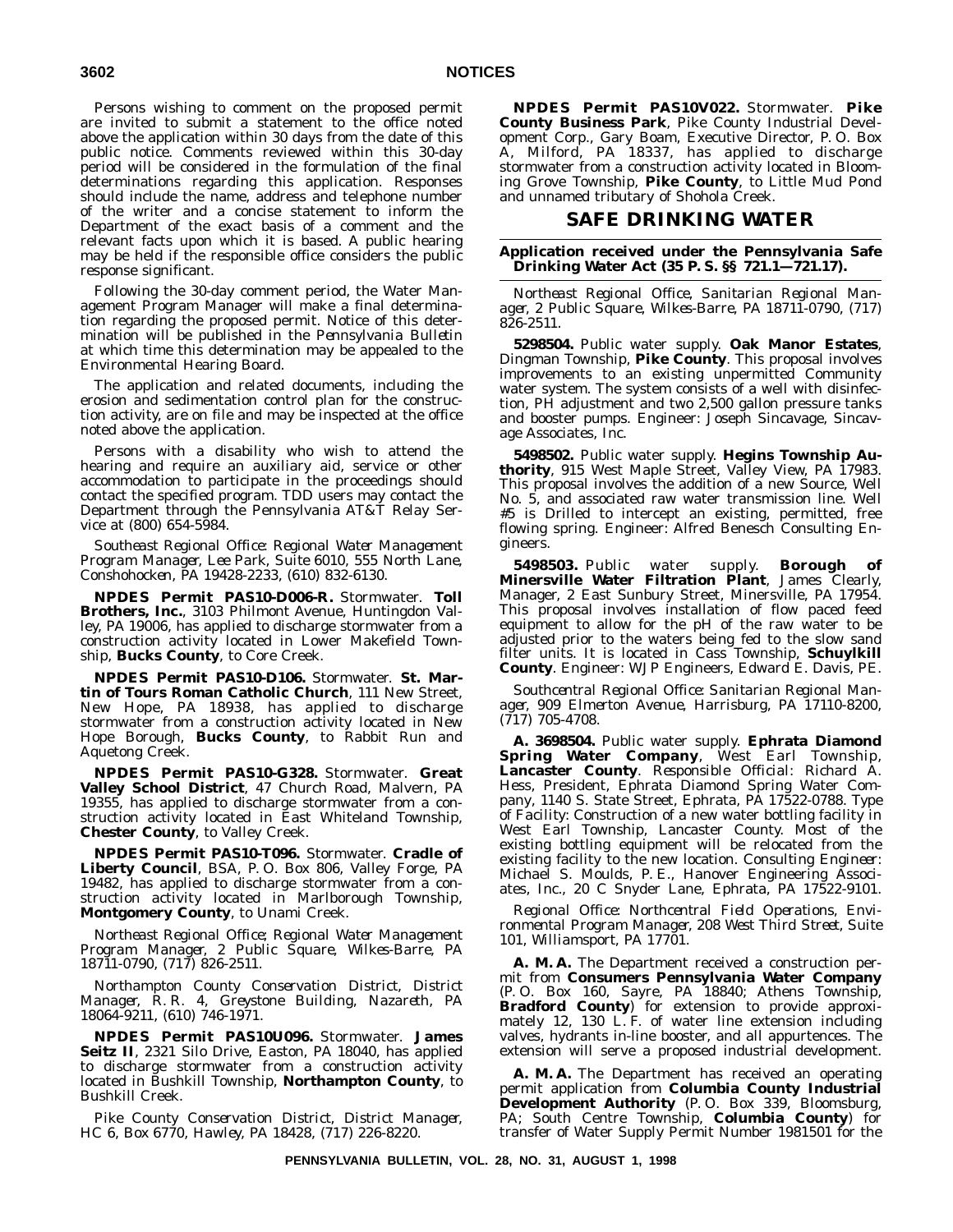Persons wishing to comment on the proposed permit are invited to submit a statement to the office noted above the application within 30 days from the date of this public notice. Comments reviewed within this 30-day period will be considered in the formulation of the final determinations regarding this application. Responses should include the name, address and telephone number of the writer and a concise statement to inform the Department of the exact basis of a comment and the relevant facts upon which it is based. A public hearing may be held if the responsible office considers the public response significant.

Following the 30-day comment period, the Water Management Program Manager will make a final determination regarding the proposed permit. Notice of this determination will be published in the *Pennsylvania Bulletin* at which time this determination may be appealed to the Environmental Hearing Board.

The application and related documents, including the erosion and sedimentation control plan for the construction activity, are on file and may be inspected at the office noted above the application.

Persons with a disability who wish to attend the hearing and require an auxiliary aid, service or other accommodation to participate in the proceedings should contact the specified program. TDD users may contact the Department through the Pennsylvania AT&T Relay Service at (800) 654-5984.

*Southeast Regional Office: Regional Water Management Program Manager, Lee Park, Suite 6010, 555 North Lane, Conshohocken, PA 19428-2233, (610) 832-6130.*

**NPDES Permit PAS10-D006-R.** Stormwater. **Toll Brothers, Inc.**, 3103 Philmont Avenue, Huntingdon Valley, PA 19006, has applied to discharge stormwater from a construction activity located in Lower Makefield Township, **Bucks County**, to Core Creek.

**NPDES Permit PAS10-D106.** Stormwater. **St. Martin of Tours Roman Catholic Church**, 111 New Street, New Hope, PA 18938, has applied to discharge stormwater from a construction activity located in New Hope Borough, **Bucks County**, to Rabbit Run and Aquetong Creek.

**NPDES Permit PAS10-G328.** Stormwater. **Great Valley School District**, 47 Church Road, Malvern, PA 19355, has applied to discharge stormwater from a construction activity located in East Whiteland Township, **Chester County**, to Valley Creek.

**NPDES Permit PAS10-T096.** Stormwater. **Cradle of Liberty Council**, BSA, P. O. Box 806, Valley Forge, PA 19482, has applied to discharge stormwater from a construction activity located in Marlborough Township, **Montgomery County**, to Unami Creek.

*Northeast Regional Office; Regional Water Management Program Manager, 2 Public Square, Wilkes-Barre, PA 18711-0790, (717) 826-2511.*

*Northampton County Conservation District, District Manager, R. R. 4, Greystone Building, Nazareth, PA 18064-9211, (610) 746-1971.*

**NPDES Permit PAS10U096.** Stormwater. **James Seitz II**, 2321 Silo Drive, Easton, PA 18040, has applied to discharge stormwater from a construction activity located in Bushkill Township, **Northampton County**, to Bushkill Creek.

*Pike County Conservation District, District Manager, HC 6, Box 6770, Hawley, PA 18428, (717) 226-8220.*

**NPDES Permit PAS10V022.** Stormwater. **Pike County Business Park**, Pike County Industrial Development Corp., Gary Boam, Executive Director, P. O. Box A, Milford, PA 18337, has applied to discharge stormwater from a construction activity located in Blooming Grove Township, **Pike County**, to Little Mud Pond and unnamed tributary of Shohola Creek.

#### **SAFE DRINKING WATER**

#### **Application received under the Pennsylvania Safe Drinking Water Act (35 P. S. §§ 721.1—721.17).**

*Northeast Regional Office, Sanitarian Regional Manager, 2 Public Square, Wilkes-Barre, PA 18711-0790, (717) 826-2511.*

**5298504.** Public water supply. **Oak Manor Estates**, Dingman Township, **Pike County**. This proposal involves improvements to an existing unpermitted Community water system. The system consists of a well with disinfection, PH adjustment and two 2,500 gallon pressure tanks and booster pumps. Engineer: Joseph Sincavage, Sincavage Associates, Inc.

**5498502.** Public water supply. **Hegins Township Authority**, 915 West Maple Street, Valley View, PA 17983. This proposal involves the addition of a new Source, Well No. 5, and associated raw water transmission line. Well #5 is Drilled to intercept an existing, permitted, free flowing spring. Engineer: Alfred Benesch Consulting Engineers.

**5498503.** Public water supply. **Borough of Minersville Water Filtration Plant**, James Clearly, Manager, 2 East Sunbury Street, Minersville, PA 17954. This proposal involves installation of flow paced feed equipment to allow for the pH of the raw water to be adjusted prior to the waters being fed to the slow sand filter units. It is located in Cass Township, **Schuylkill County**. Engineer: WJP Engineers, Edward E. Davis, PE.

*Southcentral Regional Office: Sanitarian Regional Manager, 909 Elmerton Avenue, Harrisburg, PA 17110-8200, (717) 705-4708.*

**A. 3698504.** Public water supply. **Ephrata Diamond Spring Water Company**, West Earl Township, **Lancaster County**. *Responsible Official*: Richard A. Hess, President, Ephrata Diamond Spring Water Company, 1140 S. State Street, Ephrata, PA 17522-0788. *Type of Facility*: Construction of a new water bottling facility in West Earl Township, Lancaster County. Most of the existing bottling equipment will be relocated from the existing facility to the new location. *Consulting Engineer*: Michael S. Moulds, P. E., Hanover Engineering Associates, Inc., 20 C Snyder Lane, Ephrata, PA 17522-9101.

*Regional Office: Northcentral Field Operations, Environmental Program Manager, 208 West Third Street, Suite 101, Williamsport, PA 17701.*

**A. M. A.** The Department received a construction permit from **Consumers Pennsylvania Water Company** (P. O. Box 160, Sayre, PA 18840; Athens Township, **Bradford County**) for extension to provide approximately 12, 130 L. F. of water line extension including valves, hydrants in-line booster, and all appurtences. The extension will serve a proposed industrial development.

**A. M. A.** The Department has received an operating permit application from **Columbia County Industrial Development Authority** (P. O. Box 339, Bloomsburg, PA; South Centre Township, **Columbia County**) for transfer of Water Supply Permit Number 1981501 for the

**PENNSYLVANIA BULLETIN, VOL. 28, NO. 31, AUGUST 1, 1998**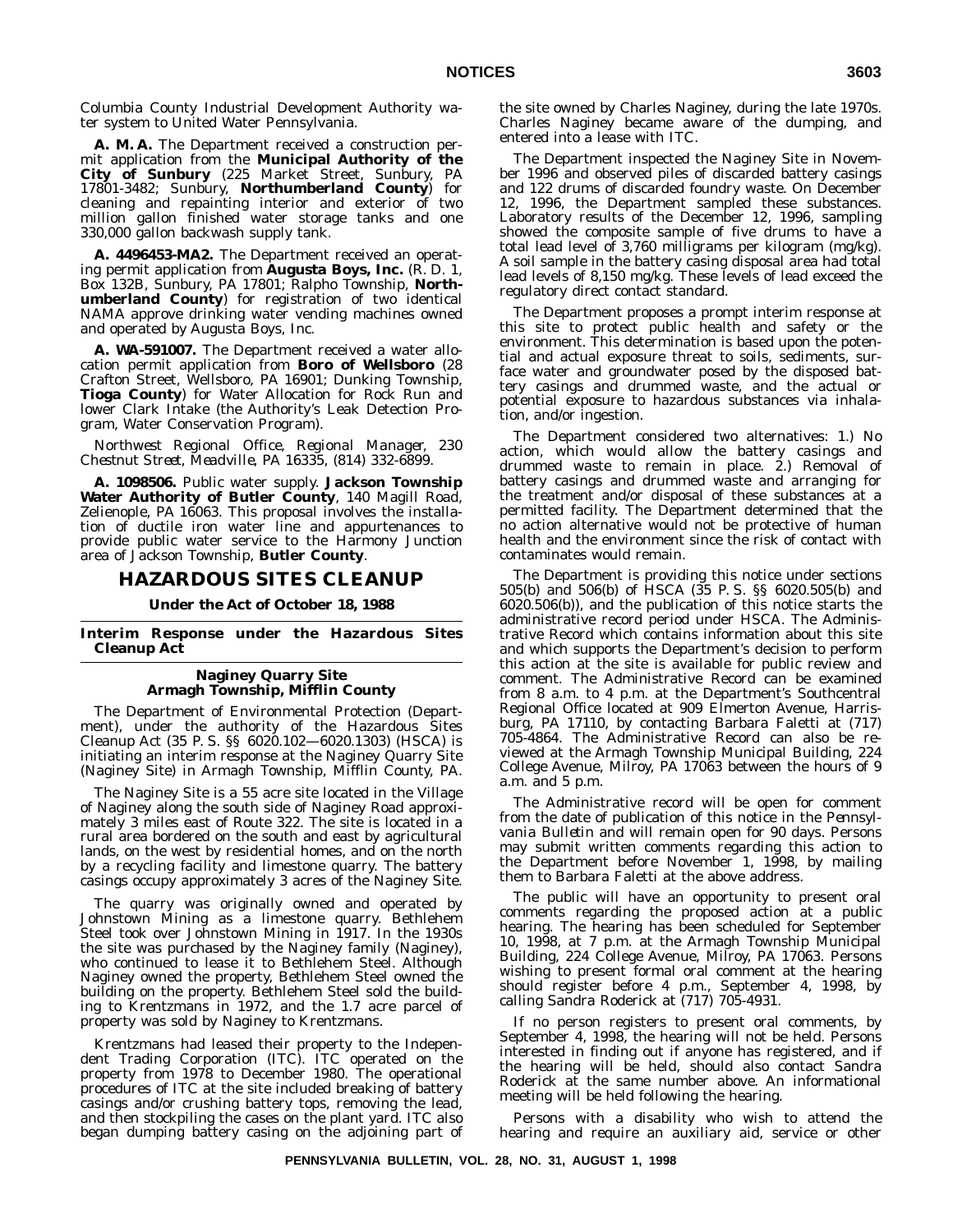Columbia County Industrial Development Authority water system to United Water Pennsylvania.

**A. M. A.** The Department received a construction permit application from the **Municipal Authority of the City of Sunbury** (225 Market Street, Sunbury, PA 17801-3482; Sunbury, **Northumberland County**) for cleaning and repainting interior and exterior of two million gallon finished water storage tanks and one 330,000 gallon backwash supply tank.

**A. 4496453-MA2.** The Department received an operating permit application from **Augusta Boys, Inc.** (R. D. 1, Box 132B, Sunbury, PA 17801; Ralpho Township, **Northumberland County**) for registration of two identical NAMA approve drinking water vending machines owned and operated by Augusta Boys, Inc.

**A. WA-591007.** The Department received a water allocation permit application from **Boro of Wellsboro** (28 Crafton Street, Wellsboro, PA 16901; Dunking Township, **Tioga County**) for Water Allocation for Rock Run and lower Clark Intake (the Authority's Leak Detection Program, Water Conservation Program).

*Northwest Regional Office, Regional Manager, 230 Chestnut Street, Meadville, PA 16335, (814) 332-6899.*

**A. 1098506.** Public water supply. **Jackson Township Water Authority of Butler County**, 140 Magill Road, Zelienople, PA 16063. This proposal involves the installation of ductile iron water line and appurtenances to provide public water service to the Harmony Junction area of Jackson Township, **Butler County**.

#### **HAZARDOUS SITES CLEANUP**

#### **Under the Act of October 18, 1988**

**Interim Response under the Hazardous Sites Cleanup Act**

#### **Naginey Quarry Site Armagh Township, Mifflin County**

The Department of Environmental Protection (Department), under the authority of the Hazardous Sites Cleanup Act (35 P. S. §§ 6020.102—6020.1303) (HSCA) is initiating an interim response at the Naginey Quarry Site (Naginey Site) in Armagh Township, Mifflin County, PA.

The Naginey Site is a 55 acre site located in the Village of Naginey along the south side of Naginey Road approximately 3 miles east of Route 322. The site is located in a rural area bordered on the south and east by agricultural lands, on the west by residential homes, and on the north by a recycling facility and limestone quarry. The battery casings occupy approximately 3 acres of the Naginey Site.

The quarry was originally owned and operated by Johnstown Mining as a limestone quarry. Bethlehem Steel took over Johnstown Mining in 1917. In the 1930s the site was purchased by the Naginey family (Naginey), who continued to lease it to Bethlehem Steel. Although Naginey owned the property, Bethlehem Steel owned the building on the property. Bethlehem Steel sold the building to Krentzmans in 1972, and the 1.7 acre parcel of property was sold by Naginey to Krentzmans.

Krentzmans had leased their property to the Independent Trading Corporation (ITC). ITC operated on the property from 1978 to December 1980. The operational procedures of ITC at the site included breaking of battery casings and/or crushing battery tops, removing the lead, and then stockpiling the cases on the plant yard. ITC also began dumping battery casing on the adjoining part of the site owned by Charles Naginey, during the late 1970s. Charles Naginey became aware of the dumping, and entered into a lease with ITC.

The Department inspected the Naginey Site in November 1996 and observed piles of discarded battery casings and 122 drums of discarded foundry waste. On December 12, 1996, the Department sampled these substances. Laboratory results of the December 12, 1996, sampling showed the composite sample of five drums to have a total lead level of 3,760 milligrams per kilogram (mg/kg). A soil sample in the battery casing disposal area had total lead levels of 8,150 mg/kg. These levels of lead exceed the regulatory direct contact standard.

The Department proposes a prompt interim response at this site to protect public health and safety or the environment. This determination is based upon the potential and actual exposure threat to soils, sediments, surface water and groundwater posed by the disposed battery casings and drummed waste, and the actual or potential exposure to hazardous substances via inhalation, and/or ingestion.

The Department considered two alternatives: 1.) No action, which would allow the battery casings and drummed waste to remain in place. 2.) Removal of battery casings and drummed waste and arranging for the treatment and/or disposal of these substances at a permitted facility. The Department determined that the no action alternative would not be protective of human health and the environment since the risk of contact with contaminates would remain.

The Department is providing this notice under sections 505(b) and 506(b) of HSCA (35 P. S. §§ 6020.505(b) and 6020.506(b)), and the publication of this notice starts the administrative record period under HSCA. The Administrative Record which contains information about this site and which supports the Department's decision to perform this action at the site is available for public review and comment. The Administrative Record can be examined from 8 a.m. to 4 p.m. at the Department's Southcentral Regional Office located at 909 Elmerton Avenue, Harrisburg, PA 17110, by contacting Barbara Faletti at (717) 705-4864. The Administrative Record can also be reviewed at the Armagh Township Municipal Building, 224 College Avenue, Milroy, PA 17063 between the hours of 9 a.m. and 5 p.m.

The Administrative record will be open for comment from the date of publication of this notice in the *Pennsylvania Bulletin* and will remain open for 90 days. Persons may submit written comments regarding this action to the Department before November 1, 1998, by mailing them to Barbara Faletti at the above address.

The public will have an opportunity to present oral comments regarding the proposed action at a public hearing. The hearing has been scheduled for September 10, 1998, at 7 p.m. at the Armagh Township Municipal Building, 224 College Avenue, Milroy, PA 17063. Persons wishing to present formal oral comment at the hearing should register before 4 p.m., September 4, 1998, by calling Sandra Roderick at (717) 705-4931.

If no person registers to present oral comments, by September 4, 1998, the hearing will not be held. Persons interested in finding out if anyone has registered, and if the hearing will be held, should also contact Sandra Roderick at the same number above. An informational meeting will be held following the hearing.

Persons with a disability who wish to attend the hearing and require an auxiliary aid, service or other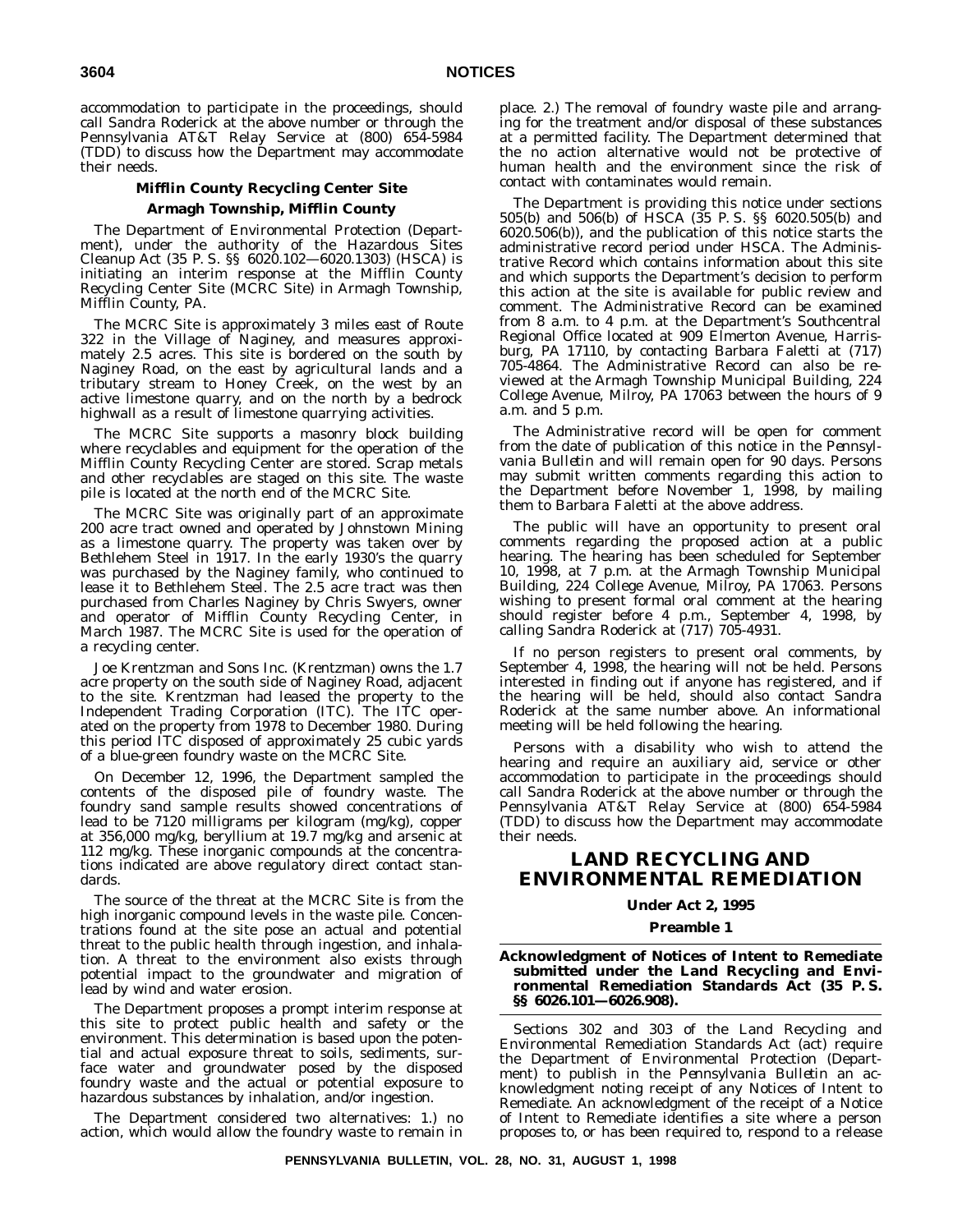accommodation to participate in the proceedings, should call Sandra Roderick at the above number or through the Pennsylvania AT&T Relay Service at (800) 654-5984 (TDD) to discuss how the Department may accommodate their needs.

### **Mifflin County Recycling Center Site Armagh Township, Mifflin County**

The Department of Environmental Protection (Department), under the authority of the Hazardous Sites Cleanup Act (35 P. S. §§ 6020.102—6020.1303) (HSCA) is initiating an interim response at the Mifflin County Recycling Center Site (MCRC Site) in Armagh Township, Mifflin County, PA.

The MCRC Site is approximately 3 miles east of Route 322 in the Village of Naginey, and measures approximately 2.5 acres. This site is bordered on the south by Naginey Road, on the east by agricultural lands and a tributary stream to Honey Creek, on the west by an active limestone quarry, and on the north by a bedrock highwall as a result of limestone quarrying activities.

The MCRC Site supports a masonry block building where recyclables and equipment for the operation of the Mifflin County Recycling Center are stored. Scrap metals and other recyclables are staged on this site. The waste pile is located at the north end of the MCRC Site.

The MCRC Site was originally part of an approximate 200 acre tract owned and operated by Johnstown Mining as a limestone quarry. The property was taken over by Bethlehem Steel in 1917. In the early 1930's the quarry was purchased by the Naginey family, who continued to lease it to Bethlehem Steel. The 2.5 acre tract was then purchased from Charles Naginey by Chris Swyers, owner and operator of Mifflin County Recycling Center, in March 1987. The MCRC Site is used for the operation of a recycling center.

Joe Krentzman and Sons Inc. (Krentzman) owns the 1.7 acre property on the south side of Naginey Road, adjacent to the site. Krentzman had leased the property to the Independent Trading Corporation (ITC). The ITC operated on the property from 1978 to December 1980. During this period ITC disposed of approximately 25 cubic yards of a blue-green foundry waste on the MCRC Site.

On December 12, 1996, the Department sampled the contents of the disposed pile of foundry waste. The foundry sand sample results showed concentrations of lead to be 7120 milligrams per kilogram (mg/kg), copper at 356,000 mg/kg, beryllium at 19.7 mg/kg and arsenic at 112 mg/kg. These inorganic compounds at the concentrations indicated are above regulatory direct contact standards.

The source of the threat at the MCRC Site is from the high inorganic compound levels in the waste pile. Concentrations found at the site pose an actual and potential threat to the public health through ingestion, and inhalation. A threat to the environment also exists through potential impact to the groundwater and migration of lead by wind and water erosion.

The Department proposes a prompt interim response at this site to protect public health and safety or the environment. This determination is based upon the potential and actual exposure threat to soils, sediments, surface water and groundwater posed by the disposed foundry waste and the actual or potential exposure to hazardous substances by inhalation, and/or ingestion.

The Department considered two alternatives: 1.) no action, which would allow the foundry waste to remain in place. 2.) The removal of foundry waste pile and arranging for the treatment and/or disposal of these substances at a permitted facility. The Department determined that the no action alternative would not be protective of human health and the environment since the risk of contact with contaminates would remain.

The Department is providing this notice under sections 505(b) and 506(b) of HSCA (35 P. S. §§ 6020.505(b) and 6020.506(b)), and the publication of this notice starts the administrative record period under HSCA. The Administrative Record which contains information about this site and which supports the Department's decision to perform this action at the site is available for public review and comment. The Administrative Record can be examined from 8 a.m. to 4 p.m. at the Department's Southcentral Regional Office located at 909 Elmerton Avenue, Harrisburg, PA 17110, by contacting Barbara Faletti at (717) 705-4864. The Administrative Record can also be reviewed at the Armagh Township Municipal Building, 224 College Avenue, Milroy, PA 17063 between the hours of 9 a.m. and 5 p.m.

The Administrative record will be open for comment from the date of publication of this notice in the *Pennsylvania Bulletin* and will remain open for 90 days. Persons may submit written comments regarding this action to the Department before November 1, 1998, by mailing them to Barbara Faletti at the above address.

The public will have an opportunity to present oral comments regarding the proposed action at a public hearing. The hearing has been scheduled for September 10, 1998, at 7 p.m. at the Armagh Township Municipal Building, 224 College Avenue, Milroy, PA 17063. Persons wishing to present formal oral comment at the hearing should register before 4 p.m., September 4, 1998, by calling Sandra Roderick at (717) 705-4931.

If no person registers to present oral comments, by September 4, 1998, the hearing will not be held. Persons interested in finding out if anyone has registered, and if the hearing will be held, should also contact Sandra Roderick at the same number above. An informational meeting will be held following the hearing.

Persons with a disability who wish to attend the hearing and require an auxiliary aid, service or other accommodation to participate in the proceedings should call Sandra Roderick at the above number or through the Pennsylvania AT&T Relay Service at (800) 654-5984 (TDD) to discuss how the Department may accommodate their needs.

# **LAND RECYCLING AND ENVIRONMENTAL REMEDIATION**

#### **Under Act 2, 1995**

#### **Preamble 1**

#### **Acknowledgment of Notices of Intent to Remediate submitted under the Land Recycling and Environmental Remediation Standards Act (35 P. S. §§ 6026.101—6026.908).**

Sections 302 and 303 of the Land Recycling and Environmental Remediation Standards Act (act) require the Department of Environmental Protection (Department) to publish in the *Pennsylvania Bulletin* an acknowledgment noting receipt of any Notices of Intent to Remediate. An acknowledgment of the receipt of a Notice of Intent to Remediate identifies a site where a person proposes to, or has been required to, respond to a release

**PENNSYLVANIA BULLETIN, VOL. 28, NO. 31, AUGUST 1, 1998**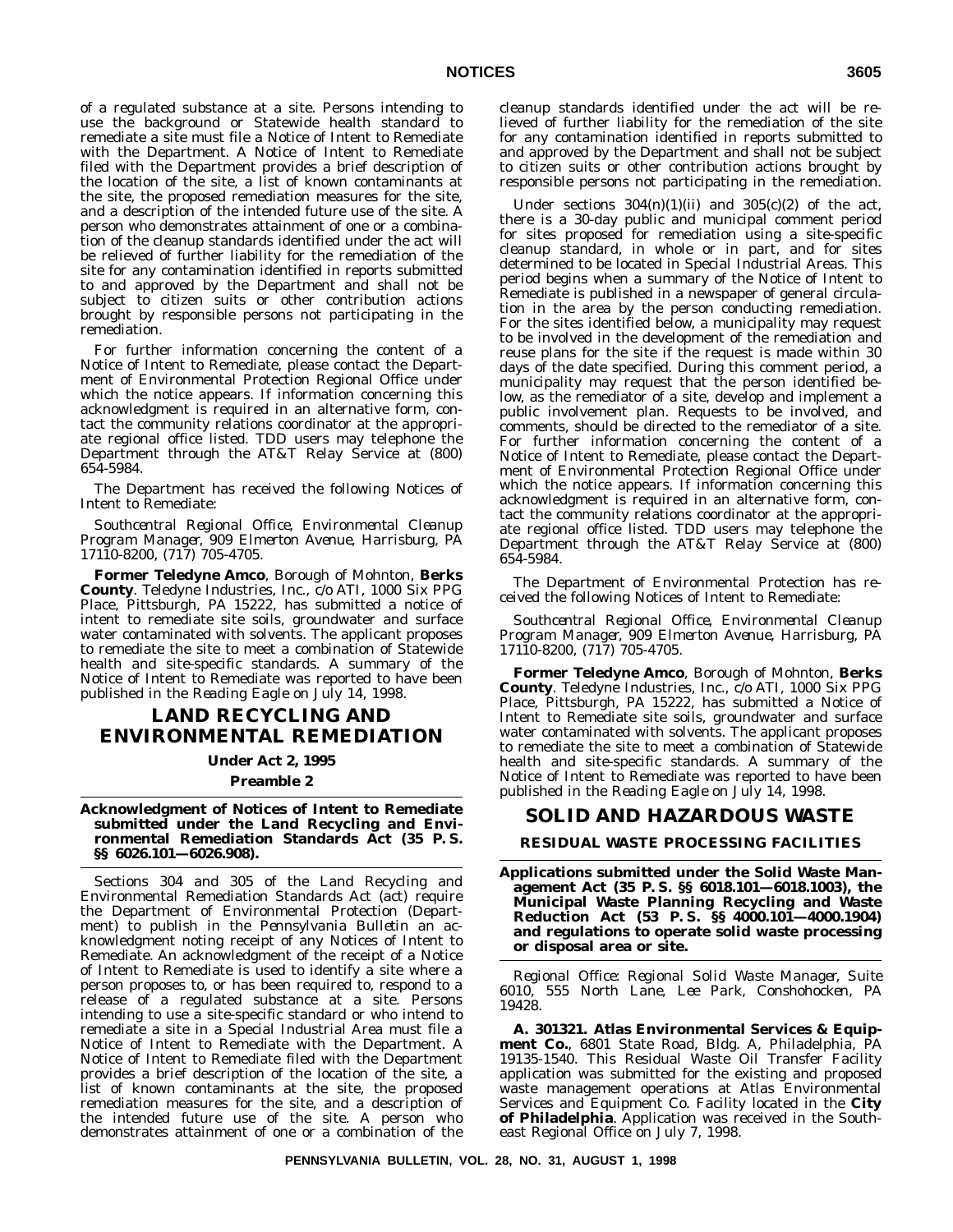of a regulated substance at a site. Persons intending to use the background or Statewide health standard to remediate a site must file a Notice of Intent to Remediate with the Department. A Notice of Intent to Remediate filed with the Department provides a brief description of the location of the site, a list of known contaminants at the site, the proposed remediation measures for the site, and a description of the intended future use of the site. A person who demonstrates attainment of one or a combination of the cleanup standards identified under the act will be relieved of further liability for the remediation of the site for any contamination identified in reports submitted to and approved by the Department and shall not be subject to citizen suits or other contribution actions brought by responsible persons not participating in the remediation.

For further information concerning the content of a Notice of Intent to Remediate, please contact the Department of Environmental Protection Regional Office under which the notice appears. If information concerning this acknowledgment is required in an alternative form, contact the community relations coordinator at the appropriate regional office listed. TDD users may telephone the Department through the AT&T Relay Service at (800) 654-5984.

The Department has received the following Notices of Intent to Remediate:

*Southcentral Regional Office, Environmental Cleanup Program Manager, 909 Elmerton Avenue, Harrisburg, PA 17110-8200, (717) 705-4705.*

**Former Teledyne Amco**, Borough of Mohnton, **Berks County**. Teledyne Industries, Inc., c/o ATI, 1000 Six PPG Place, Pittsburgh, PA 15222, has submitted a notice of intent to remediate site soils, groundwater and surface water contaminated with solvents. The applicant proposes to remediate the site to meet a combination of Statewide health and site-specific standards. A summary of the Notice of Intent to Remediate was reported to have been published in the *Reading Eagle* on July 14, 1998.

# **LAND RECYCLING AND ENVIRONMENTAL REMEDIATION**

#### **Under Act 2, 1995**

#### **Preamble 2**

**Acknowledgment of Notices of Intent to Remediate submitted under the Land Recycling and Environmental Remediation Standards Act (35 P. S. §§ 6026.101—6026.908).**

Sections 304 and 305 of the Land Recycling and Environmental Remediation Standards Act (act) require the Department of Environmental Protection (Department) to publish in the *Pennsylvania Bulletin* an acknowledgment noting receipt of any Notices of Intent to Remediate. An acknowledgment of the receipt of a Notice of Intent to Remediate is used to identify a site where a person proposes to, or has been required to, respond to a release of a regulated substance at a site. Persons intending to use a site-specific standard or who intend to remediate a site in a Special Industrial Area must file a Notice of Intent to Remediate with the Department. A Notice of Intent to Remediate filed with the Department provides a brief description of the location of the site, a list of known contaminants at the site, the proposed remediation measures for the site, and a description of the intended future use of the site. A person who demonstrates attainment of one or a combination of the

cleanup standards identified under the act will be relieved of further liability for the remediation of the site for any contamination identified in reports submitted to and approved by the Department and shall not be subject to citizen suits or other contribution actions brought by responsible persons not participating in the remediation.

Under sections  $304(n)(1)(ii)$  and  $305(c)(2)$  of the act, there is a 30-day public and municipal comment period for sites proposed for remediation using a site-specific cleanup standard, in whole or in part, and for sites determined to be located in Special Industrial Areas. This period begins when a summary of the Notice of Intent to Remediate is published in a newspaper of general circulation in the area by the person conducting remediation. For the sites identified below, a municipality may request to be involved in the development of the remediation and reuse plans for the site if the request is made within 30 days of the date specified. During this comment period, a municipality may request that the person identified below, as the remediator of a site, develop and implement a public involvement plan. Requests to be involved, and comments, should be directed to the remediator of a site. For further information concerning the content of a Notice of Intent to Remediate, please contact the Department of Environmental Protection Regional Office under which the notice appears. If information concerning this acknowledgment is required in an alternative form, contact the community relations coordinator at the appropriate regional office listed. TDD users may telephone the Department through the AT&T Relay Service at (800) 654-5984.

The Department of Environmental Protection has received the following Notices of Intent to Remediate:

*Southcentral Regional Office, Environmental Cleanup Program Manager, 909 Elmerton Avenue, Harrisburg, PA 17110-8200, (717) 705-4705.*

**Former Teledyne Amco**, Borough of Mohnton, **Berks County**. Teledyne Industries, Inc., c/o ATI, 1000 Six PPG Place, Pittsburgh, PA 15222, has submitted a Notice of Intent to Remediate site soils, groundwater and surface water contaminated with solvents. The applicant proposes to remediate the site to meet a combination of Statewide health and site-specific standards. A summary of the Notice of Intent to Remediate was reported to have been published in the *Reading Eagle* on July 14, 1998.

#### **SOLID AND HAZARDOUS WASTE**

**RESIDUAL WASTE PROCESSING FACILITIES**

**Applications submitted under the Solid Waste Management Act (35 P. S. §§ 6018.101—6018.1003), the Municipal Waste Planning Recycling and Waste Reduction Act (53 P. S. §§ 4000.101—4000.1904) and regulations to operate solid waste processing or disposal area or site.**

*Regional Office: Regional Solid Waste Manager, Suite 6010, 555 North Lane, Lee Park, Conshohocken, PA 19428.*

**A. 301321. Atlas Environmental Services & Equipment Co.**, 6801 State Road, Bldg. A, Philadelphia, PA 19135-1540. This Residual Waste Oil Transfer Facility application was submitted for the existing and proposed waste management operations at Atlas Environmental Services and Equipment Co. Facility located in the **City of Philadelphia**. Application was received in the Southeast Regional Office on July 7, 1998.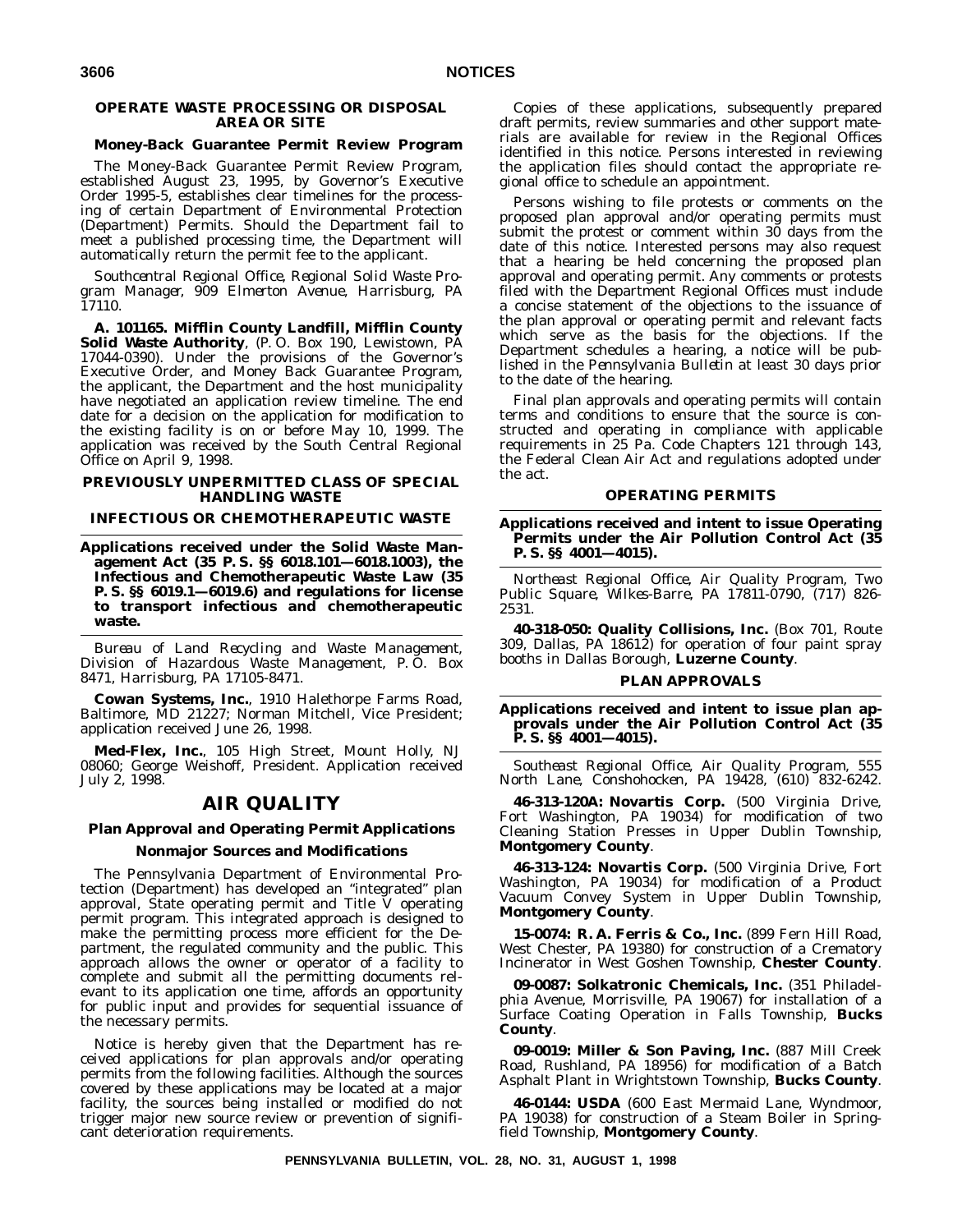#### **OPERATE WASTE PROCESSING OR DISPOSAL AREA OR SITE**

#### **Money-Back Guarantee Permit Review Program**

The Money-Back Guarantee Permit Review Program, established August 23, 1995, by Governor's Executive Order 1995-5, establishes clear timelines for the processing of certain Department of Environmental Protection (Department) Permits. Should the Department fail to meet a published processing time, the Department will automatically return the permit fee to the applicant.

*Southcentral Regional Office, Regional Solid Waste Program Manager, 909 Elmerton Avenue, Harrisburg, PA 17110.*

**A. 101165. Mifflin County Landfill, Mifflin County Solid Waste Authority**, (P. O. Box 190, Lewistown, PA 17044-0390). Under the provisions of the Governor's Executive Order, and Money Back Guarantee Program, the applicant, the Department and the host municipality have negotiated an application review timeline. The end date for a decision on the application for modification to the existing facility is on or before May 10, 1999. The application was received by the South Central Regional Office on April 9, 1998.

#### **PREVIOUSLY UNPERMITTED CLASS OF SPECIAL HANDLING WASTE**

#### **INFECTIOUS OR CHEMOTHERAPEUTIC WASTE**

**Applications received under the Solid Waste Management Act (35 P. S. §§ 6018.101—6018.1003), the Infectious and Chemotherapeutic Waste Law (35 P. S. §§ 6019.1—6019.6) and regulations for license to transport infectious and chemotherapeutic waste.**

*Bureau of Land Recycling and Waste Management, Division of Hazardous Waste Management, P. O. Box 8471, Harrisburg, PA 17105-8471.*

**Cowan Systems, Inc.**, 1910 Halethorpe Farms Road, Baltimore, MD 21227; Norman Mitchell, Vice President; application received June 26, 1998.

**Med-Flex, Inc.**, 105 High Street, Mount Holly, NJ 08060; George Weishoff, President. Application received July 2, 1998.

# **AIR QUALITY**

#### **Plan Approval and Operating Permit Applications**

#### **Nonmajor Sources and Modifications**

The Pennsylvania Department of Environmental Protection (Department) has developed an ''integrated'' plan approval, State operating permit and Title V operating permit program. This integrated approach is designed to make the permitting process more efficient for the Department, the regulated community and the public. This approach allows the owner or operator of a facility to complete and submit all the permitting documents relevant to its application one time, affords an opportunity for public input and provides for sequential issuance of the necessary permits.

Notice is hereby given that the Department has received applications for plan approvals and/or operating permits from the following facilities. Although the sources covered by these applications may be located at a major facility, the sources being installed or modified do not trigger major new source review or prevention of significant deterioration requirements.

Copies of these applications, subsequently prepared draft permits, review summaries and other support materials are available for review in the Regional Offices identified in this notice. Persons interested in reviewing the application files should contact the appropriate regional office to schedule an appointment.

Persons wishing to file protests or comments on the proposed plan approval and/or operating permits must submit the protest or comment within 30 days from the date of this notice. Interested persons may also request that a hearing be held concerning the proposed plan approval and operating permit. Any comments or protests filed with the Department Regional Offices must include a concise statement of the objections to the issuance of the plan approval or operating permit and relevant facts which serve as the basis for the objections. If the Department schedules a hearing, a notice will be published in the *Pennsylvania Bulletin* at least 30 days prior to the date of the hearing.

Final plan approvals and operating permits will contain terms and conditions to ensure that the source is constructed and operating in compliance with applicable requirements in 25 Pa. Code Chapters 121 through 143, the Federal Clean Air Act and regulations adopted under the act.

#### **OPERATING PERMITS**

**Applications received and intent to issue Operating Permits under the Air Pollution Control Act (35 P. S. §§ 4001—4015).**

*Northeast Regional Office, Air Quality Program, Two Public Square, Wilkes-Barre, PA 17811-0790, (717) 826- 2531.*

**40-318-050: Quality Collisions, Inc.** (Box 701, Route 309, Dallas, PA 18612) for operation of four paint spray booths in Dallas Borough, **Luzerne County**.

#### **PLAN APPROVALS**

**Applications received and intent to issue plan approvals under the Air Pollution Control Act (35 P. S. §§ 4001—4015).**

*Southeast Regional Office, Air Quality Program, 555 North Lane, Conshohocken, PA 19428, (610) 832-6242.*

**46-313-120A: Novartis Corp.** (500 Virginia Drive, Fort Washington, PA 19034) for modification of two Cleaning Station Presses in Upper Dublin Township, **Montgomery County**.

**46-313-124: Novartis Corp.** (500 Virginia Drive, Fort Washington, PA 19034) for modification of a Product Vacuum Convey System in Upper Dublin Township, **Montgomery County**.

**15-0074: R. A. Ferris & Co., Inc.** (899 Fern Hill Road, West Chester, PA 19380) for construction of a Crematory Incinerator in West Goshen Township, **Chester County**.

**09-0087: Solkatronic Chemicals, Inc.** (351 Philadelphia Avenue, Morrisville, PA 19067) for installation of a Surface Coating Operation in Falls Township, **Bucks County**.

**09-0019: Miller & Son Paving, Inc.** (887 Mill Creek Road, Rushland, PA 18956) for modification of a Batch Asphalt Plant in Wrightstown Township, **Bucks County**.

**46-0144: USDA** (600 East Mermaid Lane, Wyndmoor, PA 19038) for construction of a Steam Boiler in Springfield Township, **Montgomery County**.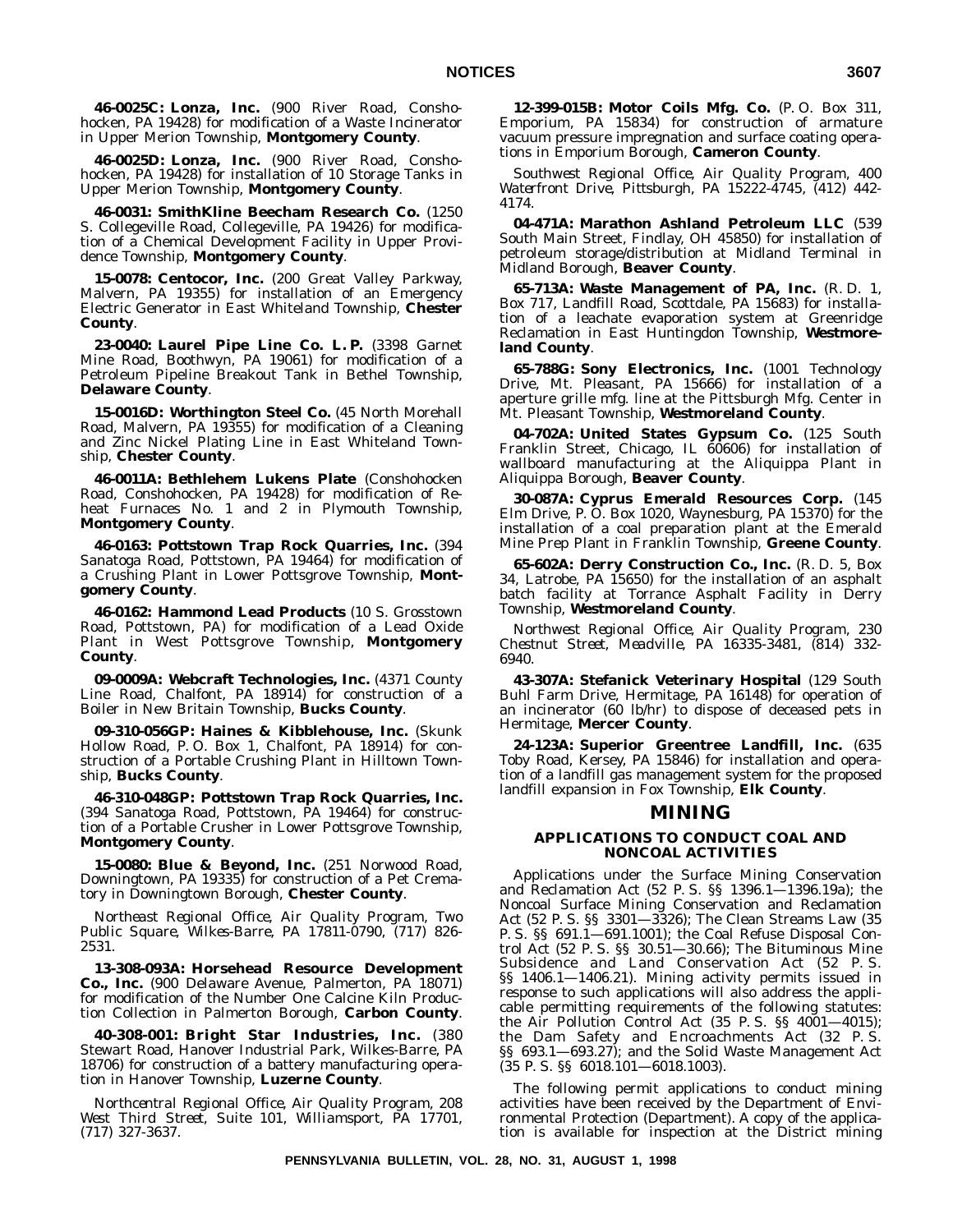**46-0025C: Lonza, Inc.** (900 River Road, Conshohocken, PA 19428) for modification of a Waste Incinerator in Upper Merion Township, **Montgomery County**.

**46-0025D: Lonza, Inc.** (900 River Road, Conshohocken, PA 19428) for installation of 10 Storage Tanks in Upper Merion Township, **Montgomery County**.

**46-0031: SmithKline Beecham Research Co.** (1250 S. Collegeville Road, Collegeville, PA 19426) for modification of a Chemical Development Facility in Upper Providence Township, **Montgomery County**.

**15-0078: Centocor, Inc.** (200 Great Valley Parkway, Malvern, PA 19355) for installation of an Emergency Electric Generator in East Whiteland Township, **Chester County**.

**23-0040: Laurel Pipe Line Co. L. P.** (3398 Garnet Mine Road, Boothwyn, PA 19061) for modification of a Petroleum Pipeline Breakout Tank in Bethel Township, **Delaware County**.

**15-0016D: Worthington Steel Co.** (45 North Morehall Road, Malvern, PA 19355) for modification of a Cleaning and Zinc Nickel Plating Line in East Whiteland Township, **Chester County**.

**46-0011A: Bethlehem Lukens Plate** (Conshohocken Road, Conshohocken, PA 19428) for modification of Reheat Furnaces No. 1 and 2 in Plymouth Township, **Montgomery County**.

**46-0163: Pottstown Trap Rock Quarries, Inc.** (394 Sanatoga Road, Pottstown, PA 19464) for modification of a Crushing Plant in Lower Pottsgrove Township, **Montgomery County**.

**46-0162: Hammond Lead Products** (10 S. Grosstown Road, Pottstown, PA) for modification of a Lead Oxide Plant in West Pottsgrove Township, **Montgomery County**.

**09-0009A: Webcraft Technologies, Inc.** (4371 County Line Road, Chalfont, PA 18914) for construction of a Boiler in New Britain Township, **Bucks County**.

**09-310-056GP: Haines & Kibblehouse, Inc.** (Skunk Hollow Road, P. O. Box 1, Chalfont, PA 18914) for construction of a Portable Crushing Plant in Hilltown Township, **Bucks County**.

**46-310-048GP: Pottstown Trap Rock Quarries, Inc.** (394 Sanatoga Road, Pottstown, PA 19464) for construction of a Portable Crusher in Lower Pottsgrove Township, **Montgomery County**.

**15-0080: Blue & Beyond, Inc.** (251 Norwood Road, Downingtown, PA 19335) for construction of a Pet Crematory in Downingtown Borough, **Chester County**.

*Northeast Regional Office, Air Quality Program, Two Public Square, Wilkes-Barre, PA 17811-0790, (717) 826- 2531.*

**13-308-093A: Horsehead Resource Development Co., Inc.** (900 Delaware Avenue, Palmerton, PA 18071) for modification of the Number One Calcine Kiln Production Collection in Palmerton Borough, **Carbon County**.

**40-308-001: Bright Star Industries, Inc.** (380 Stewart Road, Hanover Industrial Park, Wilkes-Barre, PA 18706) for construction of a battery manufacturing operation in Hanover Township, **Luzerne County**.

*Northcentral Regional Office, Air Quality Program, 208 West Third Street, Suite 101, Williamsport, PA 17701, (717) 327-3637.*

**12-399-015B: Motor Coils Mfg. Co.** (P. O. Box 311, Emporium, PA 15834) for construction of armature vacuum pressure impregnation and surface coating operations in Emporium Borough, **Cameron County**.

*Southwest Regional Office, Air Quality Program, 400 Waterfront Drive, Pittsburgh, PA 15222-4745, (412) 442- 4174.*

**04-471A: Marathon Ashland Petroleum LLC** (539 South Main Street, Findlay, OH 45850) for installation of petroleum storage/distribution at Midland Terminal in Midland Borough, **Beaver County**.

**65-713A: Waste Management of PA, Inc.** (R. D. 1, Box 717, Landfill Road, Scottdale, PA 15683) for installation of a leachate evaporation system at Greenridge Reclamation in East Huntingdon Township, **Westmoreland County**.

**65-788G: Sony Electronics, Inc.** (1001 Technology Drive, Mt. Pleasant, PA 15666) for installation of  $a$ aperture grille mfg. line at the Pittsburgh Mfg. Center in Mt. Pleasant Township, **Westmoreland County**.

**04-702A: United States Gypsum Co.** (125 South Franklin Street, Chicago, IL 60606) for installation of wallboard manufacturing at the Aliquippa Plant in Aliquippa Borough, **Beaver County**.

**30-087A: Cyprus Emerald Resources Corp.** (145 Elm Drive, P. O. Box 1020, Waynesburg, PA 15370) for the installation of a coal preparation plant at the Emerald Mine Prep Plant in Franklin Township, **Greene County**.

**65-602A: Derry Construction Co., Inc.** (R. D. 5, Box 34, Latrobe, PA 15650) for the installation of an asphalt batch facility at Torrance Asphalt Facility in Derry Township, **Westmoreland County**.

*Northwest Regional Office, Air Quality Program, 230 Chestnut Street, Meadville, PA 16335-3481, (814) 332- 6940.*

**43-307A: Stefanick Veterinary Hospital** (129 South Buhl Farm Drive, Hermitage, PA 16148) for operation of an incinerator (60 lb/hr) to dispose of deceased pets in Hermitage, **Mercer County**.

**24-123A: Superior Greentree Landfill, Inc.** (635 Toby Road, Kersey, PA 15846) for installation and operation of a landfill gas management system for the proposed landfill expansion in Fox Township, **Elk County**.

#### **MINING**

#### **APPLICATIONS TO CONDUCT COAL AND NONCOAL ACTIVITIES**

Applications under the Surface Mining Conservation and Reclamation Act (52 P. S. §§ 1396.1—1396.19a); the Noncoal Surface Mining Conservation and Reclamation Act (52 P. S. §§ 3301—3326); The Clean Streams Law (35 P. S. §§ 691.1—691.1001); the Coal Refuse Disposal Control Act (52 P. S. §§ 30.51—30.66); The Bituminous Mine Subsidence and Land Conservation Act (52 P. S. §§ 1406.1—1406.21). Mining activity permits issued in response to such applications will also address the applicable permitting requirements of the following statutes: the Air Pollution Control Act (35 P. S. §§ 4001—4015); the Dam Safety and Encroachments Act (32 P. S. §§ 693.1—693.27); and the Solid Waste Management Act (35 P. S. §§ 6018.101—6018.1003).

The following permit applications to conduct mining activities have been received by the Department of Environmental Protection (Department). A copy of the application is available for inspection at the District mining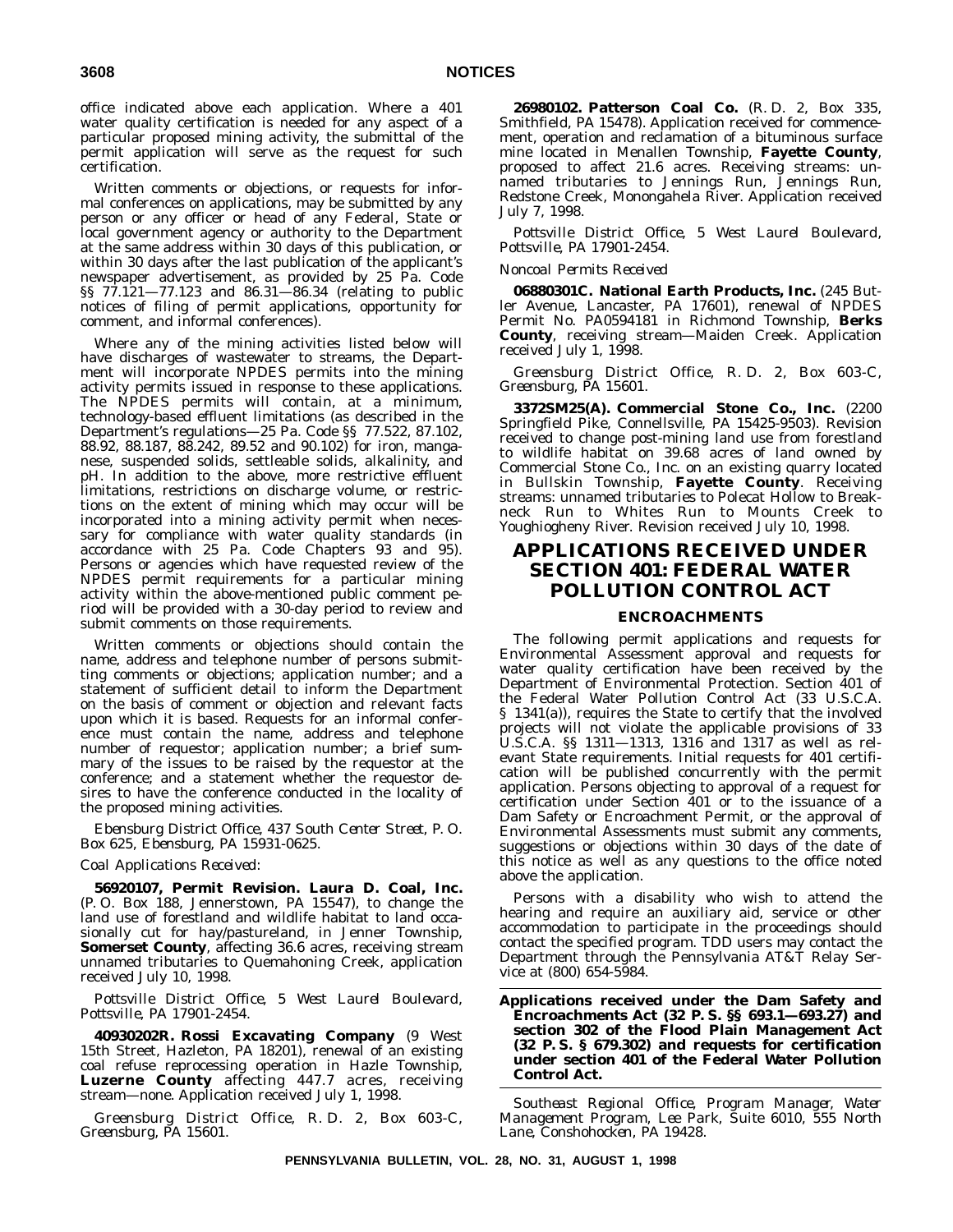office indicated above each application. Where a 401 water quality certification is needed for any aspect of a particular proposed mining activity, the submittal of the permit application will serve as the request for such certification.

Written comments or objections, or requests for informal conferences on applications, may be submitted by any person or any officer or head of any Federal, State or local government agency or authority to the Department at the same address within 30 days of this publication, or within 30 days after the last publication of the applicant's newspaper advertisement, as provided by 25 Pa. Code §§ 77.121—77.123 and 86.31—86.34 (relating to public notices of filing of permit applications, opportunity for comment, and informal conferences).

Where any of the mining activities listed below will have discharges of wastewater to streams, the Department will incorporate NPDES permits into the mining activity permits issued in response to these applications. The NPDES permits will contain, at a minimum, technology-based effluent limitations (as described in the Department's regulations—25 Pa. Code §§ 77.522, 87.102, 88.92, 88.187, 88.242, 89.52 and 90.102) for iron, manganese, suspended solids, settleable solids, alkalinity, and pH. In addition to the above, more restrictive effluent limitations, restrictions on discharge volume, or restrictions on the extent of mining which may occur will be incorporated into a mining activity permit when necessary for compliance with water quality standards (in accordance with 25 Pa. Code Chapters 93 and 95). Persons or agencies which have requested review of the NPDES permit requirements for a particular mining activity within the above-mentioned public comment period will be provided with a 30-day period to review and submit comments on those requirements.

Written comments or objections should contain the name, address and telephone number of persons submitting comments or objections; application number; and a statement of sufficient detail to inform the Department on the basis of comment or objection and relevant facts upon which it is based. Requests for an informal conference must contain the name, address and telephone number of requestor; application number; a brief summary of the issues to be raised by the requestor at the conference; and a statement whether the requestor desires to have the conference conducted in the locality of the proposed mining activities.

*Ebensburg District Office, 437 South Center Street, P. O. Box 625, Ebensburg, PA 15931-0625.*

#### *Coal Applications Received:*

**56920107, Permit Revision. Laura D. Coal, Inc.** (P. O. Box 188, Jennerstown, PA 15547), to change the land use of forestland and wildlife habitat to land occasionally cut for hay/pastureland, in Jenner Township, **Somerset County**, affecting 36.6 acres, receiving stream unnamed tributaries to Quemahoning Creek, application received July 10, 1998.

*Pottsville District Office, 5 West Laurel Boulevard, Pottsville, PA 17901-2454.*

**40930202R. Rossi Excavating Company** (9 West 15th Street, Hazleton, PA 18201), renewal of an existing coal refuse reprocessing operation in Hazle Township, **Luzerne County** affecting 447.7 acres, receiving stream—none. Application received July 1, 1998.

*Greensburg District Office, R. D. 2, Box 603-C, Greensburg, PA 15601.*

**26980102. Patterson Coal Co.** (R. D. 2, Box 335, Smithfield, PA 15478). Application received for commencement, operation and reclamation of a bituminous surface mine located in Menallen Township, **Fayette County**, proposed to affect 21.6 acres. Receiving streams: unnamed tributaries to Jennings Run, Jennings Run, Redstone Creek, Monongahela River. Application received July 7, 1998.

*Pottsville District Office, 5 West Laurel Boulevard, Pottsville, PA 17901-2454.*

#### *Noncoal Permits Received*

**06880301C. National Earth Products, Inc.** (245 Butler Avenue, Lancaster, PA 17601), renewal of NPDES Permit No. PA0594181 in Richmond Township, **Berks County**, receiving stream—Maiden Creek. Application received July 1, 1998.

*Greensburg District Office, R. D. 2, Box 603-C, Greensburg, PA 15601.*

**3372SM25(A). Commercial Stone Co., Inc.** (2200 Springfield Pike, Connellsville, PA 15425-9503). Revision received to change post-mining land use from forestland to wildlife habitat on 39.68 acres of land owned by Commercial Stone Co., Inc. on an existing quarry located in Bullskin Township, **Fayette County**. Receiving streams: unnamed tributaries to Polecat Hollow to Breakneck Run to Whites Run to Mounts Creek to Youghiogheny River. Revision received July 10, 1998.

# **APPLICATIONS RECEIVED UNDER SECTION 401: FEDERAL WATER POLLUTION CONTROL ACT**

#### **ENCROACHMENTS**

The following permit applications and requests for Environmental Assessment approval and requests for water quality certification have been received by the Department of Environmental Protection. Section 401 of the Federal Water Pollution Control Act (33 U.S.C.A. § 1341(a)), requires the State to certify that the involved projects will not violate the applicable provisions of 33 U.S.C.A. §§ 1311—1313, 1316 and 1317 as well as relevant State requirements. Initial requests for 401 certification will be published concurrently with the permit application. Persons objecting to approval of a request for certification under Section 401 or to the issuance of a Dam Safety or Encroachment Permit, or the approval of Environmental Assessments must submit any comments, suggestions or objections within 30 days of the date of this notice as well as any questions to the office noted above the application.

Persons with a disability who wish to attend the hearing and require an auxiliary aid, service or other accommodation to participate in the proceedings should contact the specified program. TDD users may contact the Department through the Pennsylvania AT&T Relay Service at (800) 654-5984.

**Applications received under the Dam Safety and Encroachments Act (32 P. S. §§ 693.1—693.27) and section 302 of the Flood Plain Management Act (32 P. S. § 679.302) and requests for certification under section 401 of the Federal Water Pollution Control Act.**

*Southeast Regional Office, Program Manager, Water Management Program, Lee Park, Suite 6010, 555 North Lane, Conshohocken, PA 19428.*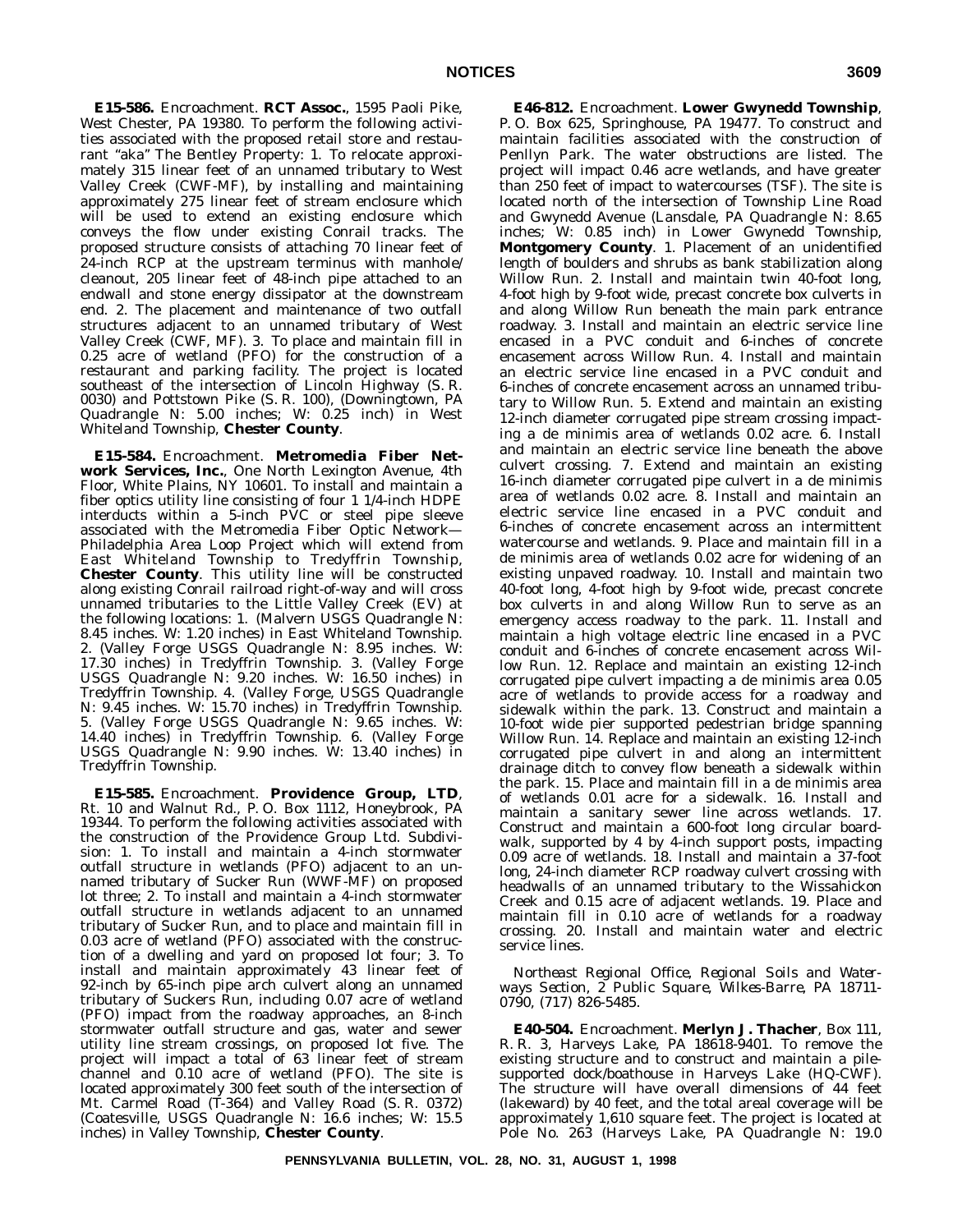**E15-586.** Encroachment. **RCT Assoc.**, 1595 Paoli Pike, West Chester, PA 19380. To perform the following activities associated with the proposed retail store and restaurant "aka" The Bentley Property: 1. To relocate approximately 315 linear feet of an unnamed tributary to West Valley Creek (CWF-MF), by installing and maintaining approximately 275 linear feet of stream enclosure which will be used to extend an existing enclosure which conveys the flow under existing Conrail tracks. The proposed structure consists of attaching 70 linear feet of 24-inch RCP at the upstream terminus with manhole/ cleanout, 205 linear feet of 48-inch pipe attached to an endwall and stone energy dissipator at the downstream end. 2. The placement and maintenance of two outfall structures adjacent to an unnamed tributary of West Valley Creek (CWF, MF). 3. To place and maintain fill in 0.25 acre of wetland (PFO) for the construction of a restaurant and parking facility. The project is located southeast of the intersection of Lincoln Highway (S. R. 0030) and Pottstown Pike (S. R. 100), (Downingtown, PA Quadrangle N: 5.00 inches; W: 0.25 inch) in West Whiteland Township, **Chester County**.

**E15-584.** Encroachment. **Metromedia Fiber Network Services, Inc.**, One North Lexington Avenue, 4th Floor, White Plains, NY 10601. To install and maintain a fiber optics utility line consisting of four 1 1/4-inch HDPE interducts within a 5-inch PVC or steel pipe sleeve associated with the Metromedia Fiber Optic Network-Philadelphia Area Loop Project which will extend from East Whiteland Township to Tredyffrin Township, **Chester County**. This utility line will be constructed along existing Conrail railroad right-of-way and will cross unnamed tributaries to the Little Valley Creek (EV) at the following locations: 1. (Malvern USGS Quadrangle N: 8.45 inches. W: 1.20 inches) in East Whiteland Township. 2. (Valley Forge USGS Quadrangle N: 8.95 inches. W: 17.30 inches) in Tredyffrin Township. 3. (Valley Forge USGS Quadrangle N: 9.20 inches. W: 16.50 inches) in Tredyffrin Township. 4. (Valley Forge, USGS Quadrangle N: 9.45 inches. W: 15.70 inches) in Tredyffrin Township. 5. (Valley Forge USGS Quadrangle N: 9.65 inches. W: 14.40 inches) in Tredyffrin Township. 6. (Valley Forge USGS Quadrangle N: 9.90 inches. W: 13.40 inches) in Tredyffrin Township.

**E15-585.** Encroachment. **Providence Group, LTD**, Rt. 10 and Walnut Rd., P. O. Box 1112, Honeybrook, PA 19344. To perform the following activities associated with the construction of the Providence Group Ltd. Subdivision: 1. To install and maintain a 4-inch stormwater outfall structure in wetlands (PFO) adjacent to an unnamed tributary of Sucker Run (WWF-MF) on proposed lot three; 2. To install and maintain a 4-inch stormwater outfall structure in wetlands adjacent to an unnamed tributary of Sucker Run, and to place and maintain fill in 0.03 acre of wetland (PFO) associated with the construction of a dwelling and yard on proposed lot four; 3. To install and maintain approximately 43 linear feet of 92-inch by 65-inch pipe arch culvert along an unnamed tributary of Suckers Run, including 0.07 acre of wetland (PFO) impact from the roadway approaches, an 8-inch stormwater outfall structure and gas, water and sewer utility line stream crossings, on proposed lot five. The project will impact a total of 63 linear feet of stream channel and 0.10 acre of wetland (PFO). The site is located approximately 300 feet south of the intersection of Mt. Carmel Road (T-364) and Valley Road (S. R. 0372) (Coatesville, USGS Quadrangle N: 16.6 inches; W: 15.5 inches) in Valley Township, **Chester County**.

**E46-812.** Encroachment. **Lower Gwynedd Township**, P. O. Box 625, Springhouse, PA 19477. To construct and maintain facilities associated with the construction of Penllyn Park. The water obstructions are listed. The project will impact 0.46 acre wetlands, and have greater than 250 feet of impact to watercourses (TSF). The site is located north of the intersection of Township Line Road and Gwynedd Avenue (Lansdale, PA Quadrangle N: 8.65 inches; W: 0.85 inch) in Lower Gwynedd Township, **Montgomery County**. 1. Placement of an unidentified length of boulders and shrubs as bank stabilization along Willow Run. 2. Install and maintain twin 40-foot long, 4-foot high by 9-foot wide, precast concrete box culverts in and along Willow Run beneath the main park entrance roadway. 3. Install and maintain an electric service line encased in a PVC conduit and 6-inches of concrete encasement across Willow Run. 4. Install and maintain an electric service line encased in a PVC conduit and 6-inches of concrete encasement across an unnamed tributary to Willow Run. 5. Extend and maintain an existing 12-inch diameter corrugated pipe stream crossing impacting a de minimis area of wetlands 0.02 acre. 6. Install and maintain an electric service line beneath the above culvert crossing. 7. Extend and maintain an existing 16-inch diameter corrugated pipe culvert in a de minimis area of wetlands 0.02 acre. 8. Install and maintain an electric service line encased in a PVC conduit and 6-inches of concrete encasement across an intermittent watercourse and wetlands. 9. Place and maintain fill in a de minimis area of wetlands 0.02 acre for widening of an existing unpaved roadway. 10. Install and maintain two 40-foot long, 4-foot high by 9-foot wide, precast concrete box culverts in and along Willow Run to serve as an emergency access roadway to the park. 11. Install and maintain a high voltage electric line encased in a PVC conduit and 6-inches of concrete encasement across Willow Run. 12. Replace and maintain an existing 12-inch corrugated pipe culvert impacting a de minimis area 0.05 acre of wetlands to provide access for a roadway and sidewalk within the park. 13. Construct and maintain a 10-foot wide pier supported pedestrian bridge spanning Willow Run. 14. Replace and maintain an existing 12-inch corrugated pipe culvert in and along an intermittent drainage ditch to convey flow beneath a sidewalk within the park. 15. Place and maintain fill in a de minimis area of wetlands 0.01 acre for a sidewalk. 16. Install and maintain a sanitary sewer line across wetlands. 17. Construct and maintain a 600-foot long circular boardwalk, supported by 4 by 4-inch support posts, impacting 0.09 acre of wetlands. 18. Install and maintain a 37-foot long, 24-inch diameter RCP roadway culvert crossing with headwalls of an unnamed tributary to the Wissahickon Creek and 0.15 acre of adjacent wetlands. 19. Place and maintain fill in 0.10 acre of wetlands for a roadway crossing. 20. Install and maintain water and electric service lines.

*Northeast Regional Office, Regional Soils and Waterways Section, 2 Public Square, Wilkes-Barre, PA 18711- 0790, (717) 826-5485.*

**E40-504.** Encroachment. **Merlyn J. Thacher**, Box 111, R. R. 3, Harveys Lake, PA 18618-9401. To remove the existing structure and to construct and maintain a pilesupported dock/boathouse in Harveys Lake (HQ-CWF). The structure will have overall dimensions of 44 feet (lakeward) by 40 feet, and the total areal coverage will be approximately 1,610 square feet. The project is located at Pole No. 263 (Harveys Lake, PA Quadrangle N: 19.0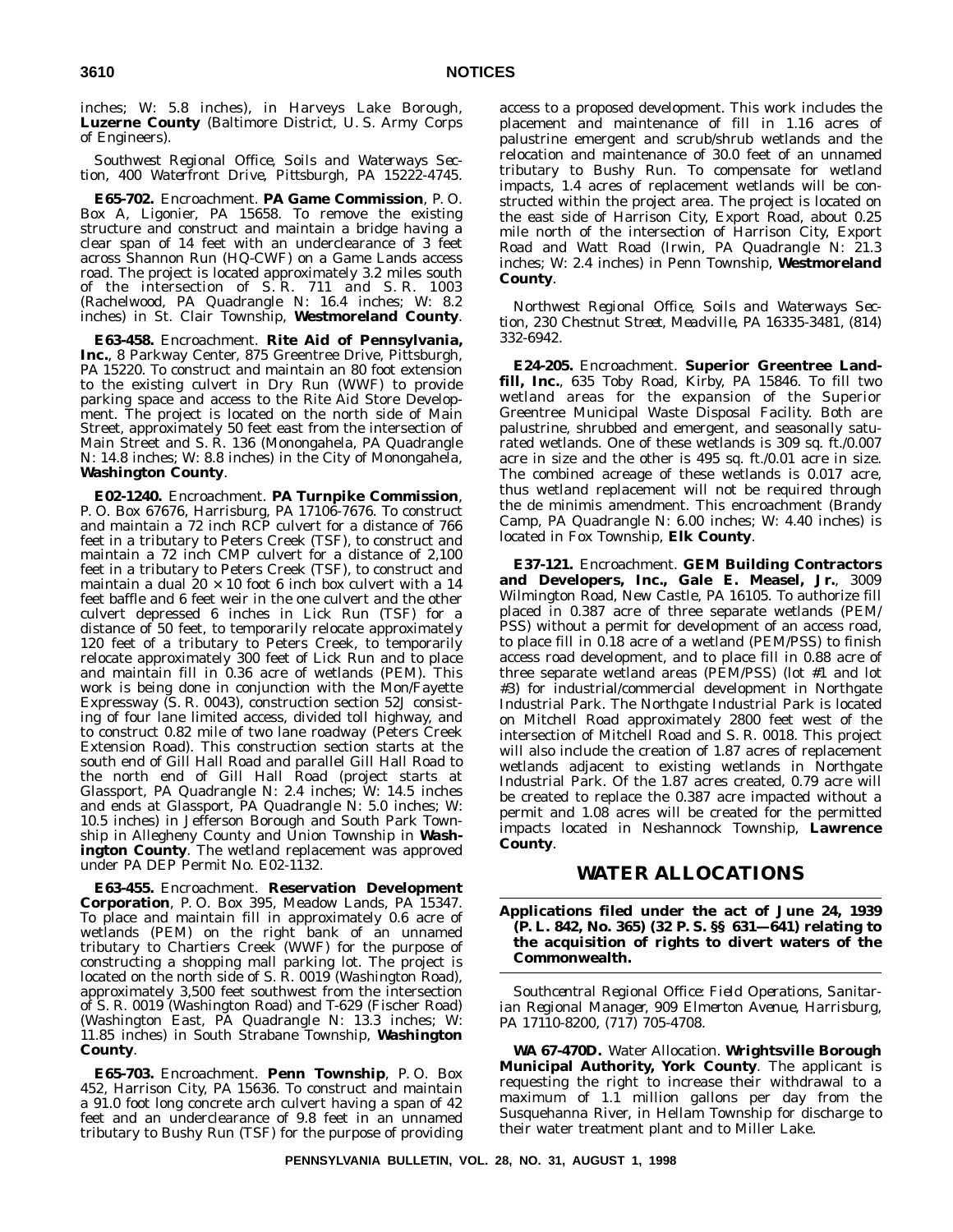inches; W: 5.8 inches), in Harveys Lake Borough, **Luzerne County** (Baltimore District, U. S. Army Corps of Engineers).

*Southwest Regional Office, Soils and Waterways Section, 400 Waterfront Drive, Pittsburgh, PA 15222-4745.*

**E65-702.** Encroachment. **PA Game Commission**, P. O. Box A, Ligonier, PA 15658. To remove the existing structure and construct and maintain a bridge having a clear span of 14 feet with an underclearance of 3 feet across Shannon Run (HQ-CWF) on a Game Lands access road. The project is located approximately 3.2 miles south of the intersection of S. R. 711 and S. R. 1003 (Rachelwood, PA Quadrangle N: 16.4 inches; W: 8.2 inches) in St. Clair Township, **Westmoreland County**.

**E63-458.** Encroachment. **Rite Aid of Pennsylvania, Inc.**, 8 Parkway Center, 875 Greentree Drive, Pittsburgh, PA 15220. To construct and maintain an 80 foot extension to the existing culvert in Dry Run (WWF) to provide parking space and access to the Rite Aid Store Development. The project is located on the north side of Main Street, approximately 50 feet east from the intersection of Main Street and S. R. 136 (Monongahela, PA Quadrangle N: 14.8 inches; W: 8.8 inches) in the City of Monongahela, **Washington County**.

**E02-1240.** Encroachment. **PA Turnpike Commission**, P. O. Box 67676, Harrisburg, PA 17106-7676. To construct and maintain a 72 inch RCP culvert for a distance of 766 feet in a tributary to Peters Creek (TSF), to construct and maintain a 72 inch CMP culvert for a distance of 2,100 feet in a tributary to Peters Creek (TSF), to construct and maintain a dual  $20 \times 10$  foot 6 inch box culvert with a 14 feet baffle and 6 feet weir in the one culvert and the other culvert depressed 6 inches in Lick Run (TSF) for a distance of 50 feet, to temporarily relocate approximately 120 feet of a tributary to Peters Creek, to temporarily relocate approximately 300 feet of Lick Run and to place and maintain fill in 0.36 acre of wetlands (PEM). This work is being done in conjunction with the Mon/Fayette Expressway (S. R. 0043), construction section 52J consisting of four lane limited access, divided toll highway, and to construct 0.82 mile of two lane roadway (Peters Creek Extension Road). This construction section starts at the south end of Gill Hall Road and parallel Gill Hall Road to the north end of Gill Hall Road (project starts at Glassport, PA Quadrangle N: 2.4 inches; W: 14.5 inches and ends at Glassport, PA Quadrangle N: 5.0 inches; W: 10.5 inches) in Jefferson Borough and South Park Township in Allegheny County and Union Township in **Washington County**. The wetland replacement was approved under PA DEP Permit No. E02-1132.

**E63-455.** Encroachment. **Reservation Development Corporation**, P. O. Box 395, Meadow Lands, PA 15347. To place and maintain fill in approximately 0.6 acre of wetlands (PEM) on the right bank of an unnamed tributary to Chartiers Creek (WWF) for the purpose of constructing a shopping mall parking lot. The project is located on the north side of S. R. 0019 (Washington Road), approximately 3,500 feet southwest from the intersection of S. R. 0019 (Washington Road) and T-629 (Fischer Road) (Washington East, PA Quadrangle N: 13.3 inches; W: 11.85 inches) in South Strabane Township, **Washington County**.

**E65-703.** Encroachment. **Penn Township**, P. O. Box 452, Harrison City, PA 15636. To construct and maintain a 91.0 foot long concrete arch culvert having a span of 42 feet and an underclearance of 9.8 feet in an unnamed tributary to Bushy Run (TSF) for the purpose of providing

access to a proposed development. This work includes the placement and maintenance of fill in 1.16 acres of palustrine emergent and scrub/shrub wetlands and the relocation and maintenance of 30.0 feet of an unnamed tributary to Bushy Run. To compensate for wetland impacts, 1.4 acres of replacement wetlands will be constructed within the project area. The project is located on the east side of Harrison City, Export Road, about 0.25 mile north of the intersection of Harrison City, Export Road and Watt Road (Irwin, PA Quadrangle N: 21.3 inches; W: 2.4 inches) in Penn Township, **Westmoreland County**.

*Northwest Regional Office, Soils and Waterways Section, 230 Chestnut Street, Meadville, PA 16335-3481, (814) 332-6942.*

**E24-205.** Encroachment. **Superior Greentree Landfill, Inc.**, 635 Toby Road, Kirby, PA 15846. To fill two wetland areas for the expansion of the Superior Greentree Municipal Waste Disposal Facility. Both are palustrine, shrubbed and emergent, and seasonally saturated wetlands. One of these wetlands is 309 sq. ft./0.007 acre in size and the other is 495 sq. ft./0.01 acre in size. The combined acreage of these wetlands is 0.017 acre, thus wetland replacement will not be required through the de minimis amendment. This encroachment (Brandy Camp, PA Quadrangle N: 6.00 inches; W: 4.40 inches) is located in Fox Township, **Elk County**.

**E37-121.** Encroachment. **GEM Building Contractors and Developers, Inc., Gale E. Measel, Jr.**, 3009 Wilmington Road, New Castle, PA 16105. To authorize fill placed in 0.387 acre of three separate wetlands (PEM/ PSS) without a permit for development of an access road, to place fill in 0.18 acre of a wetland (PEM/PSS) to finish access road development, and to place fill in 0.88 acre of three separate wetland areas (PEM/PSS) (lot #1 and lot #3) for industrial/commercial development in Northgate Industrial Park. The Northgate Industrial Park is located on Mitchell Road approximately 2800 feet west of the intersection of Mitchell Road and S. R. 0018. This project will also include the creation of 1.87 acres of replacement wetlands adjacent to existing wetlands in Northgate Industrial Park. Of the 1.87 acres created, 0.79 acre will be created to replace the 0.387 acre impacted without a permit and 1.08 acres will be created for the permitted impacts located in Neshannock Township, **Lawrence County**.

### **WATER ALLOCATIONS**

**Applications filed under the act of June 24, 1939 (P. L. 842, No. 365) (32 P. S. §§ 631—641) relating to the acquisition of rights to divert waters of the Commonwealth.**

*Southcentral Regional Office: Field Operations, Sanitarian Regional Manager, 909 Elmerton Avenue, Harrisburg, PA 17110-8200, (717) 705-4708.*

**WA 67-470D.** Water Allocation. **Wrightsville Borough Municipal Authority, York County**. The applicant is requesting the right to increase their withdrawal to a maximum of 1.1 million gallons per day from the Susquehanna River, in Hellam Township for discharge to their water treatment plant and to Miller Lake.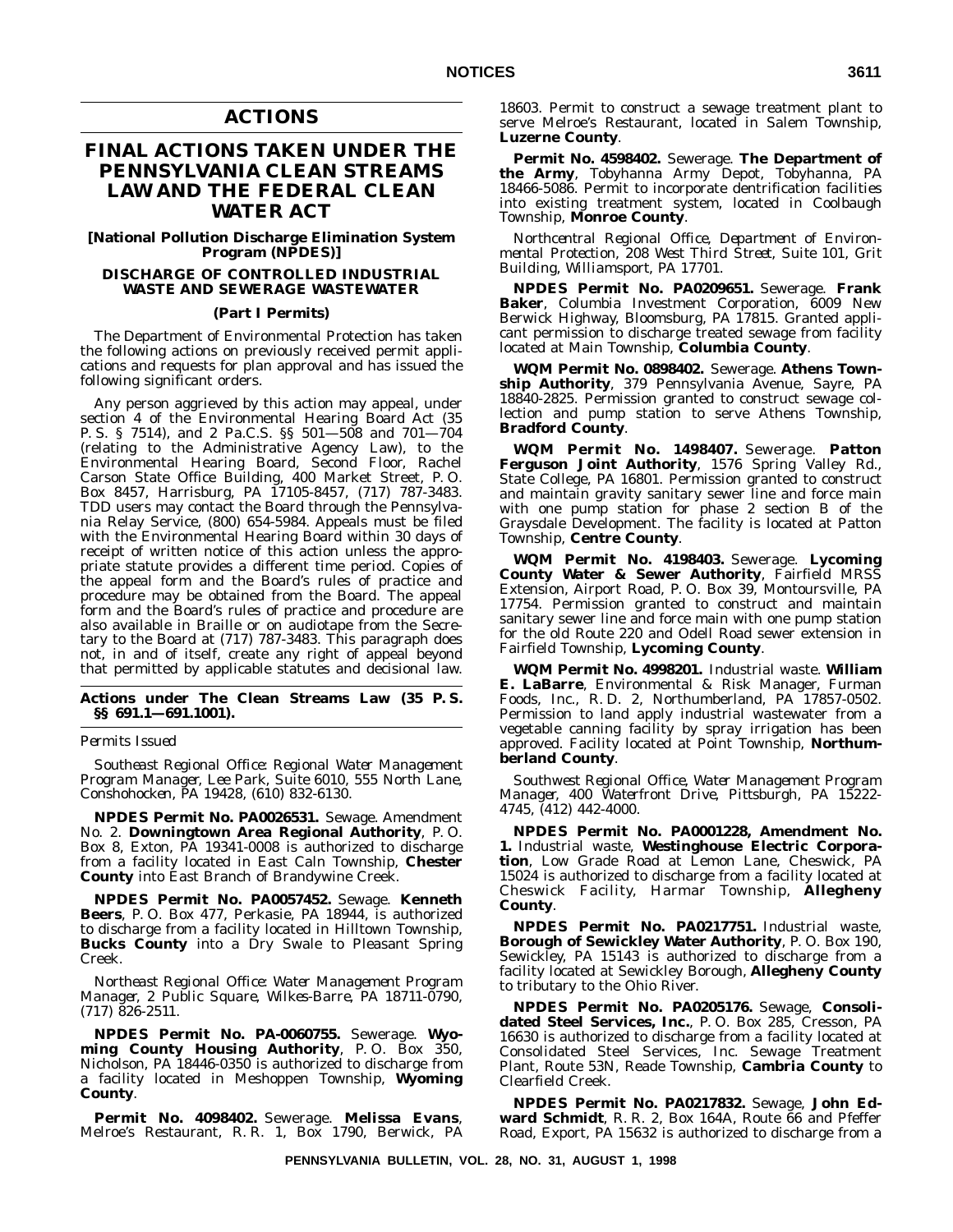### **ACTIONS**

# **FINAL ACTIONS TAKEN UNDER THE PENNSYLVANIA CLEAN STREAMS LAW AND THE FEDERAL CLEAN WATER ACT**

**[National Pollution Discharge Elimination System Program (NPDES)]**

#### **DISCHARGE OF CONTROLLED INDUSTRIAL WASTE AND SEWERAGE WASTEWATER**

#### **(Part I Permits)**

The Department of Environmental Protection has taken the following actions on previously received permit applications and requests for plan approval and has issued the following significant orders.

Any person aggrieved by this action may appeal, under section 4 of the Environmental Hearing Board Act (35 P. S. § 7514), and 2 Pa.C.S. §§ 501—508 and 701—704 (relating to the Administrative Agency Law), to the Environmental Hearing Board, Second Floor, Rachel Carson State Office Building, 400 Market Street, P. O. Box 8457, Harrisburg, PA 17105-8457, (717) 787-3483. TDD users may contact the Board through the Pennsylvania Relay Service, (800) 654-5984. Appeals must be filed with the Environmental Hearing Board within 30 days of receipt of written notice of this action unless the appropriate statute provides a different time period. Copies of the appeal form and the Board's rules of practice and procedure may be obtained from the Board. The appeal form and the Board's rules of practice and procedure are also available in Braille or on audiotape from the Secretary to the Board at (717) 787-3483. This paragraph does not, in and of itself, create any right of appeal beyond that permitted by applicable statutes and decisional law.

#### **Actions under The Clean Streams Law (35 P. S. §§ 691.1—691.1001).**

*Permits Issued*

*Southeast Regional Office: Regional Water Management Program Manager, Lee Park, Suite 6010, 555 North Lane, Conshohocken, PA 19428, (610) 832-6130.*

**NPDES Permit No. PA0026531.** Sewage. Amendment No. 2. **Downingtown Area Regional Authority**, P. O. Box 8, Exton, PA 19341-0008 is authorized to discharge from a facility located in East Caln Township, **Chester County** into East Branch of Brandywine Creek.

**NPDES Permit No. PA0057452.** Sewage. **Kenneth Beers**, P. O. Box 477, Perkasie, PA 18944, is authorized to discharge from a facility located in Hilltown Township, **Bucks County** into a Dry Swale to Pleasant Spring Creek.

*Northeast Regional Office: Water Management Program Manager, 2 Public Square, Wilkes-Barre, PA 18711-0790, (717) 826-2511.*

**NPDES Permit No. PA-0060755.** Sewerage. **Wyoming County Housing Authority**, P. O. Box 350, Nicholson, PA 18446-0350 is authorized to discharge from a facility located in Meshoppen Township, **Wyoming County**.

**Permit No. 4098402.** Sewerage. **Melissa Evans**, Melroe's Restaurant, R. R. 1, Box 1790, Berwick, PA 18603. Permit to construct a sewage treatment plant to serve Melroe's Restaurant, located in Salem Township, **Luzerne County**.

**Permit No. 4598402.** Sewerage. **The Department of the Army**, Tobyhanna Army Depot, Tobyhanna, PA 18466-5086. Permit to incorporate dentrification facilities into existing treatment system, located in Coolbaugh Township, **Monroe County**.

*Northcentral Regional Office, Department of Environmental Protection, 208 West Third Street, Suite 101, Grit Building, Williamsport, PA 17701.*

**NPDES Permit No. PA0209651.** Sewerage. **Frank Baker**, Columbia Investment Corporation, 6009 New Berwick Highway, Bloomsburg, PA 17815. Granted applicant permission to discharge treated sewage from facility located at Main Township, **Columbia County**.

**WQM Permit No. 0898402.** Sewerage. **Athens Township Authority**, 379 Pennsylvania Avenue, Sayre, PA 18840-2825. Permission granted to construct sewage collection and pump station to serve Athens Township, **Bradford County**.

**WQM Permit No. 1498407.** Sewerage. **Patton Ferguson Joint Authority**, 1576 Spring Valley Rd., State College, PA 16801. Permission granted to construct and maintain gravity sanitary sewer line and force main with one pump station for phase 2 section B of the Graysdale Development. The facility is located at Patton Township, **Centre County**.

**WQM Permit No. 4198403.** Sewerage. **Lycoming County Water & Sewer Authority**, Fairfield MRSS Extension, Airport Road, P. O. Box 39, Montoursville, PA 17754. Permission granted to construct and maintain sanitary sewer line and force main with one pump station for the old Route 220 and Odell Road sewer extension in Fairfield Township, **Lycoming County**.

**WQM Permit No. 4998201.** Industrial waste. **William E. LaBarre**, Environmental & Risk Manager, Furman Foods, Inc., R. D. 2, Northumberland, PA 17857-0502. Permission to land apply industrial wastewater from a vegetable canning facility by spray irrigation has been approved. Facility located at Point Township, **Northumberland County**.

*Southwest Regional Office, Water Management Program Manager, 400 Waterfront Drive, Pittsburgh, PA 15222- 4745, (412) 442-4000.*

**NPDES Permit No. PA0001228, Amendment No. 1.** Industrial waste, **Westinghouse Electric Corporation**, Low Grade Road at Lemon Lane, Cheswick, PA 15024 is authorized to discharge from a facility located at Cheswick Facility, Harmar Township, **Allegheny County**.

**NPDES Permit No. PA0217751.** Industrial waste, **Borough of Sewickley Water Authority**, P. O. Box 190, Sewickley, PA 15143 is authorized to discharge from a facility located at Sewickley Borough, **Allegheny County** to tributary to the Ohio River.

**NPDES Permit No. PA0205176.** Sewage, **Consolidated Steel Services, Inc.**, P. O. Box 285, Cresson, PA 16630 is authorized to discharge from a facility located at Consolidated Steel Services, Inc. Sewage Treatment Plant, Route 53N, Reade Township, **Cambria County** to Clearfield Creek.

**NPDES Permit No. PA0217832.** Sewage, **John Edward Schmidt**, R. R. 2, Box 164A, Route 66 and Pfeffer Road, Export, PA 15632 is authorized to discharge from a

**PENNSYLVANIA BULLETIN, VOL. 28, NO. 31, AUGUST 1, 1998**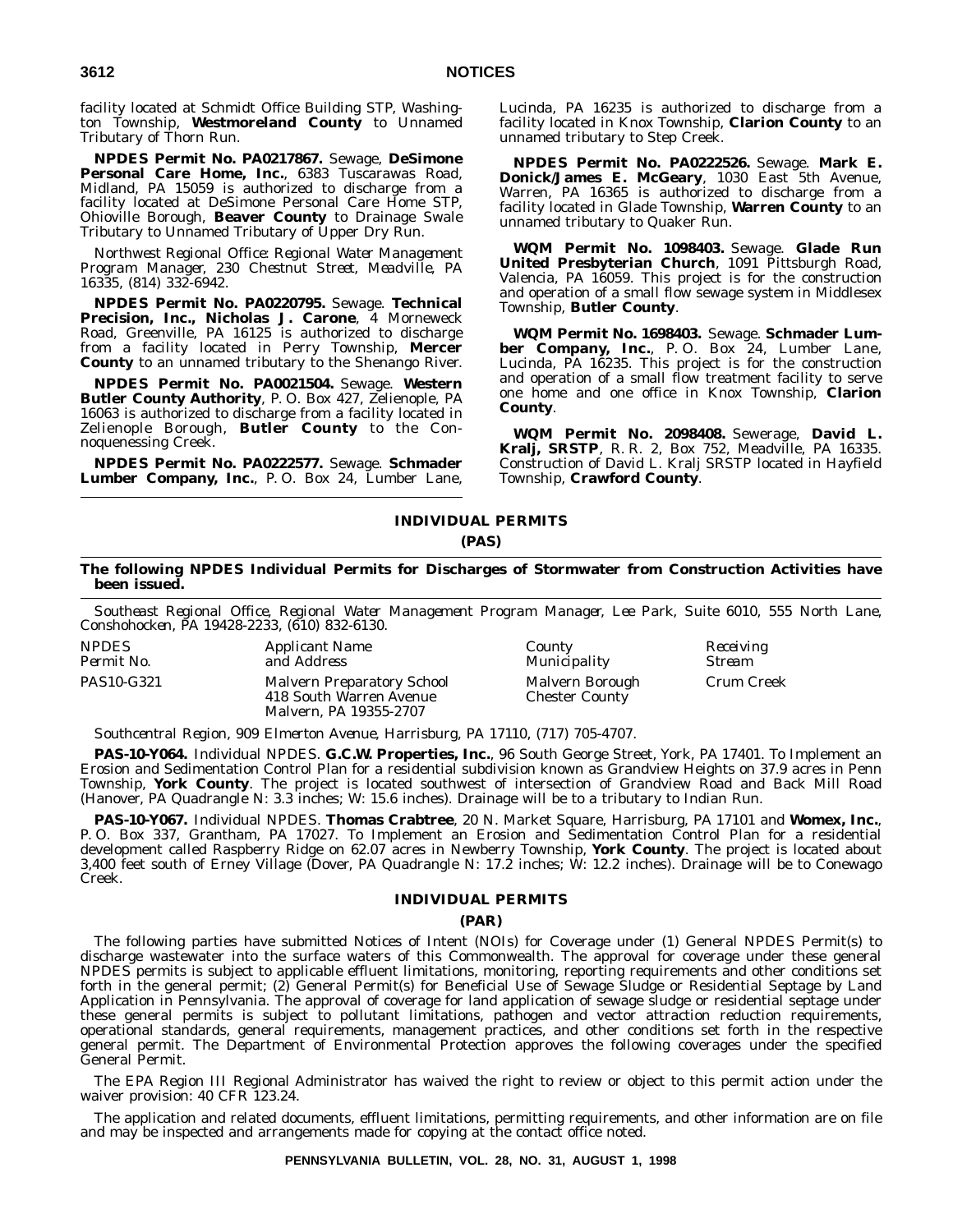facility located at Schmidt Office Building STP, Washington Township, **Westmoreland County** to Unnamed Tributary of Thorn Run.

**NPDES Permit No. PA0217867.** Sewage, **DeSimone Personal Care Home, Inc.**, 6383 Tuscarawas Road, Midland, PA 15059 is authorized to discharge from a facility located at DeSimone Personal Care Home STP, Ohioville Borough, **Beaver County** to Drainage Swale Tributary to Unnamed Tributary of Upper Dry Run.

*Northwest Regional Office: Regional Water Management Program Manager, 230 Chestnut Street, Meadville, PA 16335, (814) 332-6942.*

**NPDES Permit No. PA0220795.** Sewage. **Technical Precision, Inc., Nicholas J. Carone**, 4 Morneweck Road, Greenville, PA 16125 is authorized to discharge from a facility located in Perry Township, **Mercer County** to an unnamed tributary to the Shenango River.

**NPDES Permit No. PA0021504.** Sewage. **Western Butler County Authority**, P. O. Box 427, Zelienople, PA 16063 is authorized to discharge from a facility located in Zelienople Borough, **Butler County** to the Connoquenessing Creek.

**NPDES Permit No. PA0222577.** Sewage. **Schmader Lumber Company, Inc.**, P. O. Box 24, Lumber Lane, Lucinda, PA 16235 is authorized to discharge from a facility located in Knox Township, **Clarion County** to an unnamed tributary to Step Creek.

**NPDES Permit No. PA0222526.** Sewage. **Mark E. Donick/James E. McGeary**, 1030 East 5th Avenue, Warren, PA 16365 is authorized to discharge from a facility located in Glade Township, **Warren County** to an unnamed tributary to Quaker Run.

**WQM Permit No. 1098403.** Sewage. **Glade Run United Presbyterian Church**, 1091 Pittsburgh Road, Valencia, PA 16059. This project is for the construction and operation of a small flow sewage system in Middlesex Township, **Butler County**.

**WQM Permit No. 1698403.** Sewage. **Schmader Lumber Company, Inc.**, P. O. Box 24, Lumber Lane, Lucinda, PA 16235. This project is for the construction and operation of a small flow treatment facility to serve one home and one office in Knox Township, **Clarion County**.

**WQM Permit No. 2098408.** Sewerage, **David L. Kralj, SRSTP**, R. R. 2, Box 752, Meadville, PA 16335. Construction of David L. Kralj SRSTP located in Hayfield Township, **Crawford County**.

#### **INDIVIDUAL PERMITS (PAS)**

#### **The following NPDES Individual Permits for Discharges of Stormwater from Construction Activities have been issued.**

*Southeast Regional Office, Regional Water Management Program Manager, Lee Park, Suite 6010, 555 North Lane, Conshohocken, PA 19428-2233, (610) 832-6130.*

| <b>NPDES</b> | <i>Applicant Name</i>                                                                  | County                                   | Receiving            |
|--------------|----------------------------------------------------------------------------------------|------------------------------------------|----------------------|
| Permit No.   | and Address                                                                            | Municipality                             | <i><b>Stream</b></i> |
| PAS10-G321   | <b>Malvern Preparatory School</b><br>418 South Warren Avenue<br>Malvern. PA 19355-2707 | Malvern Borough<br><b>Chester County</b> | Crum Creek           |

*Southcentral Region, 909 Elmerton Avenue, Harrisburg, PA 17110, (717) 705-4707.*

**PAS-10-Y064.** Individual NPDES. **G.C.W. Properties, Inc.**, 96 South George Street, York, PA 17401. To Implement an Erosion and Sedimentation Control Plan for a residential subdivision known as Grandview Heights on 37.9 acres in Penn Township, **York County**. The project is located southwest of intersection of Grandview Road and Back Mill Road (Hanover, PA Quadrangle N: 3.3 inches; W: 15.6 inches). Drainage will be to a tributary to Indian Run.

**PAS-10-Y067.** Individual NPDES. **Thomas Crabtree**, 20 N. Market Square, Harrisburg, PA 17101 and **Womex, Inc.**, P. O. Box 337, Grantham, PA 17027. To Implement an Erosion and Sedimentation Control Plan for a residential development called Raspberry Ridge on 62.07 acres in Newberry Township, **York County**. The project is located about 3,400 feet south of Erney Village (Dover, PA Quadrangle N: 17.2 inches; W: 12.2 inches). Drainage will be to Conewago Creek.

#### **INDIVIDUAL PERMITS**

#### **(PAR)**

The following parties have submitted Notices of Intent (NOIs) for Coverage under (1) General NPDES Permit(s) to discharge wastewater into the surface waters of this Commonwealth. The approval for coverage under these general NPDES permits is subject to applicable effluent limitations, monitoring, reporting requirements and other conditions set forth in the general permit; (2) General Permit(s) for Beneficial Use of Sewage Sludge or Residential Septage by Land Application in Pennsylvania. The approval of coverage for land application of sewage sludge or residential septage under these general permits is subject to pollutant limitations, pathogen and vector attraction reduction requirements, operational standards, general requirements, management practices, and other conditions set forth in the respective general permit. The Department of Environmental Protection approves the following coverages under the specified General Permit.

The EPA Region III Regional Administrator has waived the right to review or object to this permit action under the waiver provision: 40 CFR 123.24.

The application and related documents, effluent limitations, permitting requirements, and other information are on file and may be inspected and arrangements made for copying at the contact office noted.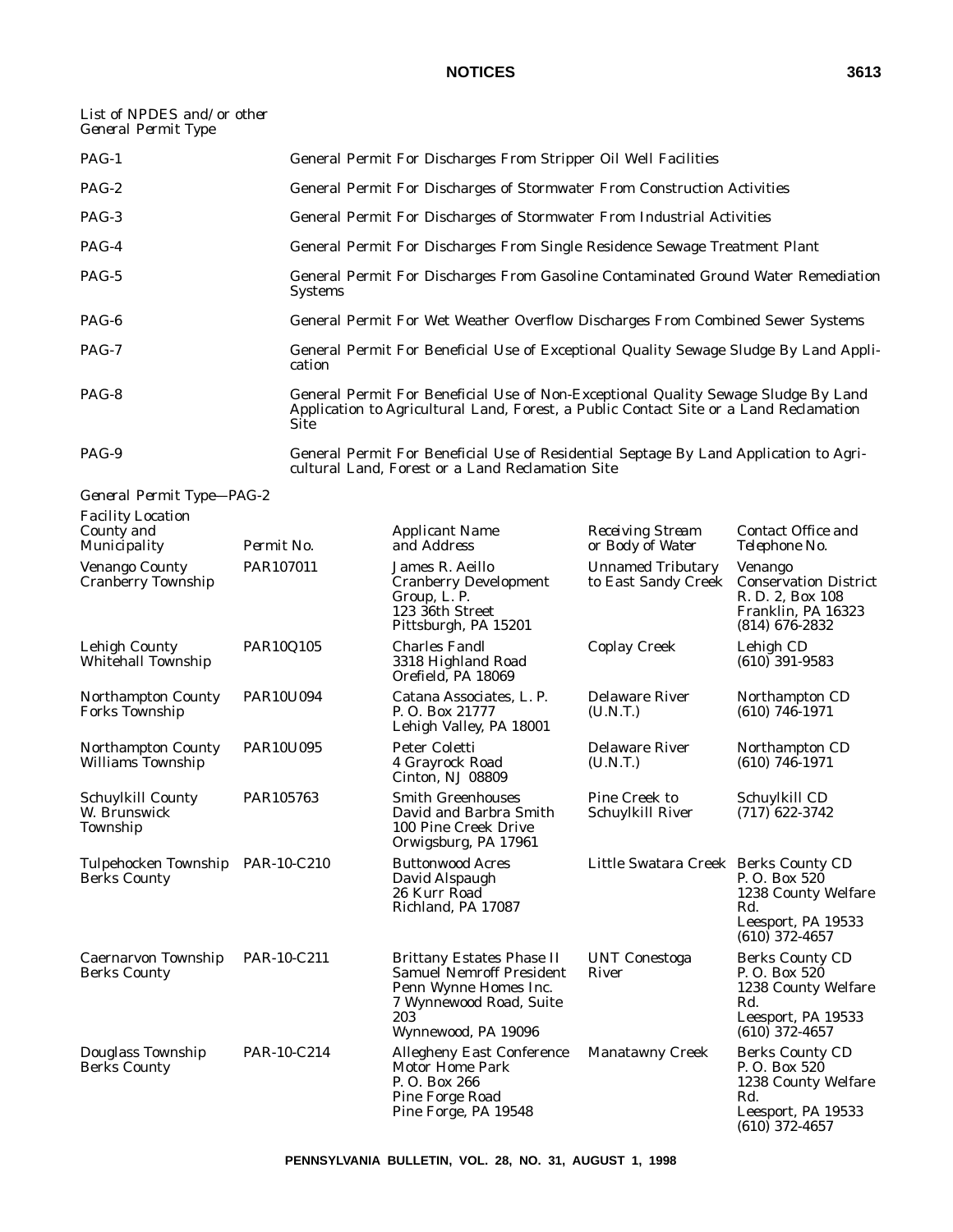# *List of NPDES and/or other General Permit Type*

| $PAG-1$ | General Permit For Discharges From Stripper Oil Well Facilities                                                                                                                     |
|---------|-------------------------------------------------------------------------------------------------------------------------------------------------------------------------------------|
| $PAG-2$ | General Permit For Discharges of Stormwater From Construction Activities                                                                                                            |
| PAG-3   | General Permit For Discharges of Stormwater From Industrial Activities                                                                                                              |
| $PAG-4$ | General Permit For Discharges From Single Residence Sewage Treatment Plant                                                                                                          |
| PAG-5   | General Permit For Discharges From Gasoline Contaminated Ground Water Remediation<br><b>Systems</b>                                                                                 |
| PAG-6   | General Permit For Wet Weather Overflow Discharges From Combined Sewer Systems                                                                                                      |
| PAG-7   | General Permit For Beneficial Use of Exceptional Quality Sewage Sludge By Land Appli-<br>cation                                                                                     |
| PAG-8   | General Permit For Beneficial Use of Non-Exceptional Quality Sewage Sludge By Land<br>Application to Agricultural Land, Forest, a Public Contact Site or a Land Reclamation<br>Site |
| PAG-9   | General Permit For Beneficial Use of Residential Septage By Land Application to Agri-<br>cultural Land, Forest or a Land Reclamation Site                                           |

*General Permit Type—PAG-2*

| <b>Facility Location</b><br>County and<br>Municipality  | Permit No.       | <b>Applicant Name</b><br>and Address                                                                                                                  | <b>Receiving Stream</b><br>or Body of Water     | Contact Office and<br>Telephone No.                                                                            |
|---------------------------------------------------------|------------------|-------------------------------------------------------------------------------------------------------------------------------------------------------|-------------------------------------------------|----------------------------------------------------------------------------------------------------------------|
| Venango County<br>Cranberry Township                    | PAR107011        | James R. Aeillo<br><b>Cranberry Development</b><br>Group, L. P.<br>123 36th Street<br>Pittsburgh, PA 15201                                            | <b>Unnamed Tributary</b><br>to East Sandy Creek | Venango<br><b>Conservation District</b><br>R. D. 2, Box 108<br>Franklin, PA 16323<br>$(814)$ 676-2832          |
| Lehigh County<br><b>Whitehall Township</b>              | PAR10Q105        | <b>Charles Fandl</b><br>3318 Highland Road<br>Orefield. PA 18069                                                                                      | <b>Coplay Creek</b>                             | Lehigh CD<br>$(610)$ 391-9583                                                                                  |
| <b>Northampton County</b><br><b>Forks Township</b>      | PAR10U094        | Catana Associates, L. P.<br>P. O. Box 21777<br>Lehigh Valley, PA 18001                                                                                | <b>Delaware River</b><br>(U.N.T.)               | Northampton CD<br>$(610)$ 746-1971                                                                             |
| Northampton County<br><b>Williams</b> Township          | <b>PAR10U095</b> | Peter Coletti<br>4 Grayrock Road<br>Cinton, NJ 08809                                                                                                  | <b>Delaware River</b><br>(U.N.T.)               | Northampton CD<br>$(610)$ 746-1971                                                                             |
| Schuylkill County<br>W. Brunswick<br>Township           | PAR105763        | <b>Smith Greenhouses</b><br>David and Barbra Smith<br>100 Pine Creek Drive<br>Orwigsburg, PA 17961                                                    | Pine Creek to<br>Schuylkill River               | Schuylkill CD<br>$(717)$ 622-3742                                                                              |
| Tulpehocken Township PAR-10-C210<br><b>Berks County</b> |                  | <b>Buttonwood Acres</b><br>David Alspaugh<br>26 Kurr Road<br>Richland, PA 17087                                                                       | Little Swatara Creek Berks County CD            | P.O. Box 520<br>1238 County Welfare<br>Rd.<br>Leesport, PA 19533<br>$(610)$ 372-4657                           |
| Caernarvon Township<br><b>Berks County</b>              | PAR-10-C211      | <b>Brittany Estates Phase II</b><br><b>Samuel Nemroff President</b><br>Penn Wynne Homes Inc.<br>7 Wynnewood Road, Suite<br>203<br>Wynnewood, PA 19096 | <b>UNT Conestoga</b><br>River                   | <b>Berks County CD</b><br>P.O. Box 520<br>1238 County Welfare<br>Rd.<br>Leesport, PA 19533<br>$(610)$ 372-4657 |
| Douglass Township<br><b>Berks County</b>                | PAR-10-C214      | <b>Allegheny East Conference</b><br><b>Motor Home Park</b><br>P.O. Box 266<br>Pine Forge Road<br>Pine Forge, PA 19548                                 | <b>Manatawny Creek</b>                          | <b>Berks County CD</b><br>P.O. Box 520<br>1238 County Welfare<br>Rd.<br>Leesport, PA 19533<br>$(610)$ 372-4657 |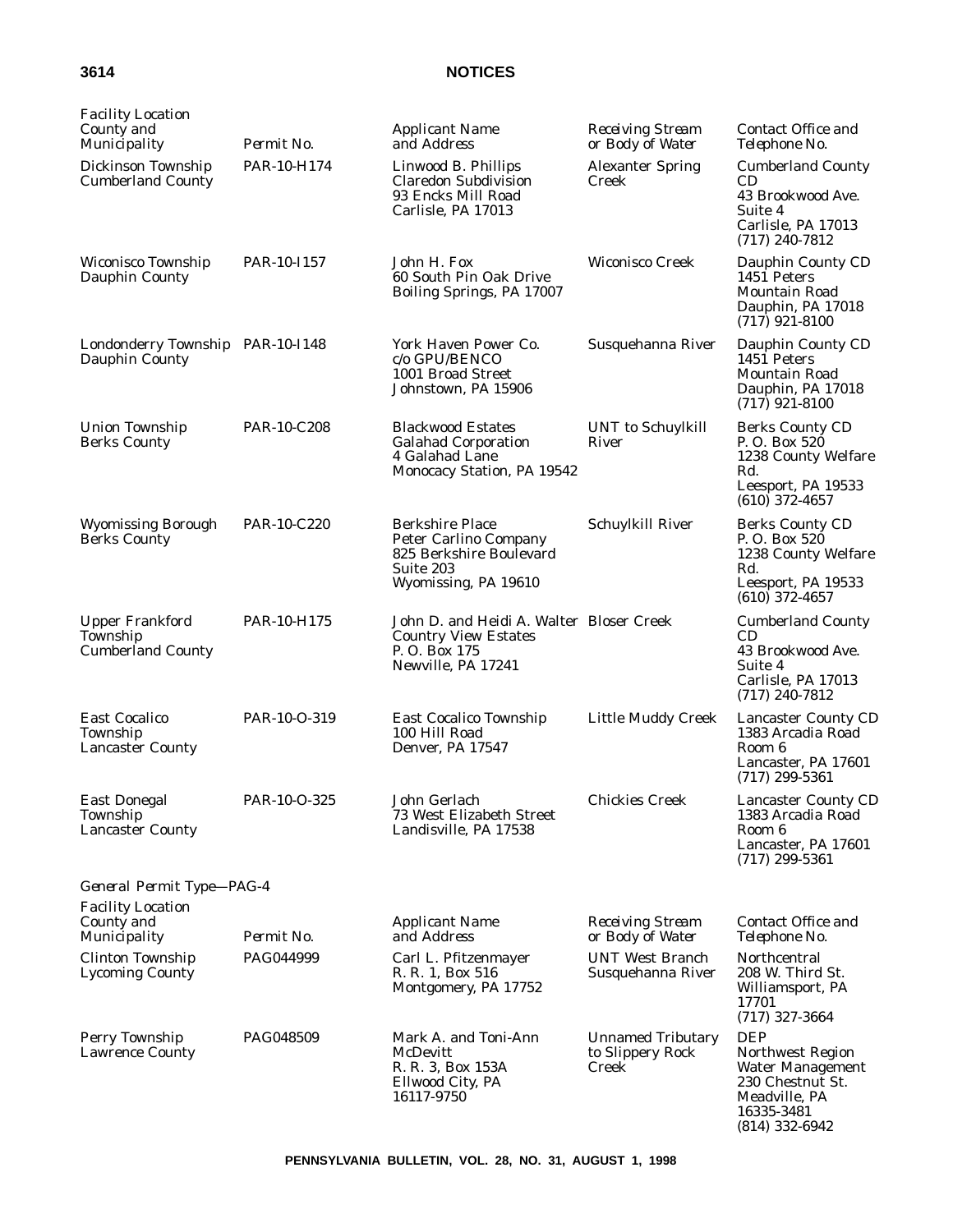| <b>Facility Location</b><br>County and<br>Municipality         | Permit No.         | <b>Applicant Name</b><br>and Address                                                                                   | <b>Receiving Stream</b><br>or Body of Water           | Contact Office and<br>Telephone No.                                                                                       |
|----------------------------------------------------------------|--------------------|------------------------------------------------------------------------------------------------------------------------|-------------------------------------------------------|---------------------------------------------------------------------------------------------------------------------------|
| Dickinson Township<br><b>Cumberland County</b>                 | PAR-10-H174        | Linwood B. Phillips<br><b>Claredon Subdivision</b><br>93 Encks Mill Road<br>Carlisle, PA 17013                         | <b>Alexanter Spring</b><br>Creek                      | <b>Cumberland County</b><br>CD<br>43 Brookwood Ave.<br>Suite 4<br>Carlisle, PA 17013<br>$(717)$ 240-7812                  |
| Wiconisco Township<br>Dauphin County                           | PAR-10-I157        | John H. Fox<br>60 South Pin Oak Drive<br>Boiling Springs, PA 17007                                                     | Wiconisco Creek                                       | Dauphin County CD<br>1451 Peters<br>Mountain Road<br>Dauphin, PA 17018<br>$(717)$ 921-8100                                |
| Londonderry Township PAR-10-I148<br>Dauphin County             |                    | York Haven Power Co.<br>c/o GPU/BENCO<br>1001 Broad Street<br>Johnstown, PA 15906                                      | Susquehanna River                                     | Dauphin County CD<br>1451 Peters<br>Mountain Road<br>Dauphin, PA 17018<br>$(717)$ 921-8100                                |
| <b>Union Township</b><br><b>Berks County</b>                   | PAR-10-C208        | <b>Blackwood Estates</b><br><b>Galahad Corporation</b><br>4 Galahad Lane<br>Monocacy Station, PA 19542                 | UNT to Schuylkill<br>River                            | <b>Berks County CD</b><br>P.O. Box 520<br>1238 County Welfare<br>Rd.<br>Leesport, PA 19533<br>$(610)$ 372-4657            |
| <b>Wyomissing Borough</b><br><b>Berks County</b>               | <b>PAR-10-C220</b> | <b>Berkshire Place</b><br><b>Peter Carlino Company</b><br>825 Berkshire Boulevard<br>Suite 203<br>Wyomissing, PA 19610 | Schuylkill River                                      | <b>Berks County CD</b><br>P. O. Box 520<br>1238 County Welfare<br>Rd.<br>Leesport, PA 19533<br>$(610)$ 372-4657           |
| <b>Upper Frankford</b><br>Township<br><b>Cumberland County</b> | PAR-10-H175        | John D. and Heidi A. Walter Bloser Creek<br><b>Country View Estates</b><br>P.O. Box 175<br>Newville, PA 17241          |                                                       | <b>Cumberland County</b><br>CD<br>43 Brookwood Ave.<br>Suite 4<br>Carlisle, PA 17013<br>$(717)$ 240-7812                  |
| <b>East Cocalico</b><br>Township<br><b>Lancaster County</b>    | PAR-10-O-319       | <b>East Cocalico Township</b><br>100 Hill Road<br>Denver, PA 17547                                                     | <b>Little Muddy Creek</b>                             | <b>Lancaster County CD</b><br>1383 Arcadia Road<br>Room 6<br>Lancaster, PA 17601<br>$(717)$ 299-5361                      |
| <b>East Donegal</b><br>Township<br><b>Lancaster County</b>     | PAR-10-O-325       | John Gerlach<br>73 West Elizabeth Street<br>Landisville, PA 17538                                                      | <b>Chickies Creek</b>                                 | <b>Lancaster County CD</b><br>1383 Arcadia Road<br>Room 6<br>Lancaster, PA 17601<br>$(717)$ 299-5361                      |
| General Permit Type-PAG-4                                      |                    |                                                                                                                        |                                                       |                                                                                                                           |
| <b>Facility Location</b><br>County and<br>Municipality         | Permit No.         | <b>Applicant Name</b><br>and Address                                                                                   | <b>Receiving Stream</b><br>or Body of Water           | Contact Office and<br>Telephone No.                                                                                       |
| <b>Clinton Township</b><br><b>Lycoming County</b>              | PAG044999          | Carl L. Pfitzenmayer<br>R. R. 1, Box 516<br>Montgomery, PA 17752                                                       | <b>UNT West Branch</b><br>Susquehanna River           | Northcentral<br>208 W. Third St.<br>Williamsport, PA<br>17701<br>$(717)$ 327-3664                                         |
| Perry Township<br>Lawrence County                              | <b>PAG048509</b>   | Mark A. and Toni-Ann<br><b>McDevitt</b><br>R. R. 3, Box 153A<br>Ellwood City, PA<br>16117-9750                         | <b>Unnamed Tributary</b><br>to Slippery Rock<br>Creek | <b>DEP</b><br>Northwest Region<br>Water Management<br>230 Chestnut St.<br>Meadville, PA<br>16335-3481<br>$(814)$ 332-6942 |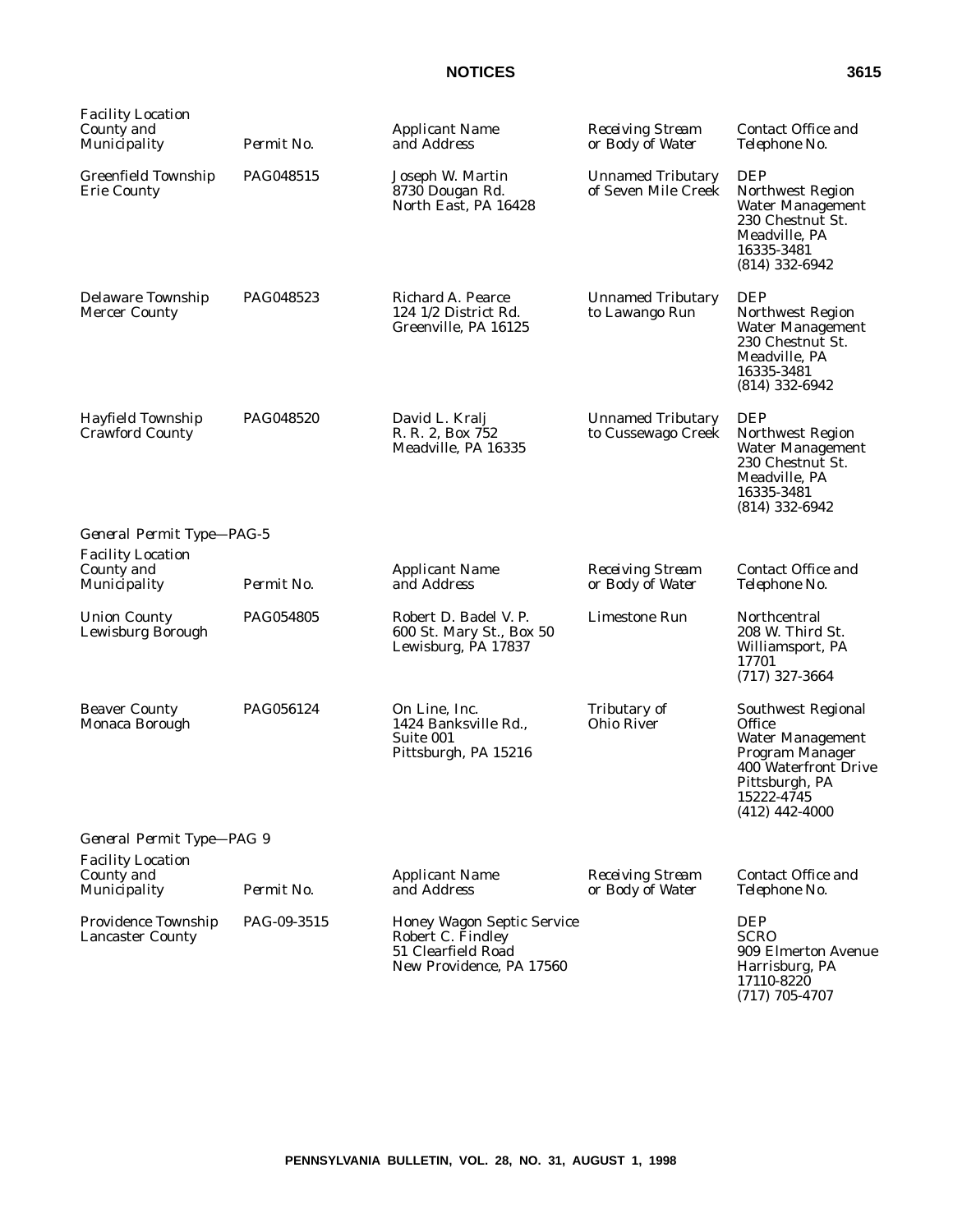| Facility Location<br>County and<br>Municipality        | Permit No.  | <b>Applicant Name</b><br>and Address                                                              | <b>Receiving Stream</b><br>or Body of Water     | Contact Office and<br>Telephone No.                                                                                                                                  |
|--------------------------------------------------------|-------------|---------------------------------------------------------------------------------------------------|-------------------------------------------------|----------------------------------------------------------------------------------------------------------------------------------------------------------------------|
| Greenfield Township<br><b>Erie County</b>              | PAG048515   | Joseph W. Martin<br>8730 Dougan Rd.<br>North East, PA 16428                                       | <b>Unnamed Tributary</b><br>of Seven Mile Creek | <b>DEP</b><br>Northwest Region<br><b>Water Management</b><br>230 Chestnut St.<br>Meadville, PA<br>16335-3481<br>$(814)$ 332-6942                                     |
| Delaware Township<br><b>Mercer County</b>              | PAG048523   | Richard A. Pearce<br>124 1/2 District Rd.<br>Greenville, PA 16125                                 | <b>Unnamed Tributary</b><br>to Lawango Run      | <b>DEP</b><br>Northwest Region<br><b>Water Management</b><br>230 Chestnut St.<br>Meadville, PA<br>16335-3481<br>$(814)$ 332-6942                                     |
| Hayfield Township<br><b>Crawford County</b>            | PAG048520   | David L. Kralj<br>R. R. 2, Box 752<br>Meadville, PA 16335                                         | <b>Unnamed Tributary</b><br>to Cussewago Creek  | <b>DEP</b><br>Northwest Region<br><b>Water Management</b><br>230 Chestnut St.<br>Meadville, PA<br>16335-3481<br>$(814)$ 332-6942                                     |
| General Permit Type-PAG-5                              |             |                                                                                                   |                                                 |                                                                                                                                                                      |
| <b>Facility Location</b><br>County and<br>Municipality | Permit No.  | <b>Applicant Name</b><br>and Address                                                              | <b>Receiving Stream</b><br>or Body of Water     | Contact Office and<br>Telephone No.                                                                                                                                  |
| <b>Union County</b><br>Lewisburg Borough               | PAG054805   | Robert D. Badel V. P.<br>600 St. Mary St., Box 50<br>Lewisburg, PA 17837                          | Limestone Run                                   | Northcentral<br>208 W. Third St.<br>Williamsport, PA<br>17701<br>$(717)$ 327-3664                                                                                    |
| <b>Beaver County</b><br>Monaca Borough                 | PAG056124   | On Line, Inc.<br>1424 Banksville Rd.,<br>Suite 001<br>Pittsburgh, PA 15216                        | Tributary of<br>Ohio River                      | <b>Southwest Regional</b><br><b>Office</b><br><b>Water Management</b><br>Program Manager<br>400 Waterfront Drive<br>Pittsburgh, PA<br>15222-4745<br>$(412)$ 442-4000 |
| General Permit Type-PAG 9                              |             |                                                                                                   |                                                 |                                                                                                                                                                      |
| <b>Facility Location</b><br>County and<br>Municipality | Permit No.  | <b>Applicant Name</b><br>and Address                                                              | <b>Receiving Stream</b><br>or Body of Water     | Contact Office and<br>Telephone No.                                                                                                                                  |
| Providence Township<br><b>Lancaster County</b>         | PAG-09-3515 | Honey Wagon Septic Service<br>Robert C. Findley<br>51 Clearfield Road<br>New Providence, PA 17560 |                                                 | <b>DEP</b><br><b>SCRO</b><br>909 Elmerton Avenue<br>Harrisburg, PA<br>17110-8220<br>$(717)$ 705-4707                                                                 |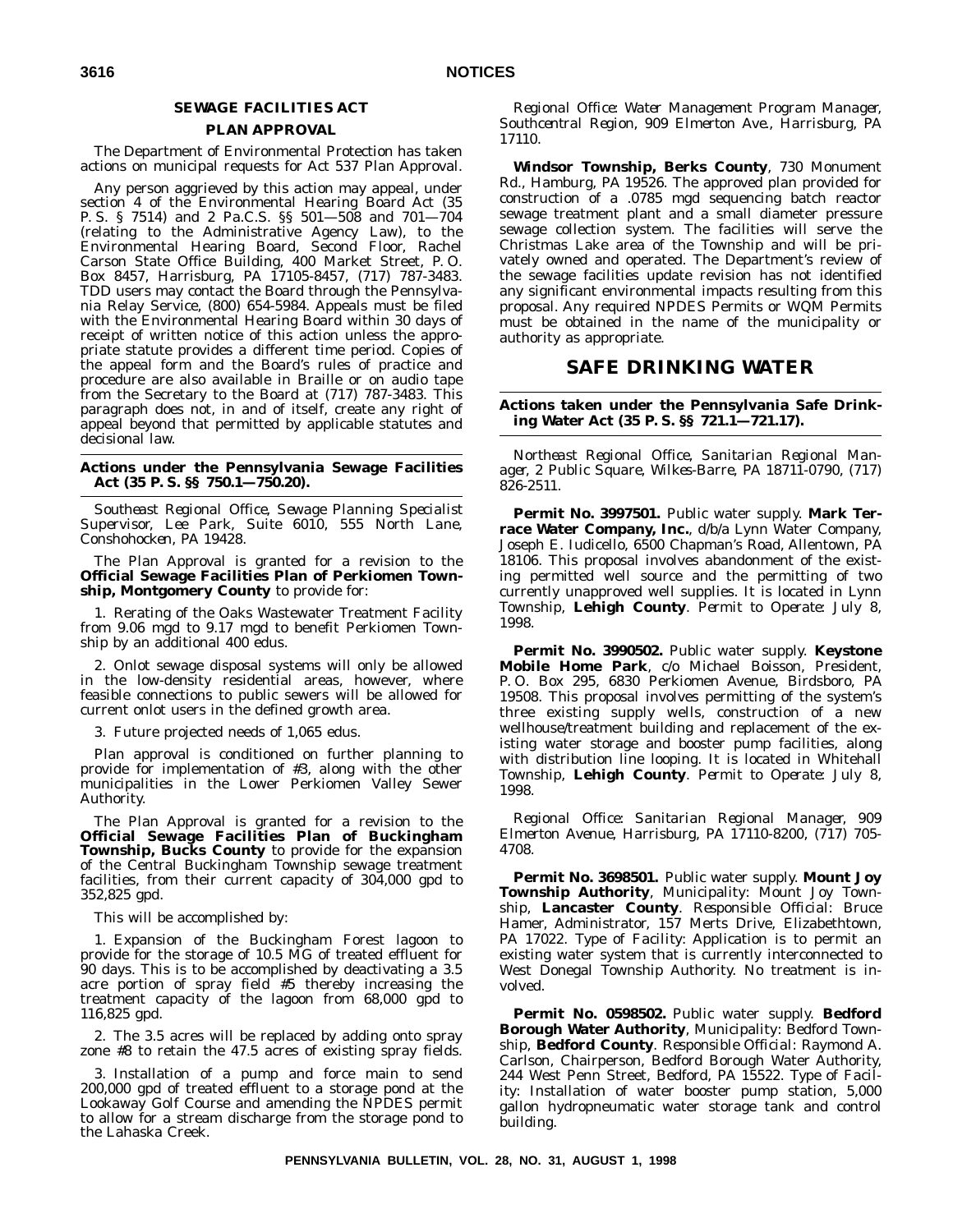# **SEWAGE FACILITIES ACT**

#### **PLAN APPROVAL**

The Department of Environmental Protection has taken actions on municipal requests for Act 537 Plan Approval.

Any person aggrieved by this action may appeal, under section 4 of the Environmental Hearing Board Act (35 P. S. § 7514) and 2 Pa.C.S. §§ 501—508 and 701—704 (relating to the Administrative Agency Law), to the Environmental Hearing Board, Second Floor, Rachel Carson State Office Building, 400 Market Street, P. O. Box 8457, Harrisburg, PA 17105-8457, (717) 787-3483. TDD users may contact the Board through the Pennsylvania Relay Service, (800) 654-5984. Appeals must be filed with the Environmental Hearing Board within 30 days of receipt of written notice of this action unless the appropriate statute provides a different time period. Copies of the appeal form and the Board's rules of practice and procedure are also available in Braille or on audio tape from the Secretary to the Board at (717) 787-3483. This paragraph does not, in and of itself, create any right of appeal beyond that permitted by applicable statutes and decisional law.

**Actions under the Pennsylvania Sewage Facilities Act (35 P. S. §§ 750.1—750.20).**

*Southeast Regional Office, Sewage Planning Specialist Supervisor, Lee Park, Suite 6010, 555 North Lane, Conshohocken, PA 19428.*

The Plan Approval is granted for a revision to the **Official Sewage Facilities Plan of Perkiomen Township, Montgomery County** to provide for:

1. Rerating of the Oaks Wastewater Treatment Facility from 9.06 mgd to 9.17 mgd to benefit Perkiomen Township by an additional 400 edus.

2. Onlot sewage disposal systems will only be allowed in the low-density residential areas, however, where feasible connections to public sewers will be allowed for current onlot users in the defined growth area.

3. Future projected needs of 1,065 edus.

Plan approval is conditioned on further planning to provide for implementation of #3, along with the other municipalities in the Lower Perkiomen Valley Sewer Authority.

The Plan Approval is granted for a revision to the **Official Sewage Facilities Plan of Buckingham Township, Bucks County** to provide for the expansion of the Central Buckingham Township sewage treatment facilities, from their current capacity of 304,000 gpd to 352,825 gpd.

This will be accomplished by:

1. Expansion of the Buckingham Forest lagoon to provide for the storage of 10.5 MG of treated effluent for 90 days. This is to be accomplished by deactivating a 3.5 acre portion of spray field #5 thereby increasing the treatment capacity of the lagoon from 68,000 gpd to 116,825 gpd.

2. The 3.5 acres will be replaced by adding onto spray zone #8 to retain the 47.5 acres of existing spray fields.

3. Installation of a pump and force main to send 200,000 gpd of treated effluent to a storage pond at the Lookaway Golf Course and amending the NPDES permit to allow for a stream discharge from the storage pond to the Lahaska Creek.

*Regional Office: Water Management Program Manager, Southcentral Region, 909 Elmerton Ave., Harrisburg, PA 17110.*

**Windsor Township, Berks County**, 730 Monument Rd., Hamburg, PA 19526. The approved plan provided for construction of a .0785 mgd sequencing batch reactor sewage treatment plant and a small diameter pressure sewage collection system. The facilities will serve the Christmas Lake area of the Township and will be privately owned and operated. The Department's review of the sewage facilities update revision has not identified any significant environmental impacts resulting from this proposal. Any required NPDES Permits or WQM Permits must be obtained in the name of the municipality or authority as appropriate.

# **SAFE DRINKING WATER**

#### **Actions taken under the Pennsylvania Safe Drinking Water Act (35 P. S. §§ 721.1—721.17).**

*Northeast Regional Office, Sanitarian Regional Manager, 2 Public Square, Wilkes-Barre, PA 18711-0790, (717) 826-2511.*

**Permit No. 3997501.** Public water supply. **Mark Terrace Water Company, Inc.**, d/b/a Lynn Water Company, Joseph E. Iudicello, 6500 Chapman's Road, Allentown, PA 18106. This proposal involves abandonment of the existing permitted well source and the permitting of two currently unapproved well supplies. It is located in Lynn Township, **Lehigh County**. *Permit to Operate*: July 8, 1998.

**Permit No. 3990502.** Public water supply. **Keystone Mobile Home Park**, c/o Michael Boisson, President, P. O. Box 295, 6830 Perkiomen Avenue, Birdsboro, PA 19508. This proposal involves permitting of the system's three existing supply wells, construction of a new wellhouse/treatment building and replacement of the existing water storage and booster pump facilities, along with distribution line looping. It is located in Whitehall Township, **Lehigh County**. *Permit to Operate*: July 8, 1998.

*Regional Office: Sanitarian Regional Manager, 909 Elmerton Avenue, Harrisburg, PA 17110-8200, (717) 705- 4708.*

**Permit No. 3698501.** Public water supply. **Mount Joy Township Authority**, Municipality: Mount Joy Township, **Lancaster County**. *Responsible Official*: Bruce Hamer, Administrator, 157 Merts Drive, Elizabethtown, PA 17022. *Type of Facility*: Application is to permit an existing water system that is currently interconnected to West Donegal Township Authority. No treatment is involved.

**Permit No. 0598502.** Public water supply. **Bedford Borough Water Authority**, Municipality: Bedford Township, **Bedford County**. *Responsible Official*: Raymond A. Carlson, Chairperson, Bedford Borough Water Authority, 244 West Penn Street, Bedford, PA 15522. *Type of Facility*: Installation of water booster pump station, 5,000 gallon hydropneumatic water storage tank and control building.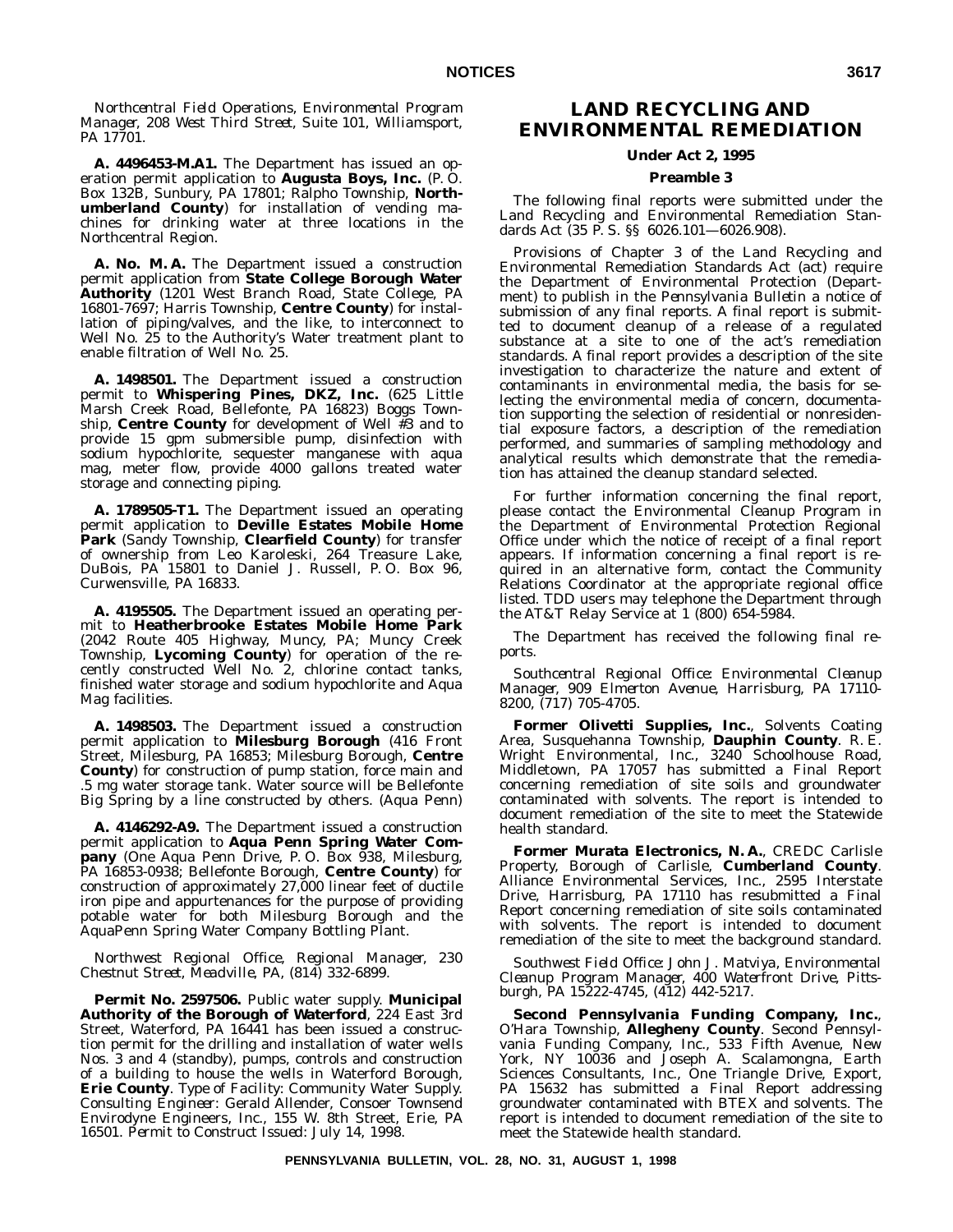*Northcentral Field Operations, Environmental Program Manager, 208 West Third Street, Suite 101, Williamsport, PA 17701.*

**A. 4496453-M.A1.** The Department has issued an operation permit application to **Augusta Boys, Inc.** (P. O. Box 132B, Sunbury, PA 17801; Ralpho Township, **Northumberland County**) for installation of vending machines for drinking water at three locations in the Northcentral Region.

**A. No. M. A.** The Department issued a construction permit application from **State College Borough Water Authority** (1201 West Branch Road, State College, PA 16801-7697; Harris Township, **Centre County**) for installation of piping/valves, and the like, to interconnect to Well No. 25 to the Authority's Water treatment plant to enable filtration of Well No. 25.

**A. 1498501.** The Department issued a construction permit to **Whispering Pines, DKZ, Inc.** (625 Little Marsh Creek Road, Bellefonte, PA 16823) Boggs Township, **Centre County** for development of Well #3 and to provide 15 gpm submersible pump, disinfection with sodium hypochlorite, sequester manganese with aqua mag, meter flow, provide 4000 gallons treated water storage and connecting piping.

**A. 1789505-T1.** The Department issued an operating permit application to **Deville Estates Mobile Home Park** (Sandy Township, **Clearfield County**) for transfer of ownership from Leo Karoleski, 264 Treasure Lake, DuBois, PA 15801 to Daniel J. Russell, P. O. Box 96, Curwensville, PA 16833.

**A. 4195505.** The Department issued an operating permit to **Heatherbrooke Estates Mobile Home Park** (2042 Route 405 Highway, Muncy, PA; Muncy Creek Township, **Lycoming County**) for operation of the recently constructed Well No. 2, chlorine contact tanks, finished water storage and sodium hypochlorite and Aqua Mag facilities.

**A. 1498503.** The Department issued a construction permit application to **Milesburg Borough** (416 Front Street, Milesburg, PA 16853; Milesburg Borough, **Centre County**) for construction of pump station, force main and .5 mg water storage tank. Water source will be Bellefonte Big Spring by a line constructed by others. (Aqua Penn)

**A. 4146292-A9.** The Department issued a construction permit application to **Aqua Penn Spring Water Company** (One Aqua Penn Drive, P. O. Box 938, Milesburg, PA 16853-0938; Bellefonte Borough, **Centre County**) for construction of approximately 27,000 linear feet of ductile iron pipe and appurtenances for the purpose of providing potable water for both Milesburg Borough and the AquaPenn Spring Water Company Bottling Plant.

*Northwest Regional Office, Regional Manager, 230 Chestnut Street, Meadville, PA, (814) 332-6899.*

**Permit No. 2597506.** Public water supply. **Municipal Authority of the Borough of Waterford**, 224 East 3rd Street, Waterford, PA 16441 has been issued a construction permit for the drilling and installation of water wells Nos. 3 and 4 (standby), pumps, controls and construction of a building to house the wells in Waterford Borough, **Erie County**. *Type of Facility*: Community Water Supply. *Consulting Engineer*: Gerald Allender, Consoer Townsend Envirodyne Engineers, Inc., 155 W. 8th Street, Erie, PA 16501. *Permit to Construct Issued*: July 14, 1998.

# **LAND RECYCLING AND ENVIRONMENTAL REMEDIATION**

#### **Under Act 2, 1995**

#### **Preamble 3**

The following final reports were submitted under the Land Recycling and Environmental Remediation Standards Act (35 P. S. §§ 6026.101—6026.908).

Provisions of Chapter 3 of the Land Recycling and Environmental Remediation Standards Act (act) require the Department of Environmental Protection (Department) to publish in the *Pennsylvania Bulletin* a notice of submission of any final reports. A final report is submitted to document cleanup of a release of a regulated substance at a site to one of the act's remediation standards. A final report provides a description of the site investigation to characterize the nature and extent of contaminants in environmental media, the basis for selecting the environmental media of concern, documentation supporting the selection of residential or nonresidential exposure factors, a description of the remediation performed, and summaries of sampling methodology and analytical results which demonstrate that the remediation has attained the cleanup standard selected.

For further information concerning the final report, please contact the Environmental Cleanup Program in the Department of Environmental Protection Regional Office under which the notice of receipt of a final report appears. If information concerning a final report is required in an alternative form, contact the Community Relations Coordinator at the appropriate regional office listed. TDD users may telephone the Department through the AT&T Relay Service at 1 (800) 654-5984.

The Department has received the following final reports.

*Southcentral Regional Office: Environmental Cleanup Manager, 909 Elmerton Avenue, Harrisburg, PA 17110- 8200, (717) 705-4705.*

**Former Olivetti Supplies, Inc.**, Solvents Coating Area, Susquehanna Township, **Dauphin County**. R. E. Wright Environmental, Inc., 3240 Schoolhouse Road, Middletown, PA 17057 has submitted a Final Report concerning remediation of site soils and groundwater contaminated with solvents. The report is intended to document remediation of the site to meet the Statewide health standard.

**Former Murata Electronics, N. A.**, CREDC Carlisle Property, Borough of Carlisle, **Cumberland County**. Alliance Environmental Services, Inc., 2595 Interstate Drive, Harrisburg, PA 17110 has resubmitted a Final Report concerning remediation of site soils contaminated with solvents. The report is intended to document remediation of the site to meet the background standard.

*Southwest Field Office: John J. Matviya, Environmental Cleanup Program Manager, 400 Waterfront Drive, Pittsburgh, PA 15222-4745, (412) 442-5217.*

**Second Pennsylvania Funding Company, Inc.**, O'Hara Township, **Allegheny County**. Second Pennsylvania Funding Company, Inc., 533 Fifth Avenue, New York, NY 10036 and Joseph A. Scalamongna, Earth Sciences Consultants, Inc., One Triangle Drive, Export, PA 15632 has submitted a Final Report addressing groundwater contaminated with BTEX and solvents. The report is intended to document remediation of the site to meet the Statewide health standard.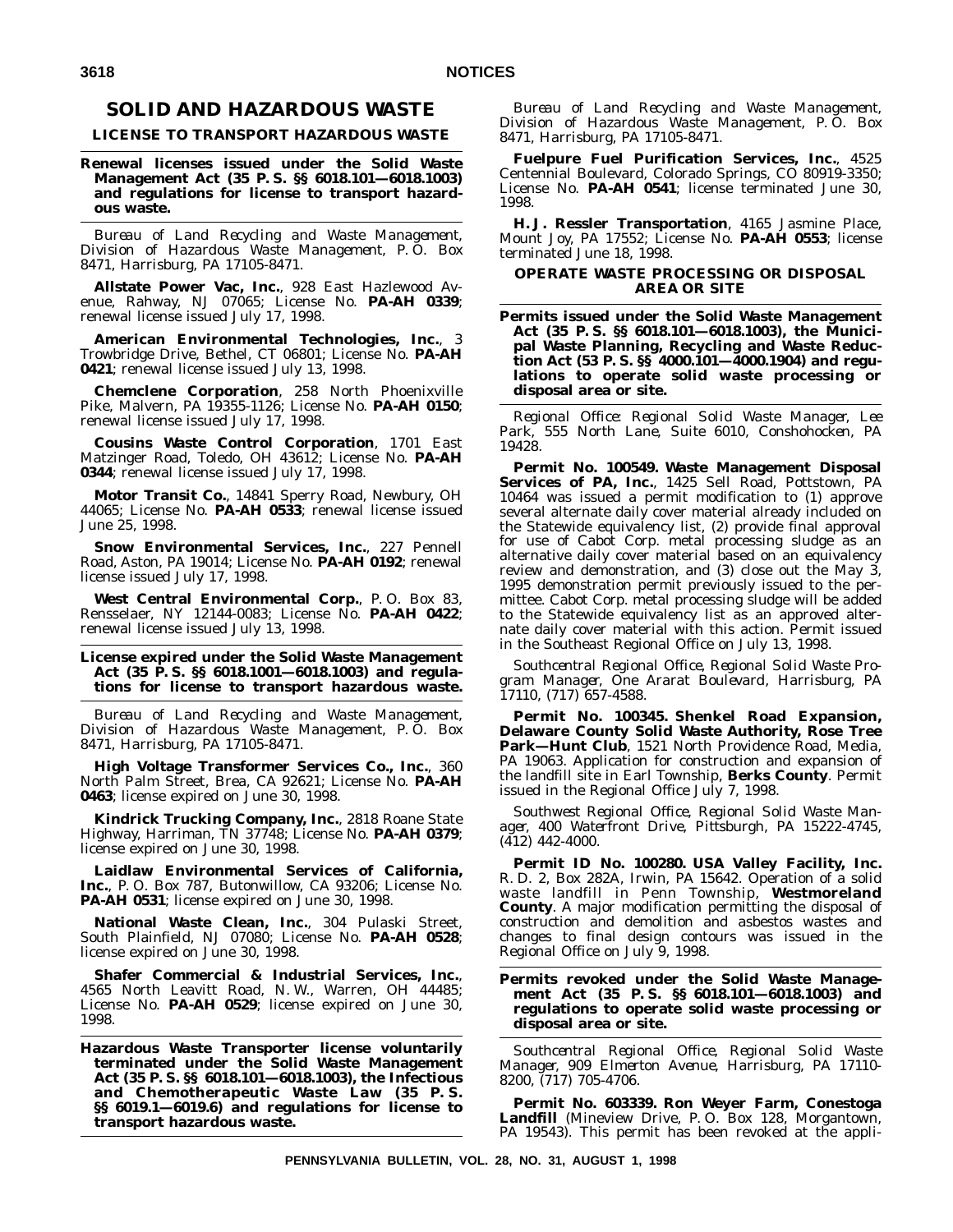# **SOLID AND HAZARDOUS WASTE**

#### **LICENSE TO TRANSPORT HAZARDOUS WASTE**

#### **Renewal licenses issued under the Solid Waste Management Act (35 P. S. §§ 6018.101—6018.1003) and regulations for license to transport hazardous waste.**

*Bureau of Land Recycling and Waste Management, Division of Hazardous Waste Management, P. O. Box 8471, Harrisburg, PA 17105-8471.*

**Allstate Power Vac, Inc.**, 928 East Hazlewood Avenue, Rahway, NJ 07065; License No. **PA-AH 0339**; renewal license issued July 17, 1998.

**American Environmental Technologies, Inc.**, 3 Trowbridge Drive, Bethel, CT 06801; License No. **PA-AH 0421**; renewal license issued July 13, 1998.

**Chemclene Corporation**, 258 North Phoenixville Pike, Malvern, PA 19355-1126; License No. **PA-AH 0150**; renewal license issued July 17, 1998.

**Cousins Waste Control Corporation**, 1701 East Matzinger Road, Toledo, OH 43612; License No. **PA-AH 0344**; renewal license issued July 17, 1998.

**Motor Transit Co.**, 14841 Sperry Road, Newbury, OH 44065; License No. **PA-AH 0533**; renewal license issued June 25, 1998.

**Snow Environmental Services, Inc.**, 227 Pennell Road, Aston, PA 19014; License No. **PA-AH 0192**; renewal license issued July 17, 1998.

**West Central Environmental Corp.**, P. O. Box 83, Rensselaer, NY 12144-0083; License No. **PA-AH 0422**; renewal license issued July 13, 1998.

**License expired under the Solid Waste Management Act (35 P. S. §§ 6018.1001—6018.1003) and regulations for license to transport hazardous waste.**

*Bureau of Land Recycling and Waste Management, Division of Hazardous Waste Management, P. O. Box 8471, Harrisburg, PA 17105-8471.*

**High Voltage Transformer Services Co., Inc.**, 360 North Palm Street, Brea, CA 92621; License No. **PA-AH 0463**; license expired on June 30, 1998.

**Kindrick Trucking Company, Inc.**, 2818 Roane State Highway, Harriman, TN 37748; License No. **PA-AH 0379**; license expired on June 30, 1998.

**Laidlaw Environmental Services of California, Inc.**, P. O. Box 787, Butonwillow, CA 93206; License No. **PA-AH 0531**; license expired on June 30, 1998.

**National Waste Clean, Inc.**, 304 Pulaski Street, South Plainfield, NJ 07080; License No. **PA-AH 0528**; license expired on June 30, 1998.

**Shafer Commercial & Industrial Services, Inc.**, 4565 North Leavitt Road, N. W., Warren, OH 44485; License No. **PA-AH 0529**; license expired on June 30, 1998.

**Hazardous Waste Transporter license voluntarily terminated under the Solid Waste Management Act (35 P. S. §§ 6018.101—6018.1003), the Infectious and Chemotherapeutic Waste Law (35 P. S. §§ 6019.1—6019.6) and regulations for license to transport hazardous waste.**

*Bureau of Land Recycling and Waste Management, Division of Hazardous Waste Management, P. O. Box 8471, Harrisburg, PA 17105-8471.*

**Fuelpure Fuel Purification Services, Inc.**, 4525 Centennial Boulevard, Colorado Springs, CO 80919-3350; License No. **PA-AH 0541**; license terminated June 30, 1998.

**H. J. Ressler Transportation**, 4165 Jasmine Place, Mount Joy, PA 17552; License No. **PA-AH 0553**; license terminated June 18, 1998.

#### **OPERATE WASTE PROCESSING OR DISPOSAL AREA OR SITE**

**Permits issued under the Solid Waste Management Act (35 P. S. §§ 6018.101—6018.1003), the Municipal Waste Planning, Recycling and Waste Reduction Act (53 P. S. §§ 4000.101—4000.1904) and regulations to operate solid waste processing or disposal area or site.**

*Regional Office: Regional Solid Waste Manager, Lee Park, 555 North Lane, Suite 6010, Conshohocken, PA 19428.*

**Permit No. 100549. Waste Management Disposal** Services of PA, Inc., 1425 Sell Road, Pottstown, PA 10464 was issued a permit modification to (1) approve several alternate daily cover material already included on the Statewide equivalency list, (2) provide final approval for use of Cabot Corp. metal processing sludge as an alternative daily cover material based on an equivalency review and demonstration, and (3) close out the May 3, 1995 demonstration permit previously issued to the permittee. Cabot Corp. metal processing sludge will be added to the Statewide equivalency list as an approved alternate daily cover material with this action. Permit issued in the Southeast Regional Office on July 13, 1998.

*Southcentral Regional Office, Regional Solid Waste Program Manager, One Ararat Boulevard, Harrisburg, PA 17110, (717) 657-4588.*

**Permit No. 100345. Shenkel Road Expansion, Delaware County Solid Waste Authority, Rose Tree Park—Hunt Club**, 1521 North Providence Road, Media, PA 19063. Application for construction and expansion of the landfill site in Earl Township, **Berks County**. Permit issued in the Regional Office July 7, 1998.

*Southwest Regional Office, Regional Solid Waste Manager, 400 Waterfront Drive, Pittsburgh, PA 15222-4745, (412) 442-4000.*

**Permit ID No. 100280. USA Valley Facility, Inc.** R. D. 2, Box 282A, Irwin, PA 15642. Operation of a solid waste landfill in Penn Township, **Westmoreland County**. A major modification permitting the disposal of construction and demolition and asbestos wastes and changes to final design contours was issued in the Regional Office on July 9, 1998.

#### **Permits revoked under the Solid Waste Management Act (35 P. S. §§ 6018.101—6018.1003) and regulations to operate solid waste processing or disposal area or site.**

*Southcentral Regional Office, Regional Solid Waste Manager, 909 Elmerton Avenue, Harrisburg, PA 17110- 8200, (717) 705-4706.*

**Permit No. 603339. Ron Weyer Farm, Conestoga Landfill** (Mineview Drive, P. O. Box 128, Morgantown, PA 19543). This permit has been revoked at the appli-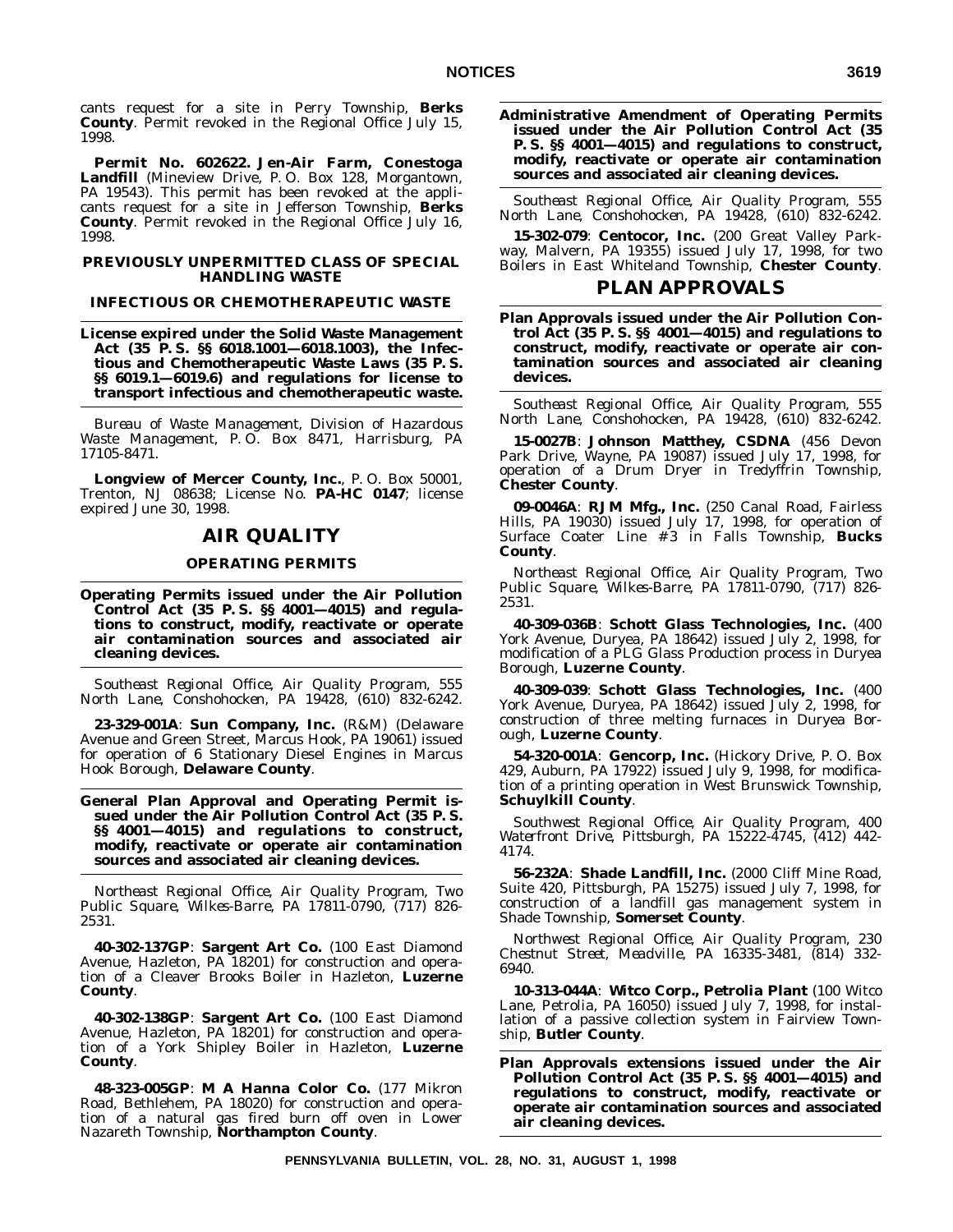cants request for a site in Perry Township, **Berks County**. Permit revoked in the Regional Office July 15, 1998.

**Permit No. 602622. Jen-Air Farm, Conestoga Landfill** (Mineview Drive, P. O. Box 128, Morgantown, PA 19543). This permit has been revoked at the applicants request for a site in Jefferson Township, **Berks County**. Permit revoked in the Regional Office July 16, 1998.

#### **PREVIOUSLY UNPERMITTED CLASS OF SPECIAL HANDLING WASTE**

#### **INFECTIOUS OR CHEMOTHERAPEUTIC WASTE**

**License expired under the Solid Waste Management Act (35 P. S. §§ 6018.1001—6018.1003), the Infectious and Chemotherapeutic Waste Laws (35 P. S. §§ 6019.1—6019.6) and regulations for license to transport infectious and chemotherapeutic waste.**

*Bureau of Waste Management, Division of Hazardous Waste Management, P. O. Box 8471, Harrisburg, PA 17105-8471.*

**Longview of Mercer County, Inc.**, P. O. Box 50001, Trenton, NJ 08638; License No. **PA-HC 0147**; license expired June 30, 1998.

#### **AIR QUALITY**

#### **OPERATING PERMITS**

**Operating Permits issued under the Air Pollution Control Act (35 P. S. §§ 4001—4015) and regulations to construct, modify, reactivate or operate air contamination sources and associated air cleaning devices.**

*Southeast Regional Office, Air Quality Program, 555 North Lane, Conshohocken, PA 19428, (610) 832-6242.*

**23-329-001A**: **Sun Company, Inc.** (R&M) (Delaware Avenue and Green Street, Marcus Hook, PA 19061) issued for operation of 6 Stationary Diesel Engines in Marcus Hook Borough, **Delaware County**.

**General Plan Approval and Operating Permit issued under the Air Pollution Control Act (35 P. S. §§ 4001—4015) and regulations to construct, modify, reactivate or operate air contamination sources and associated air cleaning devices.**

*Northeast Regional Office, Air Quality Program, Two Public Square, Wilkes-Barre, PA 17811-0790, (717) 826- 2531.*

**40-302-137GP**: **Sargent Art Co.** (100 East Diamond Avenue, Hazleton, PA 18201) for construction and operation of a Cleaver Brooks Boiler in Hazleton, **Luzerne County**.

**40-302-138GP**: **Sargent Art Co.** (100 East Diamond Avenue, Hazleton, PA 18201) for construction and operation of a York Shipley Boiler in Hazleton, **Luzerne County**.

**48-323-005GP**: **M A Hanna Color Co.** (177 Mikron Road, Bethlehem, PA 18020) for construction and operation of a natural gas fired burn off oven in Lower Nazareth Township, **Northampton County**.

**Administrative Amendment of Operating Permits issued under the Air Pollution Control Act (35 P. S. §§ 4001—4015) and regulations to construct, modify, reactivate or operate air contamination sources and associated air cleaning devices.**

*Southeast Regional Office, Air Quality Program, 555 North Lane, Conshohocken, PA 19428, (610) 832-6242.*

**15-302-079**: **Centocor, Inc.** (200 Great Valley Parkway, Malvern, PA 19355) issued July 17, 1998, for two Boilers in East Whiteland Township, **Chester County**.

#### **PLAN APPROVALS**

**Plan Approvals issued under the Air Pollution Control Act (35 P. S. §§ 4001—4015) and regulations to construct, modify, reactivate or operate air contamination sources and associated air cleaning devices.**

*Southeast Regional Office, Air Quality Program, 555 North Lane, Conshohocken, PA 19428, (610) 832-6242.*

**15-0027B**: **Johnson Matthey, CSDNA** (456 Devon Park Drive, Wayne, PA 19087) issued July 17, 1998, for operation of a Drum Dryer in Tredyffrin Township, **Chester County**.

**09-0046A**: **RJM Mfg., Inc.** (250 Canal Road, Fairless Hills, PA 19030) issued July 17, 1998, for operation of Surface Coater Line # 3 in Falls Township, **Bucks County**.

*Northeast Regional Office, Air Quality Program, Two Public Square, Wilkes-Barre, PA 17811-0790, (717) 826- 2531.*

**40-309-036B**: **Schott Glass Technologies, Inc.** (400 York Avenue, Duryea, PA 18642) issued July 2, 1998, for modification of a PLG Glass Production process in Duryea Borough, **Luzerne County**.

**40-309-039**: **Schott Glass Technologies, Inc.** (400 York Avenue, Duryea, PA 18642) issued July 2, 1998, for construction of three melting furnaces in Duryea Borough, **Luzerne County**.

**54-320-001A**: **Gencorp, Inc.** (Hickory Drive, P. O. Box 429, Auburn, PA 17922) issued July 9, 1998, for modification of a printing operation in West Brunswick Township, **Schuylkill County**.

*Southwest Regional Office, Air Quality Program, 400 Waterfront Drive, Pittsburgh, PA 15222-4745, (412) 442- 4174.*

**56-232A**: **Shade Landfill, Inc.** (2000 Cliff Mine Road, Suite 420, Pittsburgh, PA 15275) issued July 7, 1998, for construction of a landfill gas management system in Shade Township, **Somerset County**.

*Northwest Regional Office, Air Quality Program, 230 Chestnut Street, Meadville, PA 16335-3481, (814) 332- 6940.*

**10-313-044A**: **Witco Corp., Petrolia Plant** (100 Witco Lane, Petrolia, PA 16050) issued July 7, 1998, for installation of a passive collection system in Fairview Township, **Butler County**.

**Plan Approvals extensions issued under the Air Pollution Control Act (35 P. S. §§ 4001—4015) and regulations to construct, modify, reactivate or operate air contamination sources and associated air cleaning devices.**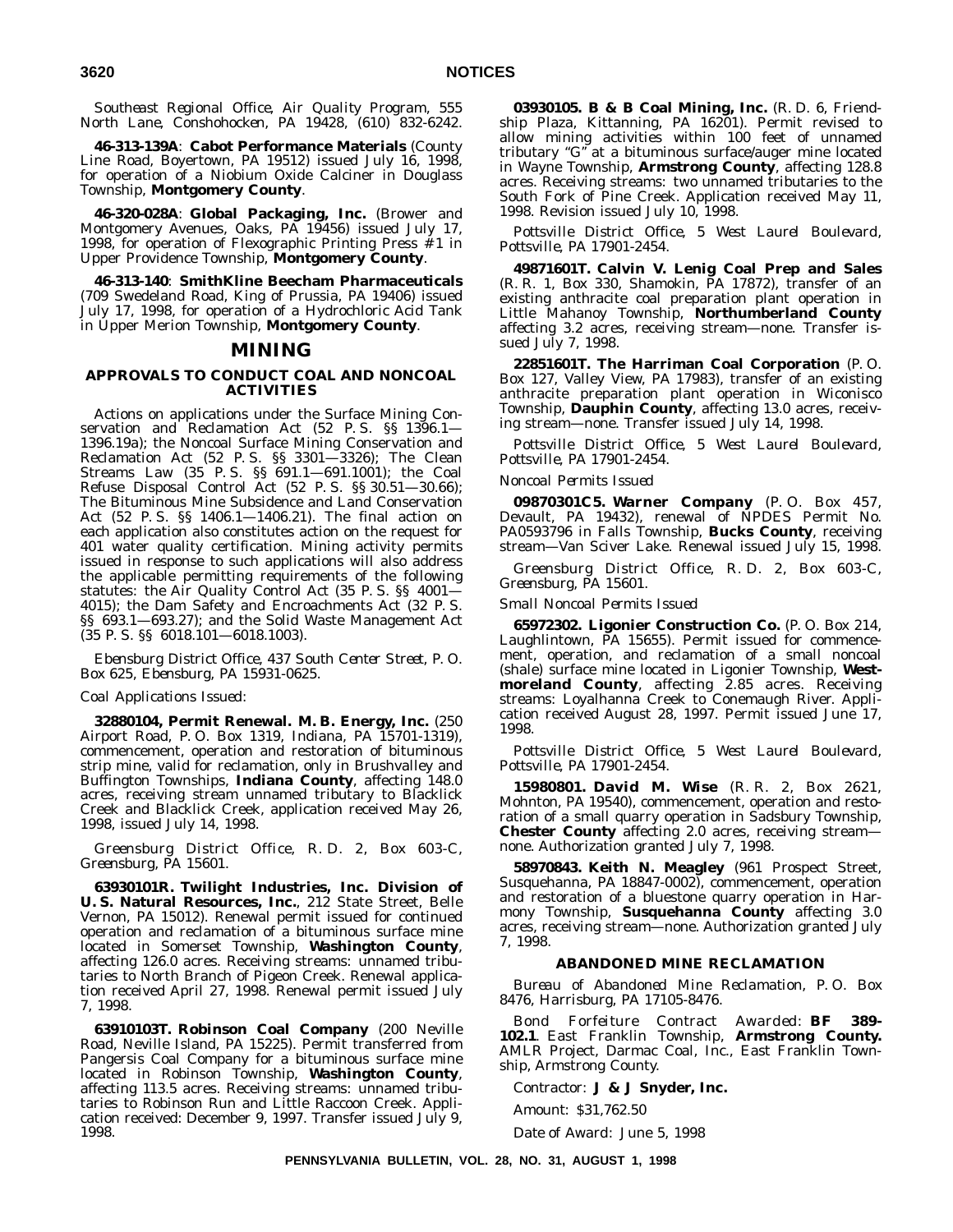*Southeast Regional Office, Air Quality Program, 555 North Lane, Conshohocken, PA 19428, (610) 832-6242.*

**46-313-139A**: **Cabot Performance Materials** (County Line Road, Boyertown, PA 19512) issued July 16, 1998, for operation of a Niobium Oxide Calciner in Douglass Township, **Montgomery County**.

**46-320-028A**: **Global Packaging, Inc.** (Brower and Montgomery Avenues, Oaks, PA 19456) issued July 17, 1998, for operation of Flexographic Printing Press  $\frac{3}{2}$  1 in Upper Providence Township, **Montgomery County**.

**46-313-140**: **SmithKline Beecham Pharmaceuticals** (709 Swedeland Road, King of Prussia, PA 19406) issued July 17, 1998, for operation of a Hydrochloric Acid Tank in Upper Merion Township, **Montgomery County**.

#### **MINING**

#### **APPROVALS TO CONDUCT COAL AND NONCOAL ACTIVITIES**

Actions on applications under the Surface Mining Conservation and Reclamation Act (52 P. S. §§ 1396.1— 1396.19a); the Noncoal Surface Mining Conservation and Reclamation Act (52 P. S. §§ 3301—3326); The Clean Streams Law (35 P. S. §§ 691.1—691.1001); the Coal Refuse Disposal Control Act (52 P. S. §§ 30.51—30.66); The Bituminous Mine Subsidence and Land Conservation Act (52 P. S. §§ 1406.1—1406.21). The final action on each application also constitutes action on the request for 401 water quality certification. Mining activity permits issued in response to such applications will also address the applicable permitting requirements of the following statutes: the Air Quality Control Act (35 P. S. §§ 4001— 4015); the Dam Safety and Encroachments Act (32 P. S. §§ 693.1—693.27); and the Solid Waste Management Act (35 P. S. §§ 6018.101—6018.1003).

*Ebensburg District Office, 437 South Center Street, P. O. Box 625, Ebensburg, PA 15931-0625.*

#### *Coal Applications Issued*:

**32880104, Permit Renewal. M. B. Energy, Inc.** (250 Airport Road, P. O. Box 1319, Indiana, PA 15701-1319), commencement, operation and restoration of bituminous strip mine, valid for reclamation, only in Brushvalley and Buffington Townships, **Indiana County**, affecting 148.0 acres, receiving stream unnamed tributary to Blacklick Creek and Blacklick Creek, application received May 26, 1998, issued July 14, 1998.

*Greensburg District Office, R. D. 2, Box 603-C, Greensburg, PA 15601.*

**63930101R. Twilight Industries, Inc. Division of U. S. Natural Resources, Inc.**, 212 State Street, Belle Vernon, PA 15012). Renewal permit issued for continued operation and reclamation of a bituminous surface mine located in Somerset Township, **Washington County**, affecting 126.0 acres. Receiving streams: unnamed tributaries to North Branch of Pigeon Creek. Renewal application received April 27, 1998. Renewal permit issued July 7, 1998.

**63910103T. Robinson Coal Company** (200 Neville Road, Neville Island, PA 15225). Permit transferred from Pangersis Coal Company for a bituminous surface mine located in Robinson Township, **Washington County**, affecting 113.5 acres. Receiving streams: unnamed tributaries to Robinson Run and Little Raccoon Creek. Application received: December 9, 1997. Transfer issued July 9, 1998.

**03930105. B & B Coal Mining, Inc.** (R. D. 6, Friendship Plaza, Kittanning, PA 16201). Permit revised to allow mining activities within 100 feet of unnamed tributary ''G'' at a bituminous surface/auger mine located in Wayne Township, **Armstrong County**, affecting 128.8 acres. Receiving streams: two unnamed tributaries to the South Fork of Pine Creek. Application received May 11, 1998. Revision issued July 10, 1998.

*Pottsville District Office, 5 West Laurel Boulevard, Pottsville, PA 17901-2454.*

**49871601T. Calvin V. Lenig Coal Prep and Sales** (R. R. 1, Box 330, Shamokin, PA 17872), transfer of an existing anthracite coal preparation plant operation in Little Mahanoy Township, **Northumberland County** affecting 3.2 acres, receiving stream—none. Transfer issued July 7, 1998.

**22851601T. The Harriman Coal Corporation** (P. O. Box 127, Valley View, PA 17983), transfer of an existing anthracite preparation plant operation in Wiconisco Township, **Dauphin County**, affecting 13.0 acres, receiving stream—none. Transfer issued July 14, 1998.

*Pottsville District Office, 5 West Laurel Boulevard, Pottsville, PA 17901-2454.*

#### *Noncoal Permits Issued*

**09870301C5. Warner Company** (P. O. Box 457, Devault, PA 19432), renewal of NPDES Permit No. PA0593796 in Falls Township, **Bucks County**, receiving stream—Van Sciver Lake. Renewal issued July 15, 1998.

*Greensburg District Office, R. D. 2, Box 603-C, Greensburg, PA 15601.*

#### *Small Noncoal Permits Issued*

**65972302. Ligonier Construction Co.** (P. O. Box 214, Laughlintown, PA 15655). Permit issued for commencement, operation, and reclamation of a small noncoal (shale) surface mine located in Ligonier Township, **Westmoreland County**, affecting 2.85 acres. Receiving streams: Loyalhanna Creek to Conemaugh River. Application received August 28, 1997. Permit issued June 17, 1998.

*Pottsville District Office, 5 West Laurel Boulevard, Pottsville, PA 17901-2454.*

**15980801. David M. Wise** (R. R. 2, Box 2621, Mohnton, PA 19540), commencement, operation and restoration of a small quarry operation in Sadsbury Township, **Chester County** affecting 2.0 acres, receiving stream none. Authorization granted July 7, 1998.

**58970843. Keith N. Meagley** (961 Prospect Street, Susquehanna, PA 18847-0002), commencement, operation and restoration of a bluestone quarry operation in Harmony Township, **Susquehanna County** affecting 3.0 acres, receiving stream—none. Authorization granted July 7, 1998.

#### **ABANDONED MINE RECLAMATION**

*Bureau of Abandoned Mine Reclamation, P. O. Box 8476, Harrisburg, PA 17105-8476.*

*Bond Forfeiture Contract Awarded*: **BF 389- 102.1**. East Franklin Township, **Armstrong County.** AMLR Project, Darmac Coal, Inc., East Franklin Township, Armstrong County.

*Contractor*: **J & J Snyder, Inc.**

*Amount*: \$31,762.50

*Date of Award*: June 5, 1998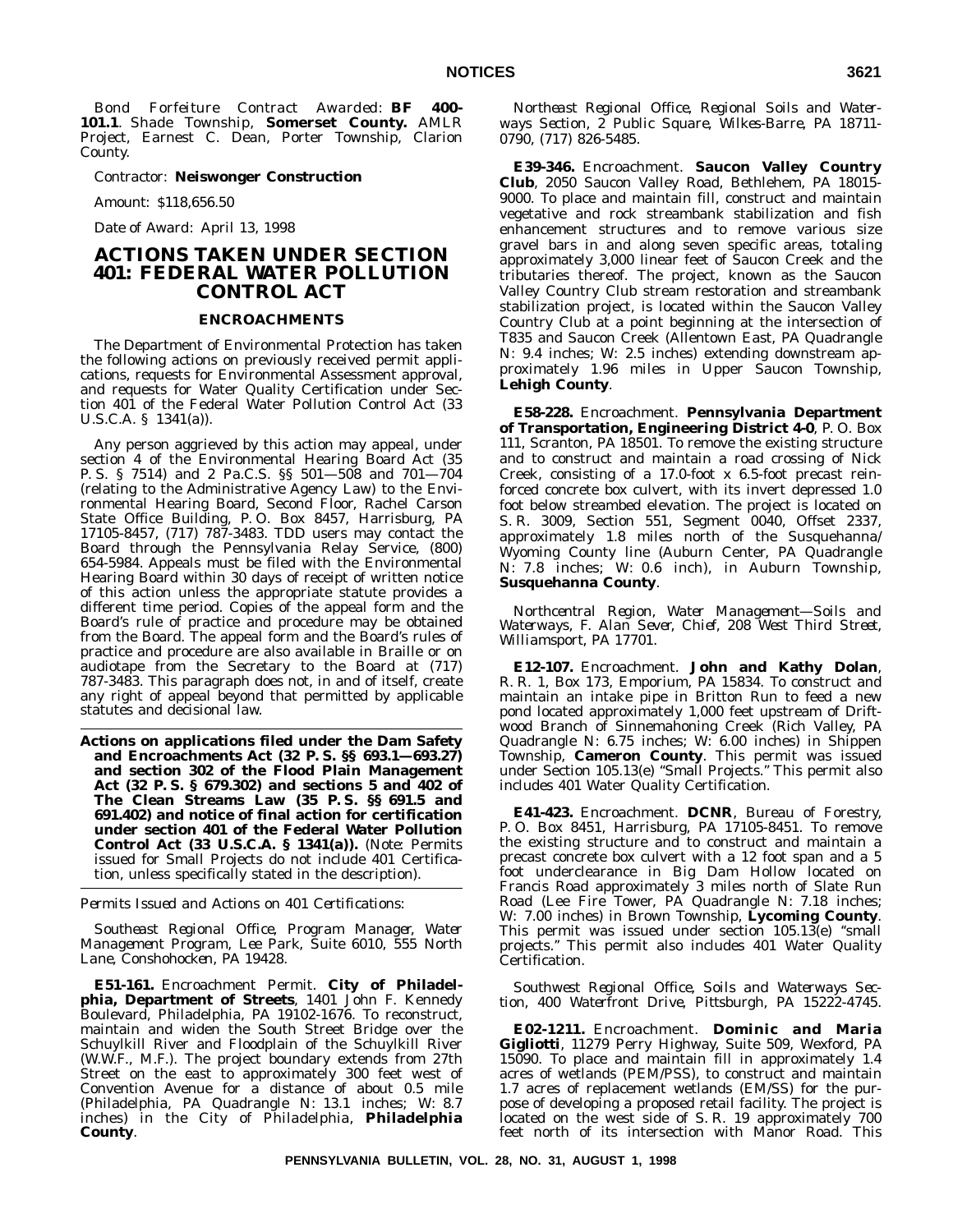*Bond Forfeiture Contract Awarded*: **BF 400- 101.1**. Shade Township, **Somerset County.** AMLR Project, Earnest C. Dean, Porter Township, Clarion County.

*Contractor*: **Neiswonger Construction**

*Amount*: \$118,656.50

*Date of Award*: April 13, 1998

# **ACTIONS TAKEN UNDER SECTION 401: FEDERAL WATER POLLUTION CONTROL ACT**

#### **ENCROACHMENTS**

The Department of Environmental Protection has taken the following actions on previously received permit applications, requests for Environmental Assessment approval, and requests for Water Quality Certification under Section 401 of the Federal Water Pollution Control Act (33 U.S.C.A. § 1341(a)).

Any person aggrieved by this action may appeal, under section 4 of the Environmental Hearing Board Act (35 P. S. § 7514) and 2 Pa.C.S. §§ 501—508 and 701—704 (relating to the Administrative Agency Law) to the Environmental Hearing Board, Second Floor, Rachel Carson State Office Building, P. O. Box 8457, Harrisburg, PA 17105-8457, (717) 787-3483. TDD users may contact the Board through the Pennsylvania Relay Service, (800) 654-5984. Appeals must be filed with the Environmental Hearing Board within 30 days of receipt of written notice of this action unless the appropriate statute provides a different time period. Copies of the appeal form and the Board's rule of practice and procedure may be obtained from the Board. The appeal form and the Board's rules of practice and procedure are also available in Braille or on audiotape from the Secretary to the Board at (717) 787-3483. This paragraph does not, in and of itself, create any right of appeal beyond that permitted by applicable statutes and decisional law.

**Actions on applications filed under the Dam Safety and Encroachments Act (32 P. S. §§ 693.1—693.27) and section 302 of the Flood Plain Management Act (32 P. S. § 679.302) and sections 5 and 402 of The Clean Streams Law (35 P. S. §§ 691.5 and 691.402) and notice of final action for certification under section 401 of the Federal Water Pollution Control Act (33 U.S.C.A. § 1341(a)).** (*Note:* Permits issued for Small Projects do not include 401 Certification, unless specifically stated in the description).

*Permits Issued and Actions on 401 Certifications:*

*Southeast Regional Office, Program Manager, Water Management Program, Lee Park, Suite 6010, 555 North Lane, Conshohocken, PA 19428.*

**E51-161.** Encroachment Permit. **City of Philadelphia, Department of Streets**, 1401 John F. Kennedy Boulevard, Philadelphia, PA 19102-1676. To reconstruct, maintain and widen the South Street Bridge over the Schuylkill River and Floodplain of the Schuylkill River (W.W.F., M.F.). The project boundary extends from 27th Street on the east to approximately 300 feet west of Convention Avenue for  $a$  distance of about 0.5 mile (Philadelphia, PA Quadrangle N: 13.1 inches; W: 8.7 inches) in the City of Philadelphia, **Philadelphia County**.

*Northeast Regional Office, Regional Soils and Waterways Section, 2 Public Square, Wilkes-Barre, PA 18711- 0790, (717) 826-5485.*

**E39-346.** Encroachment. **Saucon Valley Country Club**, 2050 Saucon Valley Road, Bethlehem, PA 18015- 9000. To place and maintain fill, construct and maintain vegetative and rock streambank stabilization and fish enhancement structures and to remove various size gravel bars in and along seven specific areas, totaling approximately 3,000 linear feet of Saucon Creek and the tributaries thereof. The project, known as the Saucon Valley Country Club stream restoration and streambank stabilization project, is located within the Saucon Valley Country Club at a point beginning at the intersection of T835 and Saucon Creek (Allentown East, PA Quadrangle N: 9.4 inches; W: 2.5 inches) extending downstream approximately 1.96 miles in Upper Saucon Township, **Lehigh County**.

**E58-228.** Encroachment. **Pennsylvania Department of Transportation, Engineering District 4-0**, P. O. Box 111, Scranton, PA 18501. To remove the existing structure and to construct and maintain a road crossing of Nick Creek, consisting of a 17.0-foot x 6.5-foot precast reinforced concrete box culvert, with its invert depressed 1.0 foot below streambed elevation. The project is located on S. R. 3009, Section 551, Segment 0040, Offset 2337, approximately 1.8 miles north of the Susquehanna/ Wyoming County line (Auburn Center, PA Quadrangle N: 7.8 inches; W: 0.6 inch), in Auburn Township, **Susquehanna County**.

*Northcentral Region, Water Management—Soils and Waterways, F. Alan Sever, Chief, 208 West Third Street, Williamsport, PA 17701.*

**E12-107.** Encroachment. **John and Kathy Dolan**, R. R. 1, Box 173, Emporium, PA 15834. To construct and maintain an intake pipe in Britton Run to feed a new pond located approximately 1,000 feet upstream of Driftwood Branch of Sinnemahoning Creek (Rich Valley, PA Quadrangle N: 6.75 inches; W: 6.00 inches) in Shippen Township, **Cameron County**. This permit was issued under Section 105.13(e) ''Small Projects.'' This permit also includes 401 Water Quality Certification.

**E41-423.** Encroachment. **DCNR**, Bureau of Forestry, P. O. Box 8451, Harrisburg, PA 17105-8451. To remove the existing structure and to construct and maintain a precast concrete box culvert with a 12 foot span and a 5 foot underclearance in Big Dam Hollow located on Francis Road approximately 3 miles north of Slate Run Road (Lee Fire Tower, PA Quadrangle N: 7.18 inches; W: 7.00 inches) in Brown Township, **Lycoming County**. This permit was issued under section  $105.13(e)$  "small projects.'' This permit also includes 401 Water Quality Certification.

*Southwest Regional Office, Soils and Waterways Section, 400 Waterfront Drive, Pittsburgh, PA 15222-4745.*

**E02-1211.** Encroachment. **Dominic and Maria Gigliotti**, 11279 Perry Highway, Suite 509, Wexford, PA 15090. To place and maintain fill in approximately 1.4 acres of wetlands (PEM/PSS), to construct and maintain 1.7 acres of replacement wetlands (EM/SS) for the purpose of developing a proposed retail facility. The project is located on the west side of S. R. 19 approximately 700 feet north of its intersection with Manor Road. This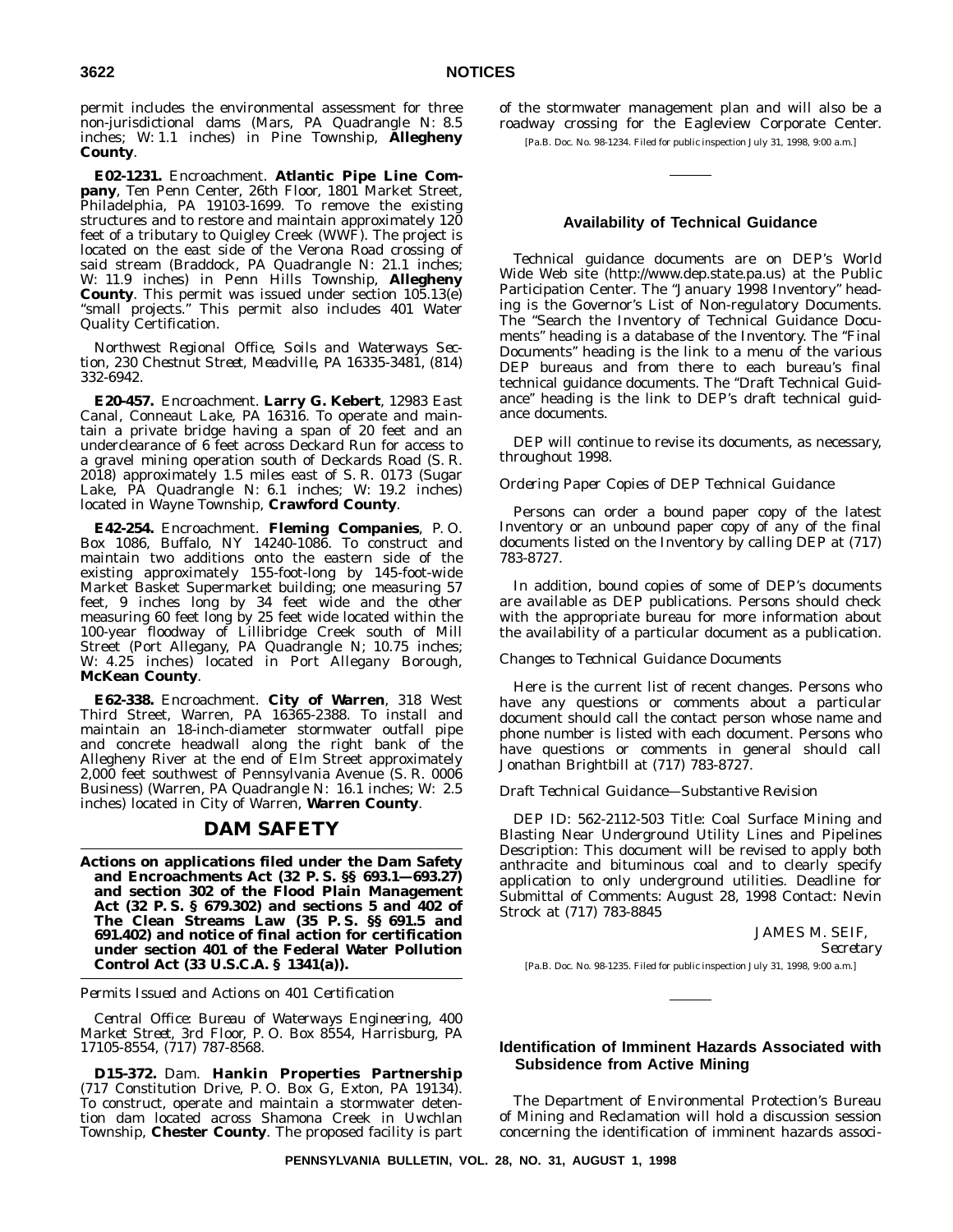permit includes the environmental assessment for three non-jurisdictional dams (Mars, PA Quadrangle N: 8.5 inches; W: 1.1 inches) in Pine Township, **Allegheny County**.

**E02-1231.** Encroachment. **Atlantic Pipe Line Company**, Ten Penn Center, 26th Floor, 1801 Market Street, Philadelphia, PA 19103-1699. To remove the existing structures and to restore and maintain approximately 120 feet of a tributary to Quigley Creek (WWF). The project is located on the east side of the Verona Road crossing of said stream (Braddock, PA Quadrangle N: 21.1 inches; W: 11.9 inches) in Penn Hills Township, **Allegheny County**. This permit was issued under section 105.13(e) "small projects." This permit also includes 401 Water Quality Certification.

*Northwest Regional Office, Soils and Waterways Section, 230 Chestnut Street, Meadville, PA 16335-3481, (814) 332-6942.*

**E20-457.** Encroachment. **Larry G. Kebert**, 12983 East Canal, Conneaut Lake, PA 16316. To operate and maintain a private bridge having a span of 20 feet and an underclearance of 6 feet across Deckard Run for access to a gravel mining operation south of Deckards Road (S. R. 2018) approximately 1.5 miles east of S. R. 0173 (Sugar Lake, PA Quadrangle N: 6.1 inches; W: 19.2 inches) located in Wayne Township, **Crawford County**.

**E42-254.** Encroachment. **Fleming Companies**, P. O. Box 1086, Buffalo, NY 14240-1086. To construct and maintain two additions onto the eastern side of the existing approximately 155-foot-long by 145-foot-wide Market Basket Supermarket building; one measuring 57 feet, 9 inches long by 34 feet wide and the other measuring 60 feet long by 25 feet wide located within the 100-year floodway of Lillibridge Creek south of Mill Street (Port Allegany, PA Quadrangle N; 10.75 inches; W: 4.25 inches) located in Port Allegany Borough, **McKean County**.

**E62-338.** Encroachment. **City of Warren**, 318 West Third Street, Warren, PA 16365-2388. To install and maintain an 18-inch-diameter stormwater outfall pipe and concrete headwall along the right bank of the Allegheny River at the end of Elm Street approximately 2,000 feet southwest of Pennsylvania Avenue (S. R. 0006 Business) (Warren, PA Quadrangle N: 16.1 inches; W: 2.5 inches) located in City of Warren, **Warren County**.

#### **DAM SAFETY**

**Actions on applications filed under the Dam Safety and Encroachments Act (32 P. S. §§ 693.1—693.27) and section 302 of the Flood Plain Management Act (32 P. S. § 679.302) and sections 5 and 402 of The Clean Streams Law (35 P. S. §§ 691.5 and 691.402) and notice of final action for certification under section 401 of the Federal Water Pollution Control Act (33 U.S.C.A. § 1341(a)).**

*Permits Issued and Actions on 401 Certification*

*Central Office: Bureau of Waterways Engineering, 400 Market Street, 3rd Floor, P. O. Box 8554, Harrisburg, PA 17105-8554, (717) 787-8568.*

**D15-372.** Dam. **Hankin Properties Partnership** (717 Constitution Drive, P. O. Box G, Exton, PA 19134). To construct, operate and maintain a stormwater detention dam located across Shamona Creek in Uwchlan Township, **Chester County**. The proposed facility is part

of the stormwater management plan and will also be a roadway crossing for the Eagleview Corporate Center.

[Pa.B. Doc. No. 98-1234. Filed for public inspection July 31, 1998, 9:00 a.m.]

#### **Availability of Technical Guidance**

Technical guidance documents are on DEP's World Wide Web site (http://www.dep.state.pa.us) at the Public Participation Center. The ''January 1998 Inventory'' heading is the Governor's List of Non-regulatory Documents. The "Search the Inventory of Technical Guidance Documents" heading is a database of the Inventory. The "Final" Documents'' heading is the link to a menu of the various DEP bureaus and from there to each bureau's final technical guidance documents. The ''Draft Technical Guidance'' heading is the link to DEP's draft technical guidance documents.

DEP will continue to revise its documents, as necessary, throughout 1998.

#### *Ordering Paper Copies of DEP Technical Guidance*

Persons can order a bound paper copy of the latest Inventory or an unbound paper copy of any of the final documents listed on the Inventory by calling DEP at (717) 783-8727.

In addition, bound copies of some of DEP's documents are available as DEP publications. Persons should check with the appropriate bureau for more information about the availability of a particular document as a publication.

#### *Changes to Technical Guidance Documents*

Here is the current list of recent changes. Persons who have any questions or comments about a particular document should call the contact person whose name and phone number is listed with each document. Persons who have questions or comments in general should call Jonathan Brightbill at (717) 783-8727.

#### *Draft Technical Guidance—Substantive Revision*

DEP ID: 562-2112-503 Title: Coal Surface Mining and Blasting Near Underground Utility Lines and Pipelines Description: This document will be revised to apply both anthracite and bituminous coal and to clearly specify application to only underground utilities. Deadline for Submittal of Comments: August 28, 1998 Contact: Nevin Strock at (717) 783-8845

JAMES M. SEIF,

*Secretary*

[Pa.B. Doc. No. 98-1235. Filed for public inspection July 31, 1998, 9:00 a.m.]

#### **Identification of Imminent Hazards Associated with Subsidence from Active Mining**

The Department of Environmental Protection's Bureau of Mining and Reclamation will hold a discussion session concerning the identification of imminent hazards associ-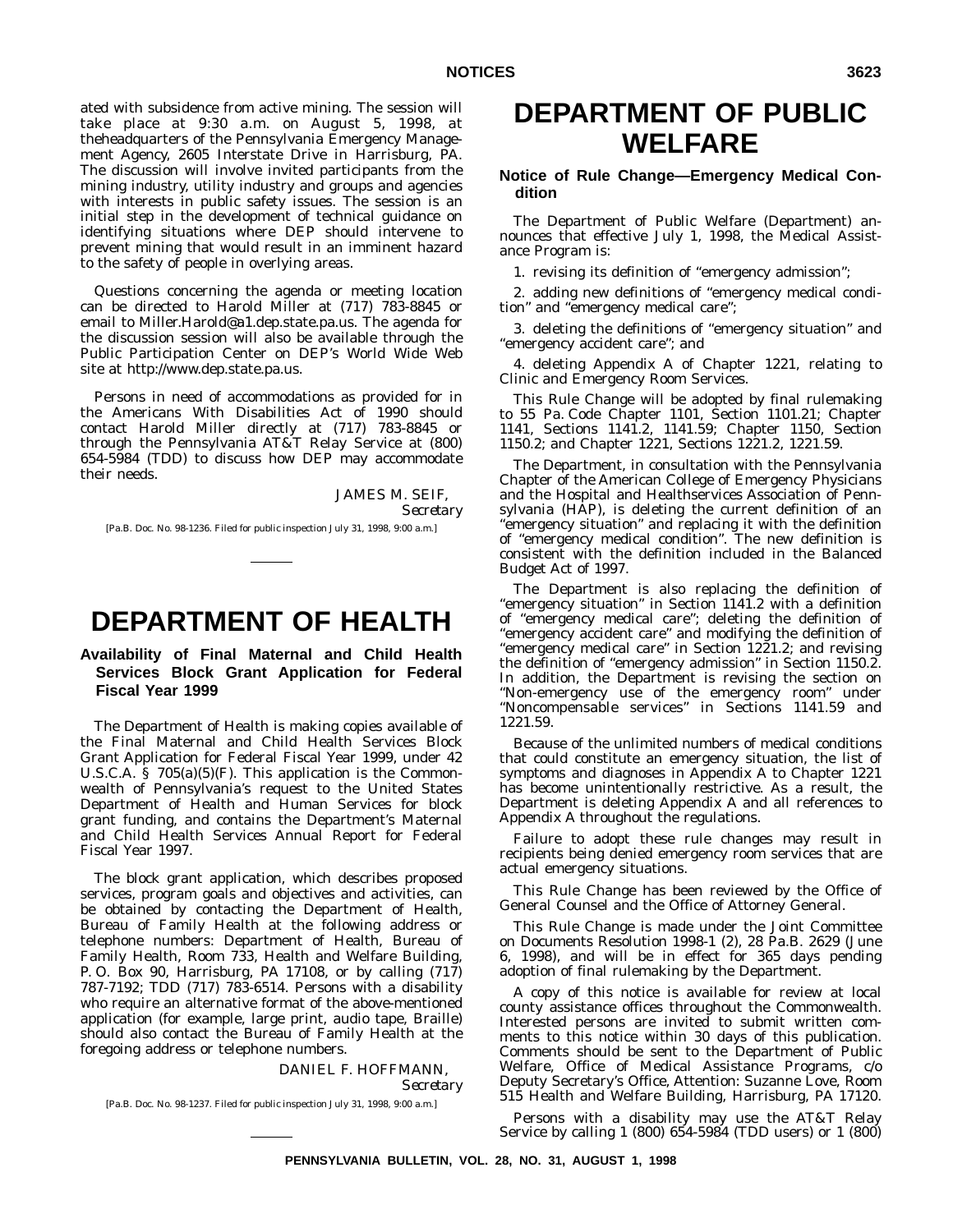ated with subsidence from active mining. The session will take place at 9:30 a.m. on August 5, 1998, at theheadquarters of the Pennsylvania Emergency Management Agency, 2605 Interstate Drive in Harrisburg, PA. The discussion will involve invited participants from the mining industry, utility industry and groups and agencies with interests in public safety issues. The session is an initial step in the development of technical guidance on identifying situations where DEP should intervene to prevent mining that would result in an imminent hazard to the safety of people in overlying areas.

Questions concerning the agenda or meeting location can be directed to Harold Miller at (717) 783-8845 or email to Miller.Harold@a1.dep.state.pa.us. The agenda for the discussion session will also be available through the Public Participation Center on DEP's World Wide Web site at http://www.dep.state.pa.us.

Persons in need of accommodations as provided for in the Americans With Disabilities Act of 1990 should contact Harold Miller directly at (717) 783-8845 or through the Pennsylvania AT&T Relay Service at (800) 654-5984 (TDD) to discuss how DEP may accommodate their needs.

JAMES M. SEIF,

*Secretary*

[Pa.B. Doc. No. 98-1236. Filed for public inspection July 31, 1998, 9:00 a.m.]

# **DEPARTMENT OF HEALTH**

#### **Availability of Final Maternal and Child Health Services Block Grant Application for Federal Fiscal Year 1999**

The Department of Health is making copies available of the Final Maternal and Child Health Services Block Grant Application for Federal Fiscal Year 1999, under 42 U.S.C.A.  $\S$  705(a)(5)(F). This application is the Commonwealth of Pennsylvania's request to the United States Department of Health and Human Services for block grant funding, and contains the Department's Maternal and Child Health Services Annual Report for Federal Fiscal Year 1997.

The block grant application, which describes proposed services, program goals and objectives and activities, can be obtained by contacting the Department of Health, Bureau of Family Health at the following address or telephone numbers: Department of Health, Bureau of Family Health, Room 733, Health and Welfare Building, P. O. Box 90, Harrisburg, PA 17108, or by calling (717) 787-7192; TDD (717) 783-6514. Persons with a disability who require an alternative format of the above-mentioned application (for example, large print, audio tape, Braille) should also contact the Bureau of Family Health at the foregoing address or telephone numbers.

#### DANIEL F. HOFFMANN, *Secretary*

[Pa.B. Doc. No. 98-1237. Filed for public inspection July 31, 1998, 9:00 a.m.]

# **DEPARTMENT OF PUBLIC WELFARE**

#### **Notice of Rule Change—Emergency Medical Condition**

The Department of Public Welfare (Department) announces that effective July 1, 1998, the Medical Assistance Program is:

1. revising its definition of "emergency admission";

2. adding new definitions of "emergency medical condition" and "emergency medical care";

3. deleting the definitions of "emergency situation" and "emergency accident care"; and

4. deleting Appendix A of Chapter 1221, relating to Clinic and Emergency Room Services.

This Rule Change will be adopted by final rulemaking to 55 Pa. Code Chapter 1101, Section 1101.21; Chapter 1141, Sections 1141.2, 1141.59; Chapter 1150, Section 1150.2; and Chapter 1221, Sections 1221.2, 1221.59.

The Department, in consultation with the Pennsylvania Chapter of the American College of Emergency Physicians and the Hospital and Healthservices Association of Pennsylvania (HAP), is deleting the current definition of an "emergency situation" and replacing it with the definition of "emergency medical condition". The new definition is consistent with the definition included in the Balanced Budget Act of 1997.

The Department is also replacing the definition of "emergency situation" in Section 1141.2 with a definition of "emergency medical care"; deleting the definition of "emergency accident care" and modifying the definition of "emergency medical care" in Section 1221.2; and revising the definition of "emergency admission" in Section 1150.2. In addition, the Department is revising the section on "Non-emergency use of the emergency room" under "Noncompensable services" in Sections 1141.59 and 1221.59.

Because of the unlimited numbers of medical conditions that could constitute an emergency situation, the list of symptoms and diagnoses in Appendix A to Chapter 1221 has become unintentionally restrictive. As a result, the Department is deleting Appendix A and all references to Appendix A throughout the regulations.

Failure to adopt these rule changes may result in recipients being denied emergency room services that are actual emergency situations.

This Rule Change has been reviewed by the Office of General Counsel and the Office of Attorney General.

This Rule Change is made under the Joint Committee on Documents Resolution 1998-1 (2), 28 Pa.B. 2629 (June 6, 1998), and will be in effect for 365 days pending adoption of final rulemaking by the Department.

A copy of this notice is available for review at local county assistance offices throughout the Commonwealth. Interested persons are invited to submit written comments to this notice within 30 days of this publication. Comments should be sent to the Department of Public Welfare, Office of Medical Assistance Programs, c/o Deputy Secretary's Office, Attention: Suzanne Love, Room 515 Health and Welfare Building, Harrisburg, PA 17120.

Persons with a disability may use the AT&T Relay Service by calling 1 (800) 654-5984 (TDD users) or 1 (800)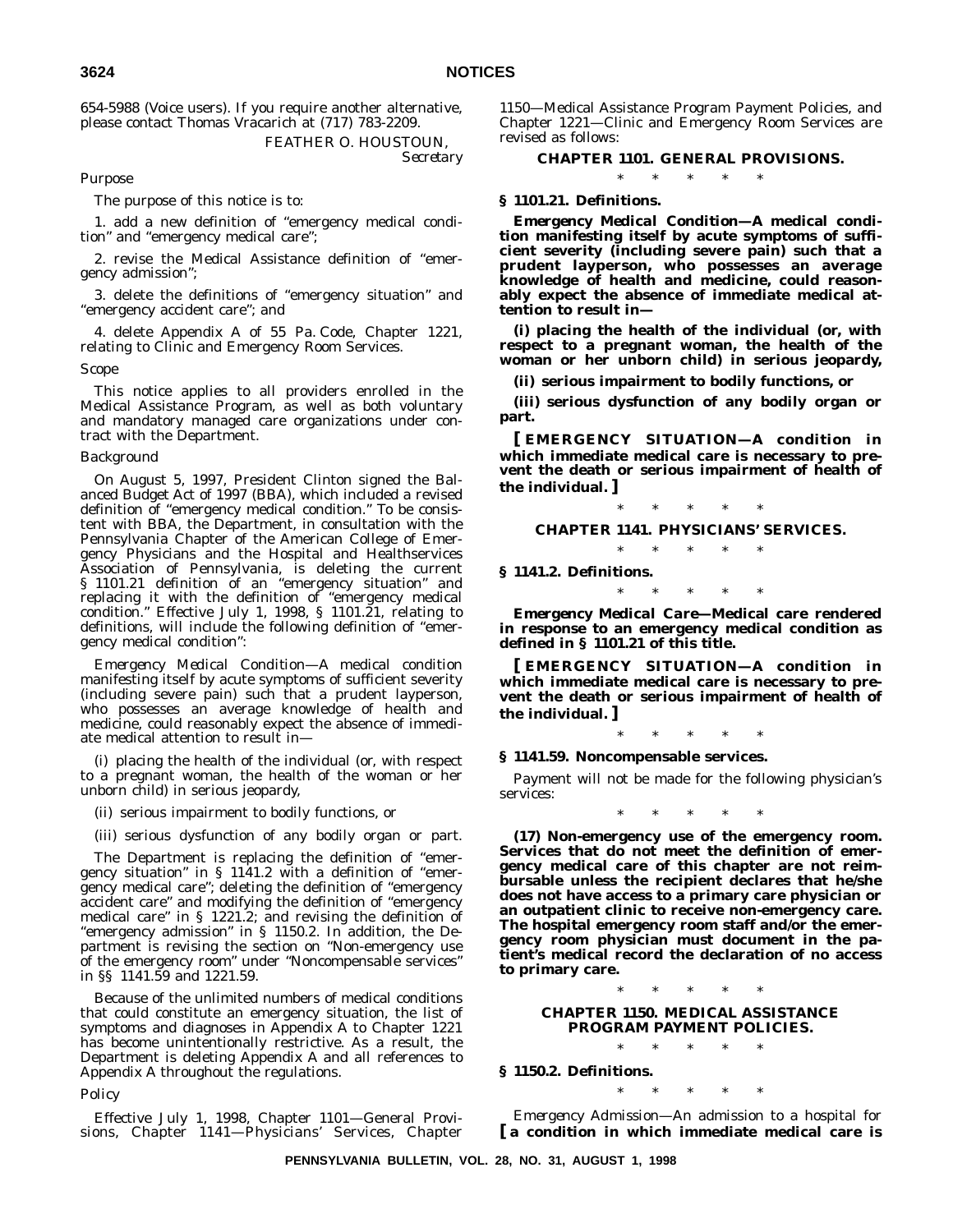654-5988 (Voice users). If you require another alternative, please contact Thomas Vracarich at (717) 783-2209.

> FEATHER O. HOUSTOUN, *Secretary*

#### *Purpose*

The purpose of this notice is to:

1. add a new definition of "emergency medical condition" and "emergency medical care";

2. revise the Medical Assistance definition of "emergency admission";

3. delete the definitions of "emergency situation" and "emergency accident care"; and

4. delete Appendix A of 55 Pa. Code, Chapter 1221, relating to Clinic and Emergency Room Services.

*Scope*

This notice applies to all providers enrolled in the Medical Assistance Program, as well as both voluntary and mandatory managed care organizations under contract with the Department.

#### *Background*

On August 5, 1997, President Clinton signed the Balanced Budget Act of 1997 (BBA), which included a revised definition of "emergency medical condition." To be consistent with BBA, the Department, in consultation with the Pennsylvania Chapter of the American College of Emergency Physicians and the Hospital and Healthservices Association of Pennsylvania, is deleting the current § 1101.21 definition of an "emergency situation" and replacing it with the definition of "emergency medical condition." Effective July 1, 1998, § 1101.21, relating to definitions, will include the following definition of "emergency medical condition":

*Emergency Medical Condition*—A medical condition manifesting itself by acute symptoms of sufficient severity (including severe pain) such that a prudent layperson, who possesses an average knowledge of health and medicine, could reasonably expect the absence of immediate medical attention to result in—

(i) placing the health of the individual (or, with respect to a pregnant woman, the health of the woman or her unborn child) in serious jeopardy,

(ii) serious impairment to bodily functions, or

(iii) serious dysfunction of any bodily organ or part.

The Department is replacing the definition of "emergency situation" in § 1141.2 with a definition of "emergency medical care"; deleting the definition of "emergency accident care" and modifying the definition of "emergency medical care" in § 1221.2; and revising the definition of "emergency admission" in § 1150.2. In addition, the Department is revising the section on "Non-emergency use of the emergency room" under "Noncompensable services" in §§ 1141.59 and 1221.59.

Because of the unlimited numbers of medical conditions that could constitute an emergency situation, the list of symptoms and diagnoses in Appendix A to Chapter 1221 has become unintentionally restrictive. As a result, the Department is deleting Appendix A and all references to Appendix A throughout the regulations.

*Policy*

Effective July 1, 1998, Chapter 1101—General Provisions, Chapter 1141—Physicians' Services, Chapter 1150—Medical Assistance Program Payment Policies, and Chapter 1221—Clinic and Emergency Room Services are revised as follows:

# **CHAPTER 1101. GENERAL PROVISIONS.** \*\*\*\*\*

# **§ 1101.21. Definitions.**

*Emergency Medical Condition***—A medical condition manifesting itself by acute symptoms of sufficient severity (including severe pain) such that a prudent layperson, who possesses an average knowledge of health and medicine, could reasonably expect the absence of immediate medical attention to result in—**

**(i) placing the health of the individual (or, with respect to a pregnant woman, the health of the woman or her unborn child) in serious jeopardy,**

**(ii) serious impairment to bodily functions, or**

**(iii) serious dysfunction of any bodily organ or part.**

**[ EMERGENCY SITUATION—A condition in which immediate medical care is necessary to prevent the death or serious impairment of health of the individual. ]**

### \*\*\*\*\*

# **CHAPTER 1141. PHYSICIANS' SERVICES.** \*\*\*\*\*

**§ 1141.2. Definitions.**

\*\*\*\*\*

*Emergency Medical Care***—Medical care rendered in response to an emergency medical condition as defined in § 1101.21 of this title.**

**[ EMERGENCY SITUATION—A condition in which immediate medical care is necessary to prevent the death or serious impairment of health of the individual. ]**

\*\*\*\*\*

#### **§ 1141.59. Noncompensable services.**

Payment will not be made for the following physician's services:

\*\*\*\*\*

**(17) Non-emergency use of the emergency room. Services that do not meet the definition of emergency medical care of this chapter are not reimbursable unless the recipient declares that he/she does not have access to a primary care physician or an outpatient clinic to receive non-emergency care. The hospital emergency room staff and/or the emergency room physician must document in the patient's medical record the declaration of no access to primary care.**

\*\*\*\*\*

#### **CHAPTER 1150. MEDICAL ASSISTANCE PROGRAM PAYMENT POLICIES.** \*\*\*\*\*

#### **§ 1150.2. Definitions.**

\*\*\*\*\* *Emergency Admission*—An admission to a hospital for **[ a condition in which immediate medical care is**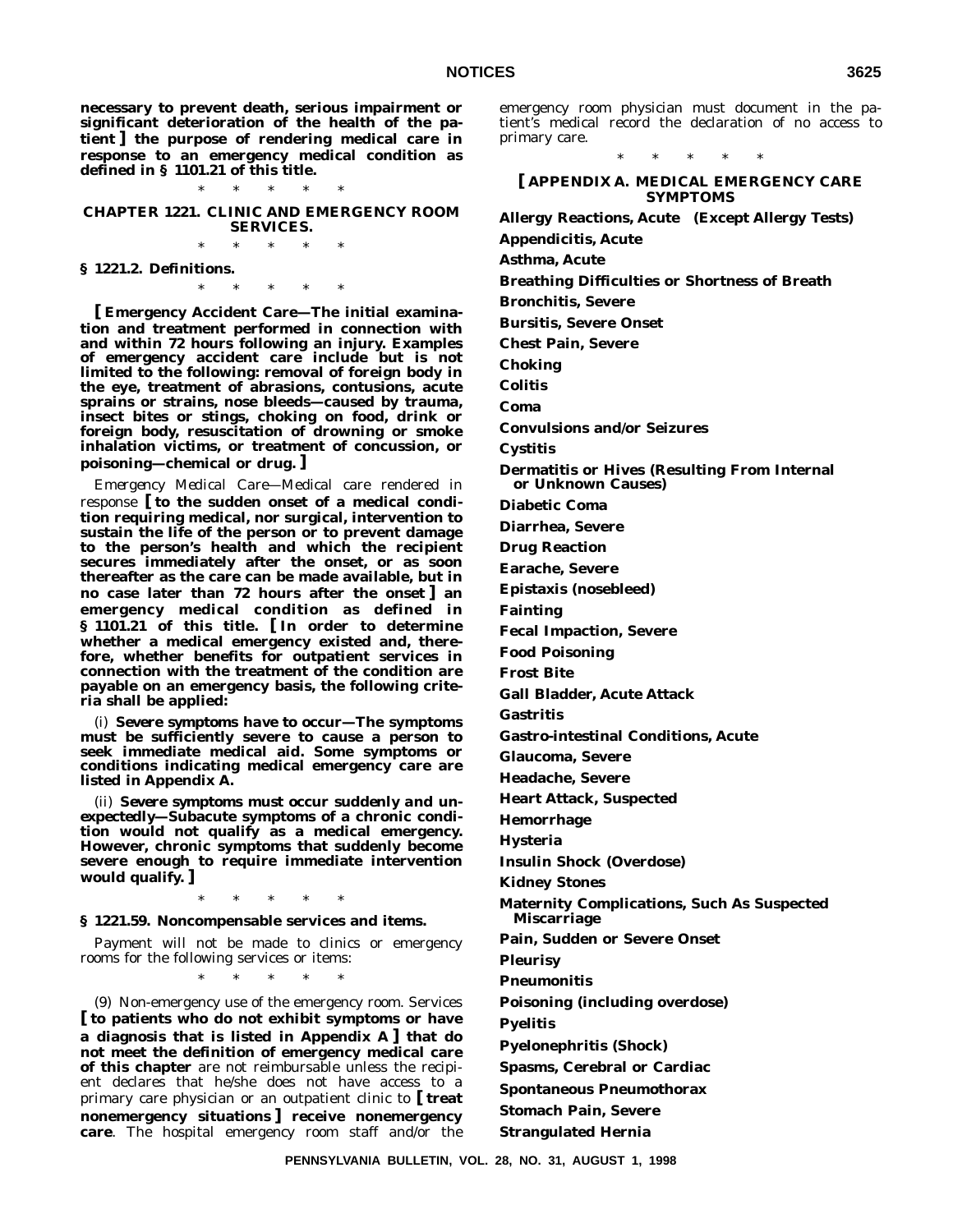**necessary to prevent death, serious impairment or significant deterioration of the health of the patient ] the purpose of rendering medical care in response to an emergency medical condition as defined in § 1101.21 of this title.**

\*\*\*\*\* **CHAPTER 1221. CLINIC AND EMERGENCY ROOM SERVICES.**

\*\*\*\*\*

**§ 1221.2. Definitions.**

\*\*\*\*\*

**[ Emergency Accident Care—The initial examination and treatment performed in connection with and within 72 hours following an injury. Examples of emergency accident care include but is not limited to the following: removal of foreign body in the eye, treatment of abrasions, contusions, acute sprains or strains, nose bleeds—caused by trauma, insect bites or stings, choking on food, drink or foreign body, resuscitation of drowning or smoke inhalation victims, or treatment of concussion, or poisoning—chemical or drug. ]**

*Emergency Medical Care*—Medical care rendered in response **[ to the sudden onset of a medical condition requiring medical, nor surgical, intervention to sustain the life of the person or to prevent damage to the person's health and which the recipient** secures immediately after the onset, or as soon **thereafter as the care can be made available, but in no case later than 72 hours after the onset ] an emergency medical condition as defined in § 1101.21 of this title. [ In order to determine whether a medical emergency existed and, therefore, whether benefits for outpatient services in connection with the treatment of the condition are payable on an emergency basis, the following criteria shall be applied:**

(i) *Severe symptoms have to occur—***The symptoms must be sufficiently severe to cause a person to seek immediate medical aid. Some symptoms or conditions indicating medical emergency care are listed in Appendix A.**

(ii) *Severe symptoms must occur suddenly and unexpectedly—***Subacute symptoms of a chronic condition would not qualify as a medical emergency. However, chronic symptoms that suddenly become severe enough to require immediate intervention would qualify. ]**

\*\*\*\*\*

**§ 1221.59. Noncompensable services and items.**

Payment will not be made to clinics or emergency rooms for the following services or items:

\*\*\*\*\*

(9) Non-emergency use of the emergency room. Services **[ to patients who do not exhibit symptoms or have a diagnosis that is listed in Appendix A ] that do not meet the definition of emergency medical care of this chapter** are not reimbursable unless the recipient declares that he/she does not have access to a primary care physician or an outpatient clinic to **[ treat nonemergency situations ] receive nonemergency care**. The hospital emergency room staff and/or the

emergency room physician must document in the patient's medical record the declaration of no access to primary care.

\*\*\*\*\*

**[ APPENDIX A. MEDICAL EMERGENCY CARE SYMPTOMS**

**Allergy Reactions, Acute (Except Allergy Tests)**

**Appendicitis, Acute**

**Asthma, Acute**

**Breathing Difficulties or Shortness of Breath**

**Bronchitis, Severe**

**Bursitis, Severe Onset Chest Pain, Severe**

**Choking**

**Colitis**

**Coma**

**Convulsions and/or Seizures**

**Cystitis**

**Dermatitis or Hives (Resulting From Internal or Unknown Causes)**

**Diabetic Coma**

**Diarrhea, Severe**

**Drug Reaction**

**Earache, Severe**

**Epistaxis (nosebleed)**

**Fainting**

**Fecal Impaction, Severe**

**Food Poisoning**

**Frost Bite**

**Gall Bladder, Acute Attack**

**Gastritis**

**Gastro-intestinal Conditions, Acute**

**Glaucoma, Severe**

**Headache, Severe**

**Heart Attack, Suspected**

**Hemorrhage**

**Hysteria**

**Insulin Shock (Overdose)**

**Kidney Stones**

**Maternity Complications, Such As Suspected Miscarriage**

**Pain, Sudden or Severe Onset**

**Pleurisy**

**Pneumonitis**

**Poisoning (including overdose)**

**Pyelitis**

**Pyelonephritis (Shock)**

**Spasms, Cerebral or Cardiac**

**Spontaneous Pneumothorax**

**Stomach Pain, Severe**

**Strangulated Hernia**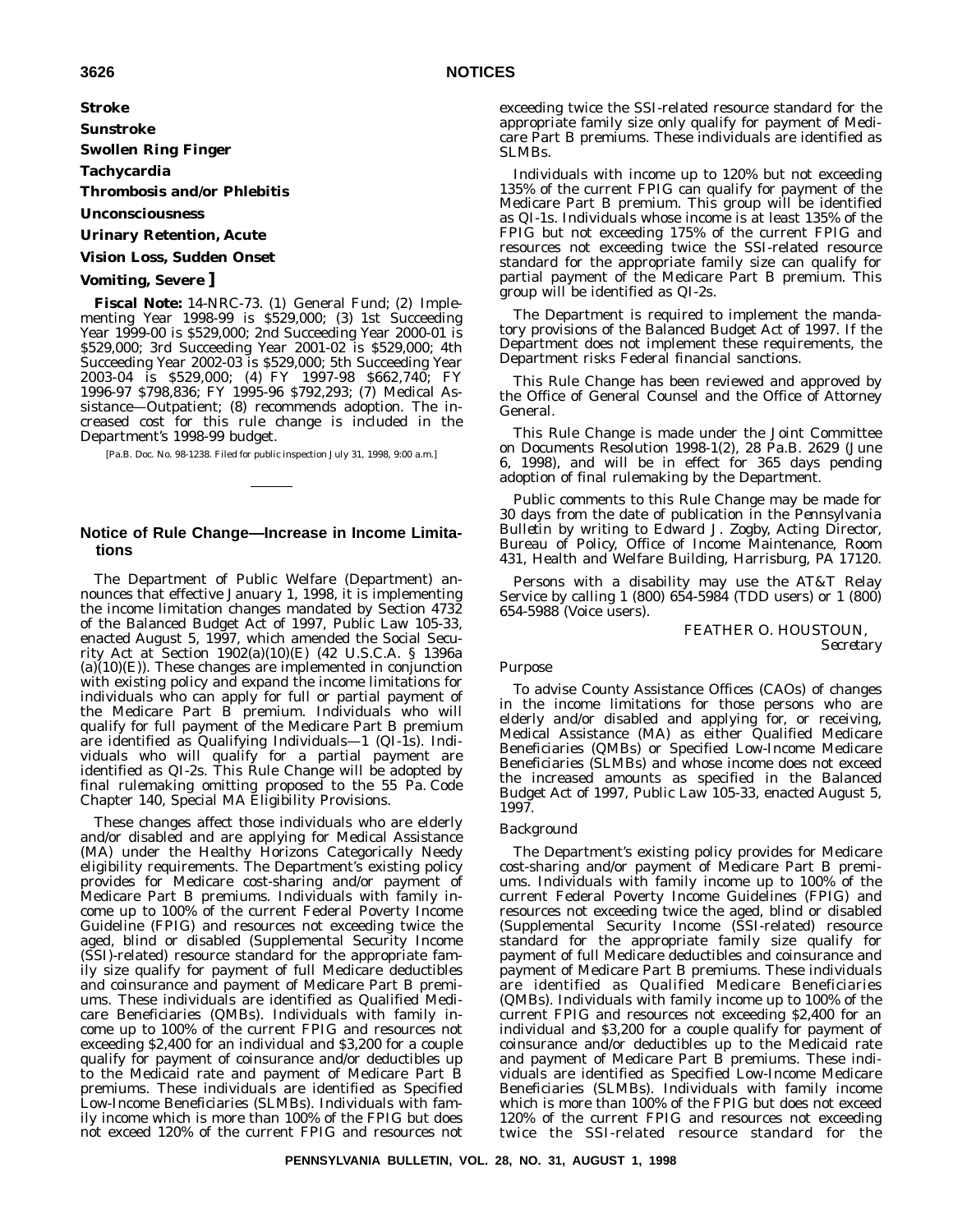**Stroke**

**Sunstroke**

**Swollen Ring Finger**

**Tachycardia**

**Thrombosis and/or Phlebitis**

**Unconsciousness**

#### **Urinary Retention, Acute**

#### **Vision Loss, Sudden Onset**

#### **Vomiting, Severe ]**

**Fiscal Note:** 14-NRC-73. (1) General Fund; (2) Implementing Year 1998-99 is \$529,000; (3) 1st Succeeding Year 1999-00 is \$529,000; 2nd Succeeding Year 2000-01 is \$529,000; 3rd Succeeding Year 2001-02 is \$529,000; 4th Succeeding Year 2002-03 is \$529,000; 5th Succeeding Year 2003-04 is \$529,000; (4) FY 1997-98 \$662,740; FY 1996-97 \$798,836; FY 1995-96 \$792,293; (7) Medical Assistance—Outpatient; (8) recommends adoption. The increased cost for this rule change is included in the Department's 1998-99 budget.

[Pa.B. Doc. No. 98-1238. Filed for public inspection July 31, 1998, 9:00 a.m.]

#### **Notice of Rule Change—Increase in Income Limitations**

The Department of Public Welfare (Department) announces that effective January 1, 1998, it is implementing the income limitation changes mandated by Section 4732 of the Balanced Budget Act of 1997, Public Law 105-33, enacted August 5, 1997, which amended the Social Security Act at Section 1902(a)(10)(E) (42 U.S.C.A. § 1396a  $(a)(10)(E)$ . These changes are implemented in conjunction with existing policy and expand the income limitations for individuals who can apply for full or partial payment of the Medicare Part B premium. Individuals who will qualify for full payment of the Medicare Part B premium are identified as Qualifying Individuals—1 (QI-1s). Individuals who will qualify for a partial payment are identified as QI-2s. This Rule Change will be adopted by final rulemaking omitting proposed to the 55 Pa. Code Chapter 140, Special MA Eligibility Provisions.

These changes affect those individuals who are elderly and/or disabled and are applying for Medical Assistance (MA) under the Healthy Horizons Categorically Needy eligibility requirements. The Department's existing policy provides for Medicare cost-sharing and/or payment of Medicare Part B premiums. Individuals with family income up to 100% of the current Federal Poverty Income Guideline (FPIG) and resources not exceeding twice the aged, blind or disabled (Supplemental Security Income (SSI)-related) resource standard for the appropriate family size qualify for payment of full Medicare deductibles and coinsurance and payment of Medicare Part B premiums. These individuals are identified as Qualified Medicare Beneficiaries (QMBs). Individuals with family income up to 100% of the current FPIG and resources not exceeding \$2,400 for an individual and \$3,200 for a couple qualify for payment of coinsurance and/or deductibles up to the Medicaid rate and payment of Medicare Part B premiums. These individuals are identified as Specified Low-Income Beneficiaries (SLMBs). Individuals with family income which is more than 100% of the FPIG but does not exceed 120% of the current FPIG and resources not

exceeding twice the SSI-related resource standard for the appropriate family size only qualify for payment of Medicare Part B premiums. These individuals are identified as SLMBs.

Individuals with income up to 120% but not exceeding 135% of the current FPIG can qualify for payment of the Medicare Part B premium. This group will be identified as QI-1s. Individuals whose income is at least 135% of the FPIG but not exceeding 175% of the current FPIG and resources not exceeding twice the SSI-related resource standard for the appropriate family size can qualify for partial payment of the Medicare Part B premium. This group will be identified as QI-2s.

The Department is required to implement the mandatory provisions of the Balanced Budget Act of 1997. If the Department does not implement these requirements, the Department risks Federal financial sanctions.

This Rule Change has been reviewed and approved by the Office of General Counsel and the Office of Attorney General.

This Rule Change is made under the Joint Committee on Documents Resolution 1998-1(2), 28 Pa.B. 2629 (June 6, 1998), and will be in effect for 365 days pending adoption of final rulemaking by the Department.

Public comments to this Rule Change may be made for 30 days from the date of publication in the *Pennsylvania Bulletin* by writing to Edward J. Zogby, Acting Director, Bureau of Policy, Office of Income Maintenance, Room 431, Health and Welfare Building, Harrisburg, PA 17120.

Persons with a disability may use the AT&T Relay Service by calling 1 (800) 654-5984 (TDD users) or 1 (800) 654-5988 (Voice users).

> FEATHER O. HOUSTOUN, *Secretary*

#### *Purpose*

To advise County Assistance Offices (CAOs) of changes in the income limitations for those persons who are elderly and/or disabled and applying for, or receiving, Medical Assistance (MA) as either Qualified Medicare Beneficiaries (QMBs) or Specified Low-Income Medicare Beneficiaries (SLMBs) and whose income does not exceed the increased amounts as specified in the Balanced Budget Act of 1997, Public Law 105-33, enacted August 5, 1997.

#### *Background*

The Department's existing policy provides for Medicare cost-sharing and/or payment of Medicare Part B premiums. Individuals with family income up to 100% of the current Federal Poverty Income Guidelines (FPIG) and resources not exceeding twice the aged, blind or disabled (Supplemental Security Income (SSI-related) resource standard for the appropriate family size qualify for payment of full Medicare deductibles and coinsurance and payment of Medicare Part B premiums. These individuals are identified as Qualified Medicare Beneficiaries (QMBs). Individuals with family income up to 100% of the current FPIG and resources not exceeding \$2,400 for an individual and \$3,200 for a couple qualify for payment of coinsurance and/or deductibles up to the Medicaid rate and payment of Medicare Part B premiums. These individuals are identified as Specified Low-Income Medicare Beneficiaries (SLMBs). Individuals with family income which is more than 100% of the FPIG but does not exceed 120% of the current FPIG and resources not exceeding twice the SSI-related resource standard for the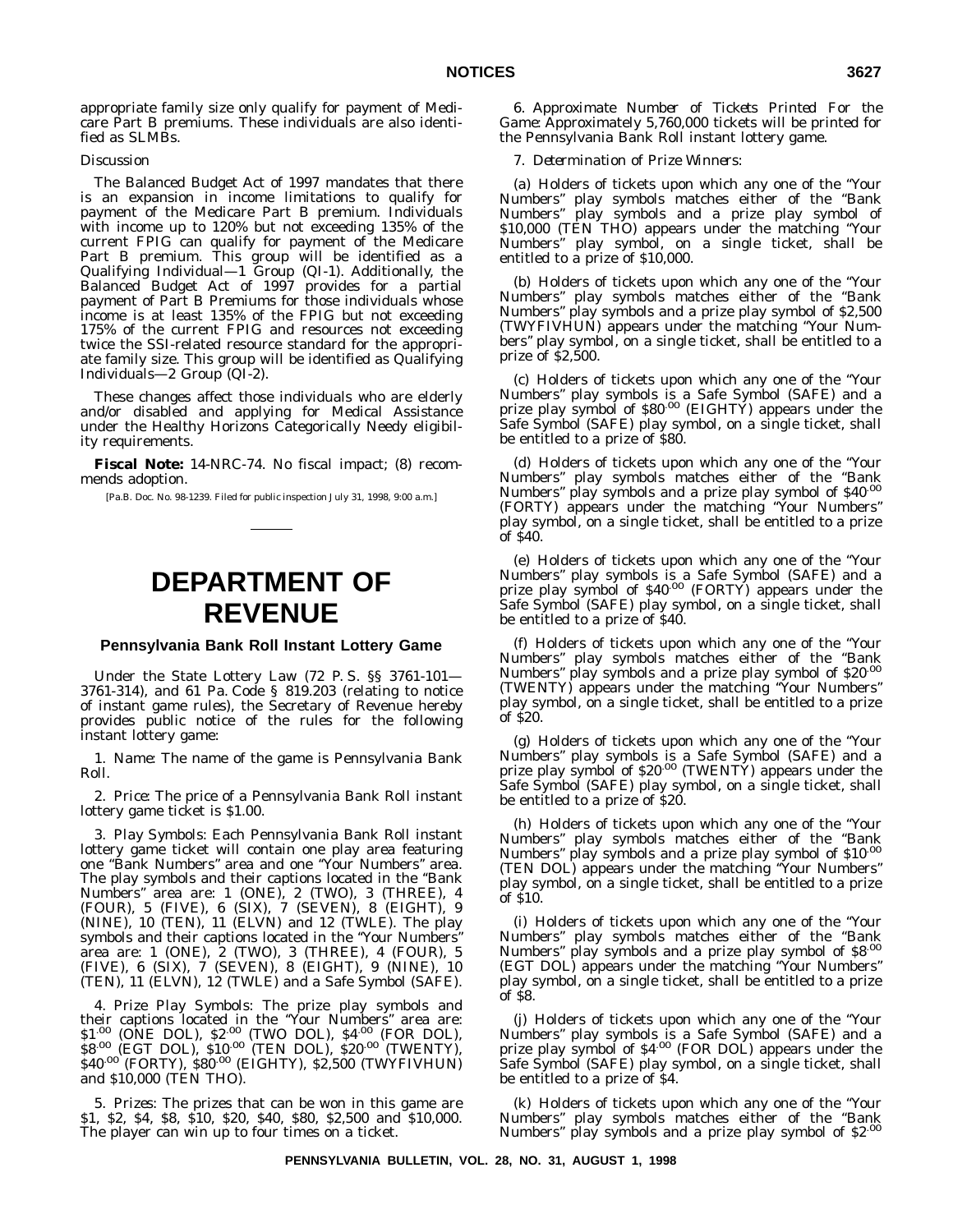appropriate family size only qualify for payment of Medicare Part B premiums. These individuals are also identified as SLMBs.

#### *Discussion*

The Balanced Budget Act of 1997 mandates that there is an expansion in income limitations to qualify for payment of the Medicare Part B premium. Individuals with income up to 120% but not exceeding 135% of the current FPIG can qualify for payment of the Medicare Part B premium. This group will be identified as a Qualifying Individual—1 Group (QI-1). Additionally, the Balanced Budget Act of 1997 provides for a partial payment of Part B Premiums for those individuals whose income is at least 135% of the FPIG but not exceeding 175% of the current FPIG and resources not exceeding twice the SSI-related resource standard for the appropriate family size. This group will be identified as Qualifying Individuals—2 Group (QI-2).

These changes affect those individuals who are elderly and/or disabled and applying for Medical Assistance under the Healthy Horizons Categorically Needy eligibility requirements.

**Fiscal Note:** 14-NRC-74. No fiscal impact; (8) recommends adoption.

[Pa.B. Doc. No. 98-1239. Filed for public inspection July 31, 1998, 9:00 a.m.]

# **DEPARTMENT OF REVENUE**

#### **Pennsylvania Bank Roll Instant Lottery Game**

Under the State Lottery Law (72 P. S. §§ 3761-101— 3761-314), and 61 Pa. Code § 819.203 (relating to notice of instant game rules), the Secretary of Revenue hereby provides public notice of the rules for the following instant lottery game:

1. *Name*: The name of the game is Pennsylvania Bank Roll.

2. *Price*: The price of a Pennsylvania Bank Roll instant lottery game ticket is \$1.00.

3. *Play Symbols*: Each Pennsylvania Bank Roll instant lottery game ticket will contain one play area featuring one ''Bank Numbers'' area and one ''Your Numbers'' area. The play symbols and their captions located in the ''Bank Numbers'' area are: 1 (ONE), 2 (TWO), 3 (THREE), 4 (FOUR), 5 (FIVE), 6 (SIX), 7 (SEVEN), 8 (EIGHT), 9 (NINE), 10 (TEN), 11 (ELVN) and 12 (TWLE). The play symbols and their captions located in the ''Your Numbers'' area are: 1 (ONE), 2 (TWO), 3 (THREE), 4 (FOUR), 5 (FIVE), 6 (SIX), 7 (SEVEN), 8 (EIGHT), 9 (NINE), 10 (TEN), 11 (ELVN), 12 (TWLE) and a Safe Symbol (SAFE).

4. *Prize Play Symbols*: The prize play symbols and their captions located in the "Your Numbers" area are:<br>\$1<sup>.00</sup> (ONE DOL), \$2<sup>.00</sup> (TWO DOL), \$4<sup>.00</sup> (FOR DOL), \$8.00 (EGT DOL), \$10.00 (TEN DOL), \$20.00 (TWENTY), \$40.00 (FORTY), \$80.00 (EIGHTY), \$2,500 (TWYFIVHUN) and \$10,000 (TEN THO).

5. *Prizes*: The prizes that can be won in this game are \$1, \$2, \$4, \$8, \$10, \$20, \$40, \$80, \$2,500 and \$10,000. The player can win up to four times on a ticket.

6. *Approximate Number of Tickets Printed For the Game*: Approximately 5,760,000 tickets will be printed for the Pennsylvania Bank Roll instant lottery game.

#### 7. *Determination of Prize Winners*:

(a) Holders of tickets upon which any one of the ''Your Numbers'' play symbols matches either of the ''Bank Numbers'' play symbols and a prize play symbol of \$10,000 (TEN THO) appears under the matching "Your Numbers'' play symbol, on a single ticket, shall be entitled to a prize of \$10,000.

(b) Holders of tickets upon which any one of the ''Your Numbers'' play symbols matches either of the ''Bank Numbers'' play symbols and a prize play symbol of \$2,500 (TWYFIVHUN) appears under the matching ''Your Numbers" play symbol, on a single ticket, shall be entitled to a prize of \$2,500.

(c) Holders of tickets upon which any one of the ''Your Numbers'' play symbols is a Safe Symbol (SAFE) and a prize play symbol of \$80.00 (EIGHTY) appears under the Safe Symbol (SAFE) play symbol, on a single ticket, shall be entitled to a prize of \$80.

(d) Holders of tickets upon which any one of the ''Your Numbers" play symbols matches either of the "Bank<br>Numbers" play symbols and a prize play symbol of \$40<sup>.00</sup> (FORTY) appears under the matching ''Your Numbers'' play symbol, on a single ticket, shall be entitled to a prize of \$40.

(e) Holders of tickets upon which any one of the ''Your Numbers'' play symbols is a Safe Symbol (SAFE) and a prize play symbol of \$40.00 (FORTY) appears under the Safe Symbol (SAFE) play symbol, on a single ticket, shall be entitled to a prize of \$40.

(f) Holders of tickets upon which any one of the ''Your Numbers" play symbols matches either of the "Bank<br>Numbers" play symbols and a prize play symbol of \$20<sup>.00</sup> (TWENTY) appears under the matching ''Your Numbers'' play symbol, on a single ticket, shall be entitled to a prize of \$20.

(g) Holders of tickets upon which any one of the ''Your Numbers'' play symbols is a Safe Symbol (SAFE) and a prize play symbol of \$20<sup>.00</sup> (TWENTY) appears under the Safe Symbol (SAFE) play symbol, on a single ticket, shall be entitled to a prize of \$20.

(h) Holders of tickets upon which any one of the ''Your Numbers" play symbols matches either of the "Bank<br>Numbers" play symbols and a prize play symbol of \$10<sup>.00</sup> (TEN DOL) appears under the matching ''Your Numbers'' play symbol, on a single ticket, shall be entitled to a prize of \$10.

(i) Holders of tickets upon which any one of the ''Your Numbers" play symbols matches either of the "Bank<br>Numbers" play symbols and a prize play symbol of \$8<sup>.00</sup> (EGT DOL) appears under the matching ''Your Numbers'' play symbol, on a single ticket, shall be entitled to a prize of \$8.

(j) Holders of tickets upon which any one of the ''Your Numbers" play symbols is a Safe Symbol (SAFE) and a<br>prize play symbol of \$4<sup>.00</sup> (FOR DOL) appears under the Safe Symbol (SAFE) play symbol, on a single ticket, shall be entitled to a prize of \$4.

(k) Holders of tickets upon which any one of the ''Your Numbers'' play symbols matches either of the ''Bank Numbers'' play symbols and a prize play symbol of \$2.00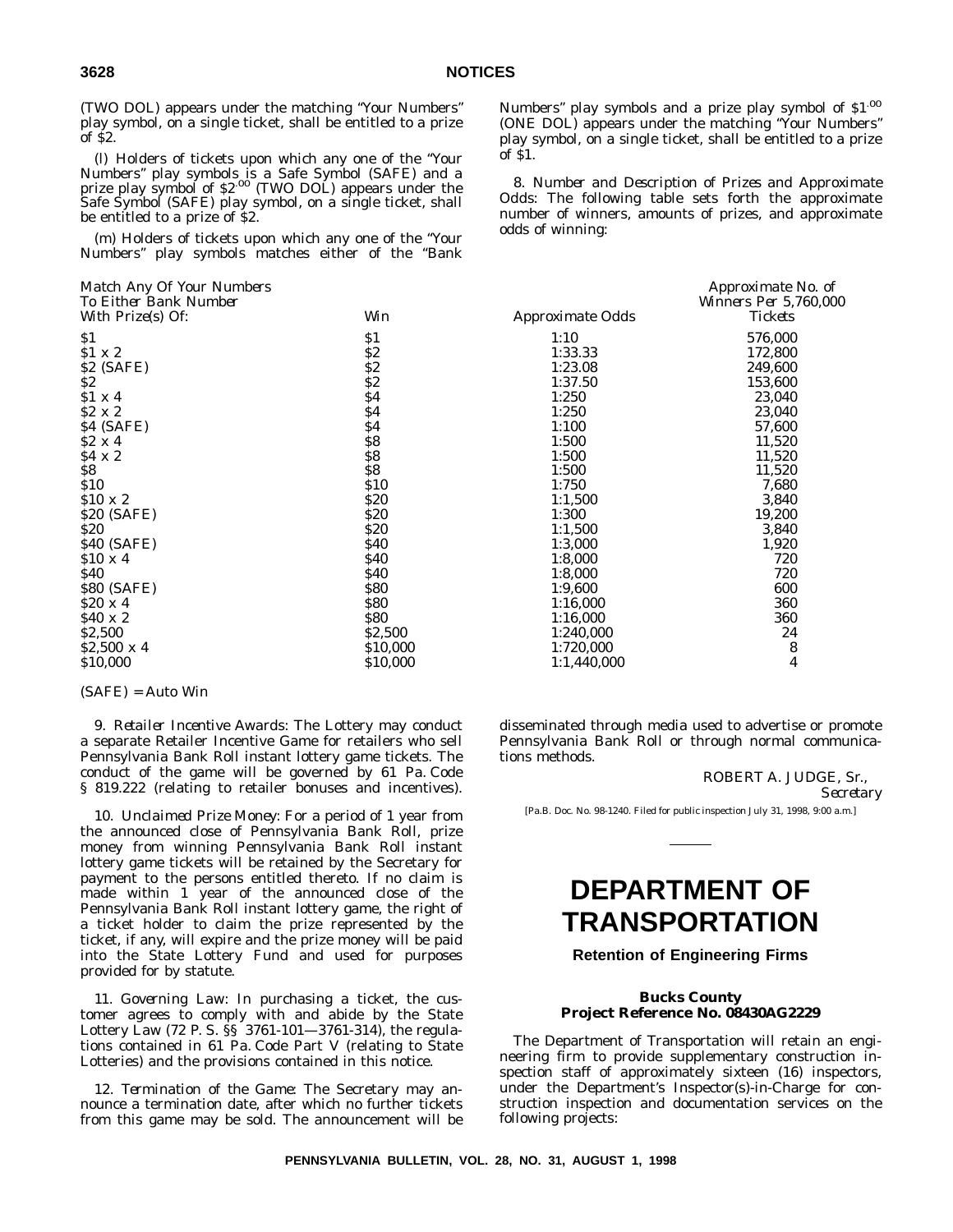(TWO DOL) appears under the matching ''Your Numbers'' play symbol, on a single ticket, shall be entitled to a prize of \$2.

(l) Holders of tickets upon which any one of the ''Your Numbers'' play symbols is a Safe Symbol (SAFE) and a prize play symbol of \$2.00 (TWO DOL) appears under the Safe Symbol (SAFE) play symbol, on a single ticket, shall be entitled to a prize of \$2.

(m) Holders of tickets upon which any one of the ''Your Numbers'' play symbols matches either of the ''Bank

| TO EIUIEI DAHK IVUIIIDEI |            |                  | $V$ <i>NIHIEIS FEI</i> $J$ , |
|--------------------------|------------|------------------|------------------------------|
| With Prize(s) Of:        | Win        | Approximate Odds | <b>Tickets</b>               |
| \$1                      | \$1        | 1:10             | 576,000                      |
| \$1 x 2                  | \$2        | 1:33.33          | 172,800                      |
| \$2 (SAFE)               | \$2        | 1:23.08          | 249,600                      |
| \$2\$                    | \$2\$      | 1:37.50          | 153,600                      |
| \$1 x 4                  | \$4        | 1:250            | 23,040                       |
| $$2 \times 2$            | \$4        | 1:250            | 23,040                       |
| \$4 (SAFE)               | \$4        | 1:100            | 57,600                       |
| $$2 \times 4$            | \$8        | 1:500            | 11,520                       |
| \$4 x 2                  | \$8        | 1:500            | 11,520                       |
| \$8                      | \$8        | 1:500            | 11,520                       |
| \$10                     | \$10       | 1:750            | 7,680                        |
| $$10 \times 2$$          | \$20       | 1:1,500          | 3,840                        |
| \$20 (SAFE)              | \$20       | 1:300            | 19,200                       |
| <b>\$20</b>              | <b>S20</b> | 1:1,500          | 3,840                        |
| \$40 (SAFE)              | \$40       | 1:3,000          | 1,920                        |
| $$10 \times 4$           | \$40       | 1:8,000          | 720                          |
| <b>\$40</b>              | \$40       | 1:8,000          | 720                          |
| \$80 (SAFE)              | \$80       | 1:9,600          | 600                          |
| $$20 \times 4$           | \$80       | 1:16,000         | 360                          |
| $$40 \times 2$$          | <b>S80</b> | 1:16,000         | 360                          |
| \$2,500                  | \$2,500    | 1:240,000        | 24                           |
| $$2,500 \times 4$        | \$10,000   | 1:720,000        | 8                            |
| \$10,000                 | \$10,000   | 1:1,440,000      | 4                            |
|                          |            |                  |                              |

#### (SAFE) = Auto Win

9. *Retailer Incentive Awards*: The Lottery may conduct a separate Retailer Incentive Game for retailers who sell Pennsylvania Bank Roll instant lottery game tickets. The conduct of the game will be governed by 61 Pa. Code § 819.222 (relating to retailer bonuses and incentives).

10. *Unclaimed Prize Money*: For a period of 1 year from the announced close of Pennsylvania Bank Roll, prize money from winning Pennsylvania Bank Roll instant lottery game tickets will be retained by the Secretary for payment to the persons entitled thereto. If no claim is made within 1 year of the announced close of the Pennsylvania Bank Roll instant lottery game, the right of a ticket holder to claim the prize represented by the ticket, if any, will expire and the prize money will be paid into the State Lottery Fund and used for purposes provided for by statute.

11. *Governing Law*: In purchasing a ticket, the customer agrees to comply with and abide by the State Lottery Law (72 P. S. §§ 3761-101—3761-314), the regulations contained in 61 Pa. Code Part V (relating to State Lotteries) and the provisions contained in this notice.

12. *Termination of the Game*: The Secretary may announce a termination date, after which no further tickets from this game may be sold. The announcement will be Numbers'' play symbols and a prize play symbol of \$1.00 (ONE DOL) appears under the matching ''Your Numbers'' play symbol, on a single ticket, shall be entitled to a prize of \$1.

8. *Number and Description of Prizes and Approximate Odds*: The following table sets forth the approximate number of winners, amounts of prizes, and approximate odds of winning:

| Match Any Of Your Numbers |             |                  | Approximate No. of    |
|---------------------------|-------------|------------------|-----------------------|
| To Either Bank Number     | Win         |                  | Winners Per 5,760,000 |
| With Prize(s) Of:         |             | Approximate Odds | <b>Tickets</b>        |
| \$1                       | S1          | 1:10             | 576,000               |
| \$1 x 2                   | \$2         | 1:33.33          | 172,800               |
| \$2 (SAFE)                | \$2         | 1:23.08          | 249,600               |
| \$2                       | \$2         | 1:37.50          | 153,600               |
| \$1 x 4                   | \$4         | 1:250            | 23,040                |
| \$2 x 2                   | \$4         | 1:250            | 23,040                |
| \$4 (SAFE)                | \$4         | 1:100            | 57,600                |
| \$2 x 4                   | S8          | 1:500            | 11,520                |
| \$4 x 2                   | S8          | 1:500            | 11,520                |
| \$8                       | \$8         | 1:500            | 11,520                |
| \$10                      | <b>\$10</b> | 1:750            | 7,680                 |
| \$10 x 2                  | \$20        | 1:1,500          | 3,840                 |
| \$20 (SAFE)               | \$20        | 1:300            | 19,200                |
| \$20                      | \$20        | 1:1,500          | 3,840                 |
| \$40 (SAFE)               | <b>\$40</b> | 1:3,000          | 1,920                 |
| \$10 x 4                  | <b>\$40</b> | 1:8,000          | 720                   |
| S40                       | <b>\$40</b> | 1:8,000          | 720                   |
| \$80 (SAFE)               | \$80        | 1:9,600          | 600                   |
| \$20 x 4                  | \$80        | 1:16,000         | 360                   |
| \$40 x 2                  | <b>\$80</b> | 1:16,000         | 360                   |
| \$2,500                   | \$2,500     | 1:240,000        | 24                    |
| \$2,500 x 4               | \$10,000    | 1:720,000        | 8                     |
| \$10,000                  | \$10,000    | 1:1,440,000      | 4                     |
|                           |             |                  |                       |

disseminated through media used to advertise or promote Pennsylvania Bank Roll or through normal communications methods.

ROBERT A. JUDGE, Sr.,

*Secretary*

[Pa.B. Doc. No. 98-1240. Filed for public inspection July 31, 1998, 9:00 a.m.]

# **DEPARTMENT OF TRANSPORTATION**

#### **Retention of Engineering Firms**

#### **Bucks County Project Reference No. 08430AG2229**

The Department of Transportation will retain an engineering firm to provide supplementary construction inspection staff of approximately sixteen (16) inspectors, under the Department's Inspector(s)-in-Charge for construction inspection and documentation services on the following projects: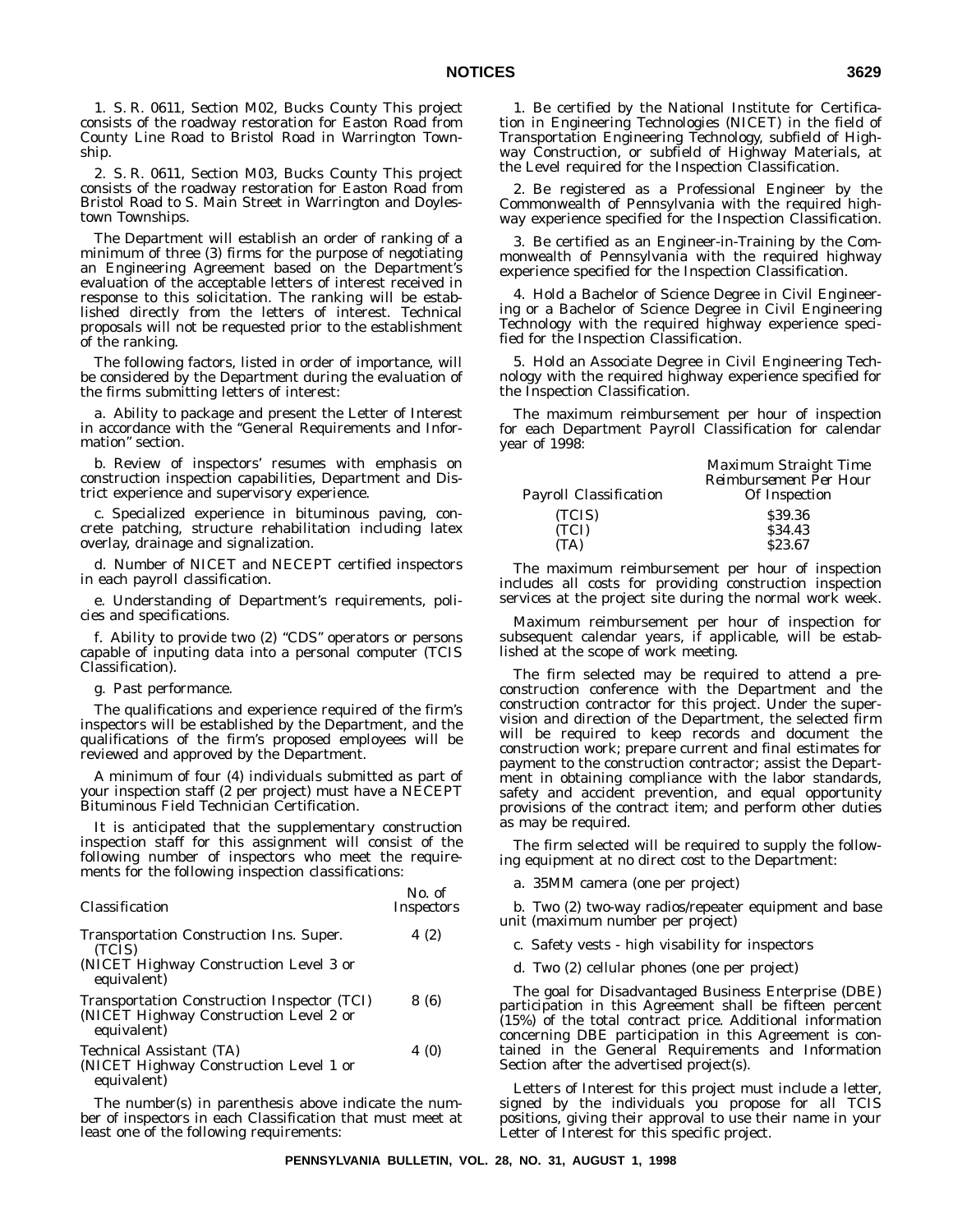1. S. R. 0611, Section M02, Bucks County This project consists of the roadway restoration for Easton Road from County Line Road to Bristol Road in Warrington Township.

2. S. R. 0611, Section M03, Bucks County This project consists of the roadway restoration for Easton Road from Bristol Road to S. Main Street in Warrington and Doylestown Townships.

The Department will establish an order of ranking of a minimum of three (3) firms for the purpose of negotiating an Engineering Agreement based on the Department's evaluation of the acceptable letters of interest received in response to this solicitation. The ranking will be established directly from the letters of interest. Technical proposals will not be requested prior to the establishment of the ranking.

The following factors, listed in order of importance, will be considered by the Department during the evaluation of the firms submitting letters of interest:

a. Ability to package and present the Letter of Interest in accordance with the ''General Requirements and Information'' section.

b. Review of inspectors' resumes with emphasis on construction inspection capabilities, Department and District experience and supervisory experience.

c. Specialized experience in bituminous paving, concrete patching, structure rehabilitation including latex overlay, drainage and signalization.

d. Number of NICET and NECEPT certified inspectors in each payroll classification.

e. Understanding of Department's requirements, policies and specifications.

f. Ability to provide two (2) ''CDS'' operators or persons capable of inputing data into a personal computer (TCIS Classification).

g. Past performance.

The qualifications and experience required of the firm's inspectors will be established by the Department, and the qualifications of the firm's proposed employees will be reviewed and approved by the Department.

A minimum of four (4) individuals submitted as part of your inspection staff (2 per project) must have a NECEPT Bituminous Field Technician Certification.

It is anticipated that the supplementary construction inspection staff for this assignment will consist of the following number of inspectors who meet the requirements for the following inspection classifications:

| Classification                                                                                             | <i><b>NO. OF</b></i><br><i>Inspectors</i> |
|------------------------------------------------------------------------------------------------------------|-------------------------------------------|
| Transportation Construction Ins. Super.<br>(TCIS)<br>(NICET Highway Construction Level 3 or<br>equivalent) | 4(2)                                      |
| Transportation Construction Inspector (TCI)<br>(NICET Highway Construction Level 2 or<br>equivalent)       | 8 (6)                                     |
| Technical Assistant (TA)<br>(NICET Highway Construction Level 1 or<br>equivalent)                          | 4 (0)                                     |

The number(s) in parenthesis above indicate the number of inspectors in each Classification that must meet at least one of the following requirements:

1. Be certified by the National Institute for Certification in Engineering Technologies (NICET) in the field of Transportation Engineering Technology, subfield of Highway Construction, or subfield of Highway Materials, at the Level required for the Inspection Classification.

2. Be registered as a Professional Engineer by the Commonwealth of Pennsylvania with the required highway experience specified for the Inspection Classification.

3. Be certified as an Engineer-in-Training by the Commonwealth of Pennsylvania with the required highway experience specified for the Inspection Classification.

4. Hold a Bachelor of Science Degree in Civil Engineering or a Bachelor of Science Degree in Civil Engineering Technology with the required highway experience specified for the Inspection Classification.

5. Hold an Associate Degree in Civil Engineering Technology with the required highway experience specified for the Inspection Classification.

The maximum reimbursement per hour of inspection for each Department Payroll Classification for calendar year of 1998:

|                        | Maximum Straight Time         |
|------------------------|-------------------------------|
|                        | <b>Reimbursement Per Hour</b> |
| Payroll Classification | Of Inspection                 |
| (TCIS)                 | \$39.36                       |
| (TCI)                  | \$34.43                       |
| (TA)                   | \$23.67                       |

The maximum reimbursement per hour of inspection includes all costs for providing construction inspection services at the project site during the normal work week.

Maximum reimbursement per hour of inspection for subsequent calendar years, if applicable, will be established at the scope of work meeting.

The firm selected may be required to attend a preconstruction conference with the Department and the construction contractor for this project. Under the supervision and direction of the Department, the selected firm will be required to keep records and document the construction work; prepare current and final estimates for payment to the construction contractor; assist the Department in obtaining compliance with the labor standards, safety and accident prevention, and equal opportunity provisions of the contract item; and perform other duties as may be required.

The firm selected will be required to supply the following equipment at no direct cost to the Department:

a. 35MM camera (one per project)

b. Two (2) two-way radios/repeater equipment and base unit (maximum number per project)

c. Safety vests - high visability for inspectors

d. Two (2) cellular phones (one per project)

The goal for Disadvantaged Business Enterprise (DBE) participation in this Agreement shall be fifteen percent (15%) of the total contract price. Additional information concerning DBE participation in this Agreement is contained in the General Requirements and Information Section after the advertised project(s).

Letters of Interest for this project must include a letter, signed by the individuals you propose for all TCIS positions, giving their approval to use their name in your Letter of Interest for this specific project.

*No. of*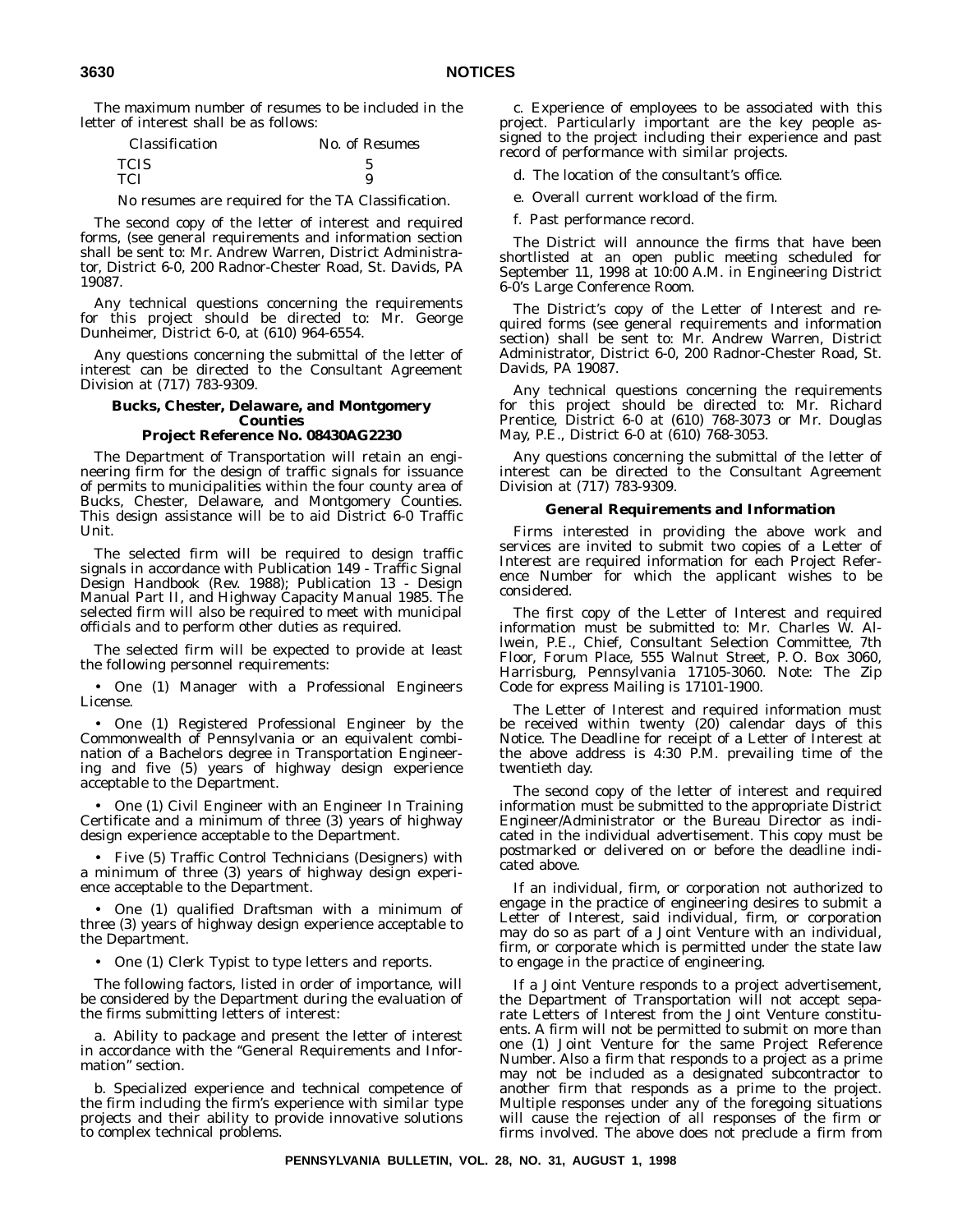The maximum number of resumes to be included in the letter of interest shall be as follows:

| <i><b>Classification</b></i> | No. of Resumes |
|------------------------------|----------------|
| <b>TCIS</b>                  |                |
| TCI                          |                |

No resumes are required for the TA Classification.

The second copy of the letter of interest and required forms, (see general requirements and information section shall be sent to: Mr. Andrew Warren, District Administrator, District 6-0, 200 Radnor-Chester Road, St. Davids, PA 19087.

Any technical questions concerning the requirements for this project should be directed to: Mr. George Dunheimer, District 6-0, at (610) 964-6554.

Any questions concerning the submittal of the letter of interest can be directed to the Consultant Agreement Division at (717) 783-9309.

#### **Bucks, Chester, Delaware, and Montgomery Counties Project Reference No. 08430AG2230**

The Department of Transportation will retain an engineering firm for the design of traffic signals for issuance of permits to municipalities within the four county area of Bucks, Chester, Delaware, and Montgomery Counties. This design assistance will be to aid District 6-0 Traffic Unit.

The selected firm will be required to design traffic signals in accordance with Publication 149 - Traffic Signal Design Handbook (Rev. 1988); Publication 13 - Design Manual Part II, and Highway Capacity Manual 1985. The selected firm will also be required to meet with municipal officials and to perform other duties as required.

The selected firm will be expected to provide at least the following personnel requirements:

• One (1) Manager with a Professional Engineers License.

• One (1) Registered Professional Engineer by the Commonwealth of Pennsylvania or an equivalent combination of a Bachelors degree in Transportation Engineering and five (5) years of highway design experience acceptable to the Department.

• One (1) Civil Engineer with an Engineer In Training Certificate and a minimum of three (3) years of highway design experience acceptable to the Department.

• Five (5) Traffic Control Technicians (Designers) with a minimum of three (3) years of highway design experience acceptable to the Department.

• One (1) qualified Draftsman with a minimum of three (3) years of highway design experience acceptable to the Department.

• One (1) Clerk Typist to type letters and reports.

The following factors, listed in order of importance, will be considered by the Department during the evaluation of the firms submitting letters of interest:

a. Ability to package and present the letter of interest in accordance with the ''General Requirements and Information'' section.

b. Specialized experience and technical competence of the firm including the firm's experience with similar type projects and their ability to provide innovative solutions to complex technical problems.

c. Experience of employees to be associated with this project. Particularly important are the key people assigned to the project including their experience and past record of performance with similar projects.

d. The location of the consultant's office.

e. Overall current workload of the firm.

f. Past performance record.

The District will announce the firms that have been shortlisted at an open public meeting scheduled for September 11, 1998 at 10:00 A.M. in Engineering District 6-0's Large Conference Room.

The District's copy of the Letter of Interest and required forms (see general requirements and information section) shall be sent to: Mr. Andrew Warren, District Administrator, District 6-0, 200 Radnor-Chester Road, St. Davids, PA 19087.

Any technical questions concerning the requirements for this project should be directed to: Mr. Richard Prentice, District 6-0 at (610) 768-3073 or Mr. Douglas May, P.E., District 6-0 at (610) 768-3053.

Any questions concerning the submittal of the letter of interest can be directed to the Consultant Agreement Division at (717) 783-9309.

#### **General Requirements and Information**

Firms interested in providing the above work and services are invited to submit two copies of a Letter of Interest are required information for each Project Reference Number for which the applicant wishes to be considered.

The first copy of the Letter of Interest and required information must be submitted to: Mr. Charles W. Allwein, P.E., Chief, Consultant Selection Committee, 7th Floor, Forum Place, 555 Walnut Street, P. O. Box 3060, Harrisburg, Pennsylvania 17105-3060. Note: The Zip Code for express Mailing is 17101-1900.

The Letter of Interest and required information must be received within twenty (20) calendar days of this Notice. The Deadline for receipt of a Letter of Interest at the above address is 4:30 P.M. prevailing time of the twentieth day.

The second copy of the letter of interest and required information must be submitted to the appropriate District Engineer/Administrator or the Bureau Director as indicated in the individual advertisement. This copy must be postmarked or delivered on or before the deadline indicated above.

If an individual, firm, or corporation not authorized to engage in the practice of engineering desires to submit a Letter of Interest, said individual, firm, or corporation may do so as part of a Joint Venture with an individual, firm, or corporate which is permitted under the state law to engage in the practice of engineering.

If a Joint Venture responds to a project advertisement, the Department of Transportation will not accept separate Letters of Interest from the Joint Venture constituents. A firm will not be permitted to submit on more than one (1) Joint Venture for the same Project Reference Number. Also a firm that responds to a project as a prime may not be included as a designated subcontractor to another firm that responds as a prime to the project. Multiple responses under any of the foregoing situations will cause the rejection of all responses of the firm or firms involved. The above does not preclude a firm from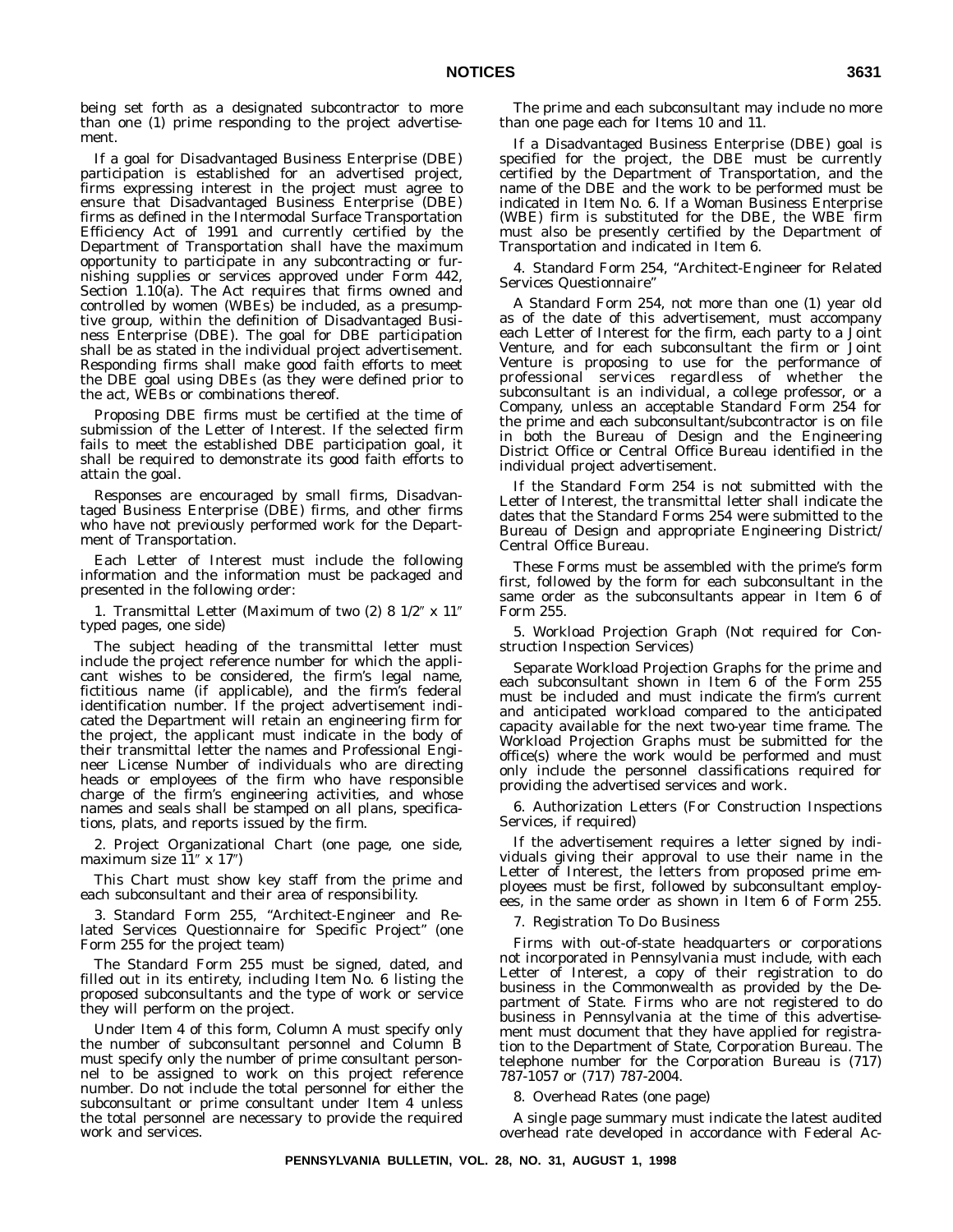being set forth as a designated subcontractor to more than one (1) prime responding to the project advertisement.

If a goal for Disadvantaged Business Enterprise (DBE) participation is established for an advertised project, firms expressing interest in the project must agree to ensure that Disadvantaged Business Enterprise (DBE) firms as defined in the Intermodal Surface Transportation Efficiency Act of 1991 and currently certified by the Department of Transportation shall have the maximum opportunity to participate in any subcontracting or furnishing supplies or services approved under Form 442, Section  $1.\overline{10(a)}$ . The Act requires that firms owned and controlled by women (WBEs) be included, as a presumptive group, within the definition of Disadvantaged Business Enterprise (DBE). The goal for DBE participation shall be as stated in the individual project advertisement. Responding firms shall make good faith efforts to meet the DBE goal using DBEs (as they were defined prior to the act, WEBs or combinations thereof.

Proposing DBE firms must be certified at the time of submission of the Letter of Interest. If the selected firm fails to meet the established DBE participation goal, it shall be required to demonstrate its good faith efforts to attain the goal.

Responses are encouraged by small firms, Disadvantaged Business Enterprise (DBE) firms, and other firms who have not previously performed work for the Department of Transportation.

Each Letter of Interest must include the following information and the information must be packaged and presented in the following order:

1. Transmittal Letter (Maximum of two  $(2)$  8  $1/2$ " x  $11$ " typed pages, one side)

The subject heading of the transmittal letter must include the project reference number for which the applicant wishes to be considered, the firm's legal name, fictitious name (if applicable), and the firm's federal identification number. If the project advertisement indicated the Department will retain an engineering firm for the project, the applicant must indicate in the body of their transmittal letter the names and Professional Engineer License Number of individuals who are directing heads or employees of the firm who have responsible charge of the firm's engineering activities, and whose names and seals shall be stamped on all plans, specifications, plats, and reports issued by the firm.

2. Project Organizational Chart (one page, one side, maximum size  $11''$  x  $17''$ )

This Chart must show key staff from the prime and each subconsultant and their area of responsibility.

3. Standard Form 255, ''Architect-Engineer and Related Services Questionnaire for Specific Project'' (one Form 255 for the project team)

The Standard Form 255 must be signed, dated, and filled out in its entirety, including Item No. 6 listing the proposed subconsultants and the type of work or service they will perform on the project.

Under Item 4 of this form, Column A must specify only the number of subconsultant personnel and Column B must specify only the number of prime consultant personnel to be assigned to work on this project reference number. Do *not* include the total personnel for either the subconsultant or prime consultant under Item 4 unless the total personnel are necessary to provide the required work and services.

The prime and each subconsultant may include no more than one page each for Items 10 and 11.

If a Disadvantaged Business Enterprise (DBE) goal is specified for the project, the DBE must be currently certified by the Department of Transportation, and the name of the DBE and the work to be performed must be indicated in Item No. 6. If a Woman Business Enterprise (WBE) firm is substituted for the DBE, the WBE firm must also be presently certified by the Department of Transportation and indicated in Item 6.

4. Standard Form 254, ''Architect-Engineer for Related Services Questionnaire''

A Standard Form 254, not more than one (1) year old as of the date of this advertisement, must accompany each Letter of Interest for the firm, each party to a Joint Venture, and for each subconsultant the firm or Joint Venture is proposing to use for the performance of professional services regardless of whether the subconsultant is an individual, a college professor, or a Company, unless an acceptable Standard Form 254 for the prime and *each* subconsultant/subcontractor is on file in both the Bureau of Design and the Engineering District Office or Central Office Bureau identified in the individual project advertisement.

If the Standard Form 254 is not submitted with the Letter of Interest, the transmittal letter shall indicate the dates that the Standard Forms 254 were submitted to the Bureau of Design and appropriate Engineering District/ Central Office Bureau.

These Forms must be assembled with the prime's form first, followed by the form for each subconsultant in the same order as the subconsultants appear in Item 6 of Form 255.

5. Workload Projection Graph (Not required for Construction Inspection Services)

Separate Workload Projection Graphs for the prime and each subconsultant shown in Item 6 of the Form 255 must be included and must indicate the firm's current and anticipated workload compared to the anticipated capacity available for the next two-year time frame. The Workload Projection Graphs must be submitted for the office(s) where the work would be performed and must only include the personnel classifications required for providing the advertised services and work.

6. Authorization Letters (For Construction Inspections Services, if required)

If the advertisement requires a letter signed by individuals giving their approval to use their name in the Letter of Interest, the letters from proposed prime employees must be first, followed by subconsultant employees, in the same order as shown in Item 6 of Form 255.

7. Registration To Do Business

Firms with out-of-state headquarters or corporations not incorporated in Pennsylvania must include, with each Letter of Interest, a copy of their registration to do business in the Commonwealth as provided by the Department of State. Firms who are not registered to do business in Pennsylvania at the time of this advertisement must document that they have applied for registration to the Department of State, Corporation Bureau. The telephone number for the Corporation Bureau is (717) 787-1057 or (717) 787-2004.

8. Overhead Rates (one page)

A single page summary must indicate the latest audited overhead rate developed in accordance with Federal Ac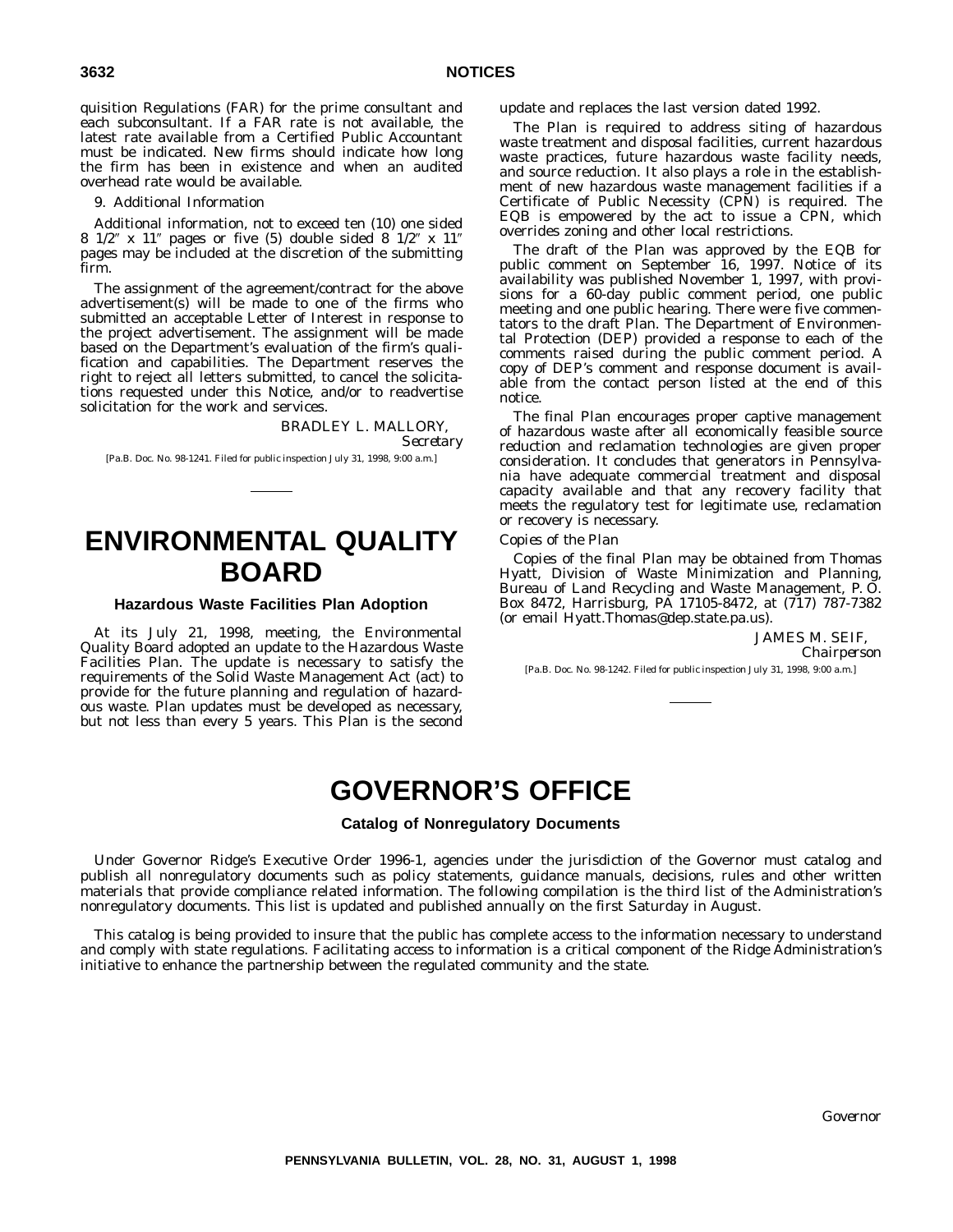quisition Regulations (FAR) for the prime consultant and each subconsultant. If a FAR rate is not available, the latest rate available from a Certified Public Accountant must be indicated. New firms should indicate how long the firm has been in existence and when an audited overhead rate would be available.

9. Additional Information

Additional information, not to exceed ten (10) one sided 8  $1/2$ " x  $11$ " pages or five (5) double sided 8  $1/2$ " x  $11$ " pages may be included at the discretion of the submitting firm.

The assignment of the agreement/contract for the above advertisement(s) will be made to one of the firms who submitted an acceptable Letter of Interest in response to the project advertisement. The assignment will be made based on the Department's evaluation of the firm's qualification and capabilities. The Department reserves the right to reject all letters submitted, to cancel the solicitations requested under this Notice, and/or to readvertise solicitation for the work and services.

> BRADLEY L. MALLORY, *Secretary*

[Pa.B. Doc. No. 98-1241. Filed for public inspection July 31, 1998, 9:00 a.m.]

# **ENVIRONMENTAL QUALITY BOARD**

#### **Hazardous Waste Facilities Plan Adoption**

At its July 21, 1998, meeting, the Environmental Quality Board adopted an update to the Hazardous Waste Facilities Plan. The update is necessary to satisfy the requirements of the Solid Waste Management Act (act) to provide for the future planning and regulation of hazardous waste. Plan updates must be developed as necessary, but not less than every 5 years. This Plan is the second

update and replaces the last version dated 1992.

The Plan is required to address siting of hazardous waste treatment and disposal facilities, current hazardous waste practices, future hazardous waste facility needs, and source reduction. It also plays a role in the establishment of new hazardous waste management facilities if a Certificate of Public Necessity (CPN) is required. The EQB is empowered by the act to issue a CPN, which overrides zoning and other local restrictions.

The draft of the Plan was approved by the EQB for public comment on September 16, 1997. Notice of its availability was published November 1, 1997, with provisions for a 60-day public comment period, one public meeting and one public hearing. There were five commentators to the draft Plan. The Department of Environmental Protection (DEP) provided a response to each of the comments raised during the public comment period. A copy of DEP's comment and response document is available from the contact person listed at the end of this notice.

The final Plan encourages proper captive management of hazardous waste after all economically feasible source reduction and reclamation technologies are given proper consideration. It concludes that generators in Pennsylvania have adequate commercial treatment and disposal capacity available and that any recovery facility that meets the regulatory test for legitimate use, reclamation or recovery is necessary.

#### *Copies of the Plan*

Copies of the final Plan may be obtained from Thomas Hyatt, Division of Waste Minimization and Planning, Bureau of Land Recycling and Waste Management, P. O. Box 8472, Harrisburg, PA 17105-8472, at (717) 787-7382 (or email Hyatt.Thomas@dep.state.pa.us).

> JAMES M. SEIF, *Chairperson*

[Pa.B. Doc. No. 98-1242. Filed for public inspection July 31, 1998, 9:00 a.m.]

# **GOVERNOR'S OFFICE**

#### **Catalog of Nonregulatory Documents**

Under Governor Ridge's Executive Order 1996-1, agencies under the jurisdiction of the Governor must catalog and publish all nonregulatory documents such as policy statements, guidance manuals, decisions, rules and other written materials that provide compliance related information. The following compilation is the third list of the Administration's nonregulatory documents. This list is updated and published annually on the first Saturday in August.

This catalog is being provided to insure that the public has complete access to the information necessary to understand and comply with state regulations. Facilitating access to information is a critical component of the Ridge Administration's initiative to enhance the partnership between the regulated community and the state.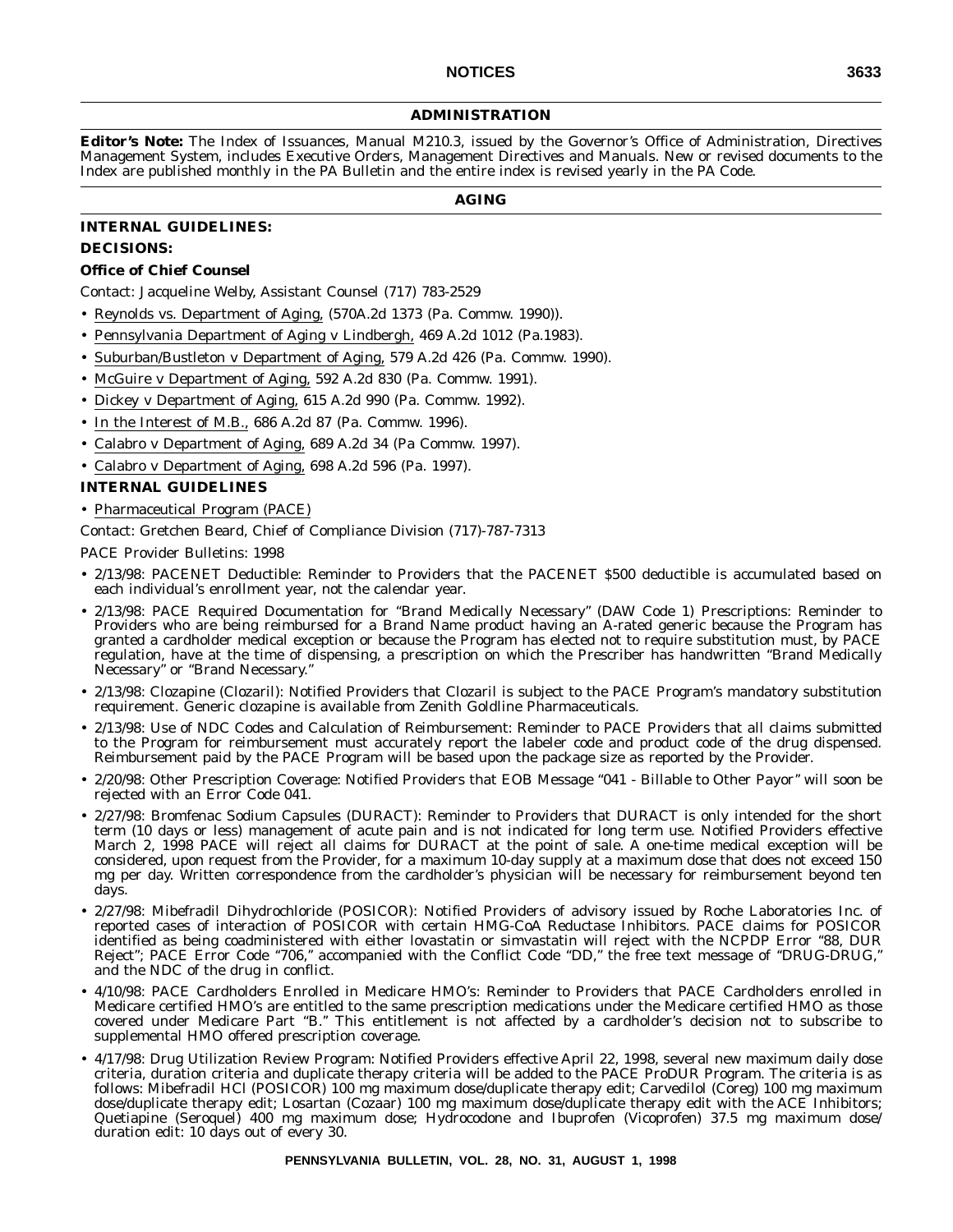#### **ADMINISTRATION**

**Editor's Note:** The Index of Issuances, Manual M210.3, issued by the Governor's Office of Administration, Directives Management System, includes Executive Orders, Management Directives and Manuals. New or revised documents to the Index are published monthly in the PA Bulletin and the entire index is revised yearly in the PA Code.

#### **AGING**

#### **INTERNAL GUIDELINES: DECISIONS:**

#### **Office of Chief Counsel**

Contact: Jacqueline Welby, Assistant Counsel (717) 783-2529

- Reynolds vs. Department of Aging, (570A.2d 1373 (Pa. Commw. 1990)).
- Pennsylvania Department of Aging v Lindbergh, 469 A.2d 1012 (Pa.1983).
- Suburban/Bustleton v Department of Aging, 579 A.2d 426 (Pa. Commw. 1990).
- McGuire v Department of Aging, 592 A.2d 830 (Pa. Commw. 1991).
- Dickey v Department of Aging, 615 A.2d 990 (Pa. Commw. 1992).
- In the Interest of M.B., 686 A.2d 87 (Pa. Commw. 1996).
- Calabro v Department of Aging, 689 A.2d 34 (Pa Commw. 1997).
- Calabro v Department of Aging, 698 A.2d 596 (Pa. 1997).

#### **INTERNAL GUIDELINES**

• Pharmaceutical Program (PACE)

Contact: Gretchen Beard, Chief of Compliance Division (717)-787-7313

- 2/13/98: PACENET Deductible: Reminder to Providers that the PACENET \$500 deductible is accumulated based on each individual's enrollment year, not the calendar year.
- 2/13/98: PACE Required Documentation for ''Brand Medically Necessary'' (DAW Code 1) Prescriptions: Reminder to Providers who are being reimbursed for a Brand Name product having an A-rated generic because the Program has granted a cardholder medical exception or because the Program has elected not to require substitution must, by PACE regulation, have at the time of dispensing, a prescription on which the Prescriber has handwritten ''Brand Medically Necessary'' or ''Brand Necessary.''
- 2/13/98: Clozapine (Clozaril): Notified Providers that Clozaril is subject to the PACE Program's mandatory substitution requirement. Generic clozapine is available from Zenith Goldline Pharmaceuticals.
- 2/13/98: Use of NDC Codes and Calculation of Reimbursement: Reminder to PACE Providers that all claims submitted to the Program for reimbursement must accurately report the labeler code and product code of the drug dispensed. Reimbursement paid by the PACE Program will be based upon the package size as reported by the Provider.
- 2/20/98: Other Prescription Coverage: Notified Providers that EOB Message ''041 Billable to Other Payor'' will soon be rejected with an Error Code 041.
- 2/27/98: Bromfenac Sodium Capsules (DURACT): Reminder to Providers that DURACT is only intended for the short term (10 days or less) management of acute pain and is not indicated for long term use. Notified Providers effective March 2, 1998 PACE will reject all claims for DURACT at the point of sale. A one-time medical exception will be considered, upon request from the Provider, for a maximum 10-day supply at a maximum dose that does not exceed 150 mg per day. Written correspondence from the cardholder's physician will be necessary for reimbursement beyond ten days.
- 2/27/98: Mibefradil Dihydrochloride (POSICOR): Notified Providers of advisory issued by Roche Laboratories Inc. of reported cases of interaction of POSICOR with certain HMG-CoA Reductase Inhibitors. PACE claims for POSICOR identified as being coadministered with either lovastatin or simvastatin will reject with the NCPDP Error ''88, DUR Reject"; PACE Error Code "706," accompanied with the Conflict Code "DD," the free text message of "DRUG-DRUG," and the NDC of the drug in conflict.
- 4/10/98: PACE Cardholders Enrolled in Medicare HMO's: Reminder to Providers that PACE Cardholders enrolled in Medicare certified HMO's are entitled to the same prescription medications under the Medicare certified HMO as those covered under Medicare Part ''B.'' This entitlement is not affected by a cardholder's decision not to subscribe to supplemental HMO offered prescription coverage.
- 4/17/98: Drug Utilization Review Program: Notified Providers effective April 22, 1998, several new maximum daily dose criteria, duration criteria and duplicate therapy criteria will be added to the PACE ProDUR Program. The criteria is as follows: Mibefradil HCl (POSICOR) 100 mg maximum dose/duplicate therapy edit; Carvedilol (Coreg) 100 mg maximum dose/duplicate therapy edit; Losartan (Cozaar) 100 mg maximum dose/duplicate therapy edit with the ACE Inhibitors; Quetiapine (Seroquel) 400 mg maximum dose; Hydrocodone and Ibuprofen (Vicoprofen) 37.5 mg maximum dose/ duration edit: 10 days out of every 30.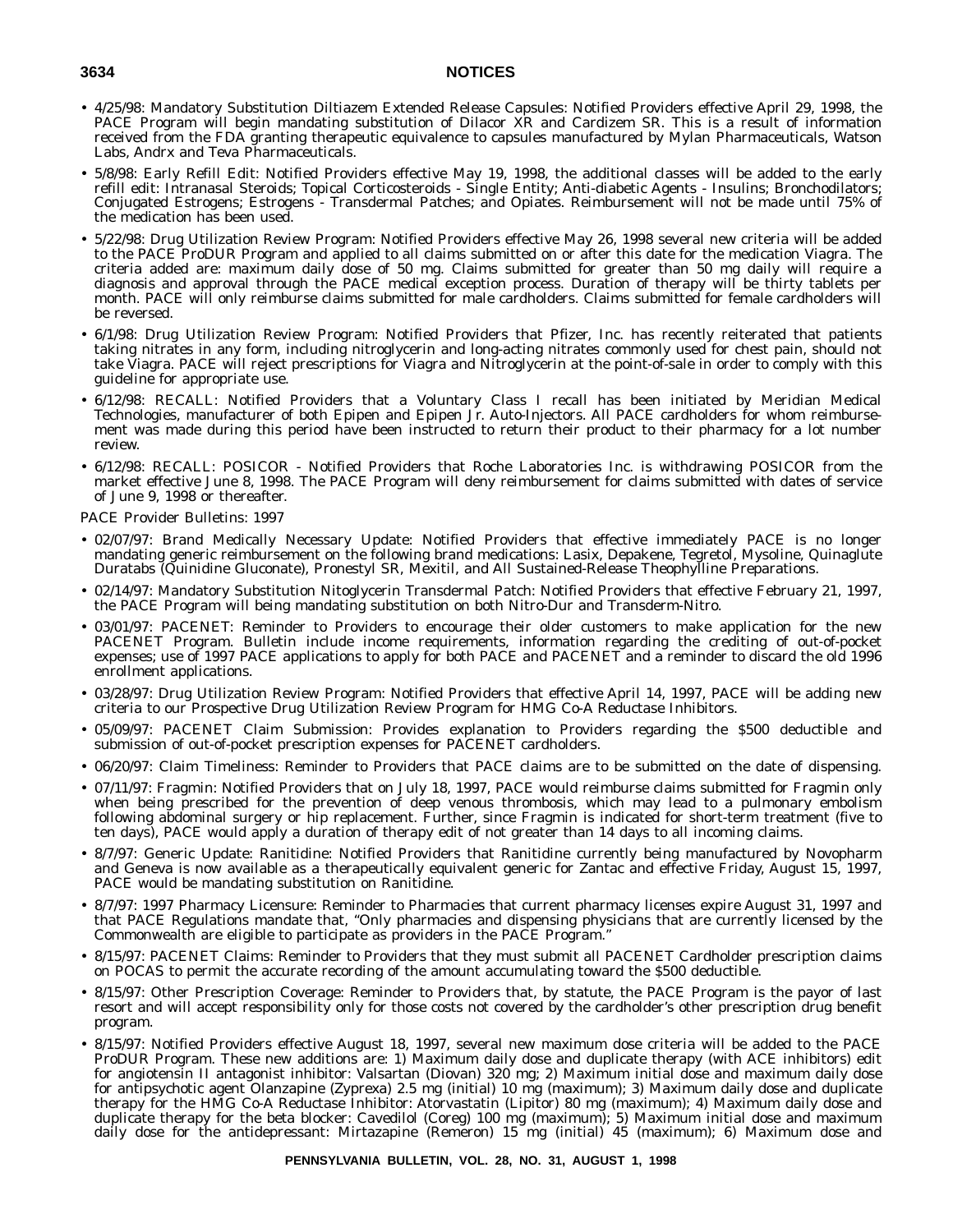- 4/25/98: Mandatory Substitution Diltiazem Extended Release Capsules: Notified Providers effective April 29, 1998, the PACE Program will begin mandating substitution of Dilacor XR and Cardizem SR. This is a result of information received from the FDA granting therapeutic equivalence to capsules manufactured by Mylan Pharmaceuticals, Watson Labs, Andrx and Teva Pharmaceuticals.
- 5/8/98: Early Refill Edit: Notified Providers effective May 19, 1998, the additional classes will be added to the early refill edit: Intranasal Steroids; Topical Corticosteroids - Single Entity; Anti-diabetic Agents - Insulins; Bronchodilators; Conjugated Estrogens; Estrogens - Transdermal Patches; and Opiates. Reimbursement will not be made until 75% of the medication has been used.
- 5/22/98: Drug Utilization Review Program: Notified Providers effective May 26, 1998 several new criteria will be added to the PACE ProDUR Program and applied to all claims submitted on or after this date for the medication Viagra. The criteria added are: maximum daily dose of 50 mg. Claims submitted for greater than 50 mg daily will require a diagnosis and approval through the PACE medical exception process. Duration of therapy will be thirty tablets per month. PACE will only reimburse claims submitted for male cardholders. Claims submitted for female cardholders will be reversed.
- 6/1/98: Drug Utilization Review Program: Notified Providers that Pfizer, Inc. has recently reiterated that patients taking nitrates in any form, including nitroglycerin and long-acting nitrates commonly used for chest pain, should not take Viagra. PACE will reject prescriptions for Viagra and Nitroglycerin at the point-of-sale in order to comply with this guideline for appropriate use.
- 6/12/98: RECALL: Notified Providers that a Voluntary Class I recall has been initiated by Meridian Medical Technologies, manufacturer of both Epipen and Epipen Jr. Auto-Injectors. All PACE cardholders for whom reimbursement was made during this period have been instructed to return their product to their pharmacy for a lot number review.
- 6/12/98: RECALL: POSICOR Notified Providers that Roche Laboratories Inc. is withdrawing POSICOR from the market effective June 8, 1998. The PACE Program will deny reimbursement for claims submitted with dates of service of June 9, 1998 or thereafter.

- 02/07/97: Brand Medically Necessary Update: Notified Providers that effective immediately PACE is no longer mandating generic reimbursement on the following brand medications: Lasix, Depakene, Tegretol, Mysoline, Quinaglute Duratabs (Quinidine Gluconate), Pronestyl SR, Mexitil, and All Sustained-Release Theophylline Preparations.
- 02/14/97: Mandatory Substitution Nitoglycerin Transdermal Patch: Notified Providers that effective February 21, 1997, the PACE Program will being mandating substitution on both Nitro-Dur and Transderm-Nitro.
- 03/01/97: PACENET: Reminder to Providers to encourage their older customers to make application for the new PACENET Program. Bulletin include income requirements, information regarding the crediting of out-of-pocket expenses; use of 1997 PACE applications to apply for both PACE and PACENET and a reminder to discard the old 1996 enrollment applications.
- 03/28/97: Drug Utilization Review Program: Notified Providers that effective April 14, 1997, PACE will be adding new criteria to our Prospective Drug Utilization Review Program for HMG Co-A Reductase Inhibitors.
- 05/09/97: PACENET Claim Submission: Provides explanation to Providers regarding the \$500 deductible and submission of out-of-pocket prescription expenses for PACENET cardholders.
- 06/20/97: Claim Timeliness: Reminder to Providers that PACE claims are to be submitted on the date of dispensing.
- 07/11/97: Fragmin: Notified Providers that on July 18, 1997, PACE would reimburse claims submitted for Fragmin only when being prescribed for the prevention of deep venous thrombosis, which may lead to a pulmonary embolism following abdominal surgery or hip replacement. Further, since Fragmin is indicated for short-term treatment (five to ten days), PACE would apply a duration of therapy edit of not greater than 14 days to all incoming claims.
- 8/7/97: Generic Update: Ranitidine: Notified Providers that Ranitidine currently being manufactured by Novopharm and Geneva is now available as a therapeutically equivalent generic for Zantac and effective Friday, August 15, 1997, PACE would be mandating substitution on Ranitidine.
- 8/7/97: 1997 Pharmacy Licensure: Reminder to Pharmacies that current pharmacy licenses expire August 31, 1997 and that PACE Regulations mandate that, ''Only pharmacies and dispensing physicians that are currently licensed by the Commonwealth are eligible to participate as providers in the PACE Program.''
- 8/15/97: PACENET Claims: Reminder to Providers that they must submit all PACENET Cardholder prescription claims on POCAS to permit the accurate recording of the amount accumulating toward the \$500 deductible.
- 8/15/97: Other Prescription Coverage: Reminder to Providers that, by statute, the PACE Program is the payor of last resort and will accept responsibility only for those costs not covered by the cardholder's other prescription drug benefit program.
- 8/15/97: Notified Providers effective August 18, 1997, several new maximum dose criteria will be added to the PACE ProDUR Program. These new additions are: 1) Maximum daily dose and duplicate therapy (with ACE inhibitors) edit for angiotensin II antagonist inhibitor: Valsartan (Diovan) 320 mg; 2) Maximum initial dose and maximum daily dose for antipsychotic agent Olanzapine (Zyprexa) 2.5 mg (initial) 10 mg (maximum); 3) Maximum daily dose and duplicate therapy for the HMG Co-A Reductase Inhibitor: Atorvastatin (Lipitor) 80 mg (maximum); 4) Maximum daily dose and duplicate therapy for the beta blocker: Cavedilol (Coreg) 100 mg (maximum); 5) Maximum initial dose and maximum daily dose for the antidepressant: Mirtazapine (Remeron) 15 mg (initial) 45 (maximum); 6) Maximum dose and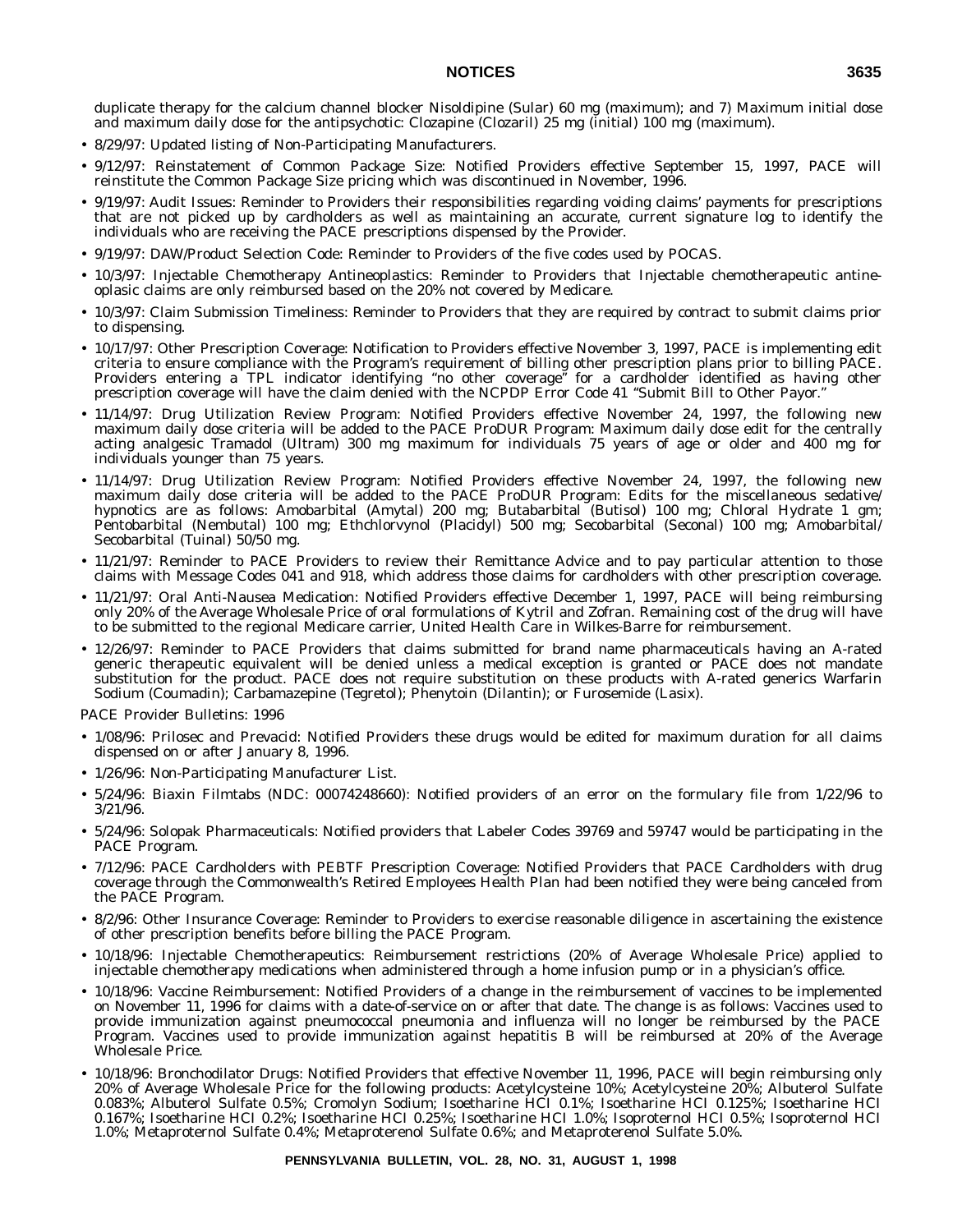duplicate therapy for the calcium channel blocker Nisoldipine (Sular) 60 mg (maximum); and 7) Maximum initial dose and maximum daily dose for the antipsychotic: Clozapine (Clozaril) 25 mg (initial) 100 mg (maximum).

- 8/29/97: Updated listing of Non-Participating Manufacturers.
- 9/12/97: Reinstatement of Common Package Size: Notified Providers effective September 15, 1997, PACE will reinstitute the Common Package Size pricing which was discontinued in November, 1996.
- 9/19/97: Audit Issues: Reminder to Providers their responsibilities regarding voiding claims' payments for prescriptions that are not picked up by cardholders as well as maintaining an accurate, current signature log to identify the individuals who are receiving the PACE prescriptions dispensed by the Provider.
- 9/19/97: DAW/Product Selection Code: Reminder to Providers of the five codes used by POCAS.
- 10/3/97: Injectable Chemotherapy Antineoplastics: Reminder to Providers that Injectable chemotherapeutic antineoplasic claims are only reimbursed based on the 20% not covered by Medicare.
- 10/3/97: Claim Submission Timeliness: Reminder to Providers that they are required by contract to submit claims prior to dispensing.
- 10/17/97: Other Prescription Coverage: Notification to Providers effective November 3, 1997, PACE is implementing edit criteria to ensure compliance with the Program's requirement of billing other prescription plans prior to billing PACE. Providers entering a TPL indicator identifying ''no other coverage'' for a cardholder identified as having other prescription coverage will have the claim denied with the NCPDP Error Code 41 ''Submit Bill to Other Payor.''
- 11/14/97: Drug Utilization Review Program: Notified Providers effective November 24, 1997, the following new maximum daily dose criteria will be added to the PACE ProDUR Program: Maximum daily dose edit for the centrally acting analgesic Tramadol (Ultram) 300 mg maximum for individuals 75 years of age or older and 400 mg for individuals younger than 75 years.
- 11/14/97: Drug Utilization Review Program: Notified Providers effective November 24, 1997, the following new maximum daily dose criteria will be added to the PACE ProDUR Program: Edits for the miscellaneous sedative/ hypnotics are as follows: Amobarbital (Amytal) 200 mg; Butabarbital (Butisol) 100 mg; Chloral Hydrate 1 gm; Pentobarbital (Nembutal) 100 mg; Ethchlorvynol (Placidyl) 500 mg; Secobarbital (Seconal) 100 mg; Amobarbital/ Secobarbital (Tuinal) 50/50 mg.
- 11/21/97: Reminder to PACE Providers to review their Remittance Advice and to pay particular attention to those claims with Message Codes 041 and 918, which address those claims for cardholders with other prescription coverage.
- 11/21/97: Oral Anti-Nausea Medication: Notified Providers effective December 1, 1997, PACE will being reimbursing only 20% of the Average Wholesale Price of oral formulations of Kytril and Zofran. Remaining cost of the drug will have to be submitted to the regional Medicare carrier, United Health Care in Wilkes-Barre for reimbursement.
- 12/26/97: Reminder to PACE Providers that claims submitted for brand name pharmaceuticals having an A-rated generic therapeutic equivalent will be denied unless a medical exception is granted or PACE does not mandate substitution for the product. PACE does not require substitution on these products with A-rated generics Warfarin Sodium (Coumadin); Carbamazepine (Tegretol); Phenytoin (Dilantin); or Furosemide (Lasix).

- 1/08/96: Prilosec and Prevacid: Notified Providers these drugs would be edited for maximum duration for all claims dispensed on or after January 8, 1996.
- 1/26/96: Non-Participating Manufacturer List.
- 5/24/96: Biaxin Filmtabs (NDC: 00074248660): Notified providers of an error on the formulary file from 1/22/96 to 3/21/96.
- 5/24/96: Solopak Pharmaceuticals: Notified providers that Labeler Codes 39769 and 59747 would be participating in the PACE Program.
- 7/12/96: PACE Cardholders with PEBTF Prescription Coverage: Notified Providers that PACE Cardholders with drug coverage through the Commonwealth's Retired Employees Health Plan had been notified they were being canceled from the PACE Program.
- 8/2/96: Other Insurance Coverage: Reminder to Providers to exercise reasonable diligence in ascertaining the existence of other prescription benefits before billing the PACE Program.
- 10/18/96: Injectable Chemotherapeutics: Reimbursement restrictions (20% of Average Wholesale Price) applied to injectable chemotherapy medications when administered through a home infusion pump or in a physician's office.
- 10/18/96: Vaccine Reimbursement: Notified Providers of a change in the reimbursement of vaccines to be implemented on November 11, 1996 for claims with a date-of-service on or after that date. The change is as follows: Vaccines used to provide immunization against pneumococcal pneumonia and influenza will no longer be reimbursed by the PACE Program. Vaccines used to provide immunization against hepatitis B will be reimbursed at 20% of the Average Wholesale Price.
- 10/18/96: Bronchodilator Drugs: Notified Providers that effective November 11, 1996, PACE will begin reimbursing only 20% of Average Wholesale Price for the following products: Acetylcysteine 10%; Acetylcysteine 20%; Albuterol Sulfate 0.083%; Albuterol Sulfate 0.5%; Cromolyn Sodium; Isoetharine HCI 0.1%; Isoetharine HCI 0.125%; Isoetharine HCI 0.167%; Isoetharine HCI 0.2%; Isoetharine HCI 0.25%; Isoetharine HCI 1.0%; Isoproternol HCI 0.5%; Isoproternol HCI 1.0%; Metaproternol Sulfate 0.4%; Metaproterenol Sulfate 0.6%; and Metaproterenol Sulfate 5.0%.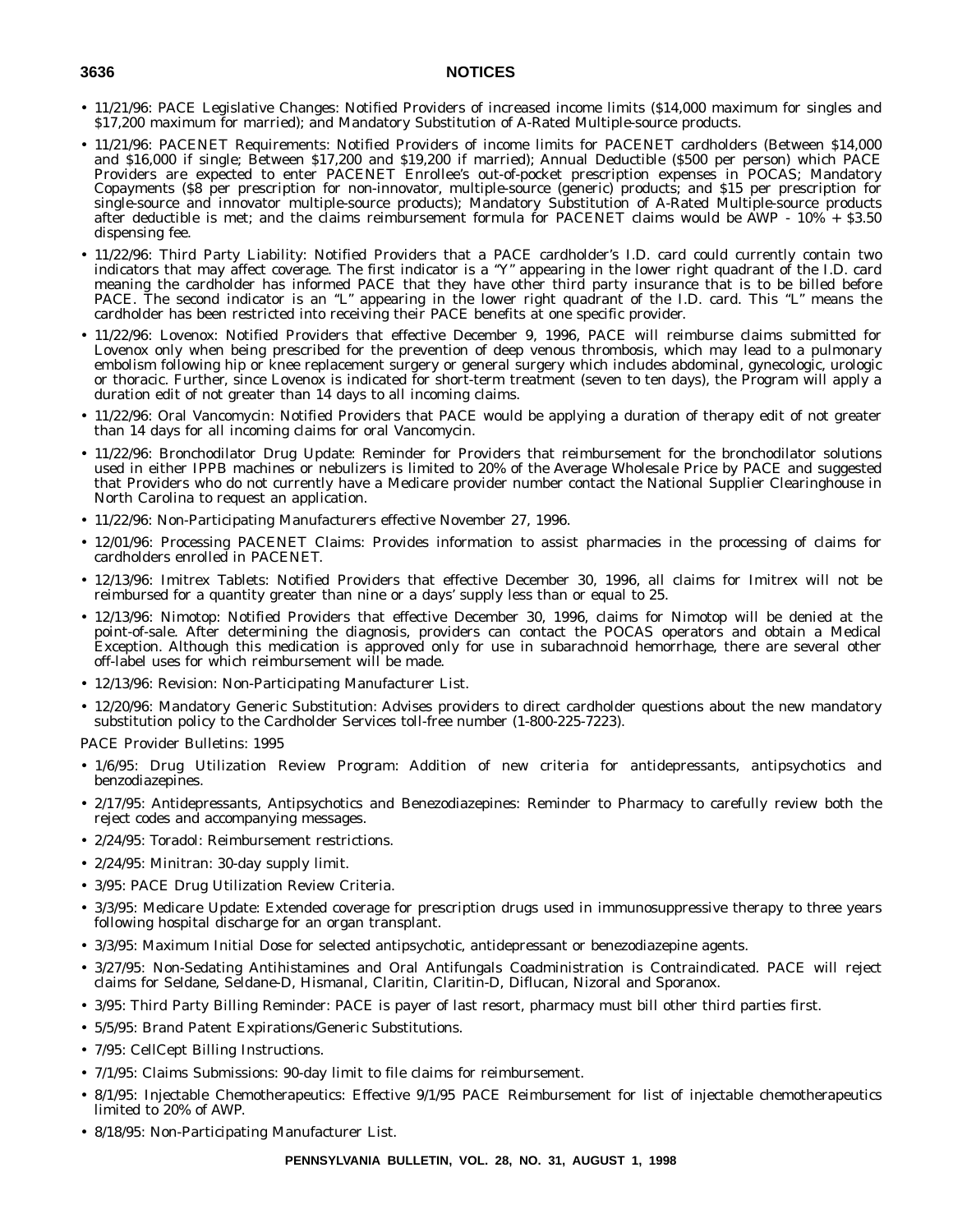- 11/21/96: PACE Legislative Changes: Notified Providers of increased income limits (\$14,000 maximum for singles and \$17,200 maximum for married); and Mandatory Substitution of A-Rated Multiple-source products.
- 11/21/96: PACENET Requirements: Notified Providers of income limits for PACENET cardholders (Between \$14,000 and \$16,000 if single; Between \$17,200 and \$19,200 if married); Annual Deductible (\$500 per person) which PACE Providers are expected to enter PACENET Enrollee's out-of-pocket prescription expenses in POCAS; Mandatory Copayments (\$8 per prescription for non-innovator, multiple-source (generic) products; and \$15 per prescription for single-source and innovator multiple-source products); Mandatory Substitution of A-Rated Multiple-source products after deductible is met; and the claims reimbursement formula for PACENET claims would be AWP - 10% + \$3.50 dispensing fee.
- 11/22/96: Third Party Liability: Notified Providers that a PACE cardholder's I.D. card could currently contain two indicators that may affect coverage. The first indicator is a "Y" appearing in the lower right quadrant of the I.D. card meaning the cardholder has informed PACE that they have other third party insurance that is to be billed before PACE. The second indicator is an "L" appearing in the lower right quadrant of the I.D. card. This "L" means the cardholder has been restricted into receiving their PACE benefits at one specific provider.
- 11/22/96: Lovenox: Notified Providers that effective December 9, 1996, PACE will reimburse claims submitted for Lovenox only when being prescribed for the prevention of deep venous thrombosis, which may lead to a pulmonary embolism following hip or knee replacement surgery or general surgery which includes abdominal, gynecologic, urologic or thoracic. Further, since Lovenox is indicated for short-term treatment (seven to ten days), the Program will apply a duration edit of not greater than 14 days to all incoming claims.
- 11/22/96: Oral Vancomycin: Notified Providers that PACE would be applying a duration of therapy edit of not greater than 14 days for all incoming claims for oral Vancomycin.
- 11/22/96: Bronchodilator Drug Update: Reminder for Providers that reimbursement for the bronchodilator solutions used in either IPPB machines or nebulizers is limited to 20% of the Average Wholesale Price by PACE and suggested that Providers who do not currently have a Medicare provider number contact the National Supplier Clearinghouse in North Carolina to request an application.
- 11/22/96: Non-Participating Manufacturers effective November 27, 1996.
- 12/01/96: Processing PACENET Claims: Provides information to assist pharmacies in the processing of claims for cardholders enrolled in PACENET.
- 12/13/96: Imitrex Tablets: Notified Providers that effective December 30, 1996, all claims for Imitrex will not be reimbursed for a quantity greater than nine or a days' supply less than or equal to 25.
- 12/13/96: Nimotop: Notified Providers that effective December 30, 1996, claims for Nimotop will be denied at the point-of-sale. After determining the diagnosis, providers can contact the POCAS operators and obtain a Medical Exception. Although this medication is approved only for use in subarachnoid hemorrhage, there are several other off-label uses for which reimbursement will be made.
- 12/13/96: Revision: Non-Participating Manufacturer List.
- 12/20/96: Mandatory Generic Substitution: Advises providers to direct cardholder questions about the new mandatory substitution policy to the Cardholder Services toll-free number (1-800-225-7223).

- 1/6/95: Drug Utilization Review Program: Addition of new criteria for antidepressants, antipsychotics and benzodiazepines.
- 2/17/95: Antidepressants, Antipsychotics and Benezodiazepines: Reminder to Pharmacy to carefully review both the reject codes and accompanying messages.
- 2/24/95: Toradol: Reimbursement restrictions.
- 2/24/95: Minitran: 30-day supply limit.
- 3/95: PACE Drug Utilization Review Criteria.
- 3/3/95: Medicare Update: Extended coverage for prescription drugs used in immunosuppressive therapy to three years following hospital discharge for an organ transplant.
- 3/3/95: Maximum Initial Dose for selected antipsychotic, antidepressant or benezodiazepine agents.
- 3/27/95: Non-Sedating Antihistamines and Oral Antifungals Coadministration is Contraindicated. PACE will reject claims for Seldane, Seldane-D, Hismanal, Claritin, Claritin-D, Diflucan, Nizoral and Sporanox.
- 3/95: Third Party Billing Reminder: PACE is payer of last resort, pharmacy must bill other third parties first.
- 5/5/95: Brand Patent Expirations/Generic Substitutions.
- 7/95: CellCept Billing Instructions.
- 7/1/95: Claims Submissions: 90-day limit to file claims for reimbursement.
- 8/1/95: Injectable Chemotherapeutics: Effective 9/1/95 PACE Reimbursement for list of injectable chemotherapeutics limited to 20% of AWP.
- 8/18/95: Non-Participating Manufacturer List.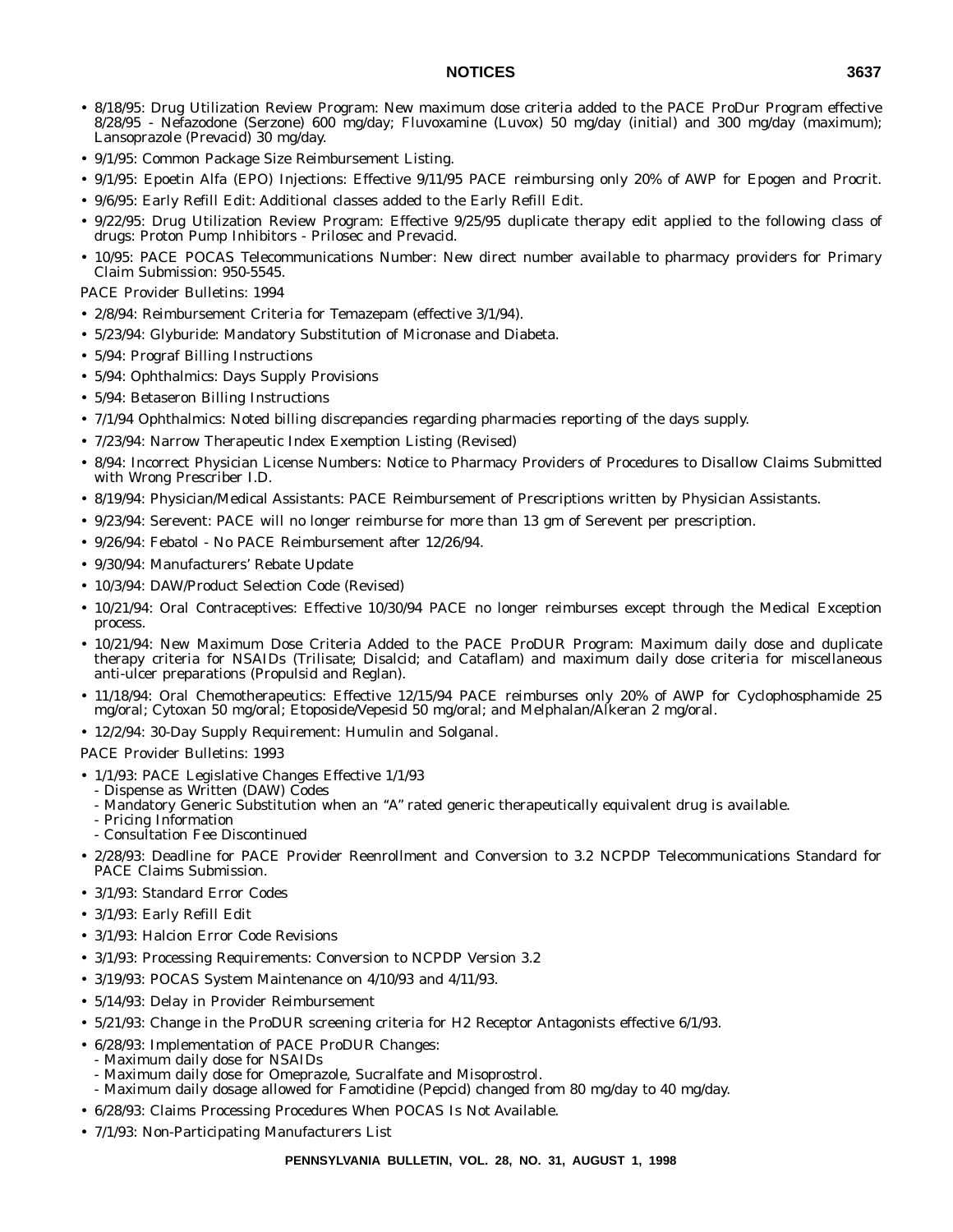- 8/18/95: Drug Utilization Review Program: New maximum dose criteria added to the PACE ProDur Program effective 8/28/95 - Nefazodone (Serzone) 600 mg/day; Fluvoxamine (Luvox) 50 mg/day (initial) and 300 mg/day (maximum); Lansoprazole (Prevacid) 30 mg/day.
- 9/1/95: Common Package Size Reimbursement Listing.
- 9/1/95: Epoetin Alfa (EPO) Injections: Effective 9/11/95 PACE reimbursing only 20% of AWP for Epogen and Procrit.
- 9/6/95: Early Refill Edit: Additional classes added to the Early Refill Edit.
- 9/22/95: Drug Utilization Review Program: Effective 9/25/95 duplicate therapy edit applied to the following class of drugs: Proton Pump Inhibitors - Prilosec and Prevacid.
- 10/95: PACE POCAS Telecommunications Number: New direct number available to pharmacy providers for Primary Claim Submission: 950-5545.

PACE Provider Bulletins: 1994

- 2/8/94: Reimbursement Criteria for Temazepam (effective 3/1/94).
- 5/23/94: Glyburide: Mandatory Substitution of Micronase and Diabeta.
- 5/94: Prograf Billing Instructions
- 5/94: Ophthalmics: Days Supply Provisions
- 5/94: Betaseron Billing Instructions
- 7/1/94 Ophthalmics: Noted billing discrepancies regarding pharmacies reporting of the days supply.
- 7/23/94: Narrow Therapeutic Index Exemption Listing (Revised)
- 8/94: Incorrect Physician License Numbers: Notice to Pharmacy Providers of Procedures to Disallow Claims Submitted with Wrong Prescriber I.D.
- 8/19/94: Physician/Medical Assistants: PACE Reimbursement of Prescriptions written by Physician Assistants.
- 9/23/94: Serevent: PACE will no longer reimburse for more than 13 gm of Serevent per prescription.
- 9/26/94: Febatol No PACE Reimbursement after 12/26/94.
- 9/30/94: Manufacturers' Rebate Update
- 10/3/94: DAW/Product Selection Code (Revised)
- 10/21/94: Oral Contraceptives: Effective 10/30/94 PACE no longer reimburses except through the Medical Exception process.
- 10/21/94: New Maximum Dose Criteria Added to the PACE ProDUR Program: Maximum daily dose and duplicate therapy criteria for NSAIDs (Trilisate; Disalcid; and Cataflam) and maximum daily dose criteria for miscellaneous anti-ulcer preparations (Propulsid and Reglan).
- 11/18/94: Oral Chemotherapeutics: Effective 12/15/94 PACE reimburses only 20% of AWP for Cyclophosphamide 25 mg/oral; Cytoxan 50 mg/oral; Etoposide/Vepesid 50 mg/oral; and Melphalan/Alkeran 2 mg/oral.
- 12/2/94: 30-Day Supply Requirement: Humulin and Solganal.

- 1/1/93: PACE Legislative Changes Effective 1/1/93
	- Dispense as Written (DAW) Codes
	- Mandatory Generic Substitution when an ''A'' rated generic therapeutically equivalent drug is available.
	- Pricing Information
	- Consultation Fee Discontinued
- 2/28/93: Deadline for PACE Provider Reenrollment and Conversion to 3.2 NCPDP Telecommunications Standard for PACE Claims Submission.
- 3/1/93: Standard Error Codes
- 3/1/93: Early Refill Edit
- 3/1/93: Halcion Error Code Revisions
- 3/1/93: Processing Requirements: Conversion to NCPDP Version 3.2
- 3/19/93: POCAS System Maintenance on 4/10/93 and 4/11/93.
- 5/14/93: Delay in Provider Reimbursement
- 5/21/93: Change in the ProDUR screening criteria for H2 Receptor Antagonists effective 6/1/93.
- 6/28/93: Implementation of PACE ProDUR Changes:
- Maximum daily dose for NSAIDs
- Maximum daily dose for Omeprazole, Sucralfate and Misoprostrol.
- Maximum daily dosage allowed for Famotidine (Pepcid) changed from 80 mg/day to 40 mg/day.
- 6/28/93: Claims Processing Procedures When POCAS Is Not Available.
- 7/1/93: Non-Participating Manufacturers List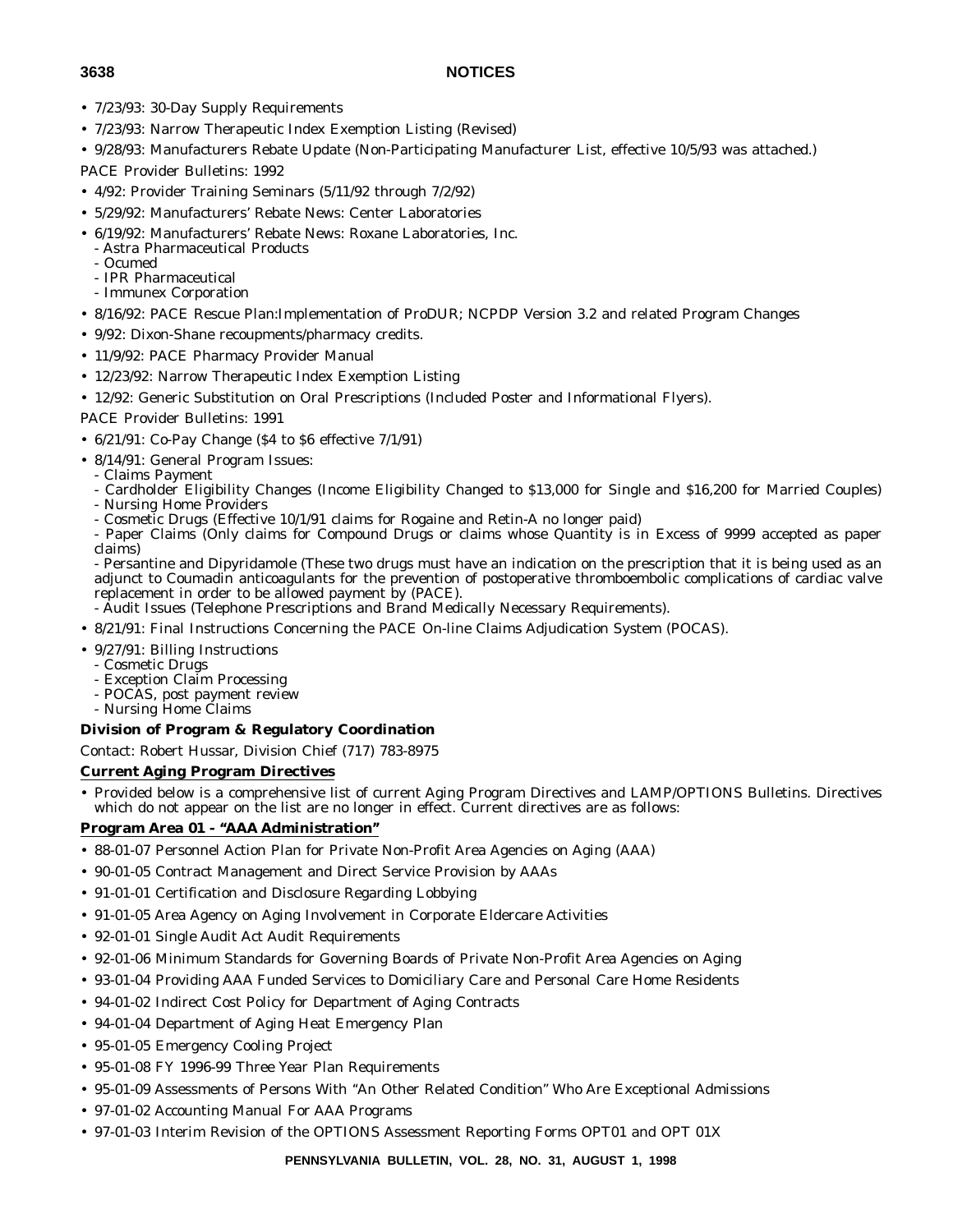- 
- 7/23/93: 30-Day Supply Requirements
- 7/23/93: Narrow Therapeutic Index Exemption Listing (Revised)
- 9/28/93: Manufacturers Rebate Update (Non-Participating Manufacturer List, effective 10/5/93 was attached.)
- PACE Provider Bulletins: 1992
- 4/92: Provider Training Seminars (5/11/92 through 7/2/92)
- 5/29/92: Manufacturers' Rebate News: Center Laboratories
- 6/19/92: Manufacturers' Rebate News: Roxane Laboratories, Inc.
	- Astra Pharmaceutical Products
	- Ocumed
	- IPR Pharmaceutical
- Immunex Corporation
- 8/16/92: PACE Rescue Plan:Implementation of ProDUR; NCPDP Version 3.2 and related Program Changes
- 9/92: Dixon-Shane recoupments/pharmacy credits.
- 11/9/92: PACE Pharmacy Provider Manual
- 12/23/92: Narrow Therapeutic Index Exemption Listing
- 12/92: Generic Substitution on Oral Prescriptions (Included Poster and Informational Flyers).

# PACE Provider Bulletins: 1991

- 6/21/91: Co-Pay Change (\$4 to \$6 effective 7/1/91)
- 8/14/91: General Program Issues:
- Claims Payment
- Cardholder Eligibility Changes (Income Eligibility Changed to \$13,000 for Single and \$16,200 for Married Couples) - Nursing Home Providers
- Cosmetic Drugs (Effective 10/1/91 claims for Rogaine and Retin-A no longer paid)
- Paper Claims (Only claims for Compound Drugs or claims whose Quantity is in Excess of 9999 accepted as paper claims)
- Persantine and Dipyridamole (These two drugs must have an indication on the prescription that it is being used as an adjunct to Coumadin anticoagulants for the prevention of postoperative thromboembolic complications of cardiac valve replacement in order to be allowed payment by (PACE).
- Audit Issues (Telephone Prescriptions and Brand Medically Necessary Requirements).
- 8/21/91: Final Instructions Concerning the PACE On-line Claims Adjudication System (POCAS).
- 9/27/91: Billing Instructions
	- Cosmetic Drugs
	- Exception Claim Processing
	- POCAS, post payment review
	- Nursing Home Claims

#### **Division of Program & Regulatory Coordination**

Contact: Robert Hussar, Division Chief (717) 783-8975

# **Current Aging Program Directives**

• Provided below is a comprehensive list of current Aging Program Directives and LAMP/OPTIONS Bulletins. Directives which do not appear on the list are no longer in effect. Current directives are as follows:

# **Program Area 01 - ''AAA Administration''**

- 88-01-07 Personnel Action Plan for Private Non-Profit Area Agencies on Aging (AAA)
- 90-01-05 Contract Management and Direct Service Provision by AAAs
- 91-01-01 Certification and Disclosure Regarding Lobbying
- 91-01-05 Area Agency on Aging Involvement in Corporate Eldercare Activities
- 92-01-01 Single Audit Act Audit Requirements
- 92-01-06 Minimum Standards for Governing Boards of Private Non-Profit Area Agencies on Aging
- 93-01-04 Providing AAA Funded Services to Domiciliary Care and Personal Care Home Residents
- 94-01-02 Indirect Cost Policy for Department of Aging Contracts
- 94-01-04 Department of Aging Heat Emergency Plan
- 95-01-05 Emergency Cooling Project
- 95-01-08 FY 1996-99 Three Year Plan Requirements
- 95-01-09 Assessments of Persons With ''An Other Related Condition'' Who Are Exceptional Admissions
- 97-01-02 Accounting Manual For AAA Programs
- 97-01-03 Interim Revision of the OPTIONS Assessment Reporting Forms OPT01 and OPT 01X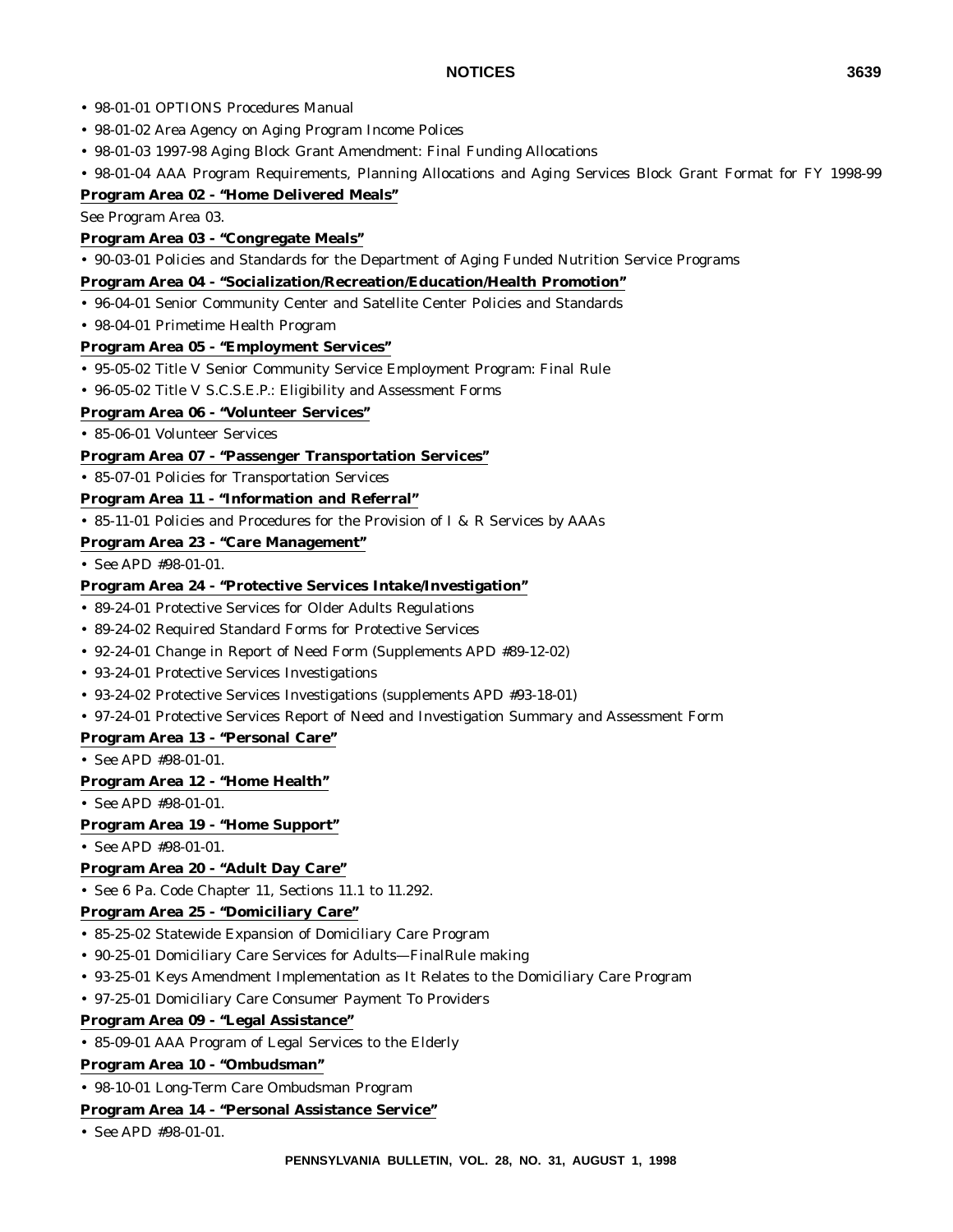- 98-01-01 OPTIONS Procedures Manual
- 98-01-02 Area Agency on Aging Program Income Polices
- 98-01-03 1997-98 Aging Block Grant Amendment: Final Funding Allocations

• 98-01-04 AAA Program Requirements, Planning Allocations and Aging Services Block Grant Format for FY 1998-99 **Program Area 02 - ''Home Delivered Meals''**

See Program Area 03.

# **Program Area 03 - ''Congregate Meals''**

• 90-03-01 Policies and Standards for the Department of Aging Funded Nutrition Service Programs

#### **Program Area 04 - ''Socialization/Recreation/Education/Health Promotion''**

- 96-04-01 Senior Community Center and Satellite Center Policies and Standards
- 98-04-01 Primetime Health Program

# **Program Area 05 - ''Employment Services''**

- 95-05-02 Title V Senior Community Service Employment Program: Final Rule
- 96-05-02 Title V S.C.S.E.P.: Eligibility and Assessment Forms

# **Program Area 06 - ''Volunteer Services''**

• 85-06-01 Volunteer Services

# **Program Area 07 - ''Passenger Transportation Services''**

• 85-07-01 Policies for Transportation Services

# **Program Area 11 - ''Information and Referral''**

• 85-11-01 Policies and Procedures for the Provision of I & R Services by AAAs

# **Program Area 23 - ''Care Management''**

• See APD #98-01-01.

# **Program Area 24 - ''Protective Services Intake/Investigation''**

- 89-24-01 Protective Services for Older Adults Regulations
- 89-24-02 Required Standard Forms for Protective Services
- 92-24-01 Change in Report of Need Form (Supplements APD #89-12-02)
- 93-24-01 Protective Services Investigations
- 93-24-02 Protective Services Investigations (supplements APD #93-18-01)
- 97-24-01 Protective Services Report of Need and Investigation Summary and Assessment Form

#### **Program Area 13 - ''Personal Care''**

• See APD #98-01-01.

# **Program Area 12 - ''Home Health''**

• See APD #98-01-01.

# **Program Area 19 - ''Home Support''**

• See APD #98-01-01.

# **Program Area 20 - ''Adult Day Care''**

• See 6 Pa. Code Chapter 11, Sections 11.1 to 11.292.

# **Program Area 25 - ''Domiciliary Care''**

- 85-25-02 Statewide Expansion of Domiciliary Care Program
- 90-25-01 Domiciliary Care Services for Adults—FinalRule making
- 93-25-01 Keys Amendment Implementation as It Relates to the Domiciliary Care Program
- 97-25-01 Domiciliary Care Consumer Payment To Providers

#### **Program Area 09 - ''Legal Assistance''**

• 85-09-01 AAA Program of Legal Services to the Elderly

# **Program Area 10 - ''Ombudsman''**

• 98-10-01 Long-Term Care Ombudsman Program

#### **Program Area 14 - ''Personal Assistance Service''**

• See APD #98-01-01.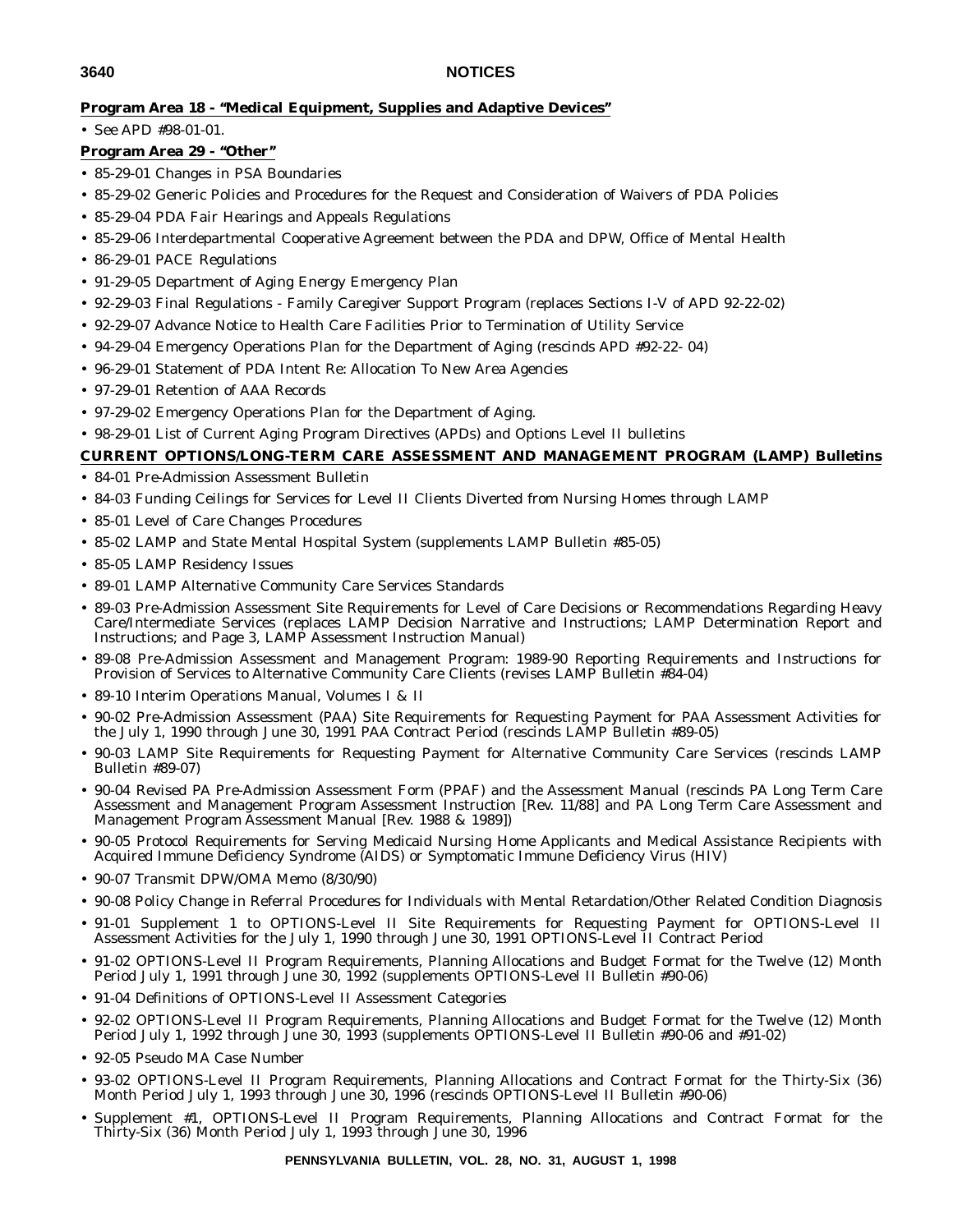# **Program Area 18 - ''Medical Equipment, Supplies and Adaptive Devices''**

• See APD #98-01-01.

# **Program Area 29 - ''Other''**

- 85-29-01 Changes in PSA Boundaries
- 85-29-02 Generic Policies and Procedures for the Request and Consideration of Waivers of PDA Policies
- 85-29-04 PDA Fair Hearings and Appeals Regulations
- 85-29-06 Interdepartmental Cooperative Agreement between the PDA and DPW, Office of Mental Health
- 86-29-01 PACE Regulations
- 91-29-05 Department of Aging Energy Emergency Plan
- 92-29-03 Final Regulations Family Caregiver Support Program (replaces Sections I-V of APD 92-22-02)
- 92-29-07 Advance Notice to Health Care Facilities Prior to Termination of Utility Service
- 94-29-04 Emergency Operations Plan for the Department of Aging (rescinds APD #92-22- 04)
- 96-29-01 Statement of PDA Intent Re: Allocation To New Area Agencies
- 97-29-01 Retention of AAA Records
- 97-29-02 Emergency Operations Plan for the Department of Aging.
- 98-29-01 List of Current Aging Program Directives (APDs) and Options Level II bulletins

# **CURRENT OPTIONS/LONG-TERM CARE ASSESSMENT AND MANAGEMENT PROGRAM (LAMP) Bulletins**

- 84-01 Pre-Admission Assessment Bulletin
- 84-03 Funding Ceilings for Services for Level II Clients Diverted from Nursing Homes through LAMP
- 85-01 Level of Care Changes Procedures
- 85-02 LAMP and State Mental Hospital System (supplements LAMP Bulletin #85-05)
- 85-05 LAMP Residency Issues
- 89-01 LAMP Alternative Community Care Services Standards
- 89-03 Pre-Admission Assessment Site Requirements for Level of Care Decisions or Recommendations Regarding Heavy Care/Intermediate Services (replaces LAMP Decision Narrative and Instructions; LAMP Determination Report and Instructions; and Page 3, LAMP Assessment Instruction Manual)
- 89-08 Pre-Admission Assessment and Management Program: 1989-90 Reporting Requirements and Instructions for Provision of Services to Alternative Community Care Clients (revises LAMP Bulletin #84-04)
- 89-10 Interim Operations Manual, Volumes I & II
- 90-02 Pre-Admission Assessment (PAA) Site Requirements for Requesting Payment for PAA Assessment Activities for the July 1, 1990 through June 30, 1991 PAA Contract Period (rescinds LAMP Bulletin #89-05)
- 90-03 LAMP Site Requirements for Requesting Payment for Alternative Community Care Services (rescinds LAMP Bulletin #89-07)
- 90-04 Revised PA Pre-Admission Assessment Form (PPAF) and the Assessment Manual (rescinds PA Long Term Care Assessment and Management Program Assessment Instruction [Rev. 11/88] and PA Long Term Care Assessment and Management Program Assessment Manual [Rev. 1988 & 1989])
- 90-05 Protocol Requirements for Serving Medicaid Nursing Home Applicants and Medical Assistance Recipients with Acquired Immune Deficiency Syndrome (AIDS) or Symptomatic Immune Deficiency Virus (HIV)
- 90-07 Transmit DPW/OMA Memo (8/30/90)
- 90-08 Policy Change in Referral Procedures for Individuals with Mental Retardation/Other Related Condition Diagnosis
- 91-01 Supplement 1 to OPTIONS-Level II Site Requirements for Requesting Payment for OPTIONS-Level II Assessment Activities for the July 1, 1990 through June 30, 1991 OPTIONS-Level II Contract Period
- 91-02 OPTIONS-Level II Program Requirements, Planning Allocations and Budget Format for the Twelve (12) Month Period July 1, 1991 through June 30, 1992 (supplements OPTIONS-Level II Bulletin #90-06)
- 91-04 Definitions of OPTIONS-Level II Assessment Categories
- 92-02 OPTIONS-Level II Program Requirements, Planning Allocations and Budget Format for the Twelve (12) Month Period July 1, 1992 through June 30, 1993 (supplements OPTIONS-Level II Bulletin #90-06 and #91-02)
- 92-05 Pseudo MA Case Number
- 93-02 OPTIONS-Level II Program Requirements, Planning Allocations and Contract Format for the Thirty-Six (36) Month Period July 1, 1993 through June 30, 1996 (rescinds OPTIONS-Level II Bulletin #90-06)
- Supplement #1, OPTIONS-Level II Program Requirements, Planning Allocations and Contract Format for the Thirty-Six (36) Month Period July 1, 1993 through June 30, 1996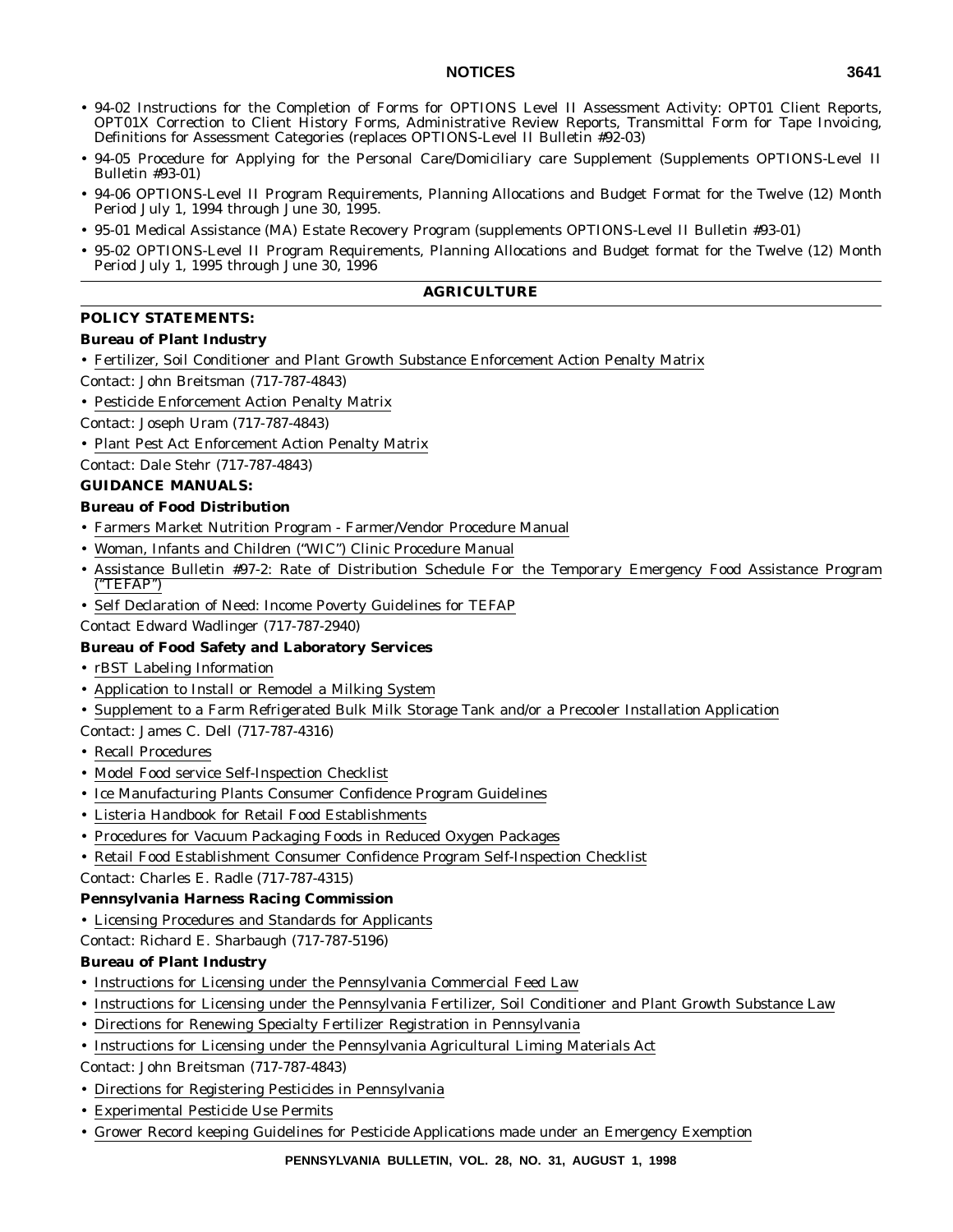- 94-02 Instructions for the Completion of Forms for OPTIONS Level II Assessment Activity: OPT01 Client Reports, OPT01X Correction to Client History Forms, Administrative Review Reports, Transmittal Form for Tape Invoicing, Definitions for Assessment Categories (replaces OPTIONS-Level II Bulletin #92-03)
- 94-05 Procedure for Applying for the Personal Care/Domiciliary care Supplement (Supplements OPTIONS-Level II Bulletin #93-01)
- 94-06 OPTIONS-Level II Program Requirements, Planning Allocations and Budget Format for the Twelve (12) Month Period July 1, 1994 through June 30, 1995.
- 95-01 Medical Assistance (MA) Estate Recovery Program (supplements OPTIONS-Level II Bulletin #93-01)
- 95-02 OPTIONS-Level II Program Requirements, Planning Allocations and Budget format for the Twelve (12) Month Period July 1, 1995 through June 30, 1996

# **AGRICULTURE**

# **POLICY STATEMENTS:**

# **Bureau of Plant Industry**

- Fertilizer, Soil Conditioner and Plant Growth Substance Enforcement Action Penalty Matrix
- Contact: John Breitsman (717-787-4843)
- Pesticide Enforcement Action Penalty Matrix
- Contact: Joseph Uram (717-787-4843)
- Plant Pest Act Enforcement Action Penalty Matrix

Contact: Dale Stehr (717-787-4843)

# **GUIDANCE MANUALS:**

# **Bureau of Food Distribution**

- Farmers Market Nutrition Program Farmer/Vendor Procedure Manual
- Woman, Infants and Children ("WIC") Clinic Procedure Manual
- Assistance Bulletin #97-2: Rate of Distribution Schedule For the Temporary Emergency Food Assistance Program (''TEFAP'')
- Self Declaration of Need: Income Poverty Guidelines for TEFAP

Contact Edward Wadlinger (717-787-2940)

# **Bureau of Food Safety and Laboratory Services**

- rBST Labeling Information
- Application to Install or Remodel a Milking System
- Supplement to a Farm Refrigerated Bulk Milk Storage Tank and/or a Precooler Installation Application

Contact: James C. Dell (717-787-4316)

- Recall Procedures
- Model Food service Self-Inspection Checklist
- Ice Manufacturing Plants Consumer Confidence Program Guidelines
- Listeria Handbook for Retail Food Establishments
- Procedures for Vacuum Packaging Foods in Reduced Oxygen Packages
- Retail Food Establishment Consumer Confidence Program Self-Inspection Checklist

Contact: Charles E. Radle (717-787-4315)

#### **Pennsylvania Harness Racing Commission**

• Licensing Procedures and Standards for Applicants

Contact: Richard E. Sharbaugh (717-787-5196)

# **Bureau of Plant Industry**

- Instructions for Licensing under the Pennsylvania Commercial Feed Law
- Instructions for Licensing under the Pennsylvania Fertilizer, Soil Conditioner and Plant Growth Substance Law
- Directions for Renewing Specialty Fertilizer Registration in Pennsylvania
- Instructions for Licensing under the Pennsylvania Agricultural Liming Materials Act

Contact: John Breitsman (717-787-4843)

- Directions for Registering Pesticides in Pennsylvania
- Experimental Pesticide Use Permits
- Grower Record keeping Guidelines for Pesticide Applications made under an Emergency Exemption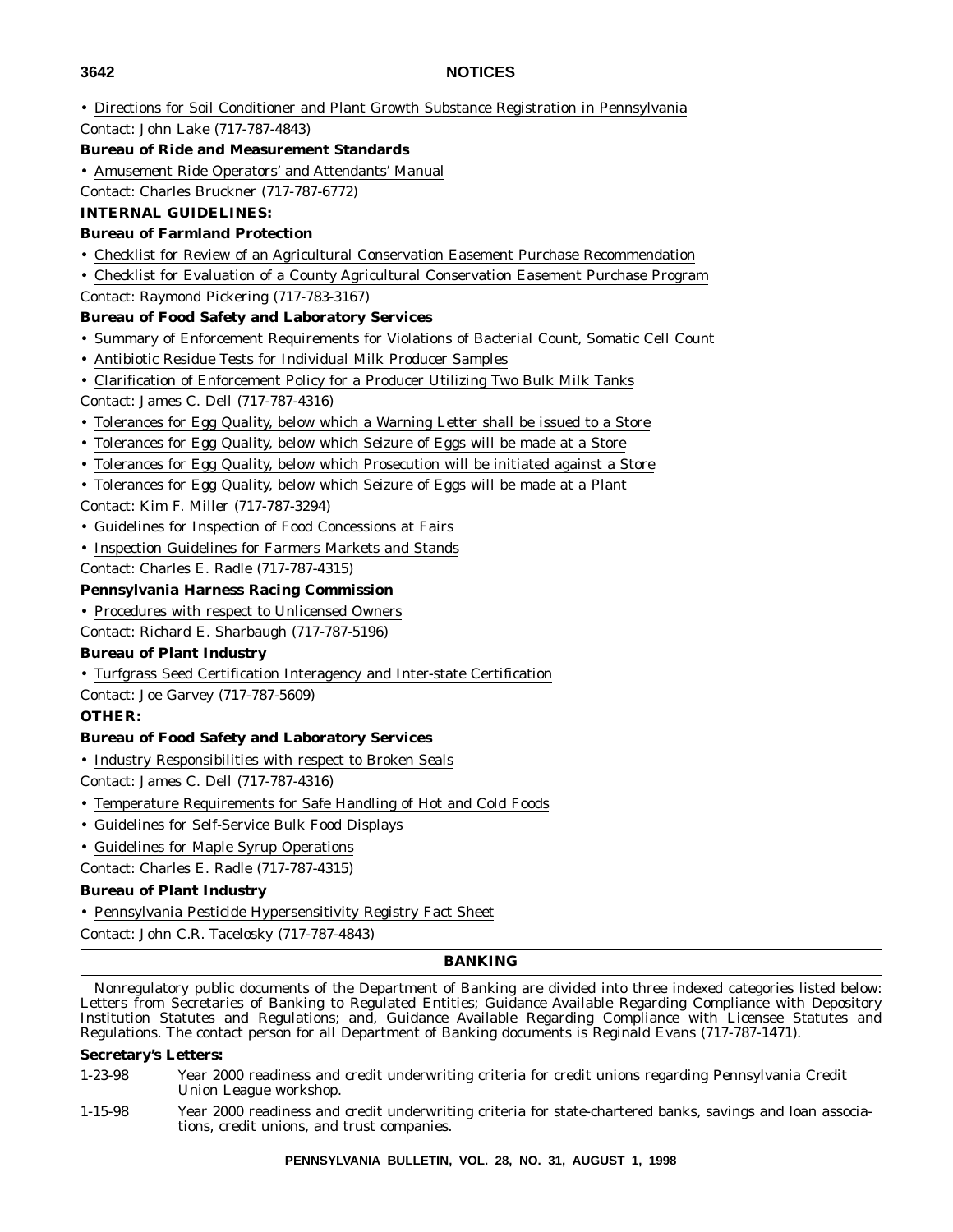• Directions for Soil Conditioner and Plant Growth Substance Registration in Pennsylvania Contact: John Lake (717-787-4843)

# **Bureau of Ride and Measurement Standards**

• Amusement Ride Operators' and Attendants' Manual

Contact: Charles Bruckner (717-787-6772)

# **INTERNAL GUIDELINES:**

# **Bureau of Farmland Protection**

- Checklist for Review of an Agricultural Conservation Easement Purchase Recommendation
- Checklist for Evaluation of a County Agricultural Conservation Easement Purchase Program

Contact: Raymond Pickering (717-783-3167)

# **Bureau of Food Safety and Laboratory Services**

- Summary of Enforcement Requirements for Violations of Bacterial Count, Somatic Cell Count
- Antibiotic Residue Tests for Individual Milk Producer Samples
- Clarification of Enforcement Policy for a Producer Utilizing Two Bulk Milk Tanks

Contact: James C. Dell (717-787-4316)

- Tolerances for Egg Quality, below which a Warning Letter shall be issued to a Store
- Tolerances for Egg Quality, below which Seizure of Eggs will be made at a Store
- Tolerances for Egg Quality, below which Prosecution will be initiated against a Store
- Tolerances for Egg Quality, below which Seizure of Eggs will be made at a Plant
- Contact: Kim F. Miller (717-787-3294)
- Guidelines for Inspection of Food Concessions at Fairs
- Inspection Guidelines for Farmers Markets and Stands

Contact: Charles E. Radle (717-787-4315)

# **Pennsylvania Harness Racing Commission**

# • Procedures with respect to Unlicensed Owners

Contact: Richard E. Sharbaugh (717-787-5196)

# **Bureau of Plant Industry**

• Turfgrass Seed Certification Interagency and Inter-state Certification

Contact: Joe Garvey (717-787-5609)

# **OTHER:**

# **Bureau of Food Safety and Laboratory Services**

• Industry Responsibilities with respect to Broken Seals

Contact: James C. Dell (717-787-4316)

- Temperature Requirements for Safe Handling of Hot and Cold Foods
- Guidelines for Self-Service Bulk Food Displays
- Guidelines for Maple Syrup Operations

Contact: Charles E. Radle (717-787-4315)

# **Bureau of Plant Industry**

• Pennsylvania Pesticide Hypersensitivity Registry Fact Sheet

Contact: John C.R. Tacelosky (717-787-4843)

#### **BANKING**

Nonregulatory public documents of the Department of Banking are divided into three indexed categories listed below: Letters from Secretaries of Banking to Regulated Entities; Guidance Available Regarding Compliance with Depository Institution Statutes and Regulations; and, Guidance Available Regarding Compliance with Licensee Statutes and Regulations. The contact person for all Department of Banking documents is Reginald Evans (717-787-1471).

#### **Secretary's Letters:**

1-23-98 Year 2000 readiness and credit underwriting criteria for credit unions regarding Pennsylvania Credit Union League workshop.

1-15-98 Year 2000 readiness and credit underwriting criteria for state-chartered banks, savings and loan associations, credit unions, and trust companies.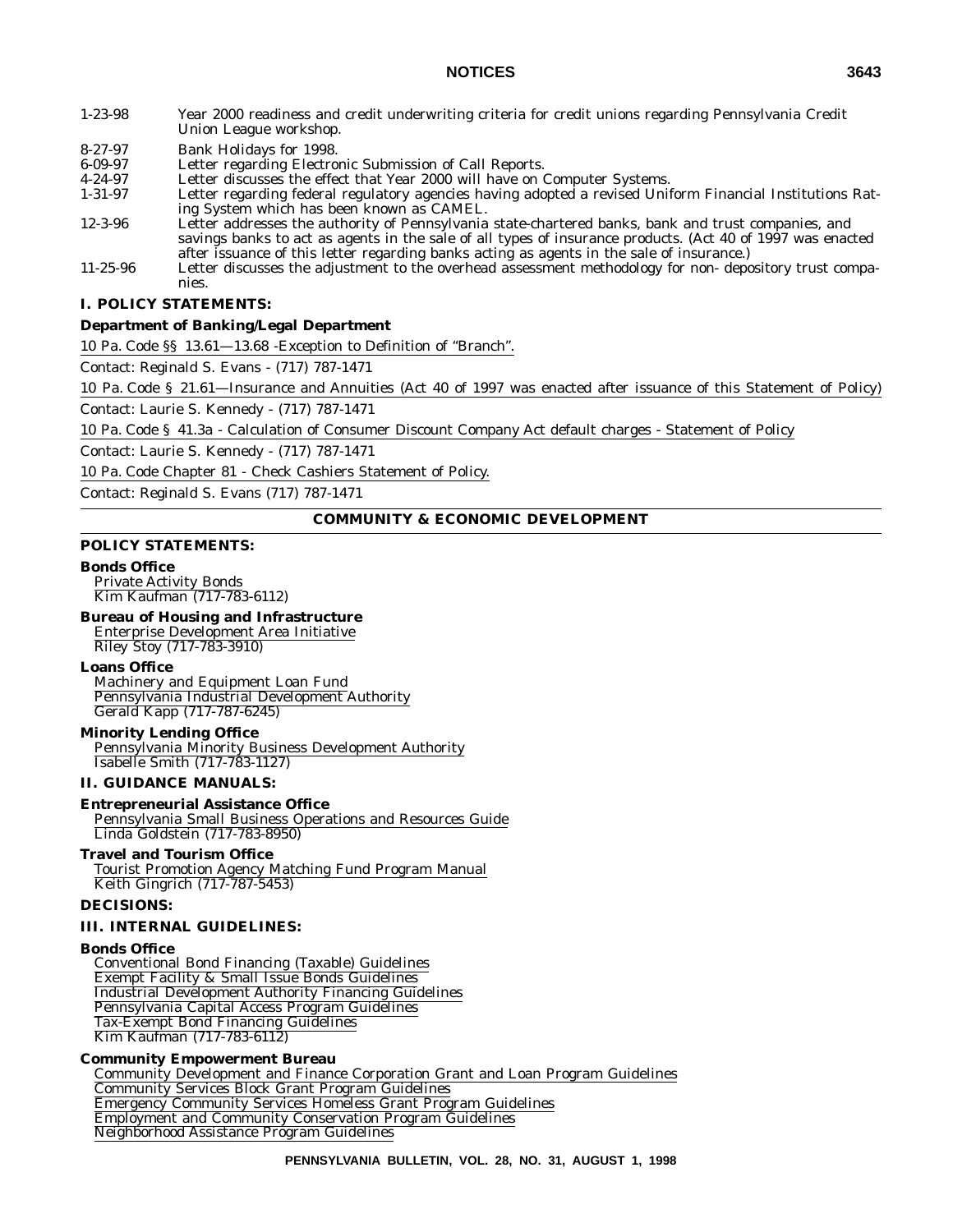- 1-23-98 Year 2000 readiness and credit underwriting criteria for credit unions regarding Pennsylvania Credit
- Union League workshop.
- 8-27-97 Bank Holidays for 1998.
- 6-09-97 Letter regarding Electronic Submission of Call Reports.
- 4-24-97 Letter discusses the effect that Year 2000 will have on Computer Systems.<br>1-31-97 Letter regarding federal regulatory agencies having adopted a revised Unit
- Letter regarding federal regulatory agencies having adopted a revised Uniform Financial Institutions Rating System which has been known as CAMEL.
- 12-3-96 Letter addresses the authority of Pennsylvania state-chartered banks, bank and trust companies, and savings banks to act as agents in the sale of all types of insurance products. (Act 40 of 1997 was enacted after issuance of this letter regarding banks acting as agents in the sale of insurance.)
- 11-25-96 Letter discusses the adjustment to the overhead assessment methodology for non- depository trust companies.

#### **I. POLICY STATEMENTS:**

#### **Department of Banking/Legal Department**

10 Pa. Code §§ 13.61—13.68 -Exception to Definition of ''Branch''.

Contact: Reginald S. Evans - (717) 787-1471

10 Pa. Code § 21.61—Insurance and Annuities (Act 40 of 1997 was enacted after issuance of this Statement of Policy)

Contact: Laurie S. Kennedy - (717) 787-1471

10 Pa. Code § 41.3a - Calculation of Consumer Discount Company Act default charges - Statement of Policy

Contact: Laurie S. Kennedy - (717) 787-1471

10 Pa. Code Chapter 81 - Check Cashiers Statement of Policy.

Contact: Reginald S. Evans (717) 787-1471

#### **COMMUNITY & ECONOMIC DEVELOPMENT**

#### **POLICY STATEMENTS:**

#### **Bonds Office**

Private Activity Bonds Kim Kaufman (717-783-6112)

### **Bureau of Housing and Infrastructure**

Enterprise Development Area Initiative Riley Stoy (717-783-3910)

#### **Loans Office**

Machinery and Equipment Loan Fund Pennsylvania Industrial Development Authority Gerald Kapp (717-787-6245)

#### **Minority Lending Office**

Pennsylvania Minority Business Development Authority Isabelle Smith (717-783-1127)

#### **II. GUIDANCE MANUALS:**

#### **Entrepreneurial Assistance Office**

Pennsylvania Small Business Operations and Resources Guide Linda Goldstein (717-783-8950)

# **Travel and Tourism Office**

Tourist Promotion Agency Matching Fund Program Manual Keith Gingrich (717-787-5453)

#### **DECISIONS:**

#### **III. INTERNAL GUIDELINES:**

#### **Bonds Office**

Conventional Bond Financing (Taxable) Guidelines Exempt Facility & Small Issue Bonds Guidelines Industrial Development Authority Financing Guidelines Pennsylvania Capital Access Program Guidelines Tax-Exempt Bond Financing Guidelines Kim Kaufman (717-783-6112)

#### **Community Empowerment Bureau**

Community Development and Finance Corporation Grant and Loan Program Guidelines Community Services Block Grant Program Guidelines Emergency Community Services Homeless Grant Program Guidelines Employment and Community Conservation Program Guidelines Neighborhood Assistance Program Guidelines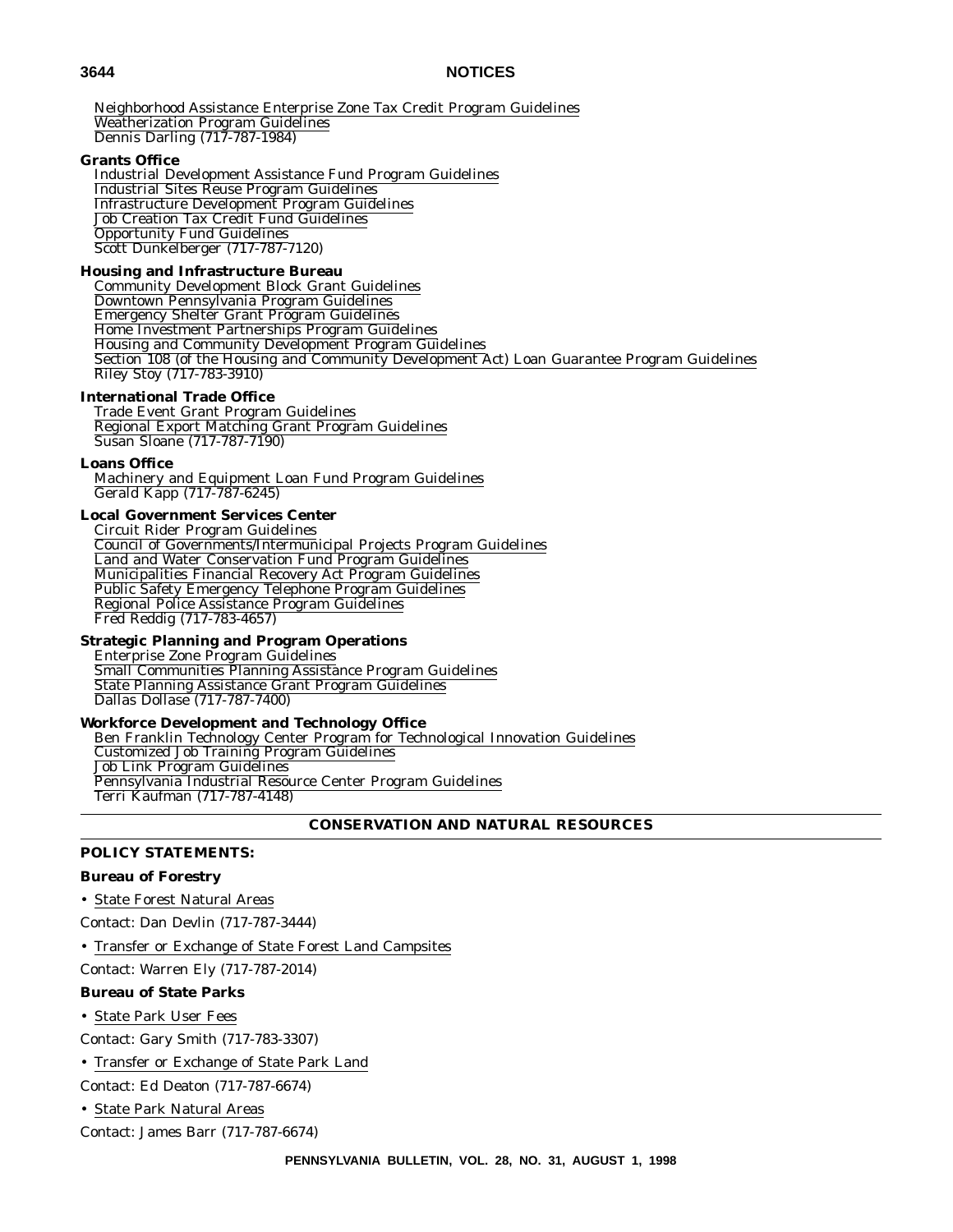Neighborhood Assistance Enterprise Zone Tax Credit Program Guidelines Weatherization Program Guidelines Dennis Darling (717-787-1984)

#### **Grants Office**

Industrial Development Assistance Fund Program Guidelines Industrial Sites Reuse Program Guidelines Infrastructure Development Program Guidelines Job Creation Tax Credit Fund Guidelines Opportunity Fund Guidelines Scott Dunkelberger (717-787-7120)

#### **Housing and Infrastructure Bureau**

Community Development Block Grant Guidelines Downtown Pennsylvania Program Guidelines Emergency Shelter Grant Program Guidelines Home Investment Partnerships Program Guidelines Housing and Community Development Program Guidelines Section 108 (of the Housing and Community Development Act) Loan Guarantee Program Guidelines Riley Stoy (717-783-3910)

#### **International Trade Office**

Trade Event Grant Program Guidelines Regional Export Matching Grant Program Guidelines Susan Sloane (717-787-7190)

#### **Loans Office**

Machinery and Equipment Loan Fund Program Guidelines Gerald Kapp (717-787-6245)

#### **Local Government Services Center**

Circuit Rider Program Guidelines Council of Governments/Intermunicipal Projects Program Guidelines Land and Water Conservation Fund Program Guidelines Municipalities Financial Recovery Act Program Guidelines Public Safety Emergency Telephone Program Guidelines Regional Police Assistance Program Guidelines Fred Reddig (717-783-4657)

#### **Strategic Planning and Program Operations**

Enterprise Zone Program Guidelines Small Communities Planning Assistance Program Guidelines State Planning Assistance Grant Program Guidelines Dallas Dollase (717-787-7400)

#### **Workforce Development and Technology Office**

Ben Franklin Technology Center Program for Technological Innovation Guidelines Customized Job Training Program Guidelines Job Link Program Guidelines Pennsylvania Industrial Resource Center Program Guidelines Terri Kaufman (717-787-4148)

```
CONSERVATION AND NATURAL RESOURCES
```
#### **POLICY STATEMENTS:**

#### **Bureau of Forestry**

• State Forest Natural Areas

Contact: Dan Devlin (717-787-3444)

• Transfer or Exchange of State Forest Land Campsites

Contact: Warren Ely (717-787-2014)

#### **Bureau of State Parks**

• State Park User Fees

Contact: Gary Smith (717-783-3307)

• Transfer or Exchange of State Park Land

Contact: Ed Deaton (717-787-6674)

• State Park Natural Areas

Contact: James Barr (717-787-6674)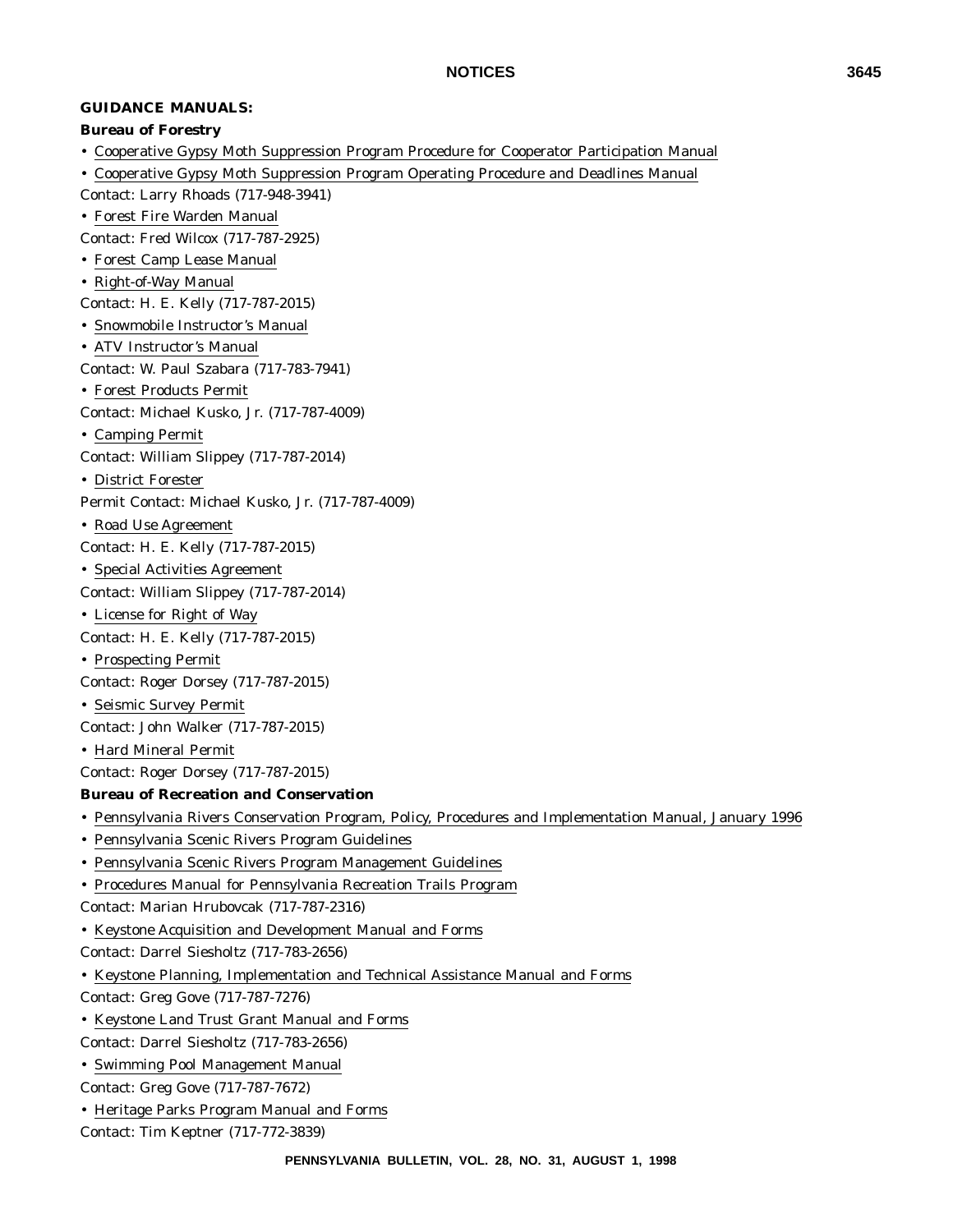# **GUIDANCE MANUALS:**

#### **Bureau of Forestry**

- Cooperative Gypsy Moth Suppression Program Procedure for Cooperator Participation Manual
- Cooperative Gypsy Moth Suppression Program Operating Procedure and Deadlines Manual
- Contact: Larry Rhoads (717-948-3941)
- Forest Fire Warden Manual

Contact: Fred Wilcox (717-787-2925)

- Forest Camp Lease Manual
- Right-of-Way Manual
- Contact: H. E. Kelly (717-787-2015)
- Snowmobile Instructor's Manual
- ATV Instructor's Manual
- Contact: W. Paul Szabara (717-783-7941)
- Forest Products Permit
- Contact: Michael Kusko, Jr. (717-787-4009)
- Camping Permit
- Contact: William Slippey (717-787-2014)
- District Forester
- Permit Contact: Michael Kusko, Jr. (717-787-4009)
- Road Use Agreement
- Contact: H. E. Kelly (717-787-2015)
- Special Activities Agreement
- Contact: William Slippey (717-787-2014)
- License for Right of Way
- Contact: H. E. Kelly (717-787-2015)
- Prospecting Permit
- Contact: Roger Dorsey (717-787-2015)
- Seismic Survey Permit

Contact: John Walker (717-787-2015)

- Hard Mineral Permit
- Contact: Roger Dorsey (717-787-2015)

# **Bureau of Recreation and Conservation**

- Pennsylvania Rivers Conservation Program, Policy, Procedures and Implementation Manual, January 1996
- Pennsylvania Scenic Rivers Program Guidelines
- Pennsylvania Scenic Rivers Program Management Guidelines
- Procedures Manual for Pennsylvania Recreation Trails Program

Contact: Marian Hrubovcak (717-787-2316)

- Keystone Acquisition and Development Manual and Forms
- Contact: Darrel Siesholtz (717-783-2656)
- Keystone Planning, Implementation and Technical Assistance Manual and Forms
- Contact: Greg Gove (717-787-7276)
- Keystone Land Trust Grant Manual and Forms
- Contact: Darrel Siesholtz (717-783-2656)
- Swimming Pool Management Manual
- Contact: Greg Gove (717-787-7672)
- Heritage Parks Program Manual and Forms

Contact: Tim Keptner (717-772-3839)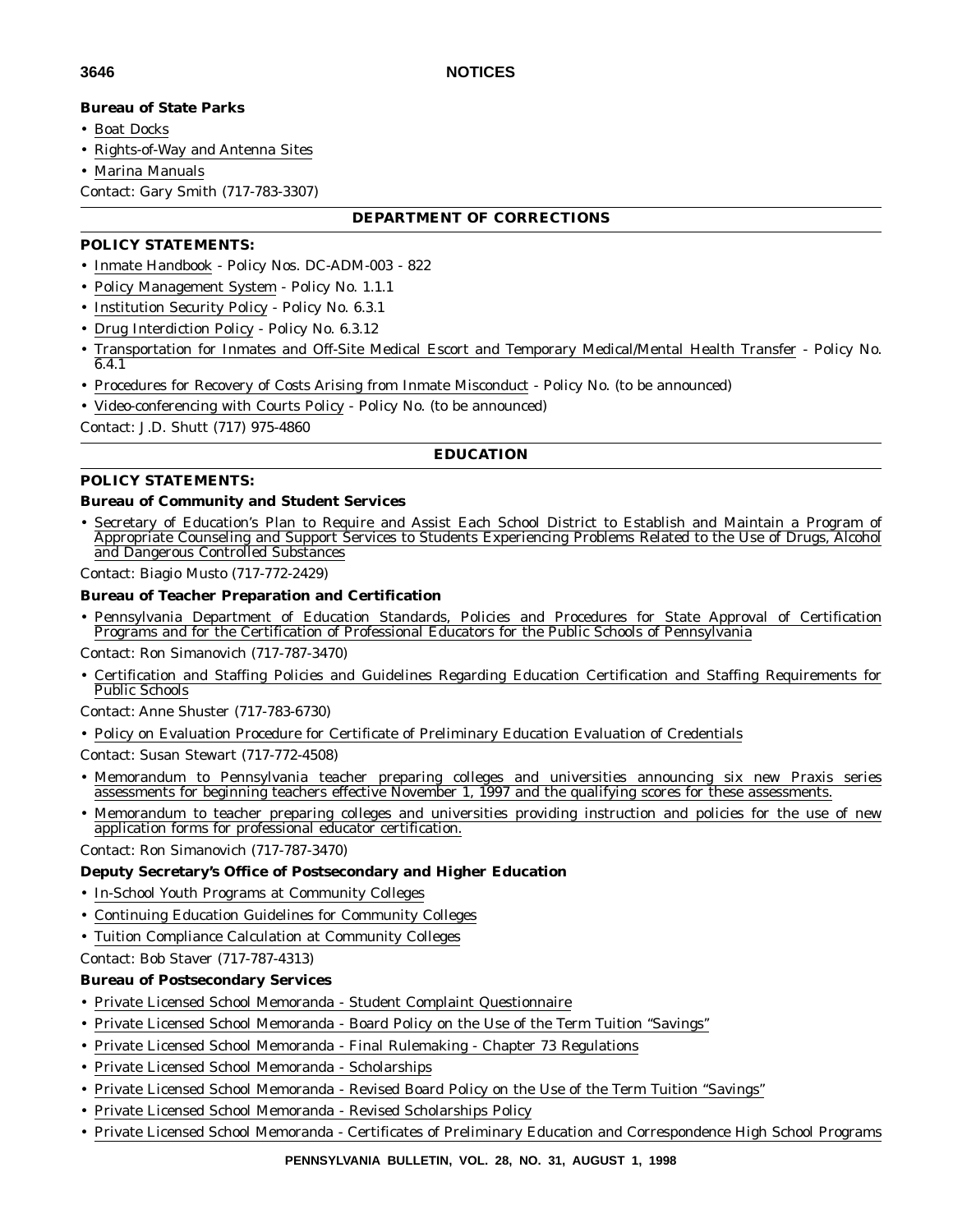# **Bureau of State Parks**

• Boat Docks

• Rights-of-Way and Antenna Sites

• Marina Manuals

Contact: Gary Smith (717-783-3307)

# **DEPARTMENT OF CORRECTIONS**

# **POLICY STATEMENTS:**

- Inmate Handbook Policy Nos. DC-ADM-003 822
- Policy Management System Policy No. 1.1.1
- Institution Security Policy Policy No. 6.3.1
- Drug Interdiction Policy Policy No. 6.3.12
- Transportation for Inmates and Off-Site Medical Escort and Temporary Medical/Mental Health Transfer Policy No. 6.4.1
- Procedures for Recovery of Costs Arising from Inmate Misconduct Policy No. (to be announced)
- Video-conferencing with Courts Policy Policy No. (to be announced)

Contact: J.D. Shutt (717) 975-4860

# **EDUCATION**

# **POLICY STATEMENTS:**

# **Bureau of Community and Student Services**

• Secretary of Education's Plan to Require and Assist Each School District to Establish and Maintain a Program of Appropriate Counseling and Support Services to Students Experiencing Problems Related to the Use of Drugs, Alcohol and Dangerous Controlled Substances

Contact: Biagio Musto (717-772-2429)

#### **Bureau of Teacher Preparation and Certification**

• Pennsylvania Department of Education Standards, Policies and Procedures for State Approval of Certification Programs and for the Certification of Professional Educators for the Public Schools of Pennsylvania

Contact: Ron Simanovich (717-787-3470)

• Certification and Staffing Policies and Guidelines Regarding Education Certification and Staffing Requirements for Public Schools

Contact: Anne Shuster (717-783-6730)

• Policy on Evaluation Procedure for Certificate of Preliminary Education Evaluation of Credentials

Contact: Susan Stewart (717-772-4508)

- Memorandum to Pennsylvania teacher preparing colleges and universities announcing six new Praxis series assessments for beginning teachers effective November 1, 1997 and the qualifying scores for these assessments.
- Memorandum to teacher preparing colleges and universities providing instruction and policies for the use of new application forms for professional educator certification.

Contact: Ron Simanovich (717-787-3470)

# **Deputy Secretary's Office of Postsecondary and Higher Education**

- In-School Youth Programs at Community Colleges
- Continuing Education Guidelines for Community Colleges
- Tuition Compliance Calculation at Community Colleges

Contact: Bob Staver (717-787-4313)

# **Bureau of Postsecondary Services**

- Private Licensed School Memoranda Student Complaint Questionnaire
- Private Licensed School Memoranda Board Policy on the Use of the Term Tuition ''Savings''
- Private Licensed School Memoranda Final Rulemaking Chapter 73 Regulations
- Private Licensed School Memoranda Scholarships
- Private Licensed School Memoranda Revised Board Policy on the Use of the Term Tuition ''Savings''
- Private Licensed School Memoranda Revised Scholarships Policy
- Private Licensed School Memoranda Certificates of Preliminary Education and Correspondence High School Programs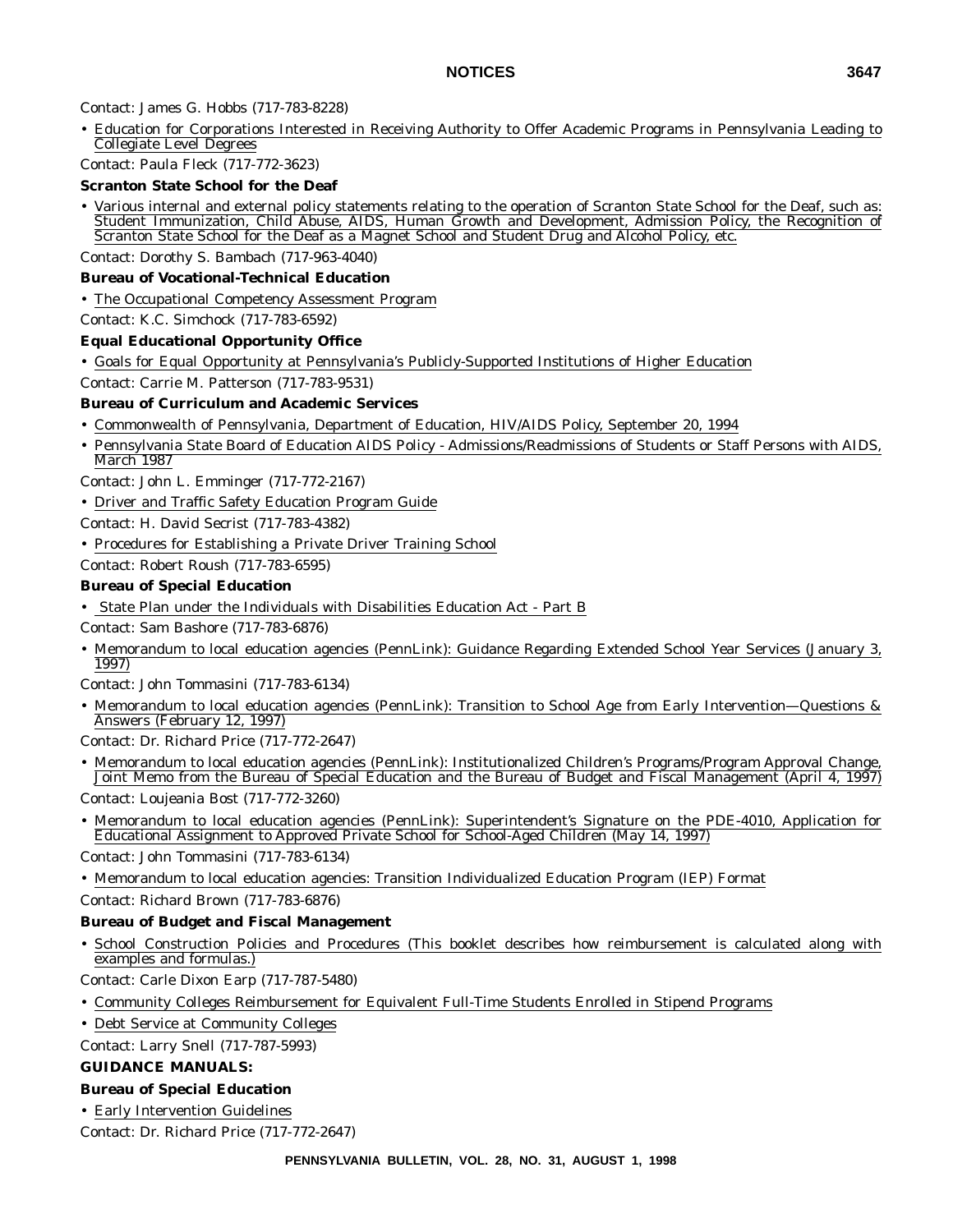# Contact: James G. Hobbs (717-783-8228)

• Education for Corporations Interested in Receiving Authority to Offer Academic Programs in Pennsylvania Leading to Collegiate Level Degrees

# Contact: Paula Fleck (717-772-3623)

# **Scranton State School for the Deaf**

• Various internal and external policy statements relating to the operation of Scranton State School for the Deaf, such as: Student Immunization, Child Abuse, AIDS, Human Growth and Development, Admission Policy, the Recognition of Scranton State School for the Deaf as a Magnet School and Student Drug and Alcohol Policy, etc.

Contact: Dorothy S. Bambach (717-963-4040)

# **Bureau of Vocational-Technical Education**

• The Occupational Competency Assessment Program

Contact: K.C. Simchock (717-783-6592)

# **Equal Educational Opportunity Office**

• Goals for Equal Opportunity at Pennsylvania's Publicly-Supported Institutions of Higher Education

Contact: Carrie M. Patterson (717-783-9531)

# **Bureau of Curriculum and Academic Services**

• Commonwealth of Pennsylvania, Department of Education, HIV/AIDS Policy, September 20, 1994

• Pennsylvania State Board of Education AIDS Policy - Admissions/Readmissions of Students or Staff Persons with AIDS, March 1987

Contact: John L. Emminger (717-772-2167)

• Driver and Traffic Safety Education Program Guide

Contact: H. David Secrist (717-783-4382)

• Procedures for Establishing a Private Driver Training School

Contact: Robert Roush (717-783-6595)

# **Bureau of Special Education**

• State Plan under the Individuals with Disabilities Education Act - Part B

Contact: Sam Bashore (717-783-6876)

• Memorandum to local education agencies (PennLink): Guidance Regarding Extended School Year Services (January 3, 1997)

Contact: John Tommasini (717-783-6134)

• Memorandum to local education agencies (PennLink): Transition to School Age from Early Intervention—Questions & Answers (February 12, 1997)

Contact: Dr. Richard Price (717-772-2647)

• Memorandum to local education agencies (PennLink): Institutionalized Children's Programs/Program Approval Change, Joint Memo from the Bureau of Special Education and the Bureau of Budget and Fiscal Management (April 4, 1997)

Contact: Loujeania Bost (717-772-3260)

• Memorandum to local education agencies (PennLink): Superintendent's Signature on the PDE-4010, Application for Educational Assignment to Approved Private School for School-Aged Children (May 14, 1997)

Contact: John Tommasini (717-783-6134)

• Memorandum to local education agencies: Transition Individualized Education Program (IEP) Format

Contact: Richard Brown (717-783-6876)

# **Bureau of Budget and Fiscal Management**

• School Construction Policies and Procedures (This booklet describes how reimbursement is calculated along with examples and formulas.)

Contact: Carle Dixon Earp (717-787-5480)

• Community Colleges Reimbursement for Equivalent Full-Time Students Enrolled in Stipend Programs

• Debt Service at Community Colleges

Contact: Larry Snell (717-787-5993)

# **GUIDANCE MANUALS:**

# **Bureau of Special Education**

• Early Intervention Guidelines

Contact: Dr. Richard Price (717-772-2647)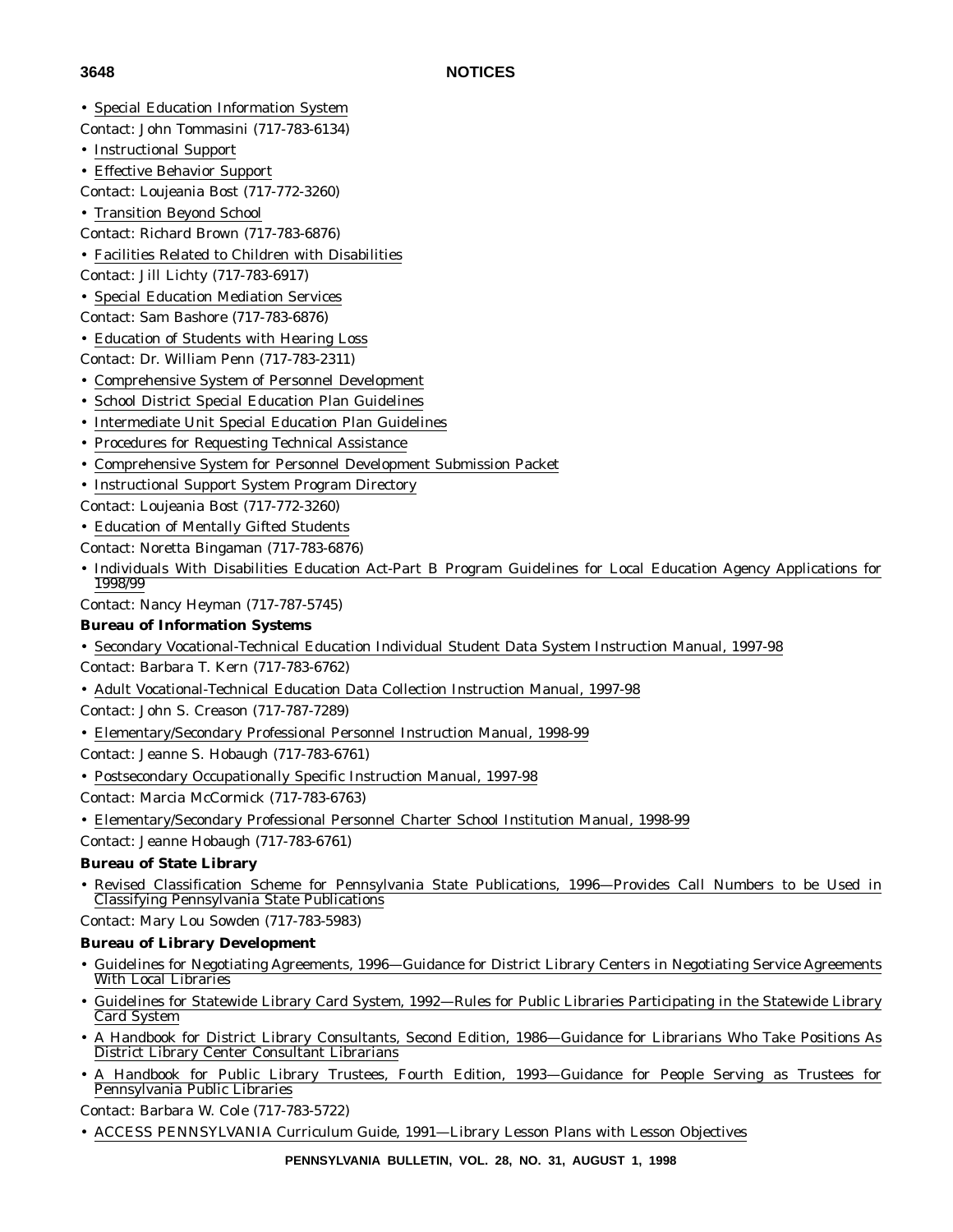- Special Education Information System
- Contact: John Tommasini (717-783-6134)
- Instructional Support
- Effective Behavior Support
- Contact: Loujeania Bost (717-772-3260)
- Transition Beyond School
- Contact: Richard Brown (717-783-6876)
- Facilities Related to Children with Disabilities
- Contact: Jill Lichty (717-783-6917)
- Special Education Mediation Services
- Contact: Sam Bashore (717-783-6876)
- Education of Students with Hearing Loss
- Contact: Dr. William Penn (717-783-2311)
- Comprehensive System of Personnel Development
- School District Special Education Plan Guidelines
- Intermediate Unit Special Education Plan Guidelines
- Procedures for Requesting Technical Assistance
- Comprehensive System for Personnel Development Submission Packet
- Instructional Support System Program Directory
- Contact: Loujeania Bost (717-772-3260)
- Education of Mentally Gifted Students
- Contact: Noretta Bingaman (717-783-6876)
- Individuals With Disabilities Education Act-Part B Program Guidelines for Local Education Agency Applications for 1998/99

Contact: Nancy Heyman (717-787-5745)

# **Bureau of Information Systems**

- Secondary Vocational-Technical Education Individual Student Data System Instruction Manual, 1997-98
- Contact: Barbara T. Kern (717-783-6762)
- Adult Vocational-Technical Education Data Collection Instruction Manual, 1997-98
- Contact: John S. Creason (717-787-7289)
- Elementary/Secondary Professional Personnel Instruction Manual, 1998-99

Contact: Jeanne S. Hobaugh (717-783-6761)

- Postsecondary Occupationally Specific Instruction Manual, 1997-98
- Contact: Marcia McCormick (717-783-6763)
- Elementary/Secondary Professional Personnel Charter School Institution Manual, 1998-99
- Contact: Jeanne Hobaugh (717-783-6761)

# **Bureau of State Library**

- Revised Classification Scheme for Pennsylvania State Publications, 1996—Provides Call Numbers to be Used in Classifying Pennsylvania State Publications
- Contact: Mary Lou Sowden (717-783-5983)

# **Bureau of Library Development**

- Guidelines for Negotiating Agreements, 1996—Guidance for District Library Centers in Negotiating Service Agreements With Local Libraries
- Guidelines for Statewide Library Card System, 1992—Rules for Public Libraries Participating in the Statewide Library Card System
- A Handbook for District Library Consultants, Second Edition, 1986—Guidance for Librarians Who Take Positions As District Library Center Consultant Librarians
- A Handbook for Public Library Trustees, Fourth Edition, 1993—Guidance for People Serving as Trustees for Pennsylvania Public Libraries

Contact: Barbara W. Cole (717-783-5722)

• ACCESS PENNSYLVANIA Curriculum Guide, 1991—Library Lesson Plans with Lesson Objectives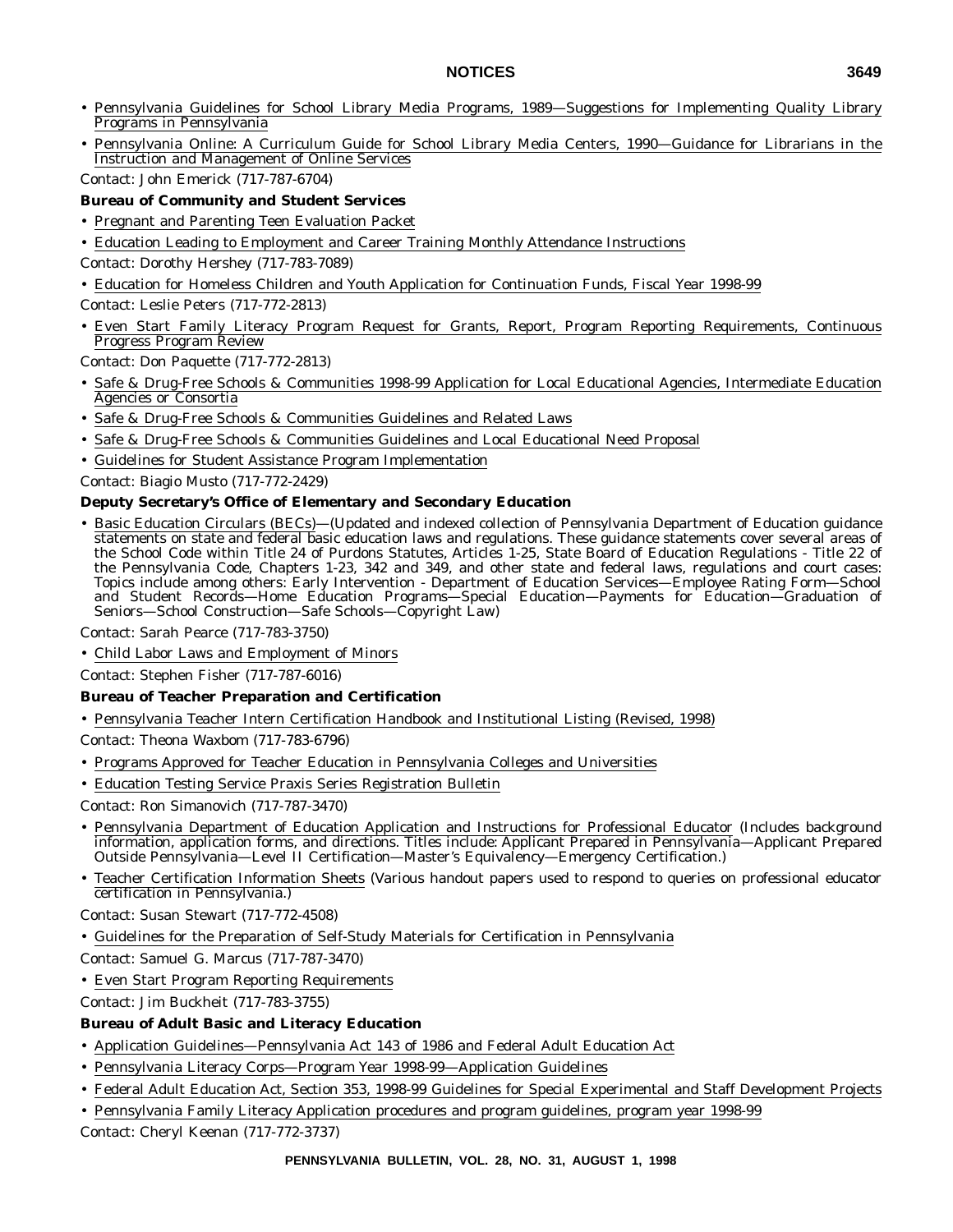- Pennsylvania Guidelines for School Library Media Programs, 1989—Suggestions for Implementing Quality Library Programs in Pennsylvania
- Pennsylvania Online: A Curriculum Guide for School Library Media Centers, 1990—Guidance for Librarians in the Instruction and Management of Online Services

Contact: John Emerick (717-787-6704)

- **Bureau of Community and Student Services**
- Pregnant and Parenting Teen Evaluation Packet
- Education Leading to Employment and Career Training Monthly Attendance Instructions

Contact: Dorothy Hershey (717-783-7089)

- Education for Homeless Children and Youth Application for Continuation Funds, Fiscal Year 1998-99
- Contact: Leslie Peters (717-772-2813)
- Even Start Family Literacy Program Request for Grants, Report, Program Reporting Requirements, Continuous Progress Program Review

Contact: Don Paquette (717-772-2813)

- Safe & Drug-Free Schools & Communities 1998-99 Application for Local Educational Agencies, Intermediate Education Agencies or Consortia
- Safe & Drug-Free Schools & Communities Guidelines and Related Laws
- Safe & Drug-Free Schools & Communities Guidelines and Local Educational Need Proposal
- Guidelines for Student Assistance Program Implementation
- Contact: Biagio Musto (717-772-2429)

#### **Deputy Secretary's Office of Elementary and Secondary Education**

• Basic Education Circulars (BECs)—(Updated and indexed collection of Pennsylvania Department of Education guidance statements on state and federal basic education laws and regulations. These guidance statements cover several areas of the School Code within Title 24 of Purdons Statutes, Articles 1-25, State Board of Education Regulations - Title 22 of the Pennsylvania Code, Chapters 1-23, 342 and 349, and other state and federal laws, regulations and court cases: Topics include among others: Early Intervention - Department of Education Services—Employee Rating Form—School and Student Records—Home Education Programs—Special Education—Payments for Education—Graduation of Seniors—School Construction—Safe Schools—Copyright Law)

Contact: Sarah Pearce (717-783-3750)

• Child Labor Laws and Employment of Minors

Contact: Stephen Fisher (717-787-6016)

#### **Bureau of Teacher Preparation and Certification**

- Pennsylvania Teacher Intern Certification Handbook and Institutional Listing (Revised, 1998)
- Contact: Theona Waxbom (717-783-6796)
- Programs Approved for Teacher Education in Pennsylvania Colleges and Universities
- Education Testing Service Praxis Series Registration Bulletin

Contact: Ron Simanovich (717-787-3470)

- Pennsylvania Department of Education Application and Instructions for Professional Educator (Includes background information, application forms, and directions. Titles include: Applicant Prepared in Pennsylvania—Applicant Prepared Outside Pennsylvania—Level II Certification—Master's Equivalency—Emergency Certification.)
- Teacher Certification Information Sheets (Various handout papers used to respond to queries on professional educator certification in Pennsylvania.)

Contact: Susan Stewart (717-772-4508)

• Guidelines for the Preparation of Self-Study Materials for Certification in Pennsylvania

Contact: Samuel G. Marcus (717-787-3470)

• Even Start Program Reporting Requirements

Contact: Jim Buckheit (717-783-3755)

#### **Bureau of Adult Basic and Literacy Education**

- Application Guidelines—Pennsylvania Act 143 of 1986 and Federal Adult Education Act
- Pennsylvania Literacy Corps—Program Year 1998-99—Application Guidelines
- Federal Adult Education Act, Section 353, 1998-99 Guidelines for Special Experimental and Staff Development Projects
- Pennsylvania Family Literacy Application procedures and program guidelines, program year 1998-99

Contact: Cheryl Keenan (717-772-3737)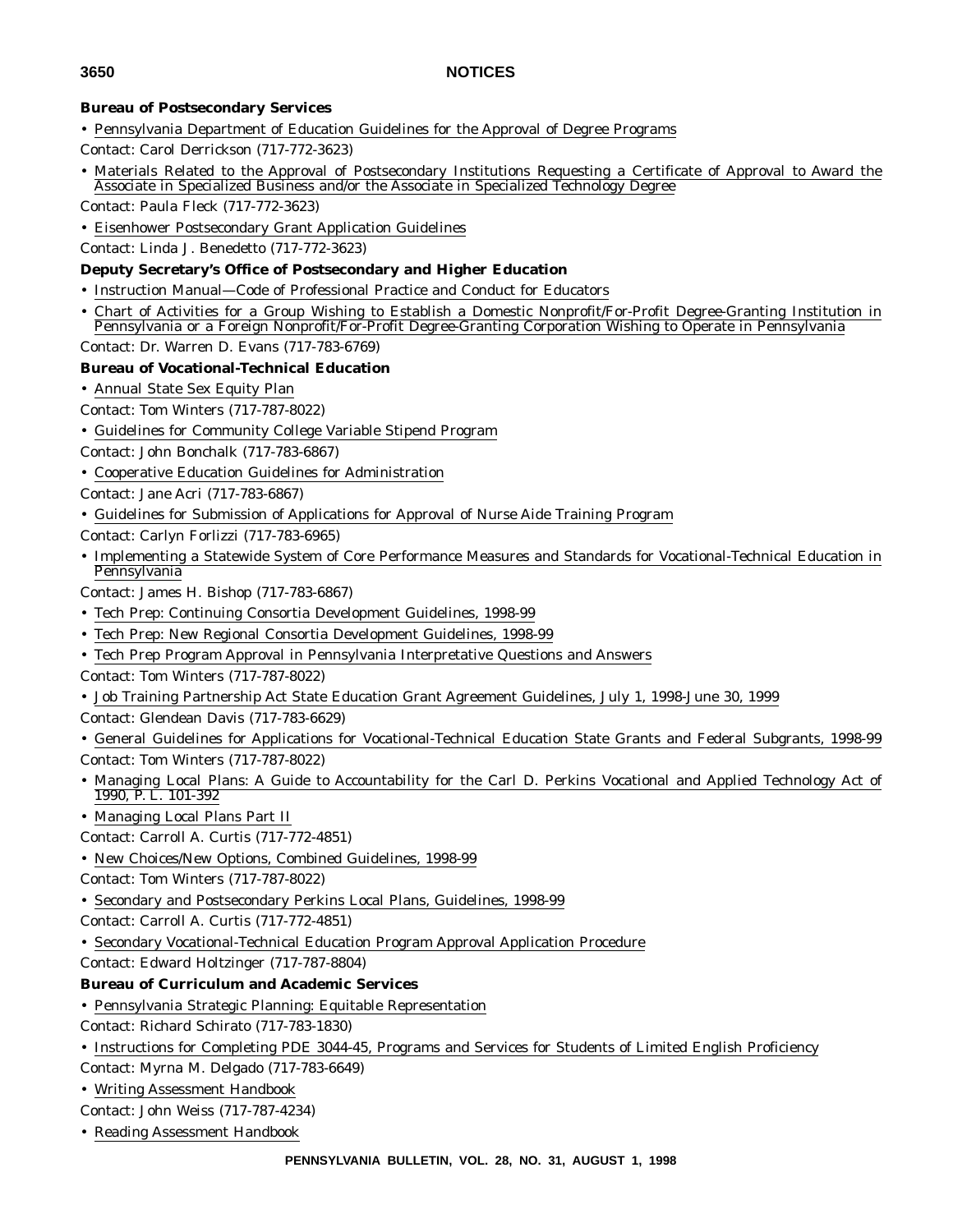#### **Bureau of Postsecondary Services**

- Pennsylvania Department of Education Guidelines for the Approval of Degree Programs
- Contact: Carol Derrickson (717-772-3623)
- Materials Related to the Approval of Postsecondary Institutions Requesting a Certificate of Approval to Award the Associate in Specialized Business and/or the Associate in Specialized Technology Degree
- Contact: Paula Fleck (717-772-3623)
- Eisenhower Postsecondary Grant Application Guidelines
- Contact: Linda J. Benedetto (717-772-3623)

#### **Deputy Secretary's Office of Postsecondary and Higher Education**

- Instruction Manual—Code of Professional Practice and Conduct for Educators
- Chart of Activities for a Group Wishing to Establish a Domestic Nonprofit/For-Profit Degree-Granting Institution in Pennsylvania or a Foreign Nonprofit/For-Profit Degree-Granting Corporation Wishing to Operate in Pennsylvania
- Contact: Dr. Warren D. Evans (717-783-6769)

#### **Bureau of Vocational-Technical Education**

- Annual State Sex Equity Plan
- Contact: Tom Winters (717-787-8022)
- Guidelines for Community College Variable Stipend Program
- Contact: John Bonchalk (717-783-6867)
- Cooperative Education Guidelines for Administration

Contact: Jane Acri (717-783-6867)

- Guidelines for Submission of Applications for Approval of Nurse Aide Training Program
- Contact: Carlyn Forlizzi (717-783-6965)
- Implementing a Statewide System of Core Performance Measures and Standards for Vocational-Technical Education in **Pennsylvania**
- Contact: James H. Bishop (717-783-6867)
- Tech Prep: Continuing Consortia Development Guidelines, 1998-99
- Tech Prep: New Regional Consortia Development Guidelines, 1998-99
- Tech Prep Program Approval in Pennsylvania Interpretative Questions and Answers
- Contact: Tom Winters (717-787-8022)
- Job Training Partnership Act State Education Grant Agreement Guidelines, July 1, 1998-June 30, 1999
- Contact: Glendean Davis (717-783-6629)
- General Guidelines for Applications for Vocational-Technical Education State Grants and Federal Subgrants, 1998-99 Contact: Tom Winters (717-787-8022)
- Managing Local Plans: A Guide to Accountability for the Carl D. Perkins Vocational and Applied Technology Act of 1990, P. L. 101-392
- Managing Local Plans Part II
- Contact: Carroll A. Curtis (717-772-4851)
- New Choices/New Options, Combined Guidelines, 1998-99
- Contact: Tom Winters (717-787-8022)
- Secondary and Postsecondary Perkins Local Plans, Guidelines, 1998-99
- Contact: Carroll A. Curtis (717-772-4851)
- Secondary Vocational-Technical Education Program Approval Application Procedure

Contact: Edward Holtzinger (717-787-8804)

### **Bureau of Curriculum and Academic Services**

- Pennsylvania Strategic Planning: Equitable Representation
- Contact: Richard Schirato (717-783-1830)
- Instructions for Completing PDE 3044-45, Programs and Services for Students of Limited English Proficiency
- Contact: Myrna M. Delgado (717-783-6649)
- Writing Assessment Handbook

Contact: John Weiss (717-787-4234)

• Reading Assessment Handbook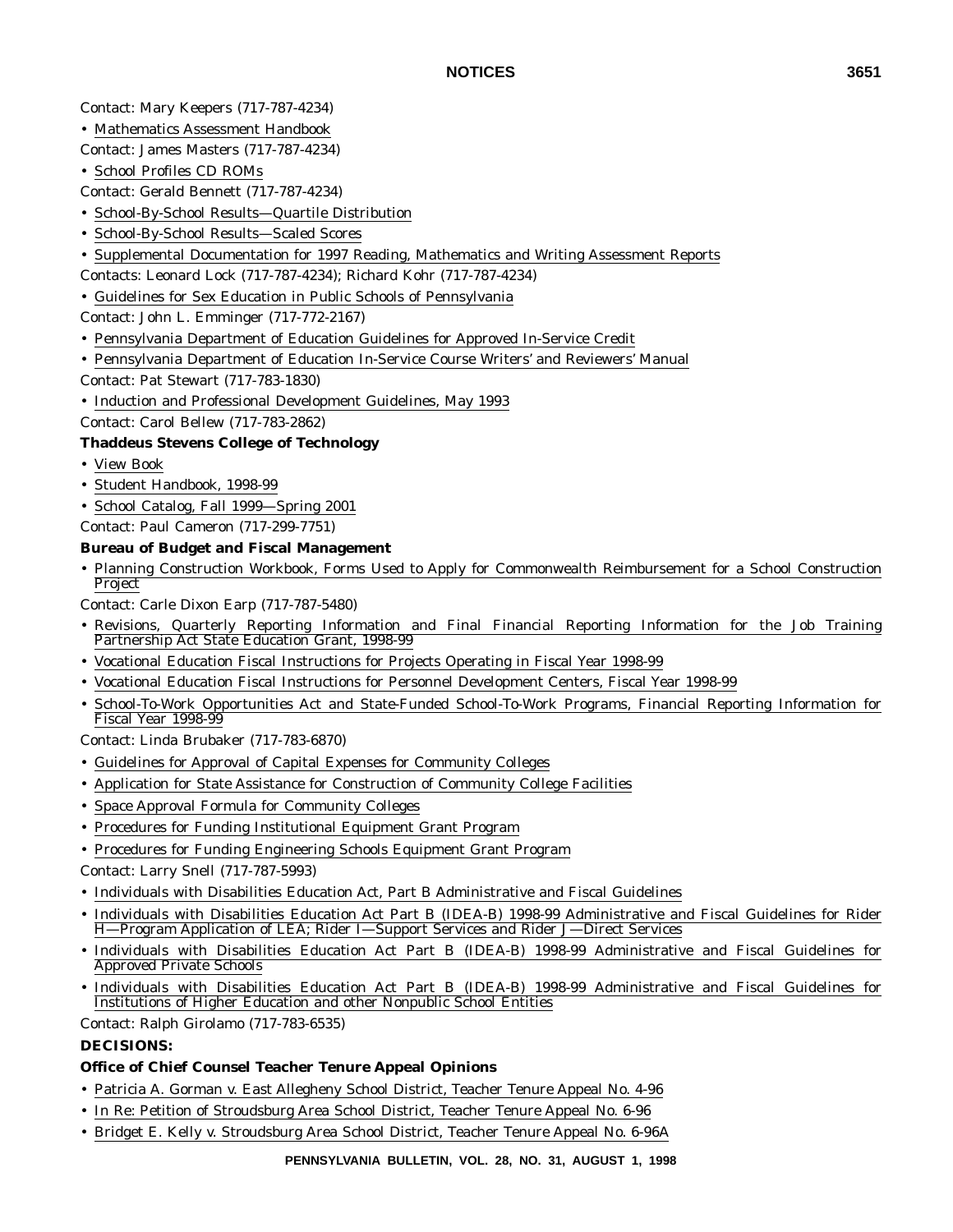### Contact: Mary Keepers (717-787-4234)

- Mathematics Assessment Handbook
- Contact: James Masters (717-787-4234)
- School Profiles CD ROMs

Contact: Gerald Bennett (717-787-4234)

- School-By-School Results—Quartile Distribution
- School-By-School Results—Scaled Scores
- Supplemental Documentation for 1997 Reading, Mathematics and Writing Assessment Reports
- Contacts: Leonard Lock (717-787-4234); Richard Kohr (717-787-4234)
- Guidelines for Sex Education in Public Schools of Pennsylvania

Contact: John L. Emminger (717-772-2167)

- Pennsylvania Department of Education Guidelines for Approved In-Service Credit
- Pennsylvania Department of Education In-Service Course Writers' and Reviewers' Manual
- Contact: Pat Stewart (717-783-1830)
- Induction and Professional Development Guidelines, May 1993

Contact: Carol Bellew (717-783-2862)

#### **Thaddeus Stevens College of Technology**

- View Book
- Student Handbook, 1998-99
- School Catalog, Fall 1999—Spring 2001

Contact: Paul Cameron (717-299-7751)

#### **Bureau of Budget and Fiscal Management**

• Planning Construction Workbook, Forms Used to Apply for Commonwealth Reimbursement for a School Construction Project

Contact: Carle Dixon Earp (717-787-5480)

- Revisions, Quarterly Reporting Information and Final Financial Reporting Information for the Job Training Partnership Act State Education Grant, 1998-99
- Vocational Education Fiscal Instructions for Projects Operating in Fiscal Year 1998-99
- Vocational Education Fiscal Instructions for Personnel Development Centers, Fiscal Year 1998-99
- School-To-Work Opportunities Act and State-Funded School-To-Work Programs, Financial Reporting Information for Fiscal Year 1998-99

Contact: Linda Brubaker (717-783-6870)

- Guidelines for Approval of Capital Expenses for Community Colleges
- Application for State Assistance for Construction of Community College Facilities
- Space Approval Formula for Community Colleges
- Procedures for Funding Institutional Equipment Grant Program
- Procedures for Funding Engineering Schools Equipment Grant Program
- Contact: Larry Snell (717-787-5993)
- Individuals with Disabilities Education Act, Part B Administrative and Fiscal Guidelines
- Individuals with Disabilities Education Act Part B (IDEA-B) 1998-99 Administrative and Fiscal Guidelines for Rider H—Program Application of LEA; Rider I—Support Services and Rider J—Direct Services
- Individuals with Disabilities Education Act Part B (IDEA-B) 1998-99 Administrative and Fiscal Guidelines for Approved Private Schools
- Individuals with Disabilities Education Act Part B (IDEA-B) 1998-99 Administrative and Fiscal Guidelines for Institutions of Higher Education and other Nonpublic School Entities
- Contact: Ralph Girolamo (717-783-6535)

### **DECISIONS:**

#### **Office of Chief Counsel Teacher Tenure Appeal Opinions**

- Patricia A. Gorman v. East Allegheny School District, Teacher Tenure Appeal No. 4-96
- In Re: Petition of Stroudsburg Area School District, Teacher Tenure Appeal No. 6-96
- Bridget E. Kelly v. Stroudsburg Area School District, Teacher Tenure Appeal No. 6-96A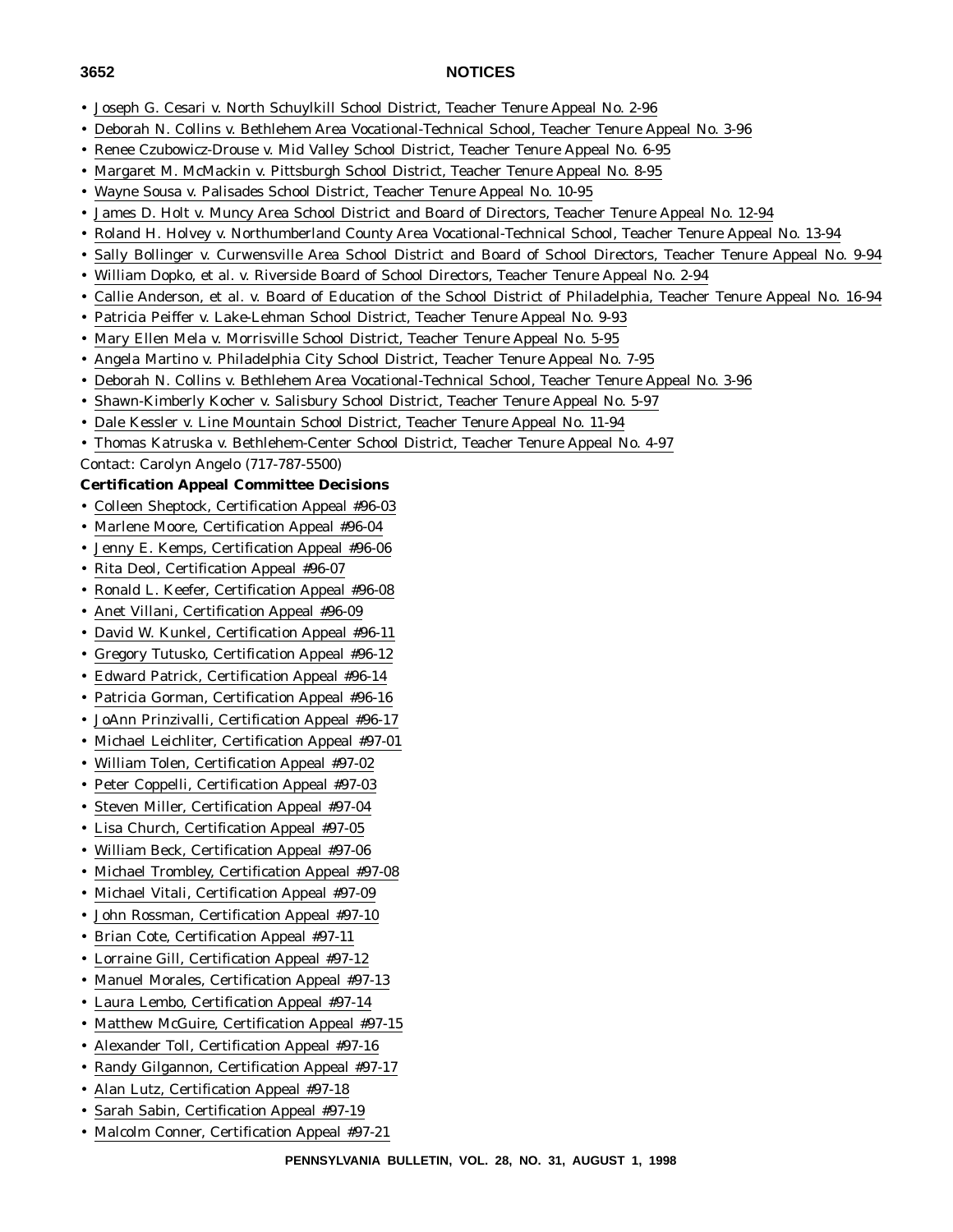- Joseph G. Cesari v. North Schuylkill School District, Teacher Tenure Appeal No. 2-96
- Deborah N. Collins v. Bethlehem Area Vocational-Technical School, Teacher Tenure Appeal No. 3-96
- Renee Czubowicz-Drouse v. Mid Valley School District, Teacher Tenure Appeal No. 6-95
- Margaret M. McMackin v. Pittsburgh School District, Teacher Tenure Appeal No. 8-95
- Wayne Sousa v. Palisades School District, Teacher Tenure Appeal No. 10-95
- James D. Holt v. Muncy Area School District and Board of Directors, Teacher Tenure Appeal No. 12-94
- Roland H. Holvey v. Northumberland County Area Vocational-Technical School, Teacher Tenure Appeal No. 13-94
- Sally Bollinger v. Curwensville Area School District and Board of School Directors, Teacher Tenure Appeal No. 9-94
- William Dopko, et al. v. Riverside Board of School Directors, Teacher Tenure Appeal No. 2-94
- Callie Anderson, et al. v. Board of Education of the School District of Philadelphia, Teacher Tenure Appeal No. 16-94
- Patricia Peiffer v. Lake-Lehman School District, Teacher Tenure Appeal No. 9-93
- Mary Ellen Mela v. Morrisville School District, Teacher Tenure Appeal No. 5-95
- Angela Martino v. Philadelphia City School District, Teacher Tenure Appeal No. 7-95
- Deborah N. Collins v. Bethlehem Area Vocational-Technical School, Teacher Tenure Appeal No. 3-96
- Shawn-Kimberly Kocher v. Salisbury School District, Teacher Tenure Appeal No. 5-97
- Dale Kessler v. Line Mountain School District, Teacher Tenure Appeal No. 11-94
- Thomas Katruska v. Bethlehem-Center School District, Teacher Tenure Appeal No. 4-97

Contact: Carolyn Angelo (717-787-5500)

#### **Certification Appeal Committee Decisions**

- Colleen Sheptock, Certification Appeal #96-03
- Marlene Moore, Certification Appeal #96-04
- Jenny E. Kemps, Certification Appeal #96-06
- Rita Deol, Certification Appeal #96-07
- Ronald L. Keefer, Certification Appeal #96-08
- Anet Villani, Certification Appeal #96-09
- David W. Kunkel, Certification Appeal #96-11
- Gregory Tutusko, Certification Appeal #96-12
- Edward Patrick, Certification Appeal #96-14
- Patricia Gorman, Certification Appeal #96-16
- JoAnn Prinzivalli, Certification Appeal #96-17
- Michael Leichliter, Certification Appeal #97-01
- William Tolen, Certification Appeal #97-02
- Peter Coppelli, Certification Appeal #97-03
- Steven Miller, Certification Appeal #97-04
- Lisa Church, Certification Appeal #97-05
- William Beck, Certification Appeal #97-06
- Michael Trombley, Certification Appeal #97-08
- Michael Vitali, Certification Appeal #97-09
- John Rossman, Certification Appeal #97-10
- Brian Cote, Certification Appeal #97-11
- Lorraine Gill, Certification Appeal #97-12
- Manuel Morales, Certification Appeal #97-13
- Laura Lembo, Certification Appeal #97-14
- Matthew McGuire, Certification Appeal #97-15
- Alexander Toll, Certification Appeal #97-16
- Randy Gilgannon, Certification Appeal #97-17
- Alan Lutz, Certification Appeal #97-18
- Sarah Sabin, Certification Appeal #97-19
- Malcolm Conner, Certification Appeal #97-21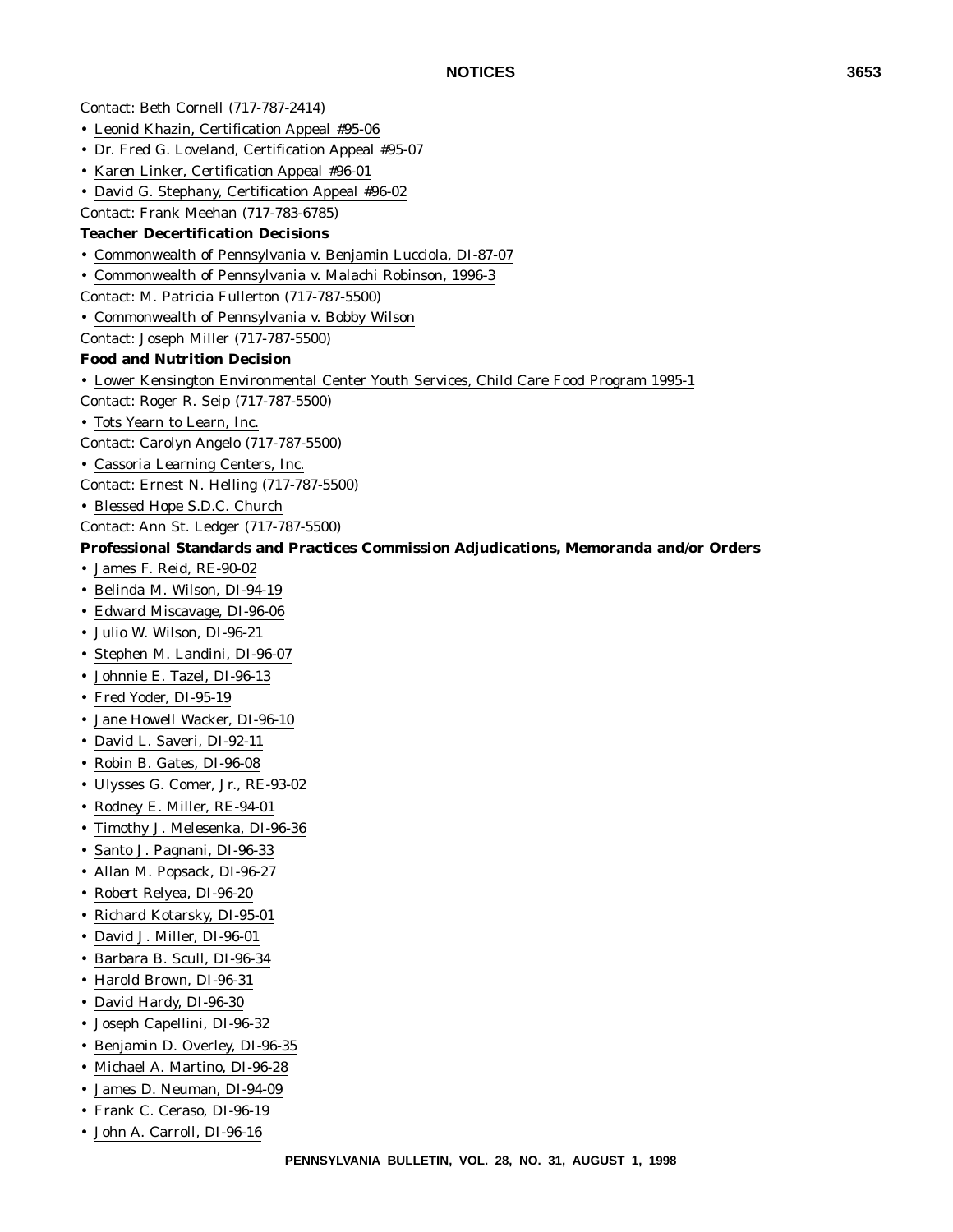Contact: Beth Cornell (717-787-2414) • Leonid Khazin, Certification Appeal #95-06 • Dr. Fred G. Loveland, Certification Appeal #95-07 • Karen Linker, Certification Appeal #96-01 • David G. Stephany, Certification Appeal #96-02 Contact: Frank Meehan (717-783-6785) **Teacher Decertification Decisions** • Commonwealth of Pennsylvania v. Benjamin Lucciola, DI-87-07 • Commonwealth of Pennsylvania v. Malachi Robinson, 1996-3 Contact: M. Patricia Fullerton (717-787-5500) • Commonwealth of Pennsylvania v. Bobby Wilson Contact: Joseph Miller (717-787-5500) **Food and Nutrition Decision** • Lower Kensington Environmental Center Youth Services, Child Care Food Program 1995-1 Contact: Roger R. Seip (717-787-5500) • Tots Yearn to Learn, Inc. Contact: Carolyn Angelo (717-787-5500) • Cassoria Learning Centers, Inc. Contact: Ernest N. Helling (717-787-5500) • Blessed Hope S.D.C. Church Contact: Ann St. Ledger (717-787-5500) **Professional Standards and Practices Commission Adjudications, Memoranda and/or Orders** • James F. Reid, RE-90-02 • Belinda M. Wilson, DI-94-19 • Edward Miscavage, DI-96-06 • Julio W. Wilson, DI-96-21 • Stephen M. Landini, DI-96-07 • Johnnie E. Tazel, DI-96-13 • Fred Yoder, DI-95-19 • Jane Howell Wacker, DI-96-10 • David L. Saveri, DI-92-11 • Robin B. Gates, DI-96-08 • Ulysses G. Comer, Jr., RE-93-02 • Rodney E. Miller, RE-94-01 • Timothy J. Melesenka, DI-96-36 • Santo J. Pagnani, DI-96-33 • Allan M. Popsack, DI-96-27 • Robert Relyea, DI-96-20

- Richard Kotarsky, DI-95-01
- David J. Miller, DI-96-01
- Barbara B. Scull, DI-96-34
- Harold Brown, DI-96-31
- David Hardy, DI-96-30
- Joseph Capellini, DI-96-32
- Benjamin D. Overley, DI-96-35
- Michael A. Martino, DI-96-28
- James D. Neuman, DI-94-09
- Frank C. Ceraso, DI-96-19
- John A. Carroll, DI-96-16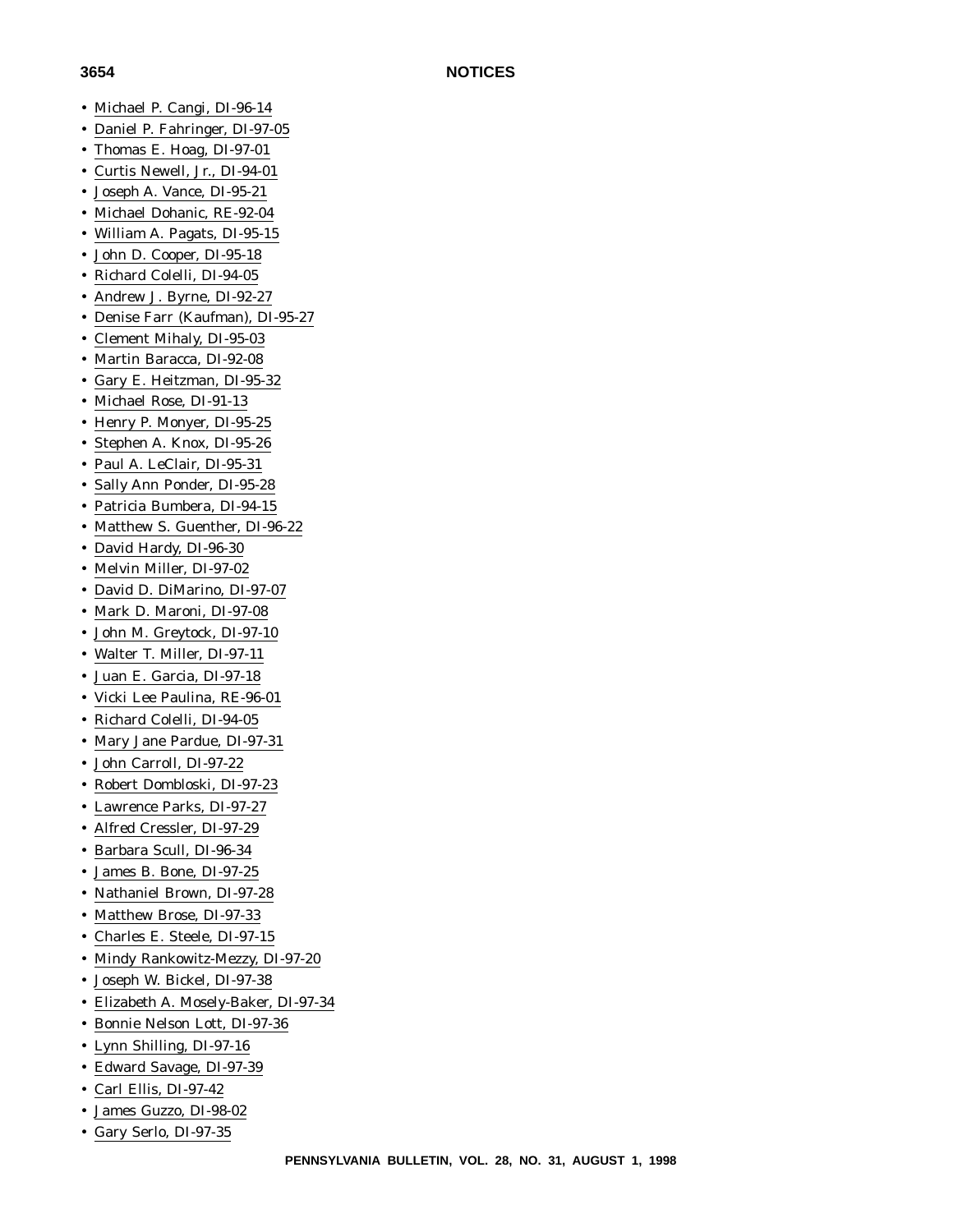# • Michael P. Cangi, DI-96-14

- Daniel P. Fahringer, DI-97-05
- Thomas E. Hoag, DI-97-01
- Curtis Newell, Jr., DI-94-01
- Joseph A. Vance, DI-95-21
- Michael Dohanic, RE-92-04
- William A. Pagats, DI-95-15
- John D. Cooper, DI-95-18
- Richard Colelli, DI-94-05
- Andrew J. Byrne, DI-92-27
- Denise Farr (Kaufman), DI-95-27
- Clement Mihaly, DI-95-03
- Martin Baracca, DI-92-08
- Gary E. Heitzman, DI-95-32
- Michael Rose, DI-91-13
- Henry P. Monyer, DI-95-25
- Stephen A. Knox, DI-95-26
- Paul A. LeClair, DI-95-31
- Sally Ann Ponder, DI-95-28
- Patricia Bumbera, DI-94-15
- Matthew S. Guenther, DI-96-22
- David Hardy, DI-96-30
- Melvin Miller, DI-97-02
- David D. DiMarino, DI-97-07
- Mark D. Maroni, DI-97-08
- John M. Greytock, DI-97-10
- Walter T. Miller, DI-97-11
- Juan E. Garcia, DI-97-18
- Vicki Lee Paulina, RE-96-01
- Richard Colelli, DI-94-05
- Mary Jane Pardue, DI-97-31
- John Carroll, DI-97-22
- Robert Dombloski, DI-97-23
- Lawrence Parks, DI-97-27
- Alfred Cressler, DI-97-29
- Barbara Scull, DI-96-34
- James B. Bone, DI-97-25
- Nathaniel Brown, DI-97-28
- Matthew Brose, DI-97-33
- Charles E. Steele, DI-97-15
- Mindy Rankowitz-Mezzy, DI-97-20
- Joseph W. Bickel, DI-97-38
- Elizabeth A. Mosely-Baker, DI-97-34
- Bonnie Nelson Lott, DI-97-36
- Lynn Shilling, DI-97-16
- Edward Savage, DI-97-39
- Carl Ellis, DI-97-42
- James Guzzo, DI-98-02
- Gary Serlo, DI-97-35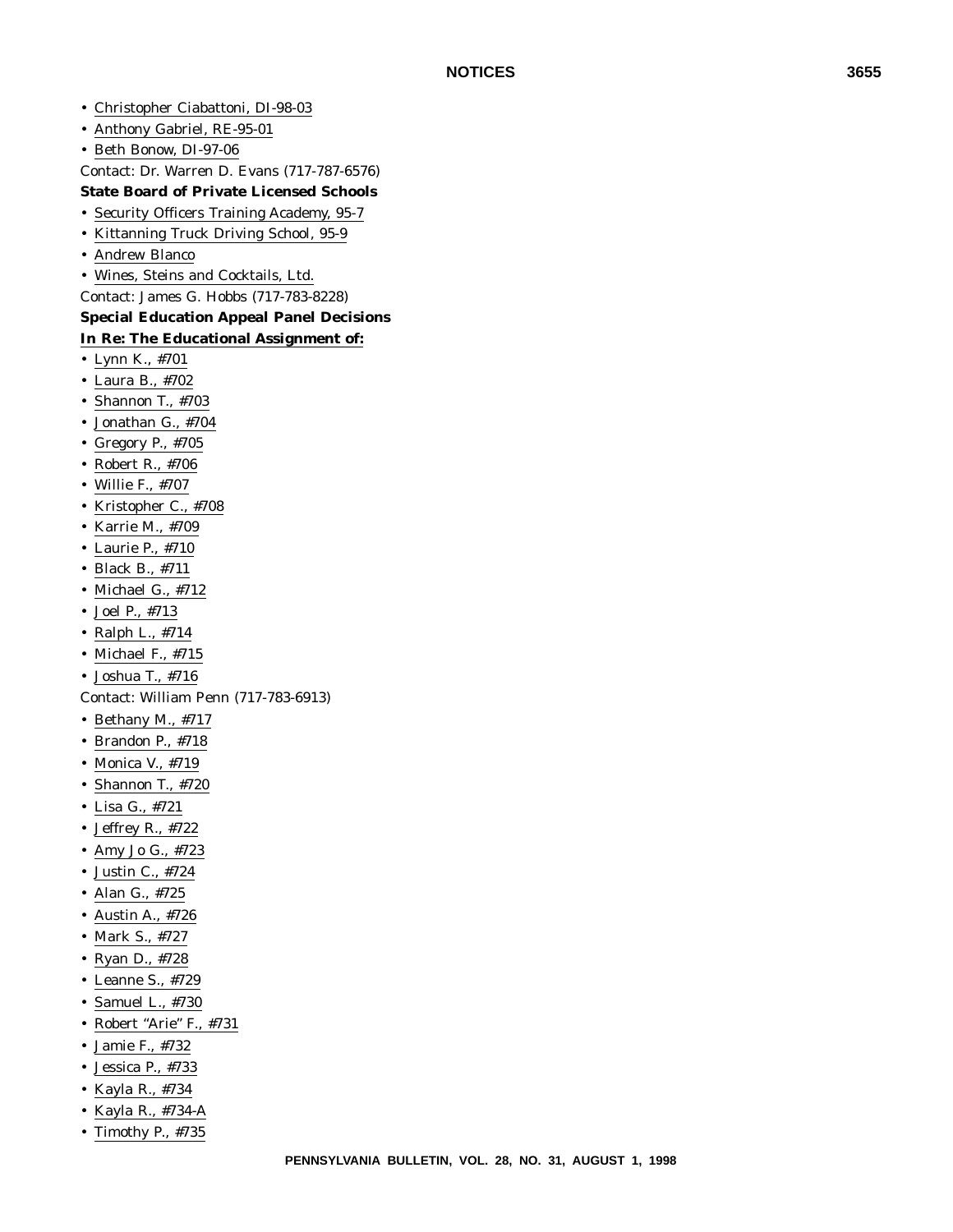- Christopher Ciabattoni, DI-98-03
- Anthony Gabriel, RE-95-01
- Beth Bonow, DI-97-06

Contact: Dr. Warren D. Evans (717-787-6576)

#### **State Board of Private Licensed Schools**

- Security Officers Training Academy, 95-7
- Kittanning Truck Driving School, 95-9
- Andrew Blanco
- Wines, Steins and Cocktails, Ltd.

Contact: James G. Hobbs (717-783-8228)

#### **Special Education Appeal Panel Decisions In Re: The Educational Assignment of:**

- Lynn K., #701
- Laura B., #702
- Shannon T., #703
- Jonathan G., #704
- Gregory P., #705
- Robert R., #706
- Willie F., #707
- Kristopher C., #708
- Karrie M., #709
- Laurie P., #710
- Black B., #711
- Michael G., #712
- Joel P., #713
- Ralph L., #714
- Michael F., #715
- Joshua T., #716

Contact: William Penn (717-783-6913)

- Bethany M., #717
- Brandon P., #718
- Monica V., #719
- Shannon T., #720
- Lisa G., #721
- Jeffrey R., #722
- Amy Jo G., #723
- Justin C., #724
- Alan G., #725
- Austin A., #726
- Mark S., #727
- Ryan D., #728
- Leanne S., #729
- Samuel L., #730
- Robert "Arie" F., #731
- Jamie F., #732
- Jessica P., #733
- Kayla R., #734
- Kayla R., #734-A
- Timothy P., #735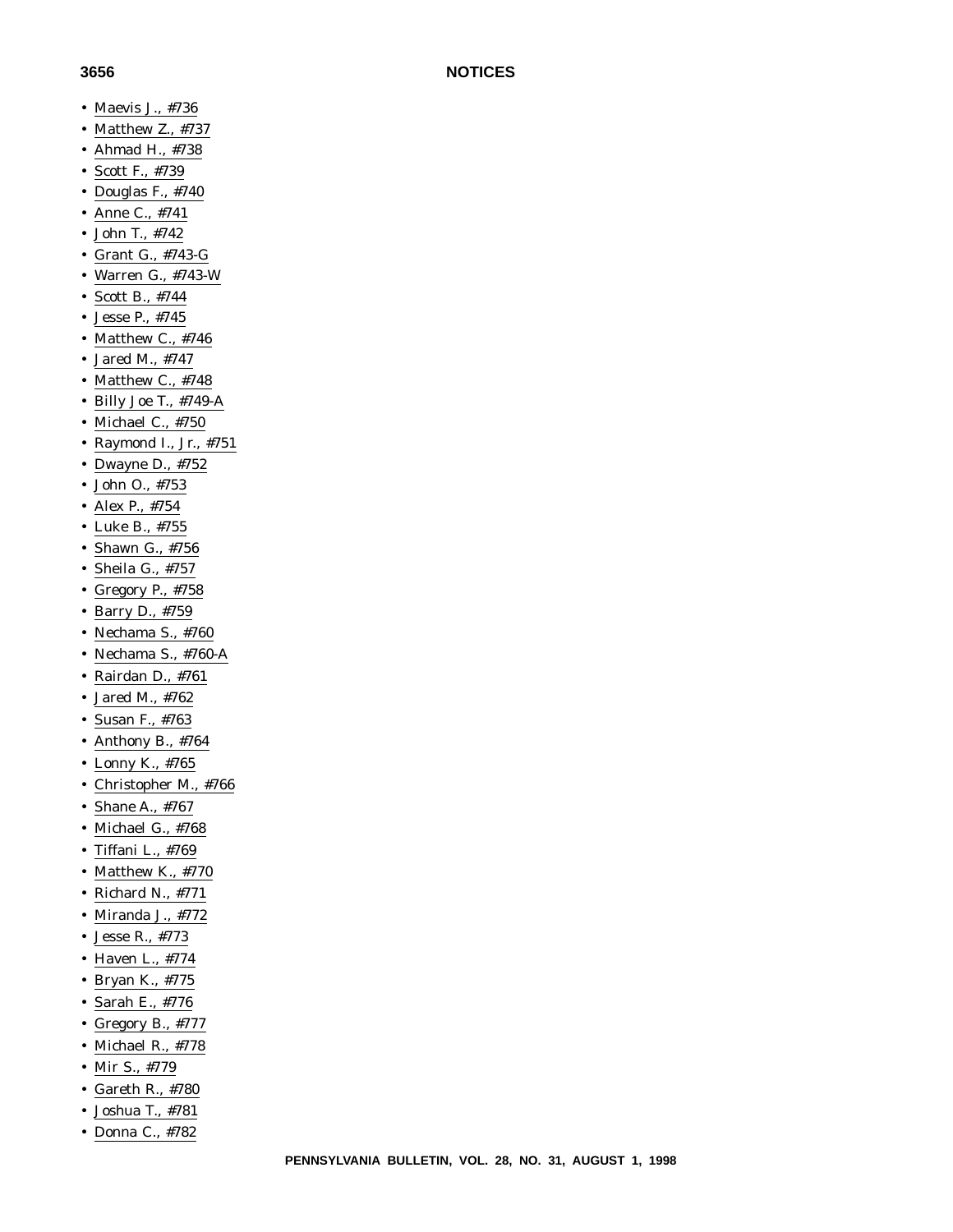- Maevis J., #736
- Matthew Z., #737
- Ahmad H., #738
- Scott F., #739
- Douglas F., #740
- Anne C., #741
- John T., #742
- Grant G., #743-G
- Warren G., #743-W
- Scott B., #744
- Jesse P., #745
- Matthew C., #746
- Jared M., #747
- Matthew C., #748
- Billy Joe T., #749-A
- Michael C., #750
- Raymond I., Jr., #751
- Dwayne D., #752
- John O., #753
- Alex P., #754
- Luke B., #755
- Shawn G., #756
- Sheila G., #757
- Gregory P., #758
- Barry D., #759
- Nechama S., #760
- Nechama S., #760-A
- Rairdan D., #761
- Jared M., #762
- Susan F., #763
- Anthony B., #764
- Lonny K., #765
- Christopher M., #766
- Shane A., #767
- Michael G., #768
- Tiffani L., #769
- Matthew K., #770
- Richard N., #771
- Miranda J., #772
- Jesse R., #773
- Haven L., #774
- Bryan K., #775
- Sarah E., #776
- Gregory B., #777
- Michael R., #778
- Mir S., #779
- Gareth R., #780
- Joshua T., #781
- Donna C., #782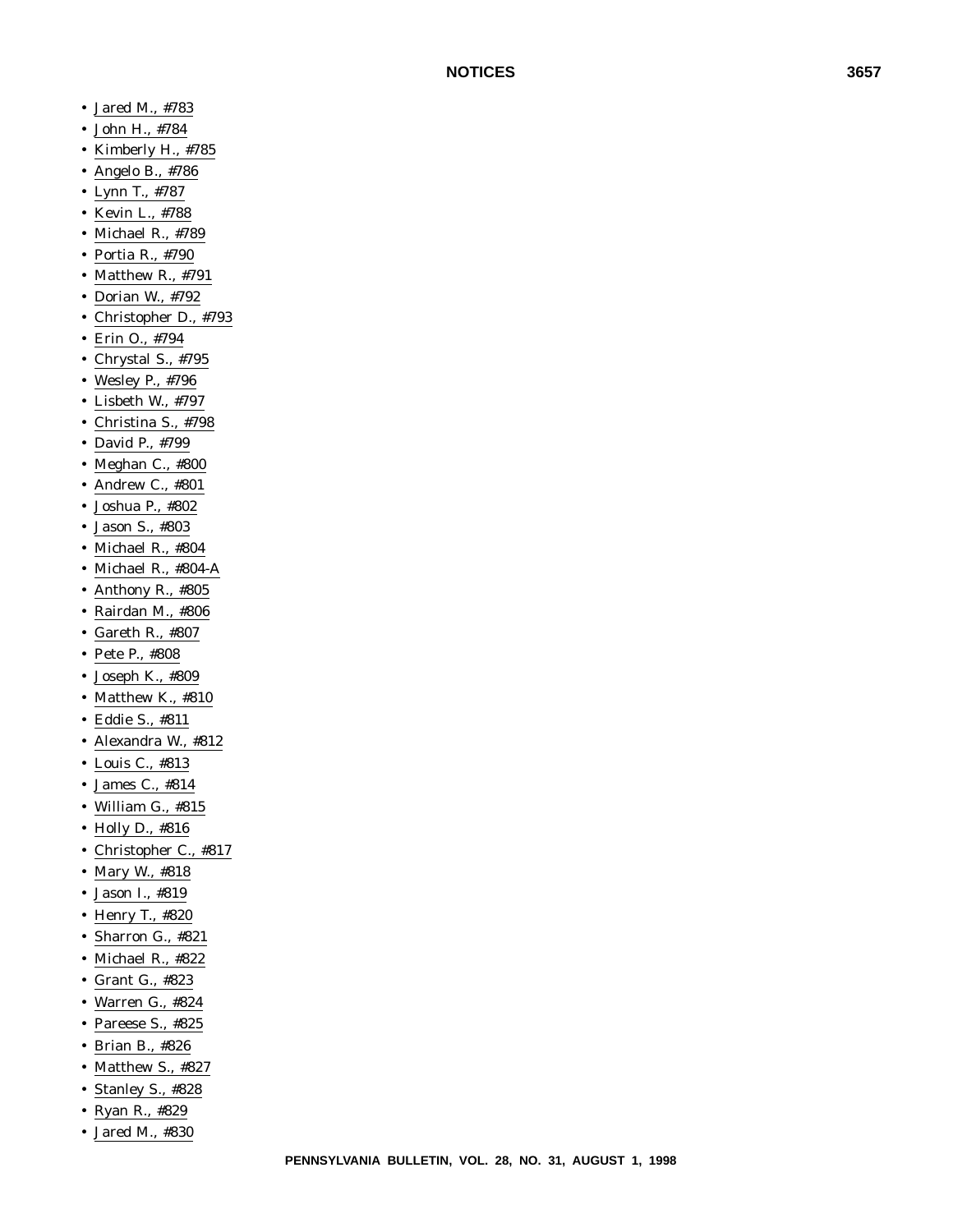- Jared M., #783
- John H., #784
- Kimberly H., #785
- Angelo B., #786
- Lynn T., #787
- Kevin L., #788
- Michael R., #789
- Portia R., #790
- Matthew R., #791
- Dorian W., #792
- Christopher D., #793
- Erin O., #794
- Chrystal S., #795
- Wesley P., #796
- Lisbeth W., #797
- Christina S., #798
- David P., #799
- Meghan C., #800
- Andrew C., #801
- Joshua P., #802
- Jason S., #803
- Michael R., #804
- Michael R., #804-A
- Anthony R., #805
- Rairdan M., #806
- Gareth R., #807
- Pete P., #808
- Joseph K., #809
- Matthew K., #810
- Eddie S., #811
- Alexandra W., #812
- Louis C., #813
- James C., #814
- William G., #815
- Holly D., #816
- Christopher C., #817
- Mary W., #818
- Jason I., #819
- Henry T., #820
- Sharron G., #821
- Michael R., #822
- Grant G., #823
- Warren G., #824
- Pareese S., #825
- Brian B., #826
- Matthew S., #827
- Stanley S., #828
- Ryan R., #829
- Jared M., #830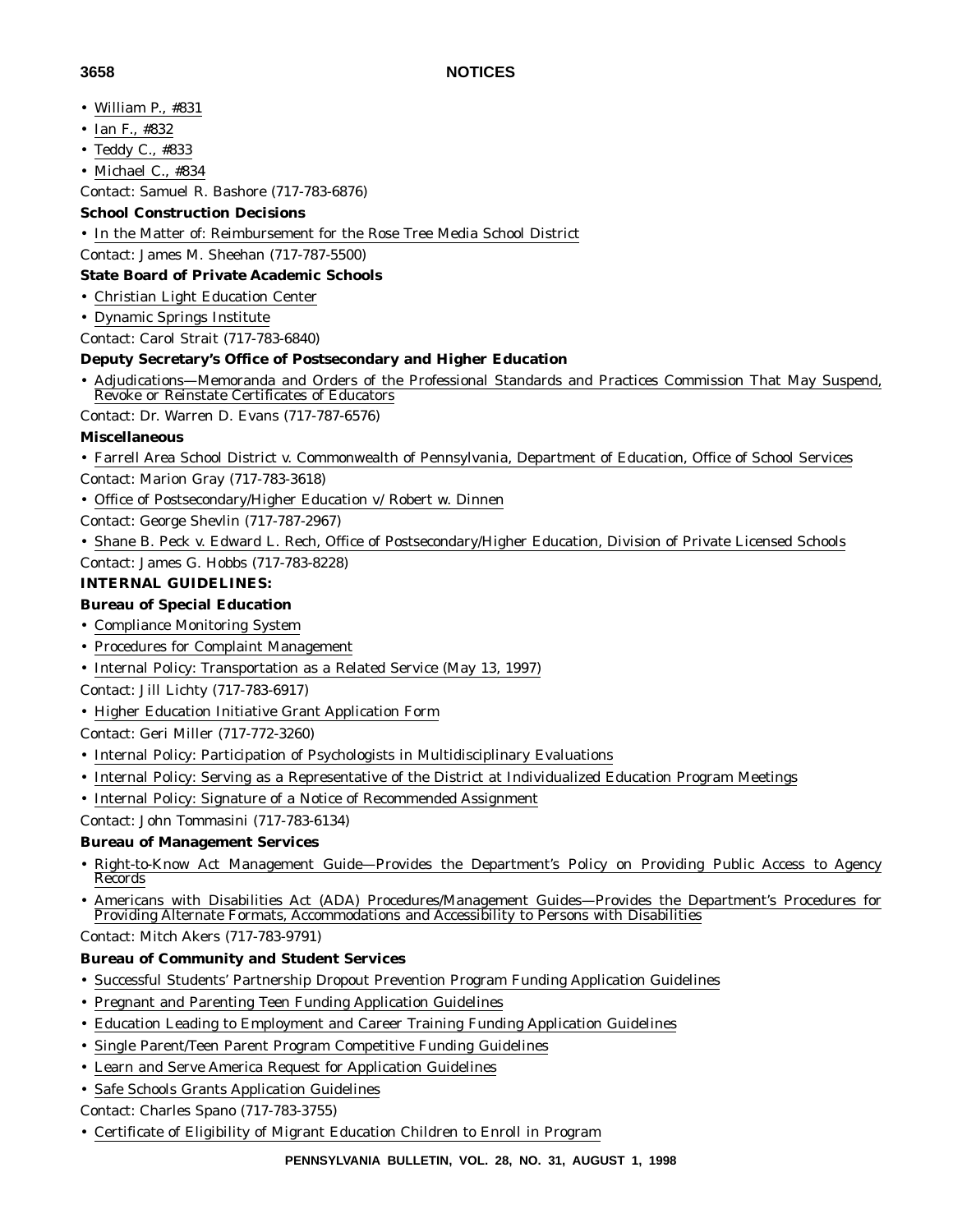- William P., #831
- Ian F., #832
- Teddy C., #833
- Michael C., #834

Contact: Samuel R. Bashore (717-783-6876)

# **School Construction Decisions**

• In the Matter of: Reimbursement for the Rose Tree Media School District

Contact: James M. Sheehan (717-787-5500)

# **State Board of Private Academic Schools**

- Christian Light Education Center
- Dynamic Springs Institute

Contact: Carol Strait (717-783-6840)

### **Deputy Secretary's Office of Postsecondary and Higher Education**

• Adjudications—Memoranda and Orders of the Professional Standards and Practices Commission That May Suspend, Revoke or Reinstate Certificates of Educators

Contact: Dr. Warren D. Evans (717-787-6576)

### **Miscellaneous**

- Farrell Area School District v. Commonwealth of Pennsylvania, Department of Education, Office of School Services
- Contact: Marion Gray (717-783-3618)
- Office of Postsecondary/Higher Education v/ Robert w. Dinnen

Contact: George Shevlin (717-787-2967)

• Shane B. Peck v. Edward L. Rech, Office of Postsecondary/Higher Education, Division of Private Licensed Schools Contact: James G. Hobbs (717-783-8228)

# **INTERNAL GUIDELINES:**

# **Bureau of Special Education**

- Compliance Monitoring System
- Procedures for Complaint Management
- Internal Policy: Transportation as a Related Service (May 13, 1997)
- Contact: Jill Lichty (717-783-6917)
- Higher Education Initiative Grant Application Form

### Contact: Geri Miller (717-772-3260)

- Internal Policy: Participation of Psychologists in Multidisciplinary Evaluations
- Internal Policy: Serving as a Representative of the District at Individualized Education Program Meetings
- Internal Policy: Signature of a Notice of Recommended Assignment
- Contact: John Tommasini (717-783-6134)

### **Bureau of Management Services**

- Right-to-Know Act Management Guide—Provides the Department's Policy on Providing Public Access to Agency Records
- Americans with Disabilities Act (ADA) Procedures/Management Guides—Provides the Department's Procedures for Providing Alternate Formats, Accommodations and Accessibility to Persons with Disabilities

Contact: Mitch Akers (717-783-9791)

#### **Bureau of Community and Student Services**

- Successful Students' Partnership Dropout Prevention Program Funding Application Guidelines
- Pregnant and Parenting Teen Funding Application Guidelines
- Education Leading to Employment and Career Training Funding Application Guidelines
- Single Parent/Teen Parent Program Competitive Funding Guidelines
- Learn and Serve America Request for Application Guidelines
- Safe Schools Grants Application Guidelines

Contact: Charles Spano (717-783-3755)

• Certificate of Eligibility of Migrant Education Children to Enroll in Program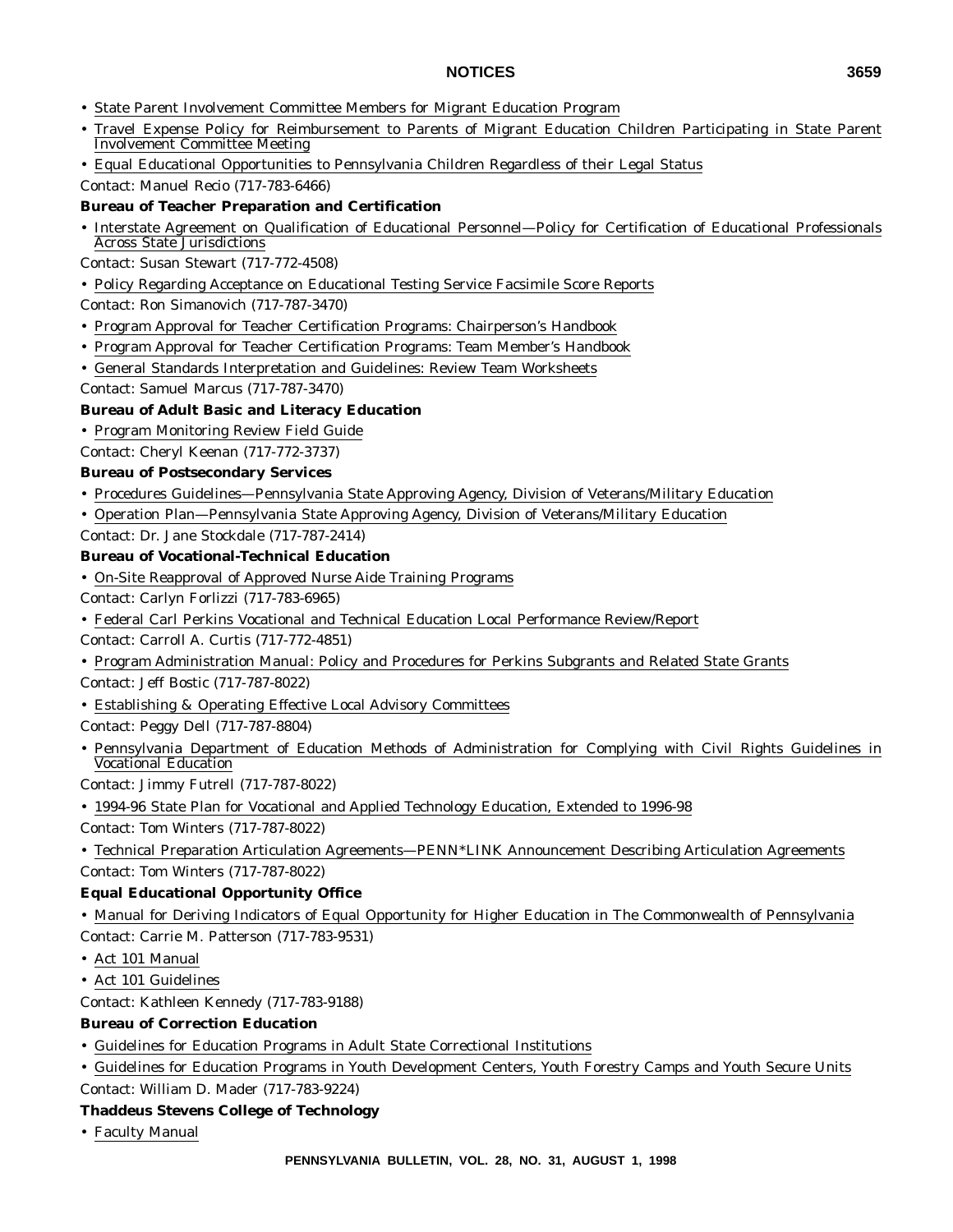- State Parent Involvement Committee Members for Migrant Education Program
- Travel Expense Policy for Reimbursement to Parents of Migrant Education Children Participating in State Parent Involvement Committee Meeting
- Equal Educational Opportunities to Pennsylvania Children Regardless of their Legal Status Contact: Manuel Recio (717-783-6466)

# **Bureau of Teacher Preparation and Certification**

- Interstate Agreement on Qualification of Educational Personnel—Policy for Certification of Educational Professionals Across State Jurisdictions
- Contact: Susan Stewart (717-772-4508)
- Policy Regarding Acceptance on Educational Testing Service Facsimile Score Reports
- Contact: Ron Simanovich (717-787-3470)
- Program Approval for Teacher Certification Programs: Chairperson's Handbook
- Program Approval for Teacher Certification Programs: Team Member's Handbook
- General Standards Interpretation and Guidelines: Review Team Worksheets
- Contact: Samuel Marcus (717-787-3470)

#### **Bureau of Adult Basic and Literacy Education**

• Program Monitoring Review Field Guide

Contact: Cheryl Keenan (717-772-3737)

#### **Bureau of Postsecondary Services**

- Procedures Guidelines—Pennsylvania State Approving Agency, Division of Veterans/Military Education
- Operation Plan—Pennsylvania State Approving Agency, Division of Veterans/Military Education

Contact: Dr. Jane Stockdale (717-787-2414)

#### **Bureau of Vocational-Technical Education**

- On-Site Reapproval of Approved Nurse Aide Training Programs
- Contact: Carlyn Forlizzi (717-783-6965)
- Federal Carl Perkins Vocational and Technical Education Local Performance Review/Report
- Contact: Carroll A. Curtis (717-772-4851)
- Program Administration Manual: Policy and Procedures for Perkins Subgrants and Related State Grants
- Contact: Jeff Bostic (717-787-8022)
- Establishing & Operating Effective Local Advisory Committees
- Contact: Peggy Dell (717-787-8804)
- Pennsylvania Department of Education Methods of Administration for Complying with Civil Rights Guidelines in Vocational Education

Contact: Jimmy Futrell (717-787-8022)

- 1994-96 State Plan for Vocational and Applied Technology Education, Extended to 1996-98 Contact: Tom Winters (717-787-8022)
- Technical Preparation Articulation Agreements—PENN\*LINK Announcement Describing Articulation Agreements Contact: Tom Winters (717-787-8022)

### **Equal Educational Opportunity Office**

- Manual for Deriving Indicators of Equal Opportunity for Higher Education in The Commonwealth of Pennsylvania Contact: Carrie M. Patterson (717-783-9531)
- Act 101 Manual
- Act 101 Guidelines
- Contact: Kathleen Kennedy (717-783-9188)

### **Bureau of Correction Education**

- Guidelines for Education Programs in Adult State Correctional Institutions
- Guidelines for Education Programs in Youth Development Centers, Youth Forestry Camps and Youth Secure Units Contact: William D. Mader (717-783-9224)

#### **Thaddeus Stevens College of Technology**

• Faculty Manual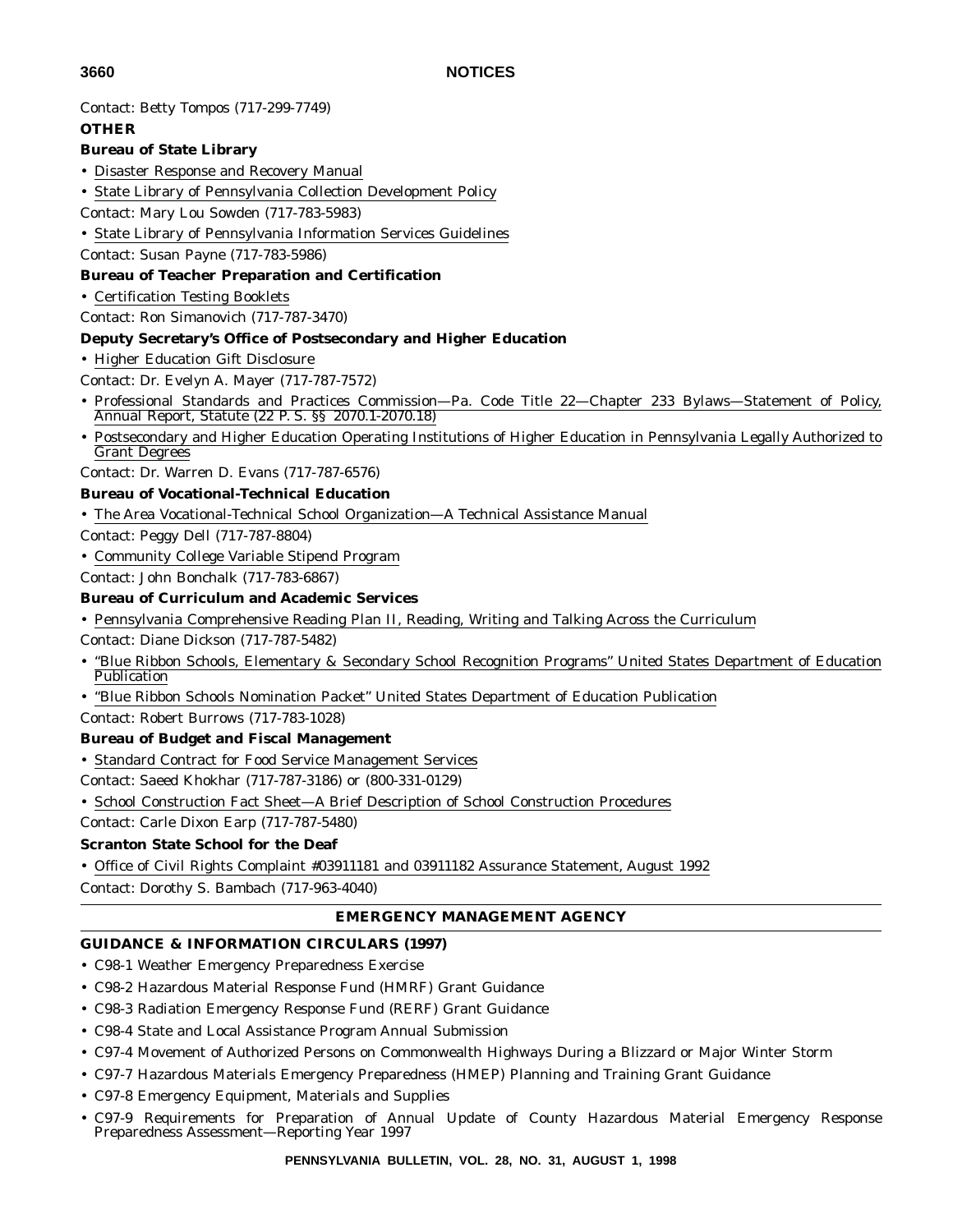Contact: Betty Tompos (717-299-7749)

#### **OTHER**

#### **Bureau of State Library**

- Disaster Response and Recovery Manual
- State Library of Pennsylvania Collection Development Policy
- Contact: Mary Lou Sowden (717-783-5983)
- State Library of Pennsylvania Information Services Guidelines
- Contact: Susan Payne (717-783-5986) **Bureau of Teacher Preparation and Certification**
- Certification Testing Booklets
- Contact: Ron Simanovich (717-787-3470)

#### **Deputy Secretary's Office of Postsecondary and Higher Education**

- Higher Education Gift Disclosure
- Contact: Dr. Evelyn A. Mayer (717-787-7572)
- Professional Standards and Practices Commission—Pa. Code Title 22—Chapter 233 Bylaws—Statement of Policy, Annual Report, Statute (22 P. S. §§ 2070.1-2070.18)
- Postsecondary and Higher Education Operating Institutions of Higher Education in Pennsylvania Legally Authorized to Grant Degrees
- Contact: Dr. Warren D. Evans (717-787-6576)

#### **Bureau of Vocational-Technical Education**

- The Area Vocational-Technical School Organization—A Technical Assistance Manual
- Contact: Peggy Dell (717-787-8804)
- Community College Variable Stipend Program

Contact: John Bonchalk (717-783-6867)

#### **Bureau of Curriculum and Academic Services**

- Pennsylvania Comprehensive Reading Plan II, Reading, Writing and Talking Across the Curriculum
- Contact: Diane Dickson (717-787-5482)
- "Blue Ribbon Schools, Elementary & Secondary School Recognition Programs" United States Department of Education **Publication**
- "Blue Ribbon Schools Nomination Packet" United States Department of Education Publication
- Contact: Robert Burrows (717-783-1028)

### **Bureau of Budget and Fiscal Management**

- Standard Contract for Food Service Management Services
- Contact: Saeed Khokhar (717-787-3186) or (800-331-0129)
- School Construction Fact Sheet—A Brief Description of School Construction Procedures

Contact: Carle Dixon Earp (717-787-5480)

#### **Scranton State School for the Deaf**

• Office of Civil Rights Complaint #03911181 and 03911182 Assurance Statement, August 1992

Contact: Dorothy S. Bambach (717-963-4040)

### **EMERGENCY MANAGEMENT AGENCY**

#### **GUIDANCE & INFORMATION CIRCULARS (1997)**

- C98-1 Weather Emergency Preparedness Exercise
- C98-2 Hazardous Material Response Fund (HMRF) Grant Guidance
- C98-3 Radiation Emergency Response Fund (RERF) Grant Guidance
- C98-4 State and Local Assistance Program Annual Submission
- C97-4 Movement of Authorized Persons on Commonwealth Highways During a Blizzard or Major Winter Storm
- C97-7 Hazardous Materials Emergency Preparedness (HMEP) Planning and Training Grant Guidance
- C97-8 Emergency Equipment, Materials and Supplies
- C97-9 Requirements for Preparation of Annual Update of County Hazardous Material Emergency Response Preparedness Assessment—Reporting Year 1997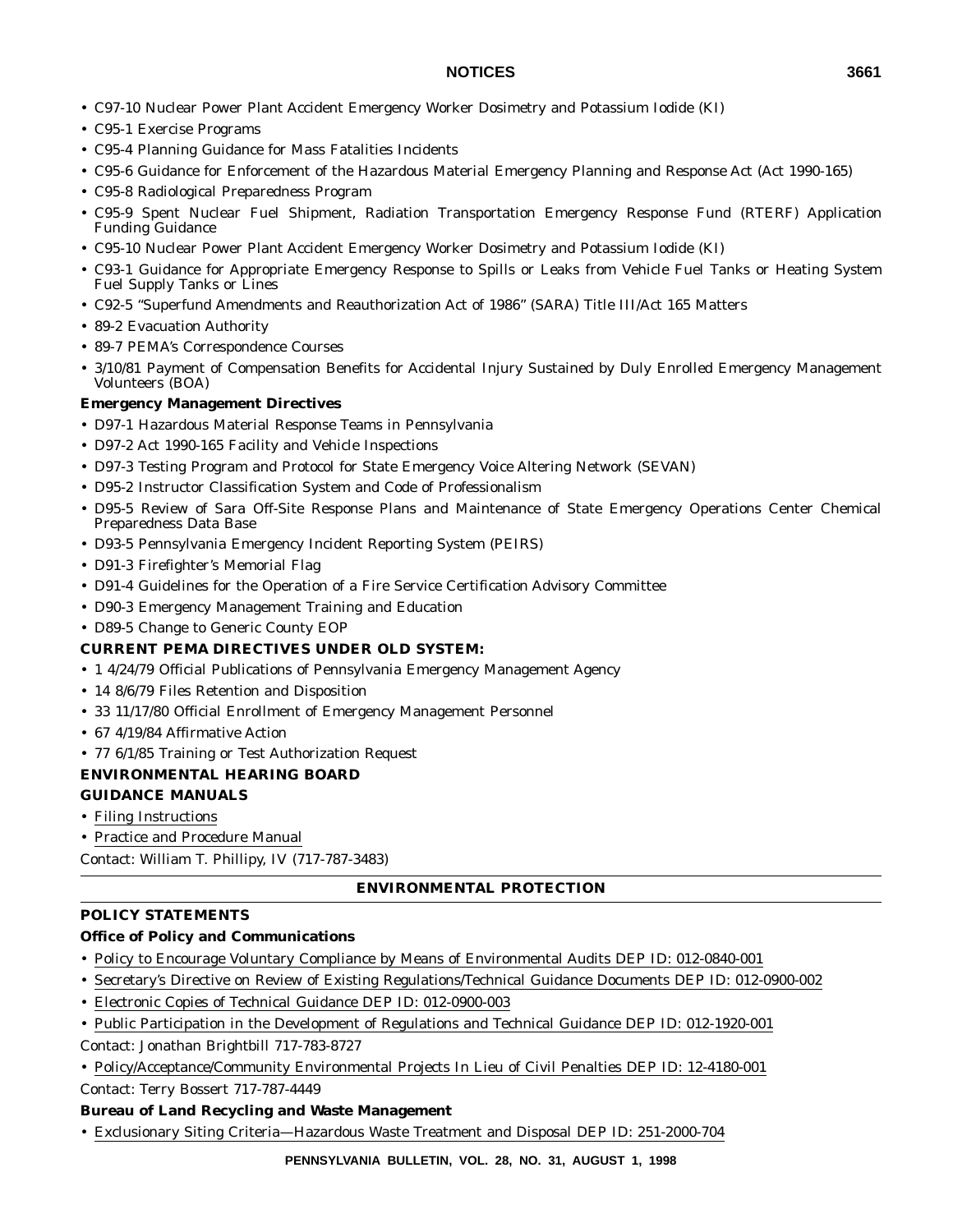- C97-10 Nuclear Power Plant Accident Emergency Worker Dosimetry and Potassium Iodide (KI)
- C95-1 Exercise Programs
- C95-4 Planning Guidance for Mass Fatalities Incidents
- C95-6 Guidance for Enforcement of the Hazardous Material Emergency Planning and Response Act (Act 1990-165)
- C95-8 Radiological Preparedness Program
- C95-9 Spent Nuclear Fuel Shipment, Radiation Transportation Emergency Response Fund (RTERF) Application Funding Guidance
- C95-10 Nuclear Power Plant Accident Emergency Worker Dosimetry and Potassium Iodide (KI)
- C93-1 Guidance for Appropriate Emergency Response to Spills or Leaks from Vehicle Fuel Tanks or Heating System Fuel Supply Tanks or Lines
- C92-5 "Superfund Amendments and Reauthorization Act of 1986" (SARA) Title III/Act 165 Matters
- 89-2 Evacuation Authority
- 89-7 PEMA's Correspondence Courses
- 3/10/81 Payment of Compensation Benefits for Accidental Injury Sustained by Duly Enrolled Emergency Management Volunteers (BOA)

#### **Emergency Management Directives**

- D97-1 Hazardous Material Response Teams in Pennsylvania
- D97-2 Act 1990-165 Facility and Vehicle Inspections
- D97-3 Testing Program and Protocol for State Emergency Voice Altering Network (SEVAN)
- D95-2 Instructor Classification System and Code of Professionalism
- D95-5 Review of Sara Off-Site Response Plans and Maintenance of State Emergency Operations Center Chemical Preparedness Data Base
- D93-5 Pennsylvania Emergency Incident Reporting System (PEIRS)
- D91-3 Firefighter's Memorial Flag
- D91-4 Guidelines for the Operation of a Fire Service Certification Advisory Committee
- D90-3 Emergency Management Training and Education
- D89-5 Change to Generic County EOP

#### **CURRENT PEMA DIRECTIVES UNDER OLD SYSTEM:**

- 1 4/24/79 Official Publications of Pennsylvania Emergency Management Agency
- 14 8/6/79 Files Retention and Disposition
- 33 11/17/80 Official Enrollment of Emergency Management Personnel
- 67 4/19/84 Affirmative Action
- 77 6/1/85 Training or Test Authorization Request

#### **ENVIRONMENTAL HEARING BOARD**

### **GUIDANCE MANUALS**

- Filing Instructions
- Practice and Procedure Manual

Contact: William T. Phillipy, IV (717-787-3483)

### **ENVIRONMENTAL PROTECTION**

#### **POLICY STATEMENTS**

### **Office of Policy and Communications**

- Policy to Encourage Voluntary Compliance by Means of Environmental Audits DEP ID: 012-0840-001
- Secretary's Directive on Review of Existing Regulations/Technical Guidance Documents DEP ID: 012-0900-002
- Electronic Copies of Technical Guidance DEP ID: 012-0900-003
- Public Participation in the Development of Regulations and Technical Guidance DEP ID: 012-1920-001
- Contact: Jonathan Brightbill 717-783-8727
- Policy/Acceptance/Community Environmental Projects In Lieu of Civil Penalties DEP ID: 12-4180-001 Contact: Terry Bossert 717-787-4449

#### **Bureau of Land Recycling and Waste Management**

• Exclusionary Siting Criteria—Hazardous Waste Treatment and Disposal DEP ID: 251-2000-704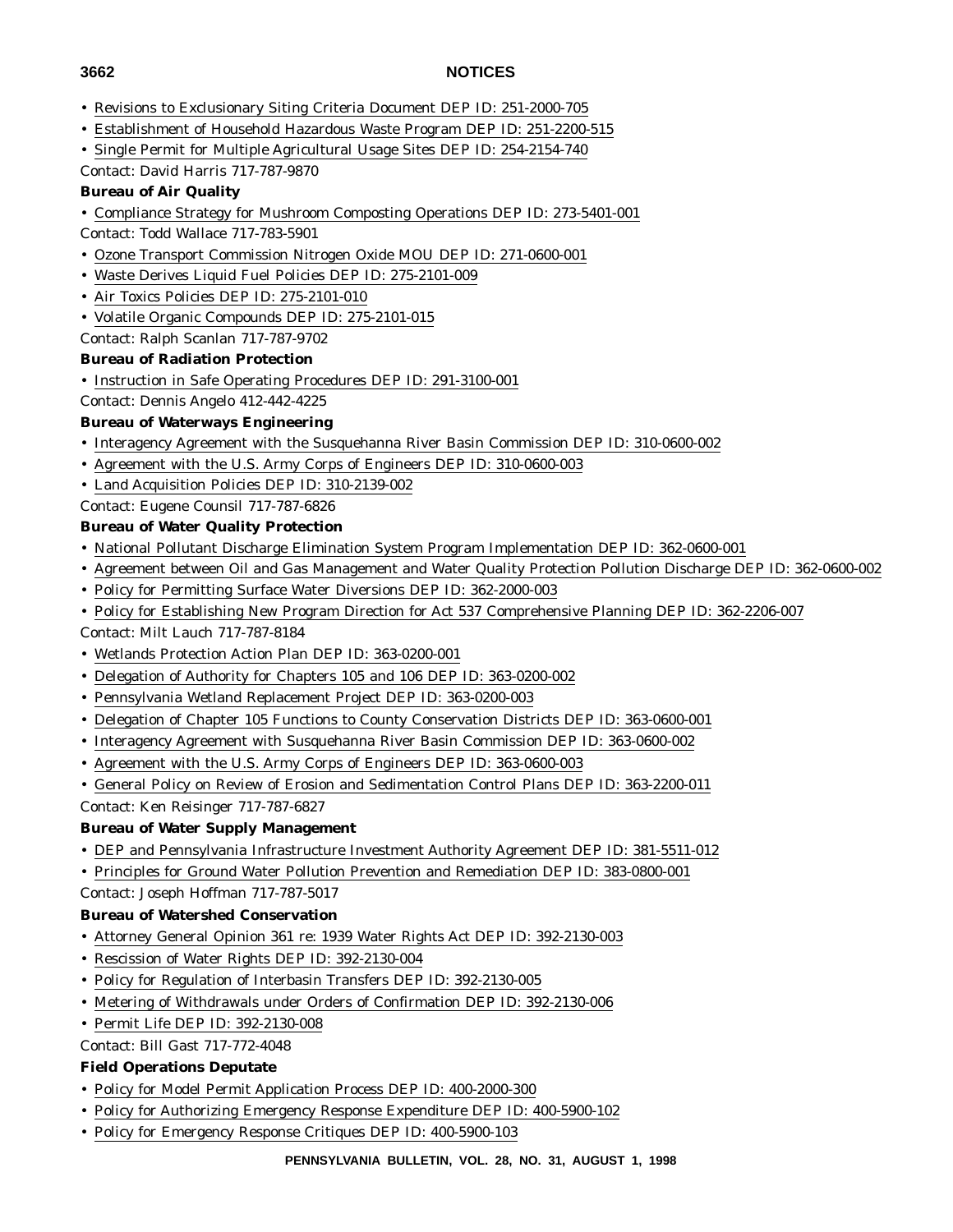- Revisions to Exclusionary Siting Criteria Document DEP ID: 251-2000-705
- Establishment of Household Hazardous Waste Program DEP ID: 251-2200-515
- Single Permit for Multiple Agricultural Usage Sites DEP ID: 254-2154-740

Contact: David Harris 717-787-9870

#### **Bureau of Air Quality**

- Compliance Strategy for Mushroom Composting Operations DEP ID: 273-5401-001
- Contact: Todd Wallace 717-783-5901
- Ozone Transport Commission Nitrogen Oxide MOU DEP ID: 271-0600-001
- Waste Derives Liquid Fuel Policies DEP ID: 275-2101-009
- Air Toxics Policies DEP ID: 275-2101-010
- Volatile Organic Compounds DEP ID: 275-2101-015

Contact: Ralph Scanlan 717-787-9702

#### **Bureau of Radiation Protection**

- Instruction in Safe Operating Procedures DEP ID: 291-3100-001
- Contact: Dennis Angelo 412-442-4225

#### **Bureau of Waterways Engineering**

- Interagency Agreement with the Susquehanna River Basin Commission DEP ID: 310-0600-002
- Agreement with the U.S. Army Corps of Engineers DEP ID: 310-0600-003
- Land Acquisition Policies DEP ID: 310-2139-002
- Contact: Eugene Counsil 717-787-6826

#### **Bureau of Water Quality Protection**

- National Pollutant Discharge Elimination System Program Implementation DEP ID: 362-0600-001
- Agreement between Oil and Gas Management and Water Quality Protection Pollution Discharge DEP ID: 362-0600-002
- Policy for Permitting Surface Water Diversions DEP ID: 362-2000-003
- Policy for Establishing New Program Direction for Act 537 Comprehensive Planning DEP ID: 362-2206-007

Contact: Milt Lauch 717-787-8184

- Wetlands Protection Action Plan DEP ID: 363-0200-001
- Delegation of Authority for Chapters 105 and 106 DEP ID: 363-0200-002
- Pennsylvania Wetland Replacement Project DEP ID: 363-0200-003
- Delegation of Chapter 105 Functions to County Conservation Districts DEP ID: 363-0600-001
- Interagency Agreement with Susquehanna River Basin Commission DEP ID: 363-0600-002
- Agreement with the U.S. Army Corps of Engineers DEP ID: 363-0600-003
- General Policy on Review of Erosion and Sedimentation Control Plans DEP ID: 363-2200-011 Contact: Ken Reisinger 717-787-6827

# **Bureau of Water Supply Management**

- DEP and Pennsylvania Infrastructure Investment Authority Agreement DEP ID: 381-5511-012
- Principles for Ground Water Pollution Prevention and Remediation DEP ID: 383-0800-001

Contact: Joseph Hoffman 717-787-5017

#### **Bureau of Watershed Conservation**

- Attorney General Opinion 361 re: 1939 Water Rights Act DEP ID: 392-2130-003
- Rescission of Water Rights DEP ID: 392-2130-004
- Policy for Regulation of Interbasin Transfers DEP ID: 392-2130-005
- Metering of Withdrawals under Orders of Confirmation DEP ID: 392-2130-006
- Permit Life DEP ID: 392-2130-008

Contact: Bill Gast 717-772-4048

### **Field Operations Deputate**

- Policy for Model Permit Application Process DEP ID: 400-2000-300
- Policy for Authorizing Emergency Response Expenditure DEP ID: 400-5900-102
- Policy for Emergency Response Critiques DEP ID: 400-5900-103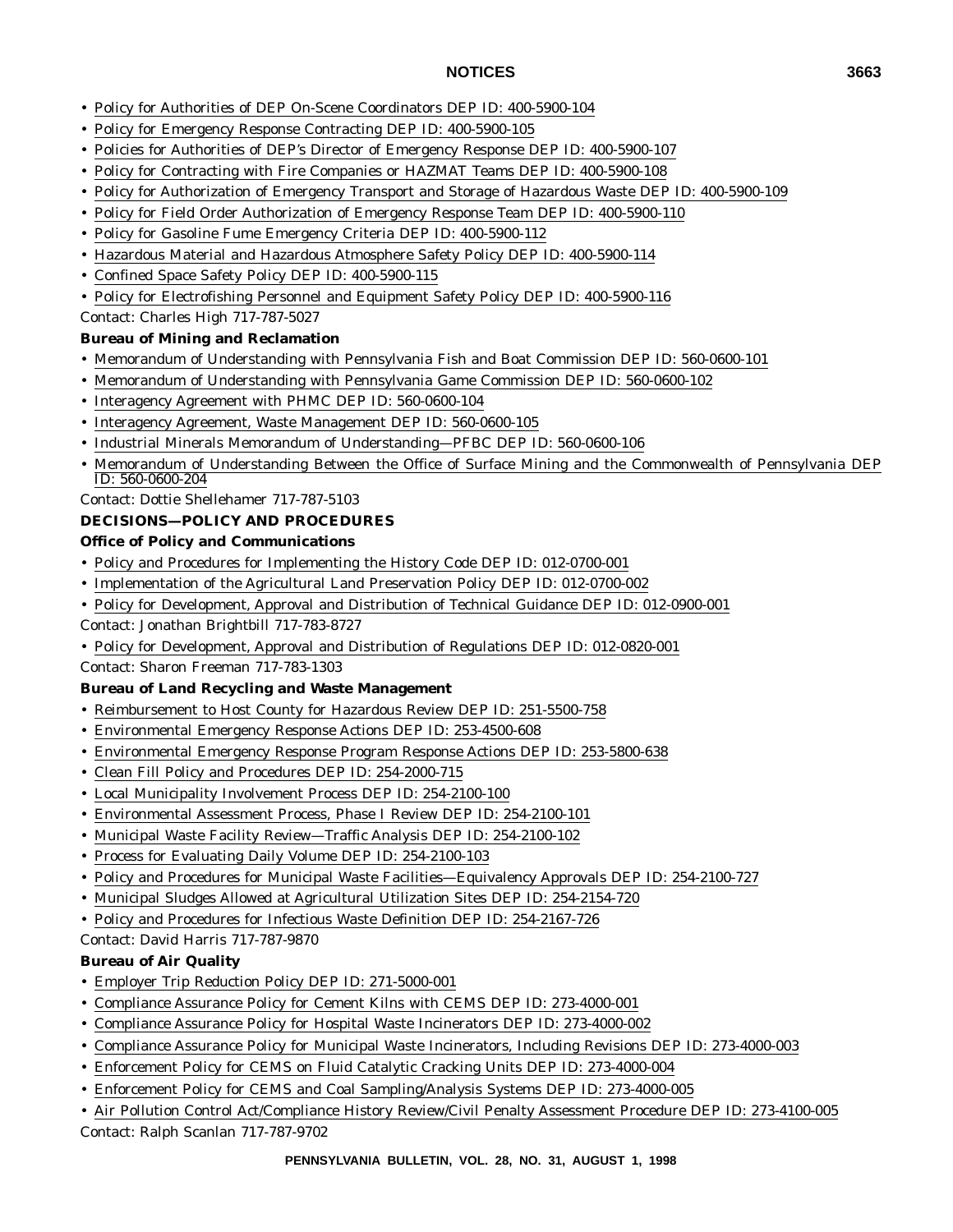- Policy for Authorities of DEP On-Scene Coordinators DEP ID: 400-5900-104
- Policy for Emergency Response Contracting DEP ID: 400-5900-105
- Policies for Authorities of DEP's Director of Emergency Response DEP ID: 400-5900-107
- Policy for Contracting with Fire Companies or HAZMAT Teams DEP ID: 400-5900-108
- Policy for Authorization of Emergency Transport and Storage of Hazardous Waste DEP ID: 400-5900-109
- Policy for Field Order Authorization of Emergency Response Team DEP ID: 400-5900-110
- Policy for Gasoline Fume Emergency Criteria DEP ID: 400-5900-112
- Hazardous Material and Hazardous Atmosphere Safety Policy DEP ID: 400-5900-114
- Confined Space Safety Policy DEP ID: 400-5900-115
- Policy for Electrofishing Personnel and Equipment Safety Policy DEP ID: 400-5900-116

Contact: Charles High 717-787-5027

# **Bureau of Mining and Reclamation**

- Memorandum of Understanding with Pennsylvania Fish and Boat Commission DEP ID: 560-0600-101
- Memorandum of Understanding with Pennsylvania Game Commission DEP ID: 560-0600-102
- Interagency Agreement with PHMC DEP ID: 560-0600-104
- Interagency Agreement, Waste Management DEP ID: 560-0600-105
- Industrial Minerals Memorandum of Understanding—PFBC DEP ID: 560-0600-106
- Memorandum of Understanding Between the Office of Surface Mining and the Commonwealth of Pennsylvania DEP ID: 560-0600-204

# Contact: Dottie Shellehamer 717-787-5103

# **DECISIONS—POLICY AND PROCEDURES**

### **Office of Policy and Communications**

- Policy and Procedures for Implementing the History Code DEP ID: 012-0700-001
- Implementation of the Agricultural Land Preservation Policy DEP ID: 012-0700-002
- Policy for Development, Approval and Distribution of Technical Guidance DEP ID: 012-0900-001

# Contact: Jonathan Brightbill 717-783-8727

• Policy for Development, Approval and Distribution of Regulations DEP ID: 012-0820-001

Contact: Sharon Freeman 717-783-1303

# **Bureau of Land Recycling and Waste Management**

- Reimbursement to Host County for Hazardous Review DEP ID: 251-5500-758
- Environmental Emergency Response Actions DEP ID: 253-4500-608
- Environmental Emergency Response Program Response Actions DEP ID: 253-5800-638
- Clean Fill Policy and Procedures DEP ID: 254-2000-715
- Local Municipality Involvement Process DEP ID: 254-2100-100
- Environmental Assessment Process, Phase I Review DEP ID: 254-2100-101
- Municipal Waste Facility Review—Traffic Analysis DEP ID: 254-2100-102
- Process for Evaluating Daily Volume DEP ID: 254-2100-103
- Policy and Procedures for Municipal Waste Facilities—Equivalency Approvals DEP ID: 254-2100-727
- Municipal Sludges Allowed at Agricultural Utilization Sites DEP ID: 254-2154-720
- Policy and Procedures for Infectious Waste Definition DEP ID: 254-2167-726

Contact: David Harris 717-787-9870

# **Bureau of Air Quality**

- Employer Trip Reduction Policy DEP ID: 271-5000-001
- Compliance Assurance Policy for Cement Kilns with CEMS DEP ID: 273-4000-001
- Compliance Assurance Policy for Hospital Waste Incinerators DEP ID: 273-4000-002
- Compliance Assurance Policy for Municipal Waste Incinerators, Including Revisions DEP ID: 273-4000-003
- Enforcement Policy for CEMS on Fluid Catalytic Cracking Units DEP ID: 273-4000-004
- Enforcement Policy for CEMS and Coal Sampling/Analysis Systems DEP ID: 273-4000-005
- Air Pollution Control Act/Compliance History Review/Civil Penalty Assessment Procedure DEP ID: 273-4100-005

Contact: Ralph Scanlan 717-787-9702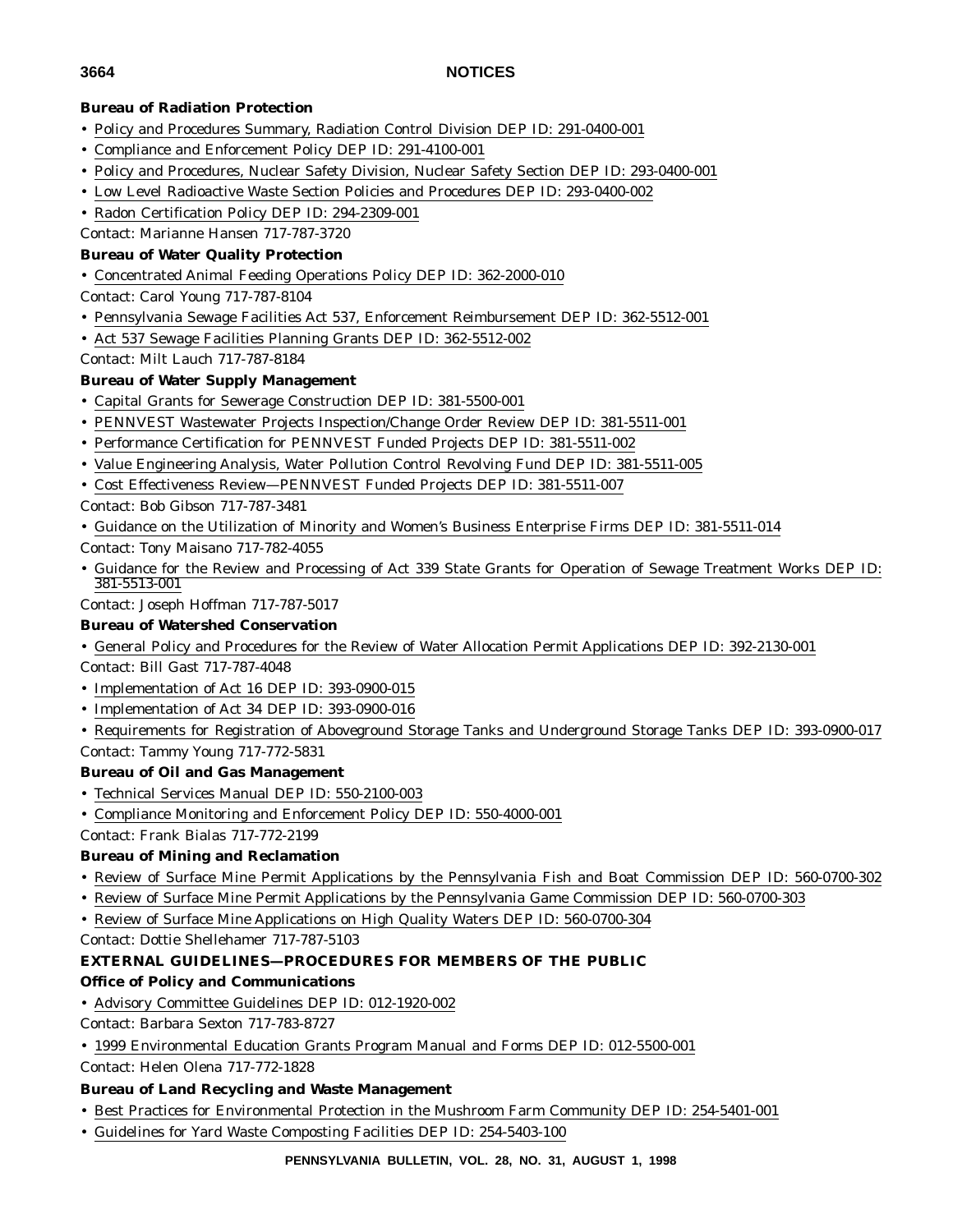#### **Bureau of Radiation Protection**

- Policy and Procedures Summary, Radiation Control Division DEP ID: 291-0400-001
- Compliance and Enforcement Policy DEP ID: 291-4100-001
- Policy and Procedures, Nuclear Safety Division, Nuclear Safety Section DEP ID: 293-0400-001
- Low Level Radioactive Waste Section Policies and Procedures DEP ID: 293-0400-002
- Radon Certification Policy DEP ID: 294-2309-001

Contact: Marianne Hansen 717-787-3720

#### **Bureau of Water Quality Protection**

- Concentrated Animal Feeding Operations Policy DEP ID: 362-2000-010
- Contact: Carol Young 717-787-8104
- Pennsylvania Sewage Facilities Act 537, Enforcement Reimbursement DEP ID: 362-5512-001
- Act 537 Sewage Facilities Planning Grants DEP ID: 362-5512-002

Contact: Milt Lauch 717-787-8184

#### **Bureau of Water Supply Management**

- Capital Grants for Sewerage Construction DEP ID: 381-5500-001
- PENNVEST Wastewater Projects Inspection/Change Order Review DEP ID: 381-5511-001
- Performance Certification for PENNVEST Funded Projects DEP ID: 381-5511-002
- Value Engineering Analysis, Water Pollution Control Revolving Fund DEP ID: 381-5511-005
- Cost Effectiveness Review—PENNVEST Funded Projects DEP ID: 381-5511-007
- Contact: Bob Gibson 717-787-3481
- Guidance on the Utilization of Minority and Women's Business Enterprise Firms DEP ID: 381-5511-014

Contact: Tony Maisano 717-782-4055

• Guidance for the Review and Processing of Act 339 State Grants for Operation of Sewage Treatment Works DEP ID: 381-5513-001

Contact: Joseph Hoffman 717-787-5017

### **Bureau of Watershed Conservation**

- General Policy and Procedures for the Review of Water Allocation Permit Applications DEP ID: 392-2130-001 Contact: Bill Gast 717-787-4048
- Implementation of Act 16 DEP ID: 393-0900-015
- Implementation of Act 34 DEP ID: 393-0900-016
- Requirements for Registration of Aboveground Storage Tanks and Underground Storage Tanks DEP ID: 393-0900-017 Contact: Tammy Young 717-772-5831

### **Bureau of Oil and Gas Management**

- Technical Services Manual DEP ID: 550-2100-003
- Compliance Monitoring and Enforcement Policy DEP ID: 550-4000-001

Contact: Frank Bialas 717-772-2199

### **Bureau of Mining and Reclamation**

- Review of Surface Mine Permit Applications by the Pennsylvania Fish and Boat Commission DEP ID: 560-0700-302
- Review of Surface Mine Permit Applications by the Pennsylvania Game Commission DEP ID: 560-0700-303
- Review of Surface Mine Applications on High Quality Waters DEP ID: 560-0700-304

Contact: Dottie Shellehamer 717-787-5103

### **EXTERNAL GUIDELINES—PROCEDURES FOR MEMBERS OF THE PUBLIC**

#### **Office of Policy and Communications**

- Advisory Committee Guidelines DEP ID: 012-1920-002
- Contact: Barbara Sexton 717-783-8727
- 1999 Environmental Education Grants Program Manual and Forms DEP ID: 012-5500-001

Contact: Helen Olena 717-772-1828

#### **Bureau of Land Recycling and Waste Management**

- Best Practices for Environmental Protection in the Mushroom Farm Community DEP ID: 254-5401-001
- Guidelines for Yard Waste Composting Facilities DEP ID: 254-5403-100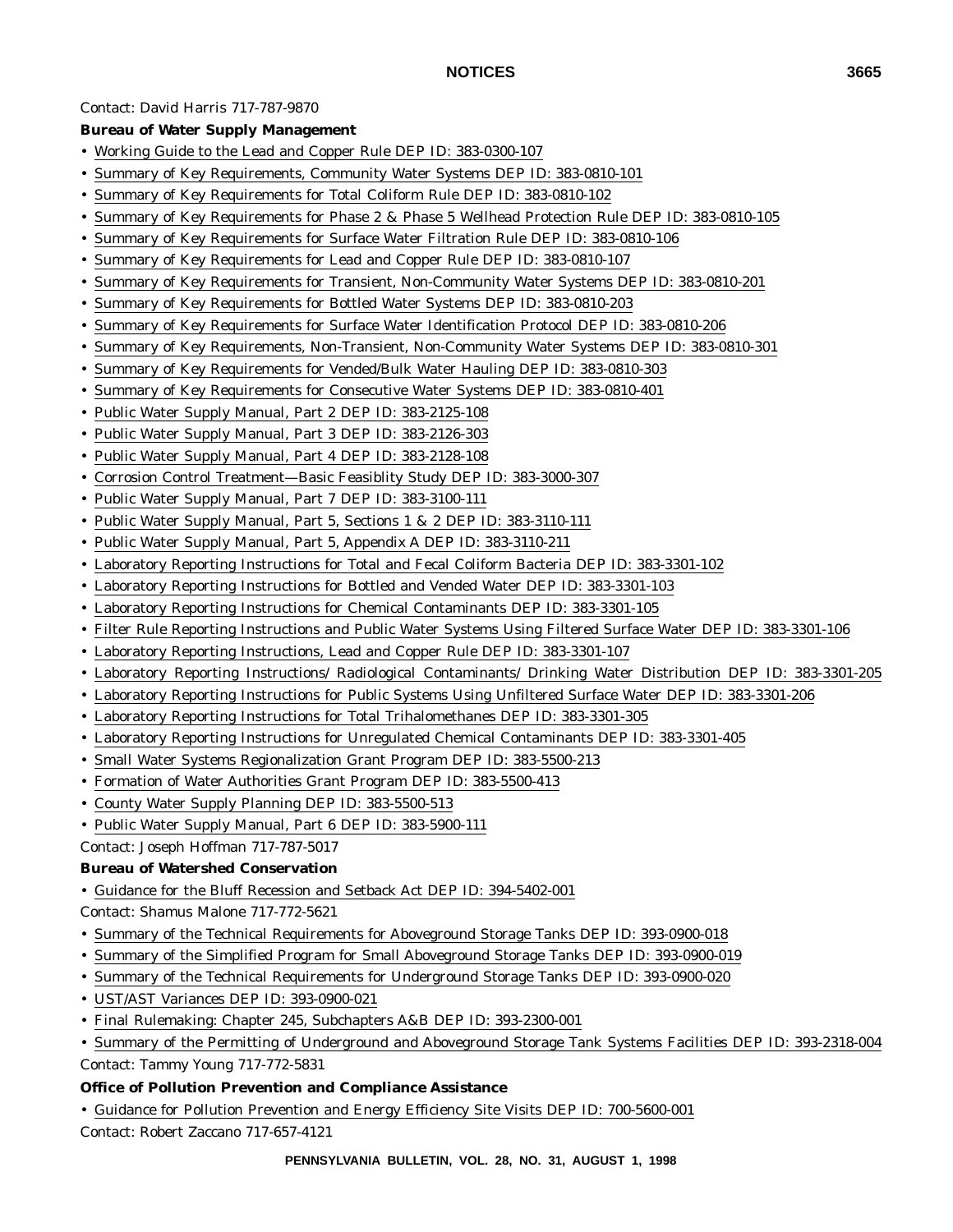#### Contact: David Harris 717-787-9870

#### **Bureau of Water Supply Management**

- Working Guide to the Lead and Copper Rule DEP ID: 383-0300-107
- Summary of Key Requirements, Community Water Systems DEP ID: 383-0810-101
- Summary of Key Requirements for Total Coliform Rule DEP ID: 383-0810-102
- Summary of Key Requirements for Phase 2 & Phase 5 Wellhead Protection Rule DEP ID: 383-0810-105
- Summary of Key Requirements for Surface Water Filtration Rule DEP ID: 383-0810-106
- Summary of Key Requirements for Lead and Copper Rule DEP ID: 383-0810-107
- Summary of Key Requirements for Transient, Non-Community Water Systems DEP ID: 383-0810-201
- Summary of Key Requirements for Bottled Water Systems DEP ID: 383-0810-203
- Summary of Key Requirements for Surface Water Identification Protocol DEP ID: 383-0810-206
- Summary of Key Requirements, Non-Transient, Non-Community Water Systems DEP ID: 383-0810-301
- Summary of Key Requirements for Vended/Bulk Water Hauling DEP ID: 383-0810-303
- Summary of Key Requirements for Consecutive Water Systems DEP ID: 383-0810-401
- Public Water Supply Manual, Part 2 DEP ID: 383-2125-108
- Public Water Supply Manual, Part 3 DEP ID: 383-2126-303
- Public Water Supply Manual, Part 4 DEP ID: 383-2128-108
- Corrosion Control Treatment—Basic Feasiblity Study DEP ID: 383-3000-307
- Public Water Supply Manual, Part 7 DEP ID: 383-3100-111
- Public Water Supply Manual, Part 5, Sections 1 & 2 DEP ID: 383-3110-111
- Public Water Supply Manual, Part 5, Appendix A DEP ID: 383-3110-211
- Laboratory Reporting Instructions for Total and Fecal Coliform Bacteria DEP ID: 383-3301-102
- Laboratory Reporting Instructions for Bottled and Vended Water DEP ID: 383-3301-103
- Laboratory Reporting Instructions for Chemical Contaminants DEP ID: 383-3301-105
- Filter Rule Reporting Instructions and Public Water Systems Using Filtered Surface Water DEP ID: 383-3301-106
- Laboratory Reporting Instructions, Lead and Copper Rule DEP ID: 383-3301-107
- Laboratory Reporting Instructions/ Radiological Contaminants/ Drinking Water Distribution DEP ID: 383-3301-205
- Laboratory Reporting Instructions for Public Systems Using Unfiltered Surface Water DEP ID: 383-3301-206
- Laboratory Reporting Instructions for Total Trihalomethanes DEP ID: 383-3301-305
- Laboratory Reporting Instructions for Unregulated Chemical Contaminants DEP ID: 383-3301-405
- Small Water Systems Regionalization Grant Program DEP ID: 383-5500-213
- Formation of Water Authorities Grant Program DEP ID: 383-5500-413
- County Water Supply Planning DEP ID: 383-5500-513
- Public Water Supply Manual, Part 6 DEP ID: 383-5900-111
- Contact: Joseph Hoffman 717-787-5017

#### **Bureau of Watershed Conservation**

- Guidance for the Bluff Recession and Setback Act DEP ID: 394-5402-001
- Contact: Shamus Malone 717-772-5621
- Summary of the Technical Requirements for Aboveground Storage Tanks DEP ID: 393-0900-018
- Summary of the Simplified Program for Small Aboveground Storage Tanks DEP ID: 393-0900-019
- Summary of the Technical Requirements for Underground Storage Tanks DEP ID: 393-0900-020
- UST/AST Variances DEP ID: 393-0900-021
- Final Rulemaking: Chapter 245, Subchapters A&B DEP ID: 393-2300-001
- Summary of the Permitting of Underground and Aboveground Storage Tank Systems Facilities DEP ID: 393-2318-004 Contact: Tammy Young 717-772-5831

### **Office of Pollution Prevention and Compliance Assistance**

• Guidance for Pollution Prevention and Energy Efficiency Site Visits DEP ID: 700-5600-001

Contact: Robert Zaccano 717-657-4121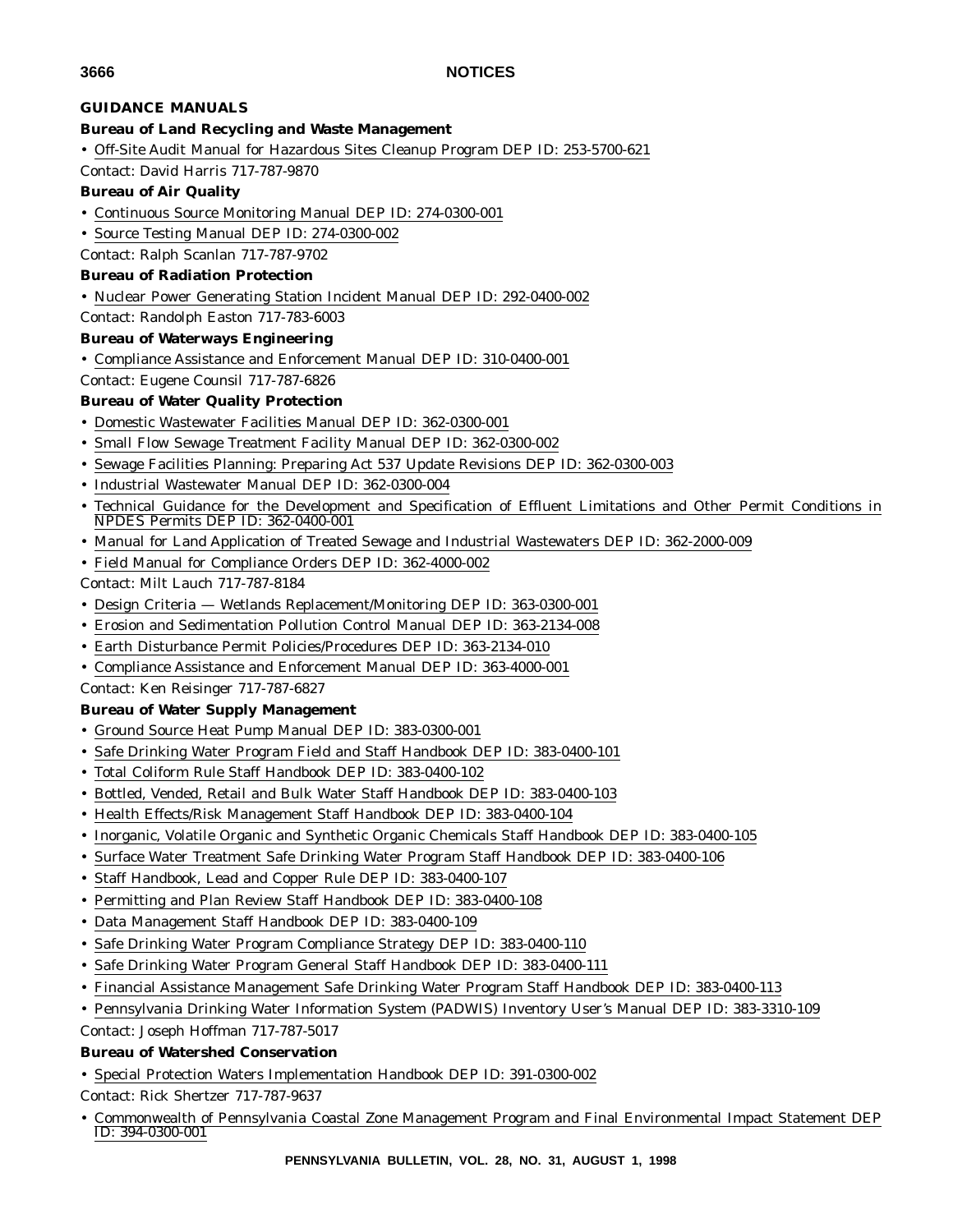#### **GUIDANCE MANUALS**

#### **Bureau of Land Recycling and Waste Management**

• Off-Site Audit Manual for Hazardous Sites Cleanup Program DEP ID: 253-5700-621

Contact: David Harris 717-787-9870

#### **Bureau of Air Quality**

- Continuous Source Monitoring Manual DEP ID: 274-0300-001
- Source Testing Manual DEP ID: 274-0300-002
- Contact: Ralph Scanlan 717-787-9702

#### **Bureau of Radiation Protection**

• Nuclear Power Generating Station Incident Manual DEP ID: 292-0400-002

Contact: Randolph Easton 717-783-6003

#### **Bureau of Waterways Engineering**

• Compliance Assistance and Enforcement Manual DEP ID: 310-0400-001

# Contact: Eugene Counsil 717-787-6826

#### **Bureau of Water Quality Protection**

- Domestic Wastewater Facilities Manual DEP ID: 362-0300-001
- Small Flow Sewage Treatment Facility Manual DEP ID: 362-0300-002
- Sewage Facilities Planning: Preparing Act 537 Update Revisions DEP ID: 362-0300-003
- Industrial Wastewater Manual DEP ID: 362-0300-004
- Technical Guidance for the Development and Specification of Effluent Limitations and Other Permit Conditions in NPDES Permits DEP ID: 362-0400-001
- Manual for Land Application of Treated Sewage and Industrial Wastewaters DEP ID: 362-2000-009
- Field Manual for Compliance Orders DEP ID: 362-4000-002
- Contact: Milt Lauch 717-787-8184
- Design Criteria Wetlands Replacement/Monitoring DEP ID: 363-0300-001
- Erosion and Sedimentation Pollution Control Manual DEP ID: 363-2134-008
- Earth Disturbance Permit Policies/Procedures DEP ID: 363-2134-010
- Compliance Assistance and Enforcement Manual DEP ID: 363-4000-001
- Contact: Ken Reisinger 717-787-6827

#### **Bureau of Water Supply Management**

- Ground Source Heat Pump Manual DEP ID: 383-0300-001
- Safe Drinking Water Program Field and Staff Handbook DEP ID: 383-0400-101
- Total Coliform Rule Staff Handbook DEP ID: 383-0400-102
- Bottled, Vended, Retail and Bulk Water Staff Handbook DEP ID: 383-0400-103
- Health Effects/Risk Management Staff Handbook DEP ID: 383-0400-104
- Inorganic, Volatile Organic and Synthetic Organic Chemicals Staff Handbook DEP ID: 383-0400-105
- Surface Water Treatment Safe Drinking Water Program Staff Handbook DEP ID: 383-0400-106
- Staff Handbook, Lead and Copper Rule DEP ID: 383-0400-107
- Permitting and Plan Review Staff Handbook DEP ID: 383-0400-108
- Data Management Staff Handbook DEP ID: 383-0400-109
- Safe Drinking Water Program Compliance Strategy DEP ID: 383-0400-110
- Safe Drinking Water Program General Staff Handbook DEP ID: 383-0400-111
- Financial Assistance Management Safe Drinking Water Program Staff Handbook DEP ID: 383-0400-113
- Pennsylvania Drinking Water Information System (PADWIS) Inventory User's Manual DEP ID: 383-3310-109

Contact: Joseph Hoffman 717-787-5017

#### **Bureau of Watershed Conservation**

• Special Protection Waters Implementation Handbook DEP ID: 391-0300-002

Contact: Rick Shertzer 717-787-9637

• Commonwealth of Pennsylvania Coastal Zone Management Program and Final Environmental Impact Statement DEP ID: 394-0300-001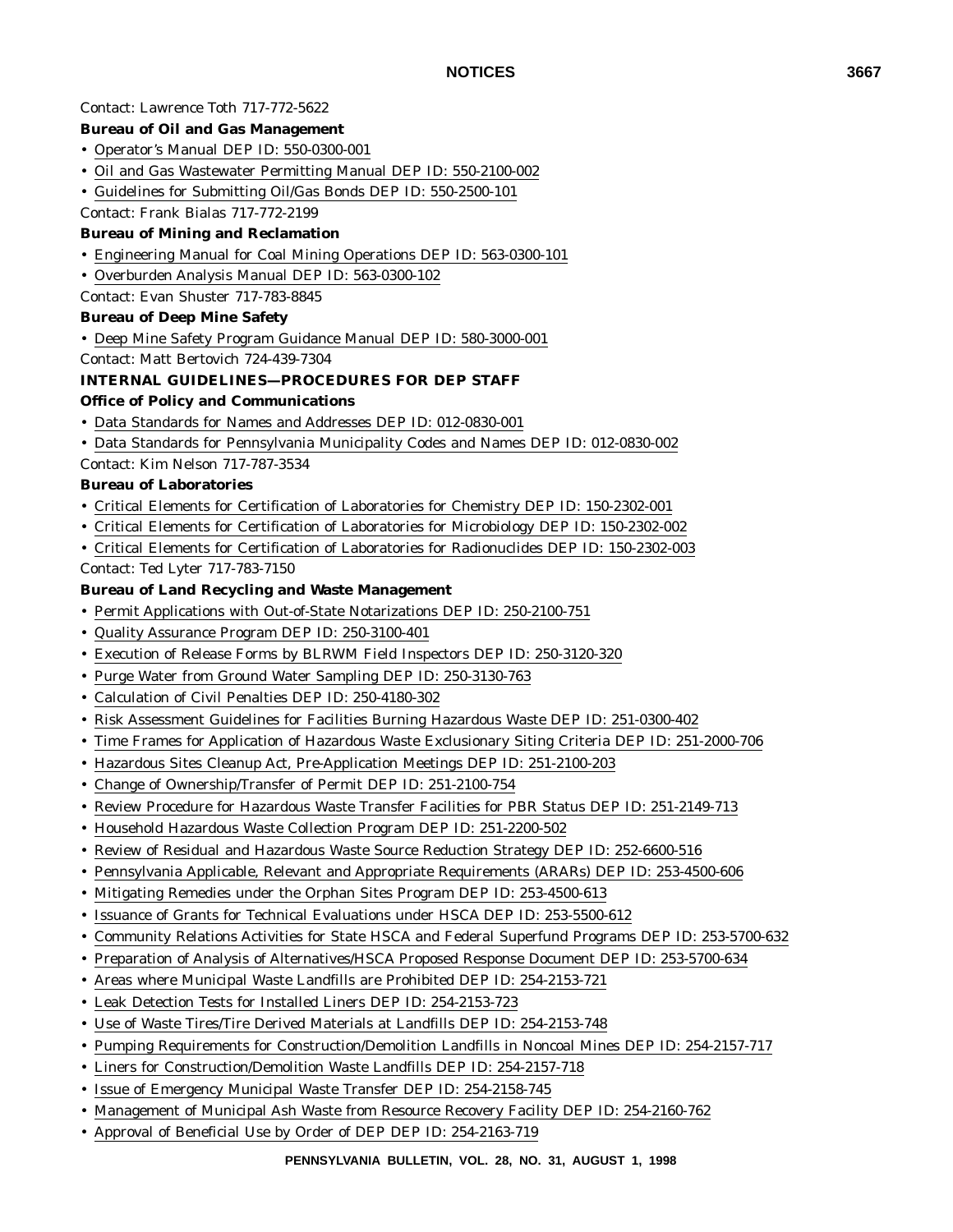#### Contact: Lawrence Toth 717-772-5622

#### **Bureau of Oil and Gas Management**

- Operator's Manual DEP ID: 550-0300-001
- Oil and Gas Wastewater Permitting Manual DEP ID: 550-2100-002
- Guidelines for Submitting Oil/Gas Bonds DEP ID: 550-2500-101

#### Contact: Frank Bialas 717-772-2199

#### **Bureau of Mining and Reclamation**

- Engineering Manual for Coal Mining Operations DEP ID: 563-0300-101
- Overburden Analysis Manual DEP ID: 563-0300-102

Contact: Evan Shuster 717-783-8845

#### **Bureau of Deep Mine Safety**

- Deep Mine Safety Program Guidance Manual DEP ID: 580-3000-001
- Contact: Matt Bertovich 724-439-7304

#### **INTERNAL GUIDELINES—PROCEDURES FOR DEP STAFF**

#### **Office of Policy and Communications**

- Data Standards for Names and Addresses DEP ID: 012-0830-001
- Data Standards for Pennsylvania Municipality Codes and Names DEP ID: 012-0830-002

Contact: Kim Nelson 717-787-3534

#### **Bureau of Laboratories**

- Critical Elements for Certification of Laboratories for Chemistry DEP ID: 150-2302-001
- Critical Elements for Certification of Laboratories for Microbiology DEP ID: 150-2302-002
- Critical Elements for Certification of Laboratories for Radionuclides DEP ID: 150-2302-003

Contact: Ted Lyter 717-783-7150

#### **Bureau of Land Recycling and Waste Management**

- Permit Applications with Out-of-State Notarizations DEP ID: 250-2100-751
- Quality Assurance Program DEP ID: 250-3100-401
- Execution of Release Forms by BLRWM Field Inspectors DEP ID: 250-3120-320
- Purge Water from Ground Water Sampling DEP ID: 250-3130-763
- Calculation of Civil Penalties DEP ID: 250-4180-302
- Risk Assessment Guidelines for Facilities Burning Hazardous Waste DEP ID: 251-0300-402
- Time Frames for Application of Hazardous Waste Exclusionary Siting Criteria DEP ID: 251-2000-706
- Hazardous Sites Cleanup Act, Pre-Application Meetings DEP ID: 251-2100-203
- Change of Ownership/Transfer of Permit DEP ID: 251-2100-754
- Review Procedure for Hazardous Waste Transfer Facilities for PBR Status DEP ID: 251-2149-713
- Household Hazardous Waste Collection Program DEP ID: 251-2200-502
- Review of Residual and Hazardous Waste Source Reduction Strategy DEP ID: 252-6600-516
- Pennsylvania Applicable, Relevant and Appropriate Requirements (ARARs) DEP ID: 253-4500-606
- Mitigating Remedies under the Orphan Sites Program DEP ID: 253-4500-613
- Issuance of Grants for Technical Evaluations under HSCA DEP ID: 253-5500-612
- Community Relations Activities for State HSCA and Federal Superfund Programs DEP ID: 253-5700-632
- Preparation of Analysis of Alternatives/HSCA Proposed Response Document DEP ID: 253-5700-634
- Areas where Municipal Waste Landfills are Prohibited DEP ID: 254-2153-721
- Leak Detection Tests for Installed Liners DEP ID: 254-2153-723
- Use of Waste Tires/Tire Derived Materials at Landfills DEP ID: 254-2153-748
- Pumping Requirements for Construction/Demolition Landfills in Noncoal Mines DEP ID: 254-2157-717
- Liners for Construction/Demolition Waste Landfills DEP ID: 254-2157-718
- Issue of Emergency Municipal Waste Transfer DEP ID: 254-2158-745
- Management of Municipal Ash Waste from Resource Recovery Facility DEP ID: 254-2160-762
- Approval of Beneficial Use by Order of DEP DEP ID: 254-2163-719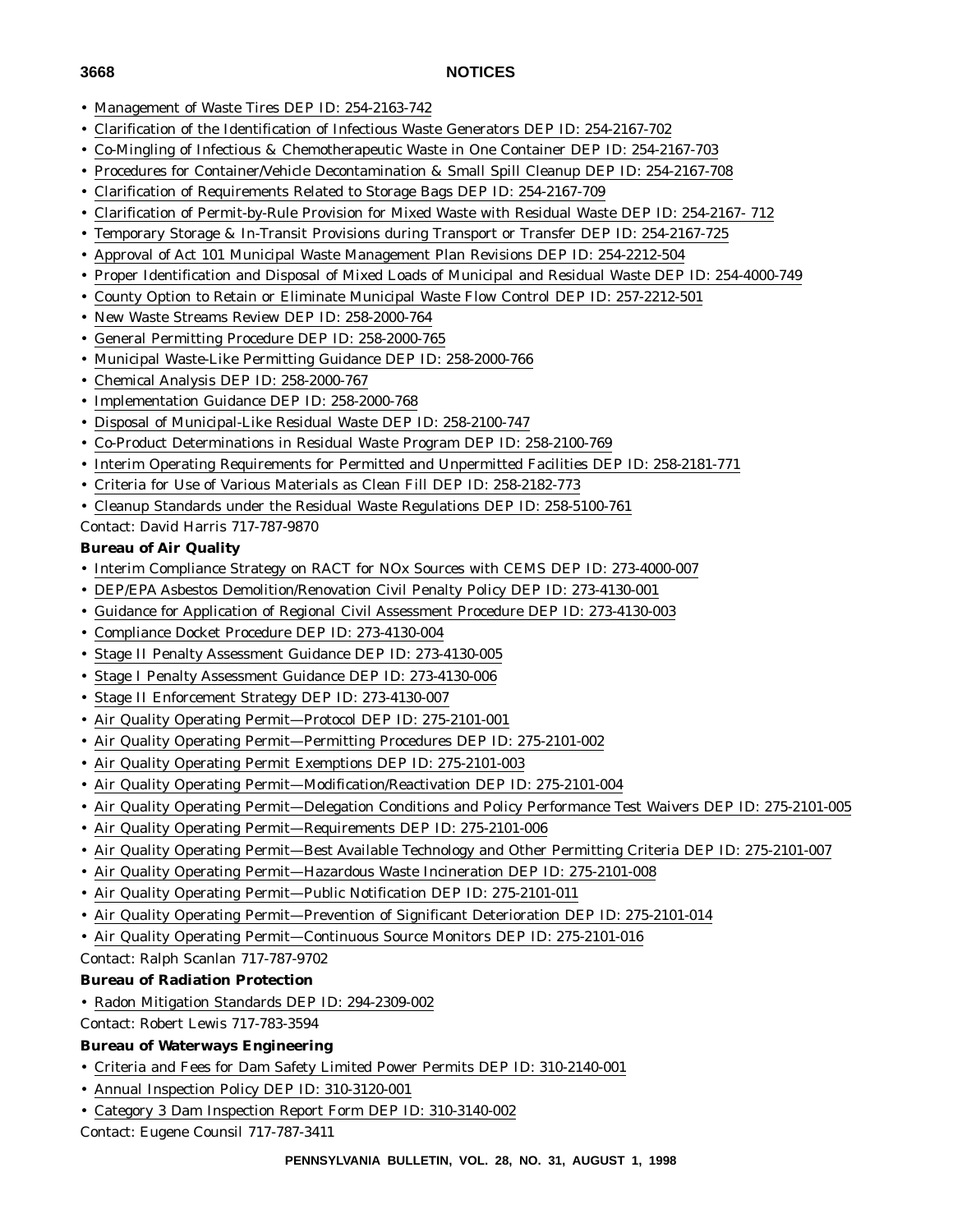- 
- Management of Waste Tires DEP ID: 254-2163-742
- Clarification of the Identification of Infectious Waste Generators DEP ID: 254-2167-702
- Co-Mingling of Infectious & Chemotherapeutic Waste in One Container DEP ID: 254-2167-703
- Procedures for Container/Vehicle Decontamination & Small Spill Cleanup DEP ID: 254-2167-708
- Clarification of Requirements Related to Storage Bags DEP ID: 254-2167-709
- Clarification of Permit-by-Rule Provision for Mixed Waste with Residual Waste DEP ID: 254-2167- 712
- Temporary Storage & In-Transit Provisions during Transport or Transfer DEP ID: 254-2167-725
- Approval of Act 101 Municipal Waste Management Plan Revisions DEP ID: 254-2212-504
- Proper Identification and Disposal of Mixed Loads of Municipal and Residual Waste DEP ID: 254-4000-749
- County Option to Retain or Eliminate Municipal Waste Flow Control DEP ID: 257-2212-501
- New Waste Streams Review DEP ID: 258-2000-764
- General Permitting Procedure DEP ID: 258-2000-765
- Municipal Waste-Like Permitting Guidance DEP ID: 258-2000-766
- Chemical Analysis DEP ID: 258-2000-767
- Implementation Guidance DEP ID: 258-2000-768
- Disposal of Municipal-Like Residual Waste DEP ID: 258-2100-747
- Co-Product Determinations in Residual Waste Program DEP ID: 258-2100-769
- Interim Operating Requirements for Permitted and Unpermitted Facilities DEP ID: 258-2181-771
- Criteria for Use of Various Materials as Clean Fill DEP ID: 258-2182-773
- Cleanup Standards under the Residual Waste Regulations DEP ID: 258-5100-761

Contact: David Harris 717-787-9870

# **Bureau of Air Quality**

- Interim Compliance Strategy on RACT for NOx Sources with CEMS DEP ID: 273-4000-007
- DEP/EPA Asbestos Demolition/Renovation Civil Penalty Policy DEP ID: 273-4130-001
- Guidance for Application of Regional Civil Assessment Procedure DEP ID: 273-4130-003
- Compliance Docket Procedure DEP ID: 273-4130-004
- Stage II Penalty Assessment Guidance DEP ID: 273-4130-005
- Stage I Penalty Assessment Guidance DEP ID: 273-4130-006
- Stage II Enforcement Strategy DEP ID: 273-4130-007
- Air Quality Operating Permit—Protocol DEP ID: 275-2101-001
- Air Quality Operating Permit—Permitting Procedures DEP ID: 275-2101-002
- Air Quality Operating Permit Exemptions DEP ID: 275-2101-003
- Air Quality Operating Permit—Modification/Reactivation DEP ID: 275-2101-004
- Air Quality Operating Permit—Delegation Conditions and Policy Performance Test Waivers DEP ID: 275-2101-005
- Air Quality Operating Permit—Requirements DEP ID: 275-2101-006
- Air Quality Operating Permit—Best Available Technology and Other Permitting Criteria DEP ID: 275-2101-007
- Air Quality Operating Permit—Hazardous Waste Incineration DEP ID: 275-2101-008
- Air Quality Operating Permit—Public Notification DEP ID: 275-2101-011
- Air Quality Operating Permit—Prevention of Significant Deterioration DEP ID: 275-2101-014
- Air Quality Operating Permit—Continuous Source Monitors DEP ID: 275-2101-016

Contact: Ralph Scanlan 717-787-9702

# **Bureau of Radiation Protection**

• Radon Mitigation Standards DEP ID: 294-2309-002

Contact: Robert Lewis 717-783-3594

- **Bureau of Waterways Engineering**
- Criteria and Fees for Dam Safety Limited Power Permits DEP ID: 310-2140-001
- Annual Inspection Policy DEP ID: 310-3120-001
- Category 3 Dam Inspection Report Form DEP ID: 310-3140-002

Contact: Eugene Counsil 717-787-3411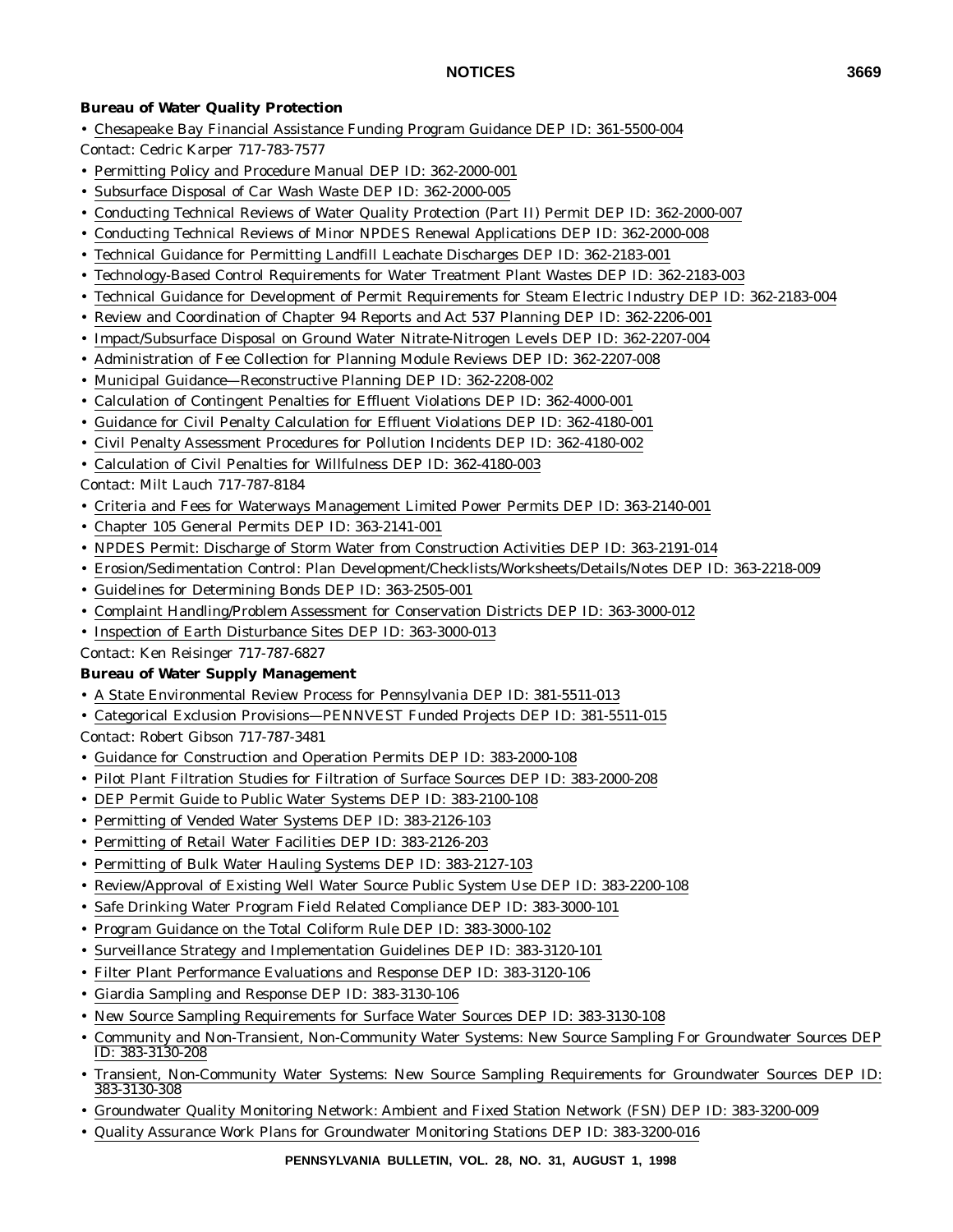### **Bureau of Water Quality Protection**

- Chesapeake Bay Financial Assistance Funding Program Guidance DEP ID: 361-5500-004
- Contact: Cedric Karper 717-783-7577
- Permitting Policy and Procedure Manual DEP ID: 362-2000-001
- Subsurface Disposal of Car Wash Waste DEP ID: 362-2000-005
- Conducting Technical Reviews of Water Quality Protection (Part II) Permit DEP ID: 362-2000-007
- Conducting Technical Reviews of Minor NPDES Renewal Applications DEP ID: 362-2000-008
- Technical Guidance for Permitting Landfill Leachate Discharges DEP ID: 362-2183-001
- Technology-Based Control Requirements for Water Treatment Plant Wastes DEP ID: 362-2183-003
- Technical Guidance for Development of Permit Requirements for Steam Electric Industry DEP ID: 362-2183-004
- Review and Coordination of Chapter 94 Reports and Act 537 Planning DEP ID: 362-2206-001
- Impact/Subsurface Disposal on Ground Water Nitrate-Nitrogen Levels DEP ID: 362-2207-004
- Administration of Fee Collection for Planning Module Reviews DEP ID: 362-2207-008
- Municipal Guidance—Reconstructive Planning DEP ID: 362-2208-002
- Calculation of Contingent Penalties for Effluent Violations DEP ID: 362-4000-001
- Guidance for Civil Penalty Calculation for Effluent Violations DEP ID: 362-4180-001
- Civil Penalty Assessment Procedures for Pollution Incidents DEP ID: 362-4180-002
- Calculation of Civil Penalties for Willfulness DEP ID: 362-4180-003
- Contact: Milt Lauch 717-787-8184
- Criteria and Fees for Waterways Management Limited Power Permits DEP ID: 363-2140-001
- Chapter 105 General Permits DEP ID: 363-2141-001
- NPDES Permit: Discharge of Storm Water from Construction Activities DEP ID: 363-2191-014
- Erosion/Sedimentation Control: Plan Development/Checklists/Worksheets/Details/Notes DEP ID: 363-2218-009
- Guidelines for Determining Bonds DEP ID: 363-2505-001
- Complaint Handling/Problem Assessment for Conservation Districts DEP ID: 363-3000-012
- Inspection of Earth Disturbance Sites DEP ID: 363-3000-013

Contact: Ken Reisinger 717-787-6827

#### **Bureau of Water Supply Management**

- A State Environmental Review Process for Pennsylvania DEP ID: 381-5511-013
- Categorical Exclusion Provisions—PENNVEST Funded Projects DEP ID: 381-5511-015
- Contact: Robert Gibson 717-787-3481
- Guidance for Construction and Operation Permits DEP ID: 383-2000-108
- Pilot Plant Filtration Studies for Filtration of Surface Sources DEP ID: 383-2000-208
- DEP Permit Guide to Public Water Systems DEP ID: 383-2100-108
- Permitting of Vended Water Systems DEP ID: 383-2126-103
- Permitting of Retail Water Facilities DEP ID: 383-2126-203
- Permitting of Bulk Water Hauling Systems DEP ID: 383-2127-103
- Review/Approval of Existing Well Water Source Public System Use DEP ID: 383-2200-108
- Safe Drinking Water Program Field Related Compliance DEP ID: 383-3000-101
- Program Guidance on the Total Coliform Rule DEP ID: 383-3000-102
- Surveillance Strategy and Implementation Guidelines DEP ID: 383-3120-101
- Filter Plant Performance Evaluations and Response DEP ID: 383-3120-106
- Giardia Sampling and Response DEP ID: 383-3130-106
- New Source Sampling Requirements for Surface Water Sources DEP ID: 383-3130-108
- Community and Non-Transient, Non-Community Water Systems: New Source Sampling For Groundwater Sources DEP ID: 383-3130-208
- Transient, Non-Community Water Systems: New Source Sampling Requirements for Groundwater Sources DEP ID: 383-3130-308
- Groundwater Quality Monitoring Network: Ambient and Fixed Station Network (FSN) DEP ID: 383-3200-009
- Quality Assurance Work Plans for Groundwater Monitoring Stations DEP ID: 383-3200-016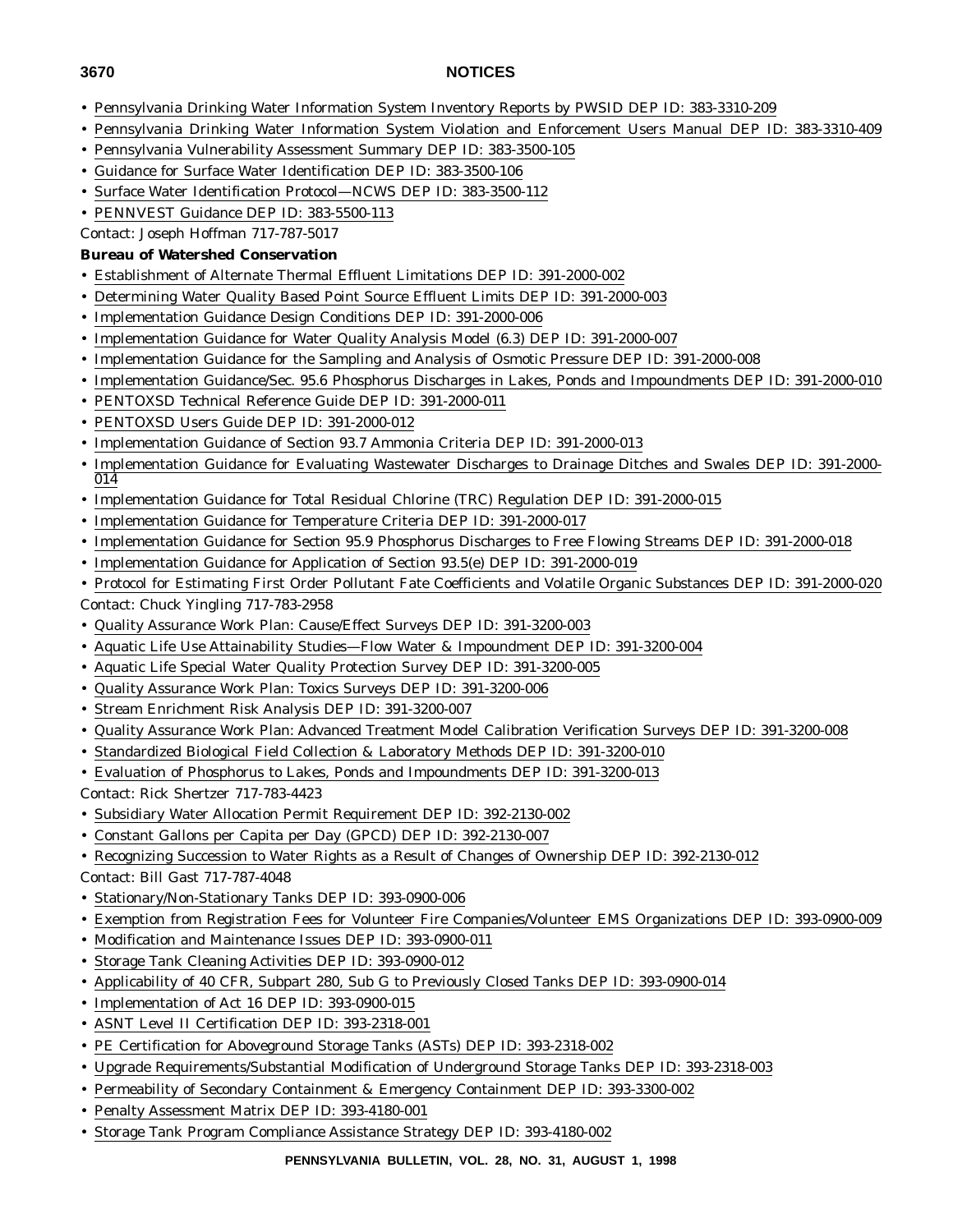- 
- Pennsylvania Drinking Water Information System Inventory Reports by PWSID DEP ID: 383-3310-209
- Pennsylvania Drinking Water Information System Violation and Enforcement Users Manual DEP ID: 383-3310-409
- Pennsylvania Vulnerability Assessment Summary DEP ID: 383-3500-105
- Guidance for Surface Water Identification DEP ID: 383-3500-106
- Surface Water Identification Protocol—NCWS DEP ID: 383-3500-112
- PENNVEST Guidance DEP ID: 383-5500-113

Contact: Joseph Hoffman 717-787-5017

#### **Bureau of Watershed Conservation**

- Establishment of Alternate Thermal Effluent Limitations DEP ID: 391-2000-002
- Determining Water Quality Based Point Source Effluent Limits DEP ID: 391-2000-003
- Implementation Guidance Design Conditions DEP ID: 391-2000-006
- Implementation Guidance for Water Quality Analysis Model (6.3) DEP ID: 391-2000-007
- Implementation Guidance for the Sampling and Analysis of Osmotic Pressure DEP ID: 391-2000-008
- Implementation Guidance/Sec. 95.6 Phosphorus Discharges in Lakes, Ponds and Impoundments DEP ID: 391-2000-010
- PENTOXSD Technical Reference Guide DEP ID: 391-2000-011
- PENTOXSD Users Guide DEP ID: 391-2000-012
- Implementation Guidance of Section 93.7 Ammonia Criteria DEP ID: 391-2000-013
- Implementation Guidance for Evaluating Wastewater Discharges to Drainage Ditches and Swales DEP ID: 391-2000- 014
- Implementation Guidance for Total Residual Chlorine (TRC) Regulation DEP ID: 391-2000-015
- Implementation Guidance for Temperature Criteria DEP ID: 391-2000-017
- Implementation Guidance for Section 95.9 Phosphorus Discharges to Free Flowing Streams DEP ID: 391-2000-018
- Implementation Guidance for Application of Section 93.5(e) DEP ID: 391-2000-019
- Protocol for Estimating First Order Pollutant Fate Coefficients and Volatile Organic Substances DEP ID: 391-2000-020 Contact: Chuck Yingling 717-783-2958
- Quality Assurance Work Plan: Cause/Effect Surveys DEP ID: 391-3200-003
- Aquatic Life Use Attainability Studies—Flow Water & Impoundment DEP ID: 391-3200-004
- Aquatic Life Special Water Quality Protection Survey DEP ID: 391-3200-005
- Quality Assurance Work Plan: Toxics Surveys DEP ID: 391-3200-006
- Stream Enrichment Risk Analysis DEP ID: 391-3200-007
- Quality Assurance Work Plan: Advanced Treatment Model Calibration Verification Surveys DEP ID: 391-3200-008
- Standardized Biological Field Collection & Laboratory Methods DEP ID: 391-3200-010
- Evaluation of Phosphorus to Lakes, Ponds and Impoundments DEP ID: 391-3200-013
- Contact: Rick Shertzer 717-783-4423
- Subsidiary Water Allocation Permit Requirement DEP ID: 392-2130-002
- Constant Gallons per Capita per Day (GPCD) DEP ID: 392-2130-007
- Recognizing Succession to Water Rights as a Result of Changes of Ownership DEP ID: 392-2130-012
- Contact: Bill Gast 717-787-4048
- Stationary/Non-Stationary Tanks DEP ID: 393-0900-006
- Exemption from Registration Fees for Volunteer Fire Companies/Volunteer EMS Organizations DEP ID: 393-0900-009
- Modification and Maintenance Issues DEP ID: 393-0900-011
- Storage Tank Cleaning Activities DEP ID: 393-0900-012
- Applicability of 40 CFR, Subpart 280, Sub G to Previously Closed Tanks DEP ID: 393-0900-014
- Implementation of Act 16 DEP ID: 393-0900-015
- ASNT Level II Certification DEP ID: 393-2318-001
- PE Certification for Aboveground Storage Tanks (ASTs) DEP ID: 393-2318-002
- Upgrade Requirements/Substantial Modification of Underground Storage Tanks DEP ID: 393-2318-003
- Permeability of Secondary Containment & Emergency Containment DEP ID: 393-3300-002
- Penalty Assessment Matrix DEP ID: 393-4180-001
- Storage Tank Program Compliance Assistance Strategy DEP ID: 393-4180-002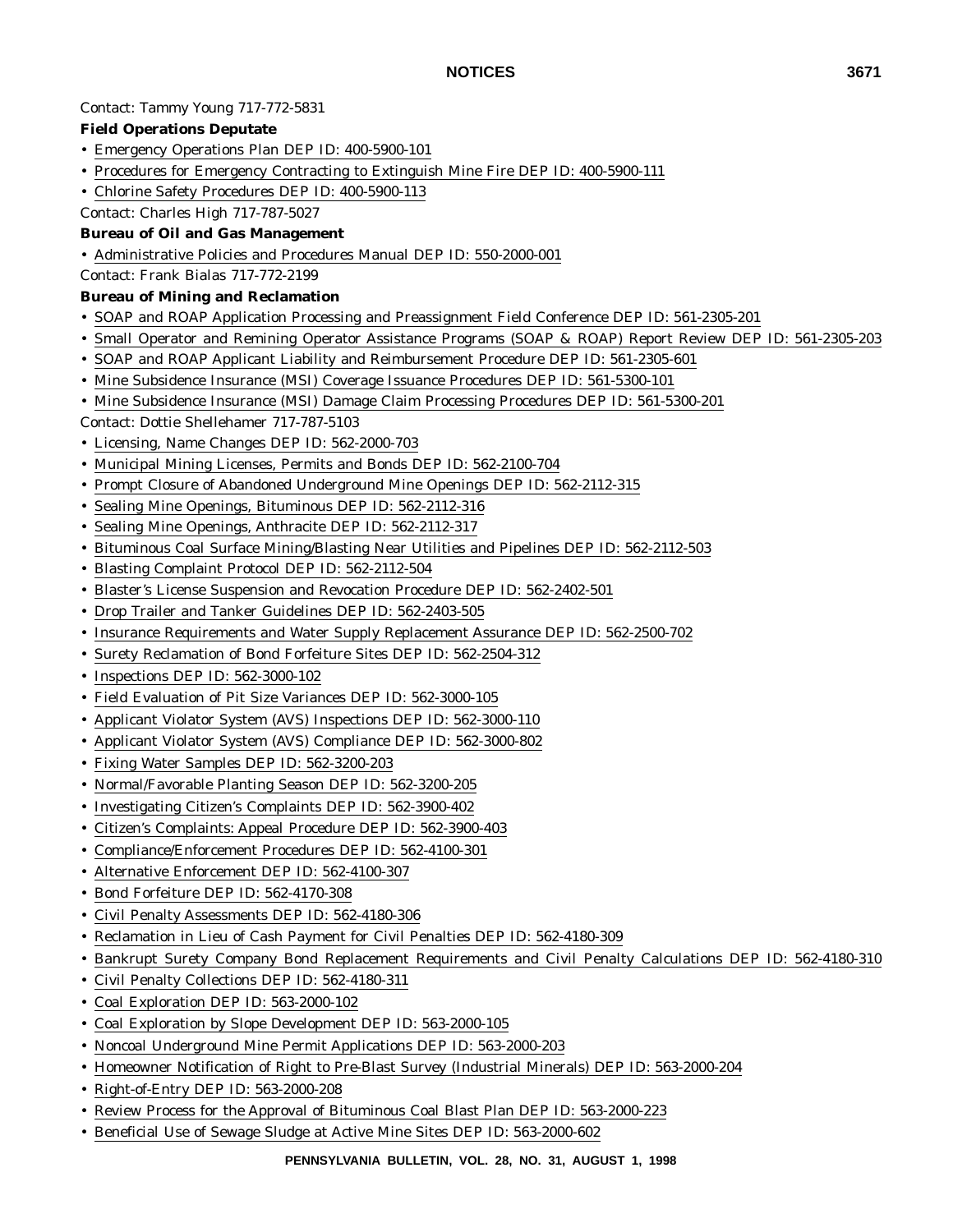#### Contact: Tammy Young 717-772-5831

#### **Field Operations Deputate**

- Emergency Operations Plan DEP ID: 400-5900-101
- Procedures for Emergency Contracting to Extinguish Mine Fire DEP ID: 400-5900-111
- Chlorine Safety Procedures DEP ID: 400-5900-113

Contact: Charles High 717-787-5027

#### **Bureau of Oil and Gas Management**

- Administrative Policies and Procedures Manual DEP ID: 550-2000-001
- Contact: Frank Bialas 717-772-2199

# **Bureau of Mining and Reclamation**

- SOAP and ROAP Application Processing and Preassignment Field Conference DEP ID: 561-2305-201
- Small Operator and Remining Operator Assistance Programs (SOAP & ROAP) Report Review DEP ID: 561-2305-203
- SOAP and ROAP Applicant Liability and Reimbursement Procedure DEP ID: 561-2305-601
- Mine Subsidence Insurance (MSI) Coverage Issuance Procedures DEP ID: 561-5300-101
- Mine Subsidence Insurance (MSI) Damage Claim Processing Procedures DEP ID: 561-5300-201

Contact: Dottie Shellehamer 717-787-5103

- Licensing, Name Changes DEP ID: 562-2000-703
- Municipal Mining Licenses, Permits and Bonds DEP ID: 562-2100-704
- Prompt Closure of Abandoned Underground Mine Openings DEP ID: 562-2112-315
- Sealing Mine Openings, Bituminous DEP ID: 562-2112-316
- Sealing Mine Openings, Anthracite DEP ID: 562-2112-317
- Bituminous Coal Surface Mining/Blasting Near Utilities and Pipelines DEP ID: 562-2112-503
- Blasting Complaint Protocol DEP ID: 562-2112-504
- Blaster's License Suspension and Revocation Procedure DEP ID: 562-2402-501
- Drop Trailer and Tanker Guidelines DEP ID: 562-2403-505
- Insurance Requirements and Water Supply Replacement Assurance DEP ID: 562-2500-702
- Surety Reclamation of Bond Forfeiture Sites DEP ID: 562-2504-312
- Inspections DEP ID: 562-3000-102
- Field Evaluation of Pit Size Variances DEP ID: 562-3000-105
- Applicant Violator System (AVS) Inspections DEP ID: 562-3000-110
- Applicant Violator System (AVS) Compliance DEP ID: 562-3000-802
- Fixing Water Samples DEP ID: 562-3200-203
- Normal/Favorable Planting Season DEP ID: 562-3200-205
- Investigating Citizen's Complaints DEP ID: 562-3900-402
- Citizen's Complaints: Appeal Procedure DEP ID: 562-3900-403
- Compliance/Enforcement Procedures DEP ID: 562-4100-301
- Alternative Enforcement DEP ID: 562-4100-307
- Bond Forfeiture DEP ID: 562-4170-308
- Civil Penalty Assessments DEP ID: 562-4180-306
- Reclamation in Lieu of Cash Payment for Civil Penalties DEP ID: 562-4180-309
- Bankrupt Surety Company Bond Replacement Requirements and Civil Penalty Calculations DEP ID: 562-4180-310
- Civil Penalty Collections DEP ID: 562-4180-311
- Coal Exploration DEP ID: 563-2000-102
- Coal Exploration by Slope Development DEP ID: 563-2000-105
- Noncoal Underground Mine Permit Applications DEP ID: 563-2000-203
- Homeowner Notification of Right to Pre-Blast Survey (Industrial Minerals) DEP ID: 563-2000-204
- Right-of-Entry DEP ID: 563-2000-208
- Review Process for the Approval of Bituminous Coal Blast Plan DEP ID: 563-2000-223
- Beneficial Use of Sewage Sludge at Active Mine Sites DEP ID: 563-2000-602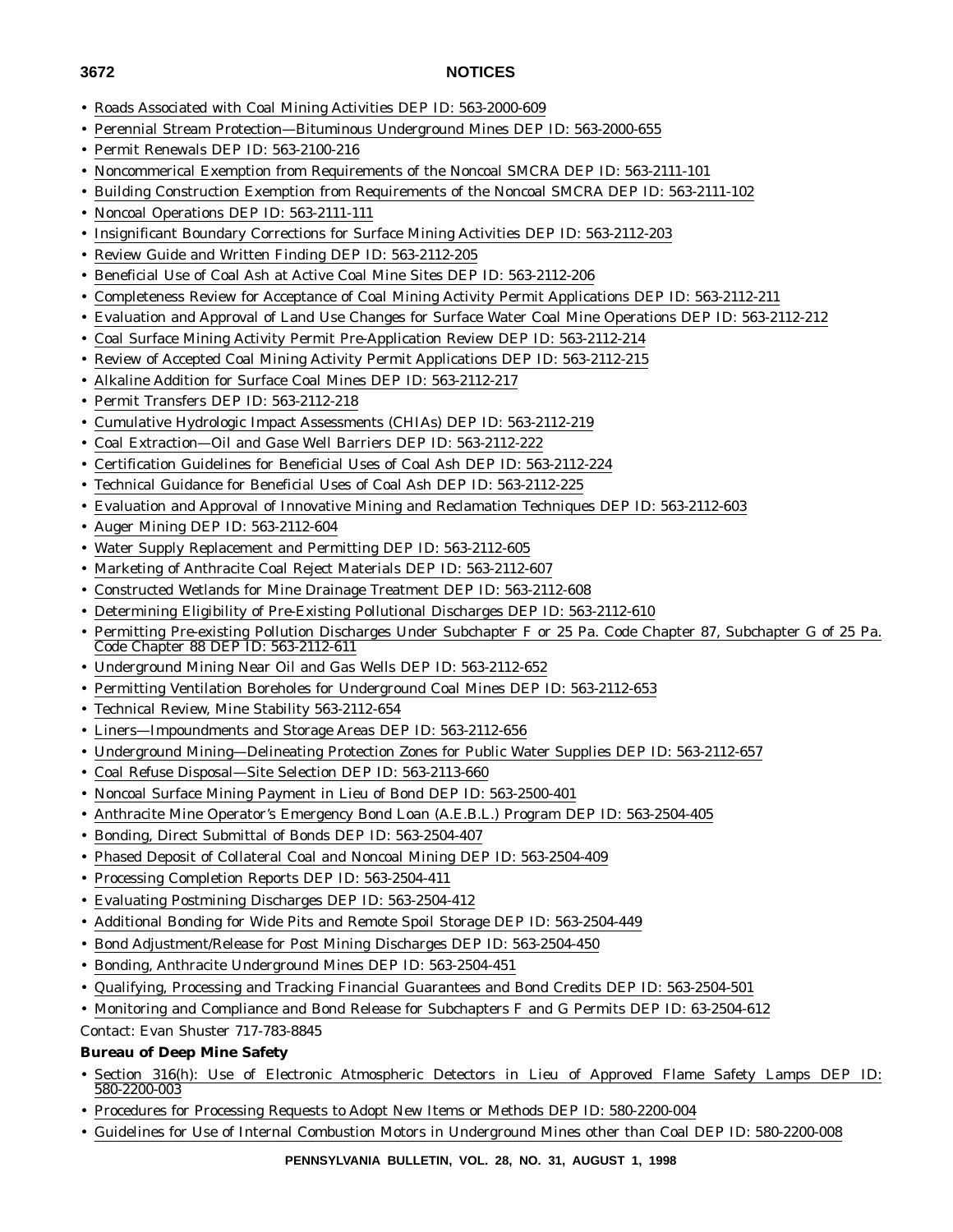- Roads Associated with Coal Mining Activities DEP ID: 563-2000-609
- Perennial Stream Protection—Bituminous Underground Mines DEP ID: 563-2000-655
- Permit Renewals DEP ID: 563-2100-216
- Noncommerical Exemption from Requirements of the Noncoal SMCRA DEP ID: 563-2111-101
- Building Construction Exemption from Requirements of the Noncoal SMCRA DEP ID: 563-2111-102
- Noncoal Operations DEP ID: 563-2111-111
- Insignificant Boundary Corrections for Surface Mining Activities DEP ID: 563-2112-203
- Review Guide and Written Finding DEP ID: 563-2112-205
- Beneficial Use of Coal Ash at Active Coal Mine Sites DEP ID: 563-2112-206
- Completeness Review for Acceptance of Coal Mining Activity Permit Applications DEP ID: 563-2112-211
- Evaluation and Approval of Land Use Changes for Surface Water Coal Mine Operations DEP ID: 563-2112-212
- Coal Surface Mining Activity Permit Pre-Application Review DEP ID: 563-2112-214
- Review of Accepted Coal Mining Activity Permit Applications DEP ID: 563-2112-215
- Alkaline Addition for Surface Coal Mines DEP ID: 563-2112-217
- Permit Transfers DEP ID: 563-2112-218
- Cumulative Hydrologic Impact Assessments (CHIAs) DEP ID: 563-2112-219
- Coal Extraction—Oil and Gase Well Barriers DEP ID: 563-2112-222
- Certification Guidelines for Beneficial Uses of Coal Ash DEP ID: 563-2112-224
- Technical Guidance for Beneficial Uses of Coal Ash DEP ID: 563-2112-225
- Evaluation and Approval of Innovative Mining and Reclamation Techniques DEP ID: 563-2112-603
- Auger Mining DEP ID: 563-2112-604
- Water Supply Replacement and Permitting DEP ID: 563-2112-605
- Marketing of Anthracite Coal Reject Materials DEP ID: 563-2112-607
- Constructed Wetlands for Mine Drainage Treatment DEP ID: 563-2112-608
- Determining Eligibility of Pre-Existing Pollutional Discharges DEP ID: 563-2112-610
- Permitting Pre-existing Pollution Discharges Under Subchapter F or 25 Pa. Code Chapter 87, Subchapter G of 25 Pa. Code Chapter 88 DEP ID: 563-2112-611
- Underground Mining Near Oil and Gas Wells DEP ID: 563-2112-652
- Permitting Ventilation Boreholes for Underground Coal Mines DEP ID: 563-2112-653
- Technical Review, Mine Stability 563-2112-654
- Liners—Impoundments and Storage Areas DEP ID: 563-2112-656
- Underground Mining—Delineating Protection Zones for Public Water Supplies DEP ID: 563-2112-657
- Coal Refuse Disposal—Site Selection DEP ID: 563-2113-660
- Noncoal Surface Mining Payment in Lieu of Bond DEP ID: 563-2500-401
- Anthracite Mine Operator's Emergency Bond Loan (A.E.B.L.) Program DEP ID: 563-2504-405
- Bonding, Direct Submittal of Bonds DEP ID: 563-2504-407
- Phased Deposit of Collateral Coal and Noncoal Mining DEP ID: 563-2504-409
- Processing Completion Reports DEP ID: 563-2504-411
- Evaluating Postmining Discharges DEP ID: 563-2504-412
- Additional Bonding for Wide Pits and Remote Spoil Storage DEP ID: 563-2504-449
- Bond Adjustment/Release for Post Mining Discharges DEP ID: 563-2504-450
- Bonding, Anthracite Underground Mines DEP ID: 563-2504-451
- Qualifying, Processing and Tracking Financial Guarantees and Bond Credits DEP ID: 563-2504-501
- Monitoring and Compliance and Bond Release for Subchapters F and G Permits DEP ID: 63-2504-612

Contact: Evan Shuster 717-783-8845

# **Bureau of Deep Mine Safety**

- Section 316(h): Use of Electronic Atmospheric Detectors in Lieu of Approved Flame Safety Lamps DEP ID: 580-2200-003
- Procedures for Processing Requests to Adopt New Items or Methods DEP ID: 580-2200-004
- Guidelines for Use of Internal Combustion Motors in Underground Mines other than Coal DEP ID: 580-2200-008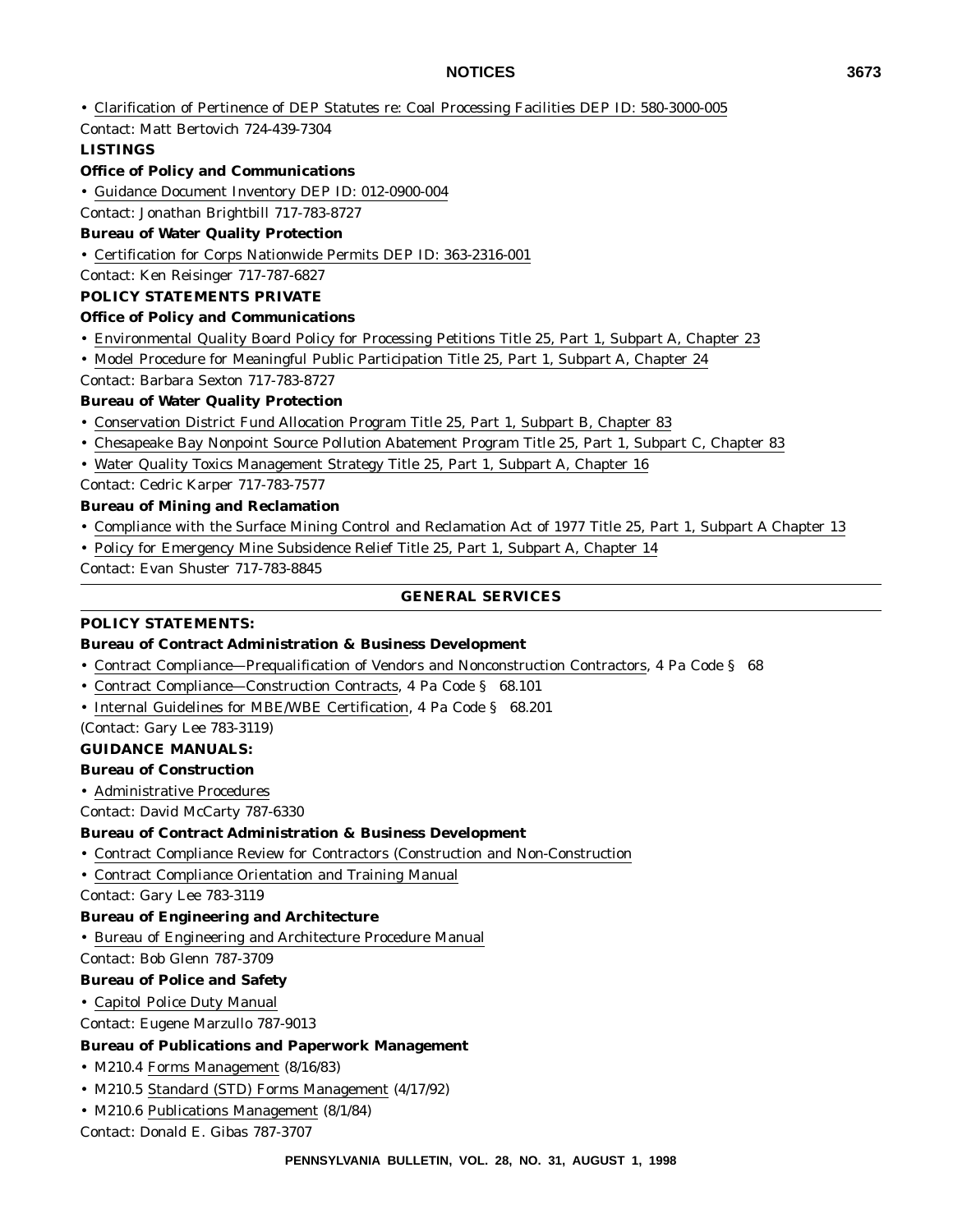- Clarification of Pertinence of DEP Statutes re: Coal Processing Facilities DEP ID: 580-3000-005
- Contact: Matt Bertovich 724-439-7304

#### **LISTINGS**

#### **Office of Policy and Communications**

• Guidance Document Inventory DEP ID: 012-0900-004

Contact: Jonathan Brightbill 717-783-8727

#### **Bureau of Water Quality Protection**

• Certification for Corps Nationwide Permits DEP ID: 363-2316-001

Contact: Ken Reisinger 717-787-6827

### **POLICY STATEMENTS PRIVATE**

#### **Office of Policy and Communications**

- Environmental Quality Board Policy for Processing Petitions Title 25, Part 1, Subpart A, Chapter 23
- Model Procedure for Meaningful Public Participation Title 25, Part 1, Subpart A, Chapter 24

#### Contact: Barbara Sexton 717-783-8727

#### **Bureau of Water Quality Protection**

- Conservation District Fund Allocation Program Title 25, Part 1, Subpart B, Chapter 83
- Chesapeake Bay Nonpoint Source Pollution Abatement Program Title 25, Part 1, Subpart C, Chapter 83
- Water Quality Toxics Management Strategy Title 25, Part 1, Subpart A, Chapter 16
- Contact: Cedric Karper 717-783-7577

#### **Bureau of Mining and Reclamation**

- Compliance with the Surface Mining Control and Reclamation Act of 1977 Title 25, Part 1, Subpart A Chapter 13
- Policy for Emergency Mine Subsidence Relief Title 25, Part 1, Subpart A, Chapter 14

Contact: Evan Shuster 717-783-8845

#### **GENERAL SERVICES**

#### **POLICY STATEMENTS:**

### **Bureau of Contract Administration & Business Development**

- Contract Compliance—Prequalification of Vendors and Nonconstruction Contractors, 4 Pa Code § 68
- Contract Compliance—Construction Contracts, 4 Pa Code § 68.101
- Internal Guidelines for MBE/WBE Certification, 4 Pa Code § 68.201

(Contact: Gary Lee 783-3119)

#### **GUIDANCE MANUALS:**

#### **Bureau of Construction**

• Administrative Procedures

Contact: David McCarty 787-6330

#### **Bureau of Contract Administration & Business Development**

- Contract Compliance Review for Contractors (Construction and Non-Construction
- Contract Compliance Orientation and Training Manual
- Contact: Gary Lee 783-3119

### **Bureau of Engineering and Architecture**

• Bureau of Engineering and Architecture Procedure Manual

Contact: Bob Glenn 787-3709

#### **Bureau of Police and Safety**

#### • Capitol Police Duty Manual

Contact: Eugene Marzullo 787-9013

#### **Bureau of Publications and Paperwork Management**

- M210.4 Forms Management (8/16/83)
- M210.5 Standard (STD) Forms Management (4/17/92)
- M210.6 Publications Management (8/1/84)

Contact: Donald E. Gibas 787-3707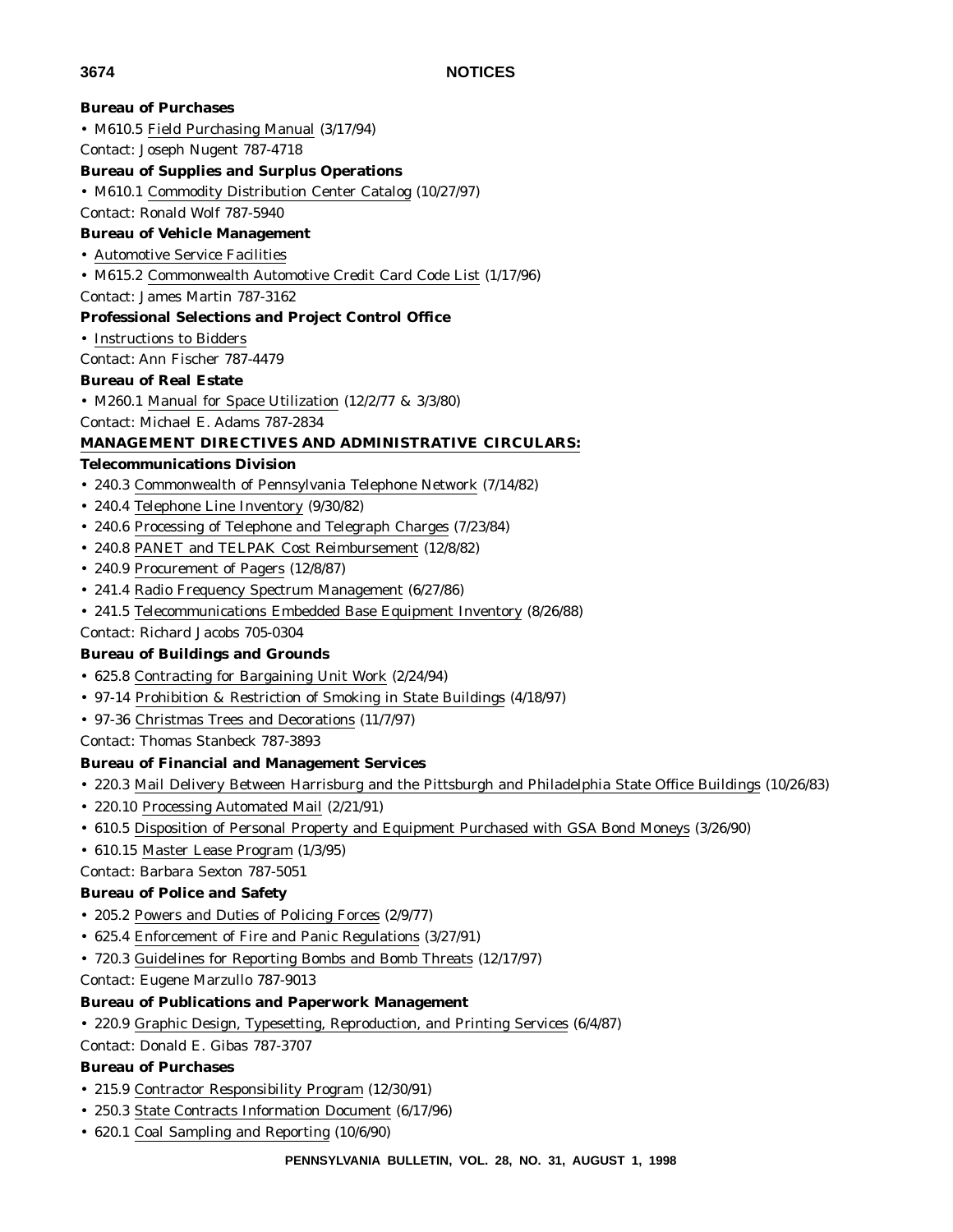# **Bureau of Purchases** • M610.5 Field Purchasing Manual (3/17/94) Contact: Joseph Nugent 787-4718 **Bureau of Supplies and Surplus Operations** • M610.1 Commodity Distribution Center Catalog (10/27/97) Contact: Ronald Wolf 787-5940 **Bureau of Vehicle Management** • Automotive Service Facilities • M615.2 Commonwealth Automotive Credit Card Code List (1/17/96) Contact: James Martin 787-3162 **Professional Selections and Project Control Office** • Instructions to Bidders Contact: Ann Fischer 787-4479 **Bureau of Real Estate** • M260.1 Manual for Space Utilization (12/2/77 & 3/3/80) Contact: Michael E. Adams 787-2834 **MANAGEMENT DIRECTIVES AND ADMINISTRATIVE CIRCULARS: Telecommunications Division** • 240.3 Commonwealth of Pennsylvania Telephone Network (7/14/82) • 240.4 Telephone Line Inventory (9/30/82) • 240.6 Processing of Telephone and Telegraph Charges (7/23/84) • 240.8 PANET and TELPAK Cost Reimbursement (12/8/82) • 240.9 Procurement of Pagers (12/8/87) • 241.4 Radio Frequency Spectrum Management (6/27/86) • 241.5 Telecommunications Embedded Base Equipment Inventory (8/26/88) Contact: Richard Jacobs 705-0304 **Bureau of Buildings and Grounds** • 625.8 Contracting for Bargaining Unit Work (2/24/94) • 97-14 Prohibition & Restriction of Smoking in State Buildings (4/18/97) • 97-36 Christmas Trees and Decorations (11/7/97) Contact: Thomas Stanbeck 787-3893 **Bureau of Financial and Management Services** • 220.3 Mail Delivery Between Harrisburg and the Pittsburgh and Philadelphia State Office Buildings (10/26/83) • 220.10 Processing Automated Mail (2/21/91) • 610.5 Disposition of Personal Property and Equipment Purchased with GSA Bond Moneys (3/26/90) • 610.15 Master Lease Program (1/3/95) Contact: Barbara Sexton 787-5051 **Bureau of Police and Safety** • 205.2 Powers and Duties of Policing Forces (2/9/77) • 625.4 Enforcement of Fire and Panic Regulations (3/27/91) • 720.3 Guidelines for Reporting Bombs and Bomb Threats (12/17/97) Contact: Eugene Marzullo 787-9013 **Bureau of Publications and Paperwork Management** • 220.9 Graphic Design, Typesetting, Reproduction, and Printing Services (6/4/87) Contact: Donald E. Gibas 787-3707 **Bureau of Purchases**

- 215.9 Contractor Responsibility Program (12/30/91)
- 250.3 State Contracts Information Document (6/17/96)
- 620.1 Coal Sampling and Reporting (10/6/90)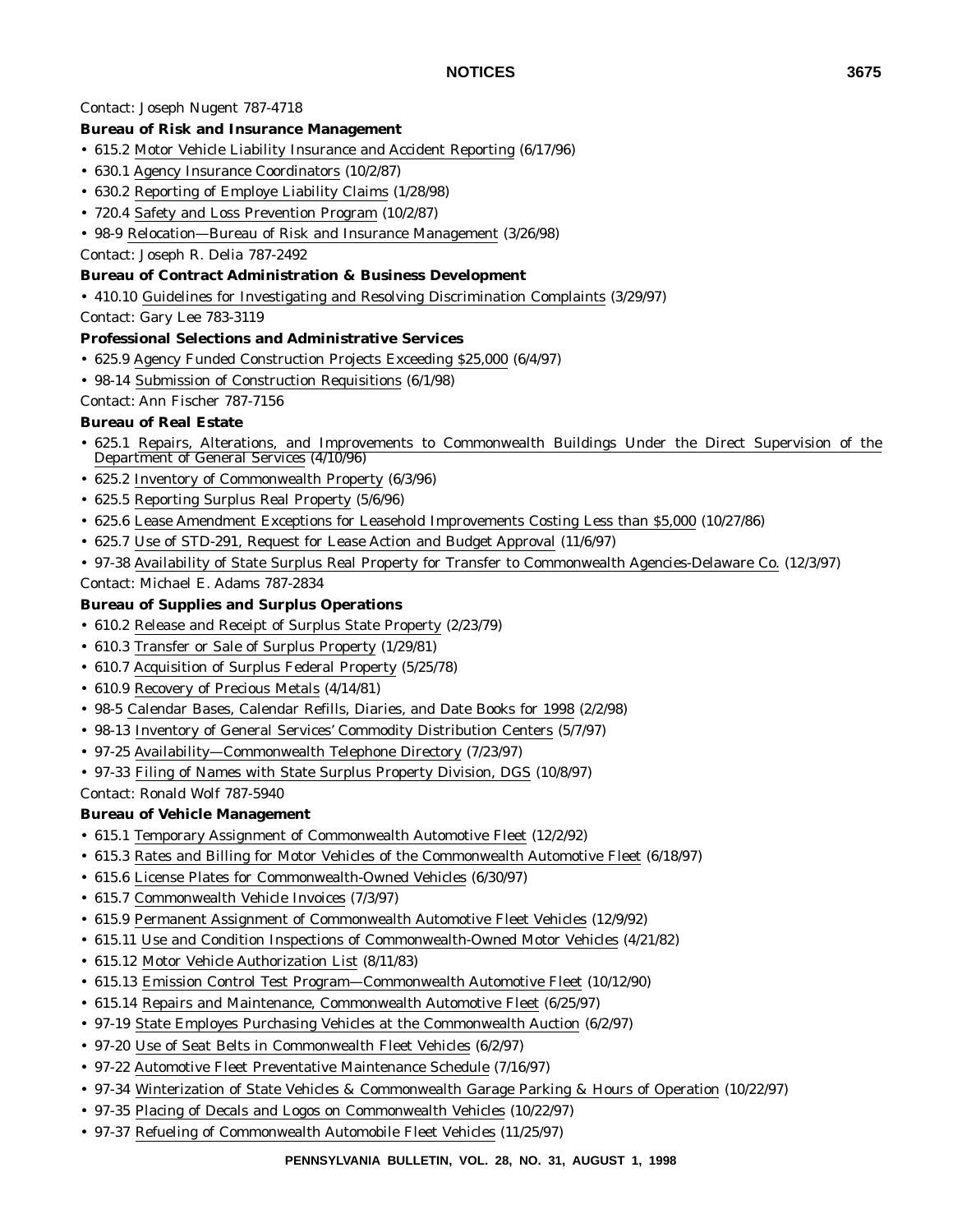Contact: Joseph Nugent 787-4718

# **Bureau of Risk and Insurance Management**

- 615.2 Motor Vehicle Liability Insurance and Accident Reporting (6/17/96)
- 630.1 Agency Insurance Coordinators (10/2/87)
- 630.2 Reporting of Employe Liability Claims (1/28/98)
- 720.4 Safety and Loss Prevention Program (10/2/87)
- 98-9 Relocation—Bureau of Risk and Insurance Management (3/26/98)
- Contact: Joseph R. Delia 787-2492

### **Bureau of Contract Administration & Business Development**

- 410.10 Guidelines for Investigating and Resolving Discrimination Complaints (3/29/97)
- Contact: Gary Lee 783-3119

### **Professional Selections and Administrative Services**

- 625.9 Agency Funded Construction Projects Exceeding \$25,000 (6/4/97)
- 98-14 Submission of Construction Requisitions (6/1/98)

Contact: Ann Fischer 787-7156

### **Bureau of Real Estate**

- 625.1 Repairs, Alterations, and Improvements to Commonwealth Buildings Under the Direct Supervision of the Department of General Services (4/10/96)
- 625.2 Inventory of Commonwealth Property (6/3/96)
- 625.5 Reporting Surplus Real Property (5/6/96)
- 625.6 Lease Amendment Exceptions for Leasehold Improvements Costing Less than \$5,000 (10/27/86)
- 625.7 Use of STD-291, Request for Lease Action and Budget Approval (11/6/97)
- 97-38 Availability of State Surplus Real Property for Transfer to Commonwealth Agencies-Delaware Co. (12/3/97)
- Contact: Michael E. Adams 787-2834

### **Bureau of Supplies and Surplus Operations**

- 610.2 Release and Receipt of Surplus State Property (2/23/79)
- 610.3 Transfer or Sale of Surplus Property (1/29/81)
- 610.7 Acquisition of Surplus Federal Property (5/25/78)
- 610.9 Recovery of Precious Metals (4/14/81)
- 98-5 Calendar Bases, Calendar Refills, Diaries, and Date Books for 1998 (2/2/98)
- 98-13 Inventory of General Services' Commodity Distribution Centers (5/7/97)
- 97-25 Availability—Commonwealth Telephone Directory (7/23/97)
- 97-33 Filing of Names with State Surplus Property Division, DGS (10/8/97)

### Contact: Ronald Wolf 787-5940

### **Bureau of Vehicle Management**

- 615.1 Temporary Assignment of Commonwealth Automotive Fleet (12/2/92)
- 615.3 Rates and Billing for Motor Vehicles of the Commonwealth Automotive Fleet (6/18/97)
- 615.6 License Plates for Commonwealth-Owned Vehicles (6/30/97)
- 615.7 Commonwealth Vehicle Invoices (7/3/97)
- 615.9 Permanent Assignment of Commonwealth Automotive Fleet Vehicles (12/9/92)
- 615.11 Use and Condition Inspections of Commonwealth-Owned Motor Vehicles (4/21/82)
- 615.12 Motor Vehicle Authorization List (8/11/83)
- 615.13 Emission Control Test Program—Commonwealth Automotive Fleet (10/12/90)
- 615.14 Repairs and Maintenance, Commonwealth Automotive Fleet (6/25/97)
- 97-19 State Employes Purchasing Vehicles at the Commonwealth Auction (6/2/97)
- 97-20 Use of Seat Belts in Commonwealth Fleet Vehicles (6/2/97)
- 97-22 Automotive Fleet Preventative Maintenance Schedule (7/16/97)
- 97-34 Winterization of State Vehicles & Commonwealth Garage Parking & Hours of Operation (10/22/97)
- 97-35 Placing of Decals and Logos on Commonwealth Vehicles (10/22/97)
- 97-37 Refueling of Commonwealth Automobile Fleet Vehicles (11/25/97)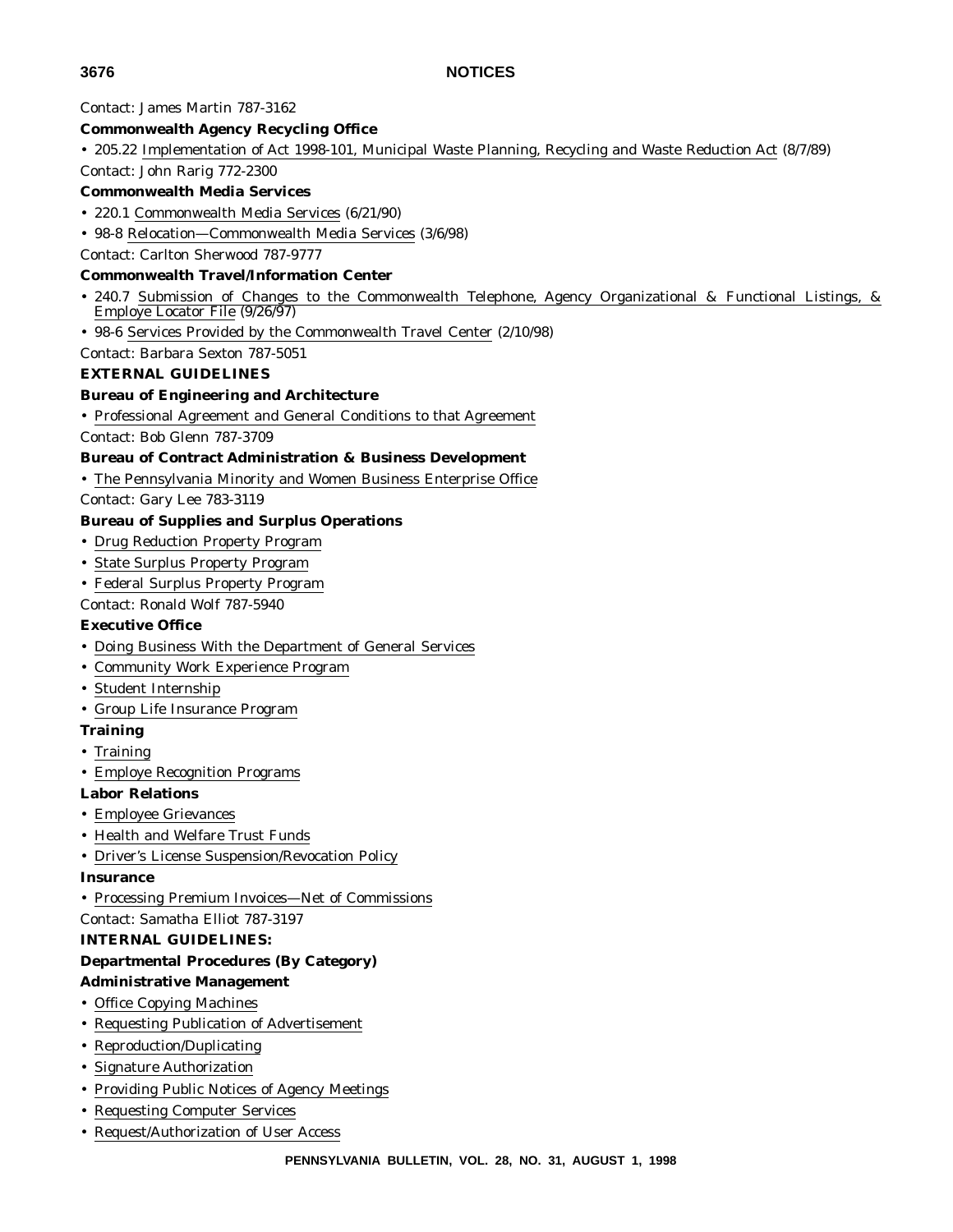Contact: James Martin 787-3162

#### **Commonwealth Agency Recycling Office**

• 205.22 Implementation of Act 1998-101, Municipal Waste Planning, Recycling and Waste Reduction Act (8/7/89)

Contact: John Rarig 772-2300

### **Commonwealth Media Services**

- 220.1 Commonwealth Media Services (6/21/90)
- 98-8 Relocation—Commonwealth Media Services (3/6/98)
- Contact: Carlton Sherwood 787-9777

#### **Commonwealth Travel/Information Center**

- 240.7 Submission of Changes to the Commonwealth Telephone, Agency Organizational & Functional Listings, & Employe Locator File (9/26/97)
- 98-6 Services Provided by the Commonwealth Travel Center (2/10/98)

### Contact: Barbara Sexton 787-5051

#### **EXTERNAL GUIDELINES**

#### **Bureau of Engineering and Architecture**

• Professional Agreement and General Conditions to that Agreement

Contact: Bob Glenn 787-3709

#### **Bureau of Contract Administration & Business Development**

• The Pennsylvania Minority and Women Business Enterprise Office

Contact: Gary Lee 783-3119

#### **Bureau of Supplies and Surplus Operations**

- Drug Reduction Property Program
- State Surplus Property Program
- Federal Surplus Property Program

Contact: Ronald Wolf 787-5940

### **Executive Office**

- Doing Business With the Department of General Services
- Community Work Experience Program
- Student Internship
- Group Life Insurance Program

### **Training**

- Training
- Employe Recognition Programs

#### **Labor Relations**

- Employee Grievances
- Health and Welfare Trust Funds
- Driver's License Suspension/Revocation Policy

#### **Insurance**

• Processing Premium Invoices—Net of Commissions

### Contact: Samatha Elliot 787-3197

#### **INTERNAL GUIDELINES:**

#### **Departmental Procedures (By Category)**

### **Administrative Management**

- Office Copying Machines
- Requesting Publication of Advertisement
- Reproduction/Duplicating
- Signature Authorization
- Providing Public Notices of Agency Meetings
- Requesting Computer Services
- Request/Authorization of User Access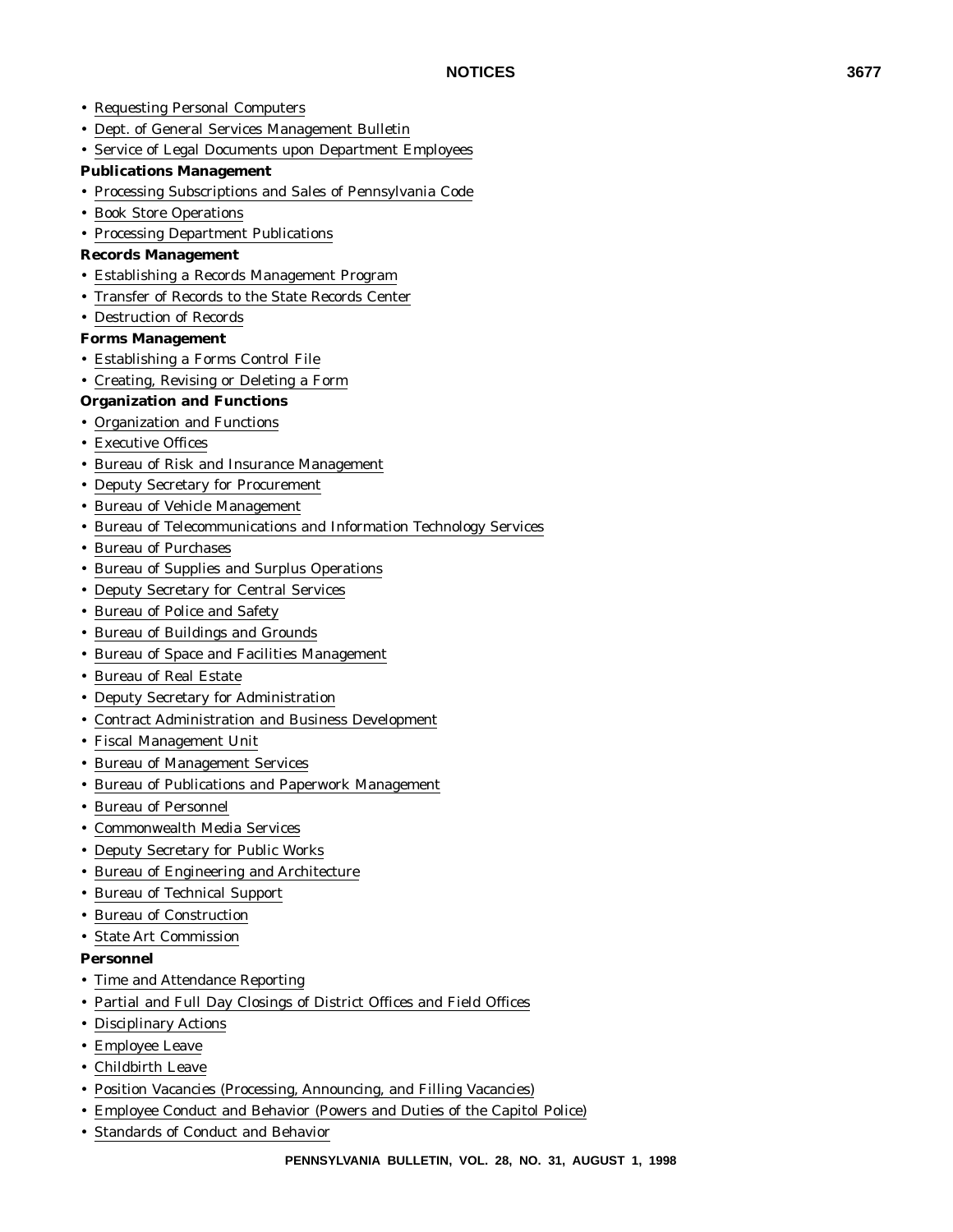- Requesting Personal Computers
- Dept. of General Services Management Bulletin
- Service of Legal Documents upon Department Employees

#### **Publications Management**

- Processing Subscriptions and Sales of Pennsylvania Code
- Book Store Operations
- Processing Department Publications

#### **Records Management**

- Establishing a Records Management Program
- Transfer of Records to the State Records Center
- Destruction of Records

#### **Forms Management**

- Establishing a Forms Control File
- Creating, Revising or Deleting a Form

#### **Organization and Functions**

- Organization and Functions
- Executive Offices
- Bureau of Risk and Insurance Management
- Deputy Secretary for Procurement
- Bureau of Vehicle Management
- Bureau of Telecommunications and Information Technology Services
- Bureau of Purchases
- Bureau of Supplies and Surplus Operations
- Deputy Secretary for Central Services
- Bureau of Police and Safety
- Bureau of Buildings and Grounds
- Bureau of Space and Facilities Management
- Bureau of Real Estate
- Deputy Secretary for Administration
- Contract Administration and Business Development
- Fiscal Management Unit
- Bureau of Management Services
- Bureau of Publications and Paperwork Management
- Bureau of Personnel
- Commonwealth Media Services
- Deputy Secretary for Public Works
- Bureau of Engineering and Architecture
- Bureau of Technical Support
- Bureau of Construction
- State Art Commission

#### **Personnel**

- Time and Attendance Reporting
- Partial and Full Day Closings of District Offices and Field Offices
- Disciplinary Actions
- Employee Leave
- Childbirth Leave
- Position Vacancies (Processing, Announcing, and Filling Vacancies)
- Employee Conduct and Behavior (Powers and Duties of the Capitol Police)
- Standards of Conduct and Behavior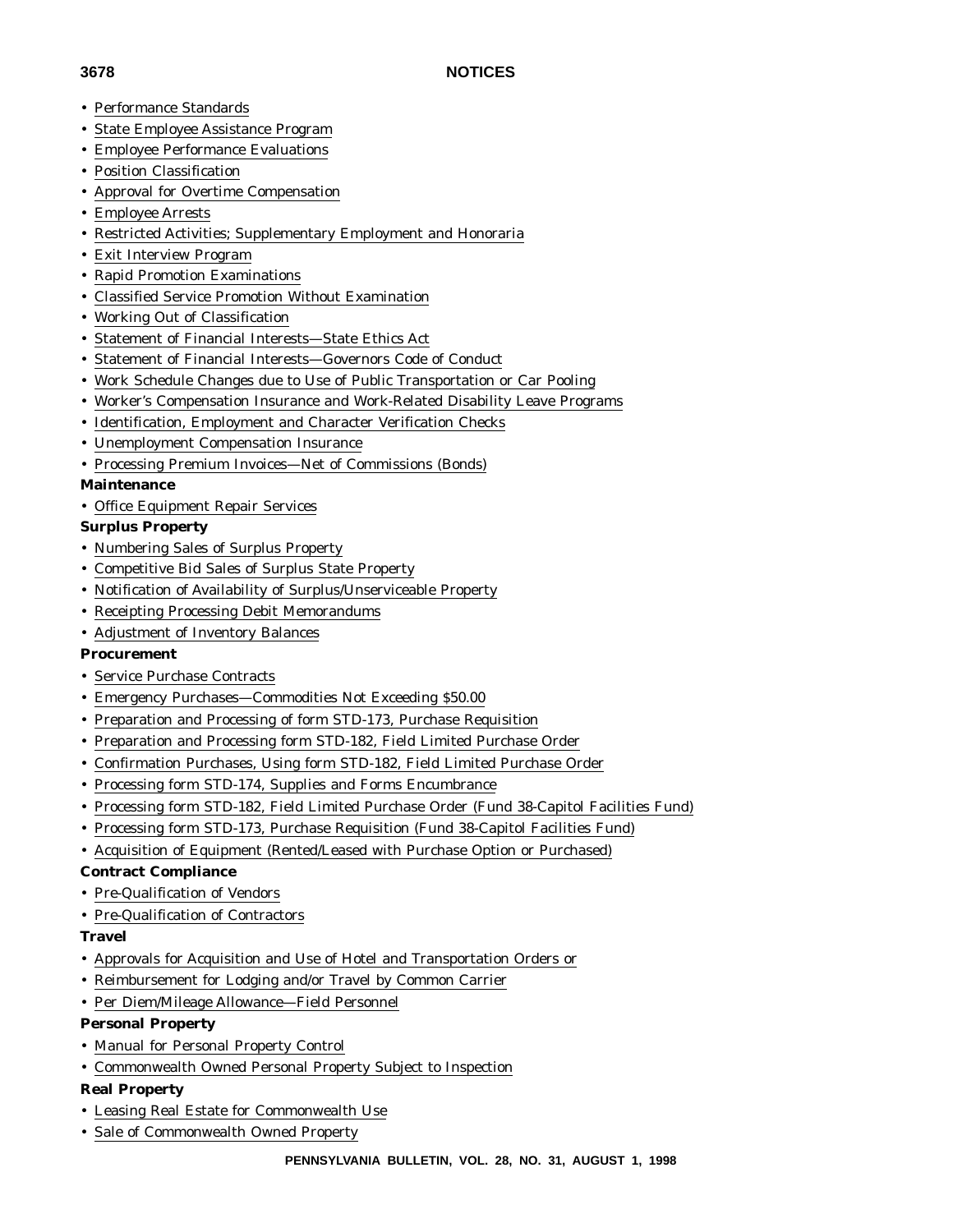- Performance Standards
- State Employee Assistance Program
- Employee Performance Evaluations
- Position Classification
- Approval for Overtime Compensation
- Employee Arrests
- Restricted Activities; Supplementary Employment and Honoraria
- Exit Interview Program
- Rapid Promotion Examinations
- Classified Service Promotion Without Examination
- Working Out of Classification
- Statement of Financial Interests—State Ethics Act
- Statement of Financial Interests—Governors Code of Conduct
- Work Schedule Changes due to Use of Public Transportation or Car Pooling
- Worker's Compensation Insurance and Work-Related Disability Leave Programs
- Identification, Employment and Character Verification Checks
- Unemployment Compensation Insurance
- Processing Premium Invoices—Net of Commissions (Bonds)

### **Maintenance**

• Office Equipment Repair Services

### **Surplus Property**

- Numbering Sales of Surplus Property
- Competitive Bid Sales of Surplus State Property
- Notification of Availability of Surplus/Unserviceable Property
- Receipting Processing Debit Memorandums
- Adjustment of Inventory Balances

### **Procurement**

- Service Purchase Contracts
- Emergency Purchases—Commodities Not Exceeding \$50.00
- Preparation and Processing of form STD-173, Purchase Requisition
- Preparation and Processing form STD-182, Field Limited Purchase Order
- Confirmation Purchases, Using form STD-182, Field Limited Purchase Order
- Processing form STD-174, Supplies and Forms Encumbrance
- Processing form STD-182, Field Limited Purchase Order (Fund 38-Capitol Facilities Fund)
- Processing form STD-173, Purchase Requisition (Fund 38-Capitol Facilities Fund)
- Acquisition of Equipment (Rented/Leased with Purchase Option or Purchased)

### **Contract Compliance**

- Pre-Qualification of Vendors
- Pre-Qualification of Contractors

### **Travel**

- Approvals for Acquisition and Use of Hotel and Transportation Orders or
- Reimbursement for Lodging and/or Travel by Common Carrier
- Per Diem/Mileage Allowance—Field Personnel
- **Personal Property**
- Manual for Personal Property Control
- Commonwealth Owned Personal Property Subject to Inspection

### **Real Property**

- Leasing Real Estate for Commonwealth Use
- Sale of Commonwealth Owned Property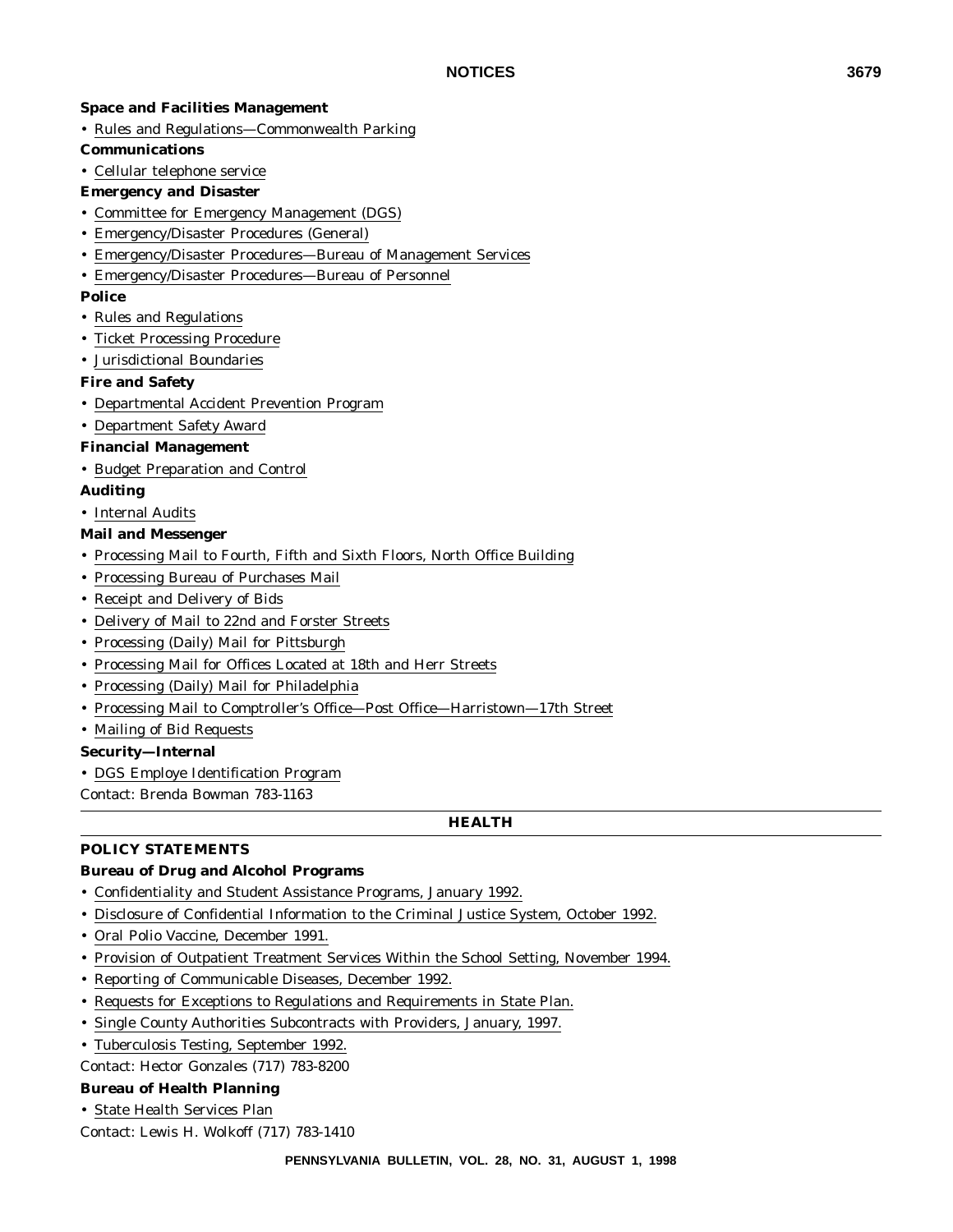#### **Space and Facilities Management**

- Rules and Regulations—Commonwealth Parking
- **Communications**
- Cellular telephone service
- **Emergency and Disaster**
- Committee for Emergency Management (DGS)
- Emergency/Disaster Procedures (General)
- Emergency/Disaster Procedures—Bureau of Management Services
- Emergency/Disaster Procedures—Bureau of Personnel

#### **Police**

- Rules and Regulations
- Ticket Processing Procedure
- Jurisdictional Boundaries

#### **Fire and Safety**

- Departmental Accident Prevention Program
- Department Safety Award

#### **Financial Management**

• Budget Preparation and Control

#### **Auditing**

- Internal Audits
- **Mail and Messenger**
- Processing Mail to Fourth, Fifth and Sixth Floors, North Office Building
- Processing Bureau of Purchases Mail
- Receipt and Delivery of Bids
- Delivery of Mail to 22nd and Forster Streets
- Processing (Daily) Mail for Pittsburgh
- Processing Mail for Offices Located at 18th and Herr Streets
- Processing (Daily) Mail for Philadelphia
- Processing Mail to Comptroller's Office—Post Office—Harristown—17th Street
- Mailing of Bid Requests

#### **Security—Internal**

• DGS Employe Identification Program

Contact: Brenda Bowman 783-1163

### **HEALTH**

### **POLICY STATEMENTS**

### **Bureau of Drug and Alcohol Programs**

- Confidentiality and Student Assistance Programs, January 1992.
- Disclosure of Confidential Information to the Criminal Justice System, October 1992.
- Oral Polio Vaccine, December 1991.
- Provision of Outpatient Treatment Services Within the School Setting, November 1994.
- Reporting of Communicable Diseases, December 1992.
- Requests for Exceptions to Regulations and Requirements in State Plan.
- Single County Authorities Subcontracts with Providers, January, 1997.
- Tuberculosis Testing, September 1992.

Contact: Hector Gonzales (717) 783-8200

#### **Bureau of Health Planning**

• State Health Services Plan

Contact: Lewis H. Wolkoff (717) 783-1410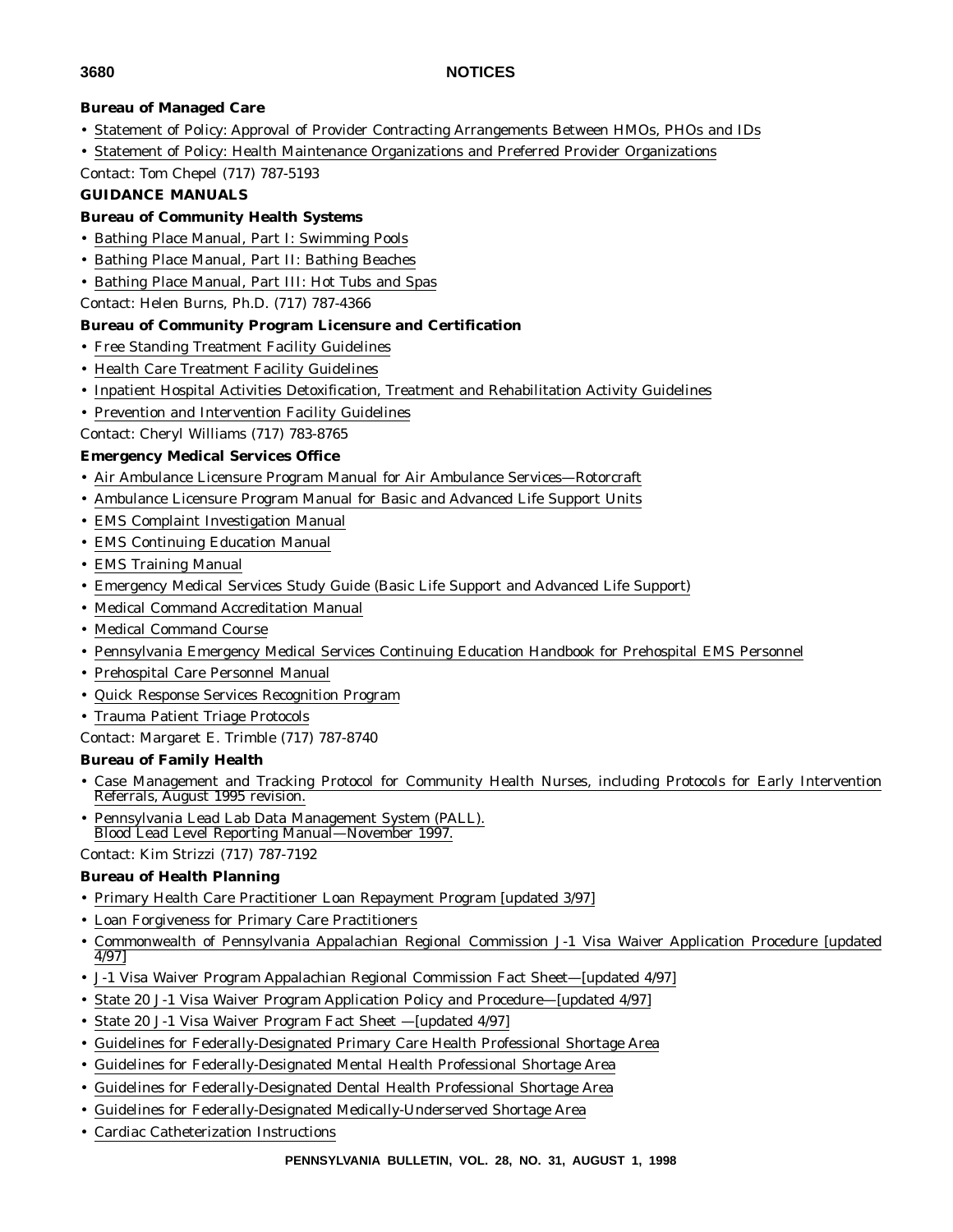# **Bureau of Managed Care**

- Statement of Policy: Approval of Provider Contracting Arrangements Between HMOs, PHOs and IDs
- Statement of Policy: Health Maintenance Organizations and Preferred Provider Organizations
- Contact: Tom Chepel (717) 787-5193

#### **GUIDANCE MANUALS**

#### **Bureau of Community Health Systems**

- Bathing Place Manual, Part I: Swimming Pools
- Bathing Place Manual, Part II: Bathing Beaches
- Bathing Place Manual, Part III: Hot Tubs and Spas
- Contact: Helen Burns, Ph.D. (717) 787-4366

### **Bureau of Community Program Licensure and Certification**

- Free Standing Treatment Facility Guidelines
- Health Care Treatment Facility Guidelines
- Inpatient Hospital Activities Detoxification, Treatment and Rehabilitation Activity Guidelines
- Prevention and Intervention Facility Guidelines

# Contact: Cheryl Williams (717) 783-8765

#### **Emergency Medical Services Office**

- Air Ambulance Licensure Program Manual for Air Ambulance Services—Rotorcraft
- Ambulance Licensure Program Manual for Basic and Advanced Life Support Units
- EMS Complaint Investigation Manual
- EMS Continuing Education Manual
- EMS Training Manual
- Emergency Medical Services Study Guide (Basic Life Support and Advanced Life Support)
- Medical Command Accreditation Manual
- Medical Command Course
- Pennsylvania Emergency Medical Services Continuing Education Handbook for Prehospital EMS Personnel
- Prehospital Care Personnel Manual
- Quick Response Services Recognition Program

#### • Trauma Patient Triage Protocols

Contact: Margaret E. Trimble (717) 787-8740

#### **Bureau of Family Health**

- Case Management and Tracking Protocol for Community Health Nurses, including Protocols for Early Intervention Referrals, August 1995 revision.
- Pennsylvania Lead Lab Data Management System (PALL). Blood Lead Level Reporting Manual—November 1997.

Contact: Kim Strizzi (717) 787-7192

#### **Bureau of Health Planning**

- Primary Health Care Practitioner Loan Repayment Program [updated 3/97]
- Loan Forgiveness for Primary Care Practitioners
- Commonwealth of Pennsylvania Appalachian Regional Commission J-1 Visa Waiver Application Procedure [updated 4/97]
- J-1 Visa Waiver Program Appalachian Regional Commission Fact Sheet—[updated 4/97]
- State 20 J-1 Visa Waiver Program Application Policy and Procedure—[updated 4/97]
- State 20 J-1 Visa Waiver Program Fact Sheet [updated 4/97]
- Guidelines for Federally-Designated Primary Care Health Professional Shortage Area
- Guidelines for Federally-Designated Mental Health Professional Shortage Area
- Guidelines for Federally-Designated Dental Health Professional Shortage Area
- Guidelines for Federally-Designated Medically-Underserved Shortage Area
- Cardiac Catheterization Instructions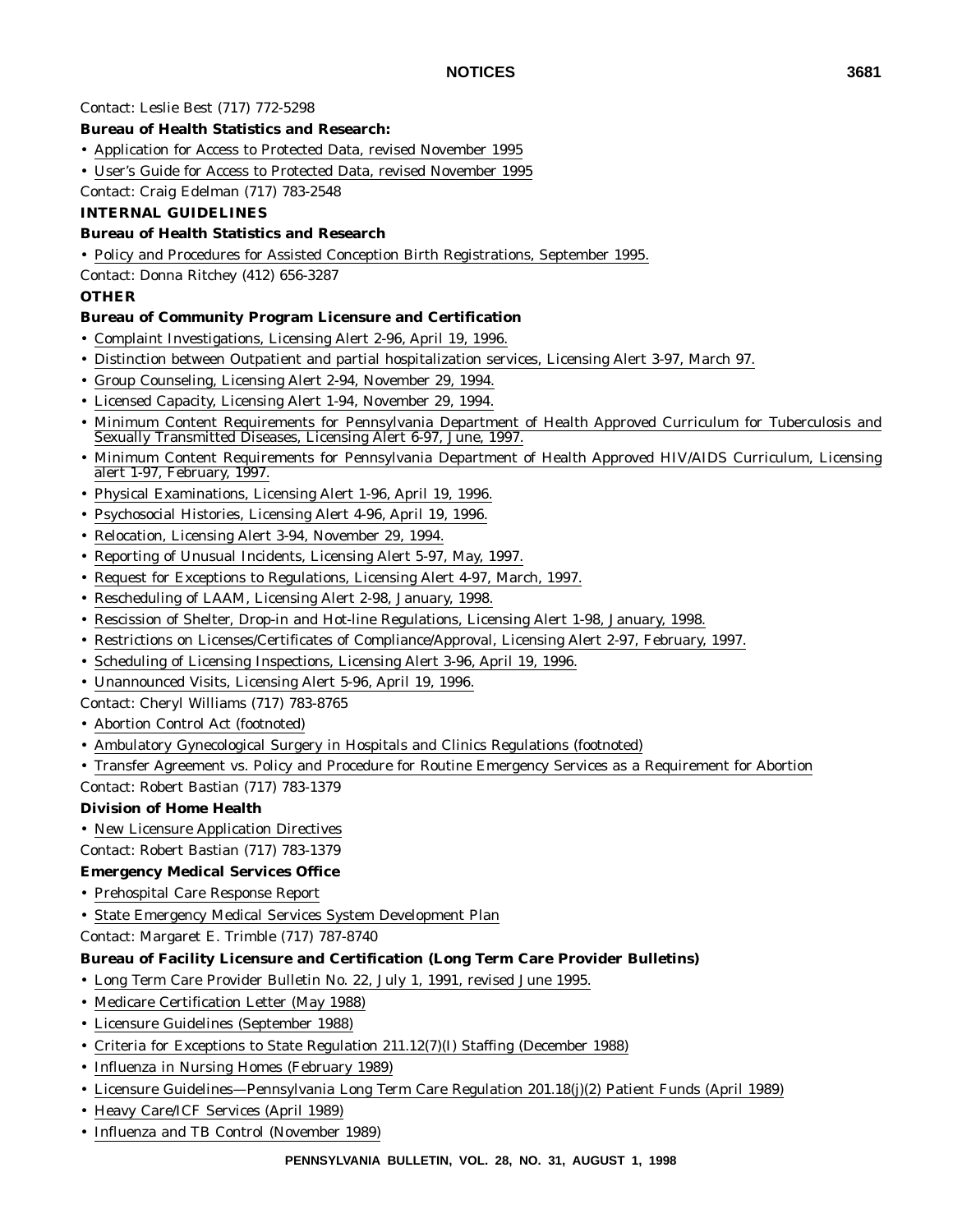Contact: Leslie Best (717) 772-5298

#### **Bureau of Health Statistics and Research:**

- Application for Access to Protected Data, revised November 1995
- User's Guide for Access to Protected Data, revised November 1995

Contact: Craig Edelman (717) 783-2548

#### **INTERNAL GUIDELINES**

#### **Bureau of Health Statistics and Research**

• Policy and Procedures for Assisted Conception Birth Registrations, September 1995.

Contact: Donna Ritchey (412) 656-3287

#### **OTHER**

#### **Bureau of Community Program Licensure and Certification**

- Complaint Investigations, Licensing Alert 2-96, April 19, 1996.
- Distinction between Outpatient and partial hospitalization services, Licensing Alert 3-97, March 97.
- Group Counseling, Licensing Alert 2-94, November 29, 1994.
- Licensed Capacity, Licensing Alert 1-94, November 29, 1994.
- Minimum Content Requirements for Pennsylvania Department of Health Approved Curriculum for Tuberculosis and Sexually Transmitted Diseases, Licensing Alert 6-97, June, 1997.
- Minimum Content Requirements for Pennsylvania Department of Health Approved HIV/AIDS Curriculum, Licensing alert 1-97, February, 1997.
- Physical Examinations, Licensing Alert 1-96, April 19, 1996.
- Psychosocial Histories, Licensing Alert 4-96, April 19, 1996.
- Relocation, Licensing Alert 3-94, November 29, 1994.
- Reporting of Unusual Incidents, Licensing Alert 5-97, May, 1997.
- Request for Exceptions to Regulations, Licensing Alert 4-97, March, 1997.
- Rescheduling of LAAM, Licensing Alert 2-98, January, 1998.
- Rescission of Shelter, Drop-in and Hot-line Regulations, Licensing Alert 1-98, January, 1998.
- Restrictions on Licenses/Certificates of Compliance/Approval, Licensing Alert 2-97, February, 1997.
- Scheduling of Licensing Inspections, Licensing Alert 3-96, April 19, 1996.
- Unannounced Visits, Licensing Alert 5-96, April 19, 1996.

Contact: Cheryl Williams (717) 783-8765

- Abortion Control Act (footnoted)
- Ambulatory Gynecological Surgery in Hospitals and Clinics Regulations (footnoted)
- Transfer Agreement vs. Policy and Procedure for Routine Emergency Services as a Requirement for Abortion

Contact: Robert Bastian (717) 783-1379

#### **Division of Home Health**

• New Licensure Application Directives

Contact: Robert Bastian (717) 783-1379

#### **Emergency Medical Services Office**

- Prehospital Care Response Report
- State Emergency Medical Services System Development Plan
- Contact: Margaret E. Trimble (717) 787-8740

#### **Bureau of Facility Licensure and Certification (Long Term Care Provider Bulletins)**

- Long Term Care Provider Bulletin No. 22, July 1, 1991, revised June 1995.
- Medicare Certification Letter (May 1988)
- Licensure Guidelines (September 1988)
- Criteria for Exceptions to State Regulation 211.12(7)(I) Staffing (December 1988)
- Influenza in Nursing Homes (February 1989)
- Licensure Guidelines—Pennsylvania Long Term Care Regulation 201.18(j)(2) Patient Funds (April 1989)
- Heavy Care/ICF Services (April 1989)
- Influenza and TB Control (November 1989)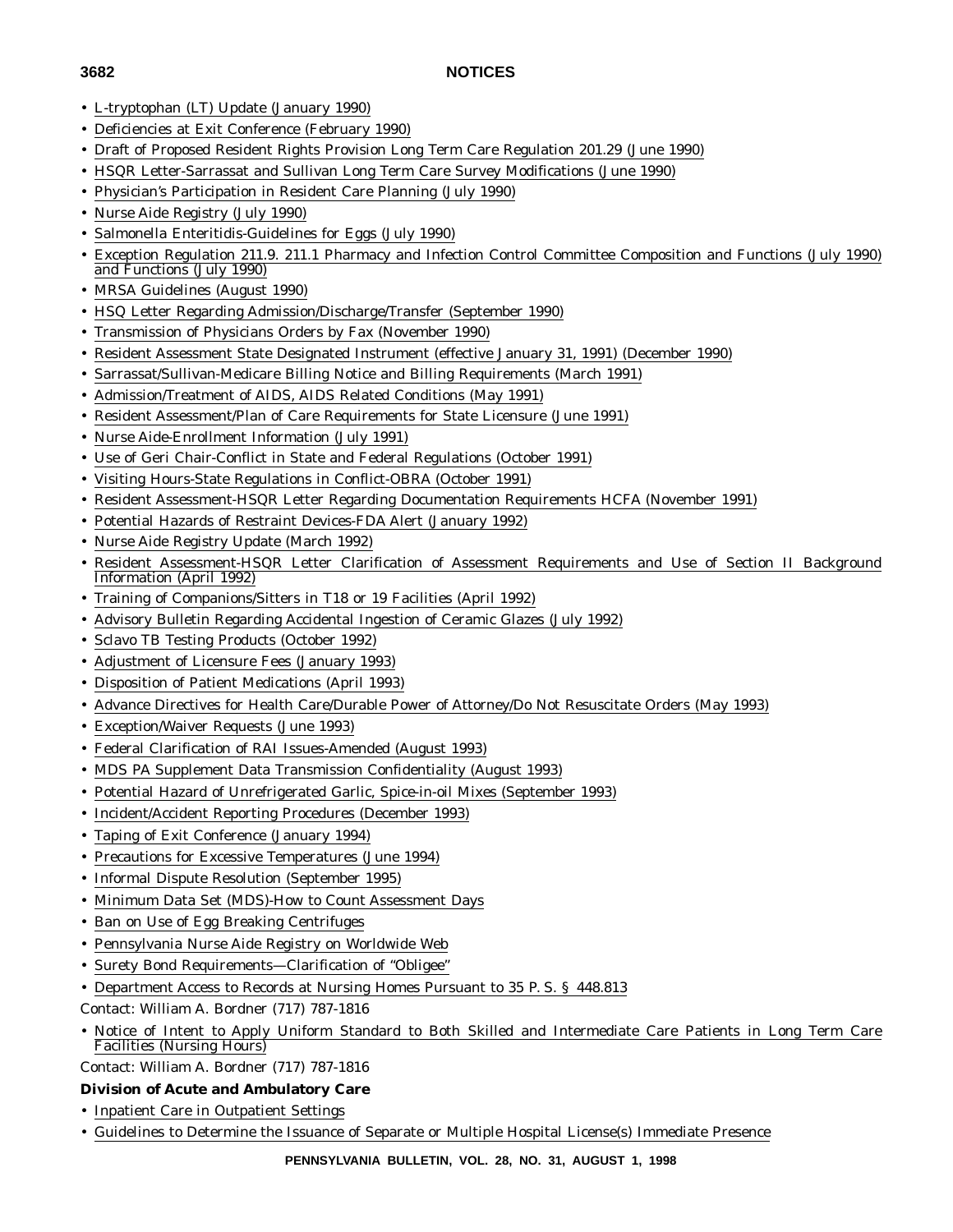- L-tryptophan (LT) Update (January 1990)
- Deficiencies at Exit Conference (February 1990)
- Draft of Proposed Resident Rights Provision Long Term Care Regulation 201.29 (June 1990)
- HSQR Letter-Sarrassat and Sullivan Long Term Care Survey Modifications (June 1990)
- Physician's Participation in Resident Care Planning (July 1990)
- Nurse Aide Registry (July 1990)
- Salmonella Enteritidis-Guidelines for Eggs (July 1990)
- Exception Regulation 211.9. 211.1 Pharmacy and Infection Control Committee Composition and Functions (July 1990) and Functions (July 1990)
- MRSA Guidelines (August 1990)
- HSQ Letter Regarding Admission/Discharge/Transfer (September 1990)
- Transmission of Physicians Orders by Fax (November 1990)
- Resident Assessment State Designated Instrument (effective January 31, 1991) (December 1990)
- Sarrassat/Sullivan-Medicare Billing Notice and Billing Requirements (March 1991)
- Admission/Treatment of AIDS, AIDS Related Conditions (May 1991)
- Resident Assessment/Plan of Care Requirements for State Licensure (June 1991)
- Nurse Aide-Enrollment Information (July 1991)
- Use of Geri Chair-Conflict in State and Federal Regulations (October 1991)
- Visiting Hours-State Regulations in Conflict-OBRA (October 1991)
- Resident Assessment-HSQR Letter Regarding Documentation Requirements HCFA (November 1991)
- Potential Hazards of Restraint Devices-FDA Alert (January 1992)
- Nurse Aide Registry Update (March 1992)
- Resident Assessment-HSQR Letter Clarification of Assessment Requirements and Use of Section II Background Information (April 1992)
- Training of Companions/Sitters in T18 or 19 Facilities (April 1992)
- Advisory Bulletin Regarding Accidental Ingestion of Ceramic Glazes (July 1992)
- Sclavo TB Testing Products (October 1992)
- Adjustment of Licensure Fees (January 1993)
- Disposition of Patient Medications (April 1993)
- Advance Directives for Health Care/Durable Power of Attorney/Do Not Resuscitate Orders (May 1993)
- Exception/Waiver Requests (June 1993)
- Federal Clarification of RAI Issues-Amended (August 1993)
- MDS PA Supplement Data Transmission Confidentiality (August 1993)
- Potential Hazard of Unrefrigerated Garlic, Spice-in-oil Mixes (September 1993)
- Incident/Accident Reporting Procedures (December 1993)
- Taping of Exit Conference (January 1994)
- Precautions for Excessive Temperatures (June 1994)
- Informal Dispute Resolution (September 1995)
- Minimum Data Set (MDS)-How to Count Assessment Days
- Ban on Use of Egg Breaking Centrifuges
- Pennsylvania Nurse Aide Registry on Worldwide Web
- Surety Bond Requirements—Clarification of "Obligee"
- Department Access to Records at Nursing Homes Pursuant to 35 P. S. § 448.813
- Contact: William A. Bordner (717) 787-1816
- Notice of Intent to Apply Uniform Standard to Both Skilled and Intermediate Care Patients in Long Term Care Facilities (Nursing Hours)

Contact: William A. Bordner (717) 787-1816

### **Division of Acute and Ambulatory Care**

- Inpatient Care in Outpatient Settings
- Guidelines to Determine the Issuance of Separate or Multiple Hospital License(s) Immediate Presence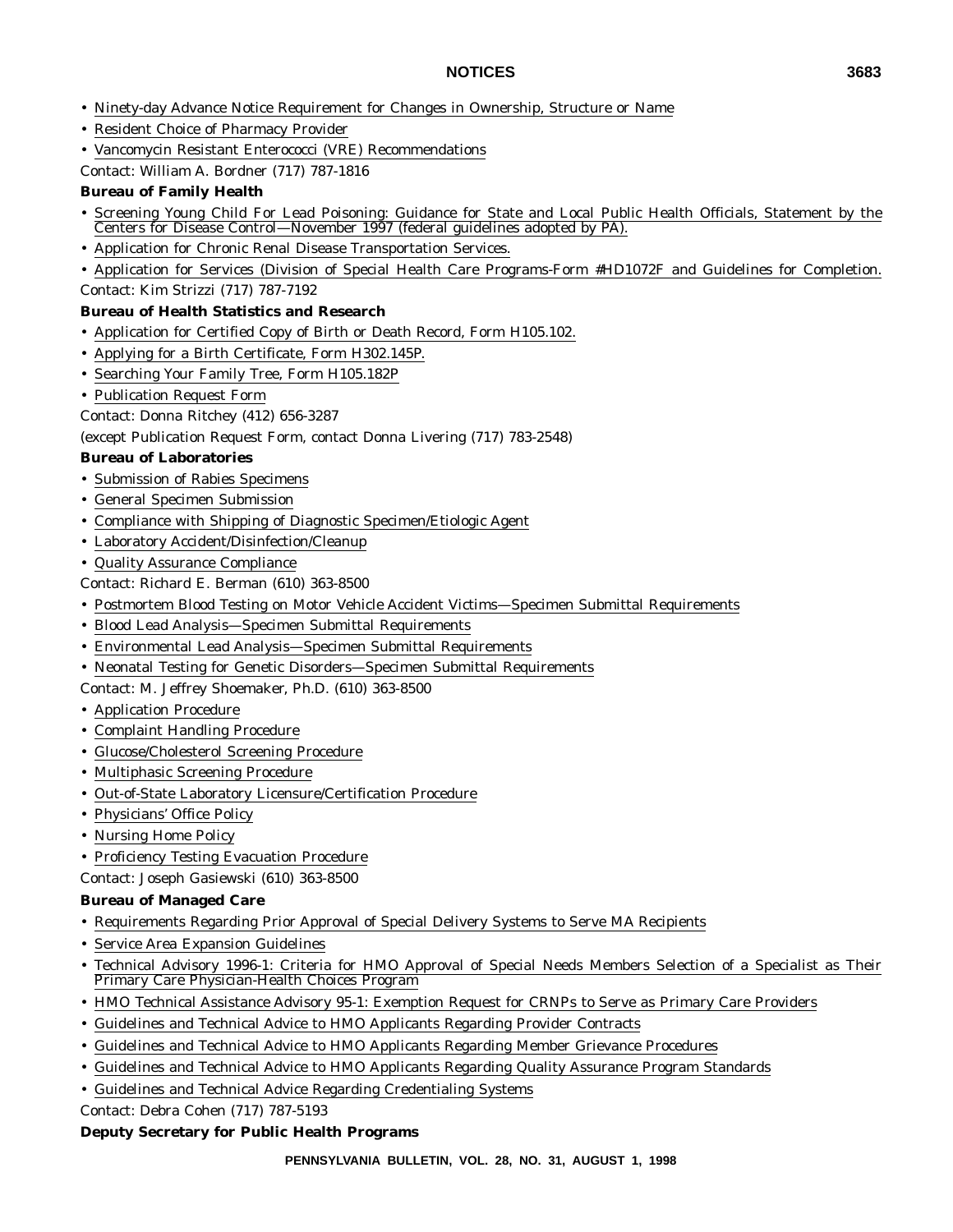- Ninety-day Advance Notice Requirement for Changes in Ownership, Structure or Name
- Resident Choice of Pharmacy Provider
- Vancomycin Resistant Enterococci (VRE) Recommendations
- Contact: William A. Bordner (717) 787-1816

#### **Bureau of Family Health**

- Screening Young Child For Lead Poisoning: Guidance for State and Local Public Health Officials, Statement by the Centers for Disease Control—November 1997 (federal guidelines adopted by PA).
- Application for Chronic Renal Disease Transportation Services.
- Application for Services (Division of Special Health Care Programs-Form #HD1072F and Guidelines for Completion. Contact: Kim Strizzi (717) 787-7192

#### **Bureau of Health Statistics and Research**

- Application for Certified Copy of Birth or Death Record, Form H105.102.
- Applying for a Birth Certificate, Form H302.145P.
- Searching Your Family Tree, Form H105.182P
- Publication Request Form

Contact: Donna Ritchey (412) 656-3287

#### (except Publication Request Form, contact Donna Livering (717) 783-2548)

#### **Bureau of Laboratories**

- Submission of Rabies Specimens
- General Specimen Submission
- Compliance with Shipping of Diagnostic Specimen/Etiologic Agent
- Laboratory Accident/Disinfection/Cleanup
- Quality Assurance Compliance
- Contact: Richard E. Berman (610) 363-8500
- Postmortem Blood Testing on Motor Vehicle Accident Victims—Specimen Submittal Requirements
- Blood Lead Analysis—Specimen Submittal Requirements
- Environmental Lead Analysis—Specimen Submittal Requirements
- Neonatal Testing for Genetic Disorders—Specimen Submittal Requirements
- Contact: M. Jeffrey Shoemaker, Ph.D. (610) 363-8500
- Application Procedure
- Complaint Handling Procedure
- Glucose/Cholesterol Screening Procedure
- Multiphasic Screening Procedure
- Out-of-State Laboratory Licensure/Certification Procedure
- Physicians' Office Policy
- Nursing Home Policy
- Proficiency Testing Evacuation Procedure

Contact: Joseph Gasiewski (610) 363-8500

#### **Bureau of Managed Care**

- Requirements Regarding Prior Approval of Special Delivery Systems to Serve MA Recipients
- Service Area Expansion Guidelines
- Technical Advisory 1996-1: Criteria for HMO Approval of Special Needs Members Selection of a Specialist as Their Primary Care Physician-Health Choices Program
- HMO Technical Assistance Advisory 95-1: Exemption Request for CRNPs to Serve as Primary Care Providers
- Guidelines and Technical Advice to HMO Applicants Regarding Provider Contracts
- Guidelines and Technical Advice to HMO Applicants Regarding Member Grievance Procedures
- Guidelines and Technical Advice to HMO Applicants Regarding Quality Assurance Program Standards
- Guidelines and Technical Advice Regarding Credentialing Systems

Contact: Debra Cohen (717) 787-5193

#### **Deputy Secretary for Public Health Programs**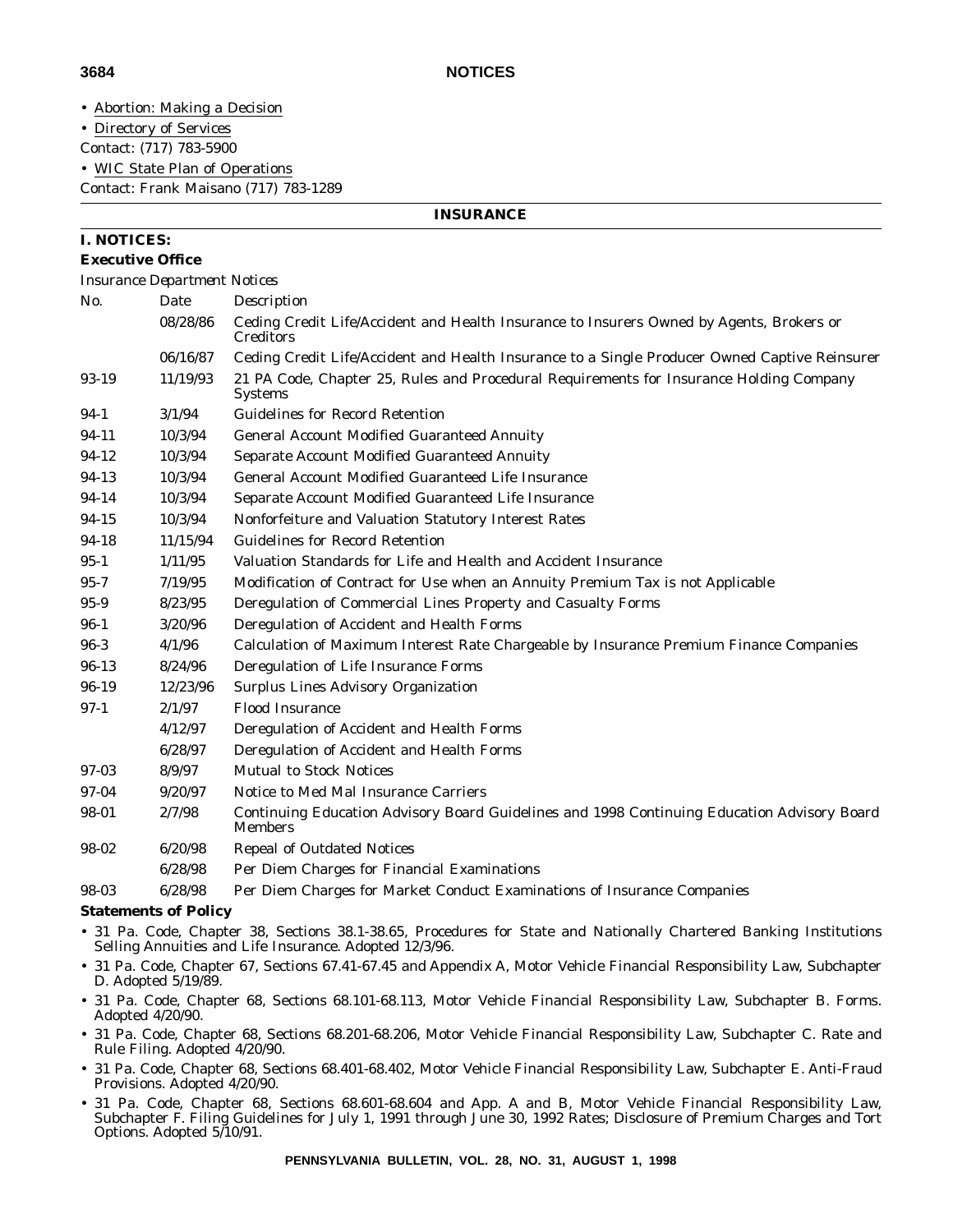**INSURANCE**

• Abortion: Making a Decision

• Directory of Services

Contact: (717) 783-5900

• WIC State Plan of Operations

Contact: Frank Maisano (717) 783-1289

#### **I. NOTICES:**

#### **Executive Office**

*Insurance Department Notices*

| No.      | Date     | Description                                                                                                   |
|----------|----------|---------------------------------------------------------------------------------------------------------------|
|          | 08/28/86 | Ceding Credit Life/Accident and Health Insurance to Insurers Owned by Agents, Brokers or<br><b>Creditors</b>  |
|          | 06/16/87 | Ceding Credit Life/Accident and Health Insurance to a Single Producer Owned Captive Reinsurer                 |
| 93-19    | 11/19/93 | 21 PA Code, Chapter 25, Rules and Procedural Requirements for Insurance Holding Company<br><b>Systems</b>     |
| $94-1$   | 3/1/94   | <b>Guidelines for Record Retention</b>                                                                        |
| 94-11    | 10/3/94  | <b>General Account Modified Guaranteed Annuity</b>                                                            |
| 94-12    | 10/3/94  | Separate Account Modified Guaranteed Annuity                                                                  |
| 94-13    | 10/3/94  | <b>General Account Modified Guaranteed Life Insurance</b>                                                     |
| 94-14    | 10/3/94  | Separate Account Modified Guaranteed Life Insurance                                                           |
| 94-15    | 10/3/94  | Nonforfeiture and Valuation Statutory Interest Rates                                                          |
| 94-18    | 11/15/94 | <b>Guidelines for Record Retention</b>                                                                        |
| $95-1$   | 1/11/95  | Valuation Standards for Life and Health and Accident Insurance                                                |
| $95 - 7$ | 7/19/95  | Modification of Contract for Use when an Annuity Premium Tax is not Applicable                                |
| $95-9$   | 8/23/95  | Deregulation of Commercial Lines Property and Casualty Forms                                                  |
| $96 - 1$ | 3/20/96  | Deregulation of Accident and Health Forms                                                                     |
| $96-3$   | 4/1/96   | Calculation of Maximum Interest Rate Chargeable by Insurance Premium Finance Companies                        |
| 96-13    | 8/24/96  | Deregulation of Life Insurance Forms                                                                          |
| 96-19    | 12/23/96 | <b>Surplus Lines Advisory Organization</b>                                                                    |
| $97-1$   | 2/1/97   | <b>Flood Insurance</b>                                                                                        |
|          | 4/12/97  | Deregulation of Accident and Health Forms                                                                     |
|          | 6/28/97  | Deregulation of Accident and Health Forms                                                                     |
| 97-03    | 8/9/97   | <b>Mutual to Stock Notices</b>                                                                                |
| 97-04    | 9/20/97  | Notice to Med Mal Insurance Carriers                                                                          |
| 98-01    | 2/7/98   | Continuing Education Advisory Board Guidelines and 1998 Continuing Education Advisory Board<br><b>Members</b> |
| 98-02    | 6/20/98  | <b>Repeal of Outdated Notices</b>                                                                             |
|          | 6/28/98  | Per Diem Charges for Financial Examinations                                                                   |
| 98-03    | 6/28/98  | Per Diem Charges for Market Conduct Examinations of Insurance Companies                                       |

#### **Statements of Policy**

- 31 Pa. Code, Chapter 38, Sections 38.1-38.65, Procedures for State and Nationally Chartered Banking Institutions Selling Annuities and Life Insurance. Adopted 12/3/96.
- 31 Pa. Code, Chapter 67, Sections 67.41-67.45 and Appendix A, Motor Vehicle Financial Responsibility Law, Subchapter D. Adopted 5/19/89.
- 31 Pa. Code, Chapter 68, Sections 68.101-68.113, Motor Vehicle Financial Responsibility Law, Subchapter B. Forms. Adopted 4/20/90.
- 31 Pa. Code, Chapter 68, Sections 68.201-68.206, Motor Vehicle Financial Responsibility Law, Subchapter C. Rate and Rule Filing. Adopted 4/20/90.
- 31 Pa. Code, Chapter 68, Sections 68.401-68.402, Motor Vehicle Financial Responsibility Law, Subchapter E. Anti-Fraud Provisions. Adopted 4/20/90.
- 31 Pa. Code, Chapter 68, Sections 68.601-68.604 and App. A and B, Motor Vehicle Financial Responsibility Law, Subchapter F. Filing Guidelines for July 1, 1991 through June 30, 1992 Rates; Disclosure of Premium Charges and Tort Options. Adopted 5/10/91.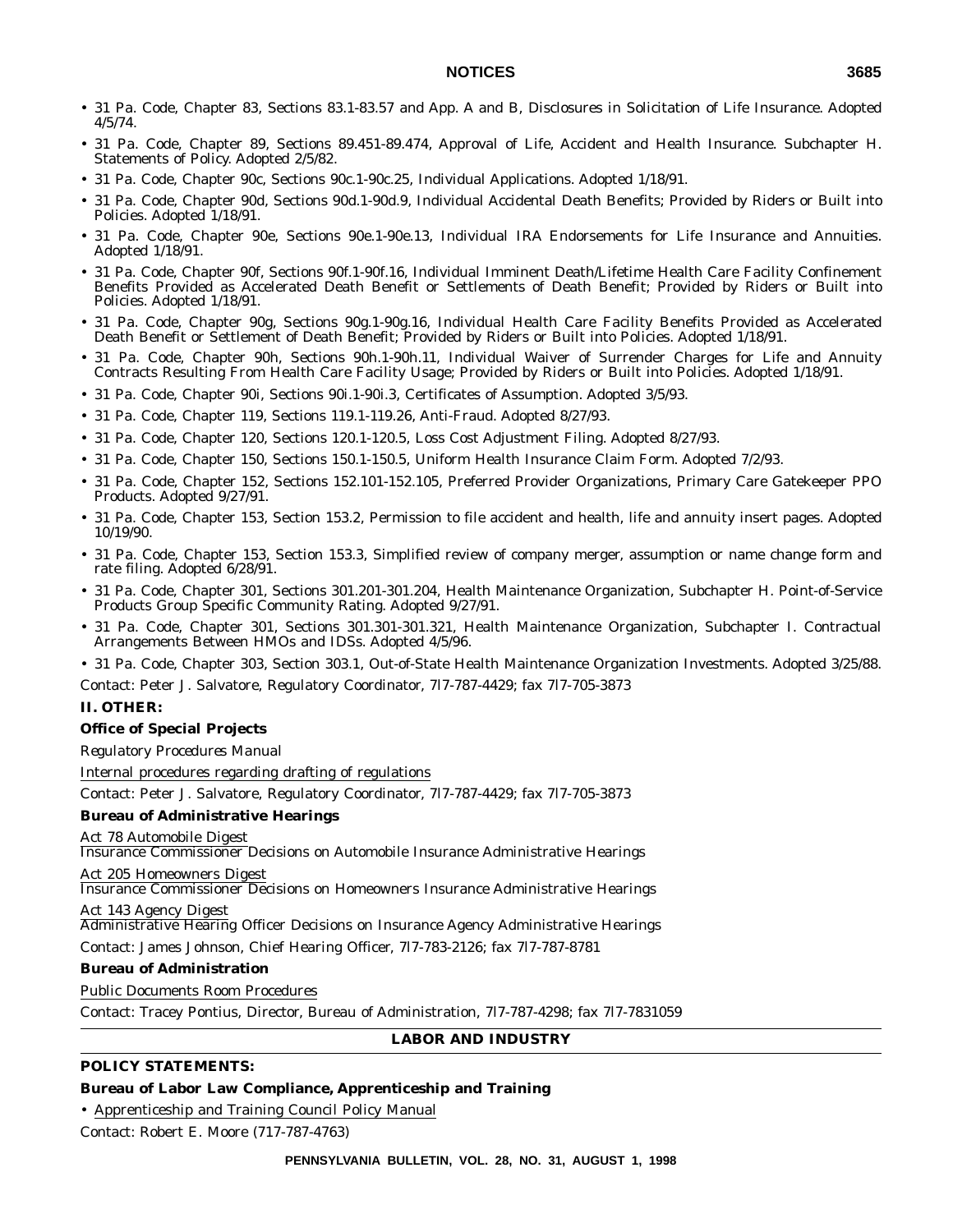- 31 Pa. Code, Chapter 83, Sections 83.1-83.57 and App. A and B, Disclosures in Solicitation of Life Insurance. Adopted 4/5/74.
- 31 Pa. Code, Chapter 89, Sections 89.451-89.474, Approval of Life, Accident and Health Insurance. Subchapter H. Statements of Policy. Adopted 2/5/82.
- 31 Pa. Code, Chapter 90c, Sections 90c.1-90c.25, Individual Applications. Adopted 1/18/91.
- 31 Pa. Code, Chapter 90d, Sections 90d.1-90d.9, Individual Accidental Death Benefits; Provided by Riders or Built into Policies. Adopted 1/18/91.
- 31 Pa. Code, Chapter 90e, Sections 90e.1-90e.13, Individual IRA Endorsements for Life Insurance and Annuities. Adopted 1/18/91.
- 31 Pa. Code, Chapter 90f, Sections 90f.1-90f.16, Individual Imminent Death/Lifetime Health Care Facility Confinement Benefits Provided as Accelerated Death Benefit or Settlements of Death Benefit; Provided by Riders or Built into Policies. Adopted 1/18/91.
- 31 Pa. Code, Chapter 90g, Sections 90g.1-90g.16, Individual Health Care Facility Benefits Provided as Accelerated Death Benefit or Settlement of Death Benefit; Provided by Riders or Built into Policies. Adopted 1/18/91.
- 31 Pa. Code, Chapter 90h, Sections 90h.1-90h.11, Individual Waiver of Surrender Charges for Life and Annuity Contracts Resulting From Health Care Facility Usage; Provided by Riders or Built into Policies. Adopted 1/18/91.
- 31 Pa. Code, Chapter 90i, Sections 90i.1-90i.3, Certificates of Assumption. Adopted 3/5/93.
- 31 Pa. Code, Chapter 119, Sections 119.1-119.26, Anti-Fraud. Adopted 8/27/93.
- 31 Pa. Code, Chapter 120, Sections 120.1-120.5, Loss Cost Adjustment Filing. Adopted 8/27/93.
- 31 Pa. Code, Chapter 150, Sections 150.1-150.5, Uniform Health Insurance Claim Form. Adopted 7/2/93.
- 31 Pa. Code, Chapter 152, Sections 152.101-152.105, Preferred Provider Organizations, Primary Care Gatekeeper PPO Products. Adopted 9/27/91.
- 31 Pa. Code, Chapter 153, Section 153.2, Permission to file accident and health, life and annuity insert pages. Adopted 10/19/90.
- 31 Pa. Code, Chapter 153, Section 153.3, Simplified review of company merger, assumption or name change form and rate filing. Adopted 6/28/91.
- 31 Pa. Code, Chapter 301, Sections 301.201-301.204, Health Maintenance Organization, Subchapter H. Point-of-Service Products Group Specific Community Rating. Adopted 9/27/91.
- 31 Pa. Code, Chapter 301, Sections 301.301-301.321, Health Maintenance Organization, Subchapter I. Contractual Arrangements Between HMOs and IDSs. Adopted 4/5/96.

• 31 Pa. Code, Chapter 303, Section 303.1, Out-of-State Health Maintenance Organization Investments. Adopted 3/25/88.

Contact: Peter J. Salvatore, Regulatory Coordinator, 7l7-787-4429; fax 7l7-705-3873

#### **II. OTHER:**

#### **Office of Special Projects**

*Regulatory Procedures Manual*

Internal procedures regarding drafting of regulations

Contact: Peter J. Salvatore, Regulatory Coordinator, 7l7-787-4429; fax 7l7-705-3873

#### **Bureau of Administrative Hearings**

Act 78 Automobile Digest

Insurance Commissioner Decisions on Automobile Insurance Administrative Hearings

Act 205 Homeowners Digest

Insurance Commissioner Decisions on Homeowners Insurance Administrative Hearings

#### Act 143 Agency Digest

Administrative Hearing Officer Decisions on Insurance Agency Administrative Hearings

Contact: James Johnson, Chief Hearing Officer, 7l7-783-2126; fax 7l7-787-8781

#### **Bureau of Administration**

Public Documents Room Procedures

Contact: Tracey Pontius, Director, Bureau of Administration, 7l7-787-4298; fax 7l7-7831059

### **LABOR AND INDUSTRY**

#### **POLICY STATEMENTS:**

#### **Bureau of Labor Law Compliance, Apprenticeship and Training**

• Apprenticeship and Training Council Policy Manual

Contact: Robert E. Moore (717-787-4763)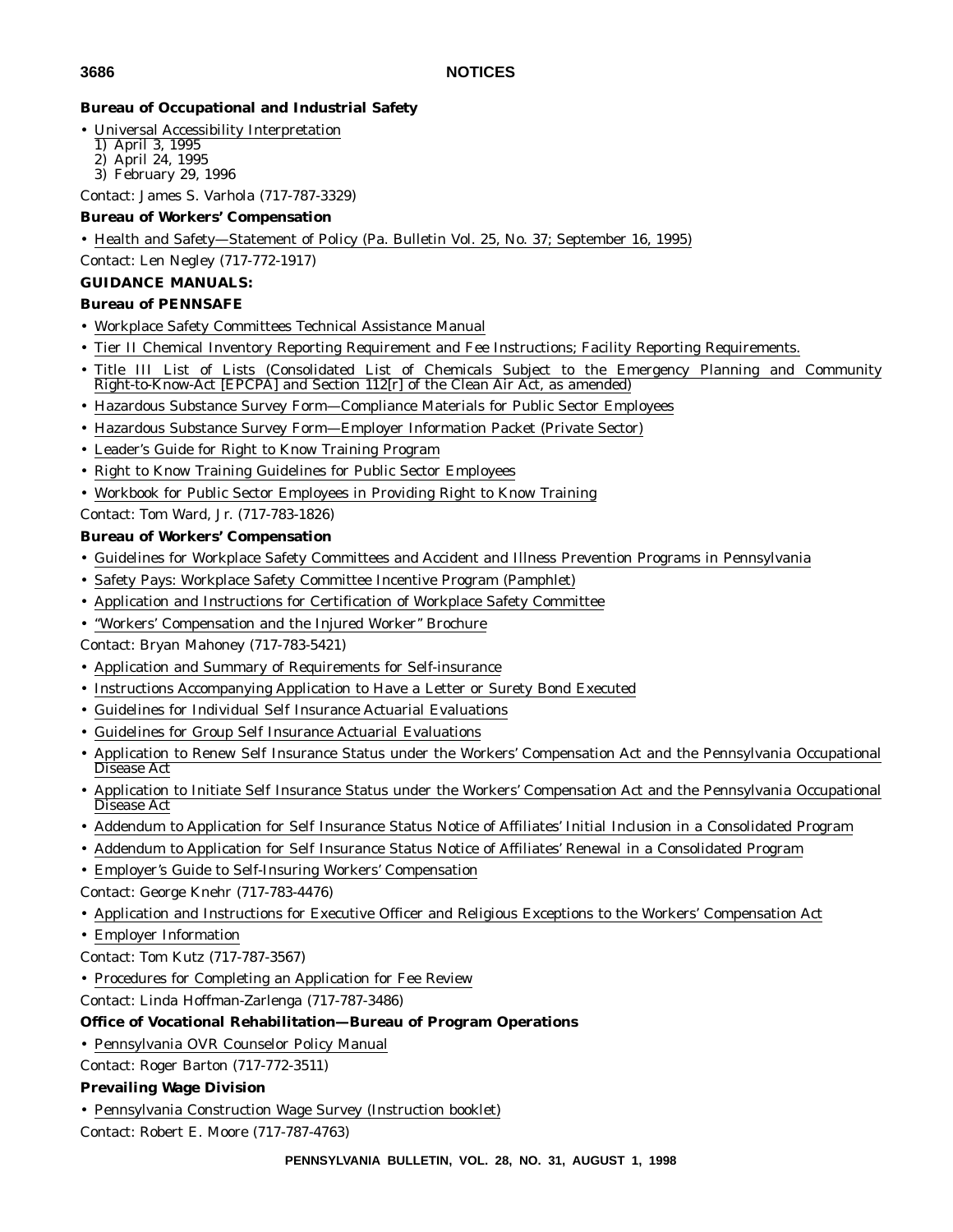# **Bureau of Occupational and Industrial Safety**

- Universal Accessibility Interpretation
- 1) April 3, 1995
- 2) April 24, 1995
- 3) February 29, 1996

Contact: James S. Varhola (717-787-3329)

# **Bureau of Workers' Compensation**

• Health and Safety—Statement of Policy (Pa. Bulletin Vol. 25, No. 37; September 16, 1995)

Contact: Len Negley (717-772-1917)

# **GUIDANCE MANUALS:**

# **Bureau of PENNSAFE**

- Workplace Safety Committees Technical Assistance Manual
- Tier II Chemical Inventory Reporting Requirement and Fee Instructions; Facility Reporting Requirements.
- Title III List of Lists (Consolidated List of Chemicals Subject to the Emergency Planning and Community Right-to-Know-Act [EPCPA] and Section 112[r] of the Clean Air Act, as amended)
- Hazardous Substance Survey Form—Compliance Materials for Public Sector Employees
- Hazardous Substance Survey Form—Employer Information Packet (Private Sector)
- Leader's Guide for Right to Know Training Program
- Right to Know Training Guidelines for Public Sector Employees
- Workbook for Public Sector Employees in Providing Right to Know Training

Contact: Tom Ward, Jr. (717-783-1826)

# **Bureau of Workers' Compensation**

- Guidelines for Workplace Safety Committees and Accident and Illness Prevention Programs in Pennsylvania
- Safety Pays: Workplace Safety Committee Incentive Program (Pamphlet)
- Application and Instructions for Certification of Workplace Safety Committee
- ''Workers' Compensation and the Injured Worker'' Brochure

Contact: Bryan Mahoney (717-783-5421)

- Application and Summary of Requirements for Self-insurance
- Instructions Accompanying Application to Have a Letter or Surety Bond Executed
- Guidelines for Individual Self Insurance Actuarial Evaluations
- Guidelines for Group Self Insurance Actuarial Evaluations
- Application to Renew Self Insurance Status under the Workers' Compensation Act and the Pennsylvania Occupational Disease Act
- Application to Initiate Self Insurance Status under the Workers' Compensation Act and the Pennsylvania Occupational Disease Act
- Addendum to Application for Self Insurance Status Notice of Affiliates' Initial Inclusion in a Consolidated Program
- Addendum to Application for Self Insurance Status Notice of Affiliates' Renewal in a Consolidated Program
- Employer's Guide to Self-Insuring Workers' Compensation
- Contact: George Knehr (717-783-4476)
- Application and Instructions for Executive Officer and Religious Exceptions to the Workers' Compensation Act
- Employer Information
- Contact: Tom Kutz (717-787-3567)
- Procedures for Completing an Application for Fee Review

Contact: Linda Hoffman-Zarlenga (717-787-3486)

# **Office of Vocational Rehabilitation—Bureau of Program Operations**

• Pennsylvania OVR Counselor Policy Manual

Contact: Roger Barton (717-772-3511)

# **Prevailing Wage Division**

• Pennsylvania Construction Wage Survey (Instruction booklet)

Contact: Robert E. Moore (717-787-4763)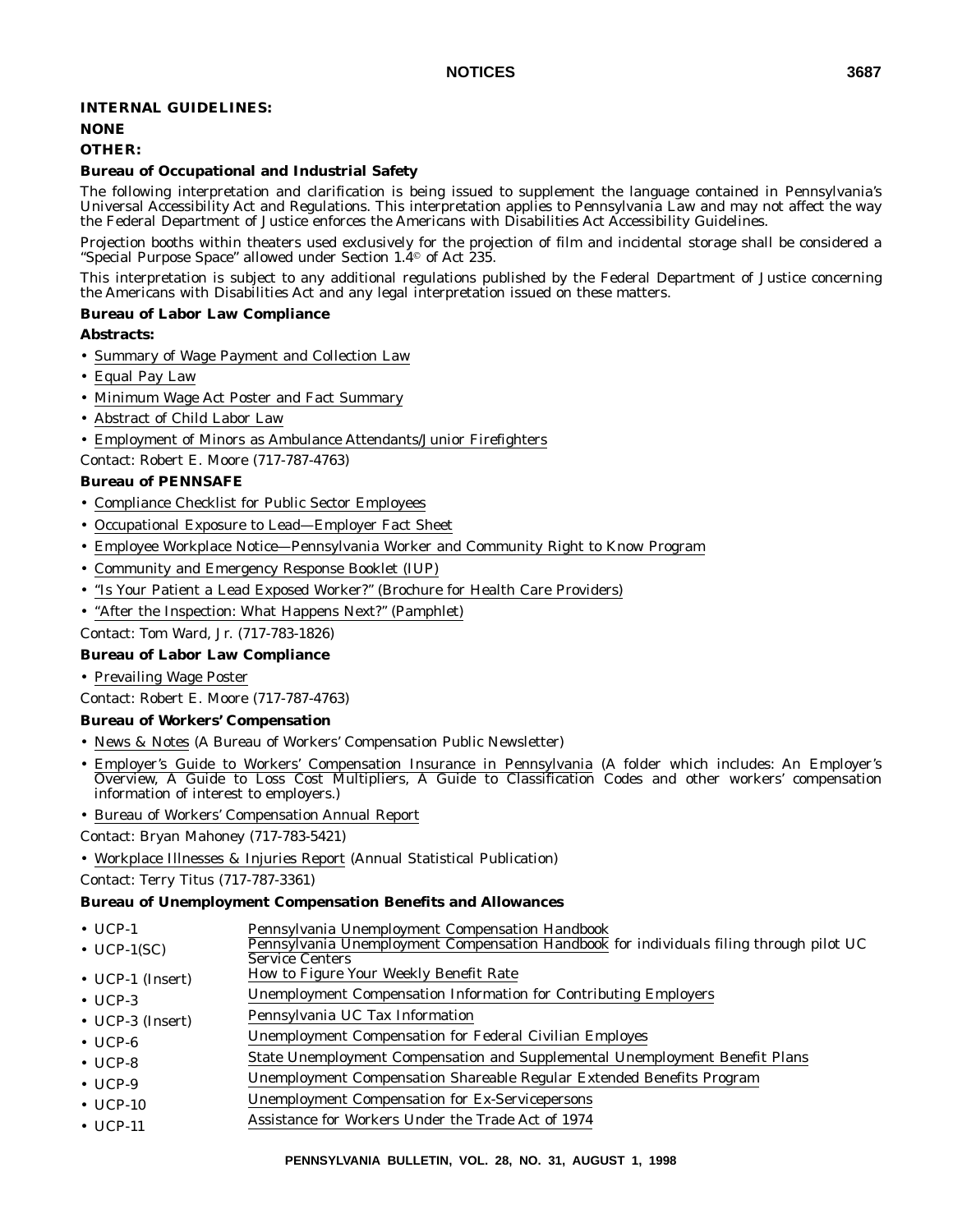## **INTERNAL GUIDELINES:**

# **NONE**

# **OTHER:**

## **Bureau of Occupational and Industrial Safety**

The following interpretation and clarification is being issued to supplement the language contained in Pennsylvania's Universal Accessibility Act and Regulations. This interpretation applies to Pennsylvania Law and may not affect the way the Federal Department of Justice enforces the Americans with Disabilities Act Accessibility Guidelines.

Projection booths within theaters used exclusively for the projection of film and incidental storage shall be considered a "Special Purpose Space" allowed under Section  $1.4^\circ$  of Act 235.

This interpretation is subject to any additional regulations published by the Federal Department of Justice concerning the Americans with Disabilities Act and any legal interpretation issued on these matters.

## **Bureau of Labor Law Compliance**

**Abstracts:**

- Summary of Wage Payment and Collection Law
- Equal Pay Law
- Minimum Wage Act Poster and Fact Summary
- Abstract of Child Labor Law
- Employment of Minors as Ambulance Attendants/Junior Firefighters
- Contact: Robert E. Moore (717-787-4763)

## **Bureau of PENNSAFE**

- Compliance Checklist for Public Sector Employees
- Occupational Exposure to Lead—Employer Fact Sheet
- Employee Workplace Notice—Pennsylvania Worker and Community Right to Know Program
- Community and Emergency Response Booklet (IUP)
- ''Is Your Patient a Lead Exposed Worker?'' (Brochure for Health Care Providers)

• "After the Inspection: What Happens Next?" (Pamphlet)

Contact: Tom Ward, Jr. (717-783-1826)

#### **Bureau of Labor Law Compliance**

• Prevailing Wage Poster

Contact: Robert E. Moore (717-787-4763)

#### **Bureau of Workers' Compensation**

- News & Notes (A Bureau of Workers' Compensation Public Newsletter)
- Employer's Guide to Workers' Compensation Insurance in Pennsylvania (A folder which includes: An Employer's Overview, A Guide to Loss Cost Multipliers, A Guide to Classification Codes and other workers' compensation information of interest to employers.)
- Bureau of Workers' Compensation Annual Report

Contact: Bryan Mahoney (717-783-5421)

• Workplace Illnesses & Injuries Report (Annual Statistical Publication)

Contact: Terry Titus (717-787-3361)

#### **Bureau of Unemployment Compensation Benefits and Allowances**

- UCP-1 Pennsylvania Unemployment Compensation Handbook
- UCP-1(SC) Pennsylvania Unemployment Compensation Handbook for individuals filing through pilot UC Service Centers
- UCP-1 (Insert) How to Figure Your Weekly Benefit Rate
- UCP-3 Unemployment Compensation Information for Contributing Employers
- UCP-3 (Insert) Pennsylvania UC Tax Information
- UCP-6 Unemployment Compensation for Federal Civilian Employes
- UCP-8 State Unemployment Compensation and Supplemental Unemployment Benefit Plans
- UCP-9 Unemployment Compensation Shareable Regular Extended Benefits Program
- UCP-10 Unemployment Compensation for Ex-Servicepersons
- UCP-11 Assistance for Workers Under the Trade Act of 1974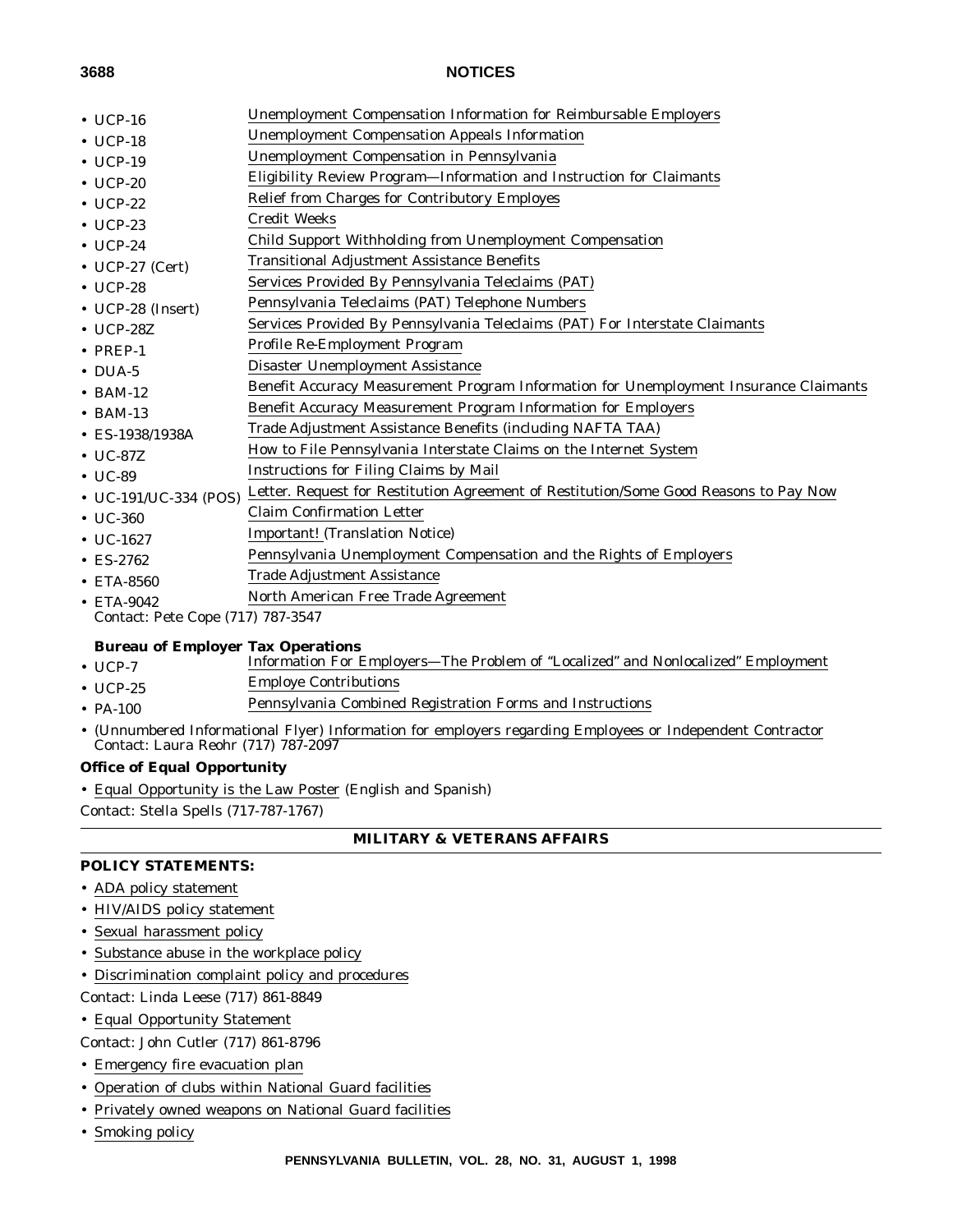- 
- UCP-16 Unemployment Compensation Information for Reimbursable Employers
- UCP-18 Unemployment Compensation Appeals Information
- UCP-19 Unemployment Compensation in Pennsylvania
- UCP-20 Eligibility Review Program—Information and Instruction for Claimants
- UCP-22 Relief from Charges for Contributory Employes
- UCP-23 Credit Weeks
- UCP-24 Child Support Withholding from Unemployment Compensation
- UCP-27 (Cert) Transitional Adjustment Assistance Benefits
- UCP-28 Services Provided By Pennsylvania Teleclaims (PAT)
- UCP-28 (Insert) Pennsylvania Teleclaims (PAT) Telephone Numbers
- UCP-287. Services Provided By Pennsylvania Teleclaims (PAT) For Interstate Claimants
- PREP-1 Profile Re-Employment Program
- DUA-5 Disaster Unemployment Assistance
- BAM-12 Benefit Accuracy Measurement Program Information for Unemployment Insurance Claimants
- BAM-13 Benefit Accuracy Measurement Program Information for Employers
- ES-1938/1938A Trade Adjustment Assistance Benefits (including NAFTA TAA)
- UC-87Z How to File Pennsylvania Interstate Claims on the Internet System
- UC-89 Instructions for Filing Claims by Mail
- UC-191/UC-334 (POS) Letter. Request for Restitution Agreement of Restitution/Some Good Reasons to Pay Now
- UC-360 Claim Confirmation Letter
- UC-1627 **Important!** (Translation Notice)
- ES-2762 Pennsylvania Unemployment Compensation and the Rights of Employers
- ETA-8560 Trade Adjustment Assistance
- ETA-9042 North American Free Trade Agreement
- Contact: Pete Cope (717) 787-3547

## **Bureau of Employer Tax Operations**

- UCP-7 Information For Employers—The Problem of "Localized" and Nonlocalized" Employment
- UCP-25 Employe Contributions
- PA-100 Pennsylvania Combined Registration Forms and Instructions
- (Unnumbered Informational Flyer) Information for employers regarding Employees or Independent Contractor Contact: Laura Reohr (717) 787-2097

## **Office of Equal Opportunity**

• Equal Opportunity is the Law Poster (English and Spanish)

Contact: Stella Spells (717-787-1767)

## **MILITARY & VETERANS AFFAIRS**

## **POLICY STATEMENTS:**

- ADA policy statement
- HIV/AIDS policy statement
- Sexual harassment policy
- Substance abuse in the workplace policy
- Discrimination complaint policy and procedures
- Contact: Linda Leese (717) 861-8849
- Equal Opportunity Statement

Contact: John Cutler (717) 861-8796

- Emergency fire evacuation plan
- Operation of clubs within National Guard facilities
- Privately owned weapons on National Guard facilities
- Smoking policy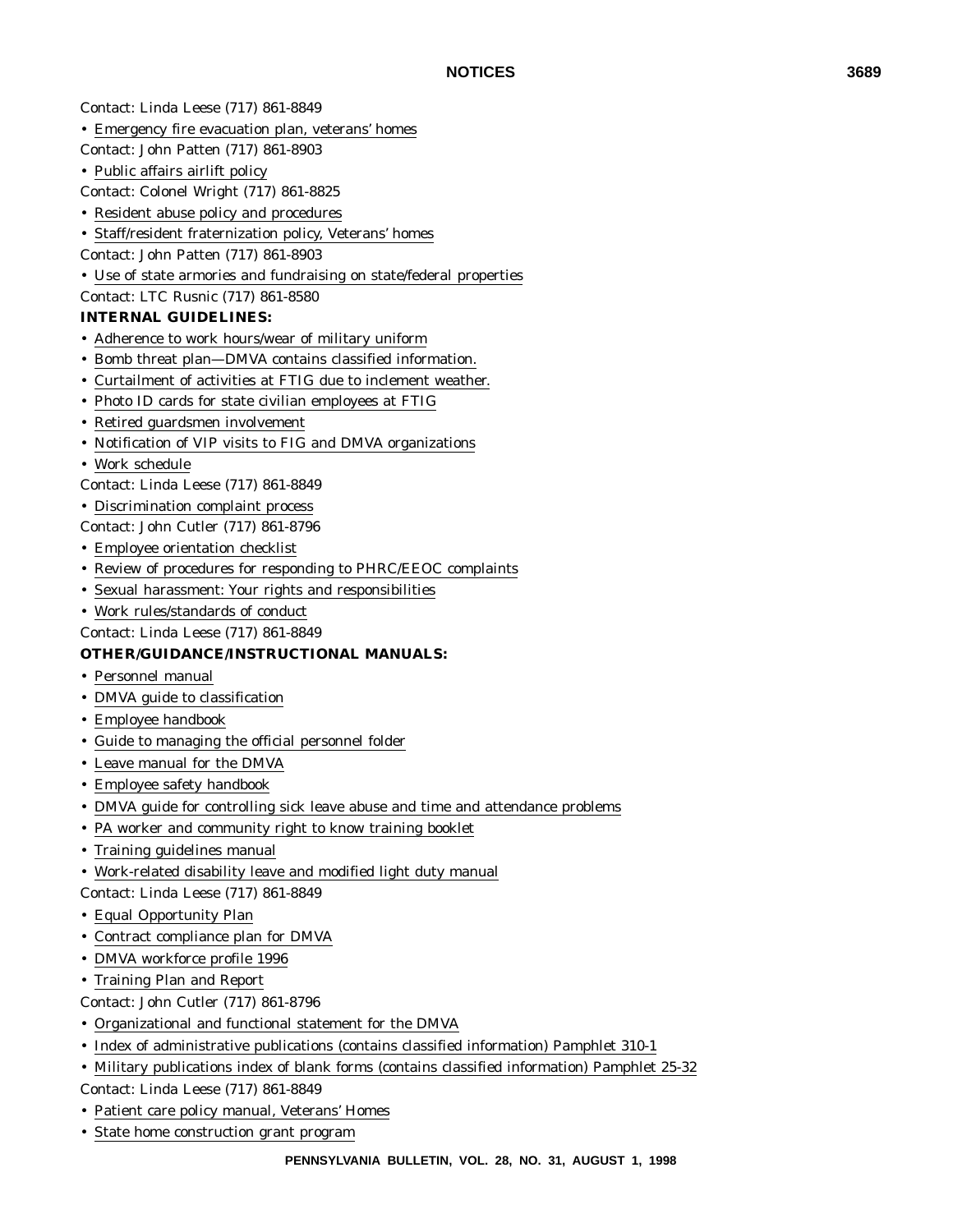Contact: Linda Leese (717) 861-8849

- Emergency fire evacuation plan, veterans' homes
- Contact: John Patten (717) 861-8903
- Public affairs airlift policy

Contact: Colonel Wright (717) 861-8825

- Resident abuse policy and procedures
- Staff/resident fraternization policy, Veterans' homes
- Contact: John Patten (717) 861-8903
- Use of state armories and fundraising on state/federal properties
- Contact: LTC Rusnic (717) 861-8580

## **INTERNAL GUIDELINES:**

- Adherence to work hours/wear of military uniform
- Bomb threat plan—DMVA contains classified information.
- Curtailment of activities at FTIG due to inclement weather.
- Photo ID cards for state civilian employees at FTIG
- Retired guardsmen involvement
- Notification of VIP visits to FIG and DMVA organizations
- Work schedule
- Contact: Linda Leese (717) 861-8849
- Discrimination complaint process
- Contact: John Cutler (717) 861-8796
- Employee orientation checklist
- Review of procedures for responding to PHRC/EEOC complaints
- Sexual harassment: Your rights and responsibilities
- Work rules/standards of conduct
- Contact: Linda Leese (717) 861-8849

## **OTHER/GUIDANCE/INSTRUCTIONAL MANUALS:**

- Personnel manual
- DMVA guide to classification
- Employee handbook
- Guide to managing the official personnel folder
- Leave manual for the DMVA
- Employee safety handbook
- DMVA guide for controlling sick leave abuse and time and attendance problems
- PA worker and community right to know training booklet
- Training guidelines manual
- Work-related disability leave and modified light duty manual
- Contact: Linda Leese (717) 861-8849
- Equal Opportunity Plan
- Contract compliance plan for DMVA
- DMVA workforce profile 1996
- Training Plan and Report
- Contact: John Cutler (717) 861-8796
- Organizational and functional statement for the DMVA
- Index of administrative publications (contains classified information) Pamphlet 310-1
- Military publications index of blank forms (contains classified information) Pamphlet 25-32

Contact: Linda Leese (717) 861-8849

- Patient care policy manual, Veterans' Homes
- State home construction grant program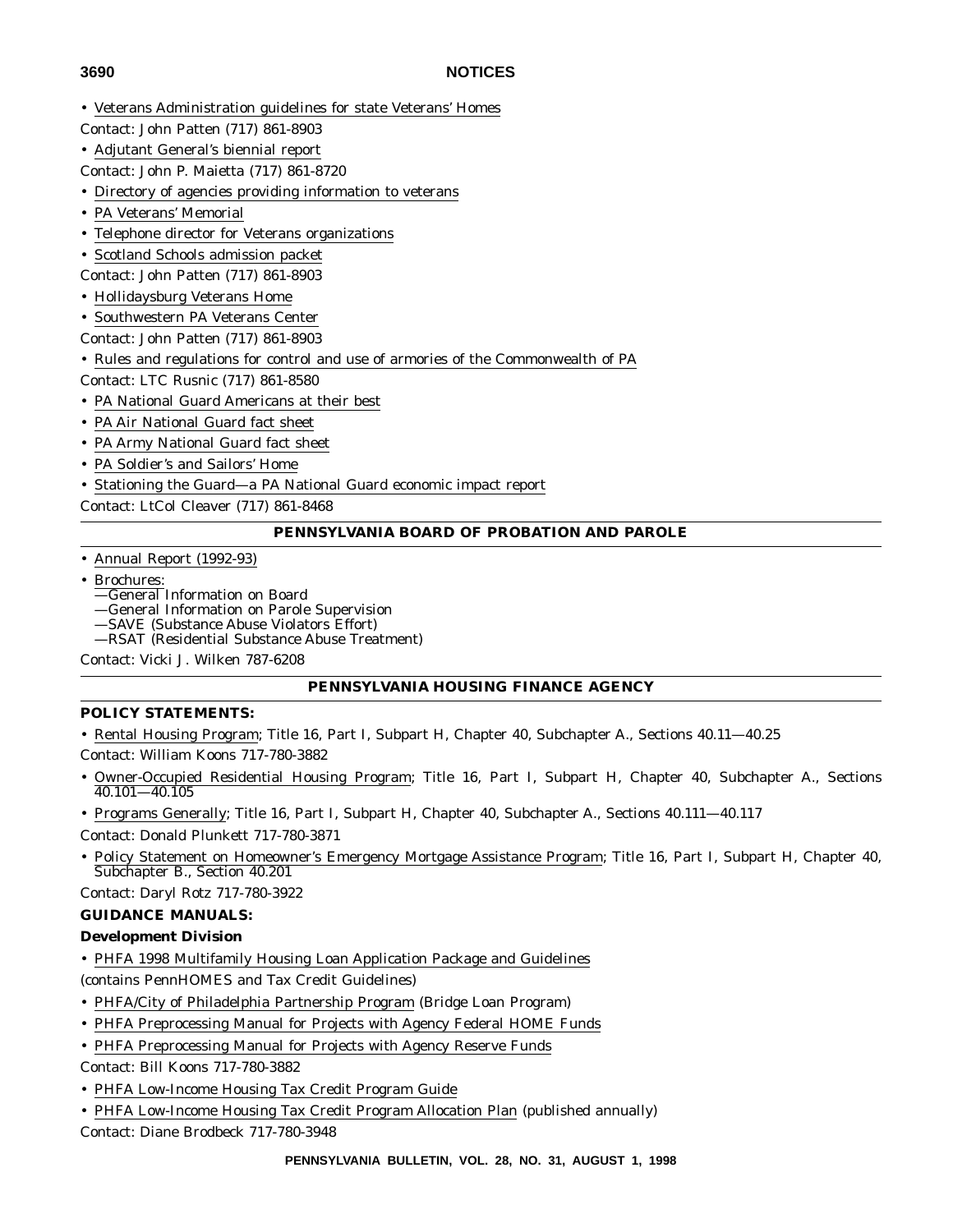- Veterans Administration guidelines for state Veterans' Homes
- Contact: John Patten (717) 861-8903
- Adjutant General's biennial report
- Contact: John P. Maietta (717) 861-8720
- Directory of agencies providing information to veterans
- PA Veterans' Memorial
- Telephone director for Veterans organizations
- Scotland Schools admission packet
- Contact: John Patten (717) 861-8903
- Hollidaysburg Veterans Home
- Southwestern PA Veterans Center
- Contact: John Patten (717) 861-8903
- Rules and regulations for control and use of armories of the Commonwealth of PA
- Contact: LTC Rusnic (717) 861-8580
- PA National Guard Americans at their best
- PA Air National Guard fact sheet
- PA Army National Guard fact sheet
- PA Soldier's and Sailors' Home
- Stationing the Guard—a PA National Guard economic impact report
- Contact: LtCol Cleaver (717) 861-8468

## **PENNSYLVANIA BOARD OF PROBATION AND PAROLE**

- Annual Report (1992-93)
- Brochures:
	- —General Information on Board
	- —General Information on Parole Supervision
	- —SAVE (Substance Abuse Violators Effort)
	- —RSAT (Residential Substance Abuse Treatment)

Contact: Vicki J. Wilken 787-6208

## **PENNSYLVANIA HOUSING FINANCE AGENCY**

## **POLICY STATEMENTS:**

• Rental Housing Program; Title 16, Part I, Subpart H, Chapter 40, Subchapter A., Sections 40.11—40.25

Contact: William Koons 717-780-3882

- Owner-Occupied Residential Housing Program; Title 16, Part I, Subpart H, Chapter 40, Subchapter A., Sections 40.101—40.105
- Programs Generally; Title 16, Part I, Subpart H, Chapter 40, Subchapter A., Sections 40.111—40.117 Contact: Donald Plunkett 717-780-3871
- Policy Statement on Homeowner's Emergency Mortgage Assistance Program; Title 16, Part I, Subpart H, Chapter 40, Subchapter B., Section 40.201

Contact: Daryl Rotz 717-780-3922

## **GUIDANCE MANUALS:**

## **Development Division**

• PHFA 1998 Multifamily Housing Loan Application Package and Guidelines

(contains PennHOMES and Tax Credit Guidelines)

- PHFA/City of Philadelphia Partnership Program (Bridge Loan Program)
- PHFA Preprocessing Manual for Projects with Agency Federal HOME Funds
- PHFA Preprocessing Manual for Projects with Agency Reserve Funds

Contact: Bill Koons 717-780-3882

- PHFA Low-Income Housing Tax Credit Program Guide
- PHFA Low-Income Housing Tax Credit Program Allocation Plan (published annually)

Contact: Diane Brodbeck 717-780-3948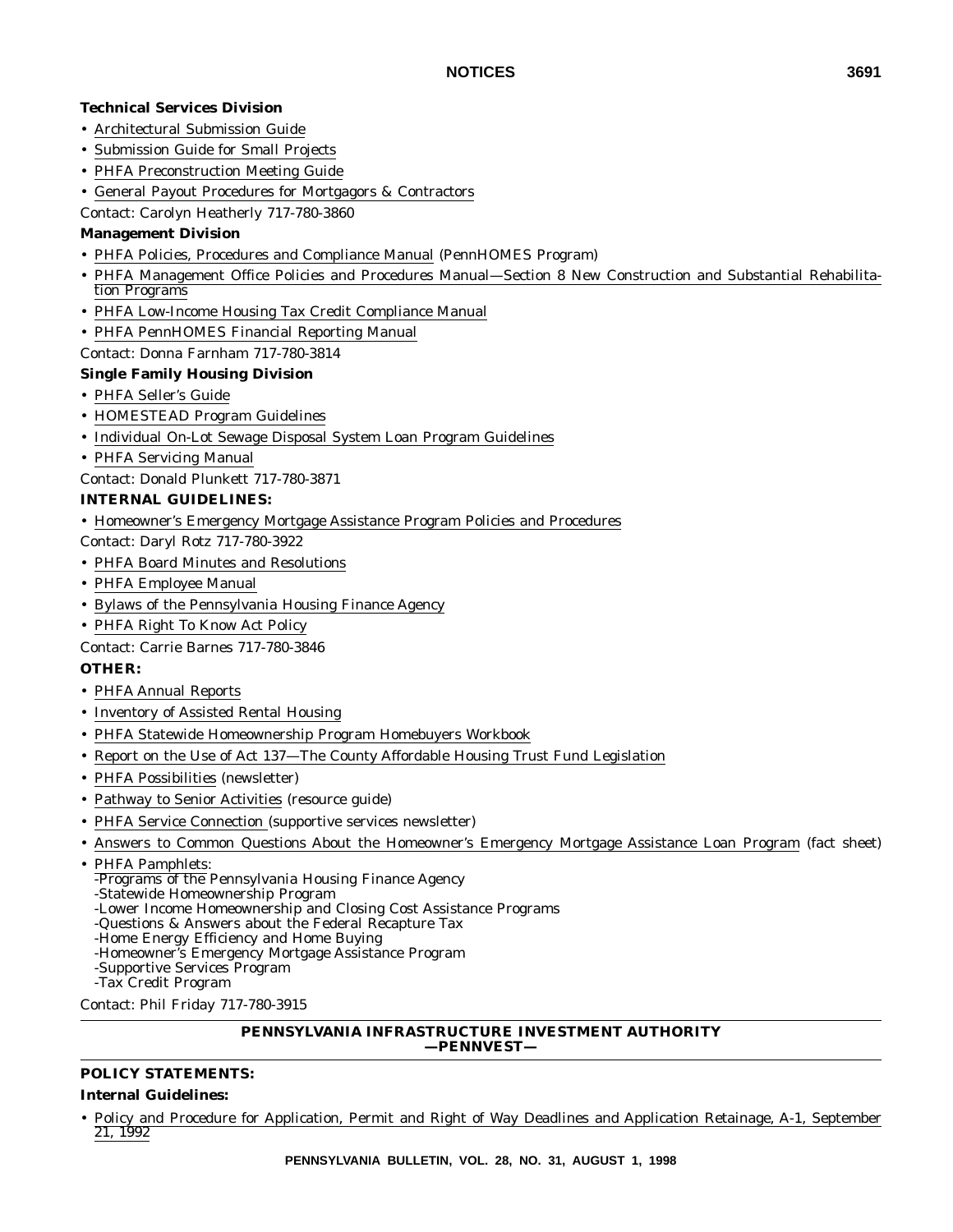## **Technical Services Division**

- Architectural Submission Guide
- Submission Guide for Small Projects
- PHFA Preconstruction Meeting Guide
- General Payout Procedures for Mortgagors & Contractors

Contact: Carolyn Heatherly 717-780-3860

## **Management Division**

- PHFA Policies, Procedures and Compliance Manual (PennHOMES Program)
- PHFA Management Office Policies and Procedures Manual—Section 8 New Construction and Substantial Rehabilitation Programs
- PHFA Low-Income Housing Tax Credit Compliance Manual
- PHFA PennHOMES Financial Reporting Manual
- Contact: Donna Farnham 717-780-3814

## **Single Family Housing Division**

- PHFA Seller's Guide
- HOMESTEAD Program Guidelines
- Individual On-Lot Sewage Disposal System Loan Program Guidelines
- PHFA Servicing Manual
- Contact: Donald Plunkett 717-780-3871

## **INTERNAL GUIDELINES:**

• Homeowner's Emergency Mortgage Assistance Program Policies and Procedures

Contact: Daryl Rotz 717-780-3922

- PHFA Board Minutes and Resolutions
- PHFA Employee Manual
- Bylaws of the Pennsylvania Housing Finance Agency
- PHFA Right To Know Act Policy

Contact: Carrie Barnes 717-780-3846

## **OTHER:**

- PHFA Annual Reports
- Inventory of Assisted Rental Housing
- PHFA Statewide Homeownership Program Homebuyers Workbook
- Report on the Use of Act 137—The County Affordable Housing Trust Fund Legislation
- PHFA Possibilities (newsletter)
- Pathway to Senior Activities (resource guide)
- PHFA Service Connection (supportive services newsletter)
- Answers to Common Questions About the Homeowner's Emergency Mortgage Assistance Loan Program (fact sheet)
- PHFA Pamphlets:
	- -Programs of the Pennsylvania Housing Finance Agency
- -Statewide Homeownership Program
- -Lower Income Homeownership and Closing Cost Assistance Programs
- -Questions & Answers about the Federal Recapture Tax
- -Home Energy Efficiency and Home Buying
- -Homeowner's Emergency Mortgage Assistance Program
- -Supportive Services Program
- -Tax Credit Program

Contact: Phil Friday 717-780-3915

#### **PENNSYLVANIA INFRASTRUCTURE INVESTMENT AUTHORITY —PENNVEST—**

## **POLICY STATEMENTS:**

## **Internal Guidelines:**

• Policy and Procedure for Application, Permit and Right of Way Deadlines and Application Retainage, A-1, September 21, 1992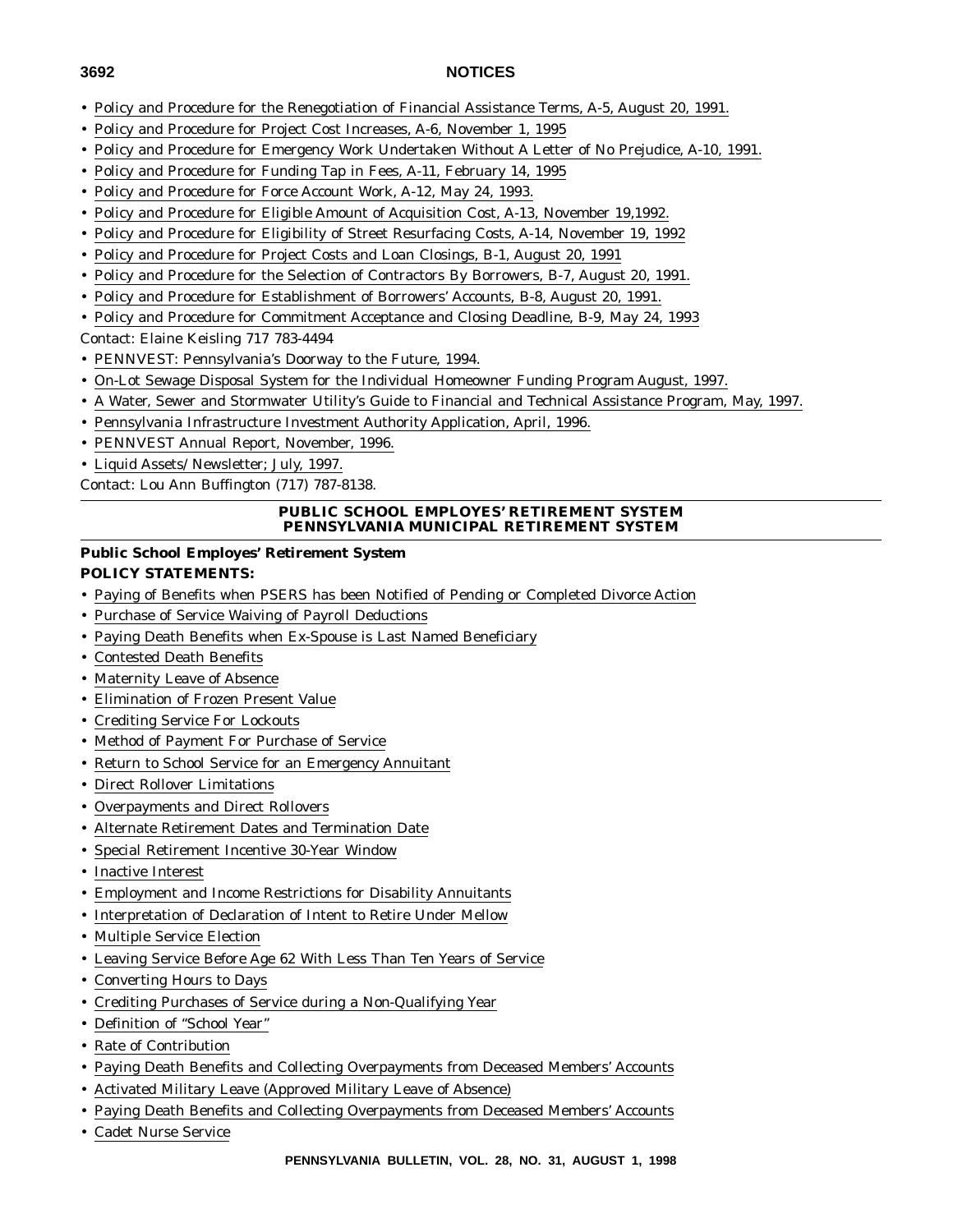- Policy and Procedure for the Renegotiation of Financial Assistance Terms, A-5, August 20, 1991.
- Policy and Procedure for Project Cost Increases, A-6, November 1, 1995
- Policy and Procedure for Emergency Work Undertaken Without A Letter of No Prejudice, A-10, 1991.
- Policy and Procedure for Funding Tap in Fees, A-11, February 14, 1995
- Policy and Procedure for Force Account Work, A-12, May 24, 1993.
- Policy and Procedure for Eligible Amount of Acquisition Cost, A-13, November 19,1992.
- Policy and Procedure for Eligibility of Street Resurfacing Costs, A-14, November 19, 1992
- Policy and Procedure for Project Costs and Loan Closings, B-1, August 20, 1991
- Policy and Procedure for the Selection of Contractors By Borrowers, B-7, August 20, 1991.
- Policy and Procedure for Establishment of Borrowers' Accounts, B-8, August 20, 1991.
- Policy and Procedure for Commitment Acceptance and Closing Deadline, B-9, May 24, 1993

Contact: Elaine Keisling 717 783-4494

- PENNVEST: Pennsylvania's Doorway to the Future, 1994.
- On-Lot Sewage Disposal System for the Individual Homeowner Funding Program August, 1997.
- A Water, Sewer and Stormwater Utility's Guide to Financial and Technical Assistance Program, May, 1997.
- Pennsylvania Infrastructure Investment Authority Application, April, 1996.
- PENNVEST Annual Report, November, 1996.
- Liquid Assets/ Newsletter; July, 1997.

Contact: Lou Ann Buffington (717) 787-8138.

#### **PUBLIC SCHOOL EMPLOYES' RETIREMENT SYSTEM PENNSYLVANIA MUNICIPAL RETIREMENT SYSTEM**

## **Public School Employes' Retirement System POLICY STATEMENTS:**

- Paying of Benefits when PSERS has been Notified of Pending or Completed Divorce Action
- Purchase of Service Waiving of Payroll Deductions
- Paying Death Benefits when Ex-Spouse is Last Named Beneficiary
- Contested Death Benefits
- Maternity Leave of Absence
- Elimination of Frozen Present Value
- Crediting Service For Lockouts
- Method of Payment For Purchase of Service
- Return to School Service for an Emergency Annuitant
- Direct Rollover Limitations
- Overpayments and Direct Rollovers
- Alternate Retirement Dates and Termination Date
- Special Retirement Incentive 30-Year Window
- Inactive Interest
- Employment and Income Restrictions for Disability Annuitants
- Interpretation of Declaration of Intent to Retire Under Mellow
- Multiple Service Election
- Leaving Service Before Age 62 With Less Than Ten Years of Service
- Converting Hours to Days
- Crediting Purchases of Service during a Non-Qualifying Year
- Definition of ''School Year''
- Rate of Contribution
- Paying Death Benefits and Collecting Overpayments from Deceased Members' Accounts
- Activated Military Leave (Approved Military Leave of Absence)
- Paying Death Benefits and Collecting Overpayments from Deceased Members' Accounts
- Cadet Nurse Service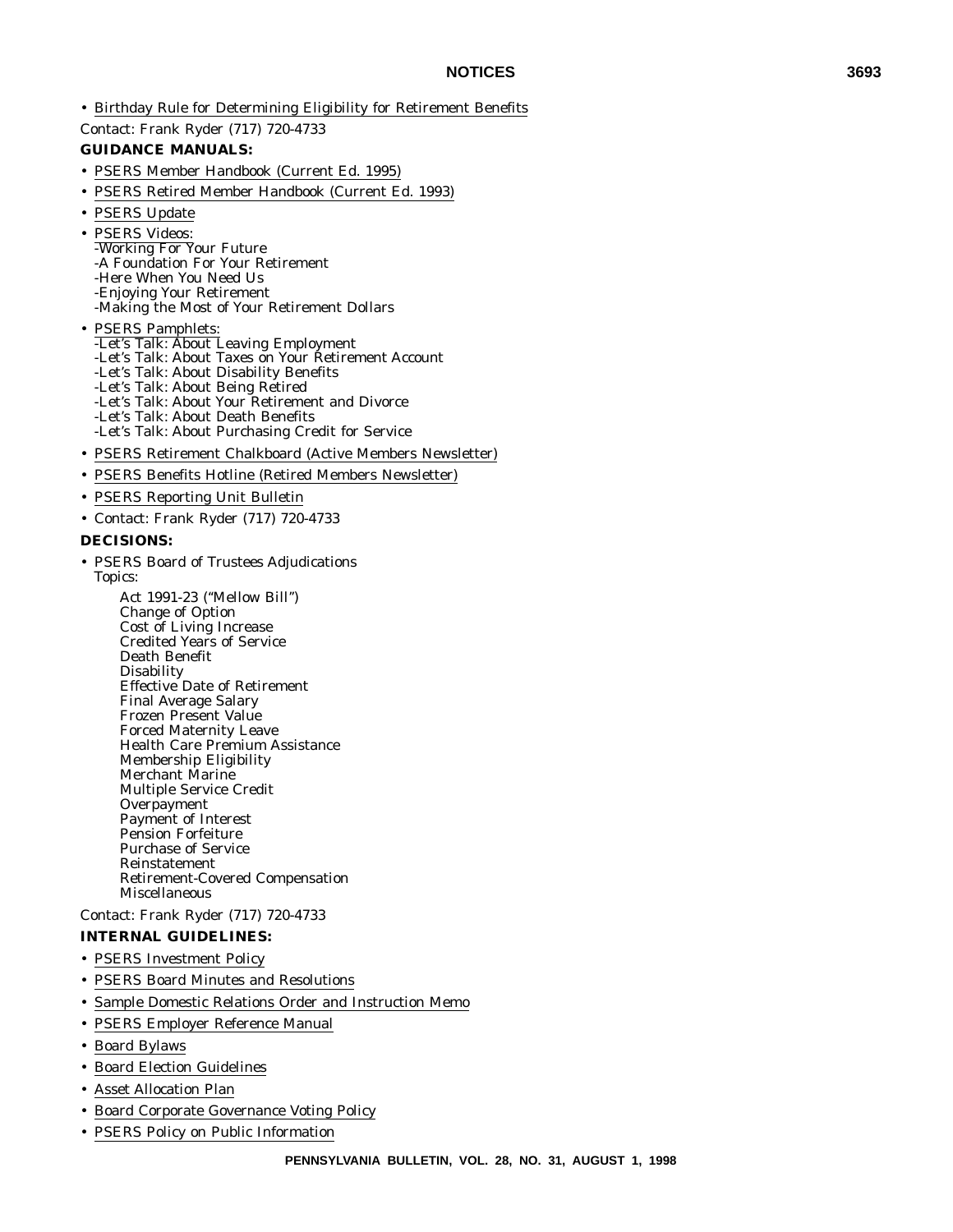• Birthday Rule for Determining Eligibility for Retirement Benefits

Contact: Frank Ryder (717) 720-4733

#### **GUIDANCE MANUALS:**

- PSERS Member Handbook (Current Ed. 1995)
- PSERS Retired Member Handbook (Current Ed. 1993)
- PSERS Update
- PSERS Videos: -Working For Your Future -A Foundation For Your Retirement -Here When You Need Us -Enjoying Your Retirement -Making the Most of Your Retirement Dollars
- PSERS Pamphlets: -Let's Talk: About Leaving Employment -Let's Talk: About Taxes on Your Retirement Account -Let's Talk: About Disability Benefits -Let's Talk: About Being Retired -Let's Talk: About Your Retirement and Divorce -Let's Talk: About Death Benefits -Let's Talk: About Purchasing Credit for Service
- PSERS Retirement Chalkboard (Active Members Newsletter)
- PSERS Benefits Hotline (Retired Members Newsletter)
- PSERS Reporting Unit Bulletin
- Contact: Frank Ryder (717) 720-4733

#### **DECISIONS:**

- PSERS Board of Trustees Adjudications Topics:
	- Act 1991-23 (''Mellow Bill'') Change of Option Cost of Living Increase Credited Years of Service Death Benefit Disability Effective Date of Retirement Final Average Salary Frozen Present Value Forced Maternity Leave Health Care Premium Assistance Membership Eligibility Merchant Marine Multiple Service Credit **Overpayment** Payment of Interest Pension Forfeiture Purchase of Service Reinstatement Retirement-Covered Compensation Miscellaneous

Contact: Frank Ryder (717) 720-4733

#### **INTERNAL GUIDELINES:**

- PSERS Investment Policy
- PSERS Board Minutes and Resolutions
- Sample Domestic Relations Order and Instruction Memo
- PSERS Employer Reference Manual
- Board Bylaws
- Board Election Guidelines
- Asset Allocation Plan
- Board Corporate Governance Voting Policy
- PSERS Policy on Public Information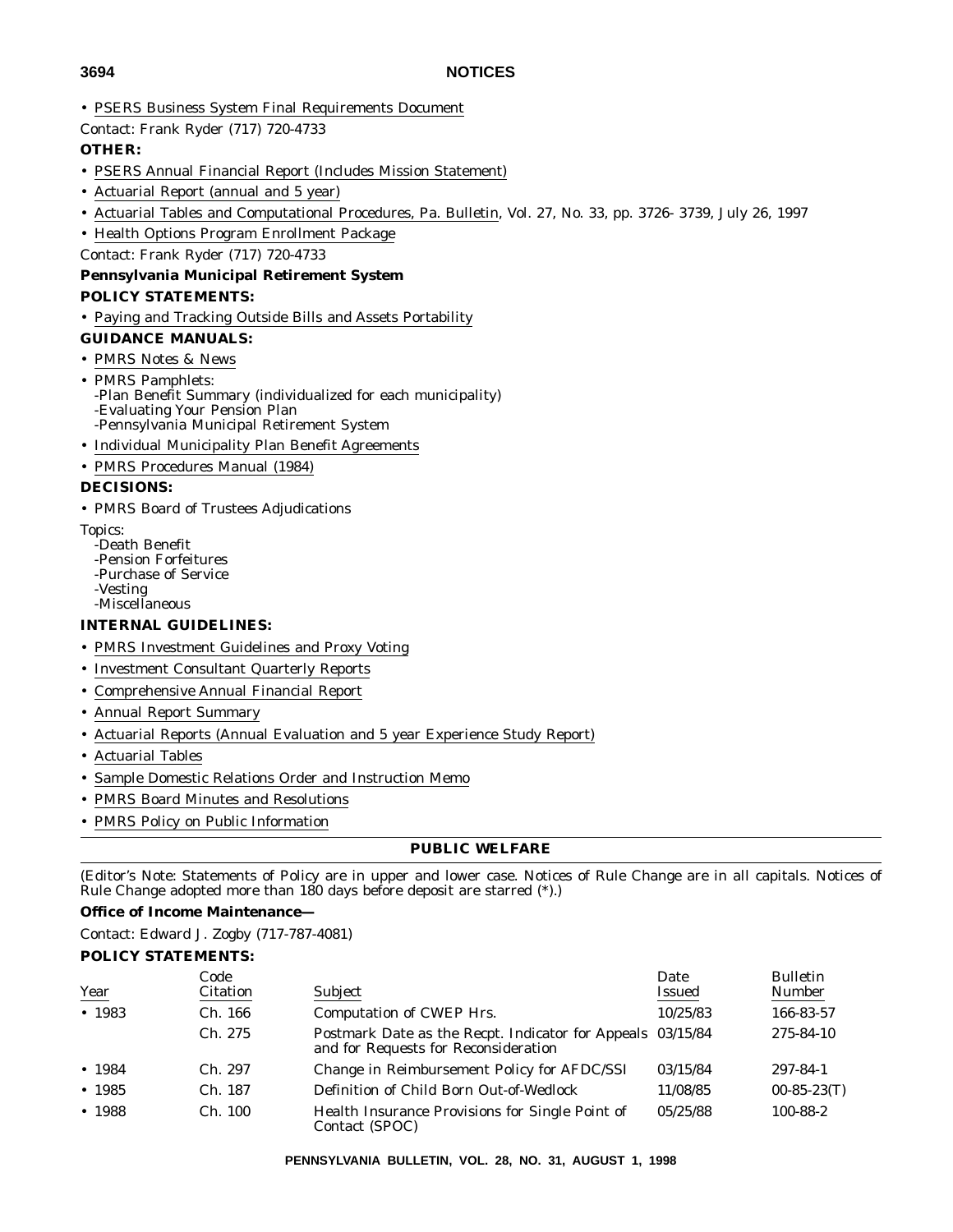• PSERS Business System Final Requirements Document

Contact: Frank Ryder (717) 720-4733

## **OTHER:**

- PSERS Annual Financial Report (Includes Mission Statement)
- Actuarial Report (annual and 5 year)
- Actuarial Tables and Computational Procedures, Pa. Bulletin, Vol. 27, No. 33, pp. 3726- 3739, July 26, 1997
- Health Options Program Enrollment Package
- Contact: Frank Ryder (717) 720-4733

## **Pennsylvania Municipal Retirement System POLICY STATEMENTS:**

• Paying and Tracking Outside Bills and Assets Portability

## **GUIDANCE MANUALS:**

- PMRS Notes & News
- PMRS Pamphlets: -Plan Benefit Summary (individualized for each municipality) -Evaluating Your Pension Plan -Pennsylvania Municipal Retirement System
- Individual Municipality Plan Benefit Agreements
- PMRS Procedures Manual (1984)

## **DECISIONS:**

- PMRS Board of Trustees Adjudications
- Topics:
	- -Death Benefit -Pension Forfeitures
	- -Purchase of Service
	- -Vesting
	- -Miscellaneous

## **INTERNAL GUIDELINES:**

- PMRS Investment Guidelines and Proxy Voting
- Investment Consultant Quarterly Reports
- Comprehensive Annual Financial Report
- Annual Report Summary
- Actuarial Reports (Annual Evaluation and 5 year Experience Study Report)
- Actuarial Tables
- Sample Domestic Relations Order and Instruction Memo
- PMRS Board Minutes and Resolutions
- PMRS Policy on Public Information

#### **PUBLIC WELFARE**

(Editor's Note: Statements of Policy are in upper and lower case. Notices of Rule Change are in all capitals. Notices of Rule Change adopted more than  $180$  days before deposit are starred  $(*)$ .)

## **Office of Income Maintenance—**

Contact: Edward J. Zogby (717-787-4081)

## **POLICY STATEMENTS:**

|             | Code     |                                                                                                    | Date          | <b>Bulletin</b> |
|-------------|----------|----------------------------------------------------------------------------------------------------|---------------|-----------------|
| <u>Year</u> | Citation | Subject                                                                                            | <b>Issued</b> | Number          |
| • 1983      | Ch. 166  | Computation of CWEP Hrs.                                                                           | 10/25/83      | 166-83-57       |
|             | Ch. 275  | Postmark Date as the Recpt. Indicator for Appeals 03/15/84<br>and for Requests for Reconsideration |               | 275-84-10       |
| • 1984      | Ch. 297  | Change in Reimbursement Policy for AFDC/SSI                                                        | 03/15/84      | 297-84-1        |
| • 1985      | Ch. 187  | Definition of Child Born Out-of-Wedlock                                                            | 11/08/85      | $00-85-23(T)$   |
| • 1988      | Ch. 100  | Health Insurance Provisions for Single Point of<br>Contact (SPOC)                                  | 05/25/88      | 100-88-2        |

**PENNSYLVANIA BULLETIN, VOL. 28, NO. 31, AUGUST 1, 1998**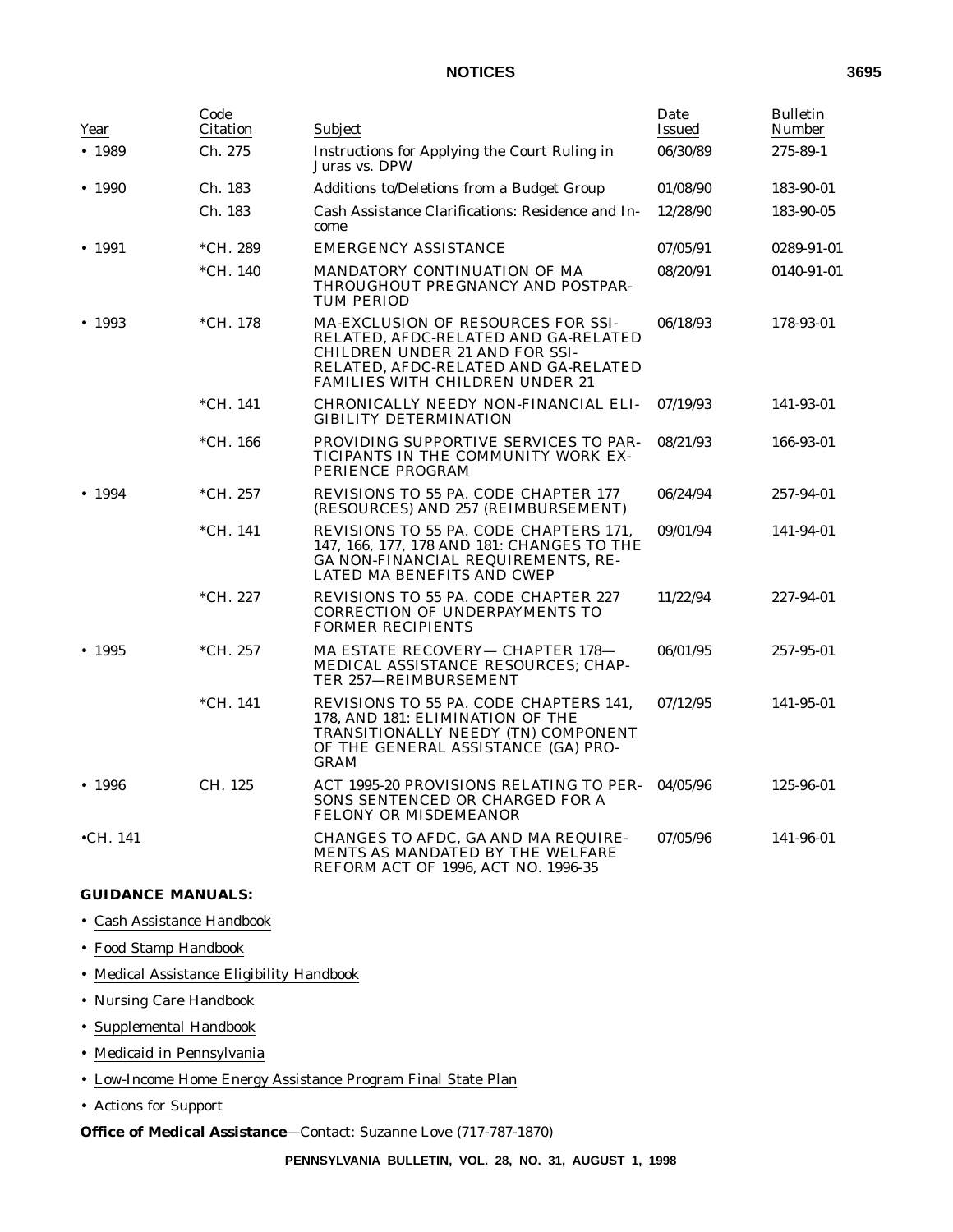| Year              | Code<br>Citation | Subject                                                                                                                                                                                        | Date<br><b>Issued</b> | <b>Bulletin</b><br><b>Number</b> |
|-------------------|------------------|------------------------------------------------------------------------------------------------------------------------------------------------------------------------------------------------|-----------------------|----------------------------------|
| • 1989            | Ch. 275          | Instructions for Applying the Court Ruling in<br>Juras vs. DPW                                                                                                                                 | 06/30/89              | 275-89-1                         |
| • 1990            | Ch. 183          | Additions to/Deletions from a Budget Group                                                                                                                                                     | 01/08/90              | 183-90-01                        |
|                   | Ch. 183          | Cash Assistance Clarifications: Residence and In-<br>come                                                                                                                                      | 12/28/90              | 183-90-05                        |
| • 1991            | *CH. 289         | <b>EMERGENCY ASSISTANCE</b>                                                                                                                                                                    | 07/05/91              | 0289-91-01                       |
|                   | $*CH. 140$       | MANDATORY CONTINUATION OF MA<br>THROUGHOUT PREGNANCY AND POSTPAR-<br><b>TUM PERIOD</b>                                                                                                         | 08/20/91              | 0140-91-01                       |
| • 1993            | *CH. 178         | MA-EXCLUSION OF RESOURCES FOR SSI-<br>RELATED. AFDC-RELATED AND GA-RELATED<br><b>CHILDREN UNDER 21 AND FOR SSI-</b><br>RELATED, AFDC-RELATED AND GA-RELATED<br>FAMILIES WITH CHILDREN UNDER 21 | 06/18/93              | 178-93-01                        |
|                   | $*CH. 141$       | CHRONICALLY NEEDY NON-FINANCIAL ELI-<br><b>GIBILITY DETERMINATION</b>                                                                                                                          | 07/19/93              | 141-93-01                        |
|                   | $*CH. 166$       | PROVIDING SUPPORTIVE SERVICES TO PAR-<br>TICIPANTS IN THE COMMUNITY WORK EX-<br>PERIENCE PROGRAM                                                                                               | 08/21/93              | 166-93-01                        |
| • 1994            | $*CH. 257$       | REVISIONS TO 55 PA. CODE CHAPTER 177<br>(RESOURCES) AND 257 (REIMBURSEMENT)                                                                                                                    | 06/24/94              | 257-94-01                        |
|                   | $*CH. 141$       | REVISIONS TO 55 PA. CODE CHAPTERS 171,<br>147, 166, 177, 178 AND 181: CHANGES TO THE<br>GA NON-FINANCIAL REQUIREMENTS, RE-<br><b>LATED MA BENEFITS AND CWEP</b>                                | 09/01/94              | 141-94-01                        |
|                   | $*CH. 227$       | REVISIONS TO 55 PA. CODE CHAPTER 227<br><b>CORRECTION OF UNDERPAYMENTS TO</b><br><b>FORMER RECIPIENTS</b>                                                                                      | 11/22/94              | 227-94-01                        |
| • 1995            | $*CH. 257$       | MA ESTATE RECOVERY- CHAPTER 178-<br>MEDICAL ASSISTANCE RESOURCES; CHAP-<br>TER 257-REIMBURSEMENT                                                                                               | 06/01/95              | 257-95-01                        |
|                   | $*CH. 141$       | REVISIONS TO 55 PA. CODE CHAPTERS 141,<br>178, AND 181: ELIMINATION OF THE<br>TRANSITIONALLY NEEDY (TN) COMPONENT<br>OF THE GENERAL ASSISTANCE (GA) PRO-<br><b>GRAM</b>                        | 07/12/95              | 141-95-01                        |
| • 1996            | CH. 125          | ACT 1995-20 PROVISIONS RELATING TO PER-<br>SONS SENTENCED OR CHARGED FOR A<br>FELONY OR MISDEMEANOR                                                                                            | 04/05/96              | 125-96-01                        |
| $\bullet$ CH. 141 |                  | CHANGES TO AFDC, GA AND MA REQUIRE-<br>MENTS AS MANDATED BY THE WELFARE<br>REFORM ACT OF 1996, ACT NO. 1996-35                                                                                 | 07/05/96              | 141-96-01                        |

#### **GUIDANCE MANUALS:**

- Cash Assistance Handbook
- Food Stamp Handbook
- Medical Assistance Eligibility Handbook
- Nursing Care Handbook
- Supplemental Handbook
- Medicaid in Pennsylvania
- Low-Income Home Energy Assistance Program Final State Plan
- Actions for Support

**Office of Medical Assistance**—Contact: Suzanne Love (717-787-1870)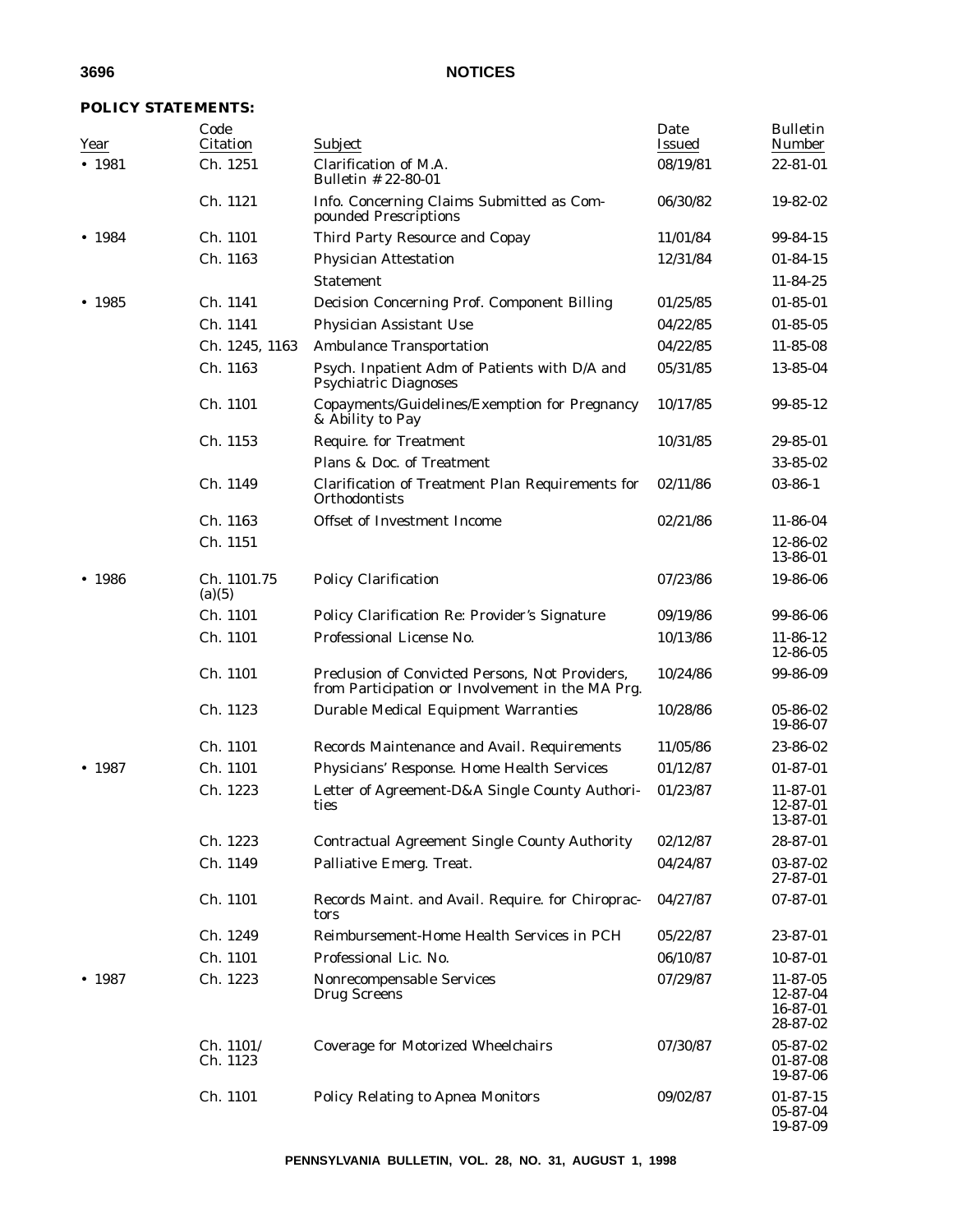## **POLICY STATEMENTS:**

| Year   | Code<br>Citation      | Subject                                                                                             | Date<br><b>Issued</b> | <b>Bulletin</b><br>Number                    |
|--------|-----------------------|-----------------------------------------------------------------------------------------------------|-----------------------|----------------------------------------------|
| • 1981 | Ch. 1251              | Clarification of M.A.<br>Bulletin # 22-80-01                                                        | 08/19/81              | 22-81-01                                     |
|        | Ch. 1121              | Info. Concerning Claims Submitted as Com-<br>pounded Prescriptions                                  | 06/30/82              | 19-82-02                                     |
| • 1984 | Ch. 1101              | Third Party Resource and Copay                                                                      | 11/01/84              | 99-84-15                                     |
|        | Ch. 1163              | <b>Physician Attestation</b>                                                                        | 12/31/84              | $01 - 84 - 15$                               |
|        |                       | <b>Statement</b>                                                                                    |                       | 11-84-25                                     |
| • 1985 | Ch. 1141              | Decision Concerning Prof. Component Billing                                                         | 01/25/85              | $01 - 85 - 01$                               |
|        | Ch. 1141              | Physician Assistant Use                                                                             | 04/22/85              | $01 - 85 - 05$                               |
|        | Ch. 1245, 1163        | <b>Ambulance Transportation</b>                                                                     | 04/22/85              | 11-85-08                                     |
|        | Ch. 1163              | Psych. Inpatient Adm of Patients with D/A and<br><b>Psychiatric Diagnoses</b>                       | 05/31/85              | 13-85-04                                     |
|        | Ch. 1101              | Copayments/Guidelines/Exemption for Pregnancy<br>& Ability to Pay                                   | 10/17/85              | 99-85-12                                     |
|        | Ch. 1153              | <b>Require. for Treatment</b>                                                                       | 10/31/85              | 29-85-01                                     |
|        |                       | Plans & Doc. of Treatment                                                                           |                       | 33-85-02                                     |
|        | Ch. 1149              | Clarification of Treatment Plan Requirements for<br>Orthodontists                                   | 02/11/86              | $03 - 86 - 1$                                |
|        | Ch. 1163              | Offset of Investment Income                                                                         | 02/21/86              | 11-86-04                                     |
|        | Ch. 1151              |                                                                                                     |                       | 12-86-02<br>13-86-01                         |
| • 1986 | Ch. 1101.75<br>(a)(5) | <b>Policy Clarification</b>                                                                         | 07/23/86              | 19-86-06                                     |
|        | Ch. 1101              | Policy Clarification Re: Provider's Signature                                                       | 09/19/86              | 99-86-06                                     |
|        | Ch. 1101              | Professional License No.                                                                            | 10/13/86              | $11 - 86 - 12$<br>12-86-05                   |
|        | Ch. 1101              | Preclusion of Convicted Persons, Not Providers,<br>from Participation or Involvement in the MA Prg. | 10/24/86              | 99-86-09                                     |
|        | Ch. 1123              | <b>Durable Medical Equipment Warranties</b>                                                         | 10/28/86              | 05-86-02<br>19-86-07                         |
|        | Ch. 1101              | Records Maintenance and Avail. Requirements                                                         | 11/05/86              | 23-86-02                                     |
| • 1987 | Ch. 1101              | Physicians' Response. Home Health Services                                                          | 01/12/87              | $01 - 87 - 01$                               |
|        | Ch. 1223              | Letter of Agreement-D&A Single County Authori-<br>ties                                              | 01/23/87              | $11-87-01$<br>12-87-01<br>13-87-01           |
|        | Ch. 1223              | <b>Contractual Agreement Single County Authority</b>                                                | 02/12/87              | 28-87-01                                     |
|        | Ch. 1149              | Palliative Emerg. Treat.                                                                            | 04/24/87              | 03-87-02<br>27-87-01                         |
|        | Ch. 1101              | Records Maint. and Avail. Require. for Chiroprac-<br>tors                                           | 04/27/87              | 07-87-01                                     |
|        | Ch. 1249              | Reimbursement-Home Health Services in PCH                                                           | 05/22/87              | 23-87-01                                     |
|        | Ch. 1101              | Professional Lic. No.                                                                               | 06/10/87              | 10-87-01                                     |
| • 1987 | Ch. 1223              | Nonrecompensable Services<br><b>Drug Screens</b>                                                    | 07/29/87              | 11-87-05<br>12-87-04<br>16-87-01<br>28-87-02 |
|        | Ch. 1101/<br>Ch. 1123 | <b>Coverage for Motorized Wheelchairs</b>                                                           | 07/30/87              | 05-87-02<br>$01 - 87 - 08$<br>19-87-06       |
|        | Ch. 1101              | <b>Policy Relating to Apnea Monitors</b>                                                            | 09/02/87              | $01 - 87 - 15$<br>05-87-04<br>19-87-09       |

**PENNSYLVANIA BULLETIN, VOL. 28, NO. 31, AUGUST 1, 1998**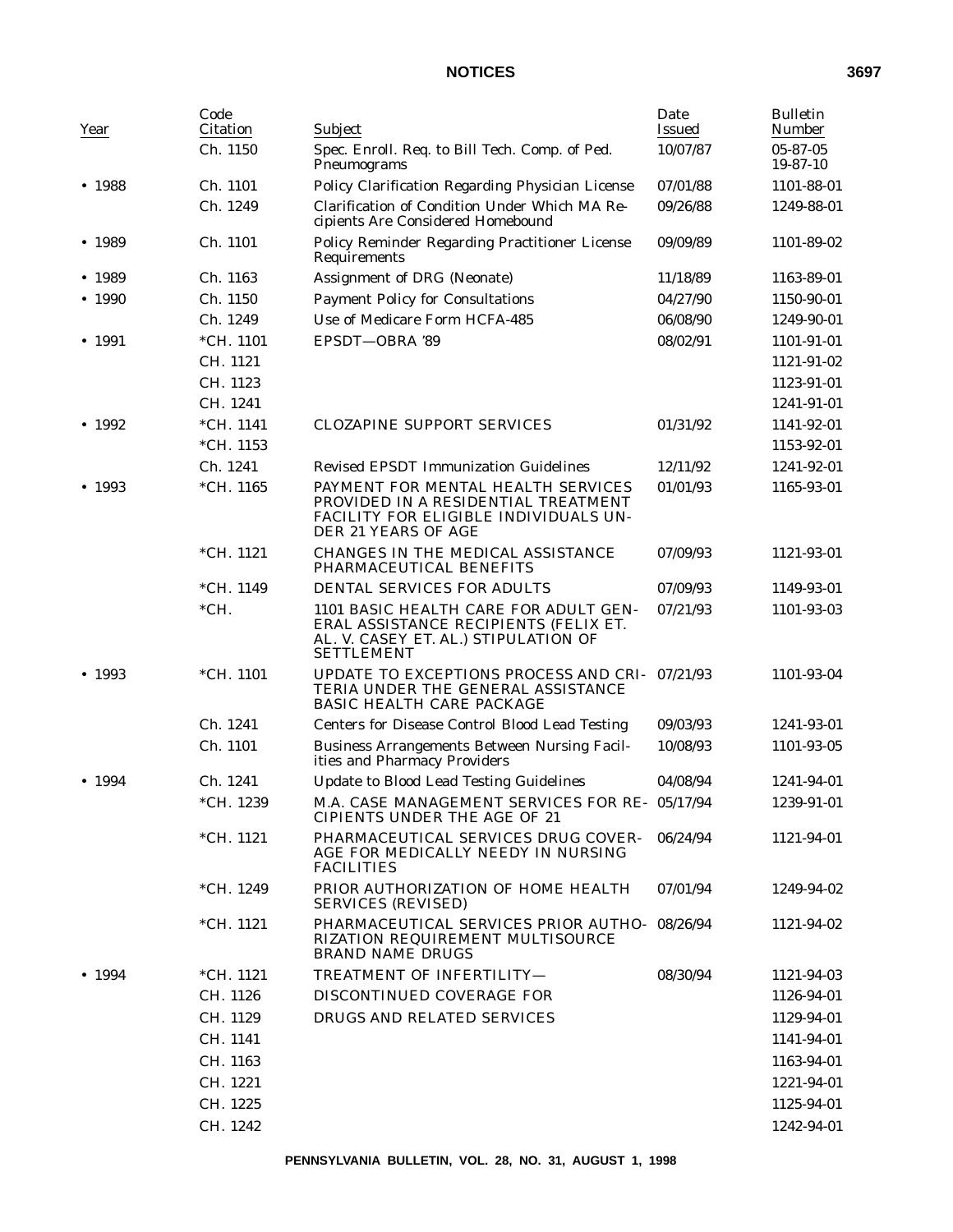| Year           | Code<br>Citation | Subject                                                                                                                                     | Date<br><b>Issued</b> | <b>Bulletin</b><br>Number |
|----------------|------------------|---------------------------------------------------------------------------------------------------------------------------------------------|-----------------------|---------------------------|
|                | Ch. 1150         | Spec. Enroll. Req. to Bill Tech. Comp. of Ped.<br>Pneumograms                                                                               | 10/07/87              | 05-87-05<br>19-87-10      |
| • 1988         | Ch. 1101         | Policy Clarification Regarding Physician License                                                                                            | 07/01/88              | 1101-88-01                |
|                | Ch. 1249         | Clarification of Condition Under Which MA Re-<br>cipients Are Considered Homebound                                                          | 09/26/88              | 1249-88-01                |
| • 1989         | Ch. 1101         | Policy Reminder Regarding Practitioner License<br>Requirements                                                                              | 09/09/89              | 1101-89-02                |
| • 1989         | Ch. 1163         | Assignment of DRG (Neonate)                                                                                                                 | 11/18/89              | 1163-89-01                |
| $\bullet$ 1990 | Ch. 1150         | <b>Payment Policy for Consultations</b>                                                                                                     | 04/27/90              | 1150-90-01                |
|                | Ch. 1249         | Use of Medicare Form HCFA-485                                                                                                               | 06/08/90              | 1249-90-01                |
| • 1991         | $*CH. 1101$      | EPSDT-OBRA '89                                                                                                                              | 08/02/91              | 1101-91-01                |
|                | CH. 1121         |                                                                                                                                             |                       | 1121-91-02                |
|                | CH. 1123         |                                                                                                                                             |                       | 1123-91-01                |
|                | CH. 1241         |                                                                                                                                             |                       | 1241-91-01                |
| • 1992         | *CH. 1141        | <b>CLOZAPINE SUPPORT SERVICES</b>                                                                                                           | 01/31/92              | 1141-92-01                |
|                | $*CH. 1153$      |                                                                                                                                             |                       | 1153-92-01                |
|                | Ch. 1241         | <b>Revised EPSDT Immunization Guidelines</b>                                                                                                | 12/11/92              | 1241-92-01                |
| • 1993         | *CH. 1165        | PAYMENT FOR MENTAL HEALTH SERVICES<br>PROVIDED IN A RESIDENTIAL TREATMENT<br>FACILITY FOR ELIGIBLE INDIVIDUALS UN-<br>DER 21 YEARS OF AGE   | 01/01/93              | 1165-93-01                |
|                | *CH. 1121        | CHANGES IN THE MEDICAL ASSISTANCE<br>PHARMACEUTICAL BENEFITS                                                                                | 07/09/93              | 1121-93-01                |
|                | *CH. 1149        | DENTAL SERVICES FOR ADULTS                                                                                                                  | 07/09/93              | 1149-93-01                |
|                | $*CH.$           | 1101 BASIC HEALTH CARE FOR ADULT GEN-<br>ERAL ASSISTANCE RECIPIENTS (FELIX ET.<br>AL. V. CASEY ET. AL.) STIPULATION OF<br><b>SETTLEMENT</b> | 07/21/93              | 1101-93-03                |
| $\bullet$ 1993 | *CH. 1101        | UPDATE TO EXCEPTIONS PROCESS AND CRI-<br>TERIA UNDER THE GENERAL ASSISTANCE<br><b>BASIC HEALTH CARE PACKAGE</b>                             | 07/21/93              | 1101-93-04                |
|                | Ch. 1241         | <b>Centers for Disease Control Blood Lead Testing</b>                                                                                       | 09/03/93              | 1241-93-01                |
|                | Ch. 1101         | <b>Business Arrangements Between Nursing Facil-</b><br>ities and Pharmacy Providers                                                         | 10/08/93              | 1101-93-05                |
| • 1994         | Ch. 1241         | <b>Update to Blood Lead Testing Guidelines</b>                                                                                              | 04/08/94              | 1241-94-01                |
|                | *CH. 1239        | M.A. CASE MANAGEMENT SERVICES FOR RE- 05/17/94<br><b>CIPIENTS UNDER THE AGE OF 21</b>                                                       |                       | 1239-91-01                |
|                | $*CH. 1121$      | PHARMACEUTICAL SERVICES DRUG COVER-<br>AGE FOR MEDICALLY NEEDY IN NURSING<br><b>FACILITIES</b>                                              | 06/24/94              | 1121-94-01                |
|                | *CH. 1249        | PRIOR AUTHORIZATION OF HOME HEALTH<br><b>SERVICES (REVISED)</b>                                                                             | 07/01/94              | 1249-94-02                |
|                | $*CH. 1121$      | PHARMACEUTICAL SERVICES PRIOR AUTHO- 08/26/94<br>RIZATION REQUIREMENT MULTISOURCE<br><b>BRAND NAME DRUGS</b>                                |                       | 1121-94-02                |
| • 1994         | $*CH. 1121$      | TREATMENT OF INFERTILITY-                                                                                                                   | 08/30/94              | 1121-94-03                |
|                | CH. 1126         | DISCONTINUED COVERAGE FOR                                                                                                                   |                       | 1126-94-01                |
|                | CH. 1129         | DRUGS AND RELATED SERVICES                                                                                                                  |                       | 1129-94-01                |
|                | CH. 1141         |                                                                                                                                             |                       | 1141-94-01                |
|                | CH. 1163         |                                                                                                                                             |                       | 1163-94-01                |
|                | CH. 1221         |                                                                                                                                             |                       | 1221-94-01                |
|                | CH. 1225         |                                                                                                                                             |                       | 1125-94-01                |
|                | CH. 1242         |                                                                                                                                             |                       | 1242-94-01                |
|                |                  |                                                                                                                                             |                       |                           |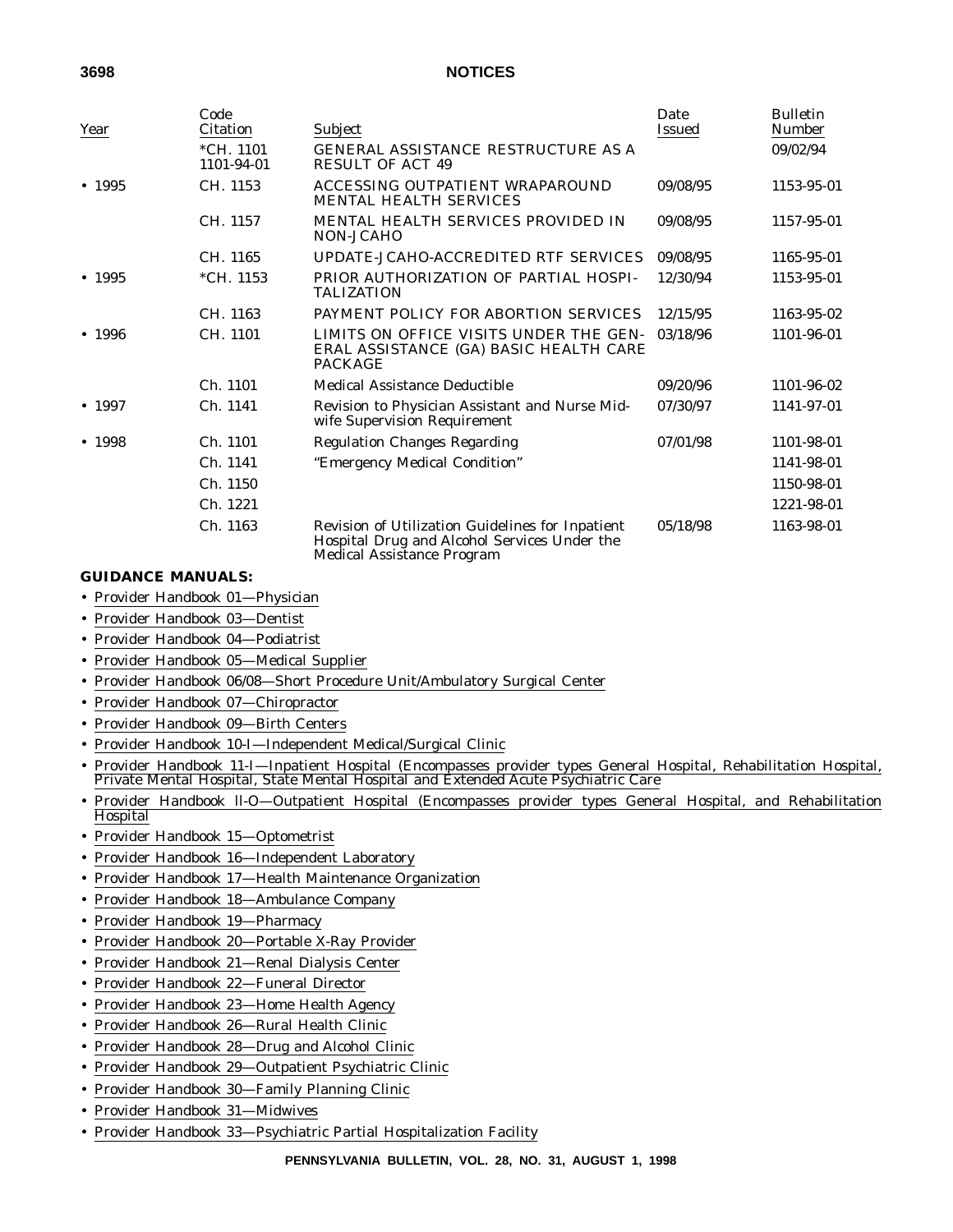| Year   | Code<br>Citation          | Subject                                                                                                                               | Date<br><b>Issued</b> | <b>Bulletin</b><br><b>Number</b> |
|--------|---------------------------|---------------------------------------------------------------------------------------------------------------------------------------|-----------------------|----------------------------------|
|        | $*CH. 1101$<br>1101-94-01 | <b>GENERAL ASSISTANCE RESTRUCTURE AS A</b><br><b>RESULT OF ACT 49</b>                                                                 |                       | 09/02/94                         |
| • 1995 | CH. 1153                  | ACCESSING OUTPATIENT WRAPAROUND<br><b>MENTAL HEALTH SERVICES</b>                                                                      | 09/08/95              | 1153-95-01                       |
|        | CH. 1157                  | <b>MENTAL HEALTH SERVICES PROVIDED IN</b><br>NON-JCAHO                                                                                | 09/08/95              | 1157-95-01                       |
|        | CH. 1165                  | UPDATE-JCAHO-ACCREDITED RTF SERVICES                                                                                                  | 09/08/95              | 1165-95-01                       |
| • 1995 | *CH. 1153                 | PRIOR AUTHORIZATION OF PARTIAL HOSPI-<br><b>TALIZATION</b>                                                                            | 12/30/94              | 1153-95-01                       |
|        | CH. 1163                  | PAYMENT POLICY FOR ABORTION SERVICES                                                                                                  | 12/15/95              | 1163-95-02                       |
| • 1996 | CH. 1101                  | LIMITS ON OFFICE VISITS UNDER THE GEN-<br>ERAL ASSISTANCE (GA) BASIC HEALTH CARE<br><b>PACKAGE</b>                                    | 03/18/96              | 1101-96-01                       |
|        | Ch. 1101                  | Medical Assistance Deductible                                                                                                         | 09/20/96              | 1101-96-02                       |
| • 1997 | Ch. 1141                  | Revision to Physician Assistant and Nurse Mid-<br>wife Supervision Requirement                                                        | 07/30/97              | 1141-97-01                       |
| • 1998 | Ch. 1101                  | <b>Regulation Changes Regarding</b>                                                                                                   | 07/01/98              | 1101-98-01                       |
|        | Ch. 1141                  | "Emergency Medical Condition"                                                                                                         |                       | 1141-98-01                       |
|        | Ch. 1150                  |                                                                                                                                       |                       | 1150-98-01                       |
|        | Ch. 1221                  |                                                                                                                                       |                       | 1221-98-01                       |
|        | Ch. 1163                  | Revision of Utilization Guidelines for Inpatient<br>Hospital Drug and Alcohol Services Under the<br><b>Medical Assistance Program</b> | 05/18/98              | 1163-98-01                       |

## **GUIDANCE MANUALS:**

- Provider Handbook 01—Physician
- Provider Handbook 03—Dentist
- Provider Handbook 04—Podiatrist
- Provider Handbook 05—Medical Supplier
- Provider Handbook 06/08—Short Procedure Unit/Ambulatory Surgical Center
- Provider Handbook 07—Chiropractor
- Provider Handbook 09—Birth Centers
- Provider Handbook 10-I—Independent Medical/Surgical Clinic
- Provider Handbook 11-I—Inpatient Hospital (Encompasses provider types General Hospital, Rehabilitation Hospital, Private Mental Hospital, State Mental Hospital and Extended Acute Psychiatric Care
- Provider Handbook ll-O—Outpatient Hospital (Encompasses provider types General Hospital, and Rehabilitation Hospital
- Provider Handbook 15—Optometrist
- Provider Handbook 16—Independent Laboratory
- Provider Handbook 17—Health Maintenance Organization
- Provider Handbook 18—Ambulance Company
- Provider Handbook 19—Pharmacy
- Provider Handbook 20—Portable X-Ray Provider
- Provider Handbook 21—Renal Dialysis Center
- Provider Handbook 22—Funeral Director
- Provider Handbook 23—Home Health Agency
- Provider Handbook 26—Rural Health Clinic
- Provider Handbook 28—Drug and Alcohol Clinic
- Provider Handbook 29—Outpatient Psychiatric Clinic
- Provider Handbook 30—Family Planning Clinic
- Provider Handbook 31—Midwives
- Provider Handbook 33—Psychiatric Partial Hospitalization Facility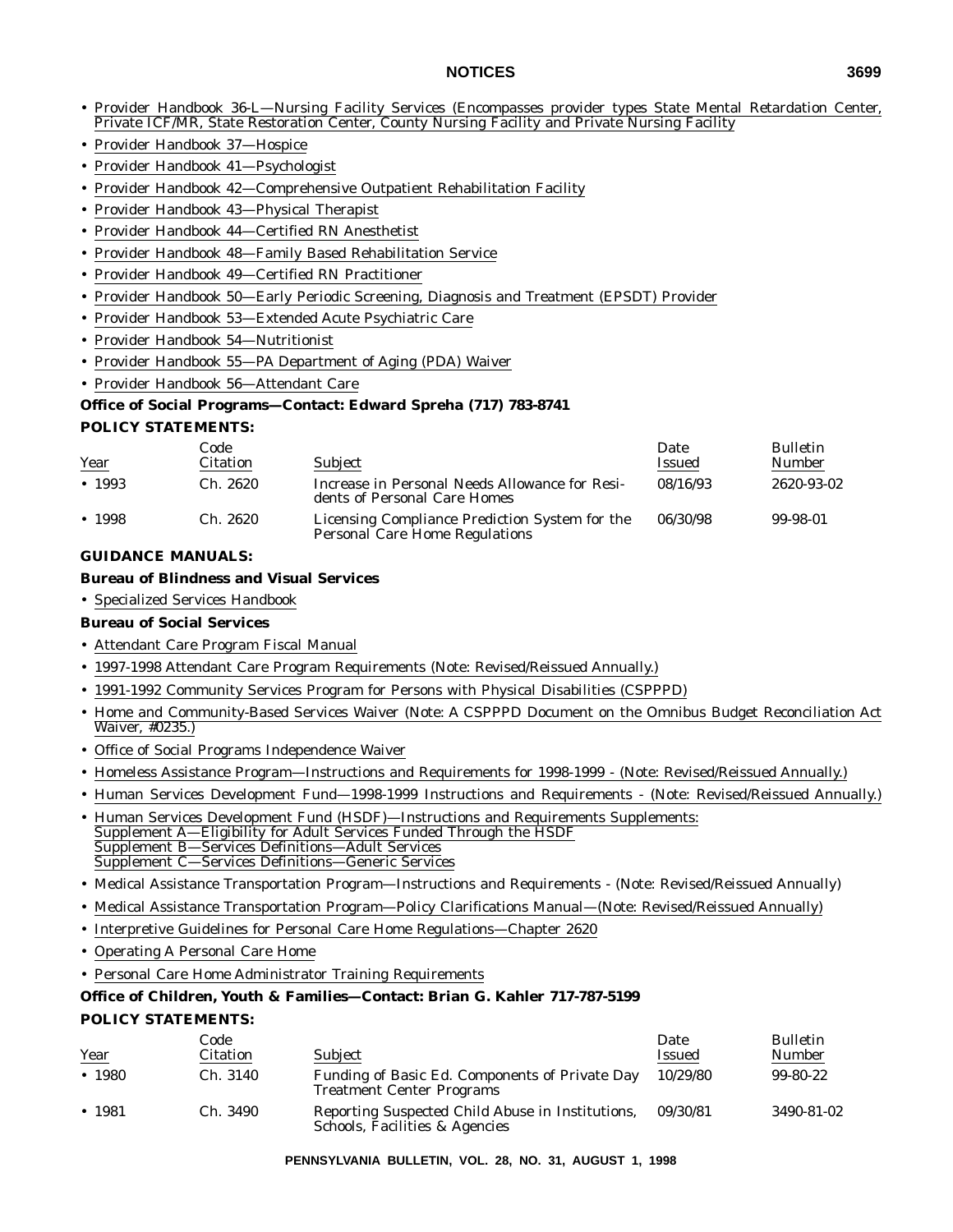- Provider Handbook 36-L—Nursing Facility Services (Encompasses provider types State Mental Retardation Center, Private ICF/MR, State Restoration Center, County Nursing Facility and Private Nursing Facility
- Provider Handbook 37—Hospice
- Provider Handbook 41—Psychologist
- Provider Handbook 42—Comprehensive Outpatient Rehabilitation Facility
- Provider Handbook 43—Physical Therapist
- Provider Handbook 44—Certified RN Anesthetist
- Provider Handbook 48—Family Based Rehabilitation Service
- Provider Handbook 49—Certified RN Practitioner
- Provider Handbook 50—Early Periodic Screening, Diagnosis and Treatment (EPSDT) Provider
- Provider Handbook 53—Extended Acute Psychiatric Care
- Provider Handbook 54—Nutritionist
- Provider Handbook 55—PA Department of Aging (PDA) Waiver
- Provider Handbook 56—Attendant Care

## **Office of Social Programs—Contact: Edward Spreha (717) 783-8741**

## **POLICY STATEMENTS:**

|        | Code            |                                                                                         | Date     | <b>Bulletin</b> |
|--------|-----------------|-----------------------------------------------------------------------------------------|----------|-----------------|
| Year   | <b>Citation</b> | <b>Subject</b>                                                                          | Issued   | <b>Number</b>   |
| • 1993 | Ch. 2620        | Increase in Personal Needs Allowance for Resi-<br>dents of Personal Care Homes          | 08/16/93 | 2620-93-02      |
| • 1998 | Ch. 2620        | Licensing Compliance Prediction System for the<br><b>Personal Care Home Regulations</b> | 06/30/98 | 99-98-01        |

## **GUIDANCE MANUALS:**

#### **Bureau of Blindness and Visual Services**

• Specialized Services Handbook

## **Bureau of Social Services**

- Attendant Care Program Fiscal Manual
- 1997-1998 Attendant Care Program Requirements (Note: Revised/Reissued Annually.)
- 1991-1992 Community Services Program for Persons with Physical Disabilities (CSPPPD)
- Home and Community-Based Services Waiver (Note: A CSPPPD Document on the Omnibus Budget Reconciliation Act Waiver, #0235.)
- Office of Social Programs Independence Waiver
- Homeless Assistance Program—Instructions and Requirements for 1998-1999 (Note: Revised/Reissued Annually.)
- Human Services Development Fund—1998-1999 Instructions and Requirements (Note: Revised/Reissued Annually.)
- Human Services Development Fund (HSDF)—Instructions and Requirements Supplements: Supplement A—Eligibility for Adult Services Funded Through the HSDF Supplement B—Services Definitions—Adult Services Supplement C—Services Definitions—Generic Services
- Medical Assistance Transportation Program—Instructions and Requirements (Note: Revised/Reissued Annually)
- Medical Assistance Transportation Program—Policy Clarifications Manual—(Note: Revised/Reissued Annually)
- Interpretive Guidelines for Personal Care Home Regulations—Chapter 2620
- Operating A Personal Care Home
- Personal Care Home Administrator Training Requirements

#### **Office of Children, Youth & Families—Contact: Brian G. Kahler 717-787-5199**

#### **POLICY STATEMENTS:**

| Year   | Code<br>Citation | <b>Subject</b>                                                                     | Date<br>Issued | <b>Bulletin</b><br><b>Number</b> |
|--------|------------------|------------------------------------------------------------------------------------|----------------|----------------------------------|
| • 1980 | Ch. 3140         | Funding of Basic Ed. Components of Private Day<br><b>Treatment Center Programs</b> | 10/29/80       | 99-80-22                         |
| • 1981 | Ch. 3490         | Reporting Suspected Child Abuse in Institutions,<br>Schools, Facilities & Agencies | 09/30/81       | 3490-81-02                       |

**PENNSYLVANIA BULLETIN, VOL. 28, NO. 31, AUGUST 1, 1998**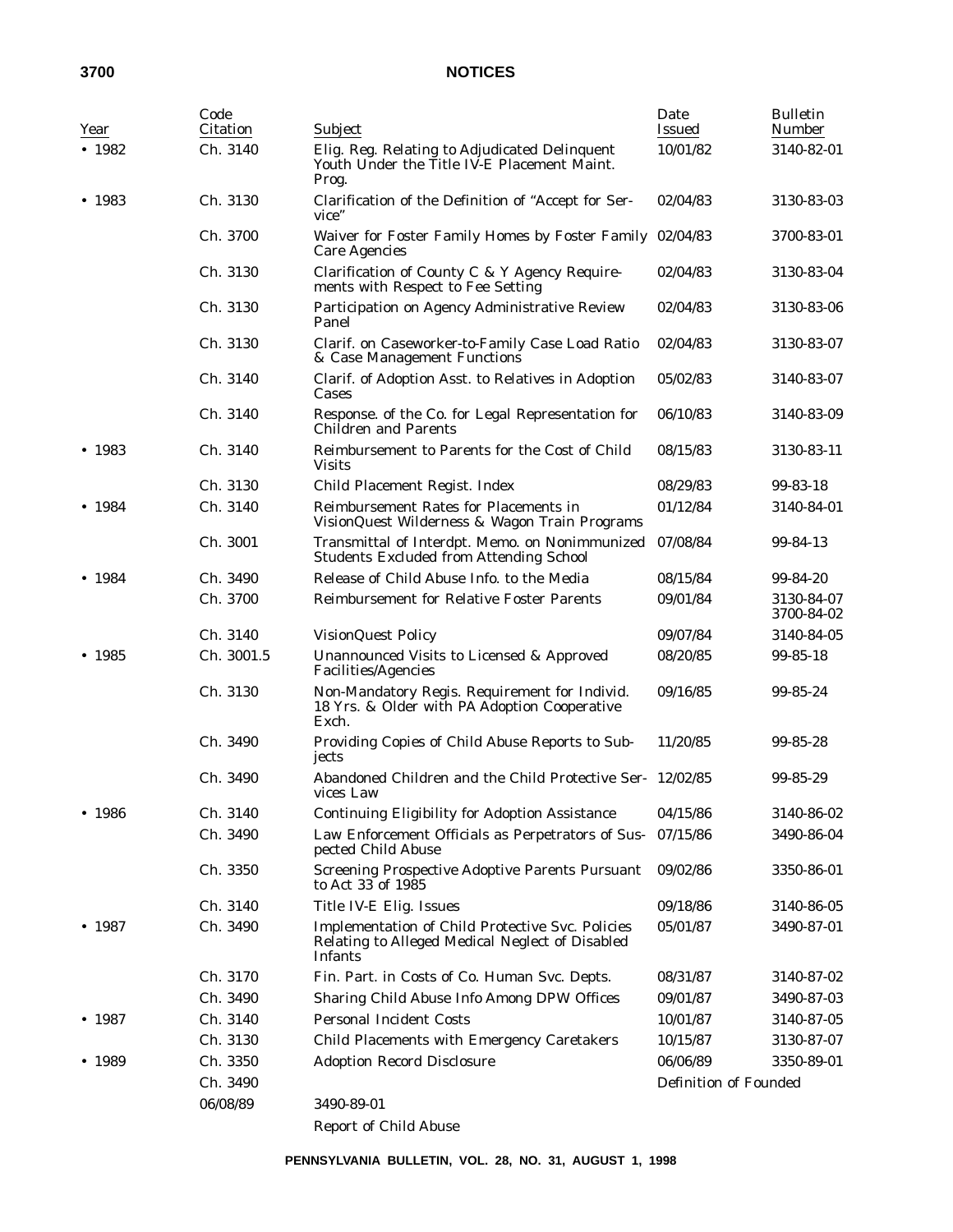| Year   | Code<br>Citation | Subject                                                                                                               | Date<br><b>Issued</b> | <b>Bulletin</b><br>Number |
|--------|------------------|-----------------------------------------------------------------------------------------------------------------------|-----------------------|---------------------------|
| • 1982 | Ch. 3140         | Elig. Reg. Relating to Adjudicated Delinquent<br>Youth Under the Title IV-E Placement Maint.<br>Prog.                 | 10/01/82              | 3140-82-01                |
| • 1983 | Ch. 3130         | Clarification of the Definition of "Accept for Ser-<br>vice"                                                          | 02/04/83              | 3130-83-03                |
|        | Ch. 3700         | Waiver for Foster Family Homes by Foster Family 02/04/83<br><b>Care Agencies</b>                                      |                       | 3700-83-01                |
|        | Ch. 3130         | Clarification of County C & Y Agency Require-<br>ments with Respect to Fee Setting                                    | 02/04/83              | 3130-83-04                |
|        | Ch. 3130         | Participation on Agency Administrative Review<br>Panel                                                                | 02/04/83              | 3130-83-06                |
|        | Ch. 3130         | Clarif. on Caseworker-to-Family Case Load Ratio<br>& Case Management Functions                                        | 02/04/83              | 3130-83-07                |
|        | Ch. 3140         | Clarif. of Adoption Asst. to Relatives in Adoption<br>Cases                                                           | 05/02/83              | 3140-83-07                |
|        | Ch. 3140         | Response. of the Co. for Legal Representation for<br><b>Children and Parents</b>                                      | 06/10/83              | 3140-83-09                |
| • 1983 | Ch. 3140         | Reimbursement to Parents for the Cost of Child<br><b>Visits</b>                                                       | 08/15/83              | 3130-83-11                |
|        | Ch. 3130         | Child Placement Regist. Index                                                                                         | 08/29/83              | 99-83-18                  |
| • 1984 | Ch. 3140         | <b>Reimbursement Rates for Placements in</b><br>VisionQuest Wilderness & Wagon Train Programs                         | 01/12/84              | 3140-84-01                |
|        | Ch. 3001         | Transmittal of Interdpt. Memo. on Nonimmunized<br><b>Students Excluded from Attending School</b>                      | 07/08/84              | 99-84-13                  |
| • 1984 | Ch. 3490         | Release of Child Abuse Info. to the Media                                                                             | 08/15/84              | 99-84-20                  |
|        | Ch. 3700         | <b>Reimbursement for Relative Foster Parents</b>                                                                      | 09/01/84              | 3130-84-07<br>3700-84-02  |
|        | Ch. 3140         | <b>VisionQuest Policy</b>                                                                                             | 09/07/84              | 3140-84-05                |
| • 1985 | Ch. 3001.5       | Unannounced Visits to Licensed & Approved<br>Facilities/Agencies                                                      | 08/20/85              | 99-85-18                  |
|        | Ch. 3130         | Non-Mandatory Regis. Requirement for Individ.<br>18 Yrs. & Older with PA Adoption Cooperative<br>Exch.                | 09/16/85              | 99-85-24                  |
|        | Ch. 3490         | Providing Copies of Child Abuse Reports to Sub-<br>jects                                                              | 11/20/85              | 99-85-28                  |
|        | Ch. 3490         | Abandoned Children and the Child Protective Ser- 12/02/85<br>vices Law                                                |                       | 99-85-29                  |
| • 1986 | Ch. 3140         | <b>Continuing Eligibility for Adoption Assistance</b>                                                                 | 04/15/86              | 3140-86-02                |
|        | Ch. 3490         | Law Enforcement Officials as Perpetrators of Sus-<br>pected Child Abuse                                               | 07/15/86              | 3490-86-04                |
|        | Ch. 3350         | <b>Screening Prospective Adoptive Parents Pursuant</b><br>to Act 33 of 1985                                           | 09/02/86              | 3350-86-01                |
|        | Ch. 3140         | Title IV-E Elig. Issues                                                                                               | 09/18/86              | 3140-86-05                |
| • 1987 | Ch. 3490         | Implementation of Child Protective Svc. Policies<br>Relating to Alleged Medical Neglect of Disabled<br><b>Infants</b> | 05/01/87              | 3490-87-01                |
|        | Ch. 3170         | Fin. Part. in Costs of Co. Human Svc. Depts.                                                                          | 08/31/87              | 3140-87-02                |
|        | Ch. 3490         | Sharing Child Abuse Info Among DPW Offices                                                                            | 09/01/87              | 3490-87-03                |
| • 1987 | Ch. 3140         | <b>Personal Incident Costs</b>                                                                                        | 10/01/87              | 3140-87-05                |
|        | Ch. 3130         | Child Placements with Emergency Caretakers                                                                            | 10/15/87              | 3130-87-07                |
| • 1989 | Ch. 3350         | <b>Adoption Record Disclosure</b>                                                                                     | 06/06/89              | 3350-89-01                |
|        | Ch. 3490         |                                                                                                                       | Definition of Founded |                           |
|        | 06/08/89         | 3490-89-01                                                                                                            |                       |                           |
|        |                  |                                                                                                                       |                       |                           |

Report of Child Abuse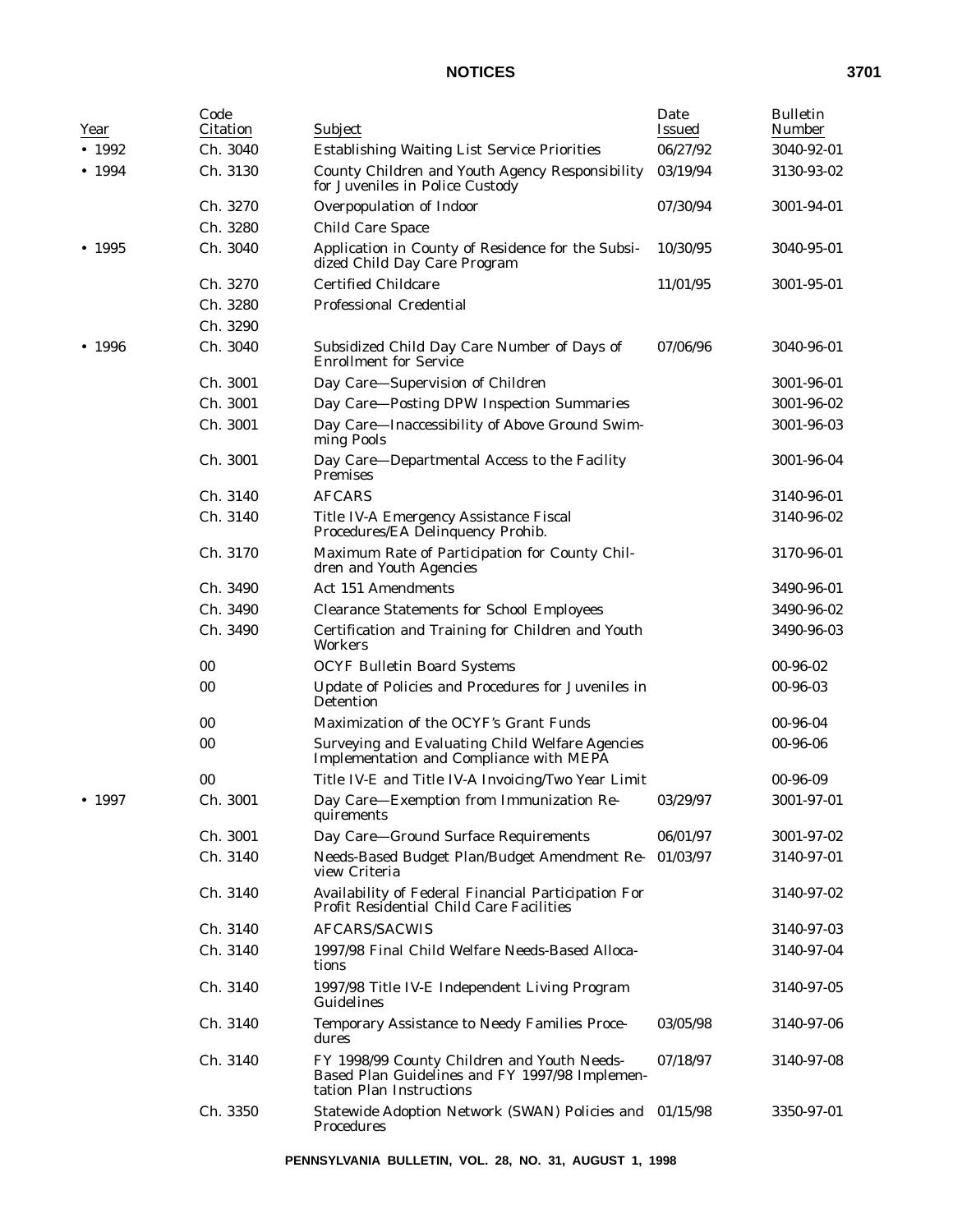| Year           | Code<br>Citation | Subject                                                                                                                   | Date<br><b>Issued</b> | <b>Bulletin</b><br><b>Number</b> |
|----------------|------------------|---------------------------------------------------------------------------------------------------------------------------|-----------------------|----------------------------------|
| $\bullet$ 1992 | Ch. 3040         | Establishing Waiting List Service Priorities                                                                              | 06/27/92              | 3040-92-01                       |
| • 1994         | Ch. 3130         | County Children and Youth Agency Responsibility<br>for Juveniles in Police Custody                                        | 03/19/94              | 3130-93-02                       |
|                | Ch. 3270         | Overpopulation of Indoor                                                                                                  | 07/30/94              | 3001-94-01                       |
|                | Ch. 3280         | <b>Child Care Space</b>                                                                                                   |                       |                                  |
| • 1995         | Ch. 3040         | Application in County of Residence for the Subsi-<br>dized Child Day Care Program                                         | 10/30/95              | 3040-95-01                       |
|                | Ch. 3270         | <b>Certified Childcare</b>                                                                                                | 11/01/95              | 3001-95-01                       |
|                | Ch. 3280         | <b>Professional Credential</b>                                                                                            |                       |                                  |
|                | Ch. 3290         |                                                                                                                           |                       |                                  |
| • 1996         | Ch. 3040         | Subsidized Child Day Care Number of Days of<br><b>Enrollment for Service</b>                                              | 07/06/96              | 3040-96-01                       |
|                | Ch. 3001         | Day Care—Supervision of Children                                                                                          |                       | 3001-96-01                       |
|                | Ch. 3001         | Day Care-Posting DPW Inspection Summaries                                                                                 |                       | 3001-96-02                       |
|                | Ch. 3001         | Day Care-Inaccessibility of Above Ground Swim-<br>ming Pools                                                              |                       | 3001-96-03                       |
|                | Ch. 3001         | Day Care-Departmental Access to the Facility<br><b>Premises</b>                                                           |                       | 3001-96-04                       |
|                | Ch. 3140         | <b>AFCARS</b>                                                                                                             |                       | 3140-96-01                       |
|                | Ch. 3140         | Title IV-A Emergency Assistance Fiscal<br>Procedures/EA Delinquency Prohib.                                               |                       | 3140-96-02                       |
|                | Ch. 3170         | Maximum Rate of Participation for County Chil-<br>dren and Youth Agencies                                                 |                       | 3170-96-01                       |
|                | Ch. 3490         | <b>Act 151 Amendments</b>                                                                                                 |                       | 3490-96-01                       |
|                | Ch. 3490         | <b>Clearance Statements for School Employees</b>                                                                          |                       | 3490-96-02                       |
|                | Ch. 3490         | Certification and Training for Children and Youth<br><b>Workers</b>                                                       |                       | 3490-96-03                       |
|                | 00               | <b>OCYF Bulletin Board Systems</b>                                                                                        |                       | 00-96-02                         |
|                | 00               | Update of Policies and Procedures for Juveniles in<br>Detention                                                           |                       | 00-96-03                         |
|                | 00               | Maximization of the OCYF's Grant Funds                                                                                    |                       | 00-96-04                         |
|                | 00               | Surveying and Evaluating Child Welfare Agencies<br>Implementation and Compliance with MEPA                                |                       | 00-96-06                         |
|                | 00               | Title IV-E and Title IV-A Invoicing/Two Year Limit                                                                        |                       | 00-96-09                         |
| • 1997         | Ch. 3001         | Day Care-Exemption from Immunization Re-<br>quirements                                                                    | 03/29/97              | 3001-97-01                       |
|                | Ch. 3001         | Day Care-Ground Surface Requirements                                                                                      | 06/01/97              | 3001-97-02                       |
|                | Ch. 3140         | Needs-Based Budget Plan/Budget Amendment Re-<br>view Criteria                                                             | 01/03/97              | 3140-97-01                       |
|                | Ch. 3140         | Availability of Federal Financial Participation For<br>Profit Residential Child Care Facilities                           |                       | 3140-97-02                       |
|                | Ch. 3140         | <b>AFCARS/SACWIS</b>                                                                                                      |                       | 3140-97-03                       |
|                | Ch. 3140         | 1997/98 Final Child Welfare Needs-Based Alloca-<br>tions                                                                  |                       | 3140-97-04                       |
|                | Ch. 3140         | 1997/98 Title IV-E Independent Living Program<br>Guidelines                                                               |                       | 3140-97-05                       |
|                | Ch. 3140         | Temporary Assistance to Needy Families Proce-<br>dures                                                                    | 03/05/98              | 3140-97-06                       |
|                | Ch. 3140         | FY 1998/99 County Children and Youth Needs-<br>Based Plan Guidelines and FY 1997/98 Implemen-<br>tation Plan Instructions | 07/18/97              | 3140-97-08                       |
|                | Ch. 3350         | Statewide Adoption Network (SWAN) Policies and 01/15/98<br>Procedures                                                     |                       | 3350-97-01                       |

**PENNSYLVANIA BULLETIN, VOL. 28, NO. 31, AUGUST 1, 1998**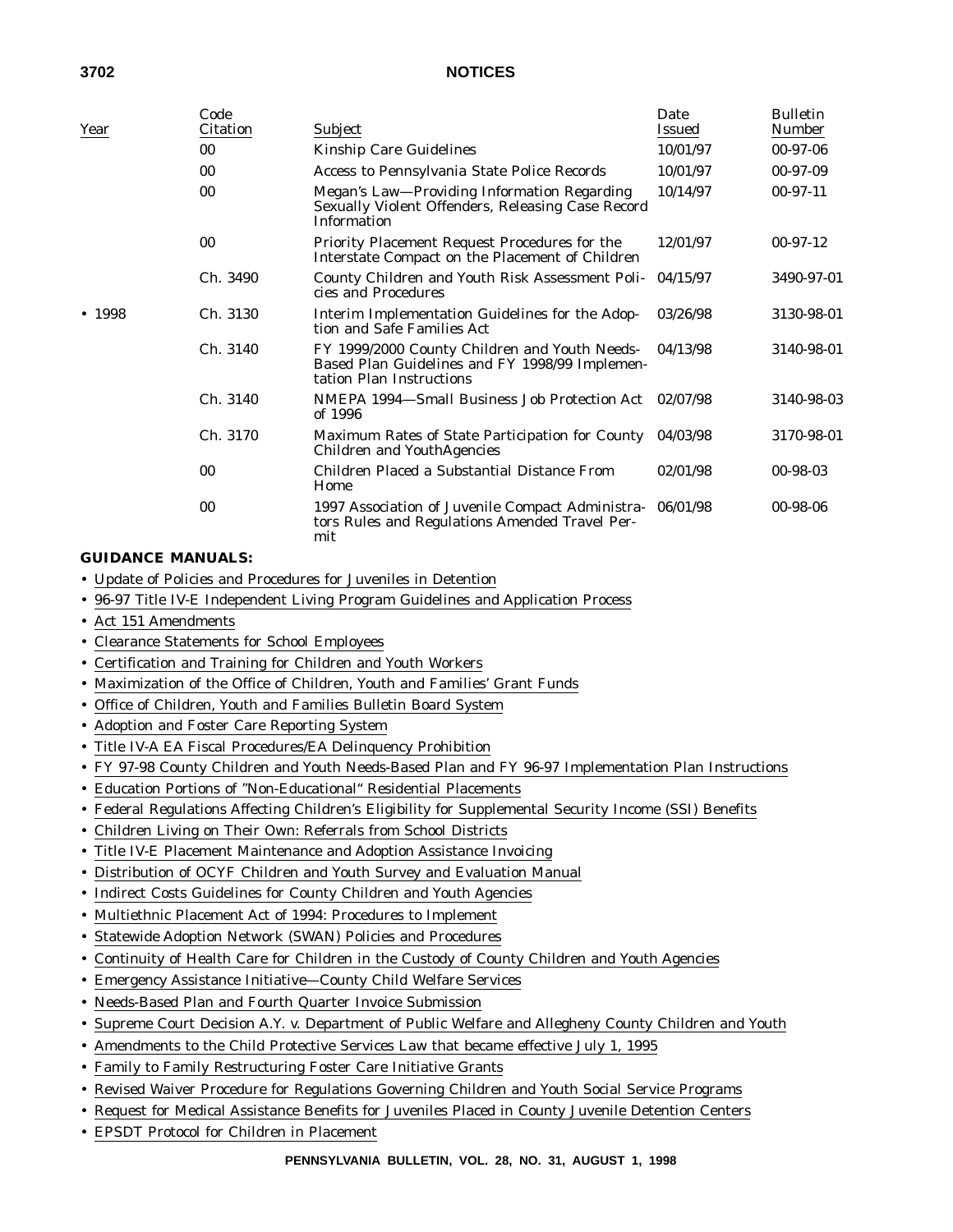| Year   | Code<br><b>Citation</b> | Subject                                                                                                                     | Date<br><b>Issued</b> | <b>Bulletin</b><br><b>Number</b> |
|--------|-------------------------|-----------------------------------------------------------------------------------------------------------------------------|-----------------------|----------------------------------|
|        | 00                      | Kinship Care Guidelines                                                                                                     | 10/01/97              | $00-97-06$                       |
|        | 00                      | Access to Pennsylvania State Police Records                                                                                 | 10/01/97              | $00-97-09$                       |
|        | 00                      | Megan's Law—Providing Information Regarding<br>Sexually Violent Offenders, Releasing Case Record<br><b>Information</b>      | 10/14/97              | $00-97-11$                       |
|        | 00                      | Priority Placement Request Procedures for the<br>Interstate Compact on the Placement of Children                            | 12/01/97              | $00-97-12$                       |
|        | Ch. 3490                | County Children and Youth Risk Assessment Poli-<br>cies and Procedures                                                      | 04/15/97              | 3490-97-01                       |
| • 1998 | Ch. 3130                | Interim Implementation Guidelines for the Adop-<br>tion and Safe Families Act                                               | 03/26/98              | 3130-98-01                       |
|        | Ch. 3140                | FY 1999/2000 County Children and Youth Needs-<br>Based Plan Guidelines and FY 1998/99 Implemen-<br>tation Plan Instructions | 04/13/98              | 3140-98-01                       |
|        | Ch. 3140                | NMEPA 1994-Small Business Job Protection Act<br>of 1996                                                                     | 02/07/98              | 3140-98-03                       |
|        | Ch. 3170                | Maximum Rates of State Participation for County<br>Children and YouthAgencies                                               | 04/03/98              | 3170-98-01                       |
|        | 00                      | Children Placed a Substantial Distance From<br>Home                                                                         | 02/01/98              | 00-98-03                         |
|        | 00                      | 1997 Association of Juvenile Compact Administra-<br>tors Rules and Regulations Amended Travel Per-<br>mit                   | 06/01/98              | $00 - 98 - 06$                   |

#### **GUIDANCE MANUALS:**

- Update of Policies and Procedures for Juveniles in Detention
- 96-97 Title IV-E Independent Living Program Guidelines and Application Process
- Act 151 Amendments
- Clearance Statements for School Employees
- Certification and Training for Children and Youth Workers
- Maximization of the Office of Children, Youth and Families' Grant Funds
- Office of Children, Youth and Families Bulletin Board System
- Adoption and Foster Care Reporting System
- Title IV-A EA Fiscal Procedures/EA Delinquency Prohibition
- FY 97-98 County Children and Youth Needs-Based Plan and FY 96-97 Implementation Plan Instructions
- Education Portions of ''Non-Educational'' Residential Placements
- Federal Regulations Affecting Children's Eligibility for Supplemental Security Income (SSI) Benefits
- Children Living on Their Own: Referrals from School Districts
- Title IV-E Placement Maintenance and Adoption Assistance Invoicing
- Distribution of OCYF Children and Youth Survey and Evaluation Manual
- Indirect Costs Guidelines for County Children and Youth Agencies
- Multiethnic Placement Act of 1994: Procedures to Implement
- Statewide Adoption Network (SWAN) Policies and Procedures
- Continuity of Health Care for Children in the Custody of County Children and Youth Agencies
- Emergency Assistance Initiative—County Child Welfare Services
- Needs-Based Plan and Fourth Quarter Invoice Submission
- Supreme Court Decision A.Y. v. Department of Public Welfare and Allegheny County Children and Youth
- Amendments to the Child Protective Services Law that became effective July 1, 1995
- Family to Family Restructuring Foster Care Initiative Grants
- Revised Waiver Procedure for Regulations Governing Children and Youth Social Service Programs
- Request for Medical Assistance Benefits for Juveniles Placed in County Juvenile Detention Centers
- EPSDT Protocol for Children in Placement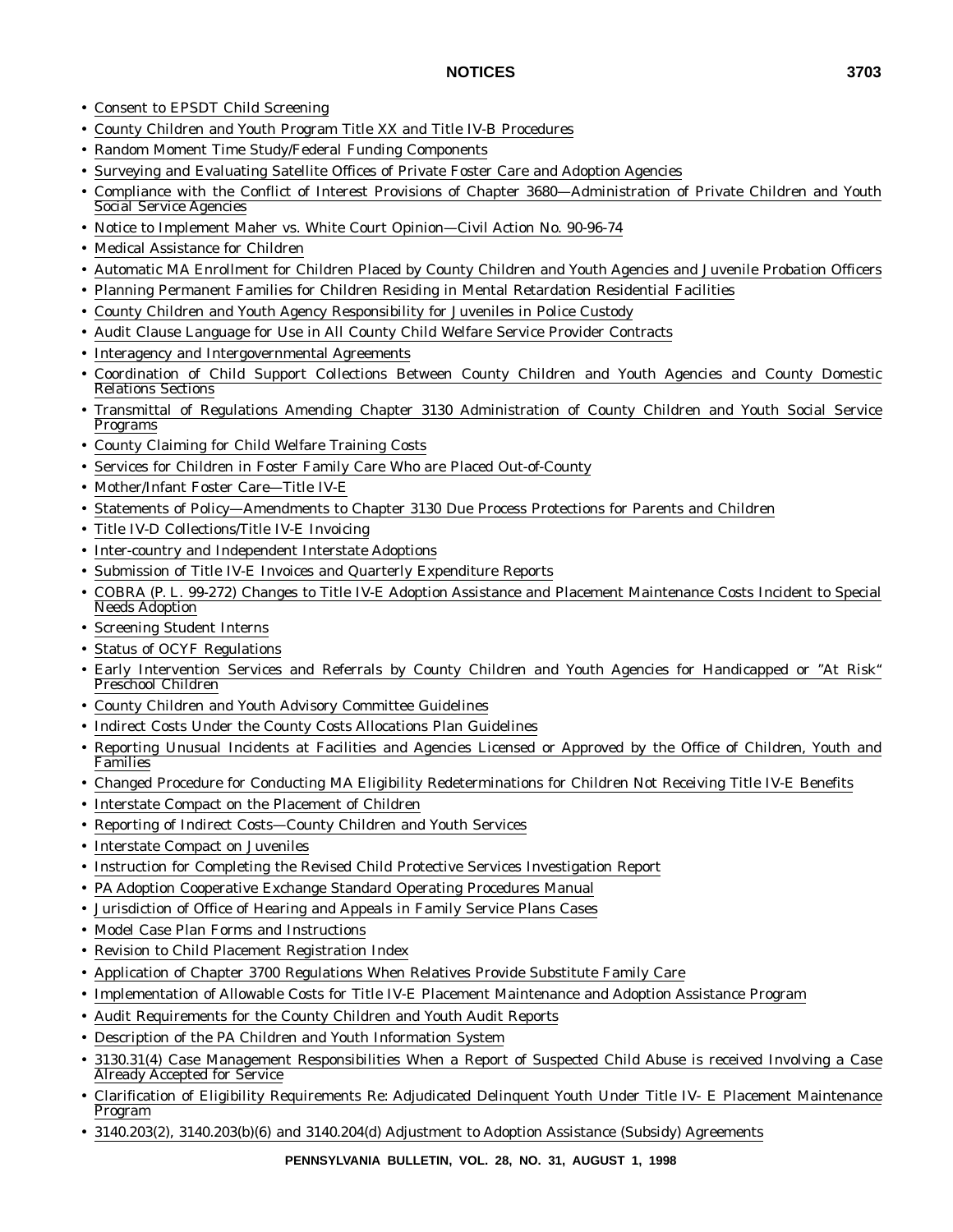- Consent to EPSDT Child Screening
- County Children and Youth Program Title XX and Title IV-B Procedures
- Random Moment Time Study/Federal Funding Components
- Surveying and Evaluating Satellite Offices of Private Foster Care and Adoption Agencies
- Compliance with the Conflict of Interest Provisions of Chapter 3680—Administration of Private Children and Youth Social Service Agencies
- Notice to Implement Maher vs. White Court Opinion—Civil Action No. 90-96-74
- Medical Assistance for Children
- Automatic MA Enrollment for Children Placed by County Children and Youth Agencies and Juvenile Probation Officers
- Planning Permanent Families for Children Residing in Mental Retardation Residential Facilities
- County Children and Youth Agency Responsibility for Juveniles in Police Custody
- Audit Clause Language for Use in All County Child Welfare Service Provider Contracts
- Interagency and Intergovernmental Agreements
- Coordination of Child Support Collections Between County Children and Youth Agencies and County Domestic Relations Sections
- Transmittal of Regulations Amending Chapter 3130 Administration of County Children and Youth Social Service Programs
- County Claiming for Child Welfare Training Costs
- Services for Children in Foster Family Care Who are Placed Out-of-County
- Mother/Infant Foster Care—Title IV-E
- Statements of Policy—Amendments to Chapter 3130 Due Process Protections for Parents and Children
- Title IV-D Collections/Title IV-E Invoicing
- Inter-country and Independent Interstate Adoptions
- Submission of Title IV-E Invoices and Quarterly Expenditure Reports
- COBRA (P. L. 99-272) Changes to Title IV-E Adoption Assistance and Placement Maintenance Costs Incident to Special Needs Adoption
- Screening Student Interns
- Status of OCYF Regulations
- Early Intervention Services and Referrals by County Children and Youth Agencies for Handicapped or ''At Risk'' Preschool Children
- County Children and Youth Advisory Committee Guidelines
- Indirect Costs Under the County Costs Allocations Plan Guidelines
- Reporting Unusual Incidents at Facilities and Agencies Licensed or Approved by the Office of Children, Youth and Families
- Changed Procedure for Conducting MA Eligibility Redeterminations for Children Not Receiving Title IV-E Benefits
- Interstate Compact on the Placement of Children
- Reporting of Indirect Costs—County Children and Youth Services
- Interstate Compact on Juveniles
- Instruction for Completing the Revised Child Protective Services Investigation Report
- PA Adoption Cooperative Exchange Standard Operating Procedures Manual
- Jurisdiction of Office of Hearing and Appeals in Family Service Plans Cases
- Model Case Plan Forms and Instructions
- Revision to Child Placement Registration Index
- Application of Chapter 3700 Regulations When Relatives Provide Substitute Family Care
- Implementation of Allowable Costs for Title IV-E Placement Maintenance and Adoption Assistance Program
- Audit Requirements for the County Children and Youth Audit Reports
- Description of the PA Children and Youth Information System
- 3130.31(4) Case Management Responsibilities When a Report of Suspected Child Abuse is received Involving a Case Already Accepted for Service
- Clarification of Eligibility Requirements Re: Adjudicated Delinquent Youth Under Title IV- E Placement Maintenance Program
- 3140.203(2), 3140.203(b)(6) and 3140.204(d) Adjustment to Adoption Assistance (Subsidy) Agreements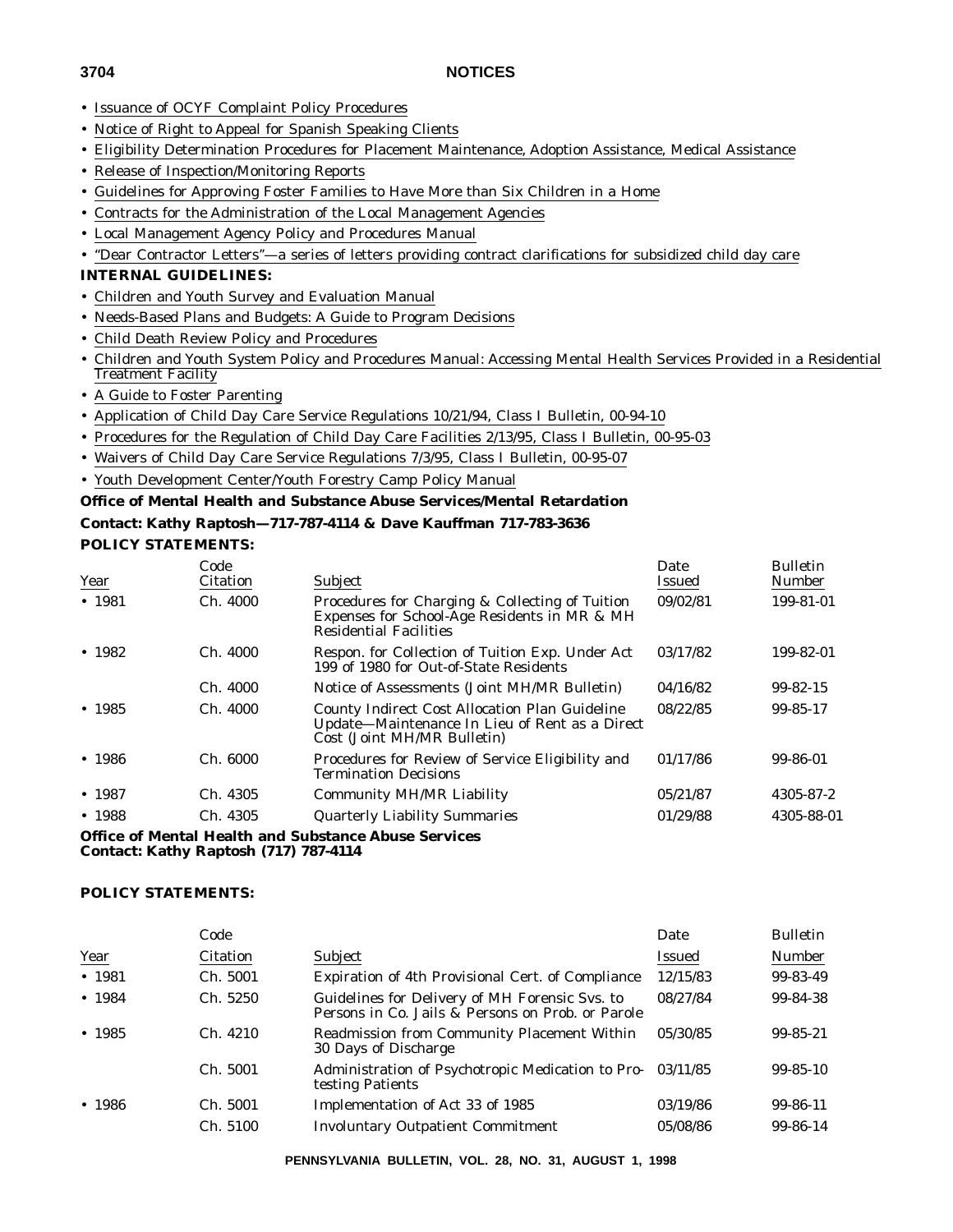- Issuance of OCYF Complaint Policy Procedures
- Notice of Right to Appeal for Spanish Speaking Clients
- Eligibility Determination Procedures for Placement Maintenance, Adoption Assistance, Medical Assistance
- Release of Inspection/Monitoring Reports
- Guidelines for Approving Foster Families to Have More than Six Children in a Home
- Contracts for the Administration of the Local Management Agencies
- Local Management Agency Policy and Procedures Manual
- ''Dear Contractor Letters''—a series of letters providing contract clarifications for subsidized child day care

## **INTERNAL GUIDELINES:**

- Children and Youth Survey and Evaluation Manual
- Needs-Based Plans and Budgets: A Guide to Program Decisions
- Child Death Review Policy and Procedures
- Children and Youth System Policy and Procedures Manual: Accessing Mental Health Services Provided in a Residential Treatment Facility
- A Guide to Foster Parenting
- Application of Child Day Care Service Regulations 10/21/94, Class I Bulletin, 00-94-10
- Procedures for the Regulation of Child Day Care Facilities 2/13/95, Class I Bulletin, 00-95-03
- Waivers of Child Day Care Service Regulations 7/3/95, Class I Bulletin, 00-95-07
- Youth Development Center/Youth Forestry Camp Policy Manual

## **Office of Mental Health and Substance Abuse Services/Mental Retardation**

### **Contact: Kathy Raptosh—717-787-4114 & Dave Kauffman 717-783-3636 POLICY STATEMENTS:**

| Year    | Code<br>Citation | Subject                                                                                                                          | Date<br>Issued | <b>Bulletin</b><br><b>Number</b> |
|---------|------------------|----------------------------------------------------------------------------------------------------------------------------------|----------------|----------------------------------|
| • 1981  | Ch. 4000         | Procedures for Charging & Collecting of Tuition<br>Expenses for School-Age Residents in MR & MH<br><b>Residential Facilities</b> | 09/02/81       | 199-81-01                        |
| $-1982$ | Ch. 4000         | Respon. for Collection of Tuition Exp. Under Act<br>199 of 1980 for Out-of-State Residents                                       | 03/17/82       | 199-82-01                        |
|         | Ch. 4000         | Notice of Assessments (Joint MH/MR Bulletin)                                                                                     | 04/16/82       | $99 - 82 - 15$                   |
| • 1985  | Ch. 4000         | County Indirect Cost Allocation Plan Guideline<br>Update-Maintenance In Lieu of Rent as a Direct<br>Cost (Joint MH/MR Bulletin)  | 08/22/85       | 99-85-17                         |
| • 1986  | Ch. 6000         | Procedures for Review of Service Eligibility and<br><b>Termination Decisions</b>                                                 | 01/17/86       | 99-86-01                         |
| • 1987  | Ch. 4305         | <b>Community MH/MR Liability</b>                                                                                                 | 05/21/87       | 4305-87-2                        |
| • 1988  | Ch. 4305         | <b>Quarterly Liability Summaries</b>                                                                                             | 01/29/88       | 4305-88-01                       |
|         |                  | <b>Office of Mental Health and Substance Abuse Services</b>                                                                      |                |                                  |

**Contact: Kathy Raptosh (717) 787-4114**

#### **POLICY STATEMENTS:**

|        | Code            |                                                                                                     | Date     | <b>Bulletin</b> |
|--------|-----------------|-----------------------------------------------------------------------------------------------------|----------|-----------------|
| Year   | <b>Citation</b> | <b>Subject</b>                                                                                      | Issued   | Number          |
| • 1981 | Ch. 5001        | Expiration of 4th Provisional Cert. of Compliance                                                   | 12/15/83 | 99-83-49        |
| • 1984 | Ch. 5250        | Guidelines for Delivery of MH Forensic Svs. to<br>Persons in Co. Jails & Persons on Prob. or Parole | 08/27/84 | 99-84-38        |
| • 1985 | Ch. 4210        | <b>Readmission from Community Placement Within</b><br>30 Days of Discharge                          | 05/30/85 | $99 - 85 - 21$  |
|        | Ch. 5001        | Administration of Psychotropic Medication to Pro-<br>testing Patients                               | 03/11/85 | $99 - 85 - 10$  |
| • 1986 | Ch. 5001        | Implementation of Act 33 of 1985                                                                    | 03/19/86 | 99-86-11        |
|        | Ch. 5100        | <b>Involuntary Outpatient Commitment</b>                                                            | 05/08/86 | 99-86-14        |

**PENNSYLVANIA BULLETIN, VOL. 28, NO. 31, AUGUST 1, 1998**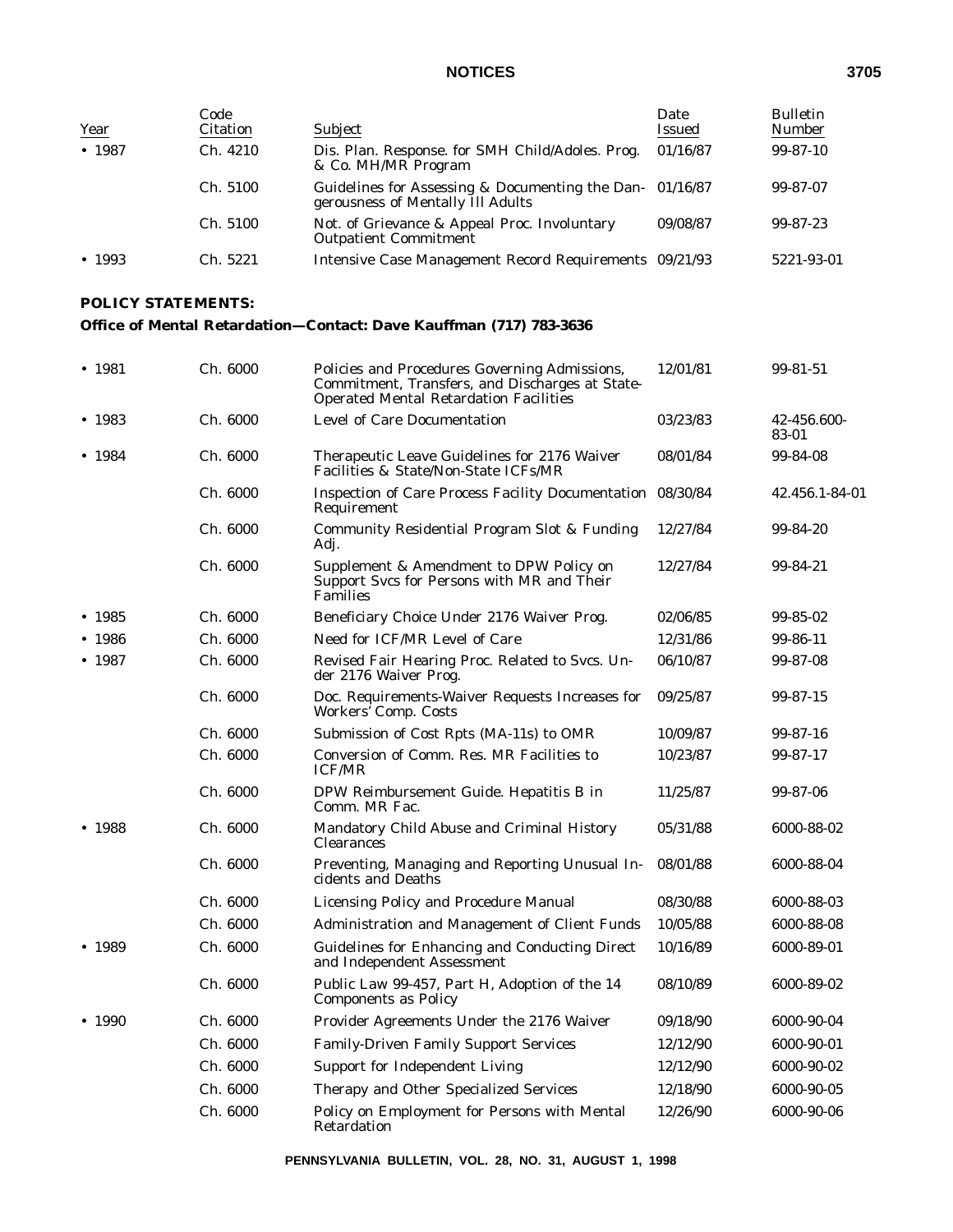| Year           | Code<br><b>Citation</b> | Subject                                                                                       | Date<br><b>Issued</b> | <b>Bulletin</b><br>Number |
|----------------|-------------------------|-----------------------------------------------------------------------------------------------|-----------------------|---------------------------|
| • 1987         | Ch. 4210                | Dis. Plan. Response. for SMH Child/Adoles. Prog.<br>& Co. MH/MR Program                       | 01/16/87              | $99 - 87 - 10$            |
|                | Ch. 5100                | Guidelines for Assessing & Documenting the Dan- 01/16/87<br>gerousness of Mentally Ill Adults |                       | 99-87-07                  |
|                | Ch. 5100                | Not. of Grievance & Appeal Proc. Involuntary<br><b>Outpatient Commitment</b>                  | 09/08/87              | 99-87-23                  |
| $\bullet$ 1993 | Ch. 5221                | Intensive Case Management Record Requirements 09/21/93                                        |                       | 5221-93-01                |

## **POLICY STATEMENTS:**

## **Office of Mental Retardation—Contact: Dave Kauffman (717) 783-3636**

| • 1981 | Ch. 6000 | Policies and Procedures Governing Admissions,<br>Commitment, Transfers, and Discharges at State-<br><b>Operated Mental Retardation Facilities</b> | 12/01/81 | 99-81-51             |
|--------|----------|---------------------------------------------------------------------------------------------------------------------------------------------------|----------|----------------------|
| • 1983 | Ch. 6000 | Level of Care Documentation                                                                                                                       | 03/23/83 | 42-456.600-<br>83-01 |
| • 1984 | Ch. 6000 | Therapeutic Leave Guidelines for 2176 Waiver<br>Facilities & State/Non-State ICFs/MR                                                              | 08/01/84 | 99-84-08             |
|        | Ch. 6000 | Inspection of Care Process Facility Documentation 08/30/84<br>Requirement                                                                         |          | 42.456.1-84-01       |
|        | Ch. 6000 | Community Residential Program Slot & Funding<br>Adj.                                                                                              | 12/27/84 | 99-84-20             |
|        | Ch. 6000 | Supplement & Amendment to DPW Policy on<br>Support Svcs for Persons with MR and Their<br>Families                                                 | 12/27/84 | 99-84-21             |
| • 1985 | Ch. 6000 | Beneficiary Choice Under 2176 Waiver Prog.                                                                                                        | 02/06/85 | 99-85-02             |
| 1986   | Ch. 6000 | Need for ICF/MR Level of Care                                                                                                                     | 12/31/86 | 99-86-11             |
| • 1987 | Ch. 6000 | Revised Fair Hearing Proc. Related to Svcs. Un-<br>der 2176 Waiver Prog.                                                                          | 06/10/87 | 99-87-08             |
|        | Ch. 6000 | Doc. Requirements-Waiver Requests Increases for<br>Workers' Comp. Costs                                                                           | 09/25/87 | 99-87-15             |
|        | Ch. 6000 | Submission of Cost Rpts (MA-11s) to OMR                                                                                                           | 10/09/87 | 99-87-16             |
|        | Ch. 6000 | Conversion of Comm. Res. MR Facilities to<br><b>ICF/MR</b>                                                                                        | 10/23/87 | 99-87-17             |
|        | Ch. 6000 | DPW Reimbursement Guide. Hepatitis B in<br>Comm. MR Fac.                                                                                          | 11/25/87 | 99-87-06             |
| • 1988 | Ch. 6000 | Mandatory Child Abuse and Criminal History<br><b>Clearances</b>                                                                                   | 05/31/88 | 6000-88-02           |
|        | Ch. 6000 | Preventing, Managing and Reporting Unusual In-<br>cidents and Deaths                                                                              | 08/01/88 | 6000-88-04           |
|        | Ch. 6000 | <b>Licensing Policy and Procedure Manual</b>                                                                                                      | 08/30/88 | 6000-88-03           |
|        | Ch. 6000 | Administration and Management of Client Funds                                                                                                     | 10/05/88 | 6000-88-08           |
| • 1989 | Ch. 6000 | Guidelines for Enhancing and Conducting Direct<br>and Independent Assessment                                                                      | 10/16/89 | 6000-89-01           |
|        | Ch. 6000 | Public Law 99-457, Part H, Adoption of the 14<br><b>Components as Policy</b>                                                                      | 08/10/89 | 6000-89-02           |
| • 1990 | Ch. 6000 | Provider Agreements Under the 2176 Waiver                                                                                                         | 09/18/90 | 6000-90-04           |
|        | Ch. 6000 | <b>Family-Driven Family Support Services</b>                                                                                                      | 12/12/90 | 6000-90-01           |
|        | Ch. 6000 | <b>Support for Independent Living</b>                                                                                                             | 12/12/90 | 6000-90-02           |
|        | Ch. 6000 | Therapy and Other Specialized Services                                                                                                            | 12/18/90 | 6000-90-05           |
|        | Ch. 6000 | Policy on Employment for Persons with Mental<br>Retardation                                                                                       | 12/26/90 | 6000-90-06           |

**PENNSYLVANIA BULLETIN, VOL. 28, NO. 31, AUGUST 1, 1998**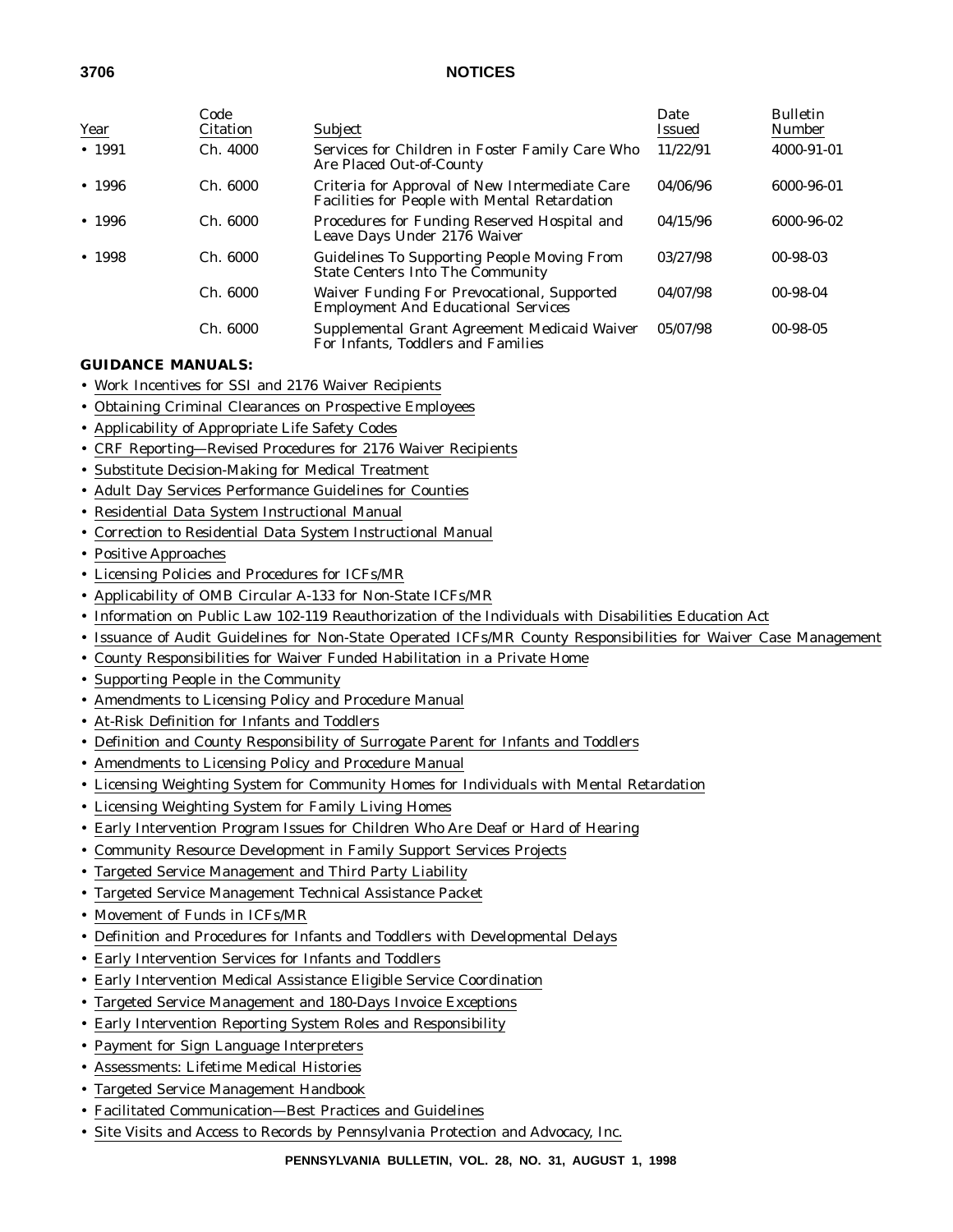| Year   | Code<br>Citation | Subject                                                                                         | Date<br>Issued | <b>Bulletin</b><br>Number |
|--------|------------------|-------------------------------------------------------------------------------------------------|----------------|---------------------------|
| • 1991 | Ch.4000          | Services for Children in Foster Family Care Who<br>Are Placed Out-of-County                     | 11/22/91       | 4000-91-01                |
| • 1996 | Ch. 6000         | Criteria for Approval of New Intermediate Care<br>Facilities for People with Mental Retardation | 04/06/96       | 6000-96-01                |
| • 1996 | Ch. 6000         | Procedures for Funding Reserved Hospital and<br>Leave Days Under 2176 Waiver                    | 04/15/96       | 6000-96-02                |
| • 1998 | Ch. 6000         | <b>Guidelines To Supporting People Moving From</b><br><b>State Centers Into The Community</b>   | 03/27/98       | $00-98-03$                |
|        | Ch. 6000         | Waiver Funding For Prevocational, Supported<br><b>Employment And Educational Services</b>       | 04/07/98       | $00-98-04$                |
|        | Ch. 6000         | Supplemental Grant Agreement Medicaid Waiver<br>For Infants, Toddlers and Families              | 05/07/98       | $00-98-05$                |

## **GUIDANCE MANUALS:**

- Work Incentives for SSI and 2176 Waiver Recipients
- Obtaining Criminal Clearances on Prospective Employees
- Applicability of Appropriate Life Safety Codes
- CRF Reporting—Revised Procedures for 2176 Waiver Recipients
- Substitute Decision-Making for Medical Treatment
- Adult Day Services Performance Guidelines for Counties
- Residential Data System Instructional Manual
- Correction to Residential Data System Instructional Manual
- Positive Approaches
- Licensing Policies and Procedures for ICFs/MR
- Applicability of OMB Circular A-133 for Non-State ICFs/MR
- Information on Public Law 102-119 Reauthorization of the Individuals with Disabilities Education Act
- Issuance of Audit Guidelines for Non-State Operated ICFs/MR County Responsibilities for Waiver Case Management
- County Responsibilities for Waiver Funded Habilitation in a Private Home
- Supporting People in the Community
- Amendments to Licensing Policy and Procedure Manual
- At-Risk Definition for Infants and Toddlers
- Definition and County Responsibility of Surrogate Parent for Infants and Toddlers
- Amendments to Licensing Policy and Procedure Manual
- Licensing Weighting System for Community Homes for Individuals with Mental Retardation
- Licensing Weighting System for Family Living Homes
- Early Intervention Program Issues for Children Who Are Deaf or Hard of Hearing
- Community Resource Development in Family Support Services Projects
- Targeted Service Management and Third Party Liability
- Targeted Service Management Technical Assistance Packet
- Movement of Funds in ICFs/MR
- Definition and Procedures for Infants and Toddlers with Developmental Delays
- Early Intervention Services for Infants and Toddlers
- Early Intervention Medical Assistance Eligible Service Coordination
- Targeted Service Management and 180-Days Invoice Exceptions
- Early Intervention Reporting System Roles and Responsibility
- Payment for Sign Language Interpreters
- Assessments: Lifetime Medical Histories
- Targeted Service Management Handbook
- Facilitated Communication—Best Practices and Guidelines
- Site Visits and Access to Records by Pennsylvania Protection and Advocacy, Inc.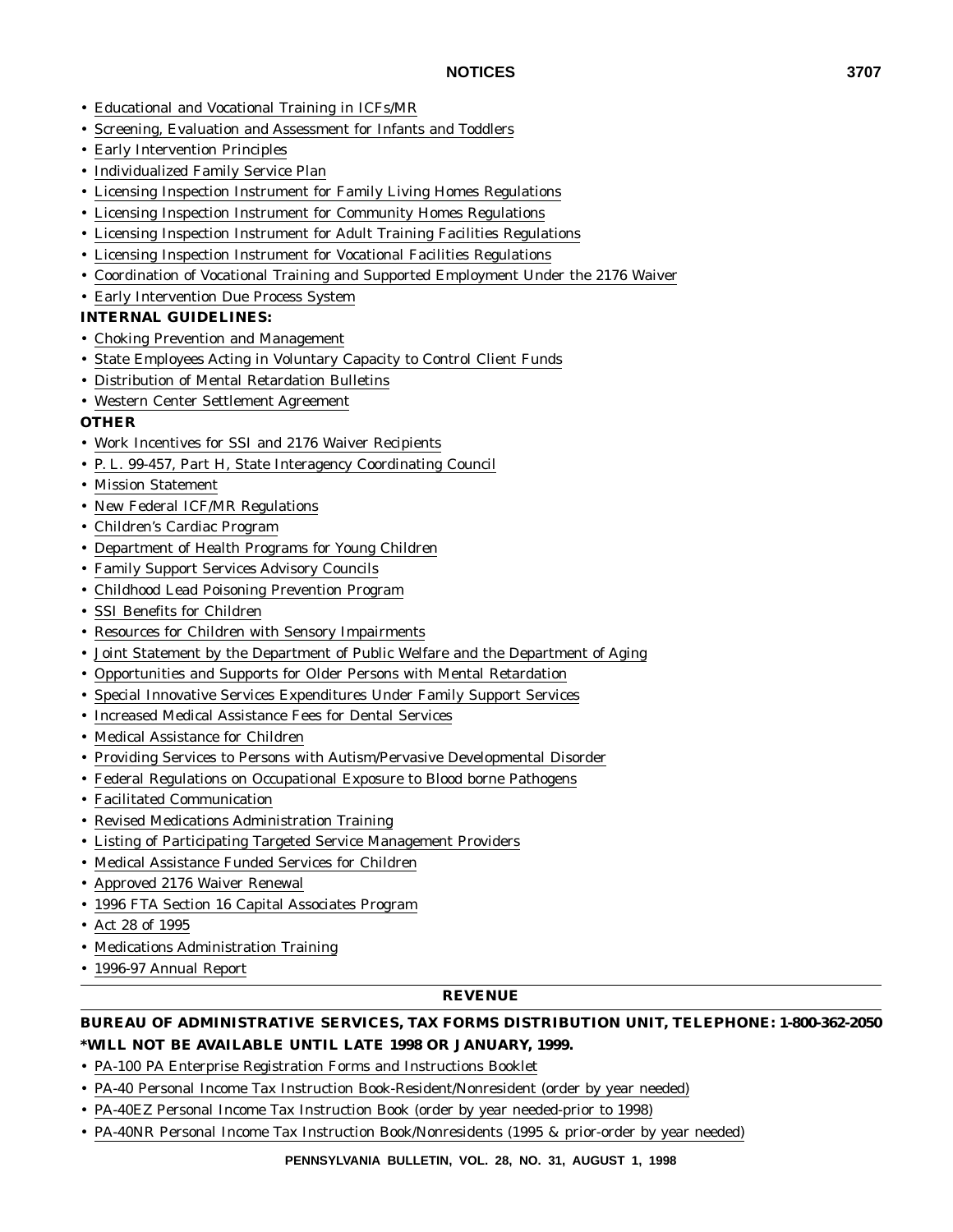- Educational and Vocational Training in ICFs/MR
- Screening, Evaluation and Assessment for Infants and Toddlers
- Early Intervention Principles
- Individualized Family Service Plan
- Licensing Inspection Instrument for Family Living Homes Regulations
- Licensing Inspection Instrument for Community Homes Regulations
- Licensing Inspection Instrument for Adult Training Facilities Regulations
- Licensing Inspection Instrument for Vocational Facilities Regulations
- Coordination of Vocational Training and Supported Employment Under the 2176 Waiver
- Early Intervention Due Process System

## **INTERNAL GUIDELINES:**

- Choking Prevention and Management
- State Employees Acting in Voluntary Capacity to Control Client Funds
- Distribution of Mental Retardation Bulletins
- Western Center Settlement Agreement

## **OTHER**

- Work Incentives for SSI and 2176 Waiver Recipients
- P. L. 99-457, Part H, State Interagency Coordinating Council
- Mission Statement
- New Federal ICF/MR Regulations
- Children's Cardiac Program
- Department of Health Programs for Young Children
- Family Support Services Advisory Councils
- Childhood Lead Poisoning Prevention Program
- SSI Benefits for Children
- Resources for Children with Sensory Impairments
- Joint Statement by the Department of Public Welfare and the Department of Aging
- Opportunities and Supports for Older Persons with Mental Retardation
- Special Innovative Services Expenditures Under Family Support Services
- Increased Medical Assistance Fees for Dental Services
- Medical Assistance for Children
- Providing Services to Persons with Autism/Pervasive Developmental Disorder
- Federal Regulations on Occupational Exposure to Blood borne Pathogens
- Facilitated Communication
- Revised Medications Administration Training
- Listing of Participating Targeted Service Management Providers
- Medical Assistance Funded Services for Children
- Approved 2176 Waiver Renewal
- 1996 FTA Section 16 Capital Associates Program
- Act 28 of 1995
- Medications Administration Training
- 1996-97 Annual Report

#### **REVENUE**

## **BUREAU OF ADMINISTRATIVE SERVICES, TAX FORMS DISTRIBUTION UNIT, TELEPHONE: 1-800-362-2050 \*WILL NOT BE AVAILABLE UNTIL LATE 1998 OR JANUARY, 1999.**

- PA-100 PA Enterprise Registration Forms and Instructions Booklet
- PA-40 Personal Income Tax Instruction Book-Resident/Nonresident (order by year needed)
- PA-40EZ Personal Income Tax Instruction Book (order by year needed-prior to 1998)
- PA-40NR Personal Income Tax Instruction Book/Nonresidents (1995 & prior-order by year needed)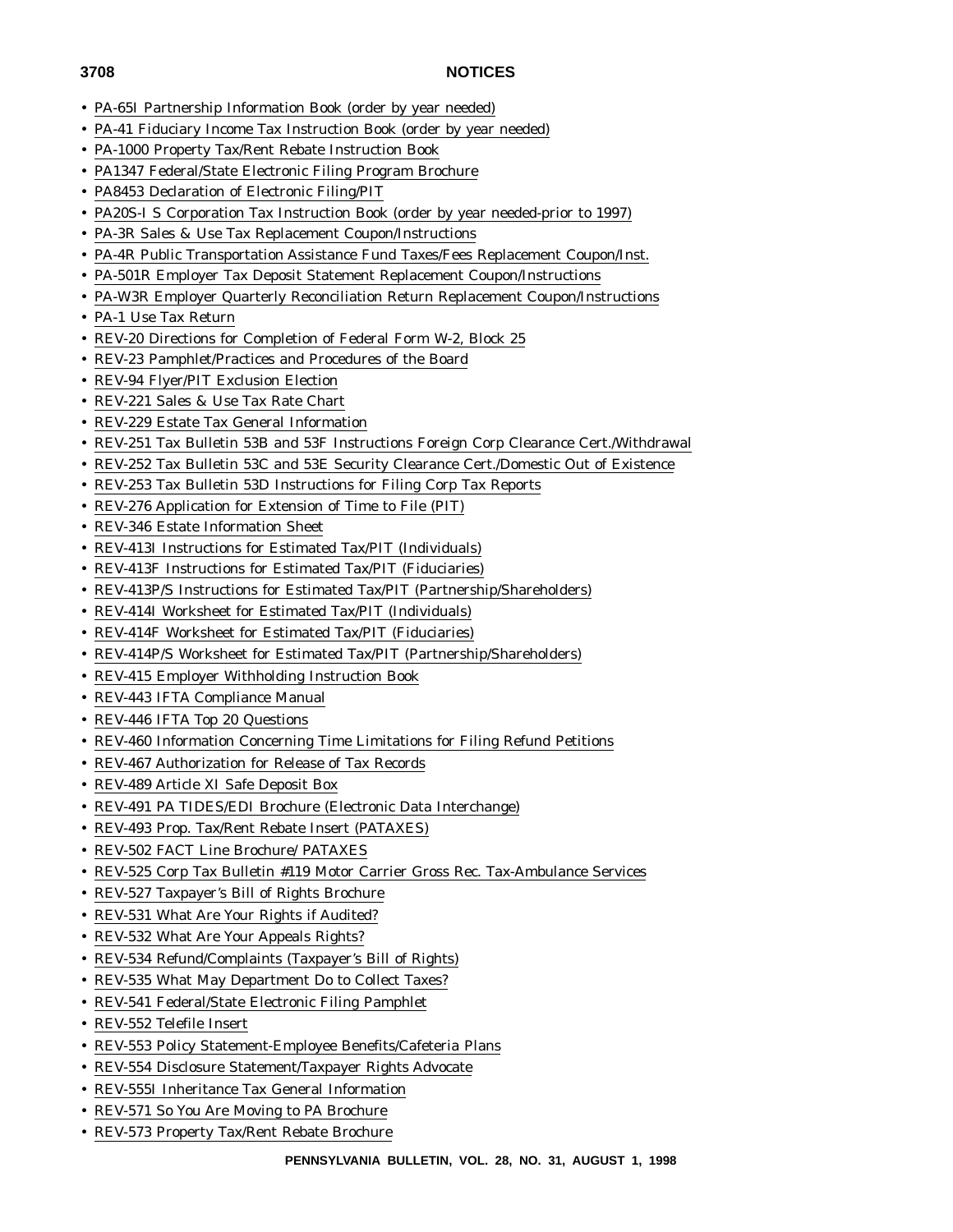- PA-65I Partnership Information Book (order by year needed)
- PA-41 Fiduciary Income Tax Instruction Book (order by year needed)
- PA-1000 Property Tax/Rent Rebate Instruction Book
- PA1347 Federal/State Electronic Filing Program Brochure
- PA8453 Declaration of Electronic Filing/PIT
- PA20S-I S Corporation Tax Instruction Book (order by year needed-prior to 1997)
- PA-3R Sales & Use Tax Replacement Coupon/Instructions
- PA-4R Public Transportation Assistance Fund Taxes/Fees Replacement Coupon/Inst.
- PA-501R Employer Tax Deposit Statement Replacement Coupon/Instructions
- PA-W3R Employer Quarterly Reconciliation Return Replacement Coupon/Instructions
- PA-1 Use Tax Return
- REV-20 Directions for Completion of Federal Form W-2, Block 25
- REV-23 Pamphlet/Practices and Procedures of the Board
- REV-94 Flyer/PIT Exclusion Election
- REV-221 Sales & Use Tax Rate Chart
- REV-229 Estate Tax General Information
- REV-251 Tax Bulletin 53B and 53F Instructions Foreign Corp Clearance Cert./Withdrawal
- REV-252 Tax Bulletin 53C and 53E Security Clearance Cert./Domestic Out of Existence
- REV-253 Tax Bulletin 53D Instructions for Filing Corp Tax Reports
- REV-276 Application for Extension of Time to File (PIT)
- REV-346 Estate Information Sheet
- REV-413I Instructions for Estimated Tax/PIT (Individuals)
- REV-413F Instructions for Estimated Tax/PIT (Fiduciaries)
- REV-413P/S Instructions for Estimated Tax/PIT (Partnership/Shareholders)
- REV-414I Worksheet for Estimated Tax/PIT (Individuals)
- REV-414F Worksheet for Estimated Tax/PIT (Fiduciaries)
- REV-414P/S Worksheet for Estimated Tax/PIT (Partnership/Shareholders)
- REV-415 Employer Withholding Instruction Book
- REV-443 IFTA Compliance Manual
- REV-446 IFTA Top 20 Questions
- REV-460 Information Concerning Time Limitations for Filing Refund Petitions
- REV-467 Authorization for Release of Tax Records
- REV-489 Article XI Safe Deposit Box
- REV-491 PA TIDES/EDI Brochure (Electronic Data Interchange)
- REV-493 Prop. Tax/Rent Rebate Insert (PATAXES)
- REV-502 FACT Line Brochure/ PATAXES
- REV-525 Corp Tax Bulletin #119 Motor Carrier Gross Rec. Tax-Ambulance Services
- REV-527 Taxpayer's Bill of Rights Brochure
- REV-531 What Are Your Rights if Audited?
- REV-532 What Are Your Appeals Rights?
- REV-534 Refund/Complaints (Taxpayer's Bill of Rights)
- REV-535 What May Department Do to Collect Taxes?
- REV-541 Federal/State Electronic Filing Pamphlet
- REV-552 Telefile Insert
- REV-553 Policy Statement-Employee Benefits/Cafeteria Plans
- REV-554 Disclosure Statement/Taxpayer Rights Advocate
- REV-555I Inheritance Tax General Information
- REV-571 So You Are Moving to PA Brochure
- REV-573 Property Tax/Rent Rebate Brochure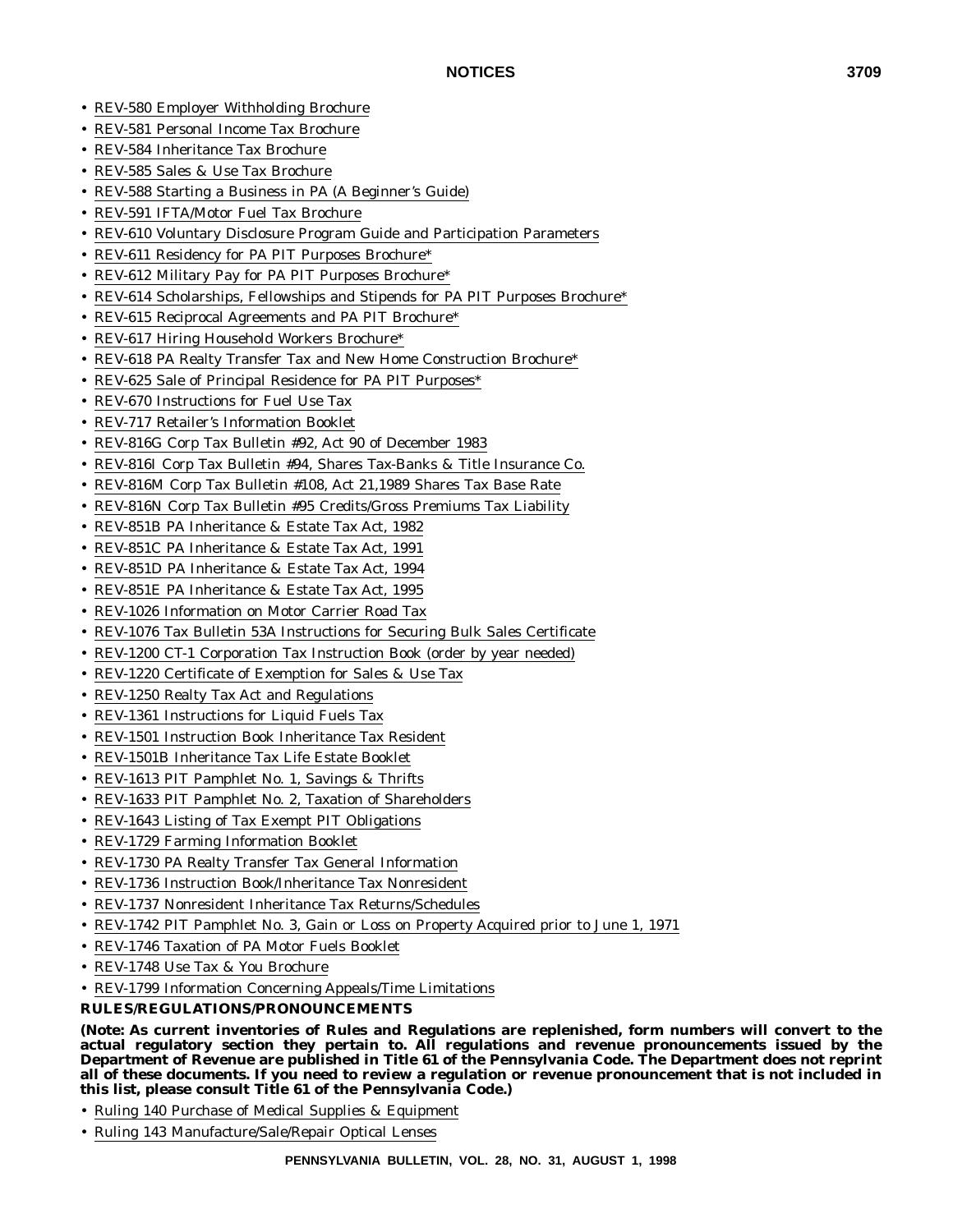- REV-580 Employer Withholding Brochure
- REV-581 Personal Income Tax Brochure
- REV-584 Inheritance Tax Brochure
- REV-585 Sales & Use Tax Brochure
- REV-588 Starting a Business in PA (A Beginner's Guide)
- REV-591 IFTA/Motor Fuel Tax Brochure
- REV-610 Voluntary Disclosure Program Guide and Participation Parameters
- REV-611 Residency for PA PIT Purposes Brochure\*
- REV-612 Military Pay for PA PIT Purposes Brochure\*
- REV-614 Scholarships, Fellowships and Stipends for PA PIT Purposes Brochure\*
- REV-615 Reciprocal Agreements and PA PIT Brochure\*
- REV-617 Hiring Household Workers Brochure\*
- REV-618 PA Realty Transfer Tax and New Home Construction Brochure\*
- REV-625 Sale of Principal Residence for PA PIT Purposes\*
- REV-670 Instructions for Fuel Use Tax
- REV-717 Retailer's Information Booklet
- REV-816G Corp Tax Bulletin #92, Act 90 of December 1983
- REV-816I Corp Tax Bulletin #94, Shares Tax-Banks & Title Insurance Co.
- REV-816M Corp Tax Bulletin #108, Act 21,1989 Shares Tax Base Rate
- REV-816N Corp Tax Bulletin #95 Credits/Gross Premiums Tax Liability
- REV-851B PA Inheritance & Estate Tax Act, 1982
- REV-851C PA Inheritance & Estate Tax Act, 1991
- REV-851D PA Inheritance & Estate Tax Act, 1994
- REV-851E PA Inheritance & Estate Tax Act, 1995
- REV-1026 Information on Motor Carrier Road Tax
- REV-1076 Tax Bulletin 53A Instructions for Securing Bulk Sales Certificate
- REV-1200 CT-1 Corporation Tax Instruction Book (order by year needed)
- REV-1220 Certificate of Exemption for Sales & Use Tax
- REV-1250 Realty Tax Act and Regulations
- REV-1361 Instructions for Liquid Fuels Tax
- REV-1501 Instruction Book Inheritance Tax Resident
- REV-1501B Inheritance Tax Life Estate Booklet
- REV-1613 PIT Pamphlet No. 1, Savings & Thrifts
- REV-1633 PIT Pamphlet No. 2, Taxation of Shareholders
- REV-1643 Listing of Tax Exempt PIT Obligations
- REV-1729 Farming Information Booklet
- REV-1730 PA Realty Transfer Tax General Information
- REV-1736 Instruction Book/Inheritance Tax Nonresident
- REV-1737 Nonresident Inheritance Tax Returns/Schedules
- REV-1742 PIT Pamphlet No. 3, Gain or Loss on Property Acquired prior to June 1, 1971
- REV-1746 Taxation of PA Motor Fuels Booklet
- REV-1748 Use Tax & You Brochure
- REV-1799 Information Concerning Appeals/Time Limitations

## **RULES/REGULATIONS/PRONOUNCEMENTS**

**(Note: As current inventories of Rules and Regulations are replenished, form numbers will convert to the actual regulatory section they pertain to. All regulations and revenue pronouncements issued by the Department of Revenue are published in Title 61 of the Pennsylvania Code. The Department does not reprint all of these documents. If you need to review a regulation or revenue pronouncement that is not included in this list, please consult Title 61 of the Pennsylvania Code.)**

- Ruling 140 Purchase of Medical Supplies & Equipment
- Ruling 143 Manufacture/Sale/Repair Optical Lenses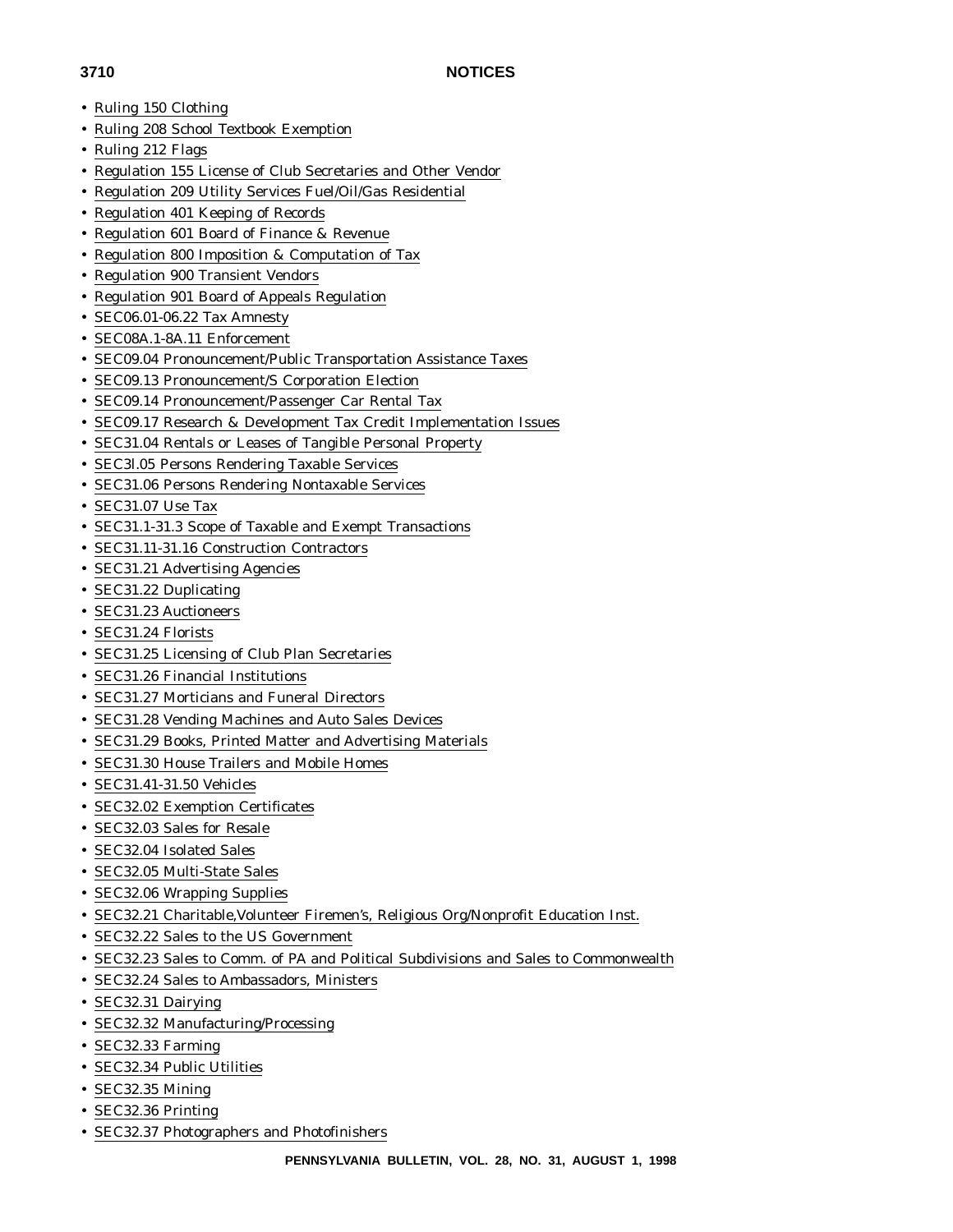- 
- Ruling 150 Clothing
- Ruling 208 School Textbook Exemption
- Ruling 212 Flags
- Regulation 155 License of Club Secretaries and Other Vendor
- Regulation 209 Utility Services Fuel/Oil/Gas Residential
- Regulation 401 Keeping of Records
- Regulation 601 Board of Finance & Revenue
- Regulation 800 Imposition & Computation of Tax
- Regulation 900 Transient Vendors
- Regulation 901 Board of Appeals Regulation
- SEC06.01-06.22 Tax Amnesty
- SEC08A.1-8A.11 Enforcement
- SEC09.04 Pronouncement/Public Transportation Assistance Taxes
- SEC09.13 Pronouncement/S Corporation Election
- SEC09.14 Pronouncement/Passenger Car Rental Tax
- SEC09.17 Research & Development Tax Credit Implementation Issues
- SEC31.04 Rentals or Leases of Tangible Personal Property
- SEC3l.05 Persons Rendering Taxable Services
- SEC31.06 Persons Rendering Nontaxable Services
- SEC31.07 Use Tax
- SEC31.1-31.3 Scope of Taxable and Exempt Transactions
- SEC31.11-31.16 Construction Contractors
- SEC31.21 Advertising Agencies
- SEC31.22 Duplicating
- SEC31.23 Auctioneers
- SEC31.24 Florists
- SEC31.25 Licensing of Club Plan Secretaries
- SEC31.26 Financial Institutions
- SEC31.27 Morticians and Funeral Directors
- SEC31.28 Vending Machines and Auto Sales Devices
- SEC31.29 Books, Printed Matter and Advertising Materials
- SEC31.30 House Trailers and Mobile Homes
- SEC31.41-31.50 Vehicles
- SEC32.02 Exemption Certificates
- SEC32.03 Sales for Resale
- SEC32.04 Isolated Sales
- SEC32.05 Multi-State Sales
- SEC32.06 Wrapping Supplies
- SEC32.21 Charitable,Volunteer Firemen's, Religious Org/Nonprofit Education Inst.
- SEC32.22 Sales to the US Government
- SEC32.23 Sales to Comm. of PA and Political Subdivisions and Sales to Commonwealth
- SEC32.24 Sales to Ambassadors, Ministers
- SEC32.31 Dairying
- SEC32.32 Manufacturing/Processing
- SEC32.33 Farming
- SEC32.34 Public Utilities
- SEC32.35 Mining
- SEC32.36 Printing
- SEC32.37 Photographers and Photofinishers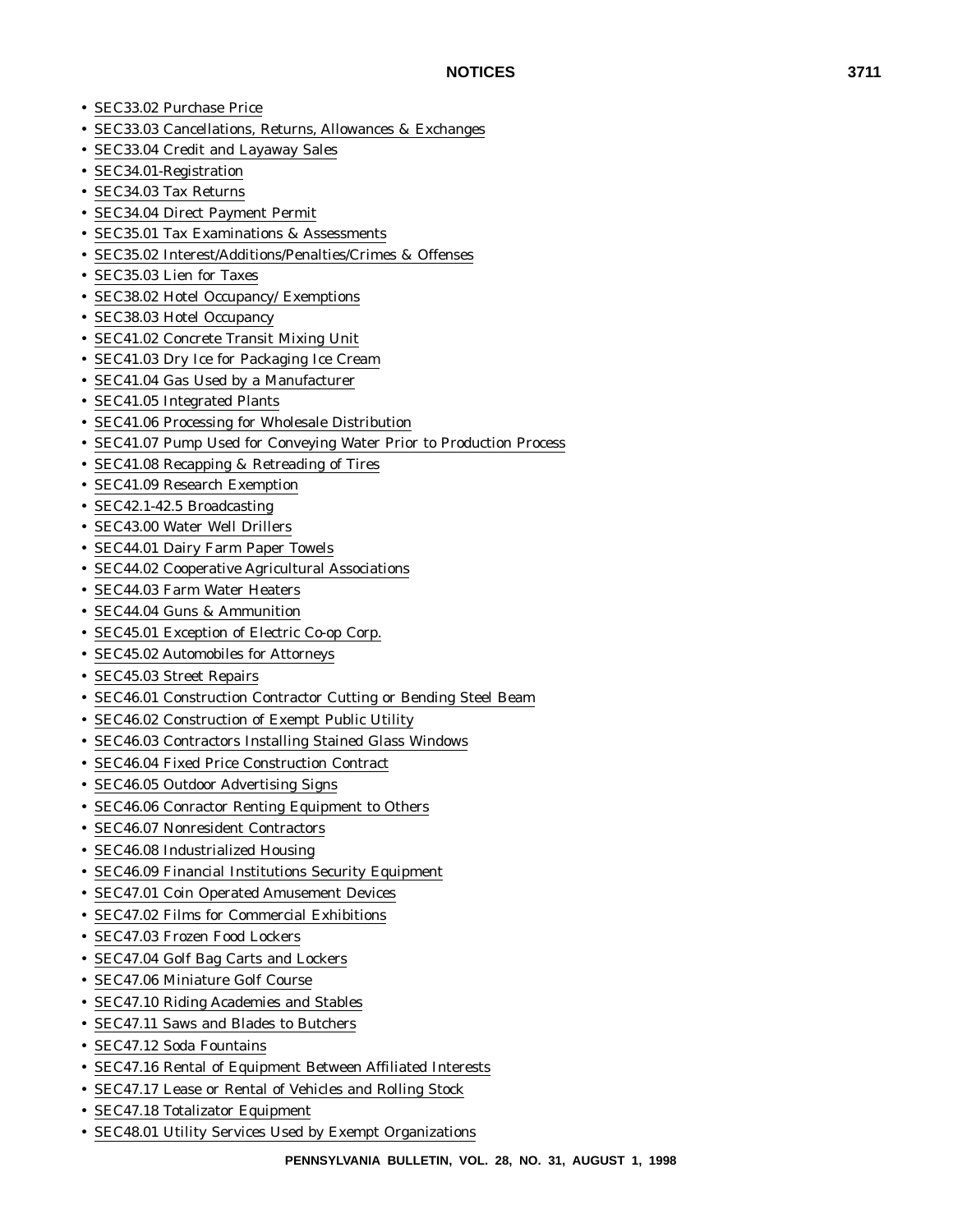- SEC33.02 Purchase Price
- SEC33.03 Cancellations, Returns, Allowances & Exchanges
- SEC33.04 Credit and Layaway Sales
- SEC34.01-Registration
- SEC34.03 Tax Returns
- SEC34.04 Direct Payment Permit
- SEC35.01 Tax Examinations & Assessments
- SEC35.02 Interest/Additions/Penalties/Crimes & Offenses
- SEC35.03 Lien for Taxes
- SEC38.02 Hotel Occupancy/ Exemptions
- SEC38.03 Hotel Occupancy
- SEC41.02 Concrete Transit Mixing Unit
- SEC41.03 Dry Ice for Packaging Ice Cream
- SEC41.04 Gas Used by a Manufacturer
- SEC41.05 Integrated Plants
- SEC41.06 Processing for Wholesale Distribution
- SEC41.07 Pump Used for Conveying Water Prior to Production Process
- SEC41.08 Recapping & Retreading of Tires
- SEC41.09 Research Exemption
- SEC42.1-42.5 Broadcasting
- SEC43.00 Water Well Drillers
- SEC44.01 Dairy Farm Paper Towels
- SEC44.02 Cooperative Agricultural Associations
- SEC44.03 Farm Water Heaters
- SEC44.04 Guns & Ammunition
- SEC45.01 Exception of Electric Co-op Corp.
- SEC45.02 Automobiles for Attorneys
- SEC45.03 Street Repairs
- SEC46.01 Construction Contractor Cutting or Bending Steel Beam
- SEC46.02 Construction of Exempt Public Utility
- SEC46.03 Contractors Installing Stained Glass Windows
- SEC46.04 Fixed Price Construction Contract
- SEC46.05 Outdoor Advertising Signs
- SEC46.06 Conractor Renting Equipment to Others
- SEC46.07 Nonresident Contractors
- SEC46.08 Industrialized Housing
- SEC46.09 Financial Institutions Security Equipment
- SEC47.01 Coin Operated Amusement Devices
- SEC47.02 Films for Commercial Exhibitions
- SEC47.03 Frozen Food Lockers
- SEC47.04 Golf Bag Carts and Lockers
- SEC47.06 Miniature Golf Course
- SEC47.10 Riding Academies and Stables
- SEC47.11 Saws and Blades to Butchers
- SEC47.12 Soda Fountains
- SEC47.16 Rental of Equipment Between Affiliated Interests
- SEC47.17 Lease or Rental of Vehicles and Rolling Stock
- SEC47.18 Totalizator Equipment
- SEC48.01 Utility Services Used by Exempt Organizations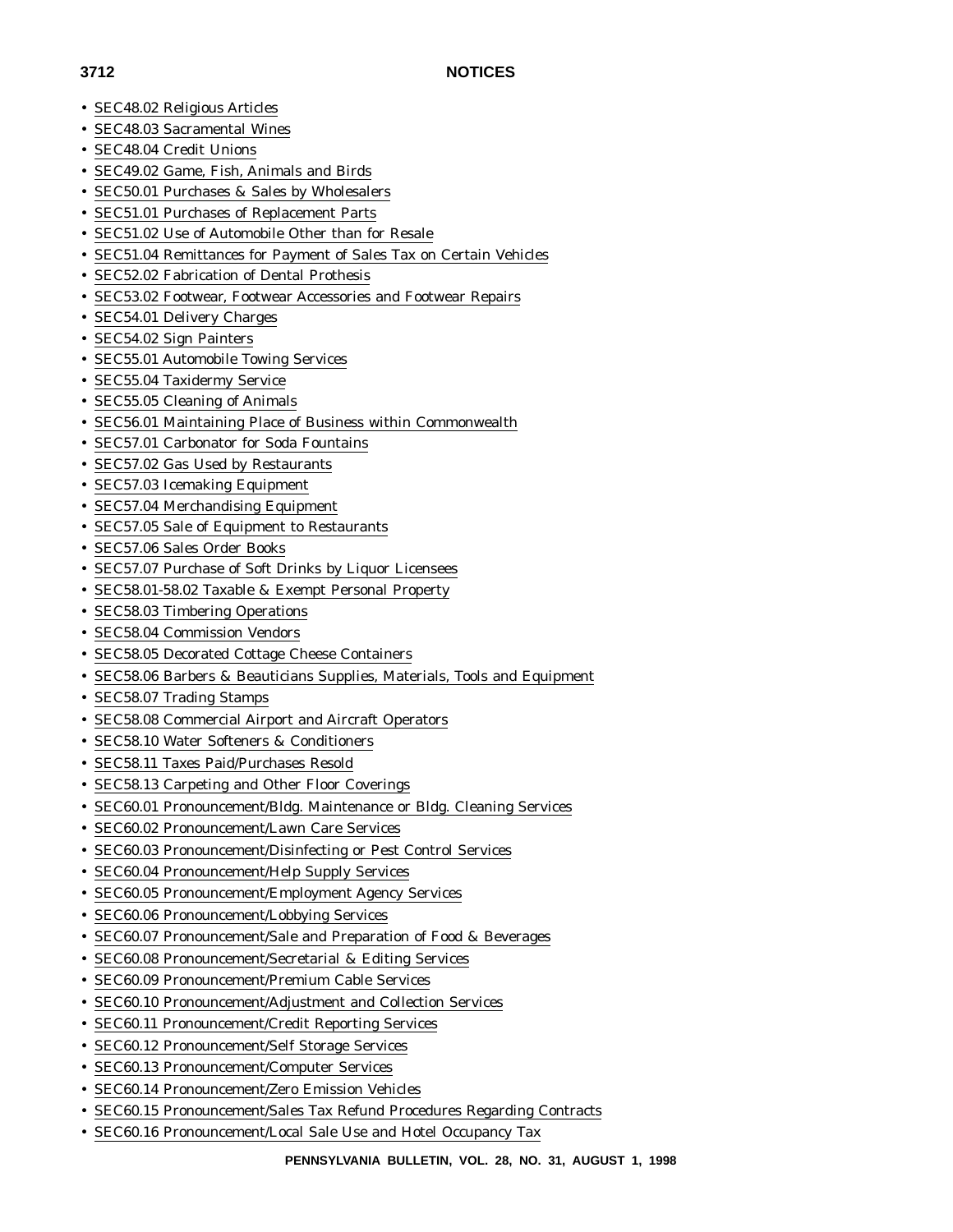- SEC48.02 Religious Articles
- SEC48.03 Sacramental Wines
- SEC48.04 Credit Unions
- SEC49.02 Game, Fish, Animals and Birds
- SEC50.01 Purchases & Sales by Wholesalers
- SEC51.01 Purchases of Replacement Parts
- SEC51.02 Use of Automobile Other than for Resale
- SEC51.04 Remittances for Payment of Sales Tax on Certain Vehicles
- SEC52.02 Fabrication of Dental Prothesis
- SEC53.02 Footwear, Footwear Accessories and Footwear Repairs
- SEC54.01 Delivery Charges
- SEC54.02 Sign Painters
- SEC55.01 Automobile Towing Services
- SEC55.04 Taxidermy Service
- SEC55.05 Cleaning of Animals
- SEC56.01 Maintaining Place of Business within Commonwealth
- SEC57.01 Carbonator for Soda Fountains
- SEC57.02 Gas Used by Restaurants
- SEC57.03 Icemaking Equipment
- SEC57.04 Merchandising Equipment
- SEC57.05 Sale of Equipment to Restaurants
- SEC57.06 Sales Order Books
- SEC57.07 Purchase of Soft Drinks by Liquor Licensees
- SEC58.01-58.02 Taxable & Exempt Personal Property
- SEC58.03 Timbering Operations
- SEC58.04 Commission Vendors
- SEC58.05 Decorated Cottage Cheese Containers
- SEC58.06 Barbers & Beauticians Supplies, Materials, Tools and Equipment
- SEC58.07 Trading Stamps
- SEC58.08 Commercial Airport and Aircraft Operators
- SEC58.10 Water Softeners & Conditioners
- SEC58.11 Taxes Paid/Purchases Resold
- SEC58.13 Carpeting and Other Floor Coverings
- SEC60.01 Pronouncement/Bldg. Maintenance or Bldg. Cleaning Services
- SEC60.02 Pronouncement/Lawn Care Services
- SEC60.03 Pronouncement/Disinfecting or Pest Control Services
- SEC60.04 Pronouncement/Help Supply Services
- SEC60.05 Pronouncement/Employment Agency Services
- SEC60.06 Pronouncement/Lobbying Services
- SEC60.07 Pronouncement/Sale and Preparation of Food & Beverages
- SEC60.08 Pronouncement/Secretarial & Editing Services
- SEC60.09 Pronouncement/Premium Cable Services
- SEC60.10 Pronouncement/Adjustment and Collection Services
- SEC60.11 Pronouncement/Credit Reporting Services
- SEC60.12 Pronouncement/Self Storage Services
- SEC60.13 Pronouncement/Computer Services
- SEC60.14 Pronouncement/Zero Emission Vehicles
- SEC60.15 Pronouncement/Sales Tax Refund Procedures Regarding Contracts
- SEC60.16 Pronouncement/Local Sale Use and Hotel Occupancy Tax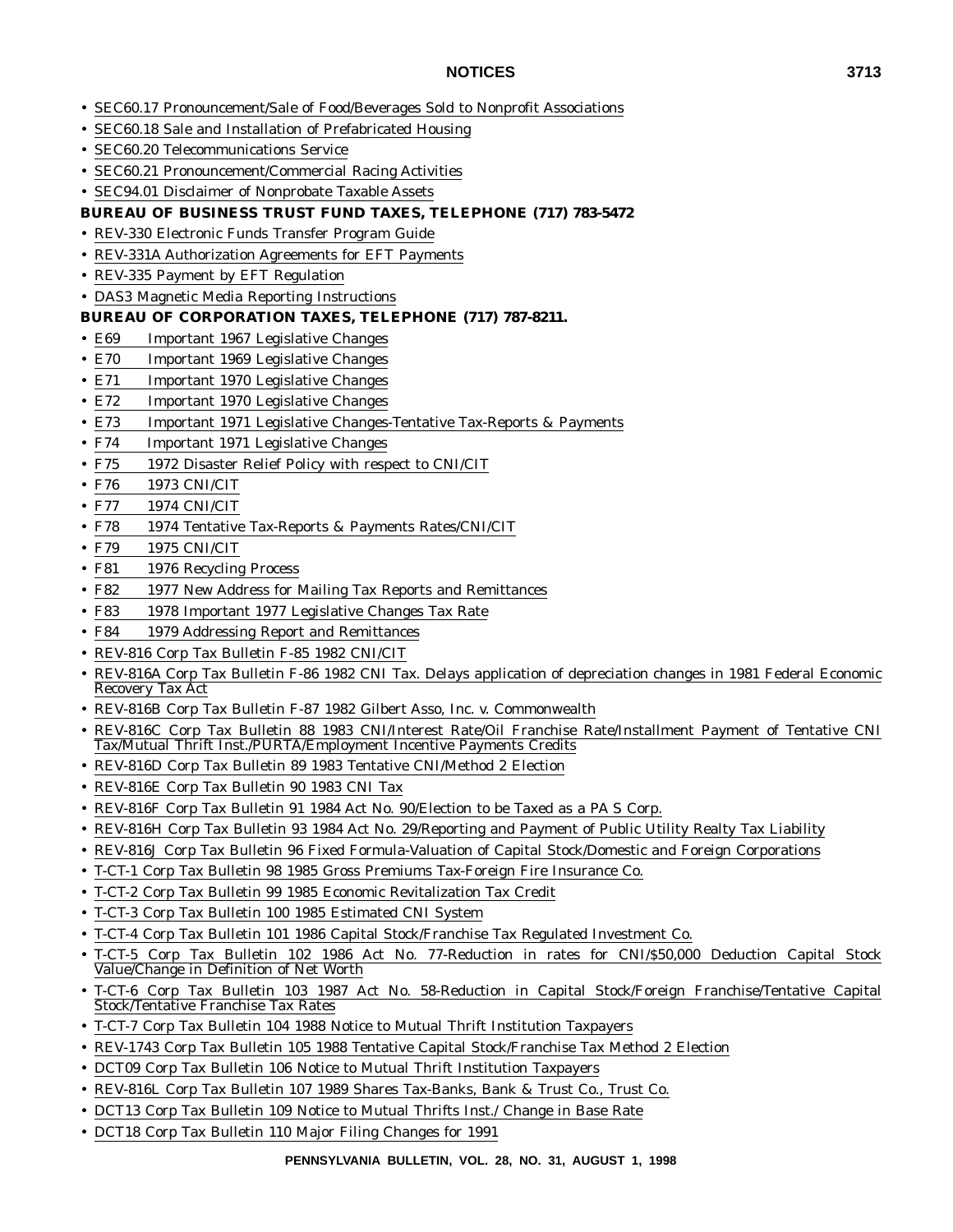- SEC60.17 Pronouncement/Sale of Food/Beverages Sold to Nonprofit Associations
- SEC60.18 Sale and Installation of Prefabricated Housing
- SEC60.20 Telecommunications Service
- SEC60.21 Pronouncement/Commercial Racing Activities
- SEC94.01 Disclaimer of Nonprobate Taxable Assets

## **BUREAU OF BUSINESS TRUST FUND TAXES, TELEPHONE (717) 783-5472**

- REV-330 Electronic Funds Transfer Program Guide
- REV-331A Authorization Agreements for EFT Payments
- REV-335 Payment by EFT Regulation
- DAS3 Magnetic Media Reporting Instructions

## **BUREAU OF CORPORATION TAXES, TELEPHONE (717) 787-8211.**

- E69 Important 1967 Legislative Changes
- E70 Important 1969 Legislative Changes
- E71 Important 1970 Legislative Changes
- E72 Important 1970 Legislative Changes
- E73 Important 1971 Legislative Changes-Tentative Tax-Reports & Payments
- F74 Important 1971 Legislative Changes
- F75 1972 Disaster Relief Policy with respect to CNI/CIT
- F76 1973 CNI/CIT
- F77 1974 CNI/CIT
- F78 1974 Tentative Tax-Reports & Payments Rates/CNI/CIT
- F79 1975 CNI/CIT
- F81 1976 Recycling Process
- F82 1977 New Address for Mailing Tax Reports and Remittances
- F83 1978 Important 1977 Legislative Changes Tax Rate
- F84 1979 Addressing Report and Remittances
- REV-816 Corp Tax Bulletin F-85 1982 CNI/CIT
- REV-816A Corp Tax Bulletin F-86 1982 CNI Tax. Delays application of depreciation changes in 1981 Federal Economic Recovery Tax Act
- REV-816B Corp Tax Bulletin F-87 1982 Gilbert Asso, Inc. v. Commonwealth
- REV-816C Corp Tax Bulletin 88 1983 CNI/Interest Rate/Oil Franchise Rate/Installment Payment of Tentative CNI Tax/Mutual Thrift Inst./PURTA/Employment Incentive Payments Credits
- REV-816D Corp Tax Bulletin 89 1983 Tentative CNI/Method 2 Election
- REV-816E Corp Tax Bulletin 90 1983 CNI Tax
- REV-816F Corp Tax Bulletin 91 1984 Act No. 90/Election to be Taxed as a PA S Corp.
- REV-816H Corp Tax Bulletin 93 1984 Act No. 29/Reporting and Payment of Public Utility Realty Tax Liability
- REV-816J Corp Tax Bulletin 96 Fixed Formula-Valuation of Capital Stock/Domestic and Foreign Corporations
- T-CT-1 Corp Tax Bulletin 98 1985 Gross Premiums Tax-Foreign Fire Insurance Co.
- T-CT-2 Corp Tax Bulletin 99 1985 Economic Revitalization Tax Credit
- T-CT-3 Corp Tax Bulletin 100 1985 Estimated CNI System
- T-CT-4 Corp Tax Bulletin 101 1986 Capital Stock/Franchise Tax Regulated Investment Co.
- T-CT-5 Corp Tax Bulletin 102 1986 Act No. 77-Reduction in rates for CNI/\$50,000 Deduction Capital Stock Value/Change in Definition of Net Worth
- T-CT-6 Corp Tax Bulletin 103 1987 Act No. 58-Reduction in Capital Stock/Foreign Franchise/Tentative Capital Stock/Tentative Franchise Tax Rates
- T-CT-7 Corp Tax Bulletin 104 1988 Notice to Mutual Thrift Institution Taxpayers
- REV-1743 Corp Tax Bulletin 105 1988 Tentative Capital Stock/Franchise Tax Method 2 Election
- DCT09 Corp Tax Bulletin 106 Notice to Mutual Thrift Institution Taxpayers
- REV-816L Corp Tax Bulletin 107 1989 Shares Tax-Banks, Bank & Trust Co., Trust Co.
- DCT13 Corp Tax Bulletin 109 Notice to Mutual Thrifts Inst./ Change in Base Rate
- DCT18 Corp Tax Bulletin 110 Major Filing Changes for 1991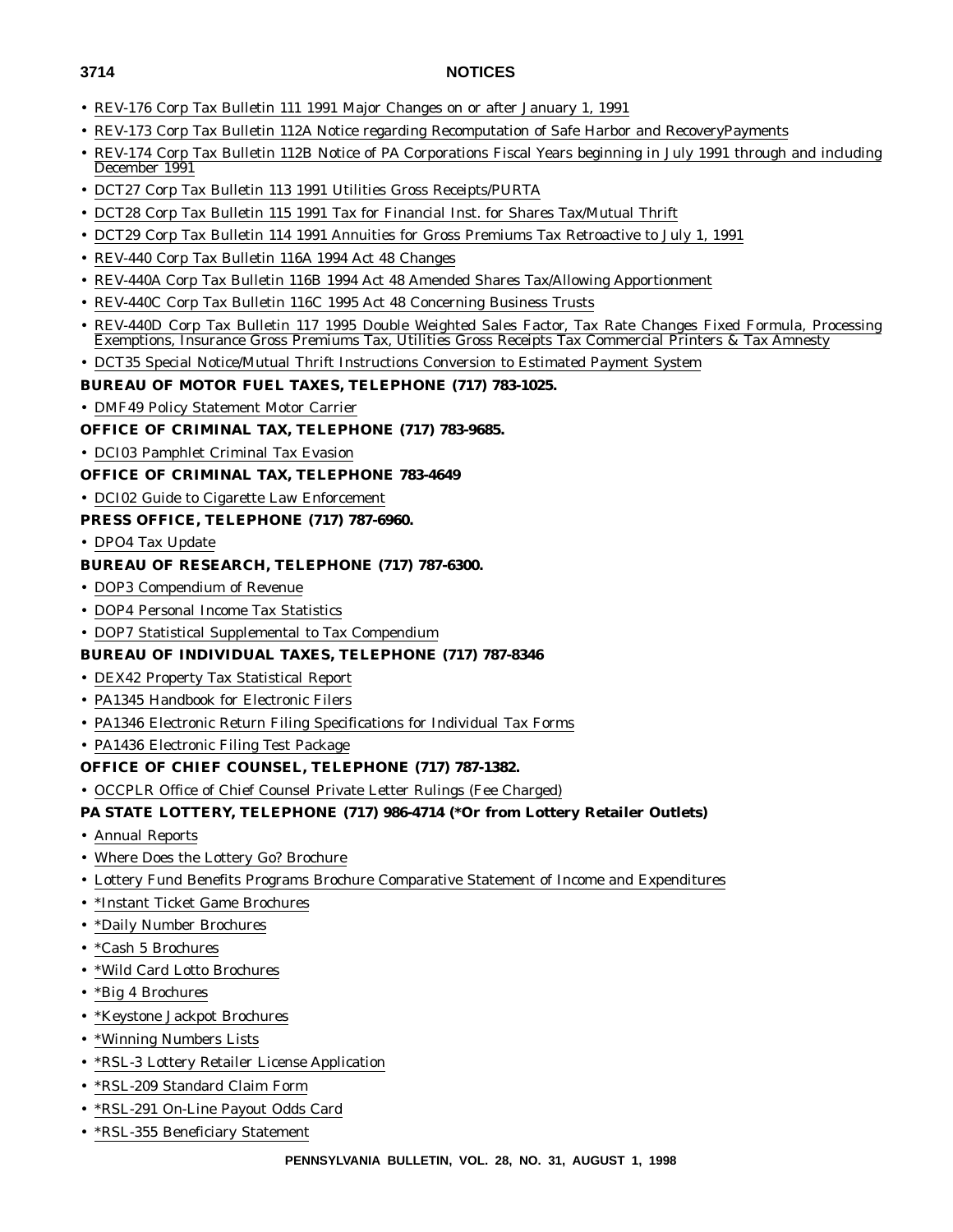- REV-176 Corp Tax Bulletin 111 1991 Major Changes on or after January 1, 1991
- REV-173 Corp Tax Bulletin 112A Notice regarding Recomputation of Safe Harbor and RecoveryPayments
- REV-174 Corp Tax Bulletin 112B Notice of PA Corporations Fiscal Years beginning in July 1991 through and including December 1991
- DCT27 Corp Tax Bulletin 113 1991 Utilities Gross Receipts/PURTA
- DCT28 Corp Tax Bulletin 115 1991 Tax for Financial Inst. for Shares Tax/Mutual Thrift
- DCT29 Corp Tax Bulletin 114 1991 Annuities for Gross Premiums Tax Retroactive to July 1, 1991
- REV-440 Corp Tax Bulletin 116A 1994 Act 48 Changes
- REV-440A Corp Tax Bulletin 116B 1994 Act 48 Amended Shares Tax/Allowing Apportionment
- REV-440C Corp Tax Bulletin 116C 1995 Act 48 Concerning Business Trusts
- REV-440D Corp Tax Bulletin 117 1995 Double Weighted Sales Factor, Tax Rate Changes Fixed Formula, Processing Exemptions, Insurance Gross Premiums Tax, Utilities Gross Receipts Tax Commercial Printers & Tax Amnesty
- DCT35 Special Notice/Mutual Thrift Instructions Conversion to Estimated Payment System

## **BUREAU OF MOTOR FUEL TAXES, TELEPHONE (717) 783-1025.**

- DMF49 Policy Statement Motor Carrier
- **OFFICE OF CRIMINAL TAX, TELEPHONE (717) 783-9685.**
- DCI03 Pamphlet Criminal Tax Evasion

## **OFFICE OF CRIMINAL TAX, TELEPHONE 783-4649**

• DCI02 Guide to Cigarette Law Enforcement

## **PRESS OFFICE, TELEPHONE (717) 787-6960.**

• DPO4 Tax Update

## **BUREAU OF RESEARCH, TELEPHONE (717) 787-6300.**

- DOP3 Compendium of Revenue
- DOP4 Personal Income Tax Statistics
- DOP7 Statistical Supplemental to Tax Compendium

## **BUREAU OF INDIVIDUAL TAXES, TELEPHONE (717) 787-8346**

- DEX42 Property Tax Statistical Report
- PA1345 Handbook for Electronic Filers
- PA1346 Electronic Return Filing Specifications for Individual Tax Forms
- PA1436 Electronic Filing Test Package

## **OFFICE OF CHIEF COUNSEL, TELEPHONE (717) 787-1382.**

## • OCCPLR Office of Chief Counsel Private Letter Rulings (Fee Charged)

## **PA STATE LOTTERY, TELEPHONE (717) 986-4714 (\*Or from Lottery Retailer Outlets)**

- Annual Reports
- Where Does the Lottery Go? Brochure
- Lottery Fund Benefits Programs Brochure Comparative Statement of Income and Expenditures
- \*Instant Ticket Game Brochures
- \*Daily Number Brochures
- \*Cash 5 Brochures
- \*Wild Card Lotto Brochures
- \*Big 4 Brochures
- \*Keystone Jackpot Brochures
- \*Winning Numbers Lists
- \*RSL-3 Lottery Retailer License Application
- \*RSL-209 Standard Claim Form
- \*RSL-291 On-Line Payout Odds Card
- \*RSL-355 Beneficiary Statement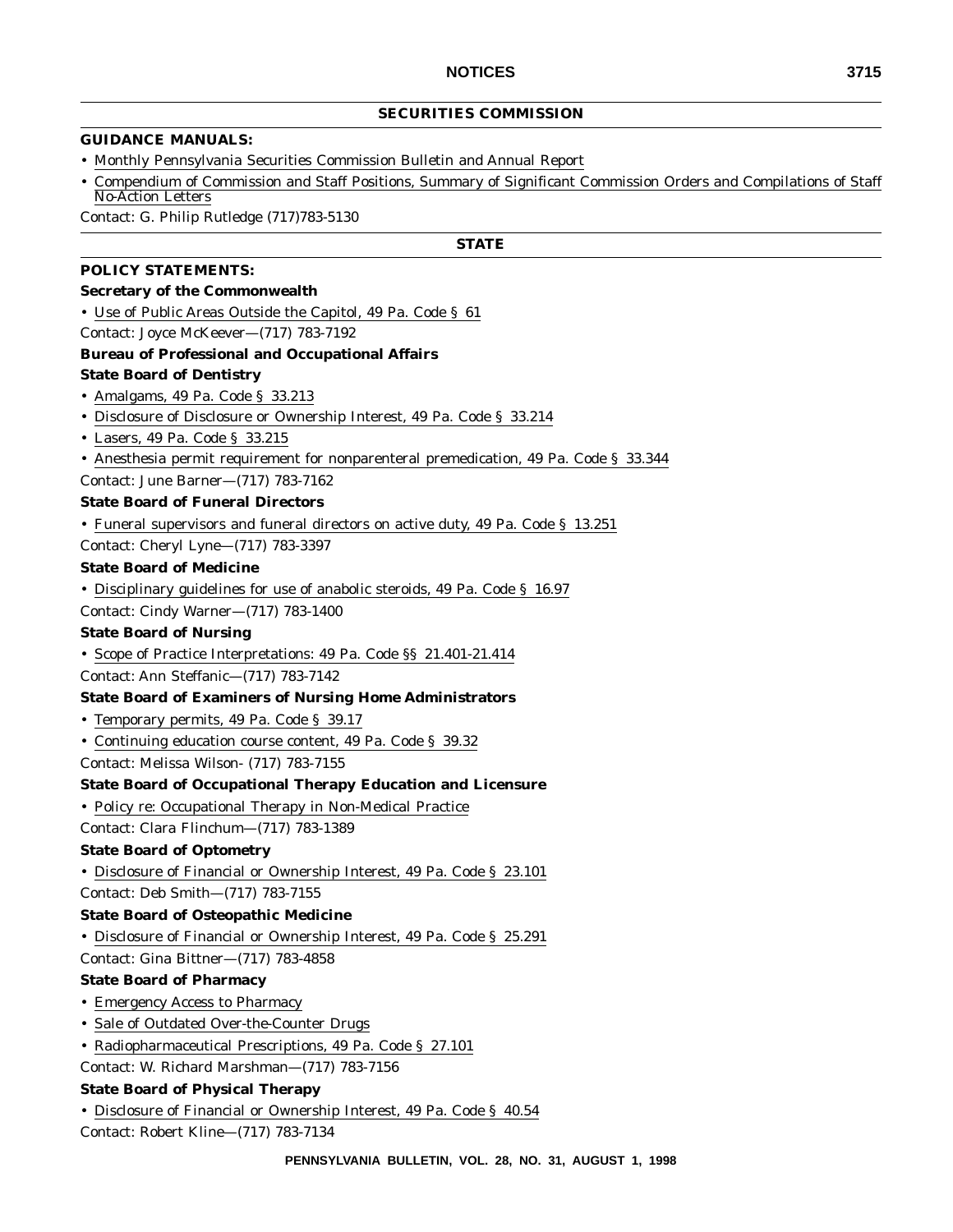## **SECURITIES COMMISSION**

### **GUIDANCE MANUALS:**

- Monthly Pennsylvania Securities Commission Bulletin and Annual Report
- Compendium of Commission and Staff Positions, Summary of Significant Commission Orders and Compilations of Staff No-Action Letters

Contact: G. Philip Rutledge (717)783-5130

## **STATE**

### **POLICY STATEMENTS:**

## **Secretary of the Commonwealth**

- Use of Public Areas Outside the Capitol, 49 Pa. Code § 61
- Contact: Joyce McKeever—(717) 783-7192

## **Bureau of Professional and Occupational Affairs**

#### **State Board of Dentistry**

- Amalgams, 49 Pa. Code § 33.213
- Disclosure of Disclosure or Ownership Interest, 49 Pa. Code § 33.214
- Lasers, 49 Pa. Code § 33.215
- Anesthesia permit requirement for nonparenteral premedication, 49 Pa. Code § 33.344
- Contact: June Barner—(717) 783-7162

#### **State Board of Funeral Directors**

• Funeral supervisors and funeral directors on active duty, 49 Pa. Code § 13.251

Contact: Cheryl Lyne—(717) 783-3397

#### **State Board of Medicine**

• Disciplinary guidelines for use of anabolic steroids, 49 Pa. Code § 16.97

Contact: Cindy Warner—(717) 783-1400

### **State Board of Nursing**

• Scope of Practice Interpretations: 49 Pa. Code §§ 21.401-21.414

Contact: Ann Steffanic—(717) 783-7142

#### **State Board of Examiners of Nursing Home Administrators**

- Temporary permits, 49 Pa. Code § 39.17
- Continuing education course content, 49 Pa. Code § 39.32
- Contact: Melissa Wilson- (717) 783-7155

### **State Board of Occupational Therapy Education and Licensure**

• Policy re: Occupational Therapy in Non-Medical Practice

Contact: Clara Flinchum—(717) 783-1389

## **State Board of Optometry**

• Disclosure of Financial or Ownership Interest, 49 Pa. Code § 23.101

Contact: Deb Smith—(717) 783-7155

#### **State Board of Osteopathic Medicine**

• Disclosure of Financial or Ownership Interest, 49 Pa. Code § 25.291

Contact: Gina Bittner—(717) 783-4858

#### **State Board of Pharmacy**

- Emergency Access to Pharmacy
- Sale of Outdated Over-the-Counter Drugs
- Radiopharmaceutical Prescriptions, 49 Pa. Code § 27.101
- Contact: W. Richard Marshman—(717) 783-7156

#### **State Board of Physical Therapy**

• Disclosure of Financial or Ownership Interest, 49 Pa. Code § 40.54

Contact: Robert Kline—(717) 783-7134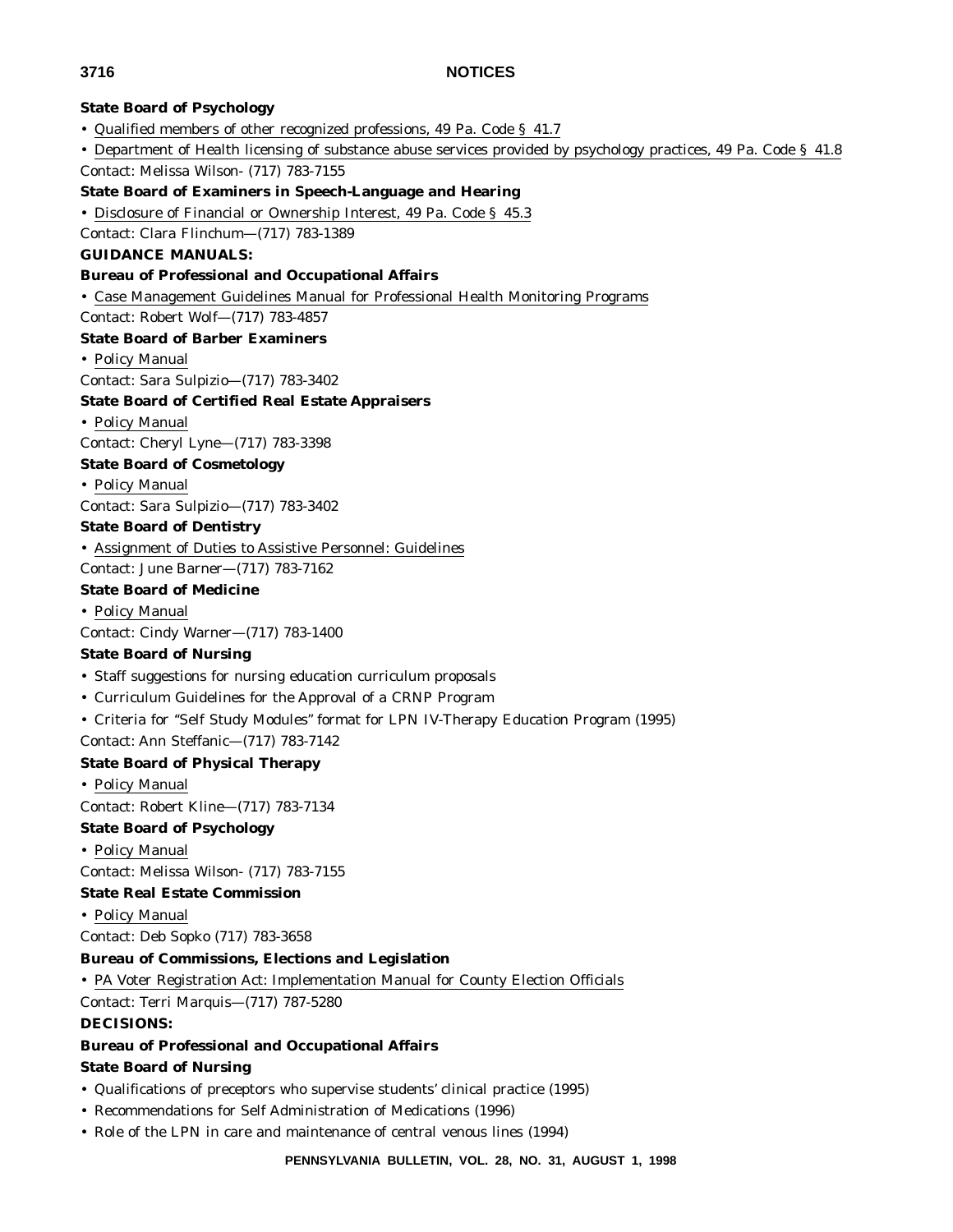## **State Board of Psychology**

- Qualified members of other recognized professions, 49 Pa. Code § 41.7
- Department of Health licensing of substance abuse services provided by psychology practices, 49 Pa. Code § 41.8
- Contact: Melissa Wilson- (717) 783-7155

## **State Board of Examiners in Speech-Language and Hearing**

• Disclosure of Financial or Ownership Interest, 49 Pa. Code § 45.3

Contact: Clara Flinchum—(717) 783-1389

## **GUIDANCE MANUALS:**

## **Bureau of Professional and Occupational Affairs**

• Case Management Guidelines Manual for Professional Health Monitoring Programs

Contact: Robert Wolf—(717) 783-4857

## **State Board of Barber Examiners**

• Policy Manual

Contact: Sara Sulpizio—(717) 783-3402

## **State Board of Certified Real Estate Appraisers**

• Policy Manual

Contact: Cheryl Lyne—(717) 783-3398

## **State Board of Cosmetology**

#### • Policy Manual

Contact: Sara Sulpizio—(717) 783-3402

## **State Board of Dentistry**

• Assignment of Duties to Assistive Personnel: Guidelines

Contact: June Barner—(717) 783-7162

## **State Board of Medicine**

## • Policy Manual

Contact: Cindy Warner—(717) 783-1400

## **State Board of Nursing**

- Staff suggestions for nursing education curriculum proposals
- Curriculum Guidelines for the Approval of a CRNP Program
- Criteria for ''Self Study Modules'' format for LPN IV-Therapy Education Program (1995)

Contact: Ann Steffanic—(717) 783-7142

## **State Board of Physical Therapy**

• Policy Manual

Contact: Robert Kline—(717) 783-7134

## **State Board of Psychology**

• Policy Manual

Contact: Melissa Wilson- (717) 783-7155

## **State Real Estate Commission**

• Policy Manual

Contact: Deb Sopko (717) 783-3658

## **Bureau of Commissions, Elections and Legislation**

• PA Voter Registration Act: Implementation Manual for County Election Officials

Contact: Terri Marquis—(717) 787-5280

## **DECISIONS:**

# **Bureau of Professional and Occupational Affairs**

## **State Board of Nursing**

- Qualifications of preceptors who supervise students' clinical practice (1995)
- Recommendations for Self Administration of Medications (1996)
- Role of the LPN in care and maintenance of central venous lines (1994)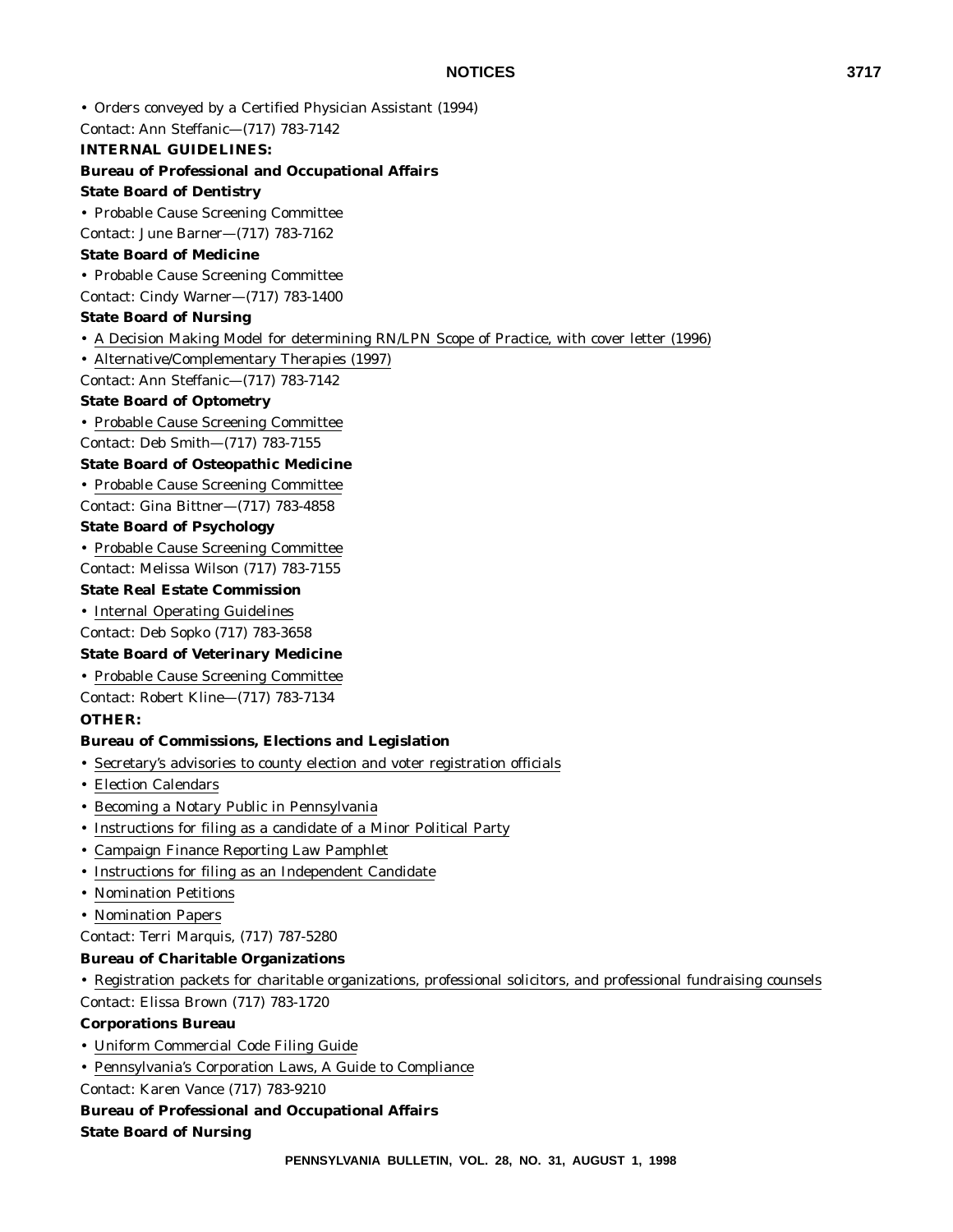• Orders conveyed by a Certified Physician Assistant (1994)

Contact: Ann Steffanic—(717) 783-7142

## **INTERNAL GUIDELINES:**

## **Bureau of Professional and Occupational Affairs**

#### **State Board of Dentistry**

• Probable Cause Screening Committee

Contact: June Barner—(717) 783-7162

### **State Board of Medicine**

• Probable Cause Screening Committee

Contact: Cindy Warner—(717) 783-1400

## **State Board of Nursing**

• A Decision Making Model for determining RN/LPN Scope of Practice, with cover letter (1996)

• Alternative/Complementary Therapies (1997)

Contact: Ann Steffanic—(717) 783-7142

## **State Board of Optometry**

• Probable Cause Screening Committee

Contact: Deb Smith—(717) 783-7155

## **State Board of Osteopathic Medicine**

• Probable Cause Screening Committee

Contact: Gina Bittner—(717) 783-4858

## **State Board of Psychology**

• Probable Cause Screening Committee

Contact: Melissa Wilson (717) 783-7155

## **State Real Estate Commission**

• Internal Operating Guidelines

Contact: Deb Sopko (717) 783-3658

## **State Board of Veterinary Medicine**

• Probable Cause Screening Committee

Contact: Robert Kline—(717) 783-7134

## **OTHER:**

## **Bureau of Commissions, Elections and Legislation**

- Secretary's advisories to county election and voter registration officials
- Election Calendars
- Becoming a Notary Public in Pennsylvania
- Instructions for filing as a candidate of a Minor Political Party
- Campaign Finance Reporting Law Pamphlet
- Instructions for filing as an Independent Candidate
- Nomination Petitions
- Nomination Papers

Contact: Terri Marquis, (717) 787-5280

## **Bureau of Charitable Organizations**

• Registration packets for charitable organizations, professional solicitors, and professional fundraising counsels Contact: Elissa Brown (717) 783-1720

#### **Corporations Bureau**

- Uniform Commercial Code Filing Guide
- Pennsylvania's Corporation Laws, A Guide to Compliance

Contact: Karen Vance (717) 783-9210

#### **Bureau of Professional and Occupational Affairs**

**State Board of Nursing**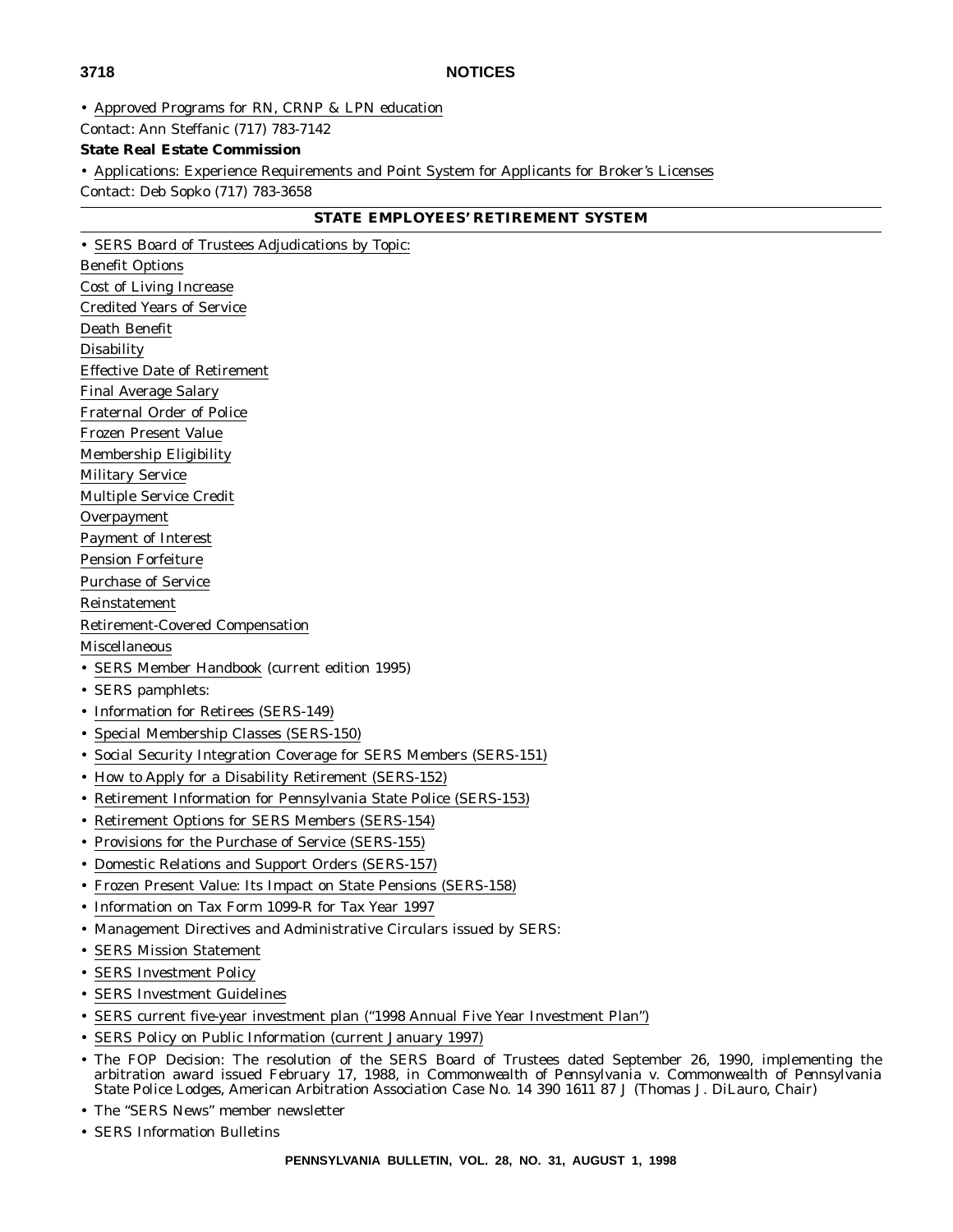• Approved Programs for RN, CRNP & LPN education

Contact: Ann Steffanic (717) 783-7142

## **State Real Estate Commission**

• Applications: Experience Requirements and Point System for Applicants for Broker's Licenses

Contact: Deb Sopko (717) 783-3658

## **STATE EMPLOYEES' RETIREMENT SYSTEM**

• SERS Board of Trustees Adjudications by Topic: Benefit Options Cost of Living Increase Credited Years of Service Death Benefit **Disability** Effective Date of Retirement Final Average Salary Fraternal Order of Police Frozen Present Value Membership Eligibility Military Service Multiple Service Credit Overpayment Payment of Interest Pension Forfeiture Purchase of Service Reinstatement Retirement-Covered Compensation Miscellaneous • SERS Member Handbook (current edition 1995) • SERS pamphlets: • Information for Retirees (SERS-149) • Special Membership Classes (SERS-150) • Social Security Integration Coverage for SERS Members (SERS-151) • How to Apply for a Disability Retirement (SERS-152) • Retirement Information for Pennsylvania State Police (SERS-153) • Retirement Options for SERS Members (SERS-154) • Provisions for the Purchase of Service (SERS-155) • Domestic Relations and Support Orders (SERS-157) • Frozen Present Value: Its Impact on State Pensions (SERS-158) • Information on Tax Form 1099-R for Tax Year 1997 • Management Directives and Administrative Circulars issued by SERS: • SERS Mission Statement • SERS Investment Policy • SERS Investment Guidelines • SERS current five-year investment plan ("1998 Annual Five Year Investment Plan")

- SERS Policy on Public Information (current January 1997)
- The FOP Decision: The resolution of the SERS Board of Trustees dated September 26, 1990, implementing the arbitration award issued February 17, 1988, in *Commonwealth of Pennsylvania v. Commonwealth of Pennsylvania State Police Lodges*, American Arbitration Association Case No. 14 390 1611 87 J (Thomas J. DiLauro, Chair)
- The "SERS News" member newsletter
- SERS Information Bulletins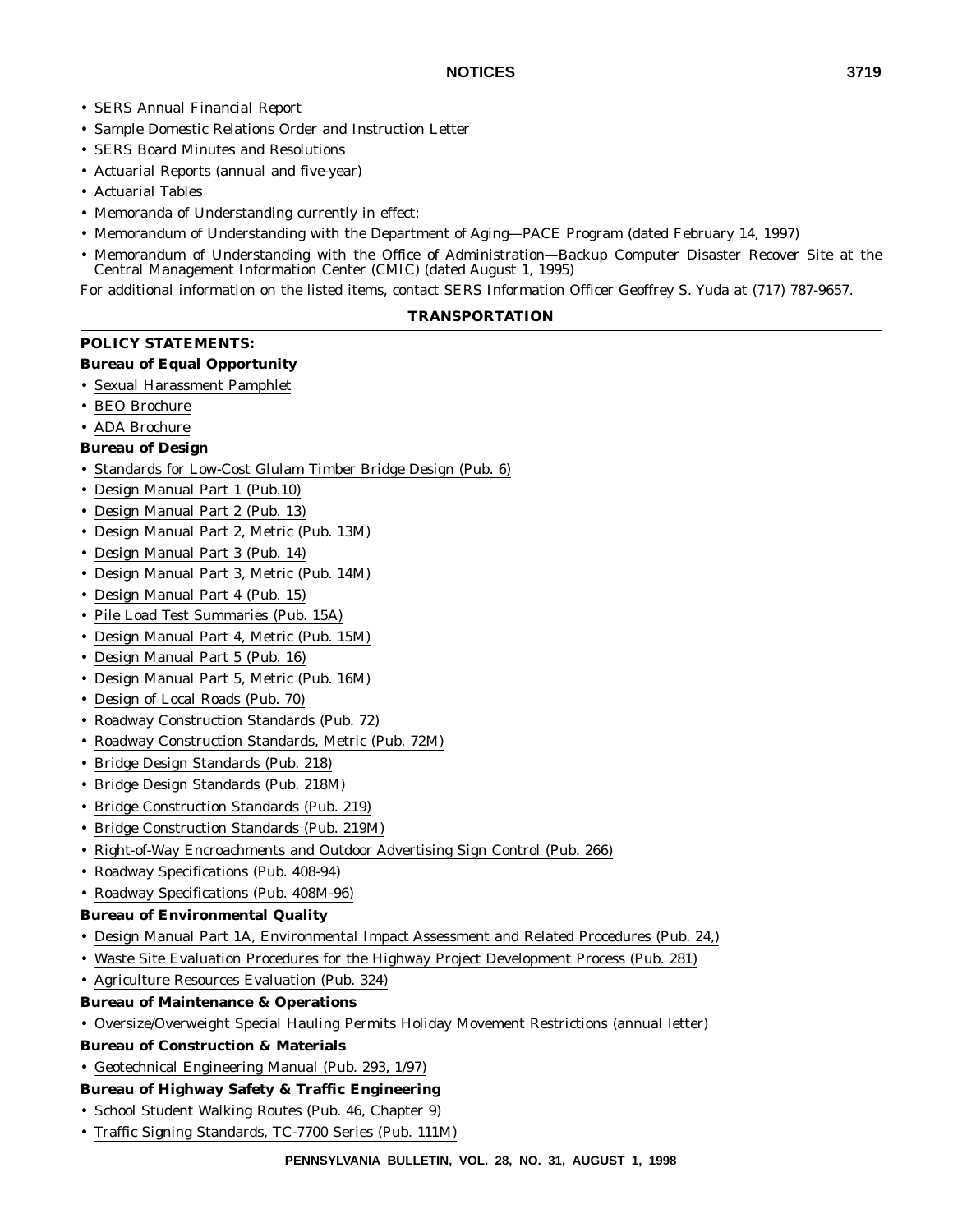- SERS *Annual Financial Report*
- Sample Domestic Relations Order and Instruction Letter
- SERS Board Minutes and Resolutions
- Actuarial Reports (annual and five-year)
- Actuarial Tables
- Memoranda of Understanding currently in effect:
- Memorandum of Understanding with the Department of Aging—PACE Program (dated February 14, 1997)
- Memorandum of Understanding with the Office of Administration—Backup Computer Disaster Recover Site at the Central Management Information Center (CMIC) (dated August 1, 1995)

For additional information on the listed items, contact SERS Information Officer Geoffrey S. Yuda at (717) 787-9657.

#### **TRANSPORTATION**

## **POLICY STATEMENTS:**

#### **Bureau of Equal Opportunity**

- Sexual Harassment Pamphlet
- BEO Brochure
- ADA Brochure

## **Bureau of Design**

- Standards for Low-Cost Glulam Timber Bridge Design (Pub. 6)
- Design Manual Part 1 (Pub.10)
- Design Manual Part 2 (Pub. 13)
- Design Manual Part 2, Metric (Pub. 13M)
- Design Manual Part 3 (Pub. 14)
- Design Manual Part 3, Metric (Pub. 14M)
- Design Manual Part 4 (Pub. 15)
- Pile Load Test Summaries (Pub. 15A)
- Design Manual Part 4, Metric (Pub. 15M)
- Design Manual Part 5 (Pub. 16)
- Design Manual Part 5, Metric (Pub. 16M)
- Design of Local Roads (Pub. 70)
- Roadway Construction Standards (Pub. 72)
- Roadway Construction Standards, Metric (Pub. 72M)
- Bridge Design Standards (Pub. 218)
- Bridge Design Standards (Pub. 218M)
- Bridge Construction Standards (Pub. 219)
- Bridge Construction Standards (Pub. 219M)
- Right-of-Way Encroachments and Outdoor Advertising Sign Control (Pub. 266)
- Roadway Specifications (Pub. 408-94)
- Roadway Specifications (Pub. 408M-96)

## **Bureau of Environmental Quality**

- Design Manual Part 1A, Environmental Impact Assessment and Related Procedures (Pub. 24,)
- Waste Site Evaluation Procedures for the Highway Project Development Process (Pub. 281)
- Agriculture Resources Evaluation (Pub. 324)
- **Bureau of Maintenance & Operations**
- Oversize/Overweight Special Hauling Permits Holiday Movement Restrictions (annual letter)
- **Bureau of Construction & Materials**
- Geotechnical Engineering Manual (Pub. 293, 1/97)

## **Bureau of Highway Safety & Traffic Engineering**

- School Student Walking Routes (Pub. 46, Chapter 9)
- Traffic Signing Standards, TC-7700 Series (Pub. 111M)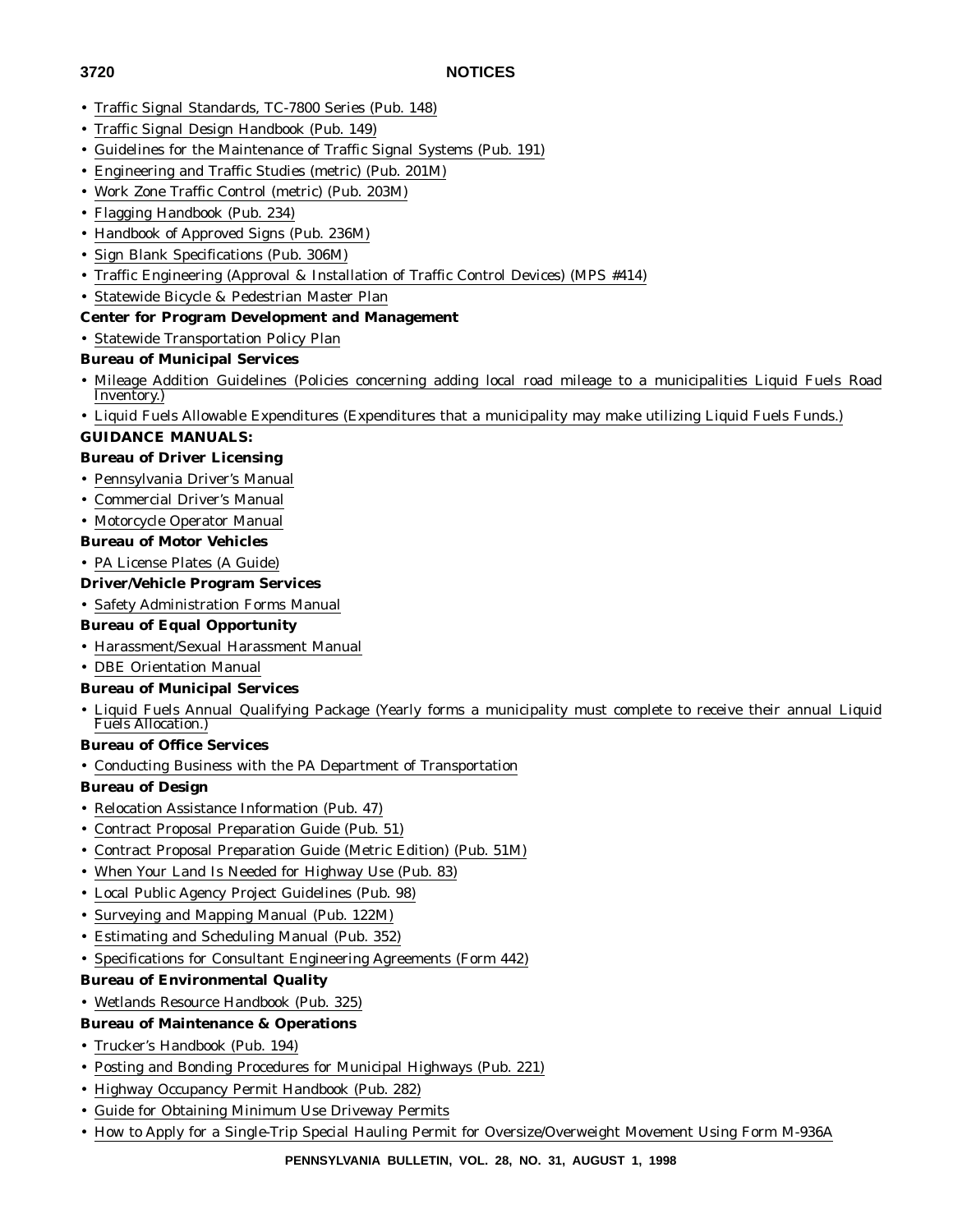- Traffic Signal Standards, TC-7800 Series (Pub. 148)
- Traffic Signal Design Handbook (Pub. 149)
- Guidelines for the Maintenance of Traffic Signal Systems (Pub. 191)
- Engineering and Traffic Studies (metric) (Pub. 201M)
- Work Zone Traffic Control (metric) (Pub. 203M)
- Flagging Handbook (Pub. 234)
- Handbook of Approved Signs (Pub. 236M)
- Sign Blank Specifications (Pub. 306M)
- Traffic Engineering (Approval & Installation of Traffic Control Devices) (MPS #414)
- Statewide Bicycle & Pedestrian Master Plan

# **Center for Program Development and Management**

• Statewide Transportation Policy Plan

# **Bureau of Municipal Services**

- Mileage Addition Guidelines (Policies concerning adding local road mileage to a municipalities Liquid Fuels Road Inventory.)
- Liquid Fuels Allowable Expenditures (Expenditures that a municipality may make utilizing Liquid Fuels Funds.)

# **GUIDANCE MANUALS:**

# **Bureau of Driver Licensing**

- Pennsylvania Driver's Manual
- Commercial Driver's Manual
- Motorcycle Operator Manual

# **Bureau of Motor Vehicles**

- PA License Plates (A Guide)
- **Driver/Vehicle Program Services**
- Safety Administration Forms Manual

# **Bureau of Equal Opportunity**

- Harassment/Sexual Harassment Manual
- DBE Orientation Manual
- **Bureau of Municipal Services**
- Liquid Fuels Annual Qualifying Package (Yearly forms a municipality must complete to receive their annual Liquid Fuels Allocation.)

# **Bureau of Office Services**

• Conducting Business with the PA Department of Transportation

# **Bureau of Design**

- Relocation Assistance Information (Pub. 47)
- Contract Proposal Preparation Guide (Pub. 51)
- Contract Proposal Preparation Guide (Metric Edition) (Pub. 51M)
- When Your Land Is Needed for Highway Use (Pub. 83)
- Local Public Agency Project Guidelines (Pub. 98)
- Surveying and Mapping Manual (Pub. 122M)
- Estimating and Scheduling Manual (Pub. 352)
- Specifications for Consultant Engineering Agreements (Form 442)

# **Bureau of Environmental Quality**

• Wetlands Resource Handbook (Pub. 325)

# **Bureau of Maintenance & Operations**

- Trucker's Handbook (Pub. 194)
- Posting and Bonding Procedures for Municipal Highways (Pub. 221)
- Highway Occupancy Permit Handbook (Pub. 282)
- Guide for Obtaining Minimum Use Driveway Permits
- How to Apply for a Single-Trip Special Hauling Permit for Oversize/Overweight Movement Using Form M-936A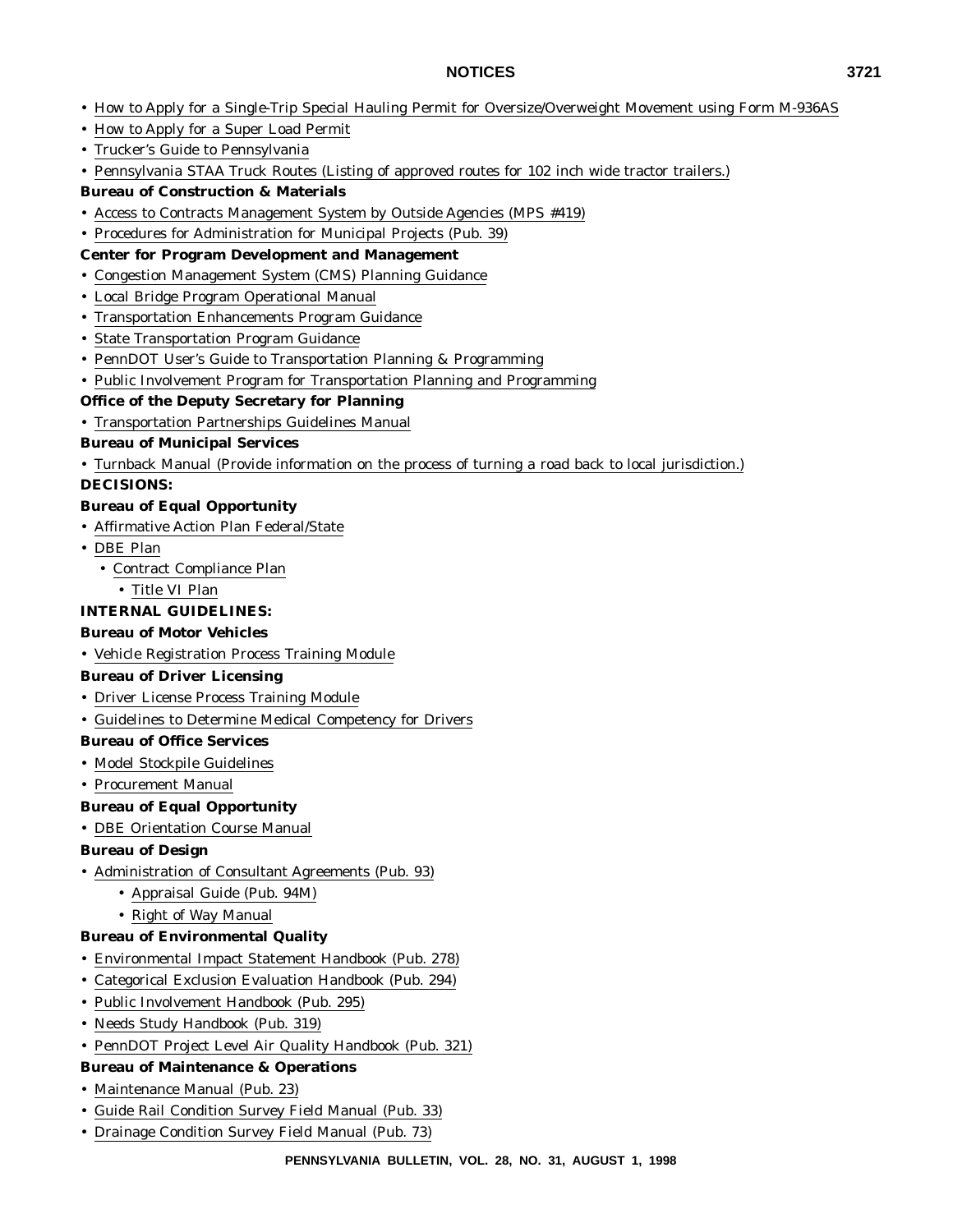# **NOTICES 3721**

- How to Apply for a Single-Trip Special Hauling Permit for Oversize/Overweight Movement using Form M-936AS
- How to Apply for a Super Load Permit
- Trucker's Guide to Pennsylvania
- Pennsylvania STAA Truck Routes (Listing of approved routes for 102 inch wide tractor trailers.)

# **Bureau of Construction & Materials**

- Access to Contracts Management System by Outside Agencies (MPS #419)
- Procedures for Administration for Municipal Projects (Pub. 39)

## **Center for Program Development and Management**

- Congestion Management System (CMS) Planning Guidance
- Local Bridge Program Operational Manual
- Transportation Enhancements Program Guidance
- State Transportation Program Guidance
- PennDOT User's Guide to Transportation Planning & Programming
- Public Involvement Program for Transportation Planning and Programming

# **Office of the Deputy Secretary for Planning**

• Transportation Partnerships Guidelines Manual

# **Bureau of Municipal Services**

• Turnback Manual (Provide information on the process of turning a road back to local jurisdiction.)

## **DECISIONS:**

# **Bureau of Equal Opportunity**

- Affirmative Action Plan Federal/State
- DBE Plan
	- Contract Compliance Plan
		- Title VI Plan

# **INTERNAL GUIDELINES:**

# **Bureau of Motor Vehicles**

• Vehicle Registration Process Training Module

## **Bureau of Driver Licensing**

- Driver License Process Training Module
- Guidelines to Determine Medical Competency for Drivers

## **Bureau of Office Services**

- Model Stockpile Guidelines
- Procurement Manual

# **Bureau of Equal Opportunity**

• DBE Orientation Course Manual

## **Bureau of Design**

- Administration of Consultant Agreements (Pub. 93)
	- Appraisal Guide (Pub. 94M)
	- Right of Way Manual

# **Bureau of Environmental Quality**

- Environmental Impact Statement Handbook (Pub. 278)
- Categorical Exclusion Evaluation Handbook (Pub. 294)
- Public Involvement Handbook (Pub. 295)
- Needs Study Handbook (Pub. 319)
- PennDOT Project Level Air Quality Handbook (Pub. 321)

# **Bureau of Maintenance & Operations**

- Maintenance Manual (Pub. 23)
- Guide Rail Condition Survey Field Manual (Pub. 33)
- Drainage Condition Survey Field Manual (Pub. 73)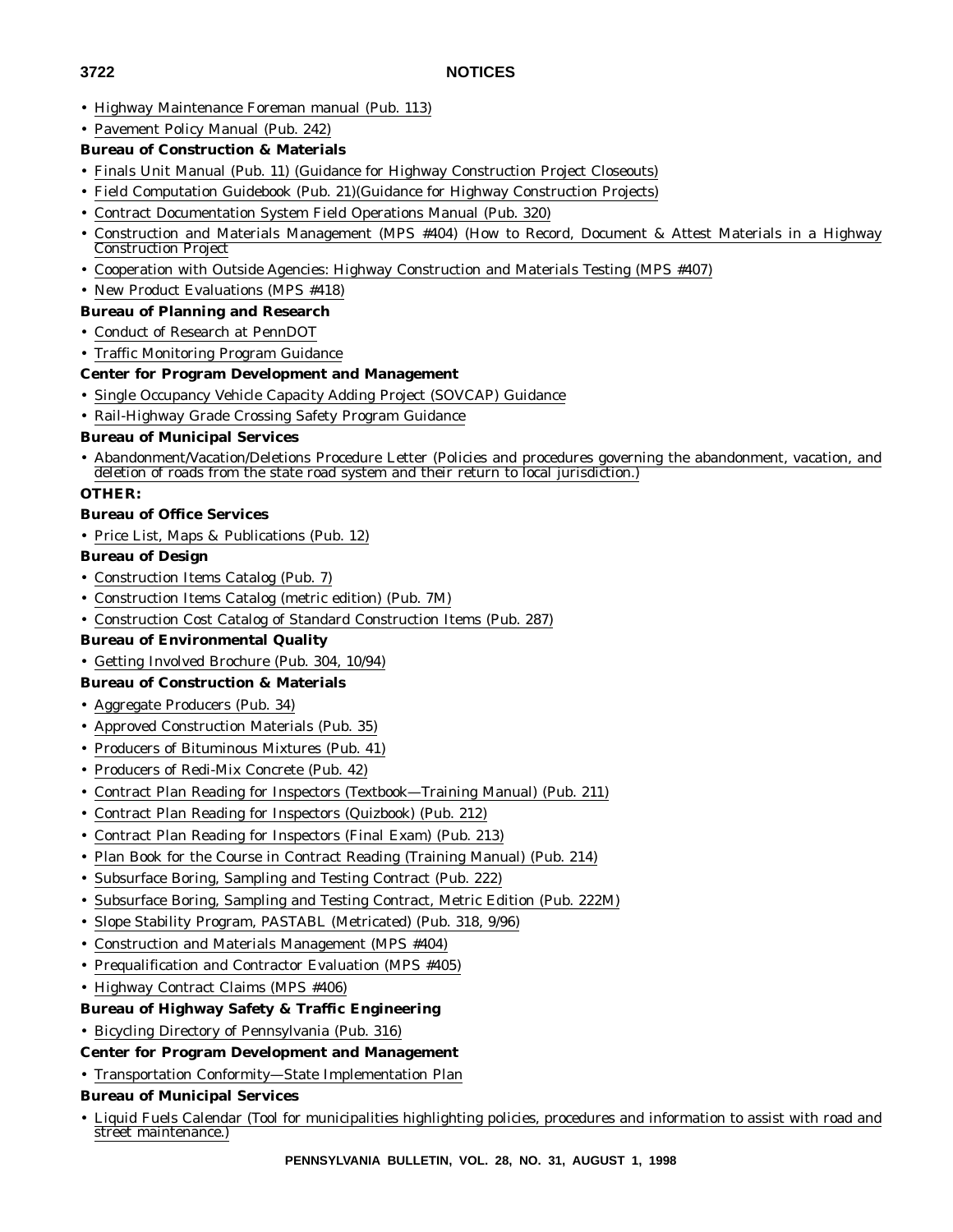# **3722 NOTICES**

- Highway Maintenance Foreman manual (Pub. 113)
- Pavement Policy Manual (Pub. 242)
- **Bureau of Construction & Materials**
- Finals Unit Manual (Pub. 11) (Guidance for Highway Construction Project Closeouts)
- Field Computation Guidebook (Pub. 21)(Guidance for Highway Construction Projects)
- Contract Documentation System Field Operations Manual (Pub. 320)
- Construction and Materials Management (MPS #404) (How to Record, Document & Attest Materials in a Highway Construction Project
- Cooperation with Outside Agencies: Highway Construction and Materials Testing (MPS #407)
- New Product Evaluations (MPS #418)
- **Bureau of Planning and Research**
- Conduct of Research at PennDOT
- Traffic Monitoring Program Guidance

# **Center for Program Development and Management**

- Single Occupancy Vehicle Capacity Adding Project (SOVCAP) Guidance
- Rail-Highway Grade Crossing Safety Program Guidance

## **Bureau of Municipal Services**

• Abandonment/Vacation/Deletions Procedure Letter (Policies and procedures governing the abandonment, vacation, and deletion of roads from the state road system and their return to local jurisdiction.)

## **OTHER:**

- **Bureau of Office Services**
- Price List, Maps & Publications (Pub. 12)

# **Bureau of Design**

- Construction Items Catalog (Pub. 7)
- Construction Items Catalog (metric edition) (Pub. 7M)
- Construction Cost Catalog of Standard Construction Items (Pub. 287)
- **Bureau of Environmental Quality**
- Getting Involved Brochure (Pub. 304, 10/94)

# **Bureau of Construction & Materials**

- Aggregate Producers (Pub. 34)
- Approved Construction Materials (Pub. 35)
- Producers of Bituminous Mixtures (Pub. 41)
- Producers of Redi-Mix Concrete (Pub. 42)
- Contract Plan Reading for Inspectors (Textbook—Training Manual) (Pub. 211)
- Contract Plan Reading for Inspectors (Quizbook) (Pub. 212)
- Contract Plan Reading for Inspectors (Final Exam) (Pub. 213)
- Plan Book for the Course in Contract Reading (Training Manual) (Pub. 214)
- Subsurface Boring, Sampling and Testing Contract (Pub. 222)
- Subsurface Boring, Sampling and Testing Contract, Metric Edition (Pub. 222M)
- Slope Stability Program, PASTABL (Metricated) (Pub. 318, 9/96)
- Construction and Materials Management (MPS #404)
- Prequalification and Contractor Evaluation (MPS #405)
- Highway Contract Claims (MPS #406)

# **Bureau of Highway Safety & Traffic Engineering**

- Bicycling Directory of Pennsylvania (Pub. 316)
- **Center for Program Development and Management**
- Transportation Conformity—State Implementation Plan

## **Bureau of Municipal Services**

• Liquid Fuels Calendar (Tool for municipalities highlighting policies, procedures and information to assist with road and street maintenance.)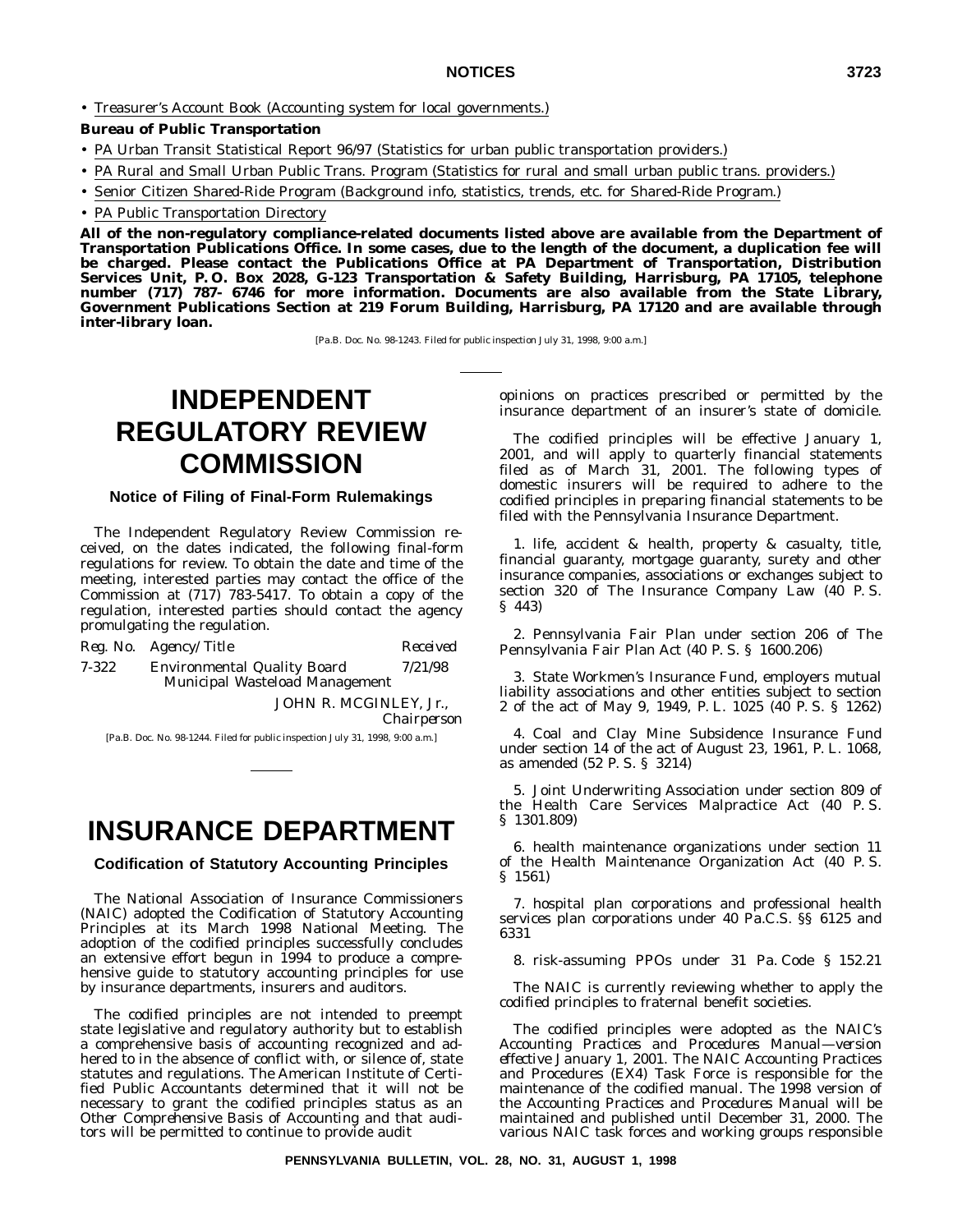### **NOTICES 3723**

• Treasurer's Account Book (Accounting system for local governments.)

### **Bureau of Public Transportation**

- PA Urban Transit Statistical Report 96/97 (Statistics for urban public transportation providers.)
- PA Rural and Small Urban Public Trans. Program (Statistics for rural and small urban public trans. providers.)
- Senior Citizen Shared-Ride Program (Background info, statistics, trends, etc. for Shared-Ride Program.)
- PA Public Transportation Directory

**All of the non-regulatory compliance-related documents listed above are available from the Department of Transportation Publications Office. In some cases, due to the length of the document, a duplication fee will be charged. Please contact the Publications Office at PA Department of Transportation, Distribution Services Unit, P. O. Box 2028, G-123 Transportation & Safety Building, Harrisburg, PA 17105, telephone number (717) 787- 6746 for more information. Documents are also available from the State Library, Government Publications Section at 219 Forum Building, Harrisburg, PA 17120 and are available through inter-library loan.**

[Pa.B. Doc. No. 98-1243. Filed for public inspection July 31, 1998, 9:00 a.m.]

# **INDEPENDENT REGULATORY REVIEW COMMISSION**

### **Notice of Filing of Final-Form Rulemakings**

The Independent Regulatory Review Commission received, on the dates indicated, the following final-form regulations for review. To obtain the date and time of the meeting, interested parties may contact the office of the Commission at (717) 783-5417. To obtain a copy of the regulation, interested parties should contact the agency promulgating the regulation.

|       | Reg. No. Agency/Title                                                | Received |
|-------|----------------------------------------------------------------------|----------|
| 7-322 | <b>Environmental Quality Board</b><br>Municipal Wasteload Management | 7/21/98  |
|       | JOHN R. MCGINLEY, Jr.,                                               |          |

*Chairperson*

[Pa.B. Doc. No. 98-1244. Filed for public inspection July 31, 1998, 9:00 a.m.]

# **INSURANCE DEPARTMENT**

**Codification of Statutory Accounting Principles**

The National Association of Insurance Commissioners (NAIC) adopted the Codification of Statutory Accounting Principles at its March 1998 National Meeting. The adoption of the codified principles successfully concludes an extensive effort begun in 1994 to produce a comprehensive guide to statutory accounting principles for use by insurance departments, insurers and auditors.

The codified principles are not intended to preempt state legislative and regulatory authority but to establish a comprehensive basis of accounting recognized and adhered to in the absence of conflict with, or silence of, state statutes and regulations. The American Institute of Certified Public Accountants determined that it will not be necessary to grant the codified principles status as an *Other Comprehensive Basis of Accounting* and that auditors will be permitted to continue to provide audit

opinions on practices prescribed or permitted by the insurance department of an insurer's state of domicile.

The codified principles will be effective January 1, 2001, and will apply to quarterly financial statements filed as of March 31, 2001. The following types of domestic insurers will be required to adhere to the codified principles in preparing financial statements to be filed with the Pennsylvania Insurance Department.

1. life, accident & health, property & casualty, title, financial guaranty, mortgage guaranty, surety and other insurance companies, associations or exchanges subject to section 320 of The Insurance Company Law (40 P. S. § 443)

2. Pennsylvania Fair Plan under section 206 of The Pennsylvania Fair Plan Act (40 P. S. § 1600.206)

3. State Workmen's Insurance Fund, employers mutual liability associations and other entities subject to section 2 of the act of May 9, 1949, P. L. 1025 (40 P. S. § 1262)

4. Coal and Clay Mine Subsidence Insurance Fund under section 14 of the act of August 23, 1961, P. L. 1068, as amended (52 P. S. § 3214)

5. Joint Underwriting Association under section 809 of the Health Care Services Malpractice Act (40 P. S. § 1301.809)

6. health maintenance organizations under section 11 of the Health Maintenance Organization Act (40 P. S. § 1561)

7. hospital plan corporations and professional health services plan corporations under 40 Pa.C.S. §§ 6125 and 6331

8. risk-assuming PPOs under 31 Pa. Code § 152.21

The NAIC is currently reviewing whether to apply the codified principles to fraternal benefit societies.

The codified principles were adopted as the NAIC's *Accounting Practices and Procedures Manual—version effective January 1, 2001.* The NAIC Accounting Practices and Procedures (EX4) Task Force is responsible for the maintenance of the codified manual. The 1998 version of the *Accounting Practices and Procedures Manual* will be maintained and published until December 31, 2000. The various NAIC task forces and working groups responsible

**PENNSYLVANIA BULLETIN, VOL. 28, NO. 31, AUGUST 1, 1998**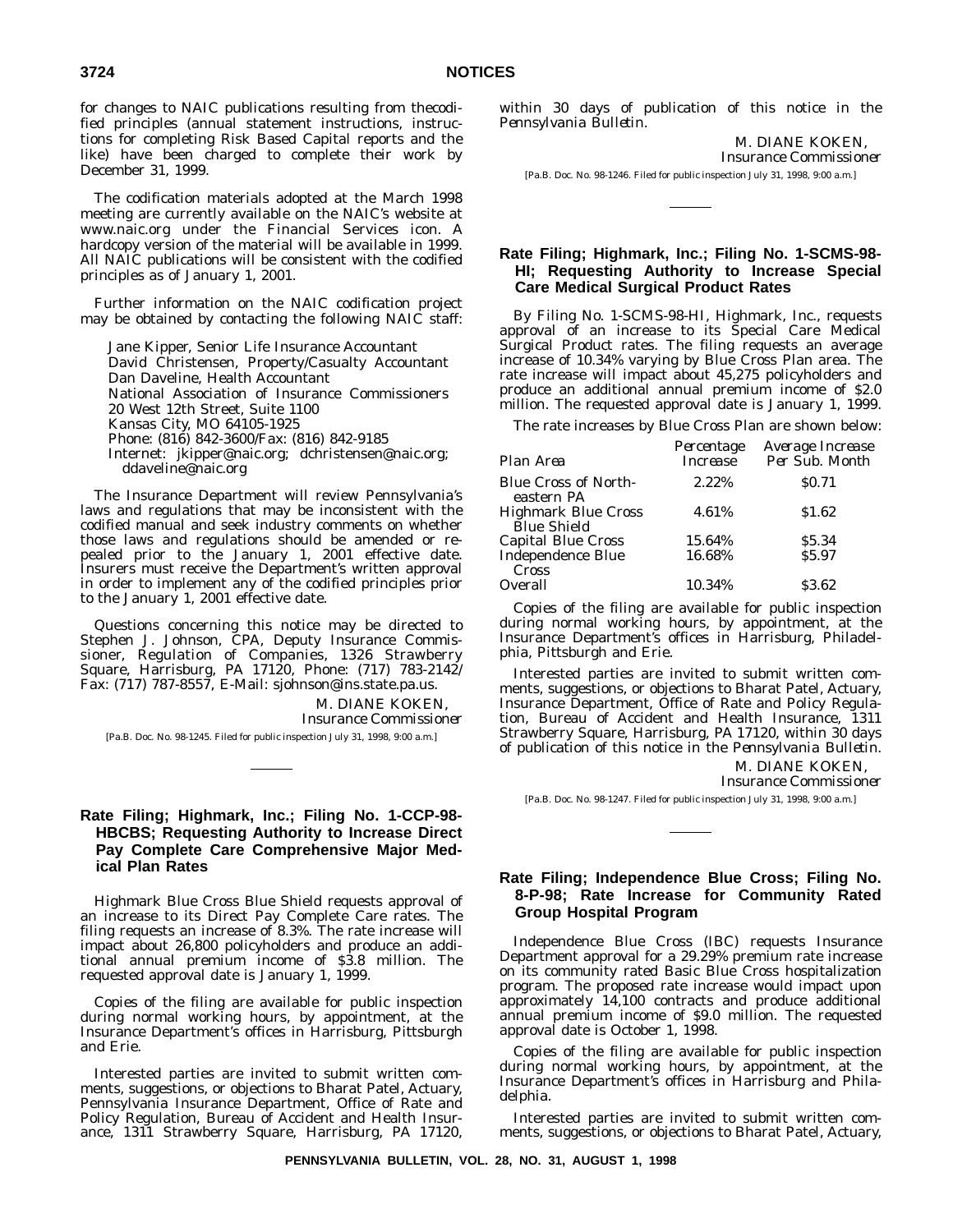for changes to NAIC publications resulting from thecodified principles (annual statement instructions, instructions for completing Risk Based Capital reports and the like) have been charged to complete their work by December 31, 1999.

The codification materials adopted at the March 1998 meeting are currently available on the NAIC's website at www.naic.org under the Financial Services icon. A hardcopy version of the material will be available in 1999. All NAIC publications will be consistent with the codified principles as of January 1, 2001.

Further information on the NAIC codification project may be obtained by contacting the following NAIC staff:

Jane Kipper, Senior Life Insurance Accountant David Christensen, Property/Casualty Accountant Dan Daveline, Health Accountant National Association of Insurance Commissioners 20 West 12th Street, Suite 1100 Kansas City, MO 64105-1925 Phone: (816) 842-3600/Fax: (816) 842-9185 Internet: jkipper@naic.org; dchristensen@naic.org; ddaveline@naic.org

The Insurance Department will review Pennsylvania's laws and regulations that may be inconsistent with the codified manual and seek industry comments on whether those laws and regulations should be amended or repealed prior to the January 1, 2001 effective date. Insurers must receive the Department's written approval in order to implement any of the codified principles prior to the January 1, 2001 effective date.

Questions concerning this notice may be directed to Stephen J. Johnson, CPA, Deputy Insurance Commissioner, Regulation of Companies, 1326 Strawberry Square, Harrisburg, PA 17120, Phone: (717) 783-2142/ Fax: (717) 787-8557, E-Mail: sjohnson@ins.state.pa.us.

M. DIANE KOKEN,

*Insurance Commissioner*

[Pa.B. Doc. No. 98-1245. Filed for public inspection July 31, 1998, 9:00 a.m.]

### **Rate Filing; Highmark, Inc.; Filing No. 1-CCP-98- HBCBS; Requesting Authority to Increase Direct Pay Complete Care Comprehensive Major Medical Plan Rates**

Highmark Blue Cross Blue Shield requests approval of an increase to its Direct Pay Complete Care rates. The filing requests an increase of 8.3%. The rate increase will impact about 26,800 policyholders and produce an additional annual premium income of \$3.8 million. The requested approval date is January 1, 1999.

Copies of the filing are available for public inspection during normal working hours, by appointment, at the Insurance Department's offices in Harrisburg, Pittsburgh and Erie.

Interested parties are invited to submit written comments, suggestions, or objections to Bharat Patel, Actuary, Pennsylvania Insurance Department, Office of Rate and Policy Regulation, Bureau of Accident and Health Insurance, 1311 Strawberry Square, Harrisburg, PA 17120, within 30 days of publication of this notice in the *Pennsylvania Bulletin*.

M. DIANE KOKEN,

*Insurance Commissioner*

[Pa.B. Doc. No. 98-1246. Filed for public inspection July 31, 1998, 9:00 a.m.]

### **Rate Filing; Highmark, Inc.; Filing No. 1-SCMS-98- HI; Requesting Authority to Increase Special Care Medical Surgical Product Rates**

By Filing No. 1-SCMS-98-HI, Highmark, Inc., requests approval of an increase to its Special Care Medical Surgical Product rates. The filing requests an average increase of 10.34% varying by Blue Cross Plan area. The rate increase will impact about 45,275 policyholders and produce an additional annual premium income of \$2.0 million. The requested approval date is January 1, 1999.

The rate increases by Blue Cross Plan are shown below:

| Plan Area                                        | Percentage<br><i>Increase</i> | Average Increase<br>Per Sub. Month |
|--------------------------------------------------|-------------------------------|------------------------------------|
| <b>Blue Cross of North-</b><br>eastern PA        | 2.22%                         | <b>SO.71</b>                       |
| <b>Highmark Blue Cross</b><br><b>Blue Shield</b> | 4.61%                         | \$1.62                             |
| <b>Capital Blue Cross</b>                        | 15.64%                        | \$5.34                             |
| Independence Blue<br>Cross                       | 16.68%                        | <b>S5.97</b>                       |
| Overall                                          | 10.34%                        | \$3.62                             |

Copies of the filing are available for public inspection during normal working hours, by appointment, at the Insurance Department's offices in Harrisburg, Philadelphia, Pittsburgh and Erie.

Interested parties are invited to submit written comments, suggestions, or objections to Bharat Patel, Actuary, Insurance Department, Office of Rate and Policy Regulation, Bureau of Accident and Health Insurance, 1311 Strawberry Square, Harrisburg, PA 17120, within 30 days of publication of this notice in the *Pennsylvania Bulletin*.

> M. DIANE KOKEN, *Insurance Commissioner*

[Pa.B. Doc. No. 98-1247. Filed for public inspection July 31, 1998, 9:00 a.m.]

### **Rate Filing; Independence Blue Cross; Filing No. 8-P-98; Rate Increase for Community Rated Group Hospital Program**

Independence Blue Cross (IBC) requests Insurance Department approval for a 29.29% premium rate increase on its community rated Basic Blue Cross hospitalization program. The proposed rate increase would impact upon approximately 14,100 contracts and produce additional annual premium income of \$9.0 million. The requested approval date is October 1, 1998.

Copies of the filing are available for public inspection during normal working hours, by appointment, at the Insurance Department's offices in Harrisburg and Philadelphia.

Interested parties are invited to submit written comments, suggestions, or objections to Bharat Patel, Actuary,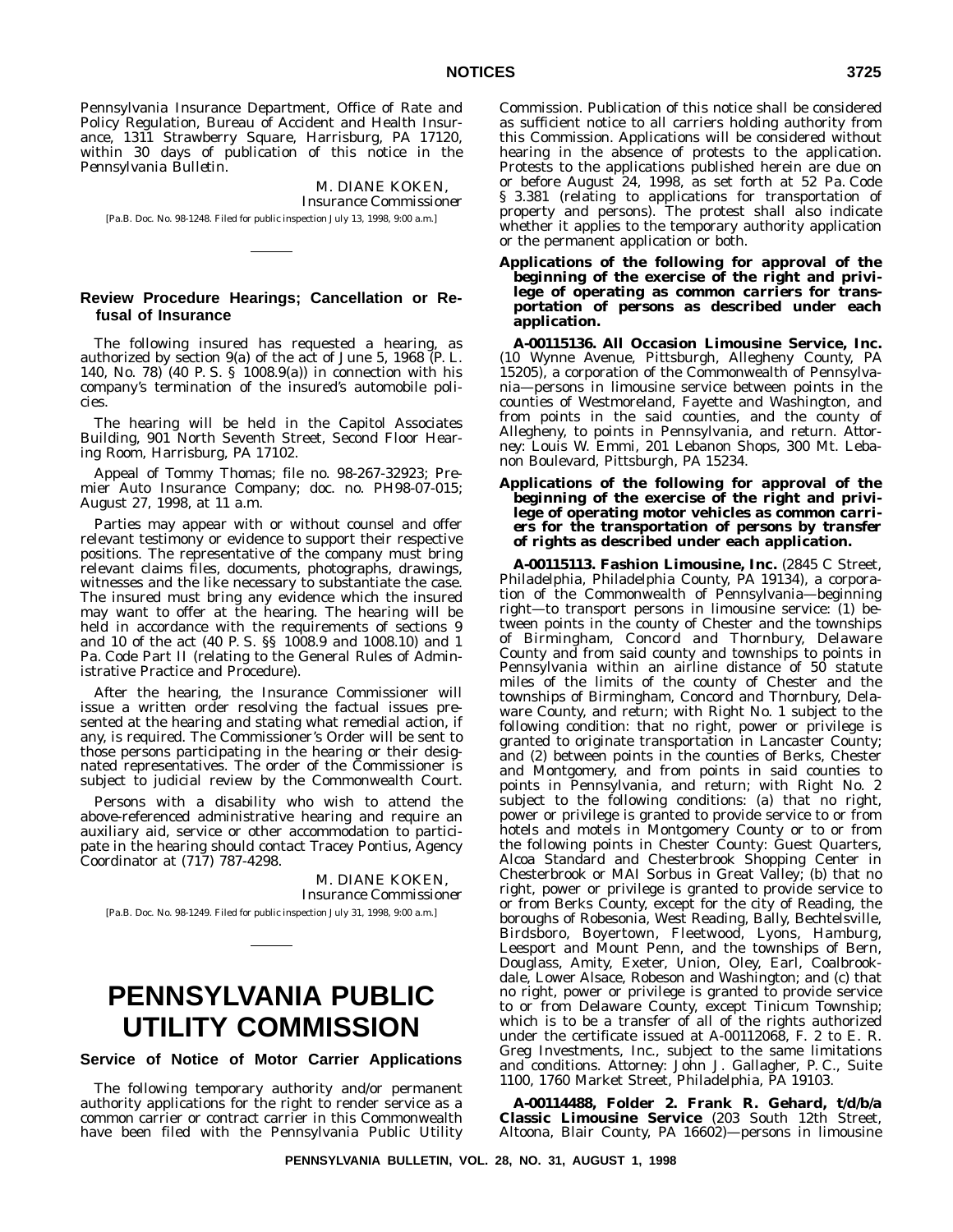Pennsylvania Insurance Department, Office of Rate and Policy Regulation, Bureau of Accident and Health Insurance, 1311 Strawberry Square, Harrisburg, PA 17120, within 30 days of publication of this notice in the *Pennsylvania Bulletin*.

M. DIANE KOKEN, *Insurance Commissioner* [Pa.B. Doc. No. 98-1248. Filed for public inspection July 13, 1998, 9:00 a.m.]

### **Review Procedure Hearings; Cancellation or Refusal of Insurance**

The following insured has requested a hearing, as authorized by section 9(a) of the act of June 5, 1968 (P. L. 140, No. 78) (40 P. S. § 1008.9(a)) in connection with his company's termination of the insured's automobile policies.

The hearing will be held in the Capitol Associates Building, 901 North Seventh Street, Second Floor Hearing Room, Harrisburg, PA 17102.

Appeal of Tommy Thomas; file no. 98-267-32923; Premier Auto Insurance Company; doc. no. PH98-07-015; August 27, 1998, at 11 a.m.

Parties may appear with or without counsel and offer relevant testimony or evidence to support their respective positions. The representative of the company must bring relevant claims files, documents, photographs, drawings, witnesses and the like necessary to substantiate the case. The insured must bring any evidence which the insured may want to offer at the hearing. The hearing will be held in accordance with the requirements of sections 9 and 10 of the act (40 P. S. §§ 1008.9 and 1008.10) and 1 Pa. Code Part II (relating to the General Rules of Administrative Practice and Procedure).

After the hearing, the Insurance Commissioner will issue a written order resolving the factual issues presented at the hearing and stating what remedial action, if any, is required. The Commissioner's Order will be sent to those persons participating in the hearing or their designated representatives. The order of the Commissioner is subject to judicial review by the Commonwealth Court.

Persons with a disability who wish to attend the above-referenced administrative hearing and require an auxiliary aid, service or other accommodation to participate in the hearing should contact Tracey Pontius, Agency Coordinator at (717) 787-4298.

> M. DIANE KOKEN, *Insurance Commissioner*

[Pa.B. Doc. No. 98-1249. Filed for public inspection July 31, 1998, 9:00 a.m.]

# **PENNSYLVANIA PUBLIC UTILITY COMMISSION**

**Service of Notice of Motor Carrier Applications**

The following temporary authority and/or permanent authority applications for the right to render service as a common carrier or contract carrier in this Commonwealth have been filed with the Pennsylvania Public Utility

Commission. Publication of this notice shall be considered as sufficient notice to all carriers holding authority from this Commission. Applications will be considered without hearing in the absence of protests to the application. Protests to the applications published herein are due on or before August 24, 1998, as set forth at 52 Pa. Code § 3.381 (relating to applications for transportation of property and persons). The protest shall also indicate whether it applies to the temporary authority application or the permanent application or both.

**Applications of the following for approval of the** *beginning* **of the exercise of the right and privilege of operating as** *common carriers* **for transportation of** *persons* **as described under each application.**

**A-00115136. All Occasion Limousine Service, Inc.** (10 Wynne Avenue, Pittsburgh, Allegheny County, PA 15205), a corporation of the Commonwealth of Pennsylvania—persons in limousine service between points in the counties of Westmoreland, Fayette and Washington, and from points in the said counties, and the county of Allegheny, to points in Pennsylvania, and return. *Attorney*: Louis W. Emmi, 201 Lebanon Shops, 300 Mt. Lebanon Boulevard, Pittsburgh, PA 15234.

**Applications of the following for approval of the** *beginning* **of the exercise of the right and privilege of operating motor vehicles as** *common carriers* **for the transportation of** *persons* **by** *transfer of rights* **as described under each application.**

**A-00115113. Fashion Limousine, Inc.** (2845 C Street, Philadelphia, Philadelphia County, PA 19134), a corporation of the Commonwealth of Pennsylvania—beginning right—to transport persons in limousine service: (1) between points in the county of Chester and the townships of Birmingham, Concord and Thornbury, Delaware County and from said county and townships to points in Pennsylvania within an airline distance of 50 statute miles of the limits of the county of Chester and the townships of Birmingham, Concord and Thornbury, Delaware County, and return; with Right No. 1 subject to the following condition: that no right, power or privilege is granted to originate transportation in Lancaster County; and (2) between points in the counties of Berks, Chester and Montgomery, and from points in said counties to points in Pennsylvania, and return; with Right No. 2 subject to the following conditions: (a) that no right, power or privilege is granted to provide service to or from hotels and motels in Montgomery County or to or from the following points in Chester County: Guest Quarters, Alcoa Standard and Chesterbrook Shopping Center in Chesterbrook or MAI Sorbus in Great Valley; (b) that no right, power or privilege is granted to provide service to or from Berks County, except for the city of Reading, the boroughs of Robesonia, West Reading, Bally, Bechtelsville, Birdsboro, Boyertown, Fleetwood, Lyons, Hamburg, Leesport and Mount Penn, and the townships of Bern, Douglass, Amity, Exeter, Union, Oley, Earl, Coalbrookdale, Lower Alsace, Robeson and Washington; and (c) that no right, power or privilege is granted to provide service to or from Delaware County, except Tinicum Township; which is to be a transfer of all of the rights authorized under the certificate issued at A-00112068, F. 2 to E. R. Greg Investments, Inc., subject to the same limitations and conditions. *Attorney*: John J. Gallagher, P. C., Suite 1100, 1760 Market Street, Philadelphia, PA 19103.

**A-00114488, Folder 2. Frank R. Gehard, t/d/b/a Classic Limousine Service** (203 South 12th Street, Altoona, Blair County, PA 16602)—persons in limousine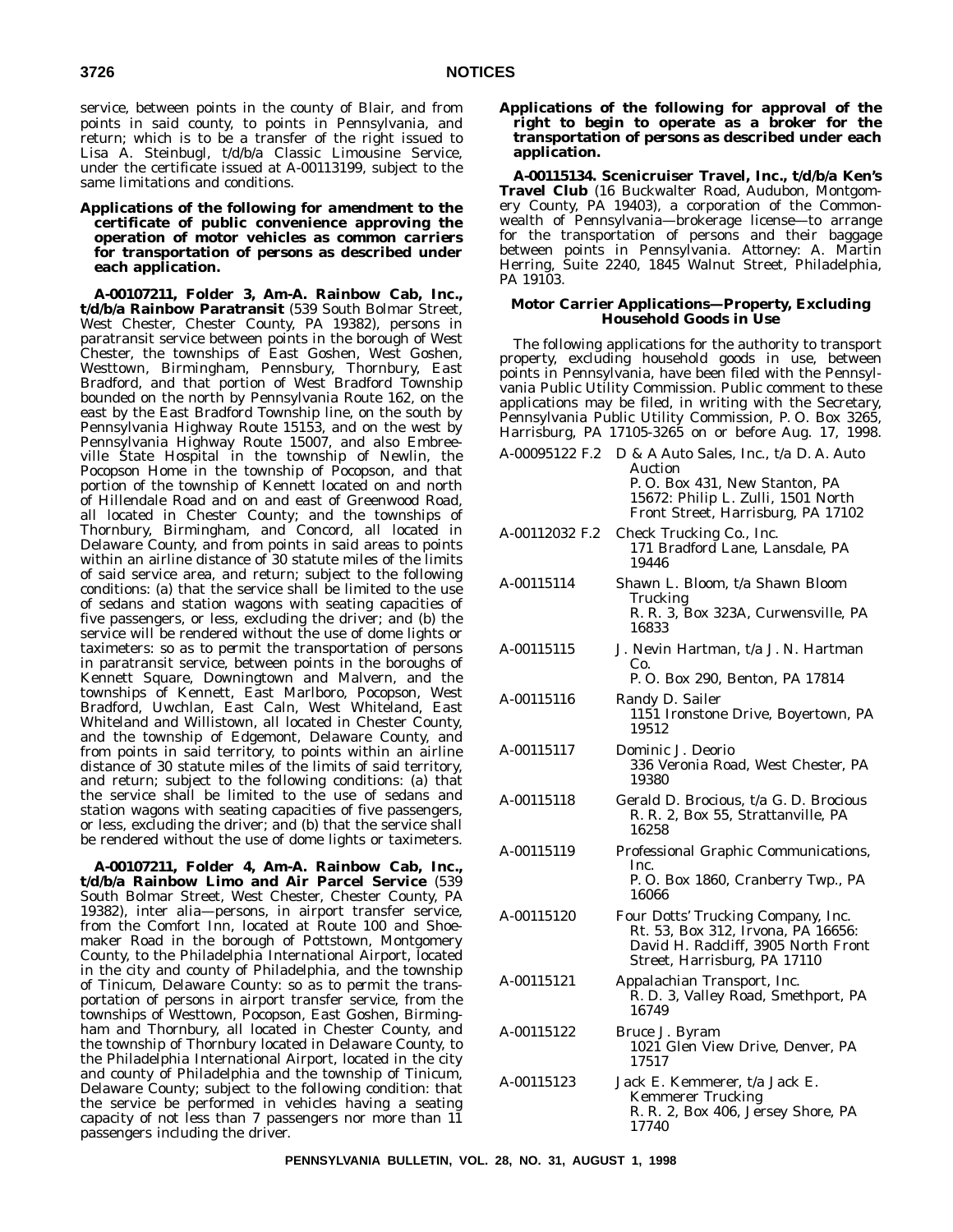service, between points in the county of Blair, and from points in said county, to points in Pennsylvania, and return; which is to be a transfer of the right issued to Lisa A. Steinbugl, t/d/b/a Classic Limousine Service, under the certificate issued at A-00113199, subject to the same limitations and conditions.

**Applications of the following for** *amendment* **to the certificate of public convenience approving the operation of motor vehicles as** *common carriers* **for transportation of** *persons* **as described under each application.**

**A-00107211, Folder 3, Am-A. Rainbow Cab, Inc., t/d/b/a Rainbow Paratransit** (539 South Bolmar Street, West Chester, Chester County, PA 19382), persons in paratransit service between points in the borough of West Chester, the townships of East Goshen, West Goshen, Westtown, Birmingham, Pennsbury, Thornbury, East Bradford, and that portion of West Bradford Township bounded on the north by Pennsylvania Route 162, on the east by the East Bradford Township line, on the south by Pennsylvania Highway Route 15153, and on the west by Pennsylvania Highway Route 15007, and also Embreeville State Hospital in the township of Newlin, the Pocopson Home in the township of Pocopson, and that portion of the township of Kennett located on and north of Hillendale Road and on and east of Greenwood Road, all located in Chester County; and the townships of Thornbury, Birmingham, and Concord, all located in Delaware County, and from points in said areas to points within an airline distance of 30 statute miles of the limits of said service area, and return; subject to the following conditions: (a) that the service shall be limited to the use of sedans and station wagons with seating capacities of five passengers, or less, excluding the driver; and (b) the service will be rendered without the use of dome lights or taximeters: *so as to permit* the transportation of persons in paratransit service, between points in the boroughs of Kennett Square, Downingtown and Malvern, and the townships of Kennett, East Marlboro, Pocopson, West Bradford, Uwchlan, East Caln, West Whiteland, East Whiteland and Willistown, all located in Chester County, and the township of Edgemont, Delaware County, and from points in said territory, to points within an airline distance of 30 statute miles of the limits of said territory, and return; subject to the following conditions: (a) that the service shall be limited to the use of sedans and station wagons with seating capacities of five passengers, or less, excluding the driver; and (b) that the service shall be rendered without the use of dome lights or taximeters.

**A-00107211, Folder 4, Am-A. Rainbow Cab, Inc., t/d/b/a Rainbow Limo and Air Parcel Service** (539 South Bolmar Street, West Chester, Chester County, PA 19382), inter alia—persons, in airport transfer service, from the Comfort Inn, located at Route 100 and Shoemaker Road in the borough of Pottstown, Montgomery County, to the Philadelphia International Airport, located in the city and county of Philadelphia, and the township of Tinicum, Delaware County: *so as to permit* the transportation of persons in airport transfer service, from the townships of Westtown, Pocopson, East Goshen, Birmingham and Thornbury, all located in Chester County, and the township of Thornbury located in Delaware County, to the Philadelphia International Airport, located in the city and county of Philadelphia and the township of Tinicum, Delaware County; subject to the following condition: that the service be performed in vehicles having a seating capacity of not less than 7 passengers nor more than 11 passengers including the driver.

### **Applications of the following for approval of the right to** *begin* **to operate as a** *broker* **for the transportation of** *persons* **as described under each application.**

**A-00115134. Scenicruiser Travel, Inc., t/d/b/a Ken's Travel Club** (16 Buckwalter Road, Audubon, Montgomery County, PA 19403), a corporation of the Commonwealth of Pennsylvania—brokerage license—to arrange for the transportation of persons and their baggage between points in Pennsylvania. *Attorney*: A. Martin Herring, Suite 2240, 1845 Walnut Street, Philadelphia, PA 19103.

### **Motor Carrier Applications—Property, Excluding Household Goods in Use**

The following applications for the authority to transport property, excluding household goods in use, between points in Pennsylvania, have been filed with the Pennsylvania Public Utility Commission. Public comment to these applications may be filed, in writing with the Secretary, Pennsylvania Public Utility Commission, P. O. Box 3265, Harrisburg, PA 17105-3265 on or before Aug. 17, 1998.

| A-00095122 F.2 | D & A Auto Sales, Inc., t/a D. A. Auto<br>Auction<br>P.O. Box 431, New Stanton, PA<br>15672: Philip L. Zulli, 1501 North<br>Front Street, Harrisburg, PA 17102 |
|----------------|----------------------------------------------------------------------------------------------------------------------------------------------------------------|
| A-00112032 F.2 | Check Trucking Co., Inc.<br>171 Bradford Lane, Lansdale, PA<br>19446                                                                                           |
| A-00115114     | Shawn L. Bloom, t/a Shawn Bloom<br>Trucking<br>R. R. 3, Box 323A, Curwensville, PA<br>16833                                                                    |
| A-00115115     | J. Nevin Hartman, t/a J. N. Hartman<br>Co.<br>P.O. Box 290, Benton, PA 17814                                                                                   |
| A-00115116     | Randy D. Sailer<br>1151 Ironstone Drive, Boyertown, PA<br>19512                                                                                                |
| A-00115117     | Dominic J. Deorio<br>336 Veronia Road, West Chester, PA<br>19380                                                                                               |
| A-00115118     | Gerald D. Brocious, t/a G. D. Brocious<br>R. R. 2, Box 55, Strattanville, PA<br>16258                                                                          |
| A-00115119     | Professional Graphic Communications,<br>Inc.<br>P.O. Box 1860, Cranberry Twp., PA<br>16066                                                                     |
| A-00115120     | Four Dotts' Trucking Company, Inc.<br>Rt. 53, Box 312, Irvona, PA 16656:<br>David H. Radcliff, 3905 North Front<br>Street, Harrisburg, PA 17110                |
| A-00115121     | Appalachian Transport, Inc.<br>R. D. 3, Valley Road, Smethport, PA<br>16749                                                                                    |
| A-00115122     | Bruce J. Byram<br>1021 Glen View Drive, Denver, PA<br>17517                                                                                                    |
| A-00115123     | Jack E. Kemmerer, t/a Jack E.<br><b>Kemmerer Trucking</b><br>R. R. 2, Box 406, Jersey Shore, PA<br>17740                                                       |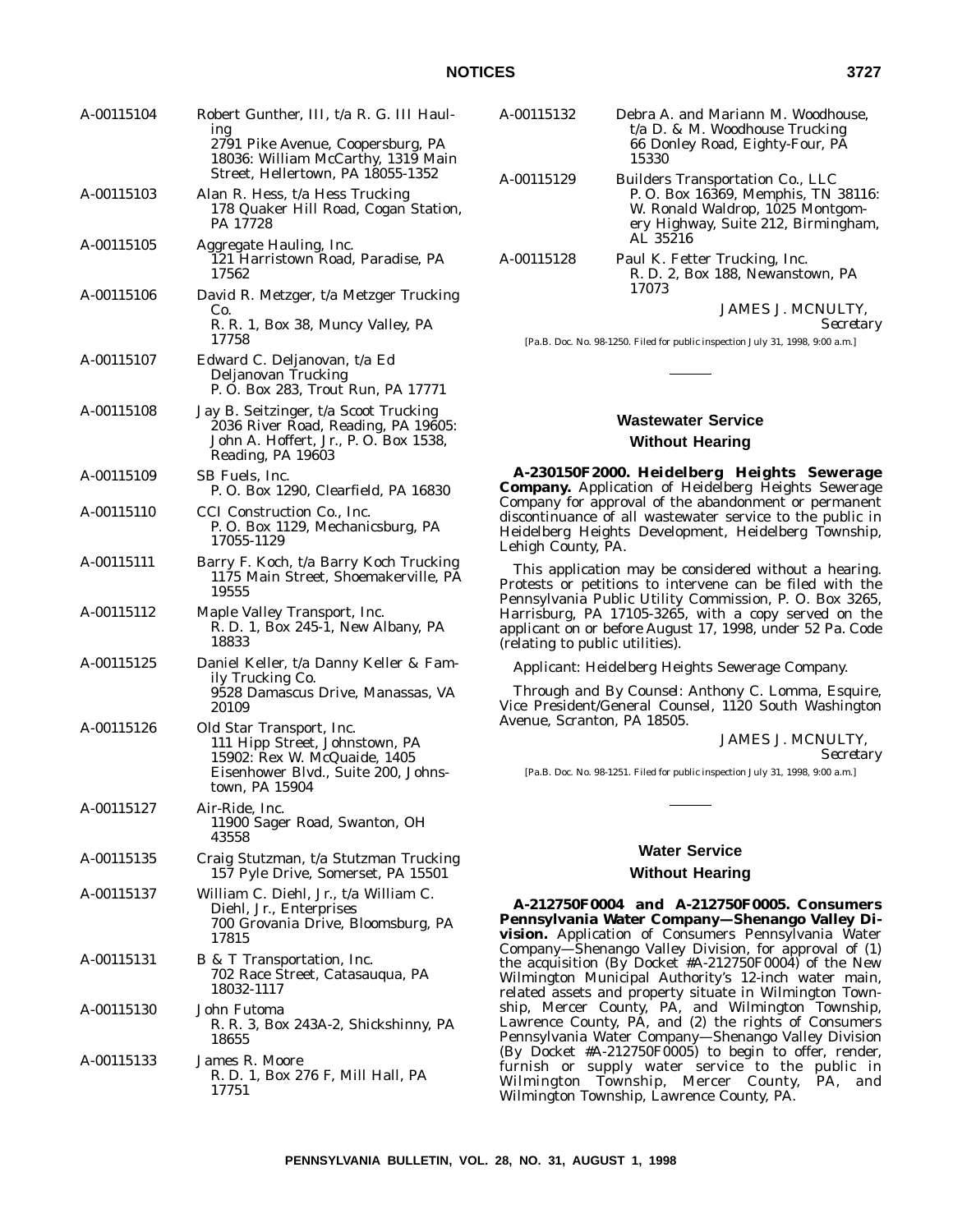| A-00115104 | Robert Gunther, III, t/a R. G. III Haul-                                                                                                            |
|------------|-----------------------------------------------------------------------------------------------------------------------------------------------------|
|            | ing<br>2791 Pike Avenue, Coopersburg, PA<br>18036: William McCarthy, 1319 Main<br>Street, Hellertown, PA 18055-1352                                 |
| A-00115103 | Alan R. Hess, t/a Hess Trucking<br>178 Quaker Hill Road, Cogan Station,<br>PA 17728                                                                 |
| A-00115105 | Aggregate Hauling, Inc.<br>121 Harristown Road, Paradise, PA<br>17562                                                                               |
| A-00115106 | David R. Metzger, t/a Metzger Trucking<br>Co.                                                                                                       |
|            | R. R. 1, Box 38, Muncy Valley, PA<br>17758                                                                                                          |
| A-00115107 | Edward C. Deljanovan, t/a Ed<br>Deljanovan Trucking<br>P. O. Box 283, Trout Run, PA 17771                                                           |
| A-00115108 | Jay B. Seitzinger, t/a Scoot Trucking<br>2036 River Road, Reading, PA 19605:<br>John A. Hoffert, Jr., P. O. Box 1538,<br>Reading, PA 19603          |
| A-00115109 | SB Fuels, Inc.<br>P. O. Box 1290, Clearfield, PA 16830                                                                                              |
| A-00115110 | CCI Construction Co., Inc.<br>P.O. Box 1129, Mechanicsburg, PA<br>17055-1129                                                                        |
| A-00115111 | Barry F. Koch, t/a Barry Koch Trucking<br>1175 Main Street, Shoemakerville, PA<br>19555                                                             |
| A-00115112 | Maple Valley Transport, Inc.<br>R. D. 1, Box 245-1, New Albany, PA<br>18833                                                                         |
| A-00115125 | Daniel Keller, t/a Danny Keller & Fam-<br>ily Trucking Co.<br>9528 Damascus Drive, Manassas, VA<br>20109                                            |
| A-00115126 | Old Star Transport, Inc.<br>111 Hipp Street, Johnstown, PA<br>15902: Rex W. McQuaide, 1405<br>Eisenhower Blvd., Suite 200, Johns-<br>town, PA 15904 |
| A-00115127 | Air-Ride, Inc.<br>11900 Sager Road, Swanton, OH<br>43558                                                                                            |
| A-00115135 | Craig Stutzman, t/a Stutzman Trucking<br>157 Pyle Drive, Somerset, PA 15501                                                                         |
| A-00115137 | William C. Diehl, Jr., t/a William C.<br>Diehl, Jr., Enterprises<br>700 Grovania Drive, Bloomsburg, PA<br>17815                                     |
| A-00115131 | B & T Transportation, Inc.<br>702 Race Street, Catasauqua, PA<br>18032-1117                                                                         |
| A-00115130 | John Futoma<br>R. R. 3, Box 243A-2, Shickshinny, PA<br>18655                                                                                        |
| A-00115133 | James R. Moore<br>R. D. 1, Box 276 F, Mill Hall, PA<br>17751                                                                                        |

| A-00115132 | Debra A. and Mariann M. Woodhouse,<br>$t/a$ D. & M. Woodhouse Trucking<br>66 Donley Road, Eighty-Four, PA<br>15330                                                   |
|------------|----------------------------------------------------------------------------------------------------------------------------------------------------------------------|
| A-00115129 | <b>Builders Transportation Co., LLC</b><br>P.O. Box 16369, Memphis, TN 38116:<br>W. Ronald Waldrop, 1025 Montgom-<br>ery Highway, Suite 212, Birmingham,<br>AL 35216 |
| A-00115128 | Paul K. Fetter Trucking, Inc.                                                                                                                                        |

R. D. 2, Box 188, Newanstown, PA 17073

JAMES J. MCNULTY,

*Secretary*

[Pa.B. Doc. No. 98-1250. Filed for public inspection July 31, 1998, 9:00 a.m.]

# **Wastewater Service Without Hearing**

**A-230150F2000. Heidelberg Heights Sewerage Company.** Application of Heidelberg Heights Sewerage Company for approval of the abandonment or permanent discontinuance of all wastewater service to the public in Heidelberg Heights Development, Heidelberg Township, Lehigh County, PA.

This application may be considered without a hearing. Protests or petitions to intervene can be filed with the Pennsylvania Public Utility Commission, P. O. Box 3265, Harrisburg, PA 17105-3265, with a copy served on the applicant on or before August 17, 1998, under 52 Pa. Code (relating to public utilities).

*Applicant:* Heidelberg Heights Sewerage Company.

*Through and By Counsel:* Anthony C. Lomma, Esquire, Vice President/General Counsel, 1120 South Washington Avenue, Scranton, PA 18505.

JAMES J. MCNULTY,

*Secretary*

[Pa.B. Doc. No. 98-1251. Filed for public inspection July 31, 1998, 9:00 a.m.]

# **Water Service**

### **Without Hearing**

**A-212750F0004 and A-212750F0005. Consumers Pennsylvania Water Company—Shenango Valley Division.** Application of Consumers Pennsylvania Water Company—Shenango Valley Division, for approval of (1) the acquisition (By Docket #A-212750F0004) of the New Wilmington Municipal Authority's 12-inch water main, related assets and property situate in Wilmington Township, Mercer County, PA, and Wilmington Township, Lawrence County, PA, and (2) the rights of Consumers Pennsylvania Water Company—Shenango Valley Division (By Docket #A-212750F0005) to begin to offer, render, furnish or supply water service to the public in Wilmington Township, Mercer County, PA, and Wilmington Township, Lawrence County, PA.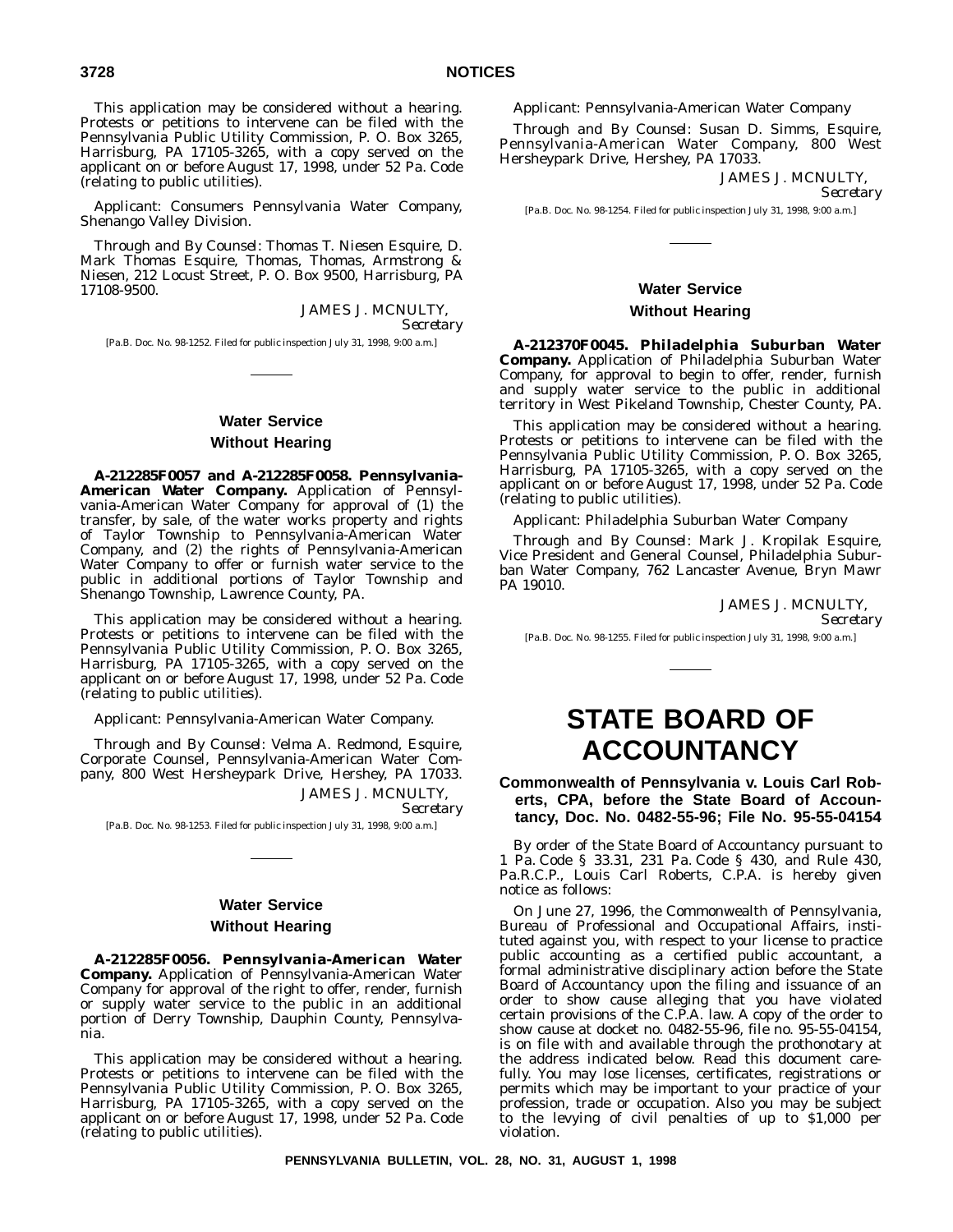This application may be considered without a hearing. Protests or petitions to intervene can be filed with the Pennsylvania Public Utility Commission, P. O. Box 3265, Harrisburg, PA 17105-3265, with a copy served on the applicant on or before August 17, 1998, under 52 Pa. Code (relating to public utilities).

*Applicant:* Consumers Pennsylvania Water Company, Shenango Valley Division.

*Through and By Counsel:* Thomas T. Niesen Esquire, D. Mark Thomas Esquire, Thomas, Thomas, Armstrong & Niesen, 212 Locust Street, P. O. Box 9500, Harrisburg, PA 17108-9500.

> JAMES J. MCNULTY, *Secretary*

[Pa.B. Doc. No. 98-1252. Filed for public inspection July 31, 1998, 9:00 a.m.]

# **Water Service Without Hearing**

**A-212285F0057 and A-212285F0058. Pennsylvania-American Water Company.** Application of Pennsylvania-American Water Company for approval of (1) the transfer, by sale, of the water works property and rights of Taylor Township to Pennsylvania-American Water Company, and (2) the rights of Pennsylvania-American Water Company to offer or furnish water service to the public in additional portions of Taylor Township and Shenango Township, Lawrence County, PA.

This application may be considered without a hearing. Protests or petitions to intervene can be filed with the Pennsylvania Public Utility Commission, P. O. Box 3265, Harrisburg, PA 17105-3265, with a copy served on the applicant on or before August 17, 1998, under 52 Pa. Code (relating to public utilities).

*Applicant*: Pennsylvania-American Water Company.

*Through and By Counsel*: Velma A. Redmond, Esquire, Corporate Counsel, Pennsylvania-American Water Company, 800 West Hersheypark Drive, Hershey, PA 17033. JAMES J. MCNULTY,

*Secretary*

[Pa.B. Doc. No. 98-1253. Filed for public inspection July 31, 1998, 9:00 a.m.]

# **Water Service**

### **Without Hearing**

**A-212285F0056. Pennsylvania-American Water Company.** Application of Pennsylvania-American Water Company for approval of the right to offer, render, furnish or supply water service to the public in an additional portion of Derry Township, Dauphin County, Pennsylvania.

This application may be considered without a hearing. Protests or petitions to intervene can be filed with the Pennsylvania Public Utility Commission, P. O. Box 3265, Harrisburg, PA 17105-3265, with a copy served on the applicant on or before August 17, 1998, under 52 Pa. Code (relating to public utilities).

*Applicant*: Pennsylvania-American Water Company

*Through and By Counsel*: Susan D. Simms, Esquire, Pennsylvania-American Water Company, 800 West Hersheypark Drive, Hershey, PA 17033.

> JAMES J. MCNULTY, *Secretary*

[Pa.B. Doc. No. 98-1254. Filed for public inspection July 31, 1998, 9:00 a.m.]

## **Water Service Without Hearing**

**A-212370F0045. Philadelphia Suburban Water Company.** Application of Philadelphia Suburban Water Company, for approval to begin to offer, render, furnish and supply water service to the public in additional territory in West Pikeland Township, Chester County, PA.

This application may be considered without a hearing. Protests or petitions to intervene can be filed with the Pennsylvania Public Utility Commission, P. O. Box 3265, Harrisburg, PA 17105-3265, with a copy served on the applicant on or before August 17, 1998, under 52 Pa. Code (relating to public utilities).

*Applicant*: Philadelphia Suburban Water Company

*Through and By Counsel*: Mark J. Kropilak Esquire, Vice President and General Counsel, Philadelphia Suburban Water Company, 762 Lancaster Avenue, Bryn Mawr PA 19010.

JAMES J. MCNULTY,

*Secretary*

[Pa.B. Doc. No. 98-1255. Filed for public inspection July 31, 1998, 9:00 a.m.]

# **STATE BOARD OF ACCOUNTANCY**

**Commonwealth of Pennsylvania v. Louis Carl Roberts, CPA, before the State Board of Accountancy, Doc. No. 0482-55-96; File No. 95-55-04154**

By order of the State Board of Accountancy pursuant to 1 Pa. Code § 33.31, 231 Pa. Code § 430, and Rule 430, Pa.R.C.P., Louis Carl Roberts, C.P.A. is hereby given notice as follows:

On June 27, 1996, the Commonwealth of Pennsylvania, Bureau of Professional and Occupational Affairs, instituted against you, with respect to your license to practice public accounting as a certified public accountant, a formal administrative disciplinary action before the State Board of Accountancy upon the filing and issuance of an order to show cause alleging that you have violated certain provisions of the C.P.A. law. A copy of the order to show cause at docket no. 0482-55-96, file no. 95-55-04154, is on file with and available through the prothonotary at the address indicated below. Read this document carefully. You may lose licenses, certificates, registrations or permits which may be important to your practice of your profession, trade or occupation. Also you may be subject to the levying of civil penalties of up to \$1,000 per violation.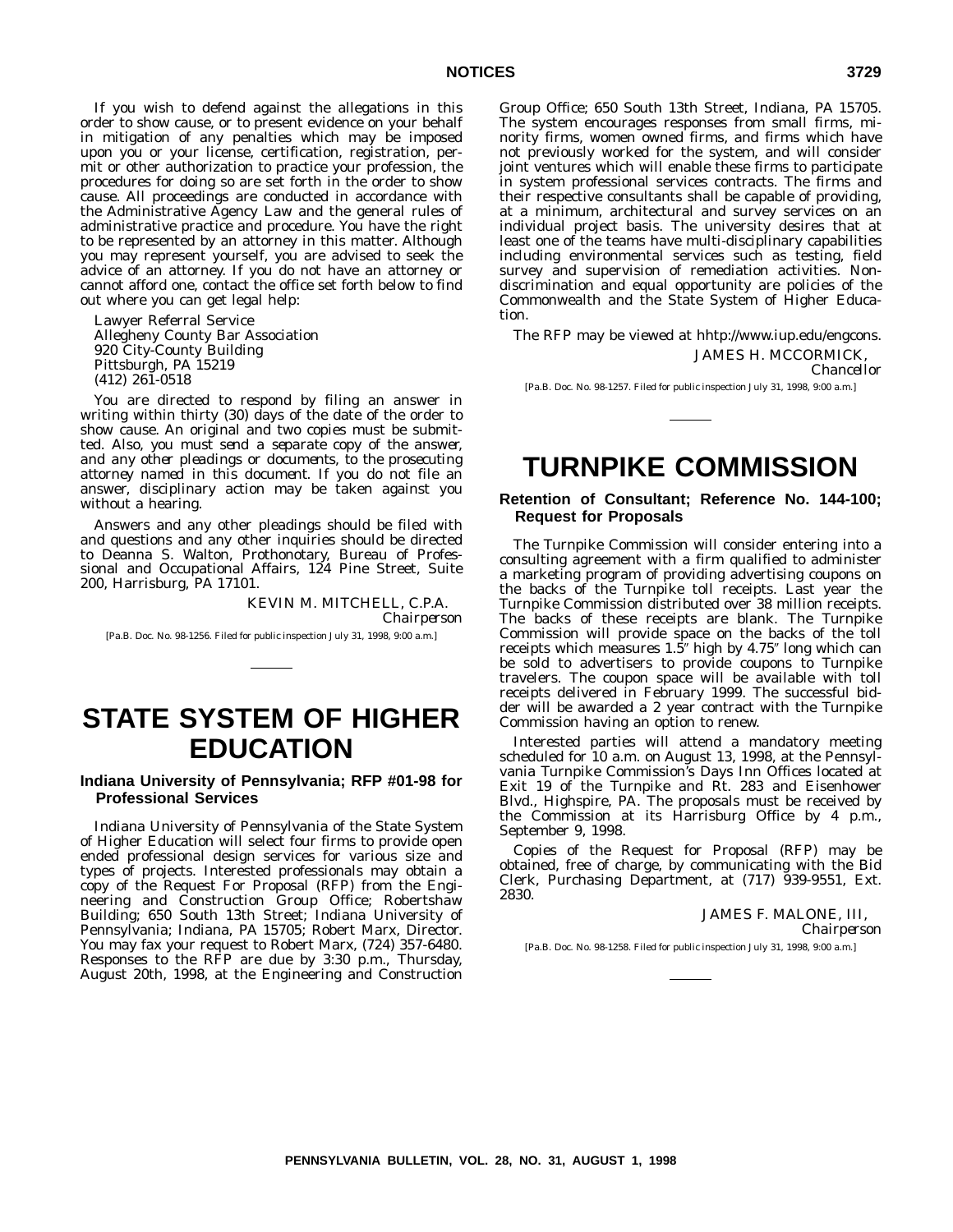If you wish to defend against the allegations in this order to show cause, or to present evidence on your behalf in mitigation of any penalties which may be imposed upon you or your license, certification, registration, permit or other authorization to practice your profession, the procedures for doing so are set forth in the order to show cause. All proceedings are conducted in accordance with the Administrative Agency Law and the general rules of administrative practice and procedure. You have the right to be represented by an attorney in this matter. Although you may represent yourself, you are advised to seek the advice of an attorney. If you do not have an attorney or cannot afford one, contact the office set forth below to find out where you can get legal help:

Lawyer Referral Service Allegheny County Bar Association 920 City-County Building Pittsburgh, PA 15219 (412) 261-0518

You are directed to respond by filing an answer in writing within thirty (30) days of the date of the order to show cause. An original and two copies must be submitted. *Also, you must send a separate copy of the answer, and any other pleadings or documents, to the prosecuting attorney named in this document.* If you do not file an answer, disciplinary action may be taken against you without a hearing.

Answers and any other pleadings should be filed with and questions and any other inquiries should be directed to Deanna S. Walton, Prothonotary, Bureau of Professional and Occupational Affairs, 124 Pine Street, Suite 200, Harrisburg, PA 17101.

### KEVIN M. MITCHELL, C.P.A. *Chairperson*

[Pa.B. Doc. No. 98-1256. Filed for public inspection July 31, 1998, 9:00 a.m.]

# **STATE SYSTEM OF HIGHER EDUCATION**

### **Indiana University of Pennsylvania; RFP #01-98 for Professional Services**

Indiana University of Pennsylvania of the State System of Higher Education will select four firms to provide open ended professional design services for various size and types of projects. Interested professionals may obtain a copy of the Request For Proposal (RFP) from the Engineering and Construction Group Office; Robertshaw Building; 650 South 13th Street; Indiana University of Pennsylvania; Indiana, PA 15705; Robert Marx, Director. You may fax your request to Robert Marx, (724) 357-6480. Responses to the RFP are due by 3:30 p.m., Thursday, August 20th, 1998, at the Engineering and Construction

Group Office; 650 South 13th Street, Indiana, PA 15705. The system encourages responses from small firms, minority firms, women owned firms, and firms which have not previously worked for the system, and will consider joint ventures which will enable these firms to participate in system professional services contracts. The firms and their respective consultants shall be capable of providing, at a minimum, architectural and survey services on an individual project basis. The university desires that at least one of the teams have multi-disciplinary capabilities including environmental services such as testing, field survey and supervision of remediation activities. Nondiscrimination and equal opportunity are policies of the Commonwealth and the State System of Higher Education.

The RFP may be viewed at hhtp://www.iup.edu/engcons. JAMES H. MCCORMICK,

[Pa.B. Doc. No. 98-1257. Filed for public inspection July 31, 1998, 9:00 a.m.]

# **TURNPIKE COMMISSION**

**Retention of Consultant; Reference No. 144-100; Request for Proposals**

The Turnpike Commission will consider entering into a consulting agreement with a firm qualified to administer a marketing program of providing advertising coupons on the backs of the Turnpike toll receipts. Last year the Turnpike Commission distributed over 38 million receipts. The backs of these receipts are blank. The Turnpike Commission will provide space on the backs of the toll receipts which measures  $1.5$ " high by  $4.75$ " long which can be sold to advertisers to provide coupons to Turnpike travelers. The coupon space will be available with toll receipts delivered in February 1999. The successful bidder will be awarded a 2 year contract with the Turnpike Commission having an option to renew.

Interested parties will attend a mandatory meeting scheduled for 10 a.m. on August 13, 1998, at the Pennsylvania Turnpike Commission's Days Inn Offices located at Exit 19 of the Turnpike and Rt. 283 and Eisenhower Blvd., Highspire, PA. The proposals must be received by the Commission at its Harrisburg Office by 4 p.m., September 9, 1998.

Copies of the Request for Proposal (RFP) may be obtained, free of charge, by communicating with the Bid Clerk, Purchasing Department, at (717) 939-9551, Ext. 2830.

> JAMES F. MALONE, III, *Chairperson*

[Pa.B. Doc. No. 98-1258. Filed for public inspection July 31, 1998, 9:00 a.m.]

*Chancellor*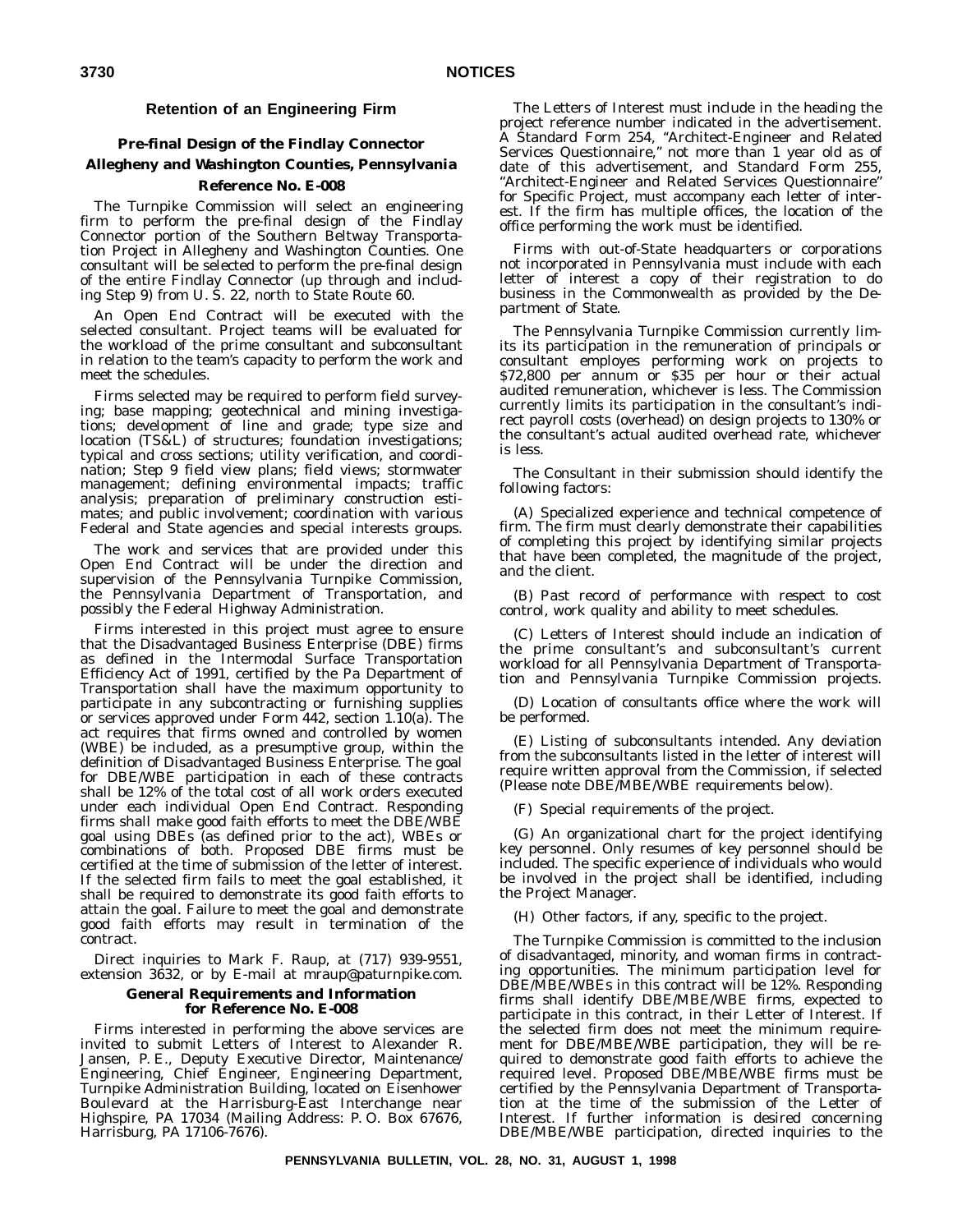### **Retention of an Engineering Firm**

### **Pre-final Design of the Findlay Connector**

## **Allegheny and Washington Counties, Pennsylvania Reference No. E-008**

The Turnpike Commission will select an engineering firm to perform the pre-final design of the Findlay Connector portion of the Southern Beltway Transportation Project in Allegheny and Washington Counties. One consultant will be selected to perform the pre-final design of the entire Findlay Connector (up through and including Step 9) from U. S. 22, north to State Route 60.

An Open End Contract will be executed with the selected consultant. Project teams will be evaluated for the workload of the prime consultant and subconsultant in relation to the team's capacity to perform the work and meet the schedules.

Firms selected may be required to perform field surveying; base mapping; geotechnical and mining investigations; development of line and grade; type size and location (TS&L) of structures; foundation investigations; typical and cross sections; utility verification, and coordination; Step 9 field view plans; field views; stormwater management; defining environmental impacts; traffic analysis; preparation of preliminary construction estimates; and public involvement; coordination with various Federal and State agencies and special interests groups.

The work and services that are provided under this Open End Contract will be under the direction and supervision of the Pennsylvania Turnpike Commission, the Pennsylvania Department of Transportation, and possibly the Federal Highway Administration.

Firms interested in this project must agree to ensure that the Disadvantaged Business Enterprise (DBE) firms as defined in the Intermodal Surface Transportation Efficiency Act of 1991, certified by the Pa Department of Transportation shall have the maximum opportunity to participate in any subcontracting or furnishing supplies or services approved under Form 442, section 1.10(a). The act requires that firms owned and controlled by women (WBE) be included, as a presumptive group, within the definition of Disadvantaged Business Enterprise. The goal for DBE/WBE participation in each of these contracts shall be 12% of the total cost of all work orders executed under each individual Open End Contract. Responding firms shall make good faith efforts to meet the DBE/WBE goal using DBEs (as defined prior to the act), WBEs or combinations of both. Proposed DBE firms must be certified at the time of submission of the letter of interest. If the selected firm fails to meet the goal established, it shall be required to demonstrate its good faith efforts to attain the goal. Failure to meet the goal and demonstrate good faith efforts may result in termination of the contract.

Direct inquiries to Mark F. Raup, at (717) 939-9551, extension 3632, or by E-mail at mraup@paturnpike.com.

### **General Requirements and Information for Reference No. E-008**

Firms interested in performing the above services are invited to submit Letters of Interest to Alexander R. Jansen, P. E., Deputy Executive Director, Maintenance/ Engineering, Chief Engineer, Engineering Department, Turnpike Administration Building, located on Eisenhower Boulevard at the Harrisburg-East Interchange near Highspire, PA 17034 (Mailing Address: P. O. Box 67676, Harrisburg, PA 17106-7676).

The Letters of Interest must include in the heading the project reference number indicated in the advertisement. A Standard Form 254, ''Architect-Engineer and Related Services Questionnaire,'' not more than 1 year old as of date of this advertisement, and Standard Form 255, "Architect-Engineer and Related Services Questionnaire" for Specific Project, must accompany each letter of interest. If the firm has multiple offices, the location of the office performing the work must be identified.

Firms with out-of-State headquarters or corporations not incorporated in Pennsylvania must include with each letter of interest a copy of their registration to do business in the Commonwealth as provided by the Department of State.

The Pennsylvania Turnpike Commission currently limits its participation in the remuneration of principals or consultant employes performing work on projects to \$72,800 per annum or \$35 per hour or their actual audited remuneration, whichever is less. The Commission currently limits its participation in the consultant's indirect payroll costs (overhead) on design projects to 130% or the consultant's actual audited overhead rate, whichever is less.

The Consultant in their submission should identify the following factors:

(A) Specialized experience and technical competence of firm. The firm must clearly demonstrate their capabilities of completing this project by identifying similar projects that have been completed, the magnitude of the project, and the client.

(B) Past record of performance with respect to cost control, work quality and ability to meet schedules.

(C) Letters of Interest should include an indication of the prime consultant's and subconsultant's current workload for all Pennsylvania Department of Transportation and Pennsylvania Turnpike Commission projects.

(D) Location of consultants office where the work will be performed.

(E) Listing of subconsultants intended. Any deviation from the subconsultants listed in the letter of interest will require written approval from the Commission, if selected (Please note DBE/MBE/WBE requirements below).

(F) Special requirements of the project.

(G) An organizational chart for the project identifying key personnel. Only resumes of key personnel should be included. The specific experience of individuals who would be involved in the project shall be identified, including the Project Manager.

(H) Other factors, if any, specific to the project.

The Turnpike Commission is committed to the inclusion of disadvantaged, minority, and woman firms in contracting opportunities. The minimum participation level for DBE/MBE/WBEs in this contract will be 12%. Responding firms shall identify DBE/MBE/WBE firms, expected to participate in this contract, in their Letter of Interest. If the selected firm does not meet the minimum requirement for DBE/MBE/WBE participation, they will be required to demonstrate good faith efforts to achieve the required level. Proposed DBE/MBE/WBE firms must be certified by the Pennsylvania Department of Transportation at the time of the submission of the Letter of Interest. If further information is desired concerning DBE/MBE/WBE participation, directed inquiries to the

**PENNSYLVANIA BULLETIN, VOL. 28, NO. 31, AUGUST 1, 1998**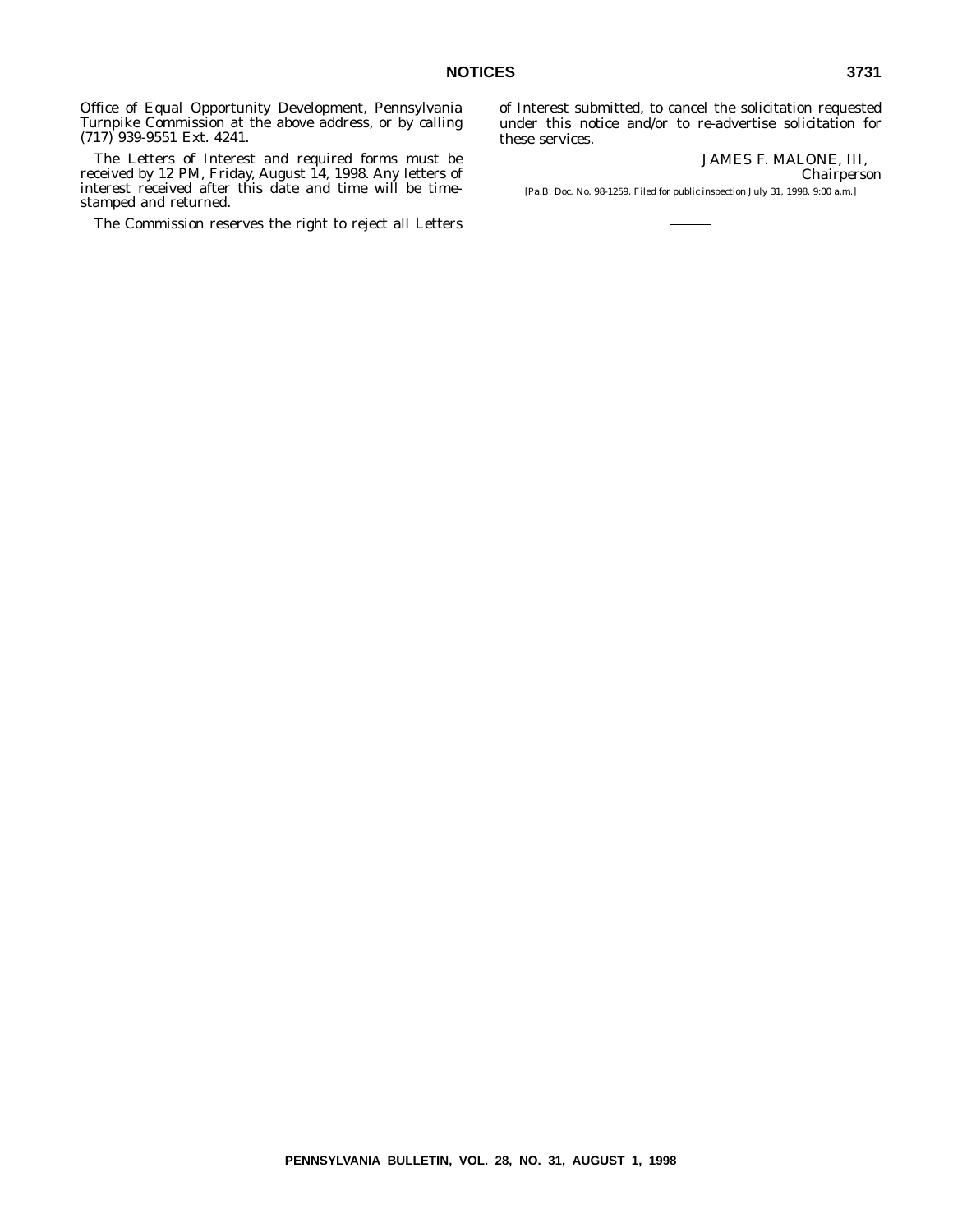Office of Equal Opportunity Development, Pennsylvania Turnpike Commission at the above address, or by calling (717) 939-9551 Ext. 4241.

The Letters of Interest and required forms must be received by 12 PM, Friday, August 14, 1998. Any letters of interest received after this date and time will be timestamped and returned.

The Commission reserves the right to reject all Letters

of Interest submitted, to cancel the solicitation requested under this notice and/or to re-advertise solicitation for these services.

> JAMES F. MALONE, III, *Chairperson*

[Pa.B. Doc. No. 98-1259. Filed for public inspection July 31, 1998, 9:00 a.m.]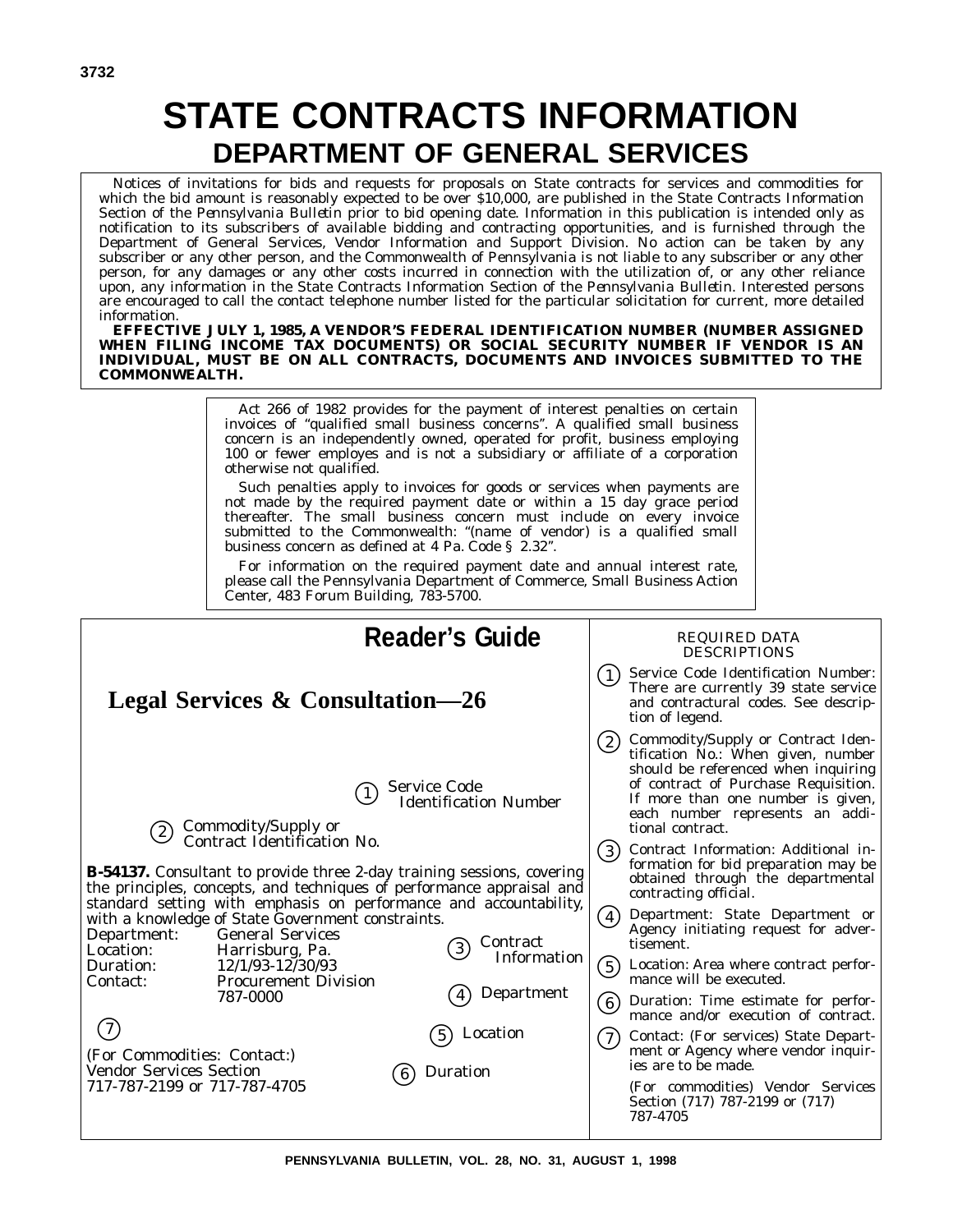# **STATE CONTRACTS INFORMATION DEPARTMENT OF GENERAL SERVICES**

Notices of invitations for bids and requests for proposals on State contracts for services and commodities for which the bid amount is reasonably expected to be over \$10,000, are published in the State Contracts Information Section of the *Pennsylvania Bulletin* prior to bid opening date. Information in this publication is intended only as notification to its subscribers of available bidding and contracting opportunities, and is furnished through the Department of General Services, Vendor Information and Support Division. No action can be taken by any subscriber or any other person, and the Commonwealth of Pennsylvania is not liable to any subscriber or any other person, for any damages or any other costs incurred in connection with the utilization of, or any other reliance upon, any information in the State Contracts Information Section of the *Pennsylvania Bulletin*. Interested persons are encouraged to call the contact telephone number listed for the particular solicitation for current, more detailed information.

**EFFECTIVE JULY 1, 1985, A VENDOR'S FEDERAL IDENTIFICATION NUMBER (NUMBER ASSIGNED WHEN FILING INCOME TAX DOCUMENTS) OR SOCIAL SECURITY NUMBER IF VENDOR IS AN INDIVIDUAL, MUST BE ON ALL CONTRACTS, DOCUMENTS AND INVOICES SUBMITTED TO THE COMMONWEALTH.**

> Act 266 of 1982 provides for the payment of interest penalties on certain invoices of ''qualified small business concerns''. A qualified small business concern is an independently owned, operated for profit, business employing 100 or fewer employes and is not a subsidiary or affiliate of a corporation otherwise not qualified.

> Such penalties apply to invoices for goods or services when payments are not made by the required payment date or within a 15 day grace period thereafter. The small business concern must include on every invoice submitted to the Commonwealth: ''(name of vendor) is a qualified small business concern as defined at 4 Pa. Code § 2.32''.

> For information on the required payment date and annual interest rate, please call the Pennsylvania Department of Commerce, Small Business Action Center, 483 Forum Building, 783-5700.

| <b>Reader's Guide</b>                                                                                                                                                                                                                                                                                                                                                                                                                                                                                                                                                                                                                                                                                                                                                  | <b>REQUIRED DATA</b><br><b>DESCRIPTIONS</b>                                                                                                                                                                                                                                                                                                                                                                                                                                                                                                                                                                                                                                                                                                                                                                                                                                                                  |
|------------------------------------------------------------------------------------------------------------------------------------------------------------------------------------------------------------------------------------------------------------------------------------------------------------------------------------------------------------------------------------------------------------------------------------------------------------------------------------------------------------------------------------------------------------------------------------------------------------------------------------------------------------------------------------------------------------------------------------------------------------------------|--------------------------------------------------------------------------------------------------------------------------------------------------------------------------------------------------------------------------------------------------------------------------------------------------------------------------------------------------------------------------------------------------------------------------------------------------------------------------------------------------------------------------------------------------------------------------------------------------------------------------------------------------------------------------------------------------------------------------------------------------------------------------------------------------------------------------------------------------------------------------------------------------------------|
| <b>Legal Services &amp; Consultation—26</b>                                                                                                                                                                                                                                                                                                                                                                                                                                                                                                                                                                                                                                                                                                                            | Service Code Identification Number:<br>There are currently 39 state service<br>and contractural codes. See descrip-<br>tion of legend.                                                                                                                                                                                                                                                                                                                                                                                                                                                                                                                                                                                                                                                                                                                                                                       |
| <b>Service Code</b><br><b>Identification Number</b><br>Commodity/Supply or<br>(2)<br>Contract Identification No.<br><b>B-54137.</b> Consultant to provide three 2-day training sessions, covering<br>the principles, concepts, and techniques of performance appraisal and<br>standard setting with emphasis on performance and accountability,<br>with a knowledge of State Government constraints.<br>Department:<br><b>General Services</b><br>Contract<br>$\left(3\right)$<br>Location:<br>Harrisburg, Pa.<br>Information<br>$12/1/93 - 12/30/93$<br>Duration:<br><b>Procurement Division</b><br>Contact:<br>Department<br>787-0000<br>Location<br>(For Commodities: Contact:)<br><b>Vendor Services Section</b><br>Duration<br>6)<br>717-787-2199 or 717-787-4705 | Commodity/Supply or Contract Iden-<br>(2)<br>tification No.: When given, number<br>should be referenced when inquiring<br>of contract of Purchase Requisition.<br>If more than one number is given,<br>each number represents an addi-<br>tional contract.<br>Contract Information: Additional in-<br>$\left( 3\right)$<br>formation for bid preparation may be<br>obtained through the departmental<br>contracting official.<br>Department: State Department or<br>$\left( 4\right)$<br>Agency initiating request for adver-<br>tisement.<br>(5)<br>Location: Area where contract perfor-<br>mance will be executed.<br>Duration: Time estimate for perfor-<br>(6)<br>mance and/or execution of contract.<br>Contact: (For services) State Depart-<br>(7)<br>ment or Agency where vendor inquir-<br>ies are to be made.<br>(For commodities) Vendor Services<br>Section (717) 787-2199 or (717)<br>787-4705 |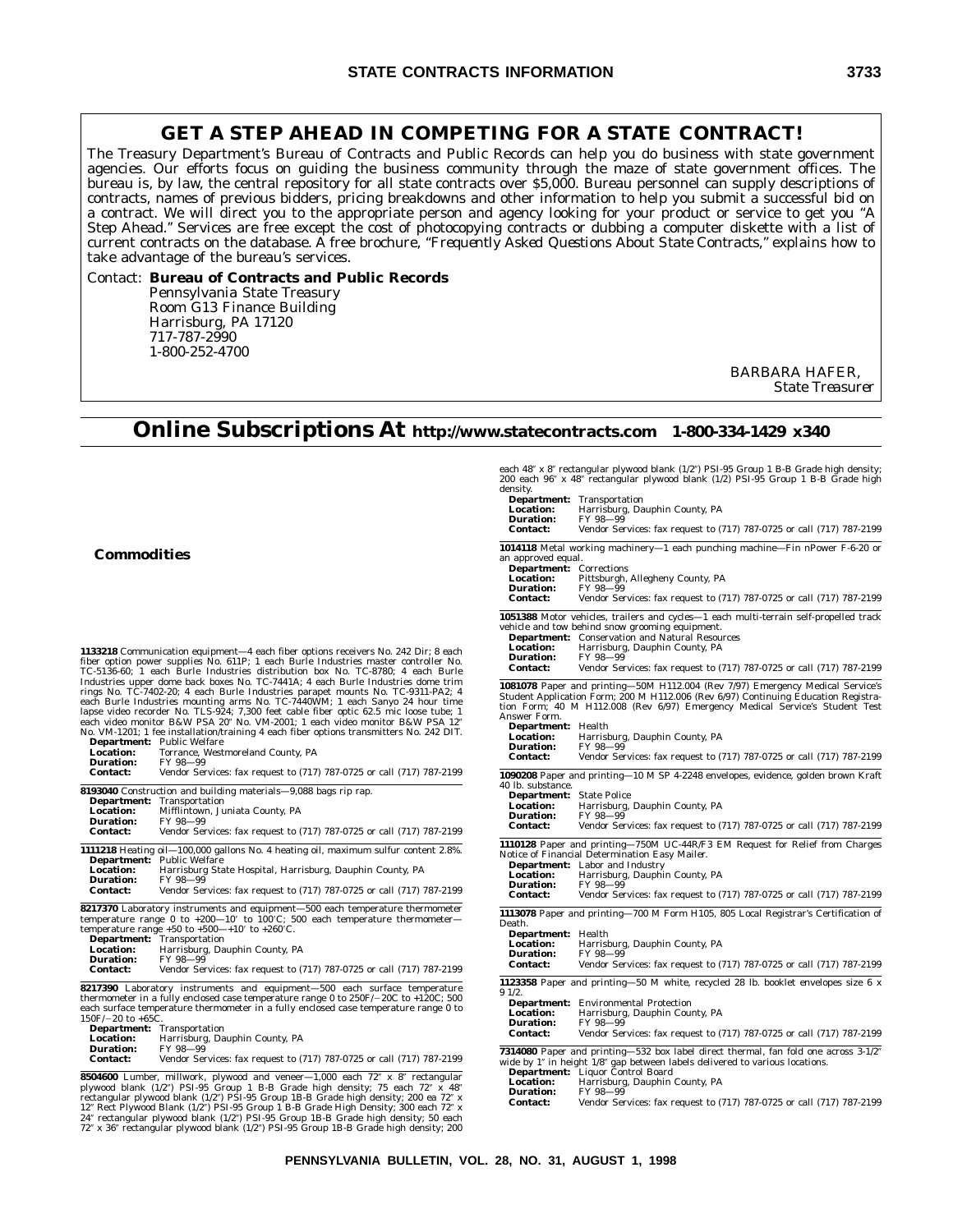### **GET A STEP AHEAD IN COMPETING FOR A STATE CONTRACT!**

The Treasury Department's Bureau of Contracts and Public Records can help you do business with state government agencies. Our efforts focus on guiding the business community through the maze of state government offices. The bureau is, by law, the central repository for all state contracts over \$5,000. Bureau personnel can supply descriptions of contracts, names of previous bidders, pricing breakdowns and other information to help you submit a successful bid on a contract. We will direct you to the appropriate person and agency looking for your product or service to get you ''A Step Ahead.'' Services are free except the cost of photocopying contracts or dubbing a computer diskette with a list of current contracts on the database. A free brochure, *''Frequently Asked Questions About State Contracts,''* explains how to take advantage of the bureau's services.

### Contact: **Bureau of Contracts and Public Records** Pennsylvania State Treasury Room G13 Finance Building Harrisburg, PA 17120 717-787-2990 1-800-252-4700

BARBARA HAFER, *State Treasurer*

# **Online Subscriptions At http://www.statecontracts.com 1-800-334-1429 x340**

each 48" x 8" rectangular plywood blank (1/2") PSI-95 Group 1 B-B Grade high density;<br>200 each 96" x 48" rectangular plywood blank (1/2) PSI-95 Group 1 B-B Grade high<br>density,<br>**Department:** Transportation

|                                                                                                                        | <b>Location:</b><br>Duration:<br><b>Contact:</b>                                                                | <b>Department:</b> Transportation<br>Harrisburg, Dauphin County, PA<br>FY 98-99<br>Vendor Services: fax request to (717) 787-0725 or call (717) 787-2199                                                                                                                                                                                                                           |
|------------------------------------------------------------------------------------------------------------------------|-----------------------------------------------------------------------------------------------------------------|------------------------------------------------------------------------------------------------------------------------------------------------------------------------------------------------------------------------------------------------------------------------------------------------------------------------------------------------------------------------------------|
|                                                                                                                        | an approved equal.<br><b>Department:</b> Corrections<br><b>Location:</b><br><b>Duration:</b><br><b>Contact:</b> | <b>1014118</b> Metal working machinery—1 each punching machine—Fin nPower F-6-20 or<br>Pittsburgh, Allegheny County, PA<br>FY 98-99<br>Vendor Services: fax request to (717) 787-0725 or call (717) 787-2199                                                                                                                                                                       |
| ). 242 Dir; 8 each<br>er controller No.<br>0; 4 each Burle                                                             | <b>Location:</b><br><b>Duration:</b><br><b>Contact:</b>                                                         | 1051388 Motor vehicles, trailers and cycles-1 each multi-terrain self-propelled track<br>vehicle and tow behind snow grooming equipment.<br><b>Department:</b> Conservation and Natural Resources<br>Harrisburg, Dauphin County, PA<br>FY 98-99<br>Vendor Services: fax request to (717) 787-0725 or call (717) 787-2199                                                           |
| stries dome trim<br>TC-9311-PA2; 4<br>yo 24 hour time<br>nic loose tube; 1<br>or B&W PSA 12″<br>ters No. 242 DIT.      | Answer Form.<br>Department: Health<br><b>Location:</b><br><b>Duration:</b><br><b>Contact:</b>                   | <b>1081078</b> Paper and printing—50M H112.004 (Rev 7/97) Emergency Medical Service's<br>Student Application Form; 200 M H112.006 (Rev 6/97) Continuing Education Registra-<br>tion Form; 40 M H112.008 (Rev 6/97) Emergency Medical Service's Student Test<br>Harrisburg, Dauphin County, PA<br>FY 98-99<br>Vendor Services: fax request to (717) 787-0725 or call (717) 787-2199 |
| ll (717) 787-2199<br>ll (717) 787-2199                                                                                 | 40 lb. substance.<br><b>Department:</b> State Police<br><b>Location:</b><br><b>Duration:</b><br><b>Contact:</b> | 1090208 Paper and printing-10 M SP 4-2248 envelopes, evidence, golden brown Kraft<br>Harrisburg, Dauphin County, PA<br>FY 98-99<br>Vendor Services: fax request to (717) 787-0725 or call (717) 787-2199                                                                                                                                                                           |
| fur content 2.8%.<br>unty, PA<br>ll (717) 787-2199                                                                     | <b>Location:</b><br><b>Duration:</b><br><b>Contact:</b>                                                         | 1110128 Paper and printing-750M UC-44R/F3 EM Request for Relief from Charges<br>Notice of Financial Determination Easy Mailer.<br><b>Department:</b> Labor and Industry<br>Harrisburg, Dauphin County, PA<br>FY 98-99<br>Vendor Services: fax request to (717) 787-0725 or call (717) 787-2199                                                                                     |
| ure thermometer<br>e thermometer—<br>ll (717) 787-2199                                                                 | Death.<br><b>Department:</b> Health<br><b>Location:</b><br><b>Duration:</b><br><b>Contact:</b>                  | 1113078 Paper and printing-700 M Form H105, 805 Local Registrar's Certification of<br>Harrisburg, Dauphin County, PA<br>FY 98-99<br>Vendor Services: fax request to (717) 787-0725 or call (717) 787-2199                                                                                                                                                                          |
| ace temperature<br>OC to +120C; 500<br>rature range 0 to                                                               | 91/2.<br><b>Location:</b><br><b>Duration:</b><br><b>Contact:</b>                                                | 1123358 Paper and printing-50 M white, recycled 28 lb. booklet envelopes size 6 x<br><b>Department:</b> Environmental Protection<br>Harrisburg, Dauphin County, PA<br>FY 98-99<br>Vendor Services: fax request to (717) 787-0725 or call (717) 787-2199                                                                                                                            |
| ll (717) 787-2199<br>x 8" rectangular<br>each 72" x 48"<br>sity; 200 ea 72″ x<br>y; 300 each 72" x<br>density: 50 each | <b>Location:</b><br><b>Duration:</b><br><b>Contact:</b>                                                         | <b>7314080</b> Paper and printing—532 box label direct thermal, fan fold one across 3-1/2"<br>wide by 1" in height 1/8" gap between labels delivered to various locations.<br><b>Department:</b> Liquor Control Board<br>Harrisburg, Dauphin County, PA<br>FY 98-99<br>Vendor Services: fax request to (717) 787-0725 or call (717) 787-2199                                       |

### **Commodities**

**1133218** Communication equipment—4 each fiber options receivers No. 242 Dir; 8 each fiber option power supplies No. 611P; 1 each Burle Industries master controller No. TC-5136-60; 1 each Burle Industries distribution box No. TC-8780; 4 each Burle Industries upper dome back boxes No. TC-7441A; 4 each Burle Industries dome trim rings No. TC-7402-20; 4 each Burle Industries parapet mounts No. TC-9311-PA2; 4<br>each Burle Industries mounting arms No. TC-7440WM; 1 each Sanyo 24 hour time<br>lapse video recorder No. TLS-924; 7,300 feet cable fiber optic 62 each video monitor B&W PSA 20" No. VM-2001; 1 each video monitor B&W PSA 12"<br>No. VM-1201; 1 fee installation/training 4 each fiber options transmitters No. 242 DIT.

|                                   | $\ldots$ , $\ldots$ is two $\ldots$ indefined to $\ldots$ and $\ldots$ and $\ldots$ are $\ldots$ .                                                                                                                                                                                                                                                                                                                                |
|-----------------------------------|-----------------------------------------------------------------------------------------------------------------------------------------------------------------------------------------------------------------------------------------------------------------------------------------------------------------------------------------------------------------------------------------------------------------------------------|
| <b>Department:</b> Public Welfare |                                                                                                                                                                                                                                                                                                                                                                                                                                   |
| <b>Location:</b>                  | Torrance, Westmoreland County, PA                                                                                                                                                                                                                                                                                                                                                                                                 |
|                                   | $\overline{ }$ $\overline{ }$ $\overline{ }$ $\overline{ }$ $\overline{ }$ $\overline{ }$ $\overline{ }$ $\overline{ }$ $\overline{ }$ $\overline{ }$ $\overline{ }$ $\overline{ }$ $\overline{ }$ $\overline{ }$ $\overline{ }$ $\overline{ }$ $\overline{ }$ $\overline{ }$ $\overline{ }$ $\overline{ }$ $\overline{ }$ $\overline{ }$ $\overline{ }$ $\overline{ }$ $\overline{ }$ $\overline{ }$ $\overline{ }$ $\overline{$ |

**Duration**<br>Contact:

Vendor Services: fax request to (717) 787-0725 or call ( $717$ 

|                  | 8193040 Construction and building materials—9,088 bags rip rap.                     |
|------------------|-------------------------------------------------------------------------------------|
|                  | <b>Department:</b> Transportation                                                   |
| <b>Location:</b> | Mifflintown. Juniata County. PA                                                     |
| <b>Duration:</b> | FY 98-99                                                                            |
| <b>Contact:</b>  | Vendor Services: fax request to (717) 787-0725 or call (717) 787-2199               |
|                  | 1111218 Heating oil—100,000 gallons No. 4 heating oil, maximum sulfur content 2.8%. |

|                  | <b>Department:</b> Public Welfare                                     |
|------------------|-----------------------------------------------------------------------|
| <b>Location:</b> | Harrisburg State Hospital, Harrisburg, Dauphin County, PA             |
| Duration:        | FY 98-99                                                              |
| <b>Contact:</b>  | Vendor Services: fax request to (717) 787-0725 or call (717) 787-2199 |
|                  |                                                                       |

**8217370** Laboratory instruments and equipment—500 each temperature thermometer<br>temperature range 0 to +200—10′ to 100′C; 500 each temperature thermometer—<br>temperature range +50 to +500—+10′ to +260′C.

| Department:      | Transportation                 |
|------------------|--------------------------------|
| <b>Location:</b> | Harrisburg, Dauphin County, PA |
| Duration:        | FY 98-99                       |

**Duration:** FY 98—99 **Contact:** Vendor Services: fax request to (717) 787-0725 or call (717) 787-2199

**8217390** Laboratory instruments and equipment—500 each surface temperature<br>thermometer in a fully enclosed case temperature range 0 to 250F/-20C to +120C; 500<br>each surface temperature thermometer in a fully enclosed case

| <b>Department:</b> Transportation |  |
|-----------------------------------|--|
|                                   |  |

**Location:** Harrisburg, Dauphin County, PA<br>**Duration:** FY 98-99

**Duration:** FY 98-99<br>**Contact:** Vendor Ser **Contact:** Vendor Services: fax request to (717) 787-0725 or call (717) 787-0729 or call ( $\frac{1}{2}$ )

**8504600** Lumber, millwork, plywood and veneer—1,000 each 72" x 8" rectangular plywood blank (1/2") PSI-95 Group 1 B-B Grade high density; 75 each 72" x 48"<br>plywood blank (1/2") PSI-95 Group 1B-B Grade high density; 200 ea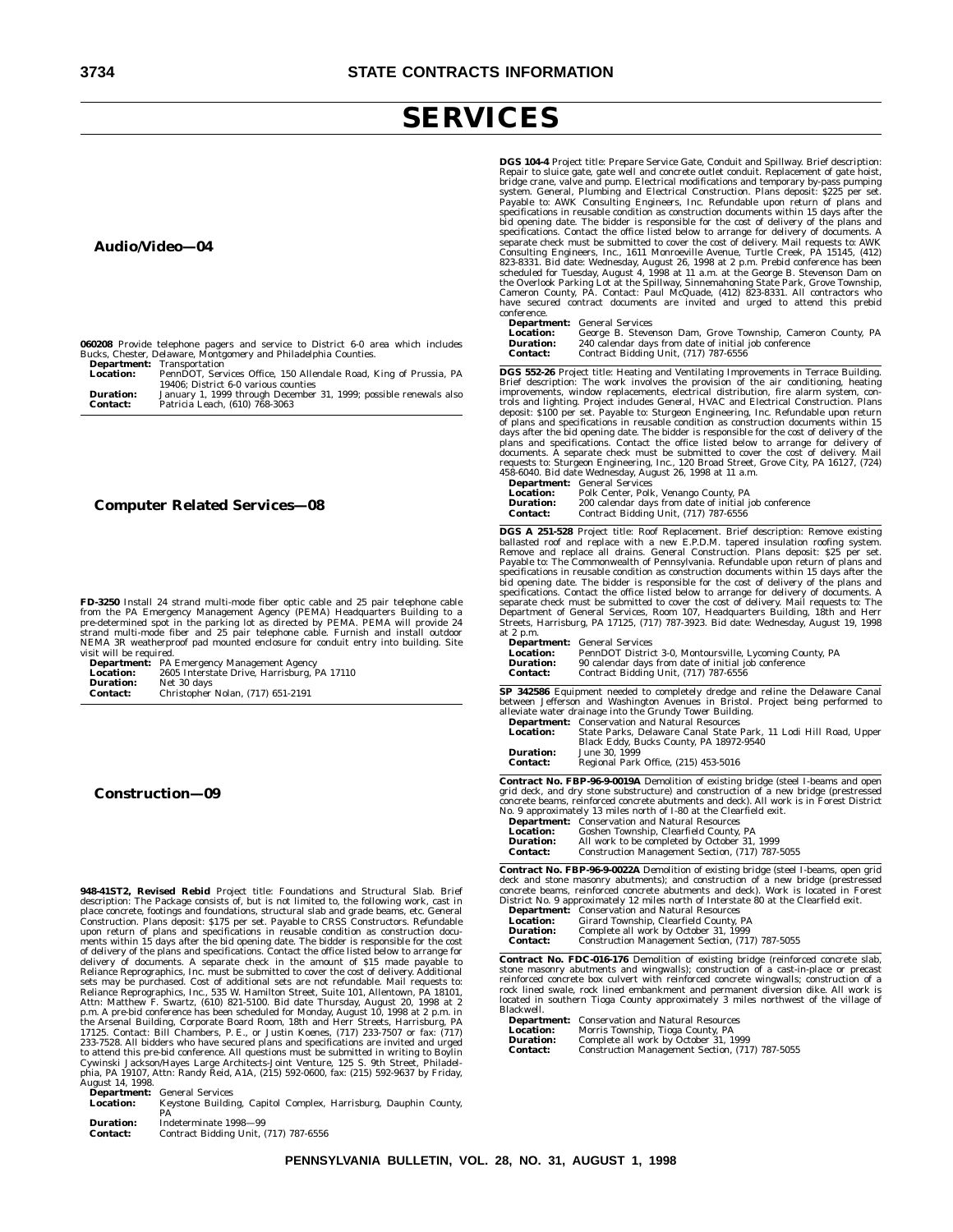# **SERVICES**

### **Audio/Video—04**

|  | 060208 Provide telephone pagers and service to District 6-0 area which includes |  |  |  |  |  |
|--|---------------------------------------------------------------------------------|--|--|--|--|--|
|  | Bucks, Chester, Delaware, Montgomery and Philadelphia Counties.                 |  |  |  |  |  |
|  | <b>Department:</b> Transportation                                               |  |  |  |  |  |

| Location:        | PennDOT, Services Office, 150 Allendale Road, King of Prussia, PA |
|------------------|-------------------------------------------------------------------|
|                  | 19406: District 6-0 various counties                              |
| <b>Duration:</b> | January 1, 1999 through December 31, 1999; possible renewals also |
| <b>Contact:</b>  | Patricia Leach, (610) 768-3063                                    |

### **Computer Related Services—08**

**FD-3250** Install 24 strand multi-mode fiber optic cable and 25 pair telephone cable<br>from the PA Emergency Management Agency (PEMA) Headquarters Building to a<br>pre-determined spot in the parking lot as directed by PEMA. PEM NEMA 3R weatherproof pad mounted enclosure for conduit entry into building. Site visit will be required.

| <b>Department:</b> | PA Emergency Management Agency              |
|--------------------|---------------------------------------------|
| <b>Location:</b>   | 2605 Interstate Drive, Harrisburg, PA 17110 |
| <b>Duration:</b>   | Net 30 days                                 |
| <b>Contact:</b>    | Christopher Nolan, (717) 651-2191           |

### **Construction—09**

**948-41ST2, Revised Rebid** Project title: Foundations and Structural Slab. Brief<br>description: The Package consists of, but is not limited to, the following work, cast in<br>place concrete, footings and foundations, structural Construction. Plans deposit: \$175 per set. Payable to CRSS Constructors. Refundable upon return of plans and specifications in reusable condition as construction documents within 15 days after the bid opening date. The bid p.m. A pre-bid conference has been scheduled for Monday, August 10, 1998 at 2 p.m. in the Arsenal Building, Corporate Board Room, 18th and Herr Streets, Harrisburg, PA<br>17125. Contact: Bill Chambers, P. E., or Justin Koenes August 14, 1998.<br>**Department:**<br>Location:

**Department:** General Services **Location:** Keystone Building, Capitol Complex, Harrisburg, Dauphin County, PA

**Duration:** Indeterminate 1998–99<br>**Contact:** Contract Bidding Unit, ( **Contact:** Contract Bidding Unit, (717) 787-6556 **DGS 104-4** Project title: Prepare Service Gate, Conduit and Spillway. Brief description:<br>Repair to sluice gate, gate well and concrete outlet conduit. Replacement of gate hoist,<br>bridge crane, valve and pump. Electrical mo specifications in reusable condition as construction documents within 15 days after the bid opening date. The bidder is responsible for the cost of delivery of the plans and specifications. Contact the office listed below to arrange for delivery of documents. A<br>separate check must be submitted to cover the cost of delivery. Mail requests to: AWK<br>Consulting Engineers, Inc., 1611 Monroeville Ave scheduled for Tuesday, August 4, 1998 at 11 a.m. at the George B. Stevenson Dam on<br>the Overlook Parking Lot at the Spillway, Sinnemahoning State Park, Grove Township,<br>Cameron County, PA. Contact: Paul McQuade, (412) 823-83 have secured contract documents are invited and urged to attend this prebid conference.

**Department:** General Services

| -----------      |                                                             |  |
|------------------|-------------------------------------------------------------|--|
| <b>Location:</b> | George B. Stevenson Dam, Grove Township, Cameron County, PA |  |
| <b>Duration:</b> | 240 calendar days from date of initial job conference       |  |
| Contact:         | Contract Bidding Unit, (717) 787-6556                       |  |
|                  |                                                             |  |

**DGS 552-26** Project title: Heating and Ventilating Improvements in Terrace Building.<br>Brief description: The work involves the provision of the air conditioning, heating<br>improvements, window replacements, electrical distri trols and lighting. Project includes General, HVAC and Electrical Construction. Plans<br>deposit: \$100 per set. Payable to: Sturgeon Engineering, Inc. Refundable upon return<br>of plans and specifications in reusable condition a requests to: Sturgeon Engineering, Inc., 120 Broad Street, Grove City, PA 16127, (724) 458-6040. Bid date Wednesday, August 26, 1998 at 11 a.m.

|                  | <b>Department:</b> General Services                   |
|------------------|-------------------------------------------------------|
| <b>Location:</b> | Polk Center, Polk, Venango County, PA                 |
| <b>Duration:</b> | 200 calendar days from date of initial job conference |
| <b>Contact:</b>  | Contract Bidding Unit, (717) 787-6556                 |

**DGS A 251-528** Project title: Roof Replacement. Brief description: Remove existing ballasted roof and replace with a new E.P.D.M. tapered insulation roofing system. Remove and replace all drains. General Construction. Pla bid opening date. The bidder is responsible for the cost of delivery of the plans and specifications. Contact the office listed below to arrange for delivery of documents. A<br>separate check must be submitted to cover the cost of delivery. Mail requests to: The<br>Department of General Services, Room 107, Headqu Streets, Harrisburg, PA 17125, (717) 787-3923. Bid date: Wednesday, August 19, 1998 at 2 p.m.

|                  | <b>Department:</b> General Services                      |
|------------------|----------------------------------------------------------|
| <b>Location:</b> | PennDOT District 3-0, Montoursville, Lycoming County, PA |
| <b>Duration:</b> | 90 calendar days from date of initial job conference     |
| <b>Contact:</b>  | Contract Bidding Unit, (717) 787-6556                    |
|                  |                                                          |

**SP 342586** Equipment needed to completely dredge and reline the Delaware Canal between Jefferson and Washington Avenues in Bristol. Project being performed to alleviate water drainage into the Grundy Tower Building.

|                  | <b>Department:</b> Conservation and Natural Resources            |
|------------------|------------------------------------------------------------------|
|                  |                                                                  |
| <b>Location:</b> | State Parks, Delaware Canal State Park, 11 Lodi Hill Road, Upper |
|                  | Black Eddy, Bucks County, PA 18972-9540                          |
| <b>Duration:</b> | June 30, 1999                                                    |
| <b>Contact:</b>  | Regional Park Office, (215) 453-5016                             |
|                  |                                                                  |

**Contract No. FBP-96-9-0019A** Demolition of existing bridge (steel I-beams and open grid deck, and dry stone substructure) and construction of a new bridge (prestressed<br>concrete beams, reinforced concrete abutments and deck). All work is in Forest District<br>No. 9 approximately 13 miles north of 1-80 at the

| <b>Department:</b> | <b>Conservation and Natural Resources</b>       |
|--------------------|-------------------------------------------------|
| <b>Location:</b>   | Goshen Township, Clearfield County, PA          |
| <b>Duration:</b>   | All work to be completed by October 31, 1999    |
| <b>Contact:</b>    | Construction Management Section, (717) 787-5055 |

**Contract No. FBP-96-9-0022A** Demolition of existing bridge (steel I-beams, open grid deck and stone masonry abutments); and construction of a new bridge (prestressed concrete beams, reinforced concrete abutments and deck). Work is located in Forest District No. 9 approximately 12 miles north of Interstate 80 at the Clearfield exit. **Department:** Conservation and Natural Resources

|                  | <b>Department:</b> Conservation and Natural Resources |
|------------------|-------------------------------------------------------|
| <b>Location:</b> | Girard Township, Clearfield County, PA                |
| <b>Duration:</b> | Complete all work by October 31, 1999                 |
| <b>Contact:</b>  | Construction Management Section, (717) 787-5055       |

**Contract No. FDC-016-176** Demolition of existing bridge (reinforced concrete slab, stone masonry abutments and wingwalls); construction of a cast-in-place or precast reinforced concrete box culvert with reinforced concrete wingwalls; construction of a rock lined swale, rock lined embankment and permanent diversion dike. All work is located in southern Tioga County approximately 3 miles northwest of the village of Blackwell.

|                 | <b>Department:</b> Conservation and Natural Resources                                                               |
|-----------------|---------------------------------------------------------------------------------------------------------------------|
| $T = -111 - 11$ | $M_{\rm{2}}$ , $T_{\rm{2}}$ , $L_{\rm{2}}$ , $T_{\rm{2}}$ , $L_{\rm{2}}$ , $C_{\rm{2}}$ , $L_{\rm{2}}$ , $D\Lambda$ |

| <b>Location:</b> | Morris Township, Tioga County, PA               |
|------------------|-------------------------------------------------|
| <b>Duration:</b> | Complete all work by October 31, 1999           |
| <b>Contact:</b>  | Construction Management Section, (717) 787-5055 |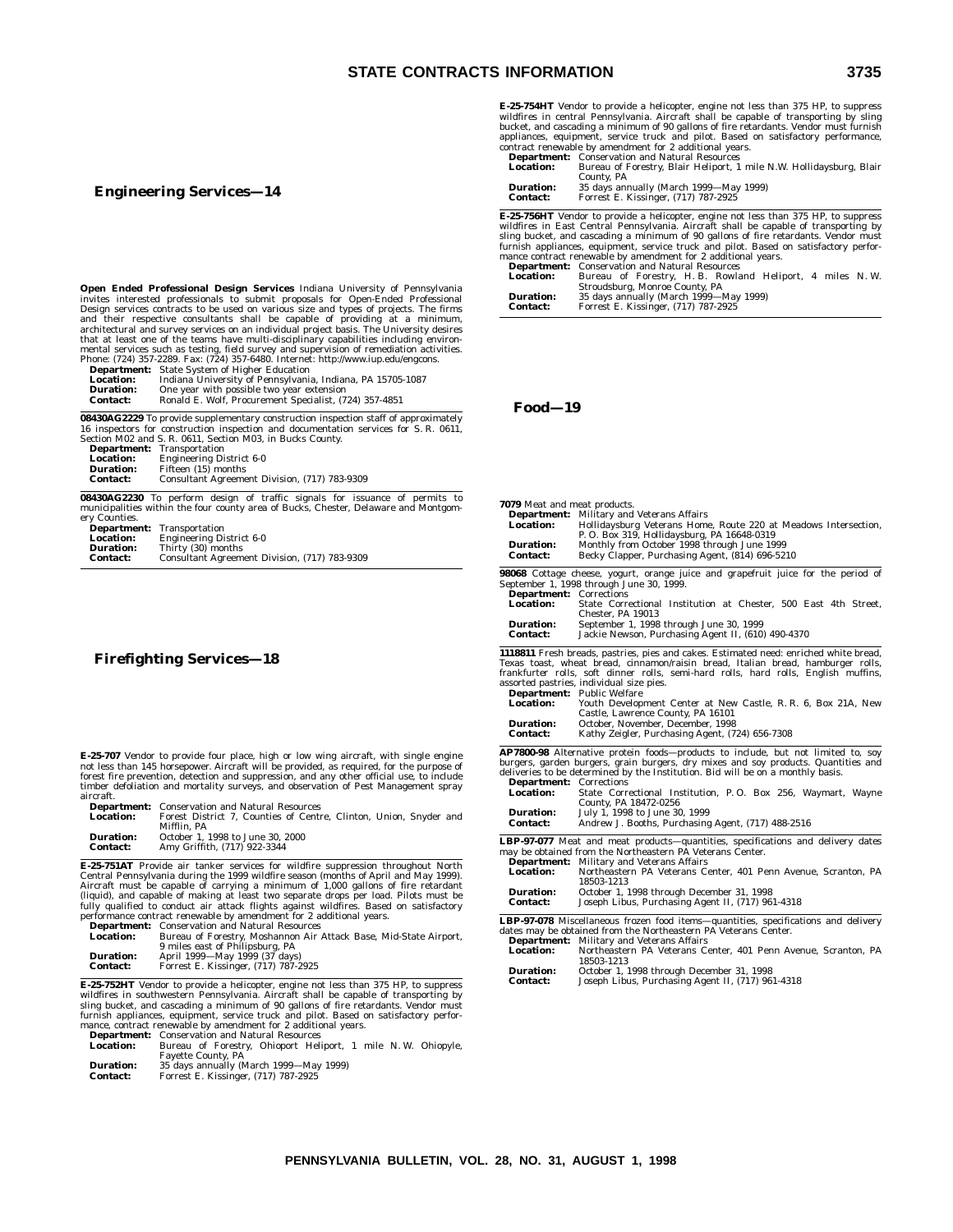### **Engineering Services—14**

**Open Ended Professional Design Services** Indiana University of Pennsylvania<br>invites interested professionals to submit proposals for Open-Ended Professional<br>Design services contracts to be used on various size and types o that at least one of the teams have multi-disciplinary capabilities including environ-<br>mental services such as testing, field survey and supervision of remediation activities.<br>Phone: (724) 357-2289. Fax: (724) 357-6480. In

|                  | <b>Department:</b> State System of Higher Education        |
|------------------|------------------------------------------------------------|
| <b>Location:</b> | Indiana University of Pennsylvania, Indiana, PA 15705-1087 |
| <b>Duration:</b> | One year with possible two year extension                  |
| <b>Contact:</b>  | Ronald E. Wolf, Procurement Specialist, (724) 357-4851     |

**08430AG2229** To provide supplementary construction inspection staff of approximately 16 inspectors for construction inspection and documentation services for S. R. 0611, Section M02 and S. R. 0611, Section M03, in Bucks County.

|                  | <b>Department:</b> Transportation             |
|------------------|-----------------------------------------------|
| <b>Location:</b> | <b>Engineering District 6-0</b>               |
| <b>Duration:</b> | Fifteen (15) months                           |
| <b>Contact:</b>  | Consultant Agreement Division, (717) 783-9309 |
|                  |                                               |

**08430AG2230** To perform design of traffic signals for issuance of permits to municipalities within the four county area of Bucks, Chester, Delaware and Montgomery Counties.

| Transportation                                |
|-----------------------------------------------|
| <b>Engineering District 6-0</b>               |
| Thirty (30) months                            |
| Consultant Agreement Division, (717) 783-9309 |
|                                               |

### **Firefighting Services—18**

**E-25-707** Vendor to provide four place, high or low wing aircraft, with single engine not less than 145 horsepower. Aircraft will be provided, as required, for the purpose of forest fire prevention, detection and suppression, and any other official use, to include timber defoliation and mortality surveys, and observation of Pest Management spray aircraft.

|                 | <b>Department:</b> Conservation and Natural Resources  |  |  |  |
|-----------------|--------------------------------------------------------|--|--|--|
| Location:       | Forest District 7. Counties of Centre, Clinton, Union. |  |  |  |
|                 | Mifflin, PA                                            |  |  |  |
| Duration:       | October 1, 1998 to June 30, 2000                       |  |  |  |
| <b>Contact:</b> | Amy Griffith, (717) 922-3344                           |  |  |  |

**E-25-751AT** Provide air tanker services for wildfire suppression throughout North<br>Central Pennsylvania during the 1999 wildfire season (months of April and May 1999).<br>Aircraft must be capable of carrying a minimum of 1,00 **Department:** Conservation and Natural Resources

| <b>Location:</b> | Bureau of Forestry, Moshannon Air Attack Base, Mid-State Airport, |
|------------------|-------------------------------------------------------------------|
|                  | 9 miles east of Philipsburg, PA                                   |
| <b>Duration:</b> | April 1999—May 1999 (37 days)                                     |
| <b>Contact:</b>  | Forrest E. Kissinger, (717) 787-2925                              |

**E-25-752HT** Vendor to provide a helicopter, engine not less than 375 HP, to suppress wildfires in southwestern Pennsylvania. Aircraft shall be capable of transporting by<br>sling bucket, and cascading a minimum of 90 gallons of fire retardants. Vendor must<br>furnish appliances, equipment, service truck and pilo mance, contract renewable by amendment for 2 additional years.

|                  | <b>Department:</b> Conservation and Natural Resources        |  |  |
|------------------|--------------------------------------------------------------|--|--|
| <b>Location:</b> | Bureau of Forestry, Ohioport Heliport, 1 mile N.W. Ohiopyle, |  |  |
|                  | <b>Favette County, PA</b>                                    |  |  |
| <b>Duration:</b> | 35 days annually (March 1999—May 1999)                       |  |  |
| <b>Contact:</b>  | Forrest E. Kissinger. (717) 787-2925                         |  |  |

**E-25-754HT** Vendor to provide a helicopter, engine not less than 375 HP, to suppress wildfires in central Pennsylvania. Aircraft shall be capable of transporting by sling<br>bucket, and cascading a minimum of 90 gallons of fire retardants. Vendor must furnish<br>appliances, equipment, service truck and pilot. Ba

**Department:** Conservation and Natural Resources<br> **Location:** Bureau of Forestry. Blair Helinort. 1 **Location:** Bureau of Forestry, Blair Heliport, 1 mile N.W. Hollidaysburg, Blair<br>**Duration:** 35 days annually (March 1999—May 1999)<br>**Contact:** Forrest E. Kissinger, (717) 787-2925

**E-25-756HT** Vendor to provide a helicopter, engine not less than 375 HP, to suppress<br>wildfires in East Central Pennsylvania. Aircraft shall be capable of transporting by<br>sling bucket, and cascading a minimum of 90 gallons mance contract renewable by amendment for 2 additional years. **Department:** Conservation and Natural Resources

| <b>Location:</b> | Bureau of Forestry, H.B. Rowland Heliport, 4 miles N.W. |
|------------------|---------------------------------------------------------|
|                  | Stroudsburg, Monroe County, PA                          |
| <b>Duration:</b> | 35 days annually (March 1999—May 1999)                  |
| <b>Contact:</b>  | Forrest E. Kissinger, (717) 787-2925                    |

### **Food—19**

| 7079 Meat and meat products.<br><b>Location:</b>  | <b>Department:</b> Military and Veterans Affairs<br>Hollidaysburg Veterans Home, Route 220 at Meadows Intersection,<br>P. O. Box 319, Hollidaysburg, PA 16648-0319    |
|---------------------------------------------------|-----------------------------------------------------------------------------------------------------------------------------------------------------------------------|
| <b>Duration:</b><br><b>Contact:</b>               | Monthly from October 1998 through June 1999<br>Becky Clapper, Purchasing Agent, (814) 696-5210                                                                        |
|                                                   | 98068 Cottage cheese, yogurt, orange juice and grapefruit juice for the period of                                                                                     |
|                                                   | September 1, 1998 through June 30, 1999.                                                                                                                              |
| <b>Department:</b> Corrections                    |                                                                                                                                                                       |
| Location:                                         | State Correctional Institution at Chester. 500 East 4th Street.                                                                                                       |
| <b>Duration:</b>                                  | Chester. PA 19013<br>September 1, 1998 through June 30, 1999                                                                                                          |
| <b>Contact:</b>                                   | Jackie Newson, Purchasing Agent II, (610) 490-4370                                                                                                                    |
|                                                   | 1118811 Fresh breads, pastries, pies and cakes. Estimated need: enriched white bread,                                                                                 |
|                                                   | Texas toast, wheat bread, cinnamon/raisin bread, Italian bread, hamburger rolls,                                                                                      |
|                                                   | frankfurter rolls, soft dinner rolls, semi-hard rolls, hard rolls, English muffins,                                                                                   |
|                                                   | assorted pastries, individual size pies.                                                                                                                              |
|                                                   | <b>Department:</b> Public Welfare                                                                                                                                     |
| <b>Location:</b>                                  | Youth Development Center at New Castle, R. R. 6, Box 21A, New                                                                                                         |
| Duration:                                         | Castle, Lawrence County, PA 16101<br>October, November, December, 1998                                                                                                |
| Contact:                                          | Kathy Zeigler, Purchasing Agent, (724) 656-7308                                                                                                                       |
|                                                   | AP7800-98 Alternative protein foods-products to include, but not limited to, soy                                                                                      |
|                                                   | burgers, garden burgers, grain burgers, dry mixes and soy products. Quantities and<br>deliveries to be determined by the Institution. Bid will be on a monthly basis. |
| <b>Department:</b> Corrections                    |                                                                                                                                                                       |
| Location:                                         | State Correctional Institution, P.O. Box 256, Waymart, Wayne                                                                                                          |
|                                                   | County, PA 18472-0256                                                                                                                                                 |
| July 1, 1998 to June 30, 1999<br><b>Duration:</b> |                                                                                                                                                                       |
| Contact:                                          | Andrew J. Booths, Purchasing Agent, (717) 488-2516                                                                                                                    |
|                                                   | LBP-97-077 Meat and meat products-quantities, specifications and delivery dates                                                                                       |
|                                                   | may be obtained from the Northeastern PA Veterans Center.                                                                                                             |
|                                                   | <b>Department:</b> Military and Veterans Affairs                                                                                                                      |
| Location:                                         | Northeastern PA Veterans Center, 401 Penn Avenue, Scranton, PA<br>18503-1213                                                                                          |
| <b>Duration:</b>                                  | October 1, 1998 through December 31, 1998                                                                                                                             |
| Contact:                                          | Joseph Libus, Purchasing Agent II, (717) 961-4318                                                                                                                     |
|                                                   | LBP-97-078 Miscellaneous frozen food items—quantities, specifications and delivery                                                                                    |
|                                                   | dates may be obtained from the Northeastern PA Veterans Center.                                                                                                       |
|                                                   | <b>Department:</b> Military and Veterans Affairs                                                                                                                      |

**Location:** Northeastern PA Veterans Center, 401 Penn Avenue, Scranton, PA 18503-1213

| <b>Duration:</b> | October 1, 1998 through December 31, 1998         |
|------------------|---------------------------------------------------|
| Contact:         | Joseph Libus, Purchasing Agent II, (717) 961-4318 |

**Snyder** and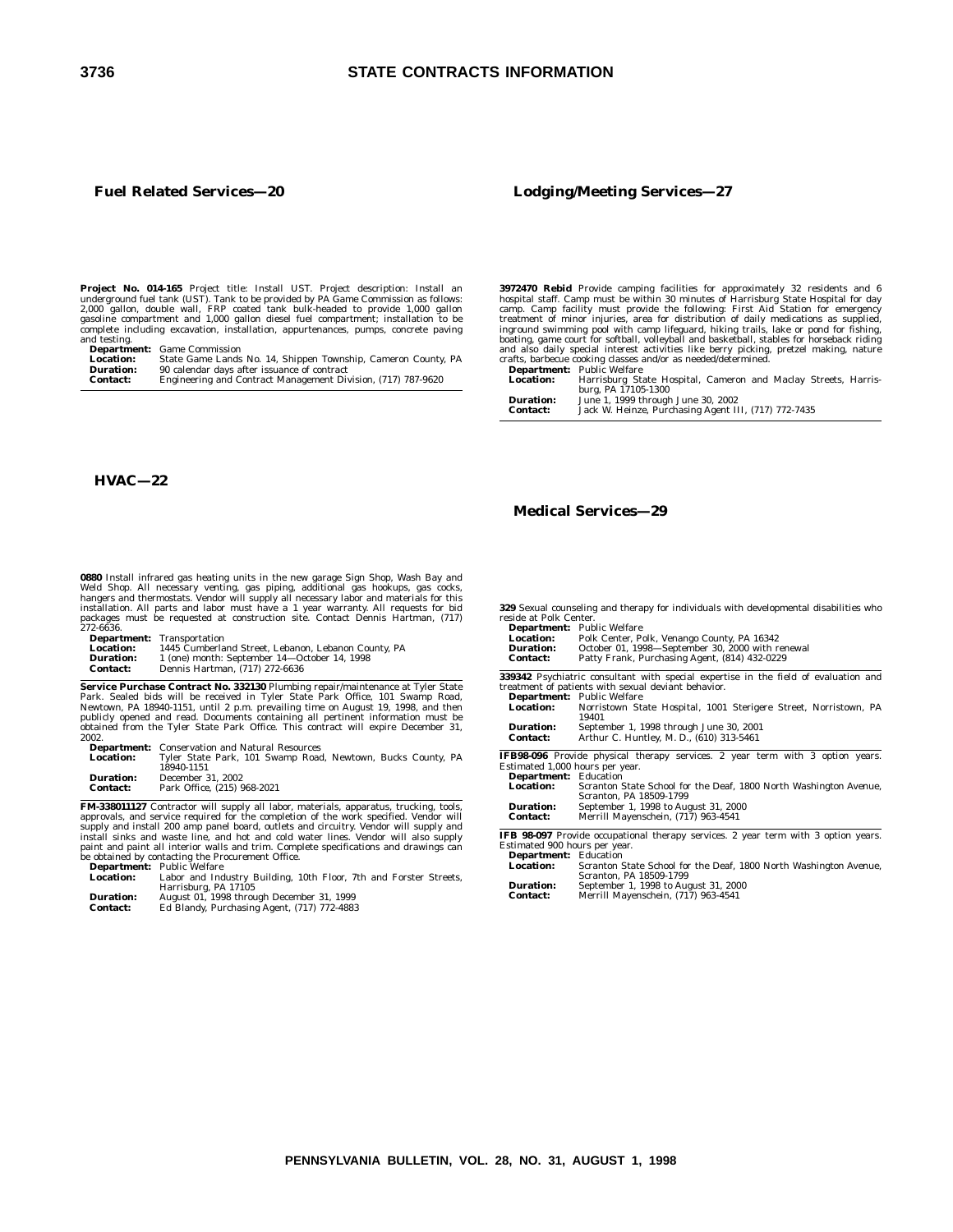### **Fuel Related Services—20**

**Project No. 014-165** Project title: Install UST. Project description: Install an underground fuel tank (UST). Tank to be provided by PA Game Commission as follows: 2,000 gallon, double wall, FRP coated tank bulk-headed to

and testing. **Department:** Game Commission

**Location:** State Game Lands No. 14, Shippen Township, Cameron County, PA **Duration:** 90 calendar days after issuance of contract **Contact:** Engineering and Contract Management Division, (717) 787-9620

### **Lodging/Meeting Services—27**

**3972470 Rebid** Provide camping facilities for approximately 32 residents and 6 hospital staff. Camp must be within 30 minutes of Harrisburg State Hospital for day camp. Camp facility must provide the following: First Aid

crafts, barbecue cooking classes and/or as needed/determined. **Department:** Public Welfare **Location:** Harrisburg State Hospital, Cameron and Maclay Streets, Harris-burg, PA 17105-1300 **Duration:** June 1, 1999 through June 30, 2002 **Contact:** Jack W. Heinze, Purchasing Agent III, (717) 772-7435

### **HVAC—22**

**0880** Install infrared gas heating units in the new garage Sign Shop, Wash Bay and<br>Weld Shop. All necessary venting, gas piping, additional gas hookups, gas cocks,<br>hangers and thermostats. Vendor will supply all necessary packages must be requested at construction site. Contact Dennis Hartman, (717) 272-6636.

**Department:** Transportation

| Location:        | 1445 Cumberland Street, Lebanon, Lebanon County, PA |
|------------------|-----------------------------------------------------|
| <b>Duration:</b> | 1 (one) month: September 14-October 14, 1998        |
| Contact:         | Dennis Hartman. (717) 272-6636                      |

**Service Purchase Contract No. 332130** Plumbing repair/maintenance at Tyler State<br>Park. Sealed bids will be received in Tyler State Park Office, 101 Swamp Road,<br>Newtown, PA 18940-1151, until 2 p.m. prevailing time on Augus 2002.

**Department:** Conservation and Natural Resources **Location:** Tyler State Park, 101 Swamp Road, Newtown, Bucks County, PA 18940-1151

**Duration:** December 31, 2002 **Contact:** Park Office, (215) 968-2021

**FM-338011127** Contractor will supply all labor, materials, apparatus, trucking, tools, apparovals, and service required for the completion of the work specified. Vendor will supply and install 200 amp panel board, outlets

**Location:** Labor and Industry Building, 10th Floor, 7th and Forster Streets,<br>Harrisburg, PA 17105<br>**Duration:** August 01, 1998 through December 31, 1999<br>**Contact:** Ed Blandy, Purchasing Agent, (717) 772-4883

### **Medical Services—29**

**329** Sexual counseling and therapy for individuals with developmental disabilities who reside at Polk Center. **Department:** Public Welfare

| всрш спісне<br><b>Location:</b><br><b>Duration:</b><br><b>Contact:</b> | r upne wenuv<br>Polk Center, Polk, Venango County, PA 16342<br>October 01, 1998-September 30, 2000 with renewal<br>Patty Frank, Purchasing Agent, (814) 432-0229 |  |  |
|------------------------------------------------------------------------|------------------------------------------------------------------------------------------------------------------------------------------------------------------|--|--|
|                                                                        | 339342 Psychiatric consultant with special expertise in the field of evaluation and                                                                              |  |  |
|                                                                        | treatment of patients with sexual deviant behavior.                                                                                                              |  |  |
|                                                                        | Department: Public Welfare                                                                                                                                       |  |  |
| <b>Location:</b>                                                       | Norristown State Hospital, 1001 Sterigere Street, Norristown, PA<br>19401                                                                                        |  |  |
| <b>Duration:</b>                                                       | September 1, 1998 through June 30, 2001                                                                                                                          |  |  |
| <b>Contact:</b>                                                        | Arthur C. Huntley, M. D., (610) 313-5461                                                                                                                         |  |  |
|                                                                        | <b>IFB98-096</b> Provide physical therapy services. 2 year term with 3 option years.                                                                             |  |  |
| Estimated 1,000 hours per year.                                        |                                                                                                                                                                  |  |  |
| <b>Department:</b> Education                                           |                                                                                                                                                                  |  |  |
| <b>Location:</b>                                                       | Scranton State School for the Deaf, 1800 North Washington Avenue,<br>Scranton, PA 18509-1799                                                                     |  |  |
| <b>Duration:</b>                                                       | September 1, 1998 to August 31, 2000                                                                                                                             |  |  |
| <b>Contact:</b>                                                        | Merrill Mayenschein, (717) 963-4541                                                                                                                              |  |  |
|                                                                        | IFB 98-097 Provide occupational therapy services. 2 year term with 3 option years.                                                                               |  |  |
| Estimated 900 hours per year.                                          |                                                                                                                                                                  |  |  |
| <b>Department:</b> Education                                           |                                                                                                                                                                  |  |  |
| <b>Location:</b>                                                       | Scranton State School for the Deaf, 1800 North Washington Avenue,<br>Coronton, DA 19500 1700                                                                     |  |  |

|                  | Scranton, PA 18509-1799              |
|------------------|--------------------------------------|
| <b>Duration:</b> | September 1, 1998 to August 31, 2000 |
| <b>Contact:</b>  | Merrill Mayenschein, (717) 963-4541  |

| 灬 |  |
|---|--|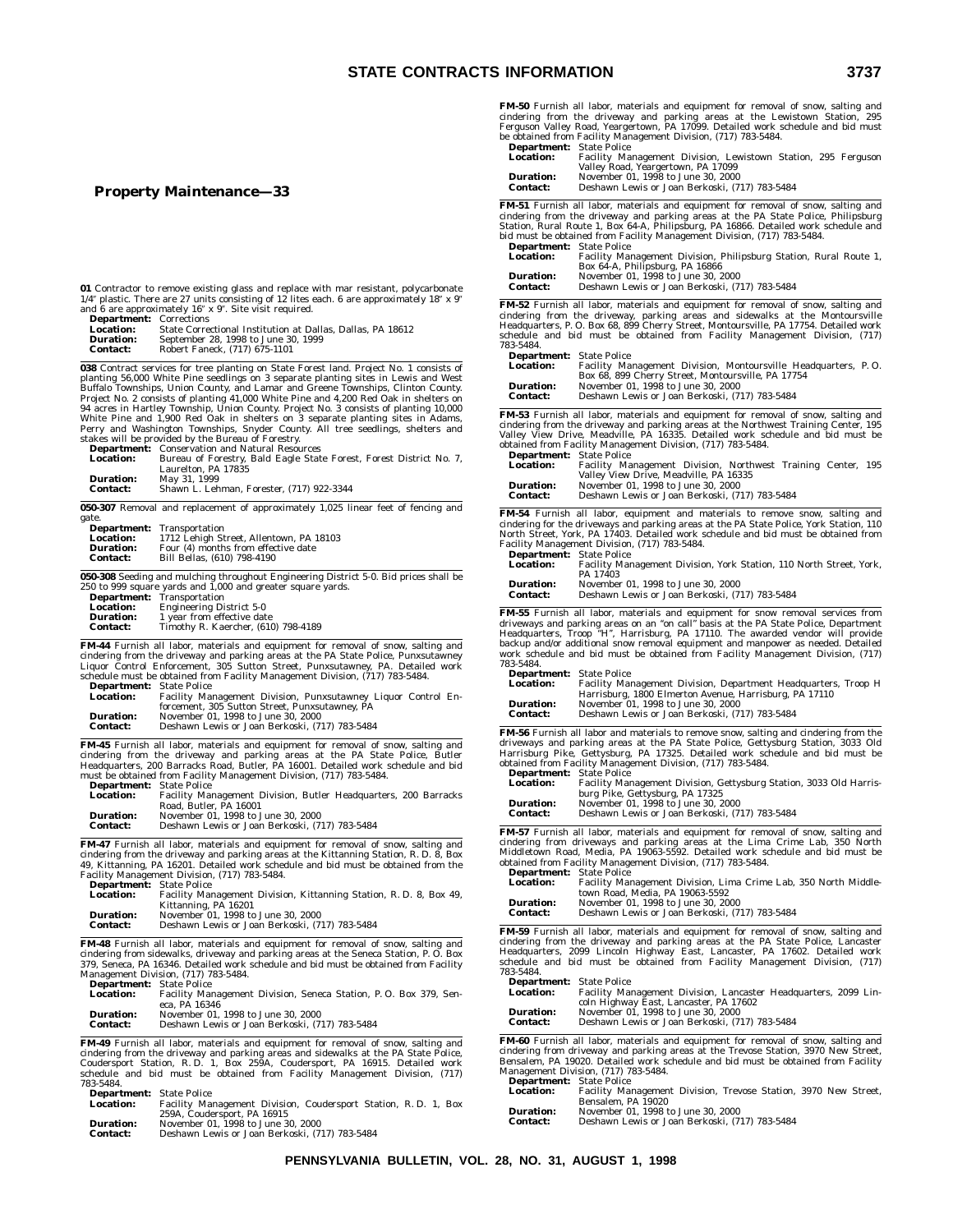### **Property Maintenance—33**

|                                 | 01 Contractor to remove existing glass and replace with mar resistant, polycarbonate                                                                                           | Contac                   |
|---------------------------------|--------------------------------------------------------------------------------------------------------------------------------------------------------------------------------|--------------------------|
|                                 | $1/4$ " plastic. There are 27 units consisting of 12 lites each. 6 are approximately 18" x 9"                                                                                  | FM-52 F                  |
| <b>Department:</b> Corrections  | and 6 are approximately 16" x 9". Site visit required.                                                                                                                         | cindering                |
| <b>Location:</b>                | State Correctional Institution at Dallas, Dallas, PA 18612                                                                                                                     | Headquar                 |
| <b>Duration:</b>                | September 28, 1998 to June 30, 1999                                                                                                                                            | schedule                 |
| <b>Contact:</b>                 | Robert Faneck, (717) 675-1101                                                                                                                                                  | 783-5484.                |
|                                 |                                                                                                                                                                                | <b>Depart</b>            |
|                                 | 038 Contract services for tree planting on State Forest land. Project No. 1 consists of<br>planting 56,000 White Pine seedlings on 3 separate planting sites in Lewis and West | Locati                   |
|                                 | Buffalo Townships, Union County, and Lamar and Greene Townships, Clinton County.                                                                                               | <b>Durati</b><br>Contac  |
|                                 | Project No. 2 consists of planting 41,000 White Pine and 4,200 Red Oak in shelters on                                                                                          |                          |
|                                 | 94 acres in Hartley Township, Union County. Project No. 3 consists of planting 10,000<br>White Pine and 1,900 Red Oak in shelters on 3 separate planting sites in Adams,       | FM-53 F                  |
|                                 | Perry and Washington Townships, Snyder County. All tree seedlings, shelters and                                                                                                | cindering                |
|                                 | stakes will be provided by the Bureau of Forestry.                                                                                                                             | Valley Vi                |
|                                 | <b>Department:</b> Conservation and Natural Resources                                                                                                                          | obtained                 |
| <b>Location:</b>                | Bureau of Forestry, Bald Eagle State Forest, Forest District No. 7,<br>Laurelton, PA 17835                                                                                     | <b>Depart</b><br>Locatio |
| <b>Duration:</b>                | May 31, 1999                                                                                                                                                                   |                          |
| <b>Contact:</b>                 | Shawn L. Lehman, Forester, (717) 922-3344                                                                                                                                      | Durati<br>Contac         |
|                                 |                                                                                                                                                                                |                          |
|                                 | 050-307 Removal and replacement of approximately 1,025 linear feet of fencing and                                                                                              | <b>FM-54 F</b>           |
| gate.                           | Department: Transportation                                                                                                                                                     | cindering                |
| <b>Location:</b>                | 1712 Lehigh Street, Allentown, PA 18103                                                                                                                                        | North Sti                |
| <b>Duration:</b>                | Four (4) months from effective date                                                                                                                                            | Facility M               |
| <b>Contact:</b>                 | Bill Bellas, (610) 798-4190                                                                                                                                                    | Depart                   |
|                                 |                                                                                                                                                                                | Locatio                  |
|                                 | 050-308 Seeding and mulching throughout Engineering District 5-0. Bid prices shall be<br>250 to 999 square yards and 1,000 and greater square yards.                           | Durati                   |
|                                 | Department: Transportation                                                                                                                                                     | Contac                   |
| <b>Location:</b>                | <b>Engineering District 5-0</b>                                                                                                                                                | FM-55 F                  |
| <b>Duration:</b>                | 1 year from effective date                                                                                                                                                     | driveways                |
| Contact:                        | Timothy R. Kaercher, (610) 798-4189                                                                                                                                            | Headquar                 |
|                                 | FM-44 Furnish all labor, materials and equipment for removal of snow, salting and                                                                                              | backup ai                |
|                                 | cindering from the driveway and parking areas at the PA State Police, Punxsutawney                                                                                             | work sch                 |
|                                 | Liquor Control Enforcement, 305 Sutton Street, Punxsutawney, PA. Detailed work                                                                                                 | 783-5484.                |
|                                 | schedule must be obtained from Facility Management Division, (717) 783-5484.                                                                                                   | Depart                   |
| <b>Department:</b> State Police |                                                                                                                                                                                | Locati                   |
| <b>Location:</b>                | Facility Management Division, Punxsutawney Liquor Control En-                                                                                                                  |                          |
|                                 | forcement, 305 Sutton Street, Punxsutawney, PA                                                                                                                                 | Durati                   |
| <b>Duration:</b>                | November 01, 1998 to June 30, 2000                                                                                                                                             | Contac                   |
| Contact:                        | Deshawn Lewis or Joan Berkoski, (717) 783-5484                                                                                                                                 | <b>FM-56 Ft</b>          |
|                                 |                                                                                                                                                                                | driveways                |
|                                 | FM-45 Furnish all labor, materials and equipment for removal of snow, salting and                                                                                              | Harrisbuı                |
|                                 | cindering from the driveway and parking areas at the PA State Police, Butler<br>Headquarters, 200 Barracks Road, Butler, PA 16001. Detailed work schedule and bid              | obtained :               |
|                                 | must be obtained from Facility Management Division, (717) 783-5484.                                                                                                            | Depart                   |
| <b>Department:</b> State Police |                                                                                                                                                                                | Locati                   |
| <b>Location:</b>                | Facility Management Division, Butler Headquarters, 200 Barracks                                                                                                                |                          |
|                                 | Road, Butler, PA 16001                                                                                                                                                         | Durati                   |
| <b>Duration:</b>                | November 01, 1998 to June 30, 2000                                                                                                                                             | Contac                   |
| <b>Contact:</b>                 | Deshawn Lewis or Joan Berkoski, (717) 783-5484                                                                                                                                 |                          |
|                                 |                                                                                                                                                                                | FM-57 F                  |
|                                 | FM-47 Furnish all labor, materials and equipment for removal of snow, salting and                                                                                              | cindering                |
|                                 | cindering from the driveway and parking areas at the Kittanning Station, R. D. 8, Box                                                                                          | Middletov                |
|                                 | 49, Kittanning, PA 16201. Detailed work schedule and bid must be obtained from the                                                                                             | obtained                 |
|                                 | Facility Management Division, (717) 783-5484.                                                                                                                                  | <b>Depart</b><br>Locatio |
| <b>Department:</b> State Police |                                                                                                                                                                                |                          |
| <b>Location:</b>                | Facility Management Division, Kittanning Station, R. D. 8, Box 49,                                                                                                             | <b>Durati</b>            |
| <b>Duration:</b>                | Kittanning, PA 16201<br>November 01, 1998 to June 30, 2000                                                                                                                     | Contac                   |
| <b>Contact:</b>                 | Deshawn Lewis or Joan Berkoski, (717) 783-5484                                                                                                                                 |                          |
|                                 |                                                                                                                                                                                | FM-59 F                  |
|                                 | FM-48 Furnish all labor, materials and equipment for removal of snow, salting and                                                                                              | cindering                |
|                                 | cindering from sidewalks, driveway and parking areas at the Seneca Station, P. O. Box                                                                                          | Headquar                 |
|                                 | 379, Seneca, PA 16346. Detailed work schedule and bid must be obtained from Facility                                                                                           | schedule                 |
|                                 | Management Division, (717) 783-5484.                                                                                                                                           | 783-5484.                |
| <b>Department:</b> State Police |                                                                                                                                                                                | Depart                   |
| <b>Location:</b>                | Facility Management Division, Seneca Station, P.O. Box 379, Sen-                                                                                                               | Locati                   |
|                                 | eca, PÅ 16346                                                                                                                                                                  | Durati                   |
| <b>Duration:</b>                | November 01, 1998 to June 30, 2000                                                                                                                                             | Contac                   |
| <b>Contact:</b>                 | Deshawn Lewis or Joan Berkoski, (717) 783-5484                                                                                                                                 |                          |
|                                 | FM-49 Furnish all labor, materials and equipment for removal of snow, salting and                                                                                              | <b>FM-60 F</b>           |
|                                 | cindering from the driveway and parking areas and sidewalks at the PA State Police,                                                                                            | cindering                |
|                                 | Coudersport Station, R.D. 1, Box 259A, Coudersport, PA 16915. Detailed work                                                                                                    | Bensalem                 |

Coudersport Station, R. D. 1, Box 259A, Coudersport, PA 16915. Detailed work schedule and bid must be obtained from Facility Management Division, (717) 783-5484. **Department:** State Police

| <b>Location:</b> | Facility Management Division, Coudersport Station, R.D. 1, Box<br>259A, Coudersport, PA 16915 |
|------------------|-----------------------------------------------------------------------------------------------|
| <b>Duration:</b> | November 01, 1998 to June 30, 2000                                                            |
| <b>Contact:</b>  | Deshawn Lewis or Joan Berkoski, (717) 783-5484                                                |

**FM-50** Furnish all labor, materials and equipment for removal of snow, salting and cindering from the driveway and parking areas at the Lewistown Station, 295<br>Ferguson Valley Road, Yeargertown, PA 17099. Detailed work schedule and bid must<br>be obtained from Facility Management Division, (717) 783-5484.<br>**D** 

| <b>Department.</b> Diate Fonce |                                                                                  |
|--------------------------------|----------------------------------------------------------------------------------|
| <b>Location:</b>               | Facility Management Division, Lewistown Station, 295 Ferguson                    |
|                                | Valley Road, Yeargertown, PA 17099                                               |
| <b>Duration:</b>               | November 01, 1998 to June 30, 2000                                               |
| Contact:                       | Deshawn Lewis or Joan Berkoski, (717) 783-5484                                   |
|                                |                                                                                  |
|                                | M-51 Furnish all labor, materials and equipment for removal of snow, salting and |
|                                | todiados Acad iki dotacenai and canbins acad a iki DA Ciai, Dalti, Dkibolanos    |

**FM-51** Furnish all labor, materials and equipment for removal of snow, salting and cindering from the driveway and parking areas at the PA State Police, Philipsburg Station, Rural Route 1, Box 64-A, Philipsburg, PA 16866.

| <b>Department</b> : Date Ponce |                                                                   |
|--------------------------------|-------------------------------------------------------------------|
| <b>Location:</b>               | Facility Management Division, Philipsburg Station, Rural Route 1, |
|                                | Box 64-A, Philipsburg, PA 16866                                   |
| <b>Duration:</b>               | November 01, 1998 to June 30, 2000                                |
| <b>Contact:</b>                | Deshawn Lewis or Joan Berkoski, (717) 783-5484                    |
|                                |                                                                   |

**FM-52** Furnish all labor, materials and equipment for removal of snow, salting and<br>cindering from the driveway, parking areas and sidewalks at the Montoursville<br>Headquarters, P. O. Box 68, 899 Cherry Street, Montoursville and bid must be obtained from Facility Management Division, (717) 783-5484. **..**<br>rtment: State Police

| <b>Department.</b> Diate Fonce |                                                                |  |
|--------------------------------|----------------------------------------------------------------|--|
| <b>Location:</b>               | Facility Management Division, Montoursville Headquarters, P.O. |  |
|                                | Box 68, 899 Cherry Street, Montoursville, PA 17754             |  |
| <b>Duration:</b>               | November 01, 1998 to June 30, 2000                             |  |
| Contact:                       | Deshawn Lewis or Joan Berkoski, (717) 783-5484                 |  |
|                                |                                                                |  |

Furnish all labor, materials and equipment for removal of snow, salting and cindering from the driveway and parking areas at the Northwest Training Center, 195<br>Valley View Drive, Meadville, PA 16335. Detailed work schedule and bid must be<br>obtained from Facility Management Division, (717) 783-5484.

| <b>Department:</b> State Police |                                                              |  |
|---------------------------------|--------------------------------------------------------------|--|
| <b>Location:</b>                | Facility Management Division, Northwest Training Center, 195 |  |
|                                 | Valley View Drive, Meadville, PA 16335                       |  |
| <b>Duration:</b>                | November 01, 1998 to June 30, 2000                           |  |
| <b>Contact:</b>                 | Deshawn Lewis or Joan Berkoski, (717) 783-5484               |  |
|                                 |                                                              |  |

**FM-54** Furnish all labor, equipment and materials to remove snow, salting and<br>cindering for the driveways and parking areas at the PA State Police, York Station, 110<br>North Street, York, PA 17403. Detailed work schedule an

| -----------      |                                                                     |
|------------------|---------------------------------------------------------------------|
| <b>Location:</b> | Facility Management Division, York Station, 110 North Street, York, |
|                  | PA 17403                                                            |
| <b>Duration:</b> | November 01, 1998 to June 30, 2000                                  |

| vuutuvu. |                                                |  | $1101$ childer 0.1. 1000 to Julie 00. 2000 |  |
|----------|------------------------------------------------|--|--------------------------------------------|--|
| Contact: | Deshawn Lewis or Joan Berkoski, (717) 783-5484 |  |                                            |  |

**FM-55** Furnish all labor, materials and equipment for snow removal services from<br>driveways and parking areas on an "on call" basis at the PA State Police, Department<br>Headquarters, Troop "H", Harrisburg, PA 17110. The awar

| <b>Department:</b> State Police |                                                                |
|---------------------------------|----------------------------------------------------------------|
| <b>Location:</b>                | Facility Management Division, Department Headquarters, Troop H |
|                                 | Harrisburg, 1800 Elmerton Avenue, Harrisburg, PA 17110         |
| <b>Duration:</b>                | November 01, 1998 to June 30, 2000                             |
| <b>Contact:</b>                 | Deshawn Lewis or Joan Berkoski, (717) 783-5484                 |

**FM-56** Furnish all labor and materials to remove snow, salting and cindering from the<br>driveways and parking areas at the PA State Police, Gettysburg Station, 3033 Old<br>Harrisburg Pike, Gettysburg, PA 17325. Detailed work s from Facility Management Division, (717) 783-5484.

| <b>Department:</b> State Police |                                                                    |
|---------------------------------|--------------------------------------------------------------------|
| <b>Location:</b>                | Facility Management Division, Gettysburg Station, 3033 Old Harris- |
|                                 | burg Pike, Gettysburg, PA 17325                                    |
| <b>Duration:</b>                | November 01, 1998 to June 30, 2000                                 |
| <b>Contact:</b>                 | Deshawn Lewis or Joan Berkoski, (717) 783-5484                     |

**FM-57** Furnish all labor, materials and equipment for removal of snow, salting and cindering from driveways and parking areas at the Lima Crime Lab, 350 North Middletown Road, Media, PA 19063-5592. Detailed work schedule and bid must be obtained from Facility Management Division, (717) 783-5484.

| <b>Department:</b> State Police |                                                                                          |
|---------------------------------|------------------------------------------------------------------------------------------|
| <b>Location:</b>                | Facility Management Division, Lima Crime Lab, 350 North Middle-                          |
|                                 | town Road. Media. PA 19063-5592                                                          |
| <b>Duration:</b>                | November 01, 1998 to June 30, 2000                                                       |
| <b>Contact:</b>                 | Deshawn Lewis or Joan Berkoski. (717) 783-5484                                           |
|                                 | <b>FM-59</b> Furnish all labor, materials and equipment for removal of snow, salting and |
|                                 | cindering from the driveway and parking areas at the PA State Police, Lancaster          |
|                                 | Headquarters, 2099 Lincoln Highway East, Lancaster, PA 17602. Detailed work              |
|                                 | schedule and bid must be obtained from Facility Management Division, (717)               |
| 783-5484.                       |                                                                                          |
| <b>Department:</b> State Police |                                                                                          |
| <b>Location:</b>                | Facility Management Division, Lancaster Headquarters, 2099 Lin-                          |
|                                 | colp Highway Fact Lancaster, DA 17602                                                    |

coln Highway East, Lancaster, PA 17602 **Duration:** November 01, 1998 to June 30, 2000 **Contact:** Deshawn Lewis or Joan Berkoski, (717) 783-5484 Furnish all labor, materials and equipment for removal of snow, salting and cindering from driveway and parking areas at the Trevose Station, 3970 New Street, Bensalem, PA 19020. Detailed work schedule and bid must be obtained from Facility

|                                 | Bensalem, PA 19020. Detailed work schedule and bid must be obtained from Pacifity |
|---------------------------------|-----------------------------------------------------------------------------------|
|                                 | Management Division, (717) 783-5484.                                              |
| <b>Department:</b> State Police |                                                                                   |
| <b>Location:</b>                | Facility Management Division, Trevose Station, 3970 New Street,                   |
|                                 | Bensalem, PA 19020                                                                |
| <b>Duration:</b>                | November 01, 1998 to June 30, 2000                                                |
| Contact:                        | Deshawn Lewis or Joan Berkoski, (717) 783-5484                                    |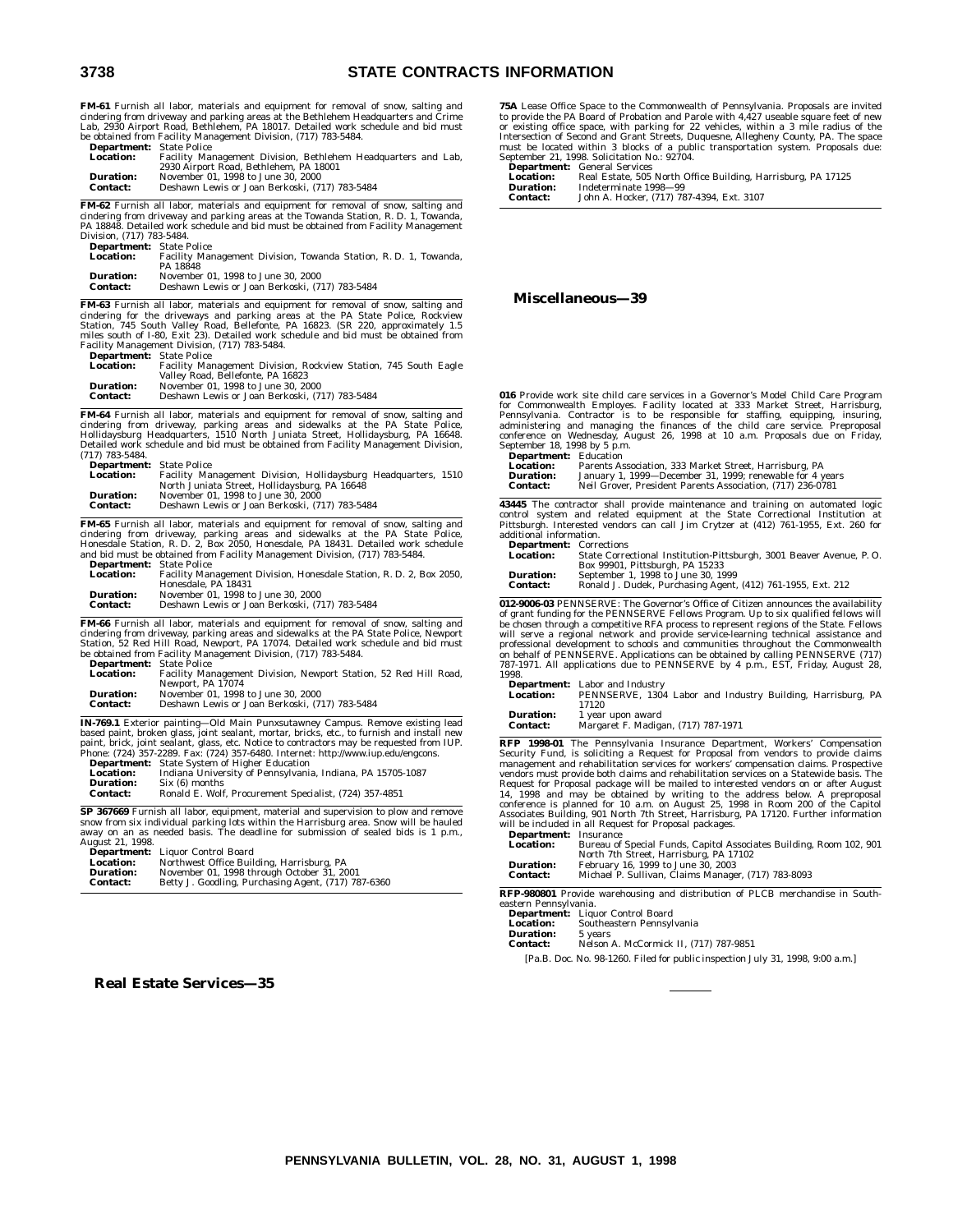### **3738 STATE CONTRACTS INFORMATION**

**FM-61** Furnish all labor, materials and equipment for removal of snow, salting and cindering from driveway and parking areas at the Bethlehem Headquarters and Crime<br>Lab, 2930 Airport Road, Bethlehem, PA 18017. Detailed work schedule and bid must<br>be obtained from Facility Management Division, (717) 783-54

| <b>Department:</b> State Police |                                                               |
|---------------------------------|---------------------------------------------------------------|
| <b>Location:</b>                | Facility Management Division, Bethlehem Headquarters and Lab, |
|                                 | 2930 Airport Road, Bethlehem, PA 18001                        |
| <b>Duration:</b>                | November 01, 1998 to June 30, 2000                            |
| <b>Contact:</b>                 | Deshawn Lewis or Joan Berkoski, (717) 783-5484                |

**FM-62** Furnish all labor, materials and equipment for removal of snow, salting and cindering from driveway and parking areas at the Towanda Station, R. D. 1, Towanda, PA 18848. Detailed work schedule and bid must be obtained from Facility Management Division, (717) 783-5484. **Department:** State Police

| -------------    | .                                                                |
|------------------|------------------------------------------------------------------|
| <b>Location:</b> | Facility Management Division. Towanda Station, R. D. 1. Towanda. |
|                  | PA 18848                                                         |
| <b>Duration:</b> | November 01, 1998 to June 30, 2000                               |
| <b>Contact:</b>  | Deshawn Lewis or Joan Berkoski, (717) 783-5484                   |
|                  |                                                                  |

**FM-63** Furnish all labor, materials and equipment for removal of snow, salting and cindering for the driveways and parking areas at the PA State Police, Rockview<br>Station, 745 South Valley Road, Bellefonte, PA 16823. (SR 2 **Department:** State Police

| <b>Location:</b> | Facility Management Division, Rockview Station, 745 South Eagle |
|------------------|-----------------------------------------------------------------|
|                  | Valley Road, Bellefonte, PA 16823                               |
| <b>Duration:</b> | November 01, 1998 to June 30, 2000                              |
| <b>Contact:</b>  | Deshawn Lewis or Joan Berkoski, (717) 783-5484                  |

**FM-64** Furnish all labor, materials and equipment for removal of snow, salting and cindering from driveway, parking areas and sidewalks at the PA State Police,<br>Hollidaysburg Headquarters, 1510 North Juniata Street, Hollidaysburg, PA 16648.<br>Detailed work schedule and bid must be obtained from Facility Man (717) 783-5484.

| <b>Department:</b> State Police |                                                                |  |
|---------------------------------|----------------------------------------------------------------|--|
| <b>Location:</b>                | Facility Management Division, Hollidaysburg Headquarters, 1510 |  |
|                                 | North Juniata Street, Hollidaysburg, PA 16648                  |  |
| <b>Duration:</b>                | November 01, 1998 to June 30, 2000                             |  |
| <b>Contact:</b>                 | Deshawn Lewis or Joan Berkoski, (717) 783-5484                 |  |
|                                 |                                                                |  |

**FM-65** Furnish all labor, materials and equipment for removal of snow, salting and cindering from driveway, parking areas and sidewalks at the PA State Police, Honesdale Station, R. D. 2, Box 2050, Honesdale, PA 18431. De

| <b>Department:</b> State Police |                                                                     |
|---------------------------------|---------------------------------------------------------------------|
| Location:                       | Facility Management Division, Honesdale Station, R. D. 2, Box 2050, |
|                                 | Honesdale, PA 18431                                                 |
| Duration:                       | November 01, 1998 to June 30, 2000                                  |
| <b>Contact:</b>                 | Deshawn Lewis or Joan Berkoski, (717) 783-5484                      |

**FM-66** Furnish all labor, materials and equipment for removal of snow, salting and cindering from driveway, parking areas and sidewalks at the PA State Police, Newport<br>Station, 52 Red Hill Road, Newport, PA 17074. Detailed work schedule and bid must<br>be obtained from Facility Management Division, (717) 78

|                                     | $\sim$ $\sim$ $\sim$                                                                 |
|-------------------------------------|--------------------------------------------------------------------------------------|
| <b>Duration:</b><br><b>Contact:</b> | November 01, 1998 to June 30, 2000<br>Deshawn Lewis or Joan Berkoski, (717) 783-5484 |
|                                     | Newport, PA 17074                                                                    |
| <b>Location:</b>                    | Facility Management Division, Newport Station, 52 Red Hill Road,                     |
| <b>Department.</b> Diate I once     |                                                                                      |

**IN-769.1** Exterior painting—Old Main Punxsutawney Campus. Remove existing lead based paint, broken glass, joint sealant, mortar, bricks, etc., to furnish and install new<br>paint, brick, joint sealant, glass, etc. Notice to contractors may be requested from IUP.<br>Phone: (724) 357-2289. Fax: (724) 357-648

|                 | <b>Department:</b> State System of Higher Education        |  |
|-----------------|------------------------------------------------------------|--|
| Location:       | Indiana University of Pennsylvania, Indiana, PA 15705-1087 |  |
| Duration:       | Six (6) months                                             |  |
| <b>Contact:</b> | Ronald E. Wolf, Procurement Specialist, (724) 357-4851     |  |

**SP 367669** Furnish all labor, equipment, material and supervision to plow and remove snow from six individual parking lots within the Harrisburg area. Snow will be hauled away on an as needed basis. The deadline for submission of sealed bids is 1 p.m., August 21, 1998.

**Department:** Liquor Control Board

| <b>Location:</b> |         | Northwest Office Building, Harrisburg, PA |
|------------------|---------|-------------------------------------------|
|                  | ------- | ----                                      |

| Duration:       | November 01, 1998 through October 31, 2001          |
|-----------------|-----------------------------------------------------|
| <b>Contact:</b> | Betty J. Goodling, Purchasing Agent, (717) 787-6360 |

**Real Estate Services—35**

**75A** Lease Office Space to the Commonwealth of Pennsylvania. Proposals are invited to provide the PA Board of Probation and Parole with 4,427 useable square feet of new or existing office space, with parking for 22 vehicles, within a 3 mile radius of the Intersection of Second and Grant Streets, Duquesne, Allegheny County, PA. The space must be located within 3 blocks of a public transpor

| $200$ pair concentration |                                                              |
|--------------------------|--------------------------------------------------------------|
| <b>Location:</b>         | Real Estate, 505 North Office Building, Harrisburg, PA 17125 |
| <b>Duration:</b>         | Indeterminate 1998-99                                        |
| <b>Contact:</b>          | John A. Hocker, (717) 787-4394, Ext. 3107                    |

#### **Miscellaneous—39**

**016** Provide work site child care services in a Governor's Model Child Care Program<br>for Commonwealth Employes. Facility located at 333 Market Street, Harrisburg,<br>Pennsylvania. Contractor is to be responsible for staffing, communities and managing the finances of the child care service. Preproposal conference on Wednesday, August 26, 1998 at 10 a.m. Proposals due on Friday, September 18, 1998 by 5 p.m.

| <b>Department:</b> Education |                                                            |
|------------------------------|------------------------------------------------------------|
| <b>Location:</b>             | Parents Association, 333 Market Street, Harrisburg, PA     |
| <b>Duration:</b>             | January 1, 1999-December 31, 1999; renewable for 4 years   |
| <b>Contact:</b>              | Neil Grover, President Parents Association. (717) 236-0781 |
|                              |                                                            |

**43445** The contractor shall provide maintenance and training on automated logic<br>control system and related equipment at the State Correctional Institution at<br>Pittsburgh. Interested vendors can call Jim Crytzer at (412) 76

| <b>Department:</b> Corrections |                                                                     |
|--------------------------------|---------------------------------------------------------------------|
| <b>Location:</b>               | State Correctional Institution-Pittsburgh, 3001 Beaver Avenue, P.O. |
|                                | Box 99901, Pittsburgh, PA 15233                                     |
| <b>Duration:</b>               | September 1, 1998 to June 30, 1999                                  |
| <b>Contact:</b>                | Ronald J. Dudek, Purchasing Agent, (412) 761-1955, Ext. 212         |

**012-9006-03** PENNSERVE: The Governor's Office of Citizen announces the availability<br>of grant funding for the PENNSERVE Fellows Program. Up to six qualified fellows will<br>be chosen through a competitive RFA process to repre will serve a regional network and provide service-learning technical assistance and<br>professional development to schools and communities throughout the Commonwealth<br>on behalf of PENNSERVE. Applications can be obtained by ca 1998.

| <b>Location:</b> | <b>Department:</b> Labor and Industry<br>PENNSERVE, 1304 Labor and Industry Building, Harrisburg, PA<br>17120 |
|------------------|---------------------------------------------------------------------------------------------------------------|
| <b>Duration:</b> | 1 year upon award                                                                                             |
| <b>Contact:</b>  | Margaret F. Madigan, (717) 787-1971                                                                           |

**RFP 1998-01** The Pennsylvania Insurance Department, Workers' Compensation<br>Security Fund, is soliciting a Request for Proposal from vendors to provide claims<br>management and rehabilitation services for workers' compensation

| <b>Location:</b> | Bureau of Special Funds, Capitol Associates Building, Room 102, 901 |
|------------------|---------------------------------------------------------------------|
|                  | North 7th Street, Harrisburg, PA 17102                              |
| <b>Duration:</b> | February 16, 1999 to June 30, 2003                                  |
| Contact:         | Michael P. Sullivan, Claims Manager, (717) 783-8093                 |

**RFP-980801** Provide warehousing and distribution of PLCB merchandise in Southeastern Pennsylvania.

- **Department:** Liquor Control Board<br>**Location:** Southeastern Pennsyl Southeastern Pennsylvania<br>5 years
- **Duration:**<br>Contact:

**Contact:** Nelson A. McCormick II, (717) 787-9851

[Pa.B. Doc. No. 98-1260. Filed for public inspection July 31, 1998, 9:00 a.m.]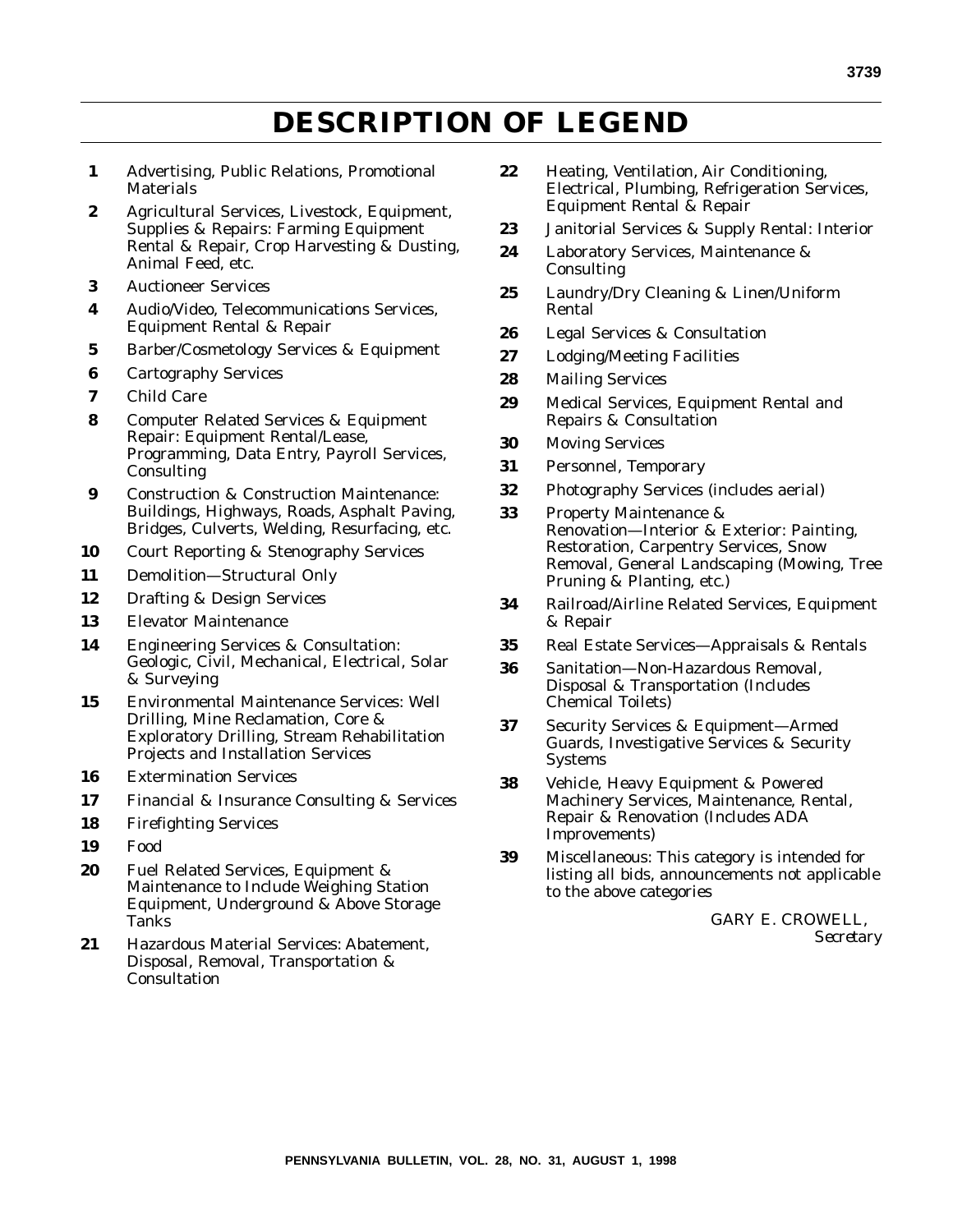# **DESCRIPTION OF LEGEND**

- **1** Advertising, Public Relations, Promotional **Materials**
- **2** Agricultural Services, Livestock, Equipment, Supplies & Repairs: Farming Equipment Rental & Repair, Crop Harvesting & Dusting, Animal Feed, etc.
- **3** Auctioneer Services
- **4** Audio/Video, Telecommunications Services, Equipment Rental & Repair
- **5** Barber/Cosmetology Services & Equipment
- **6** Cartography Services
- **7** Child Care
- **8** Computer Related Services & Equipment Repair: Equipment Rental/Lease, Programming, Data Entry, Payroll Services, Consulting
- **9** Construction & Construction Maintenance: Buildings, Highways, Roads, Asphalt Paving, Bridges, Culverts, Welding, Resurfacing, etc.
- **10** Court Reporting & Stenography Services
- **11** Demolition—Structural Only
- **12** Drafting & Design Services
- **13** Elevator Maintenance
- **14** Engineering Services & Consultation: Geologic, Civil, Mechanical, Electrical, Solar & Surveying
- **15** Environmental Maintenance Services: Well Drilling, Mine Reclamation, Core & Exploratory Drilling, Stream Rehabilitation Projects and Installation Services
- **16** Extermination Services
- **17** Financial & Insurance Consulting & Services
- **18** Firefighting Services
- **19** Food
- **20** Fuel Related Services, Equipment & Maintenance to Include Weighing Station Equipment, Underground & Above Storage Tanks
- **21** Hazardous Material Services: Abatement, Disposal, Removal, Transportation & **Consultation**
- **22** Heating, Ventilation, Air Conditioning, Electrical, Plumbing, Refrigeration Services, Equipment Rental & Repair
- **23** Janitorial Services & Supply Rental: Interior
- **24** Laboratory Services, Maintenance & Consulting
- **25** Laundry/Dry Cleaning & Linen/Uniform Rental
- **26** Legal Services & Consultation
- **27** Lodging/Meeting Facilities
- **28** Mailing Services
- **29** Medical Services, Equipment Rental and Repairs & Consultation
- **30** Moving Services
- **31** Personnel, Temporary
- **32** Photography Services (includes aerial)
- **33** Property Maintenance & Renovation—Interior & Exterior: Painting, Restoration, Carpentry Services, Snow Removal, General Landscaping (Mowing, Tree Pruning & Planting, etc.)
- **34** Railroad/Airline Related Services, Equipment & Repair
- **35** Real Estate Services—Appraisals & Rentals
- **36** Sanitation—Non-Hazardous Removal, Disposal & Transportation (Includes Chemical Toilets)
- **37** Security Services & Equipment—Armed Guards, Investigative Services & Security Systems
- **38** Vehicle, Heavy Equipment & Powered Machinery Services, Maintenance, Rental, Repair & Renovation (Includes ADA Improvements)
- **39** Miscellaneous: This category is intended for listing all bids, announcements not applicable to the above categories

GARY E. CROWELL, *Secretary*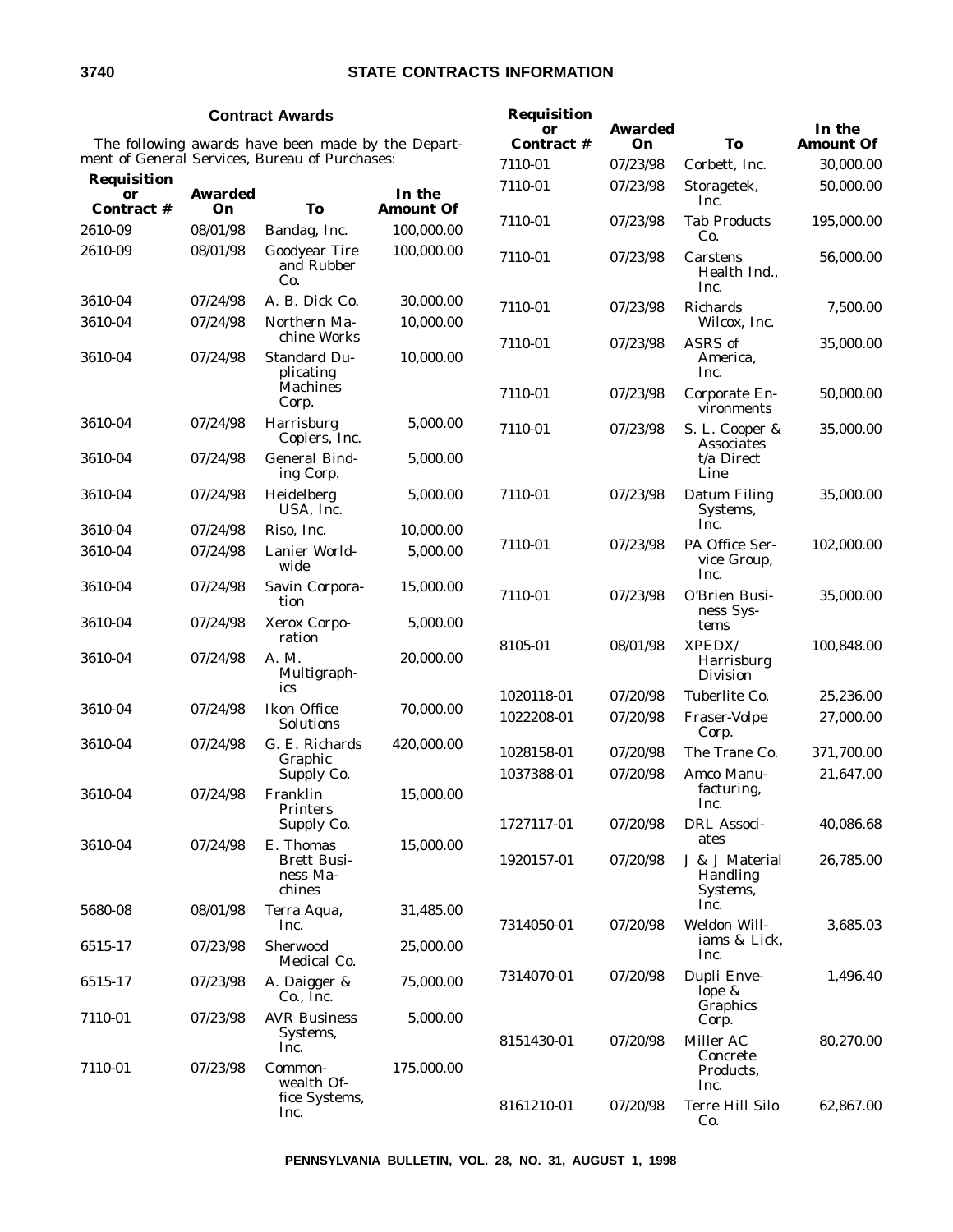### **Contract Awards**

The following awards have been made by the Department of General Services, Bureau of Purchases:

| <b>Requisition</b> |                      |                                                       |                            | 7110-01                  | 07/23/98             |
|--------------------|----------------------|-------------------------------------------------------|----------------------------|--------------------------|----------------------|
| or<br>Contract #   | <b>Awarded</b><br>On | To                                                    | In the<br><b>Amount Of</b> |                          |                      |
| 2610-09            | 08/01/98             | Bandag, Inc.                                          | 100,000.00                 | 7110-01                  | 07/23/98             |
| 2610-09            | 08/01/98             | <b>Goodyear Tire</b><br>and Rubber<br>Co.             | 100,000.00                 | 7110-01                  | 07/23/98             |
| 3610-04            | 07/24/98             | A. B. Dick Co.                                        | 30,000.00                  | 7110-01                  | 07/23/98             |
| 3610-04            | 07/24/98             | Northern Ma-<br>chine Works                           | 10,000.00                  | 7110-01                  | 07/23/98             |
| 3610-04            | 07/24/98             | <b>Standard Du-</b><br>plicating<br>Machines<br>Corp. | 10,000.00                  | 7110-01                  | 07/23/98             |
| 3610-04            | 07/24/98             | Harrisburg<br>Copiers, Inc.                           | 5,000.00                   | 7110-01                  | 07/23/98             |
| 3610-04            | 07/24/98             | <b>General Bind-</b><br>ing Corp.                     | 5,000.00                   |                          |                      |
| 3610-04            | 07/24/98             | Heidelberg<br>USA, Inc.                               | 5,000.00                   | 7110-01                  | 07/23/98             |
| 3610-04            | 07/24/98             | Riso, Inc.                                            | 10,000.00                  |                          |                      |
| 3610-04            | 07/24/98             | Lanier World-<br>wide                                 | 5,000.00                   | 7110-01                  | 07/23/98             |
| 3610-04            | 07/24/98             | Savin Corpora-<br>tion                                | 15,000.00                  | 7110-01                  | 07/23/98             |
| 3610-04            | 07/24/98             | Xerox Corpo-<br>ration                                | 5,000.00                   | 8105-01                  | 08/01/98             |
| 3610-04            | 07/24/98             | A. M.<br>Multigraph-<br>ics                           | 20,000.00                  |                          |                      |
| 3610-04            | 07/24/98             | <b>Ikon Office</b><br>Solutions                       | 70,000.00                  | 1020118-01<br>1022208-01 | 07/20/98<br>07/20/98 |
| 3610-04            | 07/24/98             | G. E. Richards<br>Graphic<br>Supply Co.               | 420,000.00                 | 1028158-01<br>1037388-01 | 07/20/98<br>07/20/98 |
| 3610-04            | 07/24/98             | Franklin<br><b>Printers</b><br>Supply Co.             | 15,000.00                  | 1727117-01               | 07/20/98             |
| 3610-04            | 07/24/98             | E. Thomas<br><b>Brett Busi-</b><br>ness Ma-<br>chines | 15,000.00                  | 1920157-01               | 07/20/98             |
| 5680-08            | 08/01/98             | Terra Aqua,<br>Inc.                                   | 31,485.00                  | 7314050-01               | 07/20/98             |
| 6515-17            | 07/23/98             | Sherwood<br>Medical Co.                               | 25,000.00                  |                          |                      |
| 6515-17            | 07/23/98             | A. Daigger &<br>Co., Inc.                             | 75,000.00                  | 7314070-01               | 07/20/98             |
| 7110-01            | 07/23/98             | <b>AVR Business</b><br>Systems,<br>Inc.               | 5,000.00                   | 8151430-01               | 07/20/98             |
| 7110-01            | 07/23/98             | Common-<br>wealth Of-<br>fice Systems,<br>Inc.        | 175,000.00                 | 8161210-01               | 07/20/98             |

| Requisition<br><b>Contract #</b> | <b>Awarded</b><br>On | To                                                        | In the<br>Amount Of |
|----------------------------------|----------------------|-----------------------------------------------------------|---------------------|
| 7110-01                          | 07/23/98             | Corbett, Inc.                                             | 30,000.00           |
| 7110-01                          | 07/23/98             | Storagetek,<br>Inc.                                       | 50,000.00           |
| 7110-01                          | 07/23/98             | <b>Tab Products</b><br>Co.                                | 195,000.00          |
| 7110-01                          | 07/23/98             | Carstens<br>Health Ind.,<br>Inc.                          | 56,000.00           |
| 7110-01                          | 07/23/98             | <b>Richards</b><br>Wilcox. Inc.                           | 7,500.00            |
| 7110-01                          | 07/23/98             | ASRS of<br>America,<br>Inc.                               | 35,000.00           |
| 7110-01                          | 07/23/98             | Corporate En-<br>vironments                               | 50,000.00           |
| 7110-01                          | 07/23/98             | S. L. Cooper &<br><b>Associates</b><br>t/a Direct<br>Line | 35,000.00           |
| 7110-01                          | 07/23/98             | Datum Filing<br>Systems,<br>Inc.                          | 35,000.00           |
| 7110-01                          | 07/23/98             | PA Office Ser-<br>vice Group,<br>Inc.                     | 102,000.00          |
| 7110-01                          | 07/23/98             | O'Brien Busi-<br>ness Sys-<br>tems                        | 35,000.00           |
| 8105-01                          | 08/01/98             | <b>XPEDX/</b><br>Harrisburg<br><b>Division</b>            | 100,848.00          |
| 1020118-01                       | 07/20/98             | Tuberlite Co.                                             | 25,236.00           |
| 1022208-01                       | 07/20/98             | Fraser-Volpe<br>Corp.                                     | 27,000.00           |
| 1028158-01                       | 07/20/98             | The Trane Co.                                             | 371,700.00          |
| 1037388-01                       | 07/20/98             | Amco Manu-<br>facturing,<br>Inc.                          | 21,647.00           |
| 1727117-01                       | 07/20/98             | <b>DRL</b> Associ-<br>ates                                | 40,086.68           |
| 1920157-01                       | 07/20/98             | J & J Material<br>Handling<br>Systems,<br>Inc.            | 26,785.00           |
| 7314050-01                       | 07/20/98             | Weldon Will-<br>iams & Lick,<br>Inc.                      | 3,685.03            |
| 7314070-01                       | 07/20/98             | Dupli Enve-<br>lope &<br>Graphics<br>Corp.                | 1,496.40            |
| 8151430-01                       | 07/20/98             | Miller AC<br>Concrete<br>Products,                        | 80,270.00           |

Inc.

Terre Hill Silo Co.

62,867.00

**PENNSYLVANIA BULLETIN, VOL. 28, NO. 31, AUGUST 1, 1998**